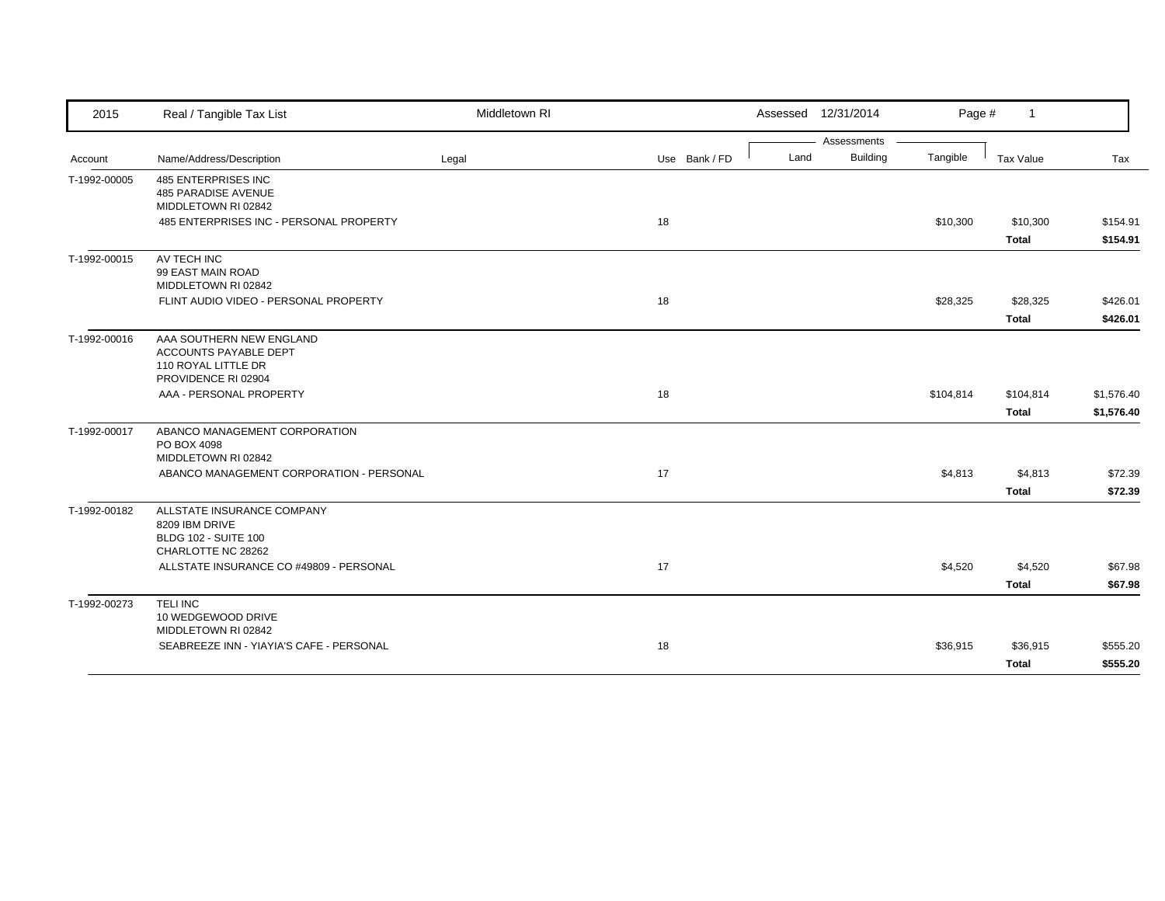| 2015         | Real / Tangible Tax List                                                                          | Middletown RI |               |      | Assessed 12/31/2014 | Page #    | $\overline{1}$           |                      |
|--------------|---------------------------------------------------------------------------------------------------|---------------|---------------|------|---------------------|-----------|--------------------------|----------------------|
|              |                                                                                                   |               |               |      | Assessments         |           |                          |                      |
| Account      | Name/Address/Description                                                                          | Legal         | Use Bank / FD | Land | <b>Building</b>     | Tangible  | Tax Value                | Tax                  |
| T-1992-00005 | <b>485 ENTERPRISES INC</b><br>485 PARADISE AVENUE<br>MIDDLETOWN RI 02842                          |               |               |      |                     |           |                          |                      |
|              | 485 ENTERPRISES INC - PERSONAL PROPERTY                                                           |               | 18            |      |                     | \$10,300  | \$10,300<br><b>Total</b> | \$154.91<br>\$154.91 |
| T-1992-00015 | AV TECH INC<br>99 EAST MAIN ROAD<br>MIDDLETOWN RI 02842                                           |               |               |      |                     |           |                          |                      |
|              | FLINT AUDIO VIDEO - PERSONAL PROPERTY                                                             |               | 18            |      |                     | \$28,325  | \$28,325                 | \$426.01             |
|              |                                                                                                   |               |               |      |                     |           | <b>Total</b>             | \$426.01             |
| T-1992-00016 | AAA SOUTHERN NEW ENGLAND<br>ACCOUNTS PAYABLE DEPT<br>110 ROYAL LITTLE DR<br>PROVIDENCE RI 02904   |               |               |      |                     |           |                          |                      |
|              | AAA - PERSONAL PROPERTY                                                                           |               | 18            |      |                     | \$104,814 | \$104,814                | \$1,576.40           |
|              |                                                                                                   |               |               |      |                     |           | <b>Total</b>             | \$1,576.40           |
| T-1992-00017 | ABANCO MANAGEMENT CORPORATION<br>PO BOX 4098<br>MIDDLETOWN RI 02842                               |               |               |      |                     |           |                          |                      |
|              | ABANCO MANAGEMENT CORPORATION - PERSONAL                                                          |               | 17            |      |                     | \$4,813   | \$4,813                  | \$72.39              |
|              |                                                                                                   |               |               |      |                     |           | <b>Total</b>             | \$72.39              |
| T-1992-00182 | ALLSTATE INSURANCE COMPANY<br>8209 IBM DRIVE<br><b>BLDG 102 - SUITE 100</b><br>CHARLOTTE NC 28262 |               |               |      |                     |           |                          |                      |
|              | ALLSTATE INSURANCE CO #49809 - PERSONAL                                                           |               | 17            |      |                     | \$4,520   | \$4,520                  | \$67.98              |
|              |                                                                                                   |               |               |      |                     |           | <b>Total</b>             | \$67.98              |
| T-1992-00273 | <b>TELINC</b><br>10 WEDGEWOOD DRIVE<br>MIDDLETOWN RI 02842                                        |               |               |      |                     |           |                          |                      |
|              | SEABREEZE INN - YIAYIA'S CAFE - PERSONAL                                                          |               | 18            |      |                     | \$36,915  | \$36,915                 | \$555.20             |
|              |                                                                                                   |               |               |      |                     |           | <b>Total</b>             | \$555.20             |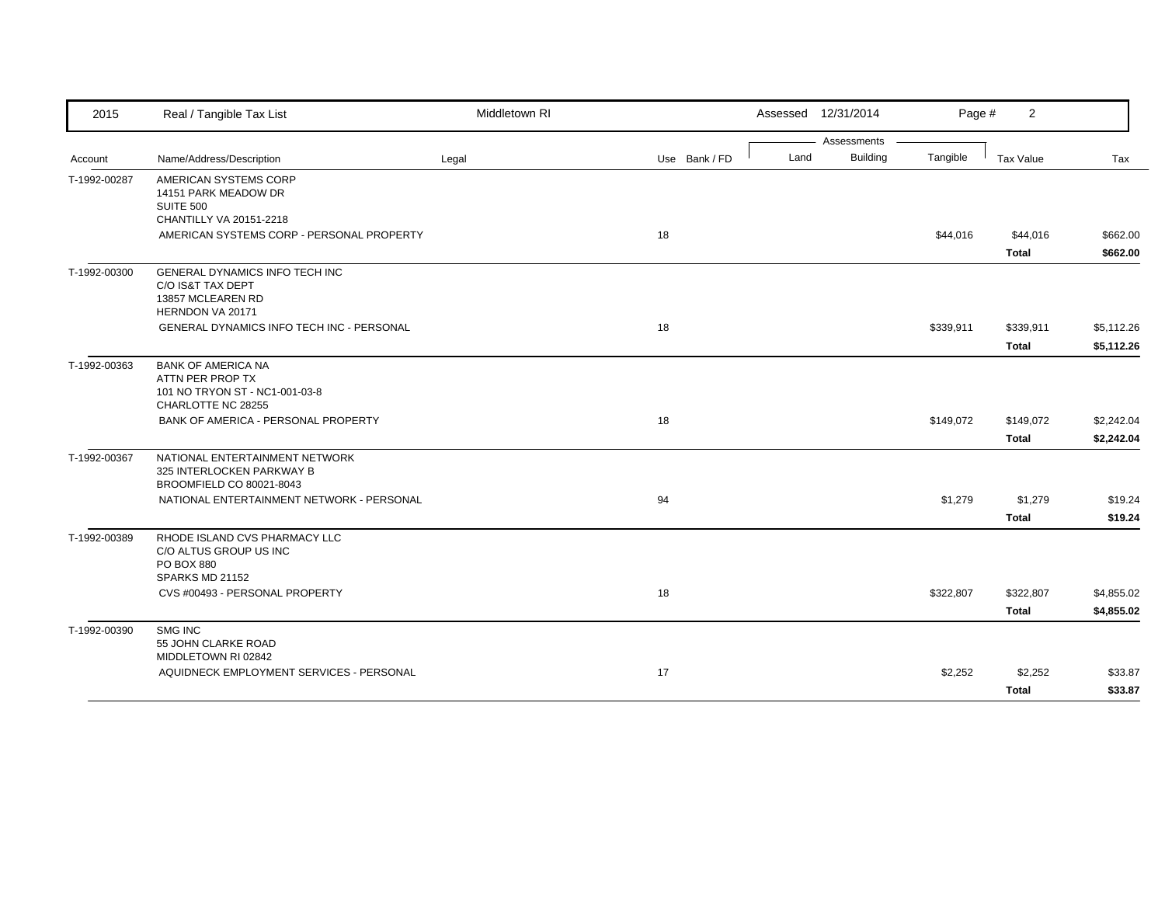| 2015         | Real / Tangible Tax List                                                                              | Middletown RI |               |      | Assessed 12/31/2014            | Page #    | $\overline{2}$            |                          |
|--------------|-------------------------------------------------------------------------------------------------------|---------------|---------------|------|--------------------------------|-----------|---------------------------|--------------------------|
| Account      | Name/Address/Description                                                                              | Legal         | Use Bank / FD | Land | Assessments<br><b>Building</b> | Tangible  | Tax Value                 | Tax                      |
| T-1992-00287 | AMERICAN SYSTEMS CORP<br>14151 PARK MEADOW DR<br><b>SUITE 500</b><br>CHANTILLY VA 20151-2218          |               |               |      |                                |           |                           |                          |
|              | AMERICAN SYSTEMS CORP - PERSONAL PROPERTY                                                             |               | 18            |      |                                | \$44,016  | \$44,016<br><b>Total</b>  | \$662.00<br>\$662.00     |
| T-1992-00300 | GENERAL DYNAMICS INFO TECH INC<br>C/O IS&T TAX DEPT<br>13857 MCLEAREN RD<br>HERNDON VA 20171          |               |               |      |                                |           |                           |                          |
|              | GENERAL DYNAMICS INFO TECH INC - PERSONAL                                                             |               | 18            |      |                                | \$339,911 | \$339,911<br><b>Total</b> | \$5,112.26<br>\$5,112.26 |
| T-1992-00363 | <b>BANK OF AMERICA NA</b><br>ATTN PER PROP TX<br>101 NO TRYON ST - NC1-001-03-8<br>CHARLOTTE NC 28255 |               |               |      |                                |           |                           |                          |
|              | BANK OF AMERICA - PERSONAL PROPERTY                                                                   |               | 18            |      |                                | \$149,072 | \$149,072<br><b>Total</b> | \$2,242.04<br>\$2,242.04 |
| T-1992-00367 | NATIONAL ENTERTAINMENT NETWORK<br>325 INTERLOCKEN PARKWAY B<br>BROOMFIELD CO 80021-8043               |               |               |      |                                |           |                           |                          |
|              | NATIONAL ENTERTAINMENT NETWORK - PERSONAL                                                             |               | 94            |      |                                | \$1,279   | \$1,279<br><b>Total</b>   | \$19.24<br>\$19.24       |
| T-1992-00389 | RHODE ISLAND CVS PHARMACY LLC<br>C/O ALTUS GROUP US INC<br>PO BOX 880<br>SPARKS MD 21152              |               |               |      |                                |           |                           |                          |
|              | CVS #00493 - PERSONAL PROPERTY                                                                        |               | 18            |      |                                | \$322,807 | \$322,807<br><b>Total</b> | \$4,855.02<br>\$4,855.02 |
| T-1992-00390 | SMG INC<br>55 JOHN CLARKE ROAD                                                                        |               |               |      |                                |           |                           |                          |
|              | MIDDLETOWN RI 02842<br>AQUIDNECK EMPLOYMENT SERVICES - PERSONAL                                       |               | 17            |      |                                | \$2,252   | \$2,252<br><b>Total</b>   | \$33.87<br>\$33.87       |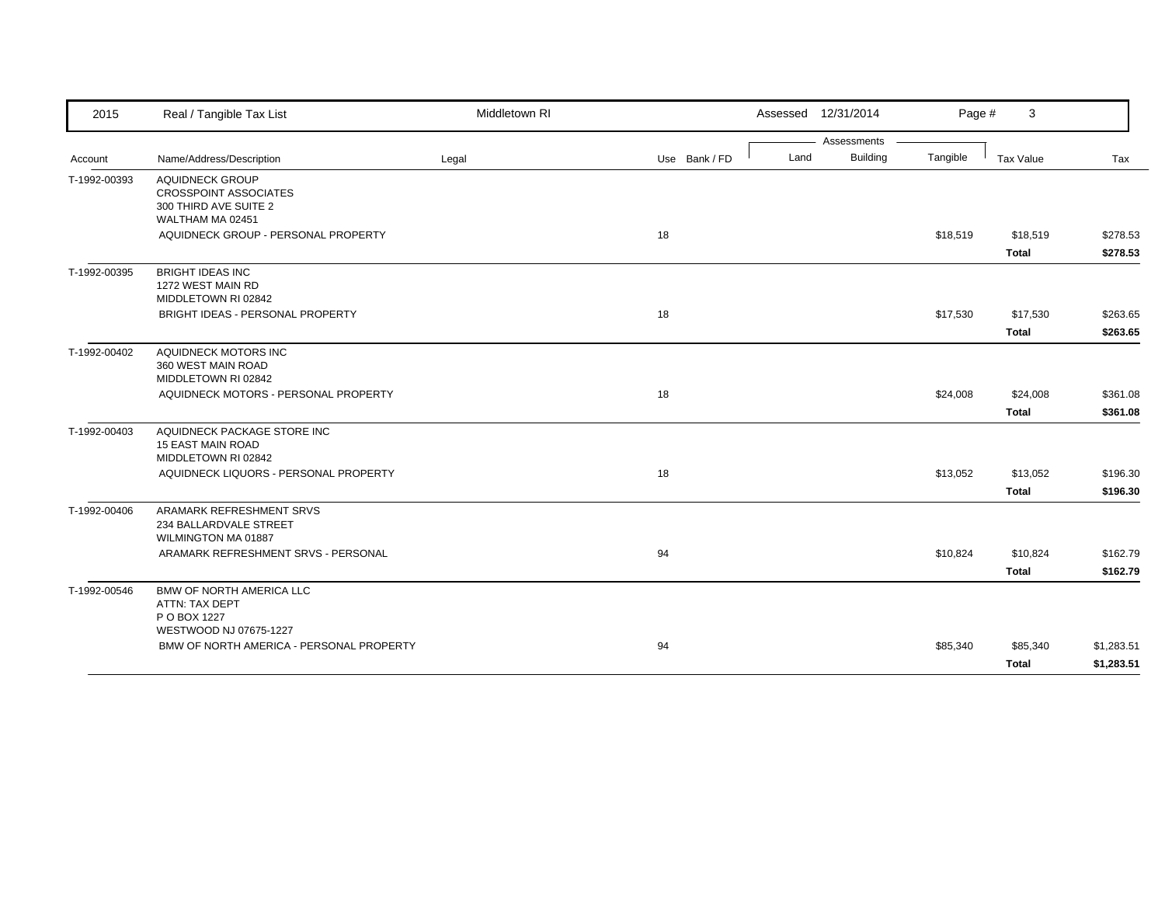| 2015         | Real / Tangible Tax List                                                                            | Middletown RI |               | Assessed 12/31/2014 |                 | Page #   | 3            |            |
|--------------|-----------------------------------------------------------------------------------------------------|---------------|---------------|---------------------|-----------------|----------|--------------|------------|
|              |                                                                                                     |               |               |                     | Assessments     |          |              |            |
| Account      | Name/Address/Description                                                                            | Legal         | Use Bank / FD | Land                | <b>Building</b> | Tangible | Tax Value    | Tax        |
| T-1992-00393 | <b>AQUIDNECK GROUP</b><br><b>CROSSPOINT ASSOCIATES</b><br>300 THIRD AVE SUITE 2<br>WALTHAM MA 02451 |               |               |                     |                 |          |              |            |
|              | AQUIDNECK GROUP - PERSONAL PROPERTY                                                                 |               | 18            |                     |                 | \$18,519 | \$18,519     | \$278.53   |
|              |                                                                                                     |               |               |                     |                 |          | <b>Total</b> | \$278.53   |
| T-1992-00395 | <b>BRIGHT IDEAS INC</b><br>1272 WEST MAIN RD<br>MIDDLETOWN RI 02842                                 |               |               |                     |                 |          |              |            |
|              | BRIGHT IDEAS - PERSONAL PROPERTY                                                                    |               | 18            |                     |                 | \$17,530 | \$17,530     | \$263.65   |
|              |                                                                                                     |               |               |                     |                 |          | <b>Total</b> | \$263.65   |
| T-1992-00402 | AQUIDNECK MOTORS INC<br>360 WEST MAIN ROAD<br>MIDDLETOWN RI 02842                                   |               |               |                     |                 |          |              |            |
|              | AQUIDNECK MOTORS - PERSONAL PROPERTY                                                                |               | 18            |                     |                 | \$24,008 | \$24,008     | \$361.08   |
|              |                                                                                                     |               |               |                     |                 |          | <b>Total</b> | \$361.08   |
| T-1992-00403 | AQUIDNECK PACKAGE STORE INC<br><b>15 EAST MAIN ROAD</b><br>MIDDLETOWN RI 02842                      |               |               |                     |                 |          |              |            |
|              | AQUIDNECK LIQUORS - PERSONAL PROPERTY                                                               |               | 18            |                     |                 | \$13,052 | \$13,052     | \$196.30   |
|              |                                                                                                     |               |               |                     |                 |          | <b>Total</b> | \$196.30   |
| T-1992-00406 | ARAMARK REFRESHMENT SRVS<br>234 BALLARDVALE STREET<br>WILMINGTON MA 01887                           |               |               |                     |                 |          |              |            |
|              | ARAMARK REFRESHMENT SRVS - PERSONAL                                                                 |               | 94            |                     |                 | \$10,824 | \$10,824     | \$162.79   |
|              |                                                                                                     |               |               |                     |                 |          | <b>Total</b> | \$162.79   |
| T-1992-00546 | <b>BMW OF NORTH AMERICA LLC</b><br>ATTN: TAX DEPT<br>P O BOX 1227                                   |               |               |                     |                 |          |              |            |
|              | WESTWOOD NJ 07675-1227<br>BMW OF NORTH AMERICA - PERSONAL PROPERTY                                  |               | 94            |                     |                 | \$85,340 | \$85,340     | \$1,283.51 |
|              |                                                                                                     |               |               |                     |                 |          | <b>Total</b> | \$1,283.51 |
|              |                                                                                                     |               |               |                     |                 |          |              |            |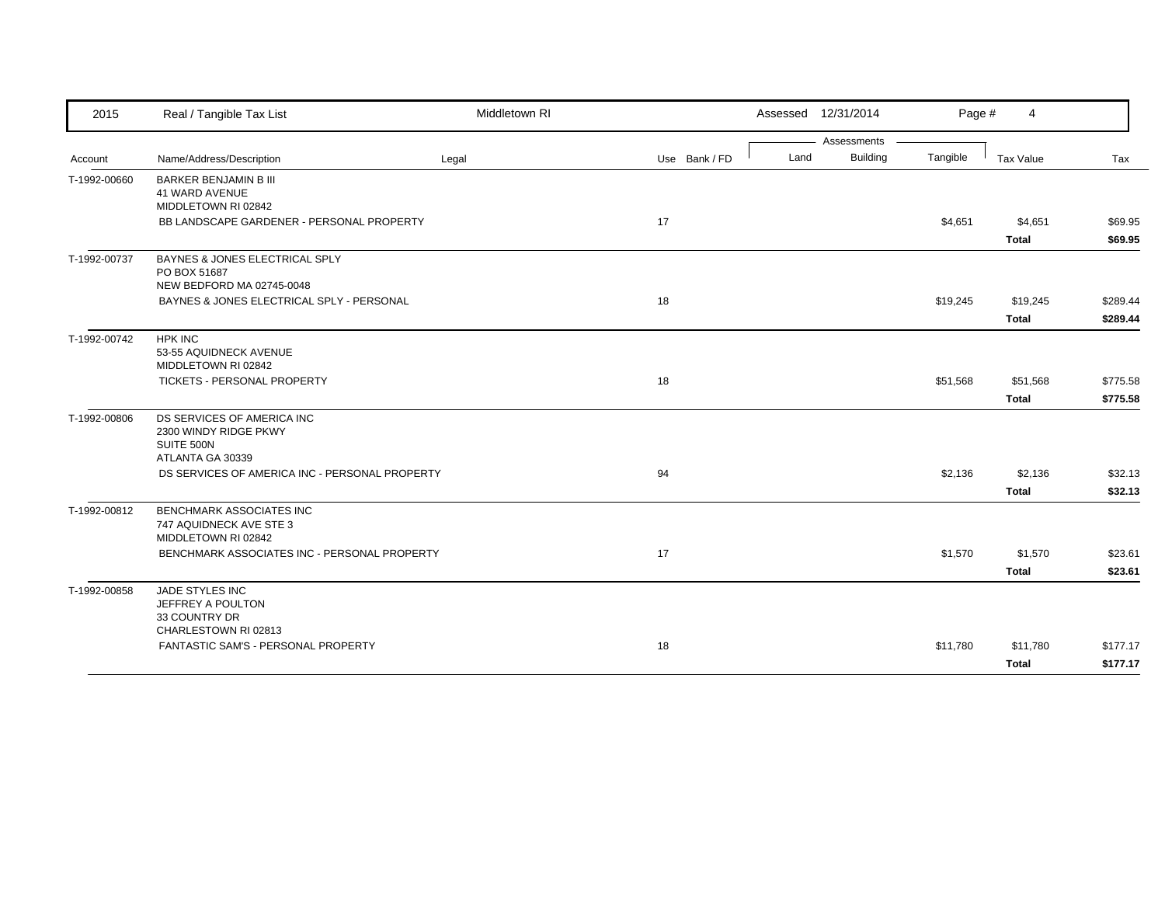| 2015         | Real / Tangible Tax List                                                    | Middletown RI |               |      | Assessed 12/31/2014 | Page #   | 4            |          |
|--------------|-----------------------------------------------------------------------------|---------------|---------------|------|---------------------|----------|--------------|----------|
|              |                                                                             |               |               |      | Assessments         |          |              |          |
| Account      | Name/Address/Description                                                    | Legal         | Use Bank / FD | Land | Building            | Tangible | Tax Value    | Tax      |
| T-1992-00660 | <b>BARKER BENJAMIN B III</b><br>41 WARD AVENUE<br>MIDDLETOWN RI 02842       |               |               |      |                     |          |              |          |
|              | BB LANDSCAPE GARDENER - PERSONAL PROPERTY                                   |               | 17            |      |                     | \$4,651  | \$4,651      | \$69.95  |
|              |                                                                             |               |               |      |                     |          | <b>Total</b> | \$69.95  |
| T-1992-00737 | BAYNES & JONES ELECTRICAL SPLY<br>PO BOX 51687<br>NEW BEDFORD MA 02745-0048 |               |               |      |                     |          |              |          |
|              | BAYNES & JONES ELECTRICAL SPLY - PERSONAL                                   |               | 18            |      |                     | \$19,245 | \$19,245     | \$289.44 |
|              |                                                                             |               |               |      |                     |          | Total        | \$289.44 |
| T-1992-00742 | <b>HPK INC</b>                                                              |               |               |      |                     |          |              |          |
|              | 53-55 AQUIDNECK AVENUE                                                      |               |               |      |                     |          |              |          |
|              | MIDDLETOWN RI 02842                                                         |               |               |      |                     |          |              |          |
|              | <b>TICKETS - PERSONAL PROPERTY</b>                                          |               | 18            |      |                     | \$51,568 | \$51,568     | \$775.58 |
|              |                                                                             |               |               |      |                     |          | <b>Total</b> | \$775.58 |
| T-1992-00806 | DS SERVICES OF AMERICA INC                                                  |               |               |      |                     |          |              |          |
|              | 2300 WINDY RIDGE PKWY<br>SUITE 500N                                         |               |               |      |                     |          |              |          |
|              | ATLANTA GA 30339                                                            |               |               |      |                     |          |              |          |
|              | DS SERVICES OF AMERICA INC - PERSONAL PROPERTY                              |               | 94            |      |                     | \$2,136  | \$2,136      | \$32.13  |
|              |                                                                             |               |               |      |                     |          | <b>Total</b> | \$32.13  |
| T-1992-00812 | BENCHMARK ASSOCIATES INC<br>747 AQUIDNECK AVE STE 3<br>MIDDLETOWN RI 02842  |               |               |      |                     |          |              |          |
|              | BENCHMARK ASSOCIATES INC - PERSONAL PROPERTY                                |               | 17            |      |                     | \$1,570  | \$1,570      | \$23.61  |
|              |                                                                             |               |               |      |                     |          | <b>Total</b> | \$23.61  |
| T-1992-00858 | JADE STYLES INC                                                             |               |               |      |                     |          |              |          |
|              | JEFFREY A POULTON<br>33 COUNTRY DR                                          |               |               |      |                     |          |              |          |
|              | CHARLESTOWN RI 02813                                                        |               |               |      |                     |          |              |          |
|              | FANTASTIC SAM'S - PERSONAL PROPERTY                                         |               | 18            |      |                     | \$11,780 | \$11,780     | \$177.17 |
|              |                                                                             |               |               |      |                     |          | Total        | \$177.17 |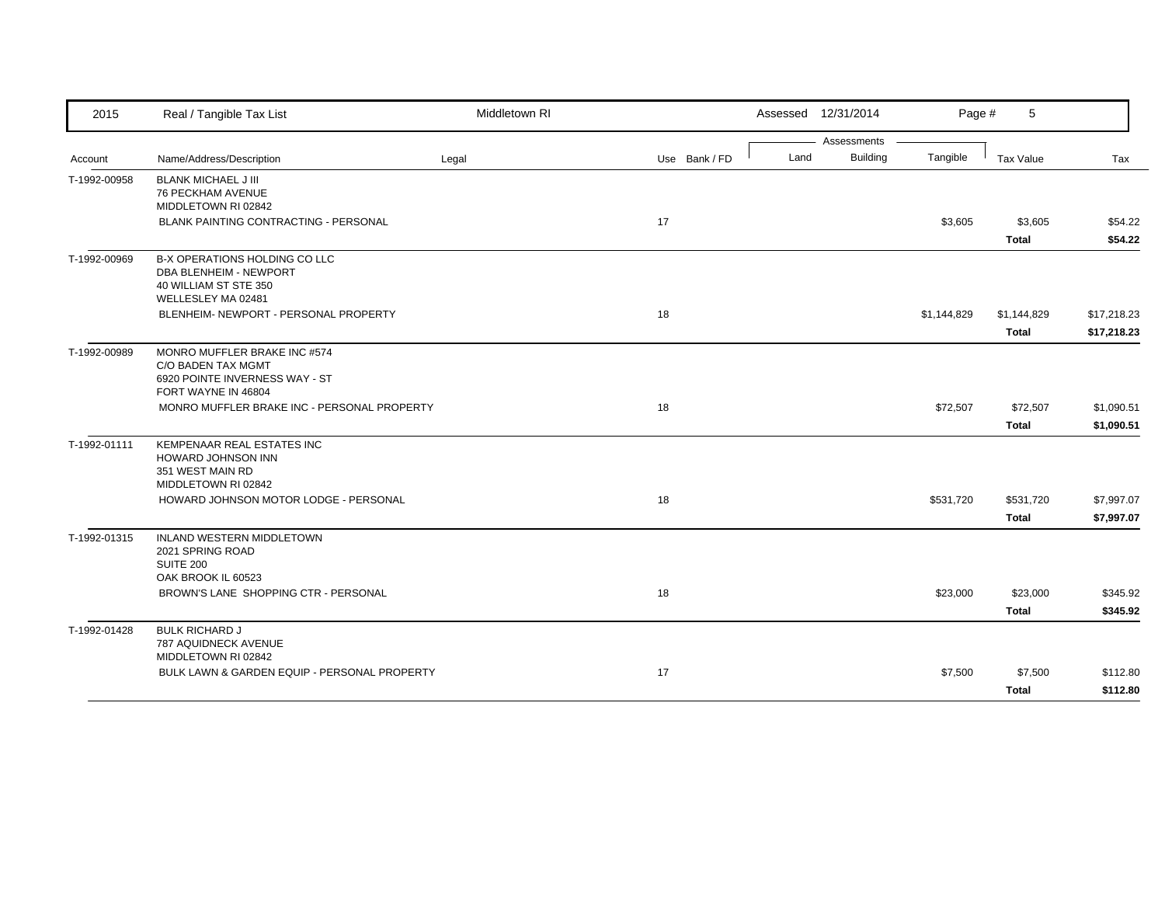| 2015         | Real / Tangible Tax List                                                                                      | Middletown RI |               |      | Assessed 12/31/2014 | Page #      | 5                           |                            |
|--------------|---------------------------------------------------------------------------------------------------------------|---------------|---------------|------|---------------------|-------------|-----------------------------|----------------------------|
|              |                                                                                                               |               |               |      | Assessments         |             |                             |                            |
| Account      | Name/Address/Description                                                                                      | Legal         | Use Bank / FD | Land | <b>Building</b>     | Tangible    | Tax Value                   | Tax                        |
| T-1992-00958 | <b>BLANK MICHAEL J III</b><br><b>76 PECKHAM AVENUE</b><br>MIDDLETOWN RI 02842                                 |               |               |      |                     |             |                             |                            |
|              | BLANK PAINTING CONTRACTING - PERSONAL                                                                         |               | 17            |      |                     | \$3,605     | \$3,605                     | \$54.22                    |
|              |                                                                                                               |               |               |      |                     |             | Total                       | \$54.22                    |
| T-1992-00969 | B-X OPERATIONS HOLDING CO LLC<br><b>DBA BLENHEIM - NEWPORT</b><br>40 WILLIAM ST STE 350<br>WELLESLEY MA 02481 |               |               |      |                     |             |                             |                            |
|              | BLENHEIM- NEWPORT - PERSONAL PROPERTY                                                                         |               | 18            |      |                     | \$1,144,829 | \$1,144,829<br><b>Total</b> | \$17,218.23<br>\$17,218.23 |
| T-1992-00989 | MONRO MUFFLER BRAKE INC #574<br>C/O BADEN TAX MGMT<br>6920 POINTE INVERNESS WAY - ST<br>FORT WAYNE IN 46804   |               |               |      |                     |             |                             |                            |
|              | MONRO MUFFLER BRAKE INC - PERSONAL PROPERTY                                                                   |               | 18            |      |                     | \$72,507    | \$72,507                    | \$1,090.51                 |
|              |                                                                                                               |               |               |      |                     |             | Total                       | \$1,090.51                 |
| T-1992-01111 | KEMPENAAR REAL ESTATES INC<br>HOWARD JOHNSON INN<br>351 WEST MAIN RD<br>MIDDLETOWN RI 02842                   |               |               |      |                     |             |                             |                            |
|              | HOWARD JOHNSON MOTOR LODGE - PERSONAL                                                                         |               | 18            |      |                     | \$531,720   | \$531,720                   | \$7,997.07                 |
|              |                                                                                                               |               |               |      |                     |             | <b>Total</b>                | \$7,997.07                 |
| T-1992-01315 | INLAND WESTERN MIDDLETOWN<br>2021 SPRING ROAD<br>SUITE 200<br>OAK BROOK IL 60523                              |               |               |      |                     |             |                             |                            |
|              | BROWN'S LANE SHOPPING CTR - PERSONAL                                                                          |               | 18            |      |                     | \$23,000    | \$23,000                    | \$345.92                   |
|              |                                                                                                               |               |               |      |                     |             | <b>Total</b>                | \$345.92                   |
| T-1992-01428 | <b>BULK RICHARD J</b><br>787 AQUIDNECK AVENUE<br>MIDDLETOWN RI 02842                                          |               |               |      |                     |             |                             |                            |
|              | BULK LAWN & GARDEN EQUIP - PERSONAL PROPERTY                                                                  |               | 17            |      |                     | \$7,500     | \$7,500                     | \$112.80                   |
|              |                                                                                                               |               |               |      |                     |             | <b>Total</b>                | \$112.80                   |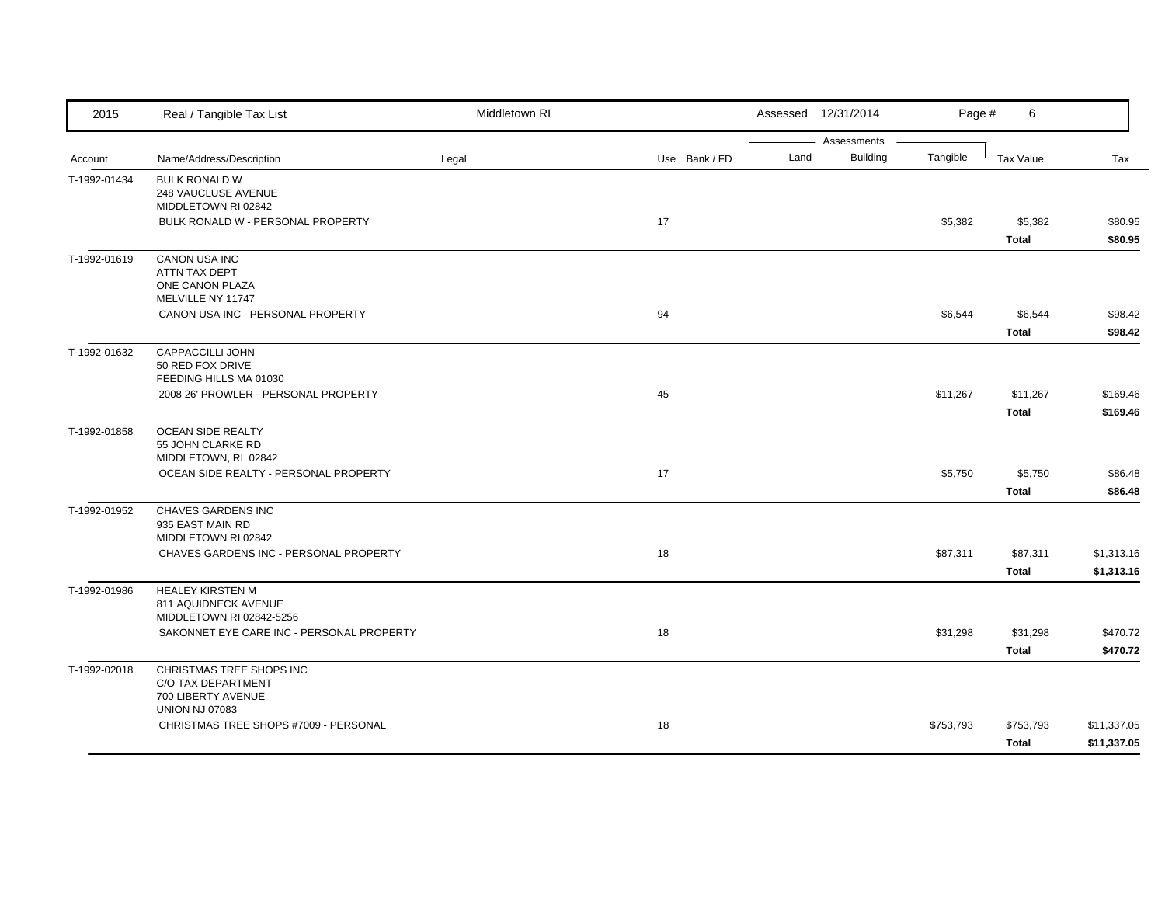| 2015         | Real / Tangible Tax List                                                                      | Middletown RI |               |      | Assessed 12/31/2014            | Page #    | 6                        |                            |
|--------------|-----------------------------------------------------------------------------------------------|---------------|---------------|------|--------------------------------|-----------|--------------------------|----------------------------|
| Account      | Name/Address/Description                                                                      | Legal         | Use Bank / FD | Land | Assessments<br><b>Building</b> | Tangible  | <b>Tax Value</b>         | Tax                        |
| T-1992-01434 | <b>BULK RONALD W</b><br>248 VAUCLUSE AVENUE<br>MIDDLETOWN RI 02842                            |               |               |      |                                |           |                          |                            |
|              | BULK RONALD W - PERSONAL PROPERTY                                                             |               | 17            |      |                                | \$5,382   | \$5,382<br><b>Total</b>  | \$80.95<br>\$80.95         |
| T-1992-01619 | <b>CANON USA INC</b><br>ATTN TAX DEPT<br>ONE CANON PLAZA<br>MELVILLE NY 11747                 |               |               |      |                                |           |                          |                            |
|              | CANON USA INC - PERSONAL PROPERTY                                                             |               | 94            |      |                                | \$6,544   | \$6,544<br><b>Total</b>  | \$98.42<br>\$98.42         |
| T-1992-01632 | <b>CAPPACCILLI JOHN</b><br>50 RED FOX DRIVE<br>FEEDING HILLS MA 01030                         |               |               |      |                                |           |                          |                            |
|              | 2008 26' PROWLER - PERSONAL PROPERTY                                                          |               | 45            |      |                                | \$11,267  | \$11,267<br><b>Total</b> | \$169.46<br>\$169.46       |
| T-1992-01858 | OCEAN SIDE REALTY<br>55 JOHN CLARKE RD<br>MIDDLETOWN, RI 02842                                |               |               |      |                                |           |                          |                            |
|              | OCEAN SIDE REALTY - PERSONAL PROPERTY                                                         |               | 17            |      |                                | \$5,750   | \$5,750<br><b>Total</b>  | \$86.48<br>\$86.48         |
| T-1992-01952 | CHAVES GARDENS INC<br>935 EAST MAIN RD<br>MIDDLETOWN RI 02842                                 |               |               |      |                                |           |                          |                            |
|              | CHAVES GARDENS INC - PERSONAL PROPERTY                                                        |               | 18            |      |                                | \$87,311  | \$87,311<br><b>Total</b> | \$1,313.16<br>\$1,313.16   |
| T-1992-01986 | <b>HEALEY KIRSTEN M</b><br>811 AQUIDNECK AVENUE<br>MIDDLETOWN RI 02842-5256                   |               |               |      |                                |           |                          |                            |
|              | SAKONNET EYE CARE INC - PERSONAL PROPERTY                                                     |               | 18            |      |                                | \$31,298  | \$31,298<br><b>Total</b> | \$470.72<br>\$470.72       |
| T-1992-02018 | CHRISTMAS TREE SHOPS INC<br>C/O TAX DEPARTMENT<br>700 LIBERTY AVENUE<br><b>UNION NJ 07083</b> |               |               |      |                                |           |                          |                            |
|              | CHRISTMAS TREE SHOPS #7009 - PERSONAL                                                         |               | 18            |      |                                | \$753,793 | \$753,793<br>Total       | \$11,337.05<br>\$11,337.05 |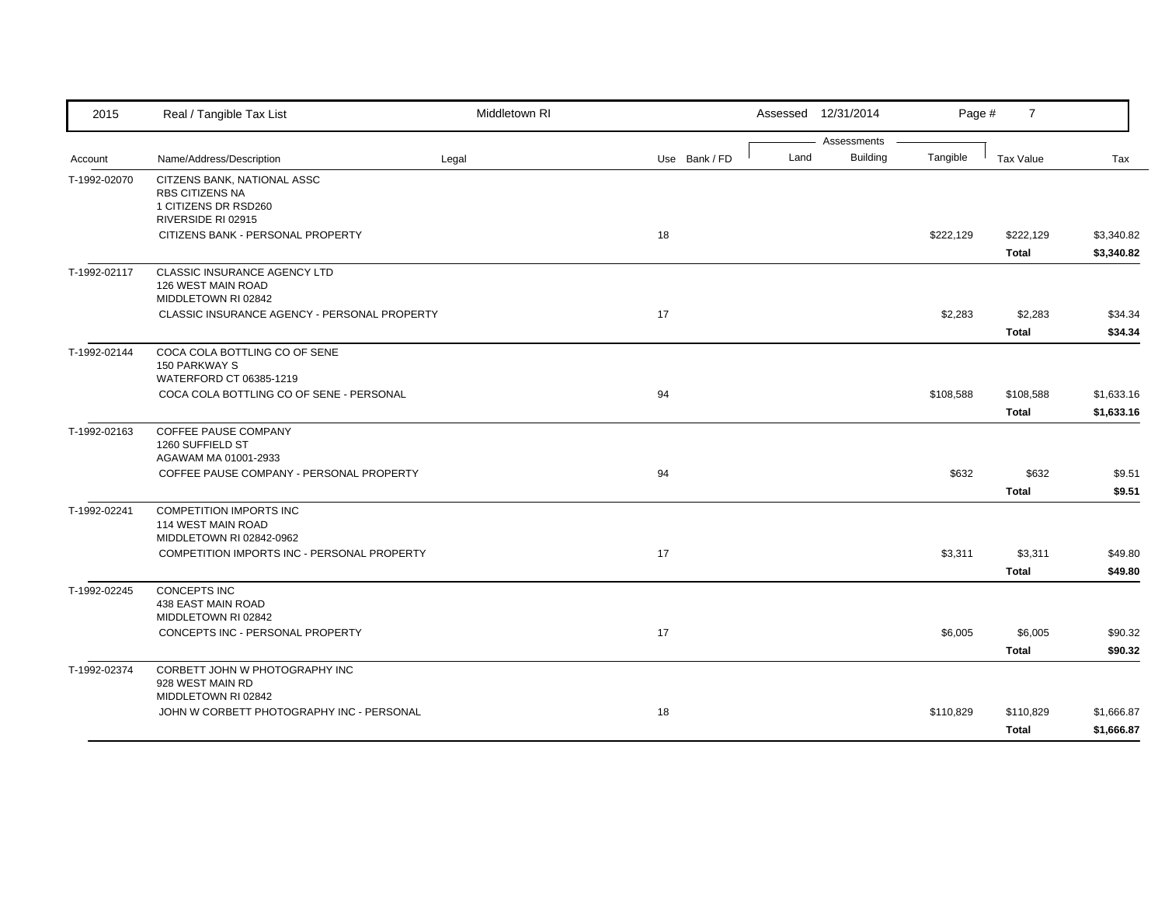| 2015         | Real / Tangible Tax List                                                                            | Middletown RI |               |      | Assessed 12/31/2014            | Page #    | $\overline{7}$            |                          |
|--------------|-----------------------------------------------------------------------------------------------------|---------------|---------------|------|--------------------------------|-----------|---------------------------|--------------------------|
| Account      | Name/Address/Description                                                                            | Legal         | Use Bank / FD | Land | Assessments<br><b>Building</b> | Tangible  | <b>Tax Value</b>          | Tax                      |
| T-1992-02070 | CITZENS BANK, NATIONAL ASSC<br><b>RBS CITIZENS NA</b><br>1 CITIZENS DR RSD260<br>RIVERSIDE RI 02915 |               |               |      |                                |           |                           |                          |
|              | CITIZENS BANK - PERSONAL PROPERTY                                                                   |               | 18            |      |                                | \$222,129 | \$222,129<br><b>Total</b> | \$3,340.82<br>\$3,340.82 |
| T-1992-02117 | CLASSIC INSURANCE AGENCY LTD<br>126 WEST MAIN ROAD<br>MIDDLETOWN RI 02842                           |               |               |      |                                |           |                           |                          |
|              | CLASSIC INSURANCE AGENCY - PERSONAL PROPERTY                                                        |               | 17            |      |                                | \$2,283   | \$2,283<br><b>Total</b>   | \$34.34<br>\$34.34       |
| T-1992-02144 | COCA COLA BOTTLING CO OF SENE<br><b>150 PARKWAY S</b><br>WATERFORD CT 06385-1219                    |               |               |      |                                |           |                           |                          |
|              | COCA COLA BOTTLING CO OF SENE - PERSONAL                                                            |               | 94            |      |                                | \$108,588 | \$108,588<br><b>Total</b> | \$1,633.16<br>\$1,633.16 |
| T-1992-02163 | COFFEE PAUSE COMPANY<br>1260 SUFFIELD ST<br>AGAWAM MA 01001-2933                                    |               |               |      |                                |           |                           |                          |
|              | COFFEE PAUSE COMPANY - PERSONAL PROPERTY                                                            |               | 94            |      |                                | \$632     | \$632<br><b>Total</b>     | \$9.51<br>\$9.51         |
| T-1992-02241 | <b>COMPETITION IMPORTS INC</b><br>114 WEST MAIN ROAD<br>MIDDLETOWN RI 02842-0962                    |               |               |      |                                |           |                           |                          |
|              | COMPETITION IMPORTS INC - PERSONAL PROPERTY                                                         |               | 17            |      |                                | \$3,311   | \$3,311<br><b>Total</b>   | \$49.80<br>\$49.80       |
| T-1992-02245 | <b>CONCEPTS INC</b><br>438 EAST MAIN ROAD<br>MIDDLETOWN RI 02842                                    |               |               |      |                                |           |                           |                          |
|              | CONCEPTS INC - PERSONAL PROPERTY                                                                    |               | 17            |      |                                | \$6,005   | \$6,005<br><b>Total</b>   | \$90.32<br>\$90.32       |
| T-1992-02374 | CORBETT JOHN W PHOTOGRAPHY INC<br>928 WEST MAIN RD                                                  |               |               |      |                                |           |                           |                          |
|              | MIDDLETOWN RI 02842<br>JOHN W CORBETT PHOTOGRAPHY INC - PERSONAL                                    |               | 18            |      |                                | \$110,829 | \$110,829<br><b>Total</b> | \$1,666.87<br>\$1,666.87 |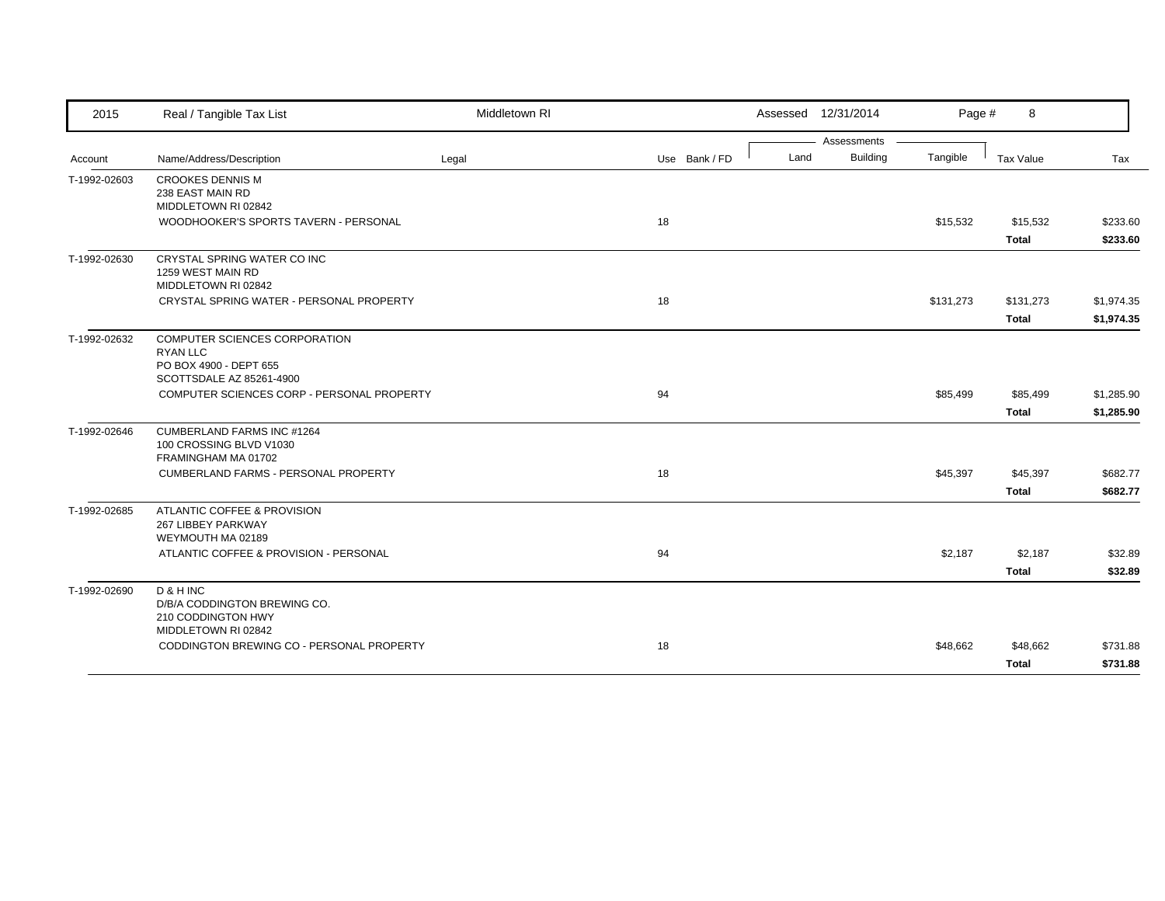| 2015         | Real / Tangible Tax List                                                                               | Middletown RI |               |      | Assessed 12/31/2014 | Page #    | 8                        |                      |
|--------------|--------------------------------------------------------------------------------------------------------|---------------|---------------|------|---------------------|-----------|--------------------------|----------------------|
|              |                                                                                                        |               |               |      | Assessments         |           |                          |                      |
| Account      | Name/Address/Description                                                                               | Legal         | Use Bank / FD | Land | Building            | Tangible  | Tax Value                | Tax                  |
| T-1992-02603 | <b>CROOKES DENNIS M</b><br>238 EAST MAIN RD<br>MIDDLETOWN RI 02842                                     |               |               |      |                     |           |                          |                      |
|              | WOODHOOKER'S SPORTS TAVERN - PERSONAL                                                                  |               | 18            |      |                     | \$15,532  | \$15,532<br><b>Total</b> | \$233.60<br>\$233.60 |
| T-1992-02630 | CRYSTAL SPRING WATER CO INC<br>1259 WEST MAIN RD<br>MIDDLETOWN RI 02842                                |               |               |      |                     |           |                          |                      |
|              | CRYSTAL SPRING WATER - PERSONAL PROPERTY                                                               |               | 18            |      |                     | \$131,273 | \$131,273                | \$1,974.35           |
|              |                                                                                                        |               |               |      |                     |           | <b>Total</b>             | \$1,974.35           |
| T-1992-02632 | COMPUTER SCIENCES CORPORATION<br><b>RYAN LLC</b><br>PO BOX 4900 - DEPT 655<br>SCOTTSDALE AZ 85261-4900 |               |               |      |                     |           |                          |                      |
|              | COMPUTER SCIENCES CORP - PERSONAL PROPERTY                                                             |               | 94            |      |                     | \$85,499  | \$85,499                 | \$1,285.90           |
|              |                                                                                                        |               |               |      |                     |           | <b>Total</b>             | \$1,285.90           |
| T-1992-02646 | CUMBERLAND FARMS INC #1264<br>100 CROSSING BLVD V1030<br>FRAMINGHAM MA 01702                           |               |               |      |                     |           |                          |                      |
|              | <b>CUMBERLAND FARMS - PERSONAL PROPERTY</b>                                                            |               | 18            |      |                     | \$45,397  | \$45,397                 | \$682.77             |
|              |                                                                                                        |               |               |      |                     |           | <b>Total</b>             | \$682.77             |
| T-1992-02685 | ATLANTIC COFFEE & PROVISION<br>267 LIBBEY PARKWAY<br>WEYMOUTH MA 02189                                 |               |               |      |                     |           |                          |                      |
|              | ATLANTIC COFFEE & PROVISION - PERSONAL                                                                 |               | 94            |      |                     | \$2,187   | \$2,187                  | \$32.89              |
|              |                                                                                                        |               |               |      |                     |           | <b>Total</b>             | \$32.89              |
| T-1992-02690 | D & H INC<br>D/B/A CODDINGTON BREWING CO.<br>210 CODDINGTON HWY<br>MIDDLETOWN RI 02842                 |               |               |      |                     |           |                          |                      |
|              | CODDINGTON BREWING CO - PERSONAL PROPERTY                                                              |               | 18            |      |                     | \$48,662  | \$48,662<br>Total        | \$731.88<br>\$731.88 |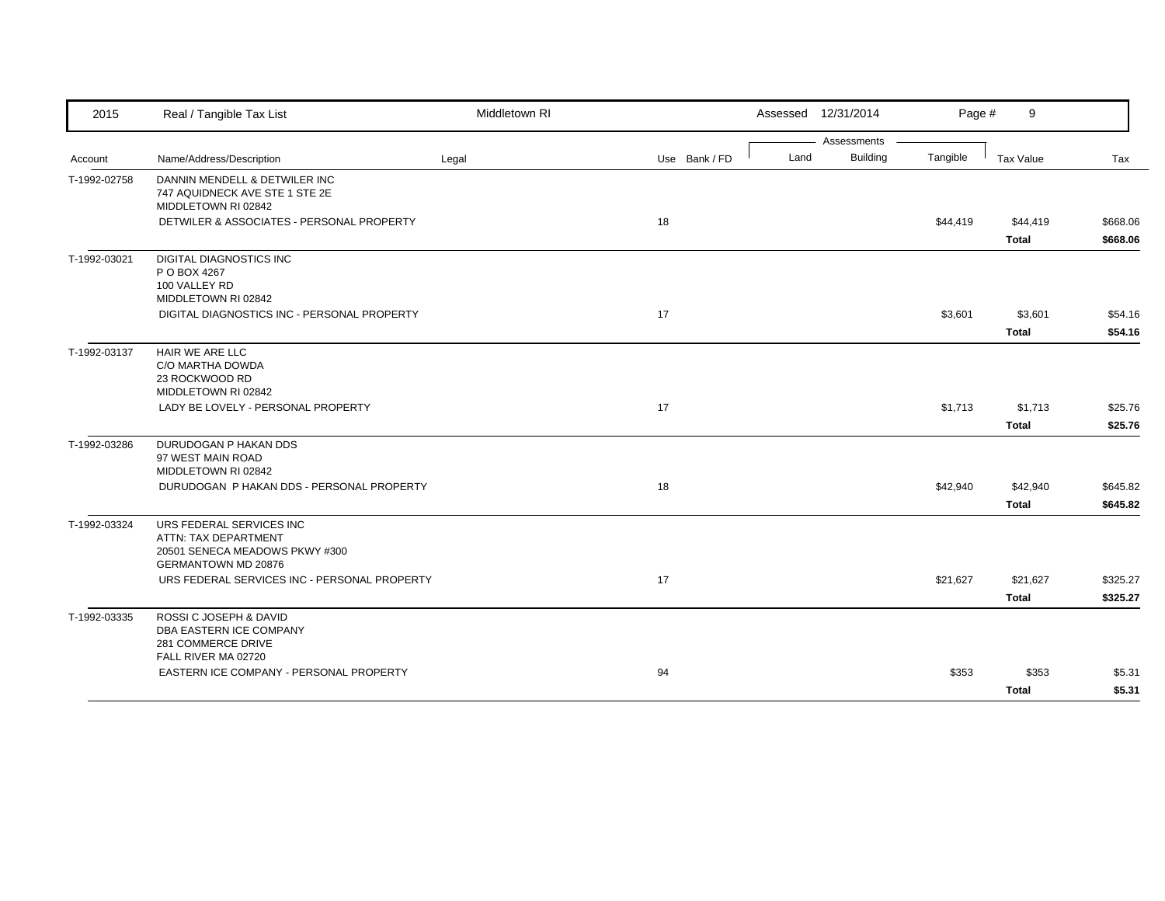| 2015         | Real / Tangible Tax List                                                                                         | Middletown RI |               |      | Assessed 12/31/2014            | Page #   | 9                        |                      |
|--------------|------------------------------------------------------------------------------------------------------------------|---------------|---------------|------|--------------------------------|----------|--------------------------|----------------------|
|              |                                                                                                                  |               |               |      | Assessments<br><b>Building</b> |          |                          |                      |
| Account      | Name/Address/Description                                                                                         | Legal         | Use Bank / FD | Land |                                | Tangible | <b>Tax Value</b>         | Tax                  |
| T-1992-02758 | DANNIN MENDELL & DETWILER INC<br>747 AQUIDNECK AVE STE 1 STE 2E<br>MIDDLETOWN RI 02842                           |               |               |      |                                |          |                          |                      |
|              | DETWILER & ASSOCIATES - PERSONAL PROPERTY                                                                        |               | 18            |      |                                | \$44,419 | \$44,419<br><b>Total</b> | \$668.06<br>\$668.06 |
| T-1992-03021 | <b>DIGITAL DIAGNOSTICS INC</b><br>P O BOX 4267<br>100 VALLEY RD                                                  |               |               |      |                                |          |                          |                      |
|              | MIDDLETOWN RI 02842<br>DIGITAL DIAGNOSTICS INC - PERSONAL PROPERTY                                               |               | 17            |      |                                | \$3,601  | \$3,601<br><b>Total</b>  | \$54.16<br>\$54.16   |
| T-1992-03137 | HAIR WE ARE LLC<br>C/O MARTHA DOWDA<br>23 ROCKWOOD RD<br>MIDDLETOWN RI 02842                                     |               |               |      |                                |          |                          |                      |
|              | LADY BE LOVELY - PERSONAL PROPERTY                                                                               |               | 17            |      |                                | \$1,713  | \$1,713<br><b>Total</b>  | \$25.76<br>\$25.76   |
| T-1992-03286 | DURUDOGAN P HAKAN DDS<br>97 WEST MAIN ROAD<br>MIDDLETOWN RI 02842                                                |               |               |      |                                |          |                          |                      |
|              | DURUDOGAN P HAKAN DDS - PERSONAL PROPERTY                                                                        |               | 18            |      |                                | \$42,940 | \$42,940<br><b>Total</b> | \$645.82<br>\$645.82 |
| T-1992-03324 | URS FEDERAL SERVICES INC<br>ATTN: TAX DEPARTMENT<br>20501 SENECA MEADOWS PKWY #300<br><b>GERMANTOWN MD 20876</b> |               |               |      |                                |          |                          |                      |
|              | URS FEDERAL SERVICES INC - PERSONAL PROPERTY                                                                     |               | 17            |      |                                | \$21,627 | \$21,627<br><b>Total</b> | \$325.27<br>\$325.27 |
| T-1992-03335 | ROSSI C JOSEPH & DAVID<br>DBA EASTERN ICE COMPANY<br>281 COMMERCE DRIVE<br>FALL RIVER MA 02720                   |               |               |      |                                |          |                          |                      |
|              | EASTERN ICE COMPANY - PERSONAL PROPERTY                                                                          |               | 94            |      |                                | \$353    | \$353<br><b>Total</b>    | \$5.31<br>\$5.31     |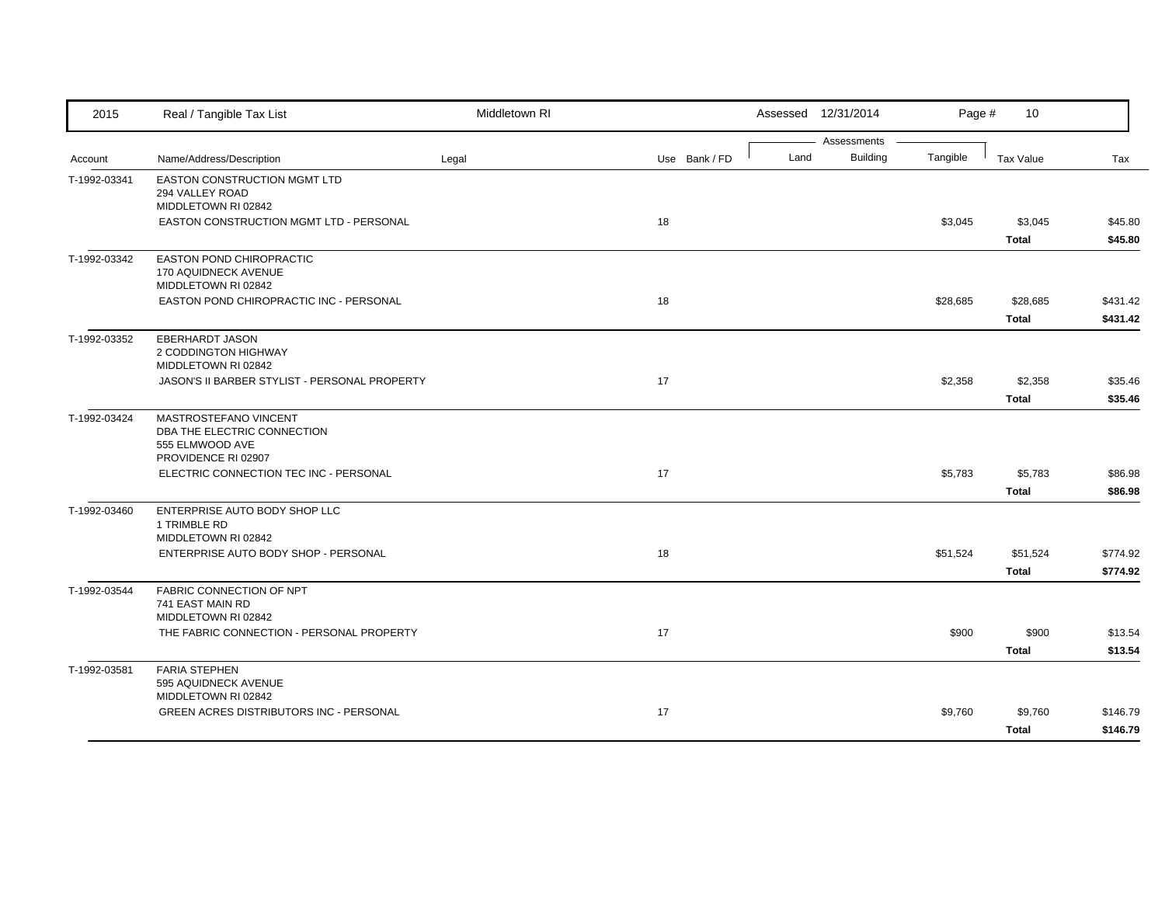| 2015         | Real / Tangible Tax List                                                                       | Middletown RI |               | Assessed 12/31/2014                    | Page #   | 10                       |                      |
|--------------|------------------------------------------------------------------------------------------------|---------------|---------------|----------------------------------------|----------|--------------------------|----------------------|
| Account      | Name/Address/Description                                                                       | Legal         | Use Bank / FD | Assessments<br>Land<br><b>Building</b> | Tangible | Tax Value                | Tax                  |
| T-1992-03341 | EASTON CONSTRUCTION MGMT LTD<br>294 VALLEY ROAD<br>MIDDLETOWN RI 02842                         |               |               |                                        |          |                          |                      |
|              | EASTON CONSTRUCTION MGMT LTD - PERSONAL                                                        |               | 18            |                                        | \$3,045  | \$3,045<br><b>Total</b>  | \$45.80<br>\$45.80   |
| T-1992-03342 | EASTON POND CHIROPRACTIC<br>170 AQUIDNECK AVENUE<br>MIDDLETOWN RI 02842                        |               |               |                                        |          |                          |                      |
|              | EASTON POND CHIROPRACTIC INC - PERSONAL                                                        |               | 18            |                                        | \$28,685 | \$28,685<br><b>Total</b> | \$431.42<br>\$431.42 |
| T-1992-03352 | <b>EBERHARDT JASON</b><br>2 CODDINGTON HIGHWAY<br>MIDDLETOWN RI 02842                          |               |               |                                        |          |                          |                      |
|              | JASON'S II BARBER STYLIST - PERSONAL PROPERTY                                                  |               | 17            |                                        | \$2,358  | \$2,358<br><b>Total</b>  | \$35.46<br>\$35.46   |
| T-1992-03424 | MASTROSTEFANO VINCENT<br>DBA THE ELECTRIC CONNECTION<br>555 ELMWOOD AVE<br>PROVIDENCE RI 02907 |               |               |                                        |          |                          |                      |
|              | ELECTRIC CONNECTION TEC INC - PERSONAL                                                         |               | 17            |                                        | \$5,783  | \$5,783<br><b>Total</b>  | \$86.98<br>\$86.98   |
| T-1992-03460 | ENTERPRISE AUTO BODY SHOP LLC<br>1 TRIMBLE RD<br>MIDDLETOWN RI 02842                           |               |               |                                        |          |                          |                      |
|              | ENTERPRISE AUTO BODY SHOP - PERSONAL                                                           |               | 18            |                                        | \$51,524 | \$51,524<br><b>Total</b> | \$774.92<br>\$774.92 |
| T-1992-03544 | FABRIC CONNECTION OF NPT<br>741 EAST MAIN RD<br>MIDDLETOWN RI 02842                            |               |               |                                        |          |                          |                      |
|              | THE FABRIC CONNECTION - PERSONAL PROPERTY                                                      |               | 17            |                                        | \$900    | \$900<br><b>Total</b>    | \$13.54<br>\$13.54   |
| T-1992-03581 | <b>FARIA STEPHEN</b><br>595 AQUIDNECK AVENUE<br>MIDDLETOWN RI 02842                            |               |               |                                        |          |                          |                      |
|              | GREEN ACRES DISTRIBUTORS INC - PERSONAL                                                        |               | 17            |                                        | \$9,760  | \$9,760<br><b>Total</b>  | \$146.79<br>\$146.79 |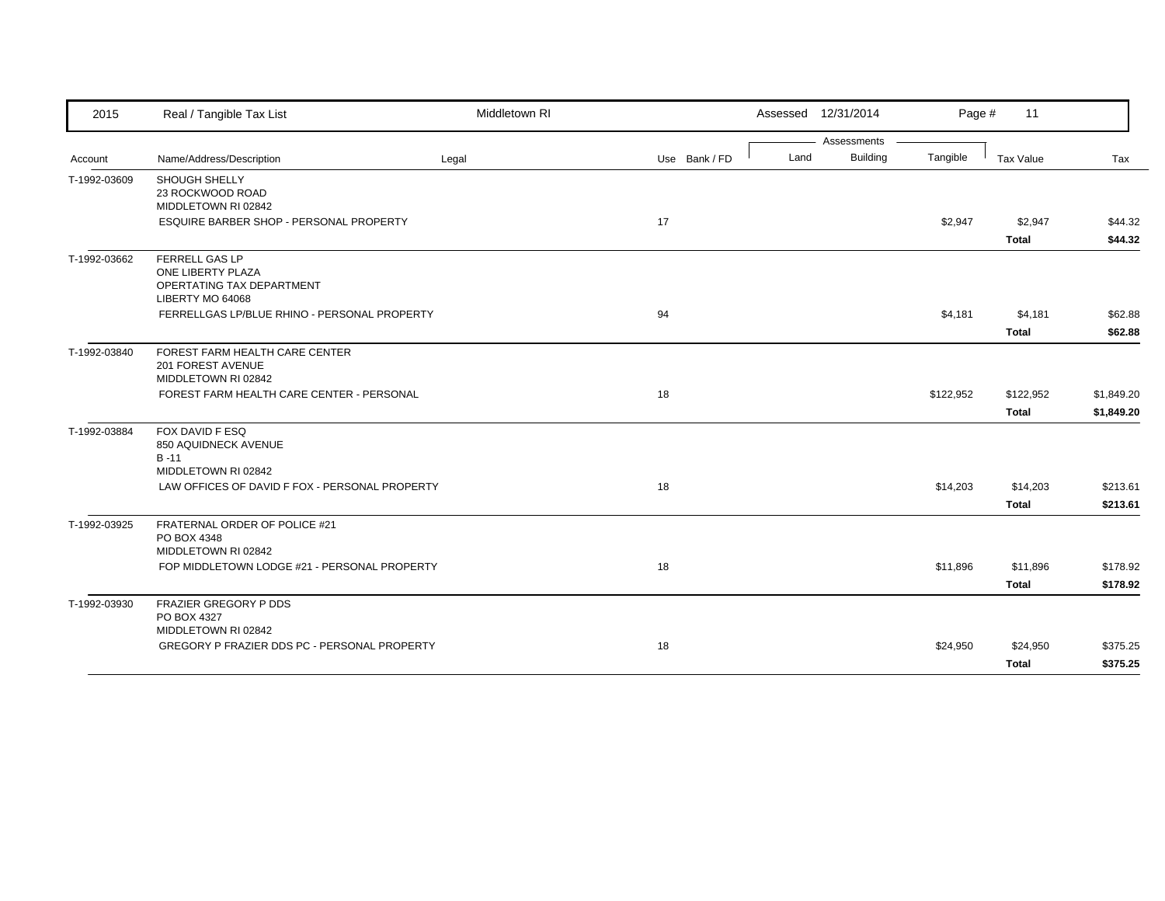| 2015         | Real / Tangible Tax List                                                                    | Middletown RI |               |      | Assessed 12/31/2014            | Page #    | 11                       |                      |
|--------------|---------------------------------------------------------------------------------------------|---------------|---------------|------|--------------------------------|-----------|--------------------------|----------------------|
| Account      | Name/Address/Description                                                                    | Legal         | Use Bank / FD | Land | Assessments<br><b>Building</b> | Tangible  | Tax Value                | Tax                  |
| T-1992-03609 | <b>SHOUGH SHELLY</b><br>23 ROCKWOOD ROAD<br>MIDDLETOWN RI 02842                             |               |               |      |                                |           |                          |                      |
|              | ESQUIRE BARBER SHOP - PERSONAL PROPERTY                                                     |               | 17            |      |                                | \$2,947   | \$2,947<br><b>Total</b>  | \$44.32<br>\$44.32   |
| T-1992-03662 | <b>FERRELL GAS LP</b><br>ONE LIBERTY PLAZA<br>OPERTATING TAX DEPARTMENT<br>LIBERTY MO 64068 |               |               |      |                                |           |                          |                      |
|              | FERRELLGAS LP/BLUE RHINO - PERSONAL PROPERTY                                                |               | 94            |      |                                | \$4,181   | \$4,181                  | \$62.88              |
|              |                                                                                             |               |               |      |                                |           | <b>Total</b>             | \$62.88              |
| T-1992-03840 | FOREST FARM HEALTH CARE CENTER<br>201 FOREST AVENUE<br>MIDDLETOWN RI 02842                  |               |               |      |                                |           |                          |                      |
|              | FOREST FARM HEALTH CARE CENTER - PERSONAL                                                   |               | 18            |      |                                | \$122,952 | \$122,952                | \$1,849.20           |
|              |                                                                                             |               |               |      |                                |           | <b>Total</b>             | \$1,849.20           |
| T-1992-03884 | FOX DAVID F ESQ<br>850 AQUIDNECK AVENUE<br>$B - 11$                                         |               |               |      |                                |           |                          |                      |
|              | MIDDLETOWN RI 02842                                                                         |               |               |      |                                |           |                          |                      |
|              | LAW OFFICES OF DAVID F FOX - PERSONAL PROPERTY                                              |               | 18            |      |                                | \$14,203  | \$14,203<br><b>Total</b> | \$213.61<br>\$213.61 |
| T-1992-03925 | FRATERNAL ORDER OF POLICE #21<br>PO BOX 4348                                                |               |               |      |                                |           |                          |                      |
|              | MIDDLETOWN RI 02842<br>FOP MIDDLETOWN LODGE #21 - PERSONAL PROPERTY                         |               | 18            |      |                                |           |                          |                      |
|              |                                                                                             |               |               |      |                                | \$11,896  | \$11,896<br><b>Total</b> | \$178.92<br>\$178.92 |
| T-1992-03930 | FRAZIER GREGORY P DDS<br>PO BOX 4327                                                        |               |               |      |                                |           |                          |                      |
|              | MIDDLETOWN RI 02842<br>GREGORY P FRAZIER DDS PC - PERSONAL PROPERTY                         |               | 18            |      |                                | \$24,950  | \$24,950                 | \$375.25             |
|              |                                                                                             |               |               |      |                                |           | <b>Total</b>             | \$375.25             |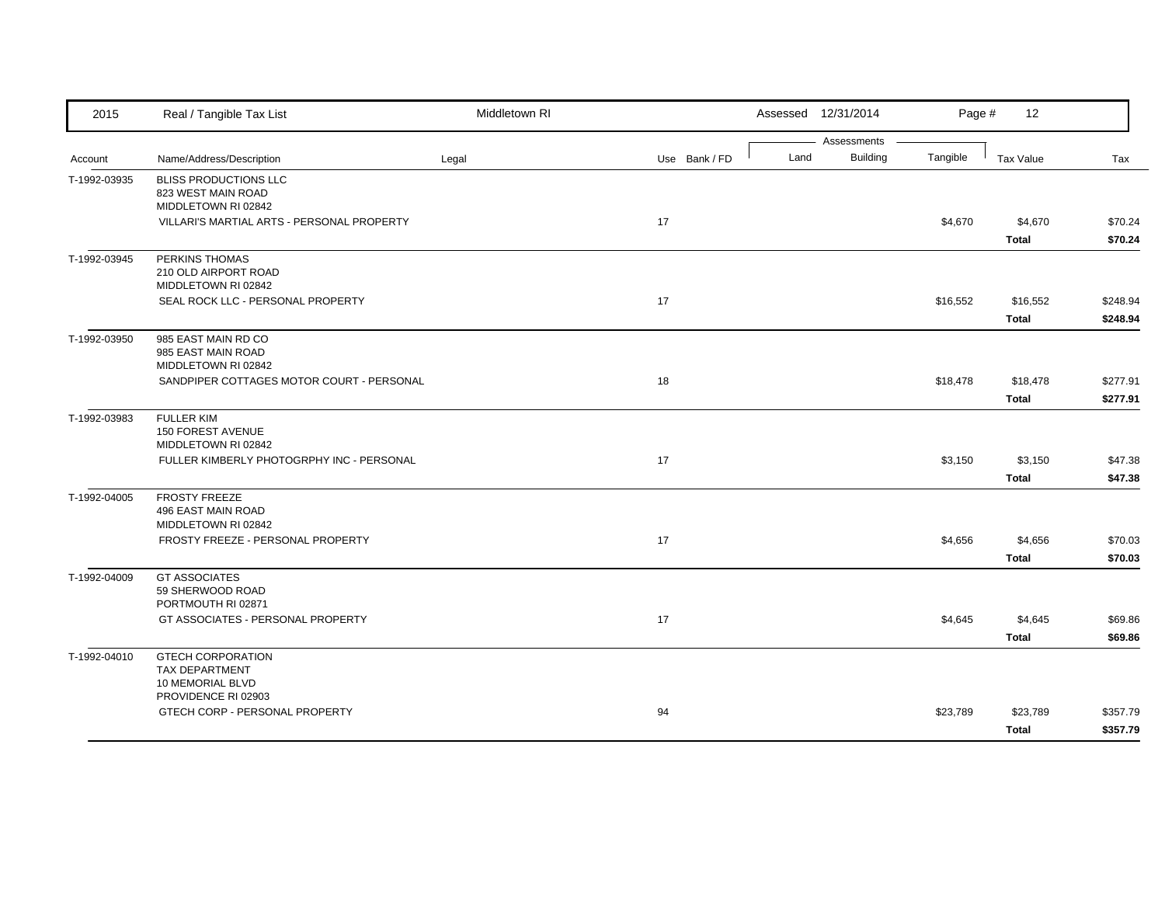| 2015         | Real / Tangible Tax List                           | Middletown RI |               |      | Assessed 12/31/2014            | Page #   | 12               |          |
|--------------|----------------------------------------------------|---------------|---------------|------|--------------------------------|----------|------------------|----------|
|              |                                                    |               |               | Land | Assessments<br><b>Building</b> | Tangible |                  |          |
| Account      | Name/Address/Description                           | Legal         | Use Bank / FD |      |                                |          | <b>Tax Value</b> | Tax      |
| T-1992-03935 | <b>BLISS PRODUCTIONS LLC</b><br>823 WEST MAIN ROAD |               |               |      |                                |          |                  |          |
|              | MIDDLETOWN RI 02842                                |               |               |      |                                |          |                  |          |
|              | VILLARI'S MARTIAL ARTS - PERSONAL PROPERTY         |               | 17            |      |                                | \$4,670  | \$4,670          | \$70.24  |
|              |                                                    |               |               |      |                                |          | <b>Total</b>     | \$70.24  |
| T-1992-03945 | PERKINS THOMAS                                     |               |               |      |                                |          |                  |          |
|              | 210 OLD AIRPORT ROAD                               |               |               |      |                                |          |                  |          |
|              | MIDDLETOWN RI 02842                                |               |               |      |                                |          |                  |          |
|              | SEAL ROCK LLC - PERSONAL PROPERTY                  |               | 17            |      |                                | \$16,552 | \$16,552         | \$248.94 |
|              |                                                    |               |               |      |                                |          | <b>Total</b>     | \$248.94 |
| T-1992-03950 | 985 EAST MAIN RD CO                                |               |               |      |                                |          |                  |          |
|              | 985 EAST MAIN ROAD<br>MIDDLETOWN RI 02842          |               |               |      |                                |          |                  |          |
|              | SANDPIPER COTTAGES MOTOR COURT - PERSONAL          |               | 18            |      |                                | \$18,478 | \$18,478         | \$277.91 |
|              |                                                    |               |               |      |                                |          | <b>Total</b>     |          |
|              |                                                    |               |               |      |                                |          |                  | \$277.91 |
| T-1992-03983 | <b>FULLER KIM</b><br>150 FOREST AVENUE             |               |               |      |                                |          |                  |          |
|              | MIDDLETOWN RI 02842                                |               |               |      |                                |          |                  |          |
|              | FULLER KIMBERLY PHOTOGRPHY INC - PERSONAL          |               | 17            |      |                                | \$3,150  | \$3,150          | \$47.38  |
|              |                                                    |               |               |      |                                |          | <b>Total</b>     | \$47.38  |
| T-1992-04005 | <b>FROSTY FREEZE</b>                               |               |               |      |                                |          |                  |          |
|              | 496 EAST MAIN ROAD                                 |               |               |      |                                |          |                  |          |
|              | MIDDLETOWN RI 02842                                |               |               |      |                                |          |                  |          |
|              | FROSTY FREEZE - PERSONAL PROPERTY                  |               | 17            |      |                                | \$4,656  | \$4,656          | \$70.03  |
|              |                                                    |               |               |      |                                |          | <b>Total</b>     | \$70.03  |
| T-1992-04009 | <b>GT ASSOCIATES</b>                               |               |               |      |                                |          |                  |          |
|              | 59 SHERWOOD ROAD<br>PORTMOUTH RI 02871             |               |               |      |                                |          |                  |          |
|              | GT ASSOCIATES - PERSONAL PROPERTY                  |               | 17            |      |                                | \$4,645  | \$4,645          | \$69.86  |
|              |                                                    |               |               |      |                                |          | <b>Total</b>     | \$69.86  |
|              |                                                    |               |               |      |                                |          |                  |          |
| T-1992-04010 | <b>GTECH CORPORATION</b><br><b>TAX DEPARTMENT</b>  |               |               |      |                                |          |                  |          |
|              | 10 MEMORIAL BLVD                                   |               |               |      |                                |          |                  |          |
|              | PROVIDENCE RI 02903                                |               |               |      |                                |          |                  |          |
|              | GTECH CORP - PERSONAL PROPERTY                     |               | 94            |      |                                | \$23,789 | \$23,789         | \$357.79 |
|              |                                                    |               |               |      |                                |          | <b>Total</b>     | \$357.79 |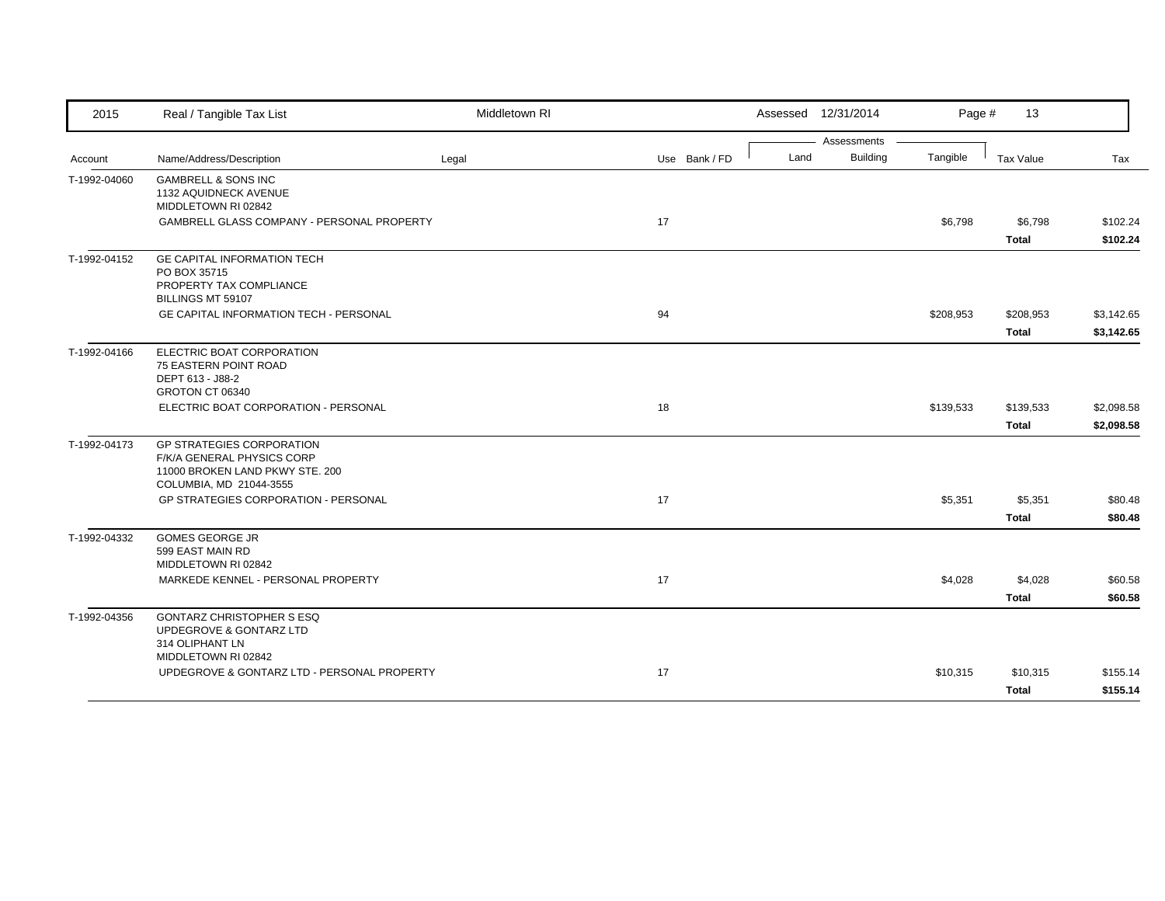| 2015         | Real / Tangible Tax List                                           | Middletown RI |    |               |      | Assessed 12/31/2014            | Page #    | 13                        |                          |
|--------------|--------------------------------------------------------------------|---------------|----|---------------|------|--------------------------------|-----------|---------------------------|--------------------------|
| Account      | Name/Address/Description                                           | Legal         |    | Use Bank / FD | Land | Assessments<br><b>Building</b> | Tangible  | Tax Value                 | Tax                      |
| T-1992-04060 | <b>GAMBRELL &amp; SONS INC</b>                                     |               |    |               |      |                                |           |                           |                          |
|              | 1132 AQUIDNECK AVENUE<br>MIDDLETOWN RI 02842                       |               |    |               |      |                                |           |                           |                          |
|              | GAMBRELL GLASS COMPANY - PERSONAL PROPERTY                         |               | 17 |               |      |                                | \$6,798   | \$6,798                   | \$102.24                 |
|              |                                                                    |               |    |               |      |                                |           | <b>Total</b>              | \$102.24                 |
| T-1992-04152 | GE CAPITAL INFORMATION TECH                                        |               |    |               |      |                                |           |                           |                          |
|              | PO BOX 35715<br>PROPERTY TAX COMPLIANCE                            |               |    |               |      |                                |           |                           |                          |
|              | BILLINGS MT 59107                                                  |               |    |               |      |                                |           |                           |                          |
|              | <b>GE CAPITAL INFORMATION TECH - PERSONAL</b>                      |               | 94 |               |      |                                | \$208,953 | \$208,953<br><b>Total</b> | \$3,142.65<br>\$3,142.65 |
| T-1992-04166 | ELECTRIC BOAT CORPORATION                                          |               |    |               |      |                                |           |                           |                          |
|              | 75 EASTERN POINT ROAD                                              |               |    |               |      |                                |           |                           |                          |
|              | DEPT 613 - J88-2<br>GROTON CT 06340                                |               |    |               |      |                                |           |                           |                          |
|              | ELECTRIC BOAT CORPORATION - PERSONAL                               |               | 18 |               |      |                                | \$139,533 | \$139,533                 | \$2,098.58               |
|              |                                                                    |               |    |               |      |                                |           | <b>Total</b>              | \$2,098.58               |
| T-1992-04173 | <b>GP STRATEGIES CORPORATION</b><br>F/K/A GENERAL PHYSICS CORP     |               |    |               |      |                                |           |                           |                          |
|              | 11000 BROKEN LAND PKWY STE. 200                                    |               |    |               |      |                                |           |                           |                          |
|              | COLUMBIA, MD 21044-3555                                            |               |    |               |      |                                |           |                           |                          |
|              | <b>GP STRATEGIES CORPORATION - PERSONAL</b>                        |               | 17 |               |      |                                | \$5,351   | \$5,351                   | \$80.48                  |
| T-1992-04332 | <b>GOMES GEORGE JR</b>                                             |               |    |               |      |                                |           | <b>Total</b>              | \$80.48                  |
|              | 599 EAST MAIN RD                                                   |               |    |               |      |                                |           |                           |                          |
|              | MIDDLETOWN RI 02842                                                |               |    |               |      |                                |           |                           |                          |
|              | MARKEDE KENNEL - PERSONAL PROPERTY                                 |               | 17 |               |      |                                | \$4,028   | \$4,028                   | \$60.58                  |
|              |                                                                    |               |    |               |      |                                |           | <b>Total</b>              | \$60.58                  |
| T-1992-04356 | <b>GONTARZ CHRISTOPHER S ESQ</b><br>UPDEGROVE & GONTARZ LTD        |               |    |               |      |                                |           |                           |                          |
|              | 314 OLIPHANT LN                                                    |               |    |               |      |                                |           |                           |                          |
|              | MIDDLETOWN RI 02842<br>UPDEGROVE & GONTARZ LTD - PERSONAL PROPERTY |               | 17 |               |      |                                | \$10,315  | \$10,315                  | \$155.14                 |
|              |                                                                    |               |    |               |      |                                |           | <b>Total</b>              | \$155.14                 |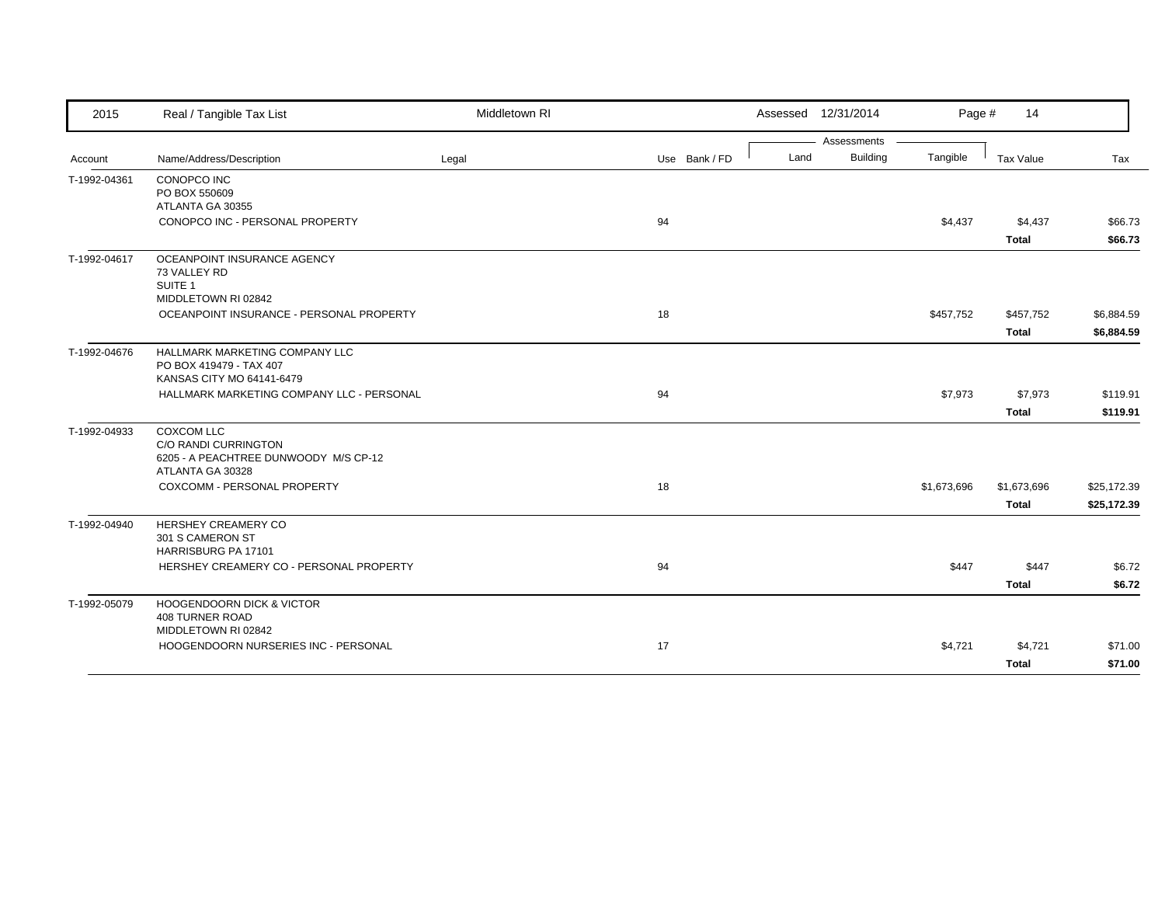| 2015         | Real / Tangible Tax List                                  | Middletown RI |               |      | Assessed 12/31/2014 | Page #      | 14           |             |
|--------------|-----------------------------------------------------------|---------------|---------------|------|---------------------|-------------|--------------|-------------|
|              |                                                           |               |               |      | Assessments         |             |              |             |
| Account      | Name/Address/Description                                  | Legal         | Use Bank / FD | Land | <b>Building</b>     | Tangible    | Tax Value    | Tax         |
| T-1992-04361 | CONOPCO INC<br>PO BOX 550609                              |               |               |      |                     |             |              |             |
|              | ATLANTA GA 30355                                          |               |               |      |                     |             |              |             |
|              | CONOPCO INC - PERSONAL PROPERTY                           |               | 94            |      |                     | \$4,437     | \$4,437      | \$66.73     |
|              |                                                           |               |               |      |                     |             | <b>Total</b> | \$66.73     |
| T-1992-04617 | OCEANPOINT INSURANCE AGENCY<br>73 VALLEY RD               |               |               |      |                     |             |              |             |
|              | SUITE 1                                                   |               |               |      |                     |             |              |             |
|              | MIDDLETOWN RI 02842                                       |               |               |      |                     |             |              |             |
|              | OCEANPOINT INSURANCE - PERSONAL PROPERTY                  |               | 18            |      |                     | \$457,752   | \$457,752    | \$6,884.59  |
|              |                                                           |               |               |      |                     |             | <b>Total</b> | \$6,884.59  |
| T-1992-04676 | HALLMARK MARKETING COMPANY LLC                            |               |               |      |                     |             |              |             |
|              | PO BOX 419479 - TAX 407                                   |               |               |      |                     |             |              |             |
|              | KANSAS CITY MO 64141-6479                                 |               |               |      |                     |             |              |             |
|              | HALLMARK MARKETING COMPANY LLC - PERSONAL                 |               | 94            |      |                     | \$7,973     | \$7,973      | \$119.91    |
|              |                                                           |               |               |      |                     |             | <b>Total</b> | \$119.91    |
| T-1992-04933 | <b>COXCOM LLC</b>                                         |               |               |      |                     |             |              |             |
|              | C/O RANDI CURRINGTON                                      |               |               |      |                     |             |              |             |
|              | 6205 - A PEACHTREE DUNWOODY M/S CP-12<br>ATLANTA GA 30328 |               |               |      |                     |             |              |             |
|              | COXCOMM - PERSONAL PROPERTY                               |               | 18            |      |                     | \$1,673,696 | \$1,673,696  | \$25,172.39 |
|              |                                                           |               |               |      |                     |             | <b>Total</b> | \$25,172.39 |
| T-1992-04940 | HERSHEY CREAMERY CO                                       |               |               |      |                     |             |              |             |
|              | 301 S CAMERON ST                                          |               |               |      |                     |             |              |             |
|              | HARRISBURG PA 17101                                       |               |               |      |                     |             |              |             |
|              | HERSHEY CREAMERY CO - PERSONAL PROPERTY                   |               | 94            |      |                     | \$447       | \$447        | \$6.72      |
|              |                                                           |               |               |      |                     |             | <b>Total</b> | \$6.72      |
| T-1992-05079 | <b>HOOGENDOORN DICK &amp; VICTOR</b>                      |               |               |      |                     |             |              |             |
|              | <b>408 TURNER ROAD</b>                                    |               |               |      |                     |             |              |             |
|              | MIDDLETOWN RI 02842                                       |               |               |      |                     |             |              |             |
|              | HOOGENDOORN NURSERIES INC - PERSONAL                      |               | 17            |      |                     | \$4,721     | \$4,721      | \$71.00     |
|              |                                                           |               |               |      |                     |             | <b>Total</b> | \$71.00     |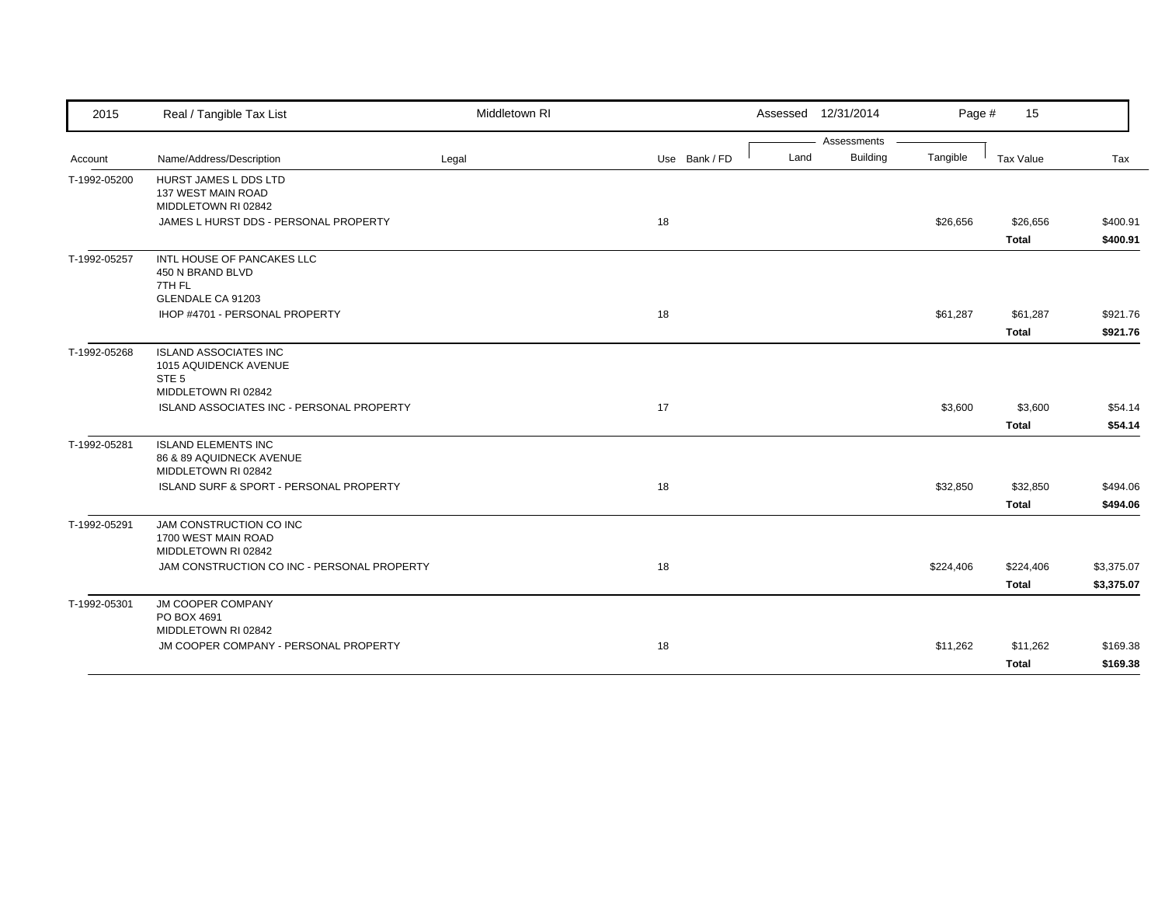| 2015         | Real / Tangible Tax List                                                                         | Middletown RI |               |      | Assessed 12/31/2014 | Page #    | 15                       |                      |
|--------------|--------------------------------------------------------------------------------------------------|---------------|---------------|------|---------------------|-----------|--------------------------|----------------------|
|              |                                                                                                  |               |               |      | Assessments         |           |                          |                      |
| Account      | Name/Address/Description                                                                         | Legal         | Use Bank / FD | Land | <b>Building</b>     | Tangible  | Tax Value                | Tax                  |
| T-1992-05200 | HURST JAMES L DDS LTD<br>137 WEST MAIN ROAD<br>MIDDLETOWN RI 02842                               |               |               |      |                     |           |                          |                      |
|              | JAMES L HURST DDS - PERSONAL PROPERTY                                                            |               | 18            |      |                     | \$26,656  | \$26,656<br><b>Total</b> | \$400.91<br>\$400.91 |
| T-1992-05257 | INTL HOUSE OF PANCAKES LLC<br>450 N BRAND BLVD<br>7TH FL<br>GLENDALE CA 91203                    |               |               |      |                     |           |                          |                      |
|              | IHOP #4701 - PERSONAL PROPERTY                                                                   |               | 18            |      |                     | \$61,287  | \$61,287                 | \$921.76             |
|              |                                                                                                  |               |               |      |                     |           | <b>Total</b>             | \$921.76             |
| T-1992-05268 | <b>ISLAND ASSOCIATES INC</b><br>1015 AQUIDENCK AVENUE<br>STE <sub>5</sub><br>MIDDLETOWN RI 02842 |               |               |      |                     |           |                          |                      |
|              | ISLAND ASSOCIATES INC - PERSONAL PROPERTY                                                        |               | 17            |      |                     | \$3,600   | \$3,600<br><b>Total</b>  | \$54.14<br>\$54.14   |
| T-1992-05281 | <b>ISLAND ELEMENTS INC</b><br>86 & 89 AQUIDNECK AVENUE<br>MIDDLETOWN RI 02842                    |               |               |      |                     |           |                          |                      |
|              | ISLAND SURF & SPORT - PERSONAL PROPERTY                                                          |               | 18            |      |                     | \$32,850  | \$32,850                 | \$494.06             |
|              |                                                                                                  |               |               |      |                     |           | <b>Total</b>             | \$494.06             |
| T-1992-05291 | JAM CONSTRUCTION CO INC<br>1700 WEST MAIN ROAD<br>MIDDLETOWN RI 02842                            |               |               |      |                     |           |                          |                      |
|              | JAM CONSTRUCTION CO INC - PERSONAL PROPERTY                                                      |               | 18            |      |                     | \$224,406 | \$224,406                | \$3,375.07           |
|              |                                                                                                  |               |               |      |                     |           | <b>Total</b>             | \$3,375.07           |
| T-1992-05301 | JM COOPER COMPANY<br>PO BOX 4691<br>MIDDLETOWN RI 02842                                          |               |               |      |                     |           |                          |                      |
|              | JM COOPER COMPANY - PERSONAL PROPERTY                                                            |               | 18            |      |                     | \$11,262  | \$11,262                 | \$169.38             |
|              |                                                                                                  |               |               |      |                     |           | <b>Total</b>             | \$169.38             |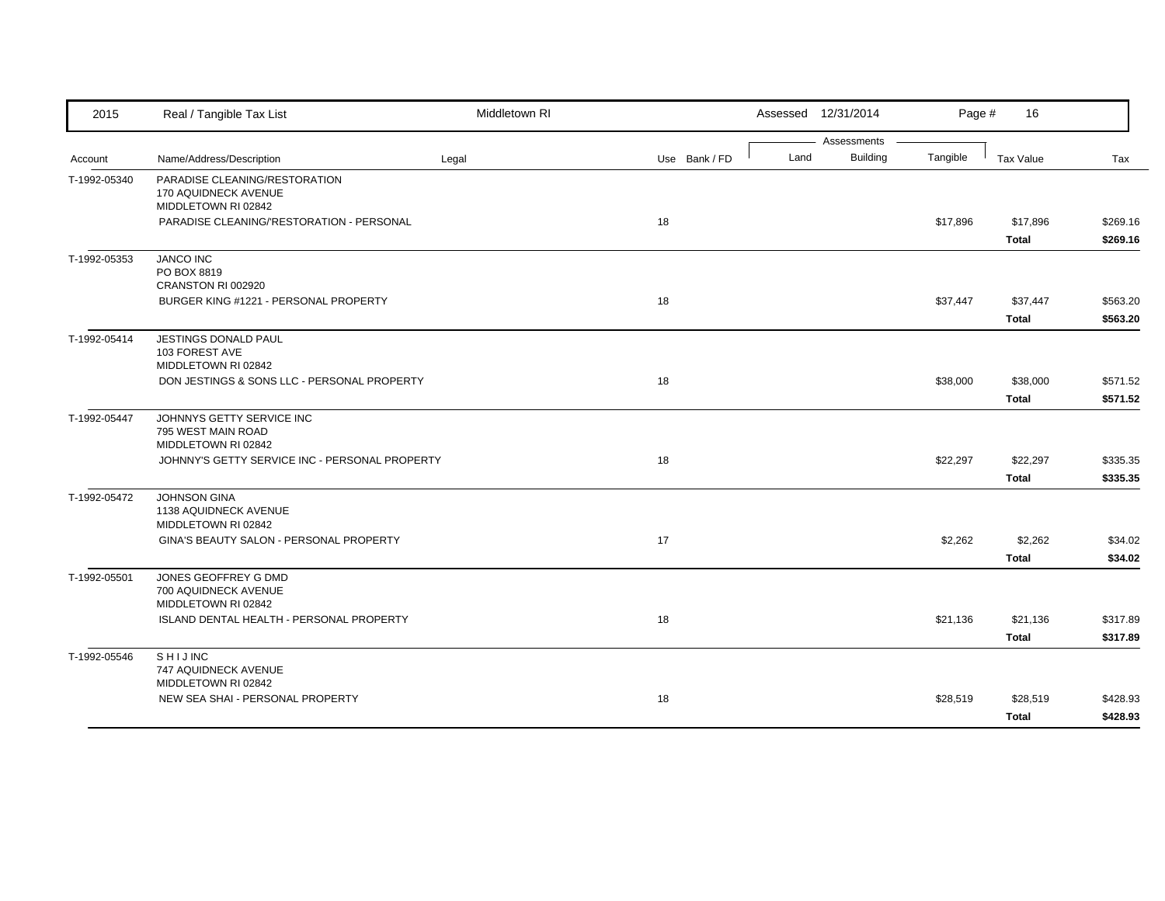| 2015         | Real / Tangible Tax List                                                     | Middletown RI |    |               |      | Assessed 12/31/2014            | Page #   | 16                       |                      |
|--------------|------------------------------------------------------------------------------|---------------|----|---------------|------|--------------------------------|----------|--------------------------|----------------------|
| Account      | Name/Address/Description                                                     | Legal         |    | Use Bank / FD | Land | Assessments<br><b>Building</b> | Tangible | Tax Value                | Tax                  |
| T-1992-05340 | PARADISE CLEANING/RESTORATION<br>170 AQUIDNECK AVENUE<br>MIDDLETOWN RI 02842 |               |    |               |      |                                |          |                          |                      |
|              | PARADISE CLEANING/'RESTORATION - PERSONAL                                    |               | 18 |               |      |                                | \$17,896 | \$17,896<br><b>Total</b> | \$269.16<br>\$269.16 |
| T-1992-05353 | <b>JANCO INC</b><br>PO BOX 8819<br>CRANSTON RI 002920                        |               |    |               |      |                                |          |                          |                      |
|              | BURGER KING #1221 - PERSONAL PROPERTY                                        |               | 18 |               |      |                                | \$37,447 | \$37,447<br><b>Total</b> | \$563.20<br>\$563.20 |
| T-1992-05414 | JESTINGS DONALD PAUL<br>103 FOREST AVE<br>MIDDLETOWN RI 02842                |               |    |               |      |                                |          |                          |                      |
|              | DON JESTINGS & SONS LLC - PERSONAL PROPERTY                                  |               | 18 |               |      |                                | \$38,000 | \$38,000<br><b>Total</b> | \$571.52<br>\$571.52 |
| T-1992-05447 | JOHNNYS GETTY SERVICE INC<br>795 WEST MAIN ROAD<br>MIDDLETOWN RI 02842       |               |    |               |      |                                |          |                          |                      |
|              | JOHNNY'S GETTY SERVICE INC - PERSONAL PROPERTY                               |               | 18 |               |      |                                | \$22,297 | \$22,297<br><b>Total</b> | \$335.35<br>\$335.35 |
| T-1992-05472 | JOHNSON GINA<br>1138 AQUIDNECK AVENUE<br>MIDDLETOWN RI 02842                 |               |    |               |      |                                |          |                          |                      |
|              | GINA'S BEAUTY SALON - PERSONAL PROPERTY                                      |               | 17 |               |      |                                | \$2,262  | \$2,262<br><b>Total</b>  | \$34.02<br>\$34.02   |
| T-1992-05501 | JONES GEOFFREY G DMD<br>700 AQUIDNECK AVENUE<br>MIDDLETOWN RI 02842          |               |    |               |      |                                |          |                          |                      |
|              | ISLAND DENTAL HEALTH - PERSONAL PROPERTY                                     |               | 18 |               |      |                                | \$21,136 | \$21,136<br><b>Total</b> | \$317.89<br>\$317.89 |
| T-1992-05546 | SHIJINC<br>747 AQUIDNECK AVENUE<br>MIDDLETOWN RI 02842                       |               |    |               |      |                                |          |                          |                      |
|              | NEW SEA SHAI - PERSONAL PROPERTY                                             |               | 18 |               |      |                                | \$28,519 | \$28,519<br><b>Total</b> | \$428.93<br>\$428.93 |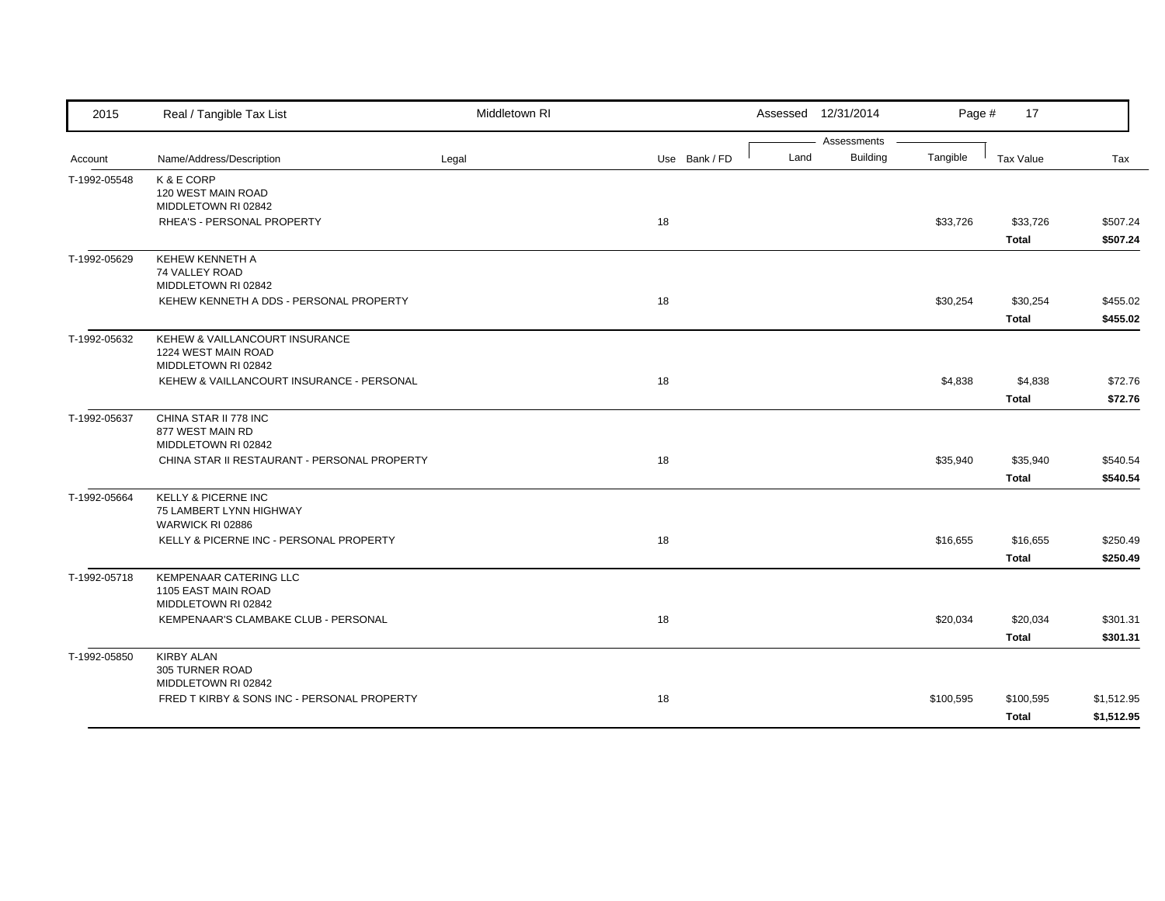| 2015         | Real / Tangible Tax List                     | Middletown RI |               |      | Assessed 12/31/2014            | Page #    | 17               |            |
|--------------|----------------------------------------------|---------------|---------------|------|--------------------------------|-----------|------------------|------------|
| Account      | Name/Address/Description                     | Legal         | Use Bank / FD | Land | Assessments<br><b>Building</b> | Tangible  | <b>Tax Value</b> | Tax        |
|              |                                              |               |               |      |                                |           |                  |            |
| T-1992-05548 | K & E CORP<br>120 WEST MAIN ROAD             |               |               |      |                                |           |                  |            |
|              | MIDDLETOWN RI 02842                          |               |               |      |                                |           |                  |            |
|              | RHEA'S - PERSONAL PROPERTY                   |               | 18            |      |                                | \$33,726  | \$33,726         | \$507.24   |
|              |                                              |               |               |      |                                |           | <b>Total</b>     | \$507.24   |
| T-1992-05629 | KEHEW KENNETH A                              |               |               |      |                                |           |                  |            |
|              | 74 VALLEY ROAD<br>MIDDLETOWN RI 02842        |               |               |      |                                |           |                  |            |
|              | KEHEW KENNETH A DDS - PERSONAL PROPERTY      |               | 18            |      |                                | \$30,254  | \$30,254         | \$455.02   |
|              |                                              |               |               |      |                                |           | <b>Total</b>     | \$455.02   |
| T-1992-05632 | KEHEW & VAILLANCOURT INSURANCE               |               |               |      |                                |           |                  |            |
|              | 1224 WEST MAIN ROAD                          |               |               |      |                                |           |                  |            |
|              | MIDDLETOWN RI 02842                          |               |               |      |                                |           |                  |            |
|              | KEHEW & VAILLANCOURT INSURANCE - PERSONAL    |               | 18            |      |                                | \$4,838   | \$4,838          | \$72.76    |
|              |                                              |               |               |      |                                |           | <b>Total</b>     | \$72.76    |
| T-1992-05637 | CHINA STAR II 778 INC<br>877 WEST MAIN RD    |               |               |      |                                |           |                  |            |
|              | MIDDLETOWN RI 02842                          |               |               |      |                                |           |                  |            |
|              | CHINA STAR II RESTAURANT - PERSONAL PROPERTY |               | 18            |      |                                | \$35,940  | \$35,940         | \$540.54   |
|              |                                              |               |               |      |                                |           | <b>Total</b>     | \$540.54   |
| T-1992-05664 | KELLY & PICERNE INC                          |               |               |      |                                |           |                  |            |
|              | 75 LAMBERT LYNN HIGHWAY<br>WARWICK RI 02886  |               |               |      |                                |           |                  |            |
|              | KELLY & PICERNE INC - PERSONAL PROPERTY      |               | 18            |      |                                | \$16,655  | \$16,655         | \$250.49   |
|              |                                              |               |               |      |                                |           | <b>Total</b>     | \$250.49   |
| T-1992-05718 | <b>KEMPENAAR CATERING LLC</b>                |               |               |      |                                |           |                  |            |
|              | 1105 EAST MAIN ROAD                          |               |               |      |                                |           |                  |            |
|              | MIDDLETOWN RI 02842                          |               |               |      |                                |           |                  |            |
|              | KEMPENAAR'S CLAMBAKE CLUB - PERSONAL         |               | 18            |      |                                | \$20,034  | \$20,034         | \$301.31   |
|              |                                              |               |               |      |                                |           | <b>Total</b>     | \$301.31   |
| T-1992-05850 | <b>KIRBY ALAN</b><br>305 TURNER ROAD         |               |               |      |                                |           |                  |            |
|              | MIDDLETOWN RI 02842                          |               |               |      |                                |           |                  |            |
|              | FRED T KIRBY & SONS INC - PERSONAL PROPERTY  |               | 18            |      |                                | \$100,595 | \$100,595        | \$1,512.95 |
|              |                                              |               |               |      |                                |           | <b>Total</b>     | \$1,512.95 |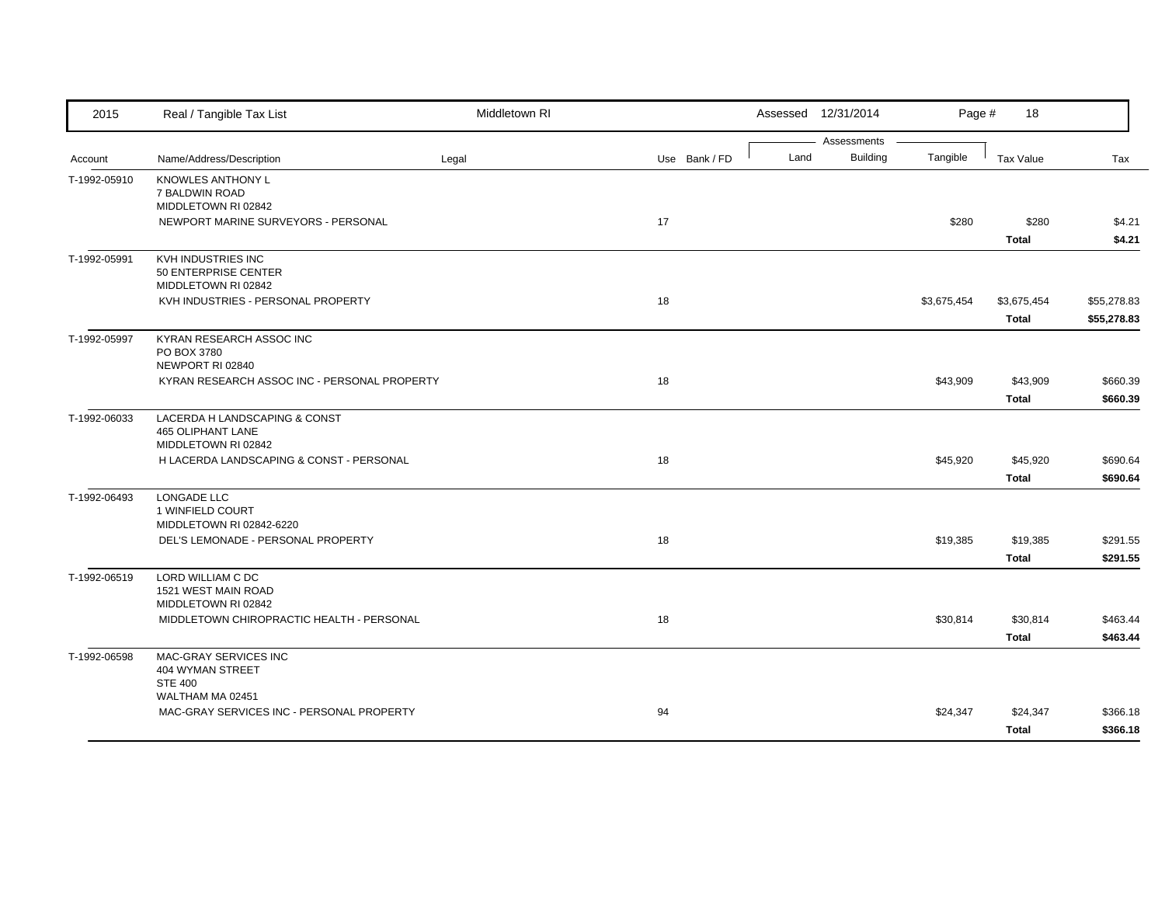| 2015         | Real / Tangible Tax List                     | Middletown RI |               |      | Assessed 12/31/2014 | Page #      | 18               |             |
|--------------|----------------------------------------------|---------------|---------------|------|---------------------|-------------|------------------|-------------|
|              |                                              |               |               |      | Assessments         |             |                  |             |
| Account      | Name/Address/Description                     | Legal         | Use Bank / FD | Land | <b>Building</b>     | Tangible    | <b>Tax Value</b> | Tax         |
| T-1992-05910 | KNOWLES ANTHONY L                            |               |               |      |                     |             |                  |             |
|              | 7 BALDWIN ROAD<br>MIDDLETOWN RI 02842        |               |               |      |                     |             |                  |             |
|              | NEWPORT MARINE SURVEYORS - PERSONAL          |               | 17            |      |                     | \$280       | \$280            | \$4.21      |
|              |                                              |               |               |      |                     |             | <b>Total</b>     | \$4.21      |
| T-1992-05991 | KVH INDUSTRIES INC                           |               |               |      |                     |             |                  |             |
|              | 50 ENTERPRISE CENTER                         |               |               |      |                     |             |                  |             |
|              | MIDDLETOWN RI 02842                          |               |               |      |                     |             |                  |             |
|              | KVH INDUSTRIES - PERSONAL PROPERTY           |               | 18            |      |                     | \$3,675,454 | \$3,675,454      | \$55,278.83 |
|              |                                              |               |               |      |                     |             | <b>Total</b>     | \$55,278.83 |
| T-1992-05997 | KYRAN RESEARCH ASSOC INC                     |               |               |      |                     |             |                  |             |
|              | PO BOX 3780                                  |               |               |      |                     |             |                  |             |
|              | NEWPORT RI 02840                             |               |               |      |                     |             |                  |             |
|              | KYRAN RESEARCH ASSOC INC - PERSONAL PROPERTY |               | 18            |      |                     | \$43,909    | \$43,909         | \$660.39    |
|              |                                              |               |               |      |                     |             | <b>Total</b>     | \$660.39    |
| T-1992-06033 | LACERDA H LANDSCAPING & CONST                |               |               |      |                     |             |                  |             |
|              | 465 OLIPHANT LANE                            |               |               |      |                     |             |                  |             |
|              | MIDDLETOWN RI 02842                          |               |               |      |                     |             |                  |             |
|              | H LACERDA LANDSCAPING & CONST - PERSONAL     |               | 18            |      |                     | \$45,920    | \$45,920         | \$690.64    |
|              |                                              |               |               |      |                     |             | <b>Total</b>     | \$690.64    |
| T-1992-06493 | LONGADE LLC                                  |               |               |      |                     |             |                  |             |
|              | 1 WINFIELD COURT<br>MIDDLETOWN RI 02842-6220 |               |               |      |                     |             |                  |             |
|              | DEL'S LEMONADE - PERSONAL PROPERTY           |               | 18            |      |                     | \$19,385    | \$19,385         | \$291.55    |
|              |                                              |               |               |      |                     |             | <b>Total</b>     | \$291.55    |
|              |                                              |               |               |      |                     |             |                  |             |
| T-1992-06519 | LORD WILLIAM C DC<br>1521 WEST MAIN ROAD     |               |               |      |                     |             |                  |             |
|              | MIDDLETOWN RI 02842                          |               |               |      |                     |             |                  |             |
|              | MIDDLETOWN CHIROPRACTIC HEALTH - PERSONAL    |               | 18            |      |                     | \$30,814    | \$30,814         | \$463.44    |
|              |                                              |               |               |      |                     |             | <b>Total</b>     | \$463.44    |
| T-1992-06598 | MAC-GRAY SERVICES INC                        |               |               |      |                     |             |                  |             |
|              | 404 WYMAN STREET                             |               |               |      |                     |             |                  |             |
|              | <b>STE 400</b>                               |               |               |      |                     |             |                  |             |
|              | WALTHAM MA 02451                             |               |               |      |                     |             |                  |             |
|              | MAC-GRAY SERVICES INC - PERSONAL PROPERTY    |               | 94            |      |                     | \$24,347    | \$24,347         | \$366.18    |
|              |                                              |               |               |      |                     |             | <b>Total</b>     | \$366.18    |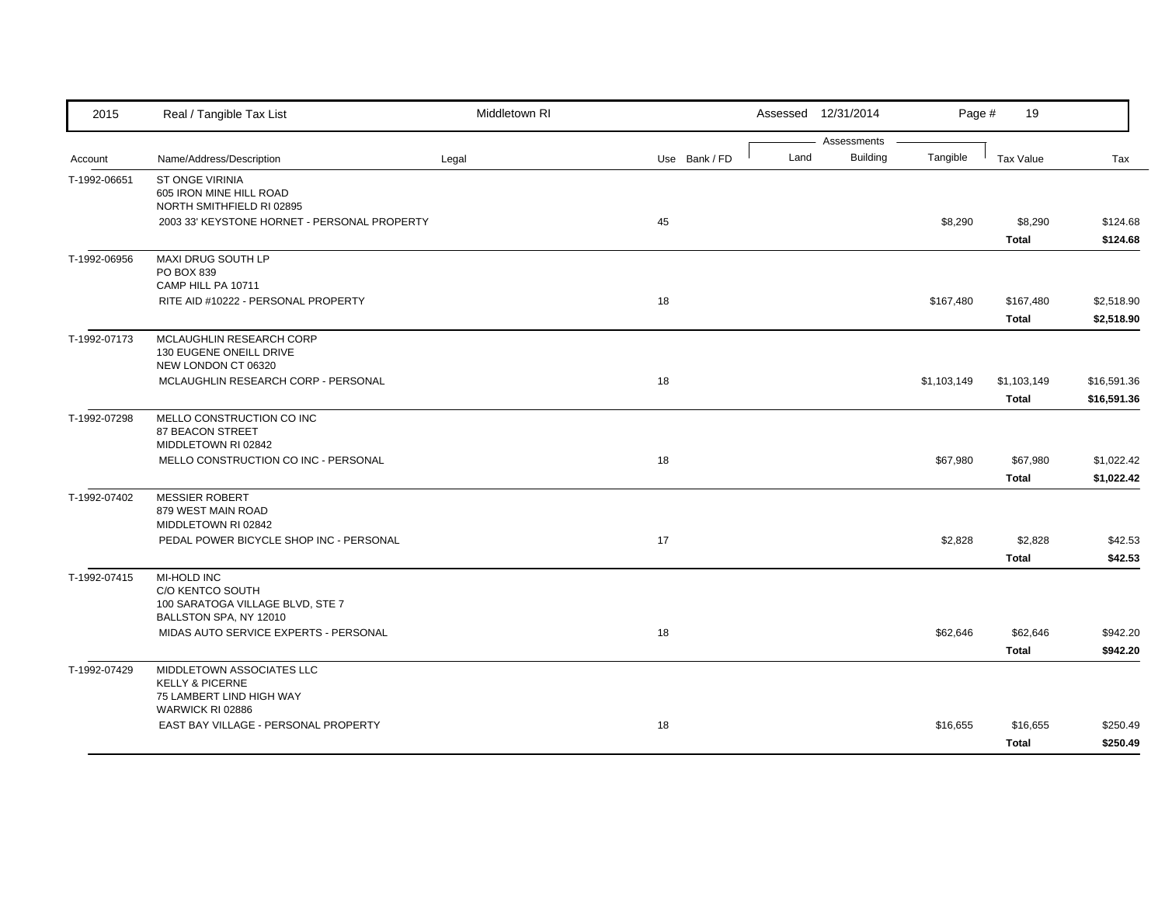| 2015         | Real / Tangible Tax List                                                                      | Middletown RI |               |      | Assessed 12/31/2014            | Page #      | 19                          |                            |
|--------------|-----------------------------------------------------------------------------------------------|---------------|---------------|------|--------------------------------|-------------|-----------------------------|----------------------------|
| Account      | Name/Address/Description                                                                      | Legal         | Use Bank / FD | Land | Assessments<br><b>Building</b> | Tangible    | <b>Tax Value</b>            | Tax                        |
| T-1992-06651 | ST ONGE VIRINIA<br>605 IRON MINE HILL ROAD<br>NORTH SMITHFIELD RI 02895                       |               |               |      |                                |             |                             |                            |
|              | 2003 33' KEYSTONE HORNET - PERSONAL PROPERTY                                                  |               | 45            |      |                                | \$8,290     | \$8,290<br><b>Total</b>     | \$124.68<br>\$124.68       |
| T-1992-06956 | MAXI DRUG SOUTH LP<br>PO BOX 839<br>CAMP HILL PA 10711                                        |               |               |      |                                |             |                             |                            |
|              | RITE AID #10222 - PERSONAL PROPERTY                                                           |               | 18            |      |                                | \$167,480   | \$167,480<br><b>Total</b>   | \$2,518.90<br>\$2,518.90   |
| T-1992-07173 | MCLAUGHLIN RESEARCH CORP<br>130 EUGENE ONEILL DRIVE<br>NEW LONDON CT 06320                    |               |               |      |                                |             |                             |                            |
|              | MCLAUGHLIN RESEARCH CORP - PERSONAL                                                           |               | 18            |      |                                | \$1,103,149 | \$1,103,149<br><b>Total</b> | \$16,591.36<br>\$16,591.36 |
| T-1992-07298 | MELLO CONSTRUCTION CO INC<br>87 BEACON STREET<br>MIDDLETOWN RI 02842                          |               |               |      |                                |             |                             |                            |
|              | MELLO CONSTRUCTION CO INC - PERSONAL                                                          |               | 18            |      |                                | \$67,980    | \$67,980<br><b>Total</b>    | \$1,022.42<br>\$1,022.42   |
| T-1992-07402 | <b>MESSIER ROBERT</b><br>879 WEST MAIN ROAD<br>MIDDLETOWN RI 02842                            |               |               |      |                                |             |                             |                            |
|              | PEDAL POWER BICYCLE SHOP INC - PERSONAL                                                       |               | 17            |      |                                | \$2,828     | \$2,828<br><b>Total</b>     | \$42.53<br>\$42.53         |
| T-1992-07415 | MI-HOLD INC<br>C/O KENTCO SOUTH<br>100 SARATOGA VILLAGE BLVD, STE 7<br>BALLSTON SPA, NY 12010 |               |               |      |                                |             |                             |                            |
|              | MIDAS AUTO SERVICE EXPERTS - PERSONAL                                                         |               | 18            |      |                                | \$62,646    | \$62,646<br><b>Total</b>    | \$942.20<br>\$942.20       |
| T-1992-07429 | MIDDLETOWN ASSOCIATES LLC<br><b>KELLY &amp; PICERNE</b><br>75 LAMBERT LIND HIGH WAY           |               |               |      |                                |             |                             |                            |
|              | WARWICK RI 02886<br>EAST BAY VILLAGE - PERSONAL PROPERTY                                      |               | 18            |      |                                | \$16,655    | \$16,655<br><b>Total</b>    | \$250.49<br>\$250.49       |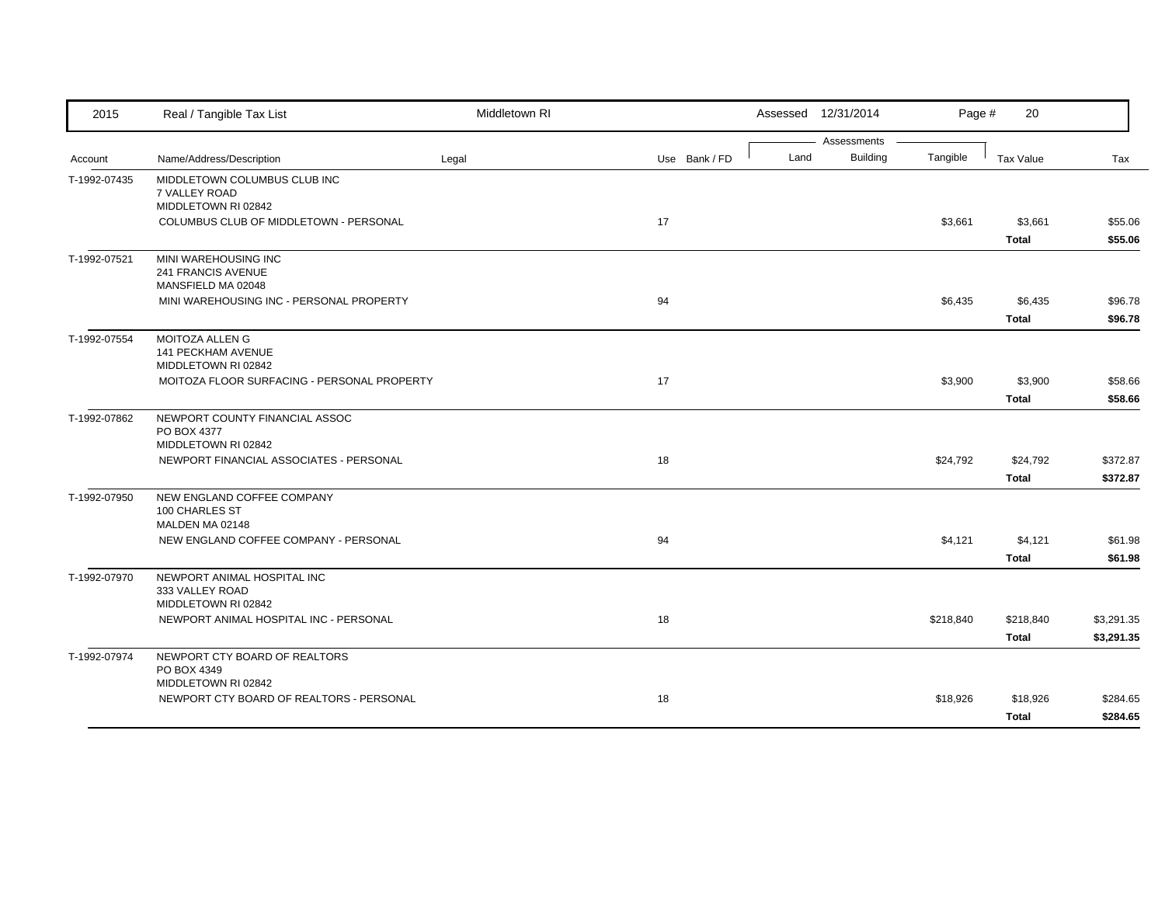| 2015         | Real / Tangible Tax List                                        | Middletown RI |               |  |      | Assessed 12/31/2014 | Page #    | 20           |            |
|--------------|-----------------------------------------------------------------|---------------|---------------|--|------|---------------------|-----------|--------------|------------|
|              |                                                                 |               |               |  |      | Assessments         |           |              |            |
| Account      | Name/Address/Description                                        | Legal         | Use Bank / FD |  | Land | <b>Building</b>     | Tangible  | Tax Value    | Tax        |
| T-1992-07435 | MIDDLETOWN COLUMBUS CLUB INC<br>7 VALLEY ROAD                   |               |               |  |      |                     |           |              |            |
|              | MIDDLETOWN RI 02842                                             |               |               |  |      |                     |           |              |            |
|              | COLUMBUS CLUB OF MIDDLETOWN - PERSONAL                          |               | 17            |  |      |                     | \$3,661   | \$3,661      | \$55.06    |
|              |                                                                 |               |               |  |      |                     |           | <b>Total</b> | \$55.06    |
| T-1992-07521 | MINI WAREHOUSING INC                                            |               |               |  |      |                     |           |              |            |
|              | 241 FRANCIS AVENUE                                              |               |               |  |      |                     |           |              |            |
|              | MANSFIELD MA 02048<br>MINI WAREHOUSING INC - PERSONAL PROPERTY  |               | 94            |  |      |                     | \$6,435   | \$6,435      | \$96.78    |
|              |                                                                 |               |               |  |      |                     |           | <b>Total</b> | \$96.78    |
| T-1992-07554 | <b>MOITOZA ALLEN G</b>                                          |               |               |  |      |                     |           |              |            |
|              | 141 PECKHAM AVENUE                                              |               |               |  |      |                     |           |              |            |
|              | MIDDLETOWN RI 02842                                             |               |               |  |      |                     |           |              |            |
|              | MOITOZA FLOOR SURFACING - PERSONAL PROPERTY                     |               | 17            |  |      |                     | \$3,900   | \$3,900      | \$58.66    |
|              |                                                                 |               |               |  |      |                     |           | <b>Total</b> | \$58.66    |
| T-1992-07862 | NEWPORT COUNTY FINANCIAL ASSOC                                  |               |               |  |      |                     |           |              |            |
|              | PO BOX 4377<br>MIDDLETOWN RI 02842                              |               |               |  |      |                     |           |              |            |
|              | NEWPORT FINANCIAL ASSOCIATES - PERSONAL                         |               | 18            |  |      |                     | \$24,792  | \$24,792     | \$372.87   |
|              |                                                                 |               |               |  |      |                     |           | <b>Total</b> | \$372.87   |
| T-1992-07950 | NEW ENGLAND COFFEE COMPANY                                      |               |               |  |      |                     |           |              |            |
|              | 100 CHARLES ST                                                  |               |               |  |      |                     |           |              |            |
|              | MALDEN MA 02148                                                 |               |               |  |      |                     |           |              |            |
|              | NEW ENGLAND COFFEE COMPANY - PERSONAL                           |               | 94            |  |      |                     | \$4,121   | \$4,121      | \$61.98    |
|              |                                                                 |               |               |  |      |                     |           | <b>Total</b> | \$61.98    |
| T-1992-07970 | NEWPORT ANIMAL HOSPITAL INC<br>333 VALLEY ROAD                  |               |               |  |      |                     |           |              |            |
|              | MIDDLETOWN RI 02842                                             |               |               |  |      |                     |           |              |            |
|              | NEWPORT ANIMAL HOSPITAL INC - PERSONAL                          |               | 18            |  |      |                     | \$218,840 | \$218,840    | \$3,291.35 |
|              |                                                                 |               |               |  |      |                     |           | <b>Total</b> | \$3,291.35 |
| T-1992-07974 | NEWPORT CTY BOARD OF REALTORS                                   |               |               |  |      |                     |           |              |            |
|              | PO BOX 4349                                                     |               |               |  |      |                     |           |              |            |
|              | MIDDLETOWN RI 02842<br>NEWPORT CTY BOARD OF REALTORS - PERSONAL |               | 18            |  |      |                     | \$18,926  | \$18,926     | \$284.65   |
|              |                                                                 |               |               |  |      |                     |           | <b>Total</b> |            |
|              |                                                                 |               |               |  |      |                     |           |              | \$284.65   |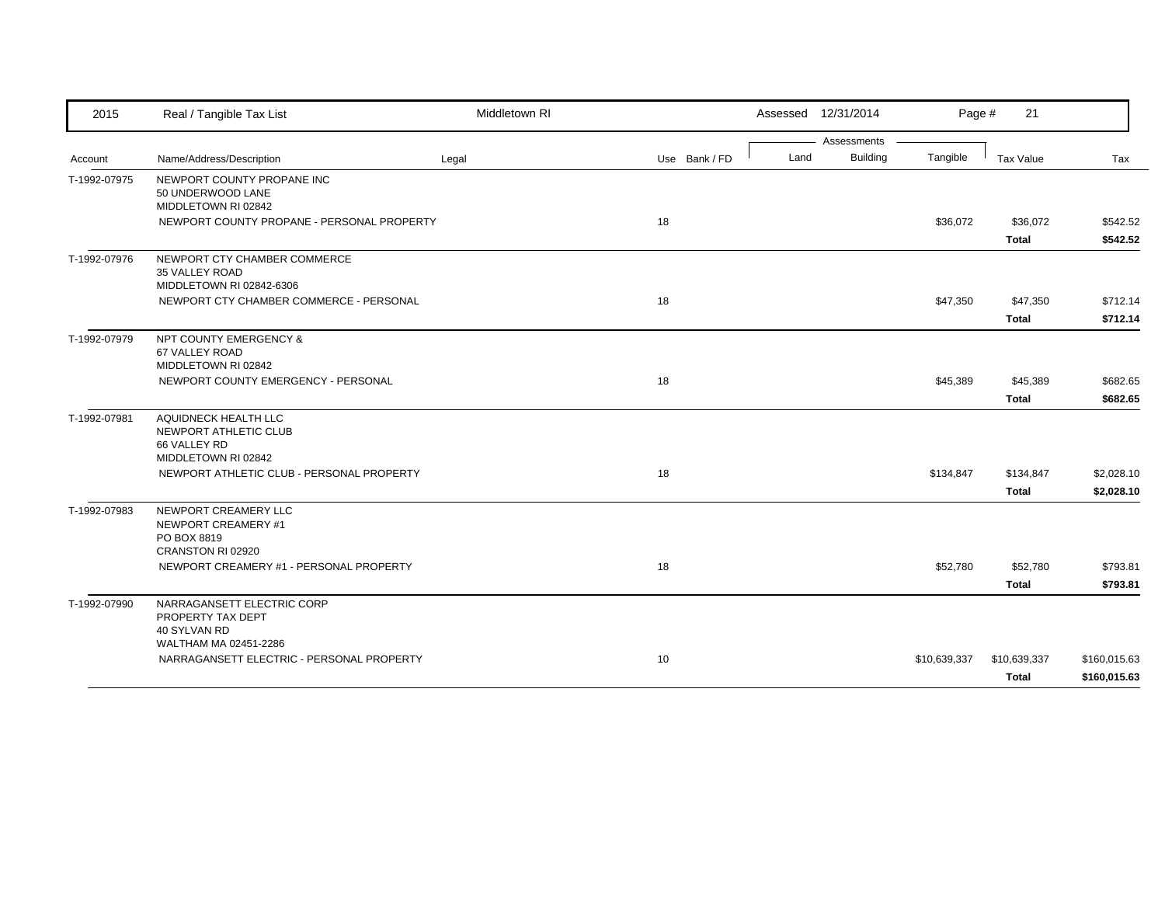| 2015         | Real / Tangible Tax List                        | Middletown RI |               |      | Assessed 12/31/2014            | Page #       | 21           |              |
|--------------|-------------------------------------------------|---------------|---------------|------|--------------------------------|--------------|--------------|--------------|
| Account      | Name/Address/Description                        | Legal         | Use Bank / FD | Land | Assessments<br><b>Building</b> | Tangible     | Tax Value    | Tax          |
|              |                                                 |               |               |      |                                |              |              |              |
| T-1992-07975 | NEWPORT COUNTY PROPANE INC<br>50 UNDERWOOD LANE |               |               |      |                                |              |              |              |
|              | MIDDLETOWN RI 02842                             |               |               |      |                                |              |              |              |
|              | NEWPORT COUNTY PROPANE - PERSONAL PROPERTY      |               | 18            |      |                                | \$36,072     | \$36,072     | \$542.52     |
|              |                                                 |               |               |      |                                |              | <b>Total</b> | \$542.52     |
| T-1992-07976 | NEWPORT CTY CHAMBER COMMERCE                    |               |               |      |                                |              |              |              |
|              | 35 VALLEY ROAD<br>MIDDLETOWN RI 02842-6306      |               |               |      |                                |              |              |              |
|              | NEWPORT CTY CHAMBER COMMERCE - PERSONAL         |               | 18            |      |                                | \$47,350     | \$47,350     | \$712.14     |
|              |                                                 |               |               |      |                                |              |              |              |
|              |                                                 |               |               |      |                                |              | <b>Total</b> | \$712.14     |
| T-1992-07979 | NPT COUNTY EMERGENCY &                          |               |               |      |                                |              |              |              |
|              | 67 VALLEY ROAD<br>MIDDLETOWN RI 02842           |               |               |      |                                |              |              |              |
|              | NEWPORT COUNTY EMERGENCY - PERSONAL             |               | 18            |      |                                | \$45,389     | \$45,389     | \$682.65     |
|              |                                                 |               |               |      |                                |              | <b>Total</b> | \$682.65     |
|              |                                                 |               |               |      |                                |              |              |              |
| T-1992-07981 | AQUIDNECK HEALTH LLC<br>NEWPORT ATHLETIC CLUB   |               |               |      |                                |              |              |              |
|              | 66 VALLEY RD                                    |               |               |      |                                |              |              |              |
|              | MIDDLETOWN RI 02842                             |               |               |      |                                |              |              |              |
|              | NEWPORT ATHLETIC CLUB - PERSONAL PROPERTY       |               | 18            |      |                                | \$134,847    | \$134,847    | \$2,028.10   |
|              |                                                 |               |               |      |                                |              | <b>Total</b> | \$2,028.10   |
| T-1992-07983 | NEWPORT CREAMERY LLC                            |               |               |      |                                |              |              |              |
|              | NEWPORT CREAMERY #1                             |               |               |      |                                |              |              |              |
|              | PO BOX 8819                                     |               |               |      |                                |              |              |              |
|              | CRANSTON RI 02920                               |               |               |      |                                |              |              |              |
|              | NEWPORT CREAMERY #1 - PERSONAL PROPERTY         |               | 18            |      |                                | \$52,780     | \$52,780     | \$793.81     |
|              |                                                 |               |               |      |                                |              | <b>Total</b> | \$793.81     |
| T-1992-07990 | NARRAGANSETT ELECTRIC CORP                      |               |               |      |                                |              |              |              |
|              | PROPERTY TAX DEPT                               |               |               |      |                                |              |              |              |
|              | 40 SYLVAN RD<br>WALTHAM MA 02451-2286           |               |               |      |                                |              |              |              |
|              | NARRAGANSETT ELECTRIC - PERSONAL PROPERTY       |               | 10            |      |                                | \$10,639,337 | \$10,639,337 | \$160,015.63 |
|              |                                                 |               |               |      |                                |              | <b>Total</b> | \$160,015.63 |
|              |                                                 |               |               |      |                                |              |              |              |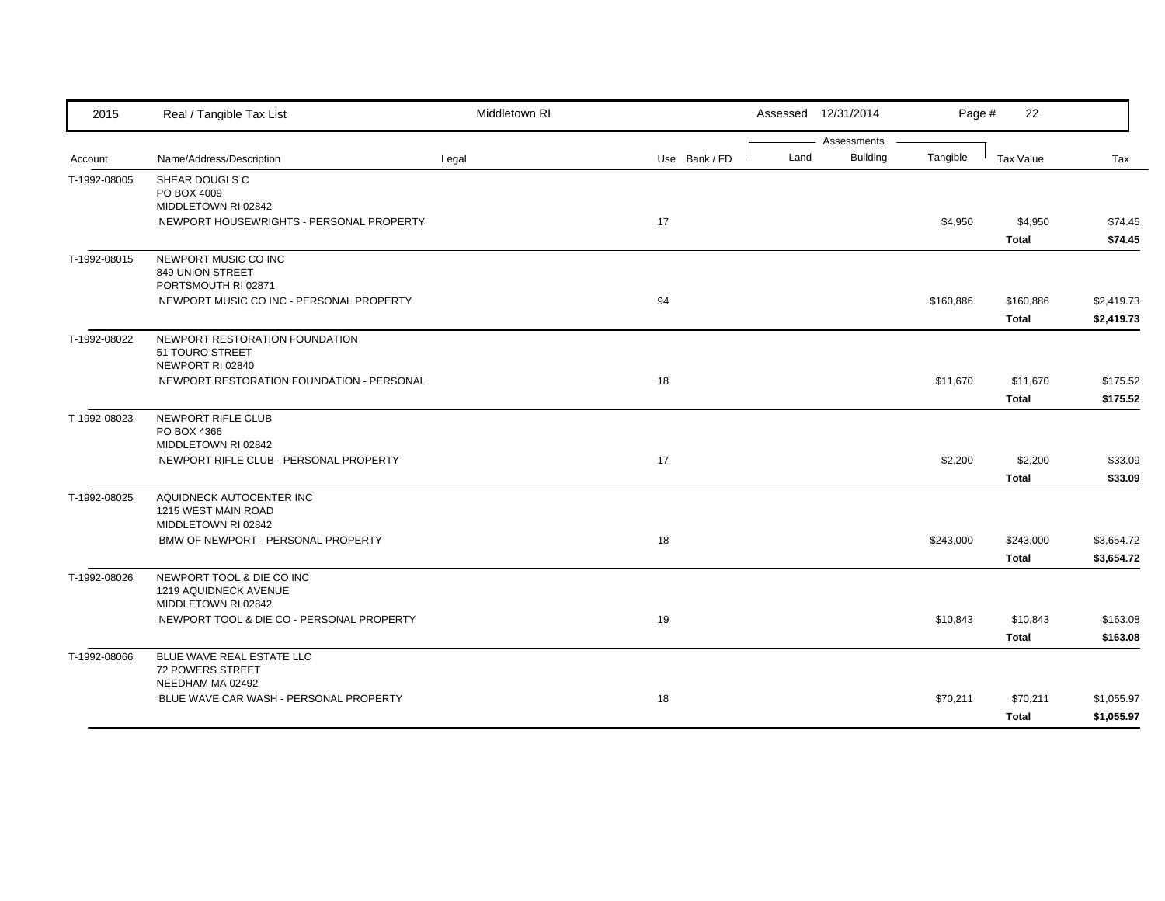| 2015         | Real / Tangible Tax List                                                                         | Middletown RI |               |      | Assessed 12/31/2014     | Page #    | 22                        |                          |
|--------------|--------------------------------------------------------------------------------------------------|---------------|---------------|------|-------------------------|-----------|---------------------------|--------------------------|
| Account      | Name/Address/Description                                                                         | Legal         | Use Bank / FD | Land | Assessments<br>Building | Tangible  | Tax Value                 | Tax                      |
| T-1992-08005 | SHEAR DOUGLS C<br>PO BOX 4009<br>MIDDLETOWN RI 02842<br>NEWPORT HOUSEWRIGHTS - PERSONAL PROPERTY |               | 17            |      |                         | \$4,950   | \$4,950                   | \$74.45                  |
|              |                                                                                                  |               |               |      |                         |           | <b>Total</b>              | \$74.45                  |
| T-1992-08015 | NEWPORT MUSIC CO INC<br>849 UNION STREET<br>PORTSMOUTH RI 02871                                  |               |               |      |                         |           |                           |                          |
|              | NEWPORT MUSIC CO INC - PERSONAL PROPERTY                                                         |               | 94            |      |                         | \$160,886 | \$160,886<br><b>Total</b> | \$2,419.73<br>\$2,419.73 |
| T-1992-08022 | NEWPORT RESTORATION FOUNDATION<br>51 TOURO STREET<br>NEWPORT RI 02840                            |               |               |      |                         |           |                           |                          |
|              | NEWPORT RESTORATION FOUNDATION - PERSONAL                                                        |               | 18            |      |                         | \$11,670  | \$11,670<br><b>Total</b>  | \$175.52<br>\$175.52     |
| T-1992-08023 | NEWPORT RIFLE CLUB<br>PO BOX 4366<br>MIDDLETOWN RI 02842                                         |               |               |      |                         |           |                           |                          |
|              | NEWPORT RIFLE CLUB - PERSONAL PROPERTY                                                           |               | 17            |      |                         | \$2,200   | \$2,200<br><b>Total</b>   | \$33.09<br>\$33.09       |
| T-1992-08025 | AQUIDNECK AUTOCENTER INC<br>1215 WEST MAIN ROAD<br>MIDDLETOWN RI 02842                           |               |               |      |                         |           |                           |                          |
|              | BMW OF NEWPORT - PERSONAL PROPERTY                                                               |               | 18            |      |                         | \$243,000 | \$243,000<br><b>Total</b> | \$3,654.72<br>\$3,654.72 |
| T-1992-08026 | NEWPORT TOOL & DIE CO INC<br>1219 AQUIDNECK AVENUE<br>MIDDLETOWN RI 02842                        |               |               |      |                         |           |                           |                          |
|              | NEWPORT TOOL & DIE CO - PERSONAL PROPERTY                                                        |               | 19            |      |                         | \$10,843  | \$10,843<br><b>Total</b>  | \$163.08<br>\$163.08     |
| T-1992-08066 | BLUE WAVE REAL ESTATE LLC<br>72 POWERS STREET<br>NEEDHAM MA 02492                                |               |               |      |                         |           |                           |                          |
|              | BLUE WAVE CAR WASH - PERSONAL PROPERTY                                                           |               | 18            |      |                         | \$70,211  | \$70,211<br><b>Total</b>  | \$1,055.97<br>\$1,055.97 |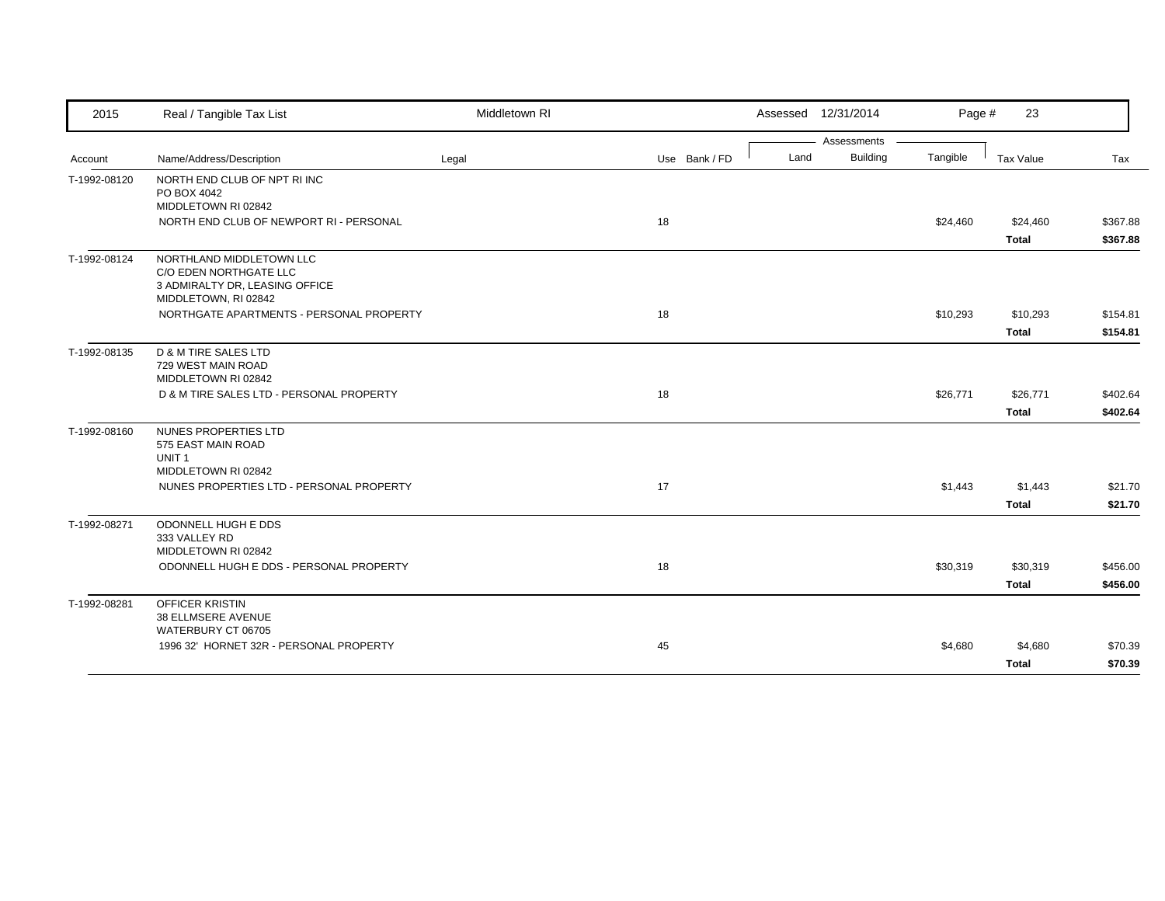| 2015         | Real / Tangible Tax List                                       | Middletown RI |               |      | Assessed 12/31/2014 | Page #   | 23           |          |
|--------------|----------------------------------------------------------------|---------------|---------------|------|---------------------|----------|--------------|----------|
|              |                                                                |               |               |      | Assessments         |          |              |          |
| Account      | Name/Address/Description                                       | Legal         | Use Bank / FD | Land | <b>Building</b>     | Tangible | Tax Value    | Tax      |
| T-1992-08120 | NORTH END CLUB OF NPT RI INC<br>PO BOX 4042                    |               |               |      |                     |          |              |          |
|              | MIDDLETOWN RI 02842                                            |               |               |      |                     |          |              |          |
|              | NORTH END CLUB OF NEWPORT RI - PERSONAL                        |               | 18            |      |                     | \$24,460 | \$24,460     | \$367.88 |
|              |                                                                |               |               |      |                     |          | <b>Total</b> | \$367.88 |
| T-1992-08124 | NORTHLAND MIDDLETOWN LLC                                       |               |               |      |                     |          |              |          |
|              | C/O EDEN NORTHGATE LLC<br>3 ADMIRALTY DR, LEASING OFFICE       |               |               |      |                     |          |              |          |
|              | MIDDLETOWN, RI 02842                                           |               |               |      |                     |          |              |          |
|              | NORTHGATE APARTMENTS - PERSONAL PROPERTY                       |               | 18            |      |                     | \$10,293 | \$10,293     | \$154.81 |
|              |                                                                |               |               |      |                     |          | <b>Total</b> | \$154.81 |
| T-1992-08135 | D & M TIRE SALES LTD                                           |               |               |      |                     |          |              |          |
|              | 729 WEST MAIN ROAD                                             |               |               |      |                     |          |              |          |
|              | MIDDLETOWN RI 02842                                            |               |               |      |                     |          |              |          |
|              | D & M TIRE SALES LTD - PERSONAL PROPERTY                       |               | 18            |      |                     | \$26,771 | \$26,771     | \$402.64 |
|              |                                                                |               |               |      |                     |          | <b>Total</b> | \$402.64 |
| T-1992-08160 | NUNES PROPERTIES LTD                                           |               |               |      |                     |          |              |          |
|              | 575 EAST MAIN ROAD<br>UNIT <sub>1</sub>                        |               |               |      |                     |          |              |          |
|              | MIDDLETOWN RI 02842                                            |               |               |      |                     |          |              |          |
|              | NUNES PROPERTIES LTD - PERSONAL PROPERTY                       |               | 17            |      |                     | \$1,443  | \$1,443      | \$21.70  |
|              |                                                                |               |               |      |                     |          | <b>Total</b> | \$21.70  |
| T-1992-08271 | ODONNELL HUGH E DDS                                            |               |               |      |                     |          |              |          |
|              | 333 VALLEY RD                                                  |               |               |      |                     |          |              |          |
|              | MIDDLETOWN RI 02842<br>ODONNELL HUGH E DDS - PERSONAL PROPERTY |               | 18            |      |                     |          |              |          |
|              |                                                                |               |               |      |                     | \$30,319 | \$30,319     | \$456.00 |
|              |                                                                |               |               |      |                     |          | <b>Total</b> | \$456.00 |
| T-1992-08281 | OFFICER KRISTIN<br><b>38 ELLMSERE AVENUE</b>                   |               |               |      |                     |          |              |          |
|              | WATERBURY CT 06705                                             |               |               |      |                     |          |              |          |
|              | 1996 32' HORNET 32R - PERSONAL PROPERTY                        |               | 45            |      |                     | \$4,680  | \$4,680      | \$70.39  |
|              |                                                                |               |               |      |                     |          | <b>Total</b> | \$70.39  |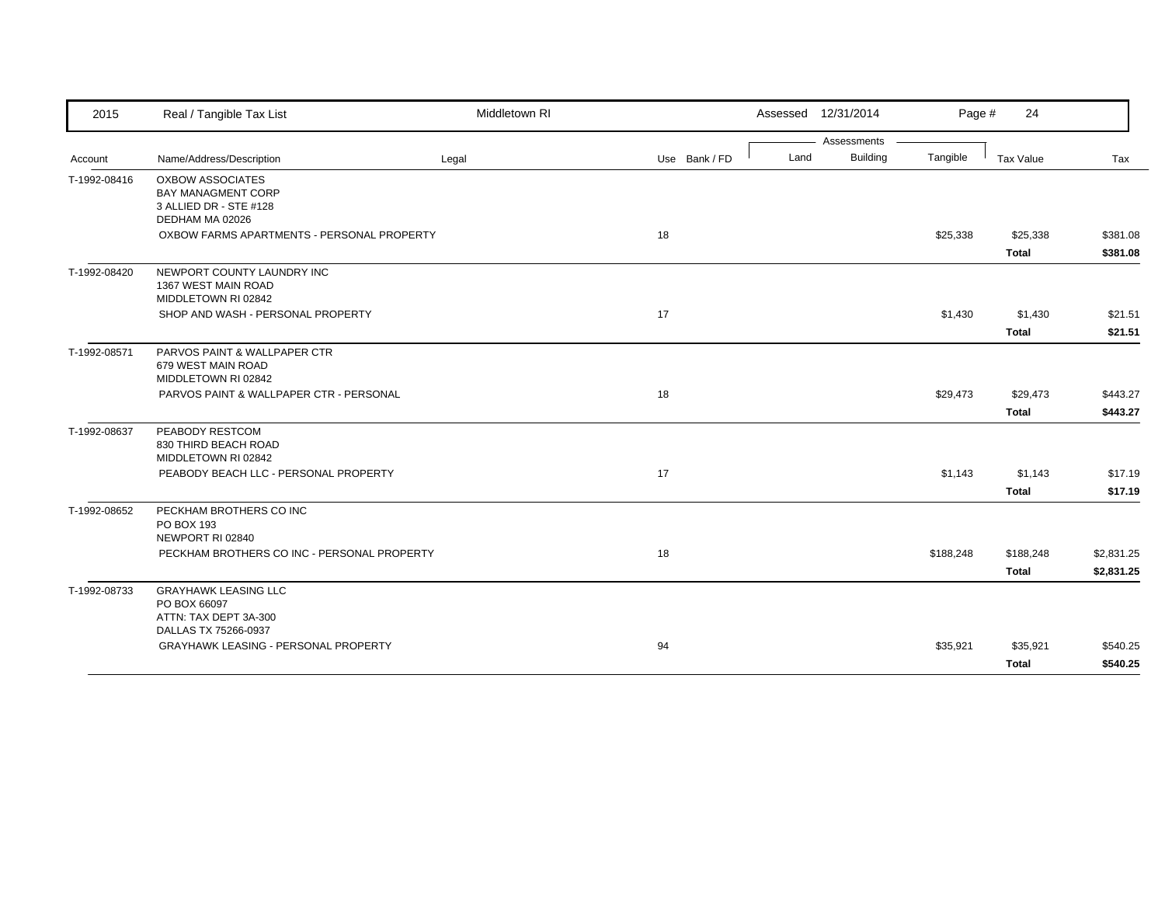| 2015         | Real / Tangible Tax List                                                                     | Middletown RI |               | Assessed 12/31/2014 |             | Page #    | 24                        |                          |
|--------------|----------------------------------------------------------------------------------------------|---------------|---------------|---------------------|-------------|-----------|---------------------------|--------------------------|
|              |                                                                                              |               |               |                     | Assessments |           |                           |                          |
| Account      | Name/Address/Description                                                                     | Legal         | Use Bank / FD | Land                | Building    | Tangible  | Tax Value                 | Tax                      |
| T-1992-08416 | <b>OXBOW ASSOCIATES</b><br>BAY MANAGMENT CORP<br>3 ALLIED DR - STE #128                      |               |               |                     |             |           |                           |                          |
|              | DEDHAM MA 02026<br>OXBOW FARMS APARTMENTS - PERSONAL PROPERTY                                |               | 18            |                     |             | \$25,338  | \$25,338<br><b>Total</b>  | \$381.08<br>\$381.08     |
| T-1992-08420 | NEWPORT COUNTY LAUNDRY INC<br>1367 WEST MAIN ROAD<br>MIDDLETOWN RI 02842                     |               |               |                     |             |           |                           |                          |
|              | SHOP AND WASH - PERSONAL PROPERTY                                                            |               | 17            |                     |             | \$1,430   | \$1,430<br>Total          | \$21.51<br>\$21.51       |
| T-1992-08571 | PARVOS PAINT & WALLPAPER CTR<br>679 WEST MAIN ROAD<br>MIDDLETOWN RI 02842                    |               |               |                     |             |           |                           |                          |
|              | PARVOS PAINT & WALLPAPER CTR - PERSONAL                                                      |               | 18            |                     |             | \$29,473  | \$29,473<br>Total         | \$443.27<br>\$443.27     |
| T-1992-08637 | PEABODY RESTCOM<br>830 THIRD BEACH ROAD<br>MIDDLETOWN RI 02842                               |               |               |                     |             |           |                           |                          |
|              | PEABODY BEACH LLC - PERSONAL PROPERTY                                                        |               | 17            |                     |             | \$1,143   | \$1,143<br><b>Total</b>   | \$17.19<br>\$17.19       |
| T-1992-08652 | PECKHAM BROTHERS CO INC<br>PO BOX 193<br>NEWPORT RI 02840                                    |               |               |                     |             |           |                           |                          |
|              | PECKHAM BROTHERS CO INC - PERSONAL PROPERTY                                                  |               | 18            |                     |             | \$188,248 | \$188,248<br><b>Total</b> | \$2,831.25<br>\$2,831.25 |
| T-1992-08733 | <b>GRAYHAWK LEASING LLC</b><br>PO BOX 66097<br>ATTN: TAX DEPT 3A-300<br>DALLAS TX 75266-0937 |               |               |                     |             |           |                           |                          |
|              | <b>GRAYHAWK LEASING - PERSONAL PROPERTY</b>                                                  |               | 94            |                     |             | \$35,921  | \$35,921<br><b>Total</b>  | \$540.25<br>\$540.25     |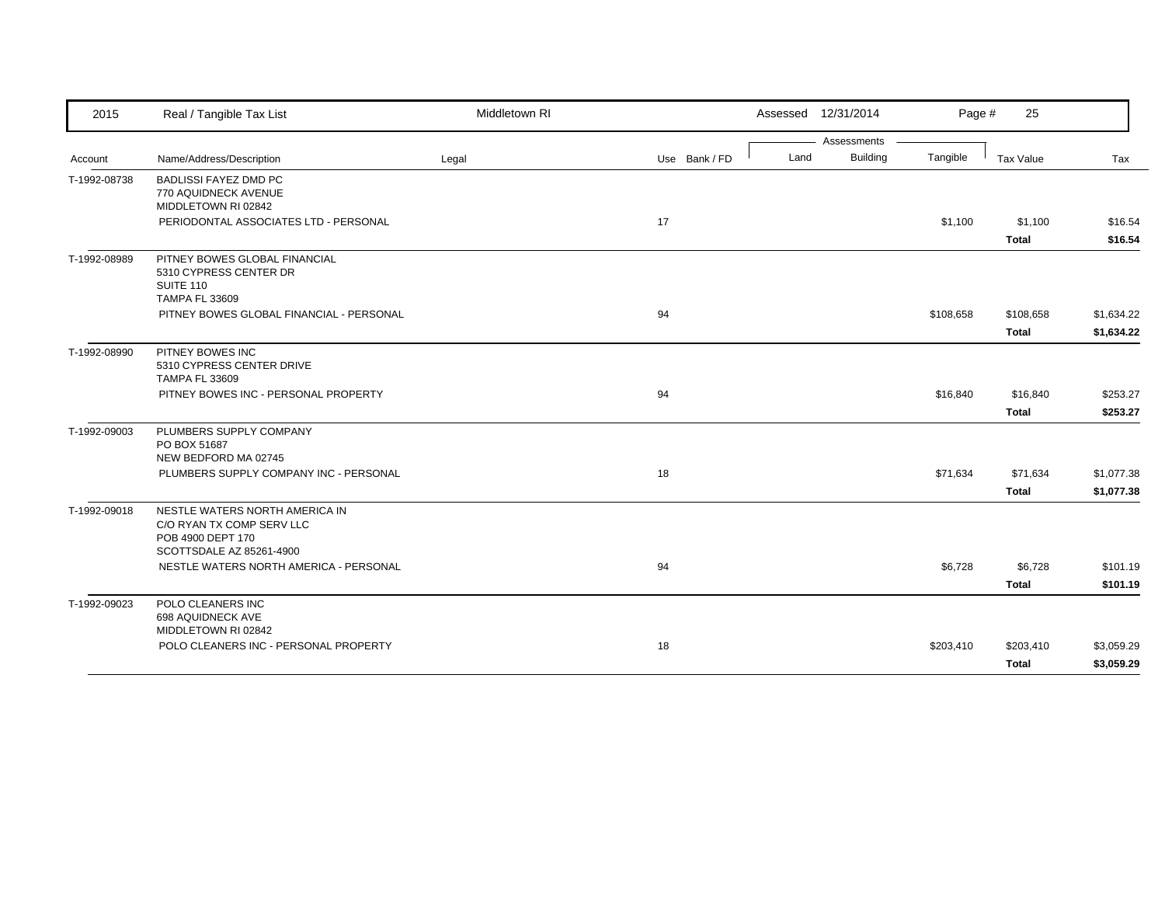| 2015         | Real / Tangible Tax List                                                                                     | Middletown RI |               |      | Assessed 12/31/2014 | Page #    | 25           |            |
|--------------|--------------------------------------------------------------------------------------------------------------|---------------|---------------|------|---------------------|-----------|--------------|------------|
|              |                                                                                                              |               |               |      | Assessments         |           |              |            |
| Account      | Name/Address/Description                                                                                     | Legal         | Use Bank / FD | Land | <b>Building</b>     | Tangible  | Tax Value    | Tax        |
| T-1992-08738 | <b>BADLISSI FAYEZ DMD PC</b><br>770 AQUIDNECK AVENUE<br>MIDDLETOWN RI 02842                                  |               |               |      |                     |           |              |            |
|              | PERIODONTAL ASSOCIATES LTD - PERSONAL                                                                        |               | 17            |      |                     | \$1,100   | \$1,100      | \$16.54    |
|              |                                                                                                              |               |               |      |                     |           | <b>Total</b> | \$16.54    |
| T-1992-08989 | PITNEY BOWES GLOBAL FINANCIAL<br>5310 CYPRESS CENTER DR<br>SUITE 110<br><b>TAMPA FL 33609</b>                |               |               |      |                     |           |              |            |
|              | PITNEY BOWES GLOBAL FINANCIAL - PERSONAL                                                                     |               | 94            |      |                     | \$108,658 | \$108,658    | \$1,634.22 |
|              |                                                                                                              |               |               |      |                     |           | <b>Total</b> | \$1,634.22 |
| T-1992-08990 | PITNEY BOWES INC<br>5310 CYPRESS CENTER DRIVE<br><b>TAMPA FL 33609</b>                                       |               |               |      |                     |           |              |            |
|              | PITNEY BOWES INC - PERSONAL PROPERTY                                                                         |               | 94            |      |                     | \$16,840  | \$16,840     | \$253.27   |
|              |                                                                                                              |               |               |      |                     |           | <b>Total</b> | \$253.27   |
| T-1992-09003 | PLUMBERS SUPPLY COMPANY<br>PO BOX 51687<br>NEW BEDFORD MA 02745                                              |               |               |      |                     |           |              |            |
|              | PLUMBERS SUPPLY COMPANY INC - PERSONAL                                                                       |               | 18            |      |                     | \$71,634  | \$71,634     | \$1,077.38 |
|              |                                                                                                              |               |               |      |                     |           | <b>Total</b> | \$1,077.38 |
| T-1992-09018 | NESTLE WATERS NORTH AMERICA IN<br>C/O RYAN TX COMP SERV LLC<br>POB 4900 DEPT 170<br>SCOTTSDALE AZ 85261-4900 |               |               |      |                     |           |              |            |
|              | NESTLE WATERS NORTH AMERICA - PERSONAL                                                                       |               | 94            |      |                     | \$6,728   | \$6,728      | \$101.19   |
|              |                                                                                                              |               |               |      |                     |           | <b>Total</b> | \$101.19   |
| T-1992-09023 | POLO CLEANERS INC<br>698 AQUIDNECK AVE<br>MIDDLETOWN RI 02842                                                |               |               |      |                     |           |              |            |
|              | POLO CLEANERS INC - PERSONAL PROPERTY                                                                        |               | 18            |      |                     | \$203,410 | \$203,410    | \$3,059.29 |
|              |                                                                                                              |               |               |      |                     |           | <b>Total</b> | \$3,059.29 |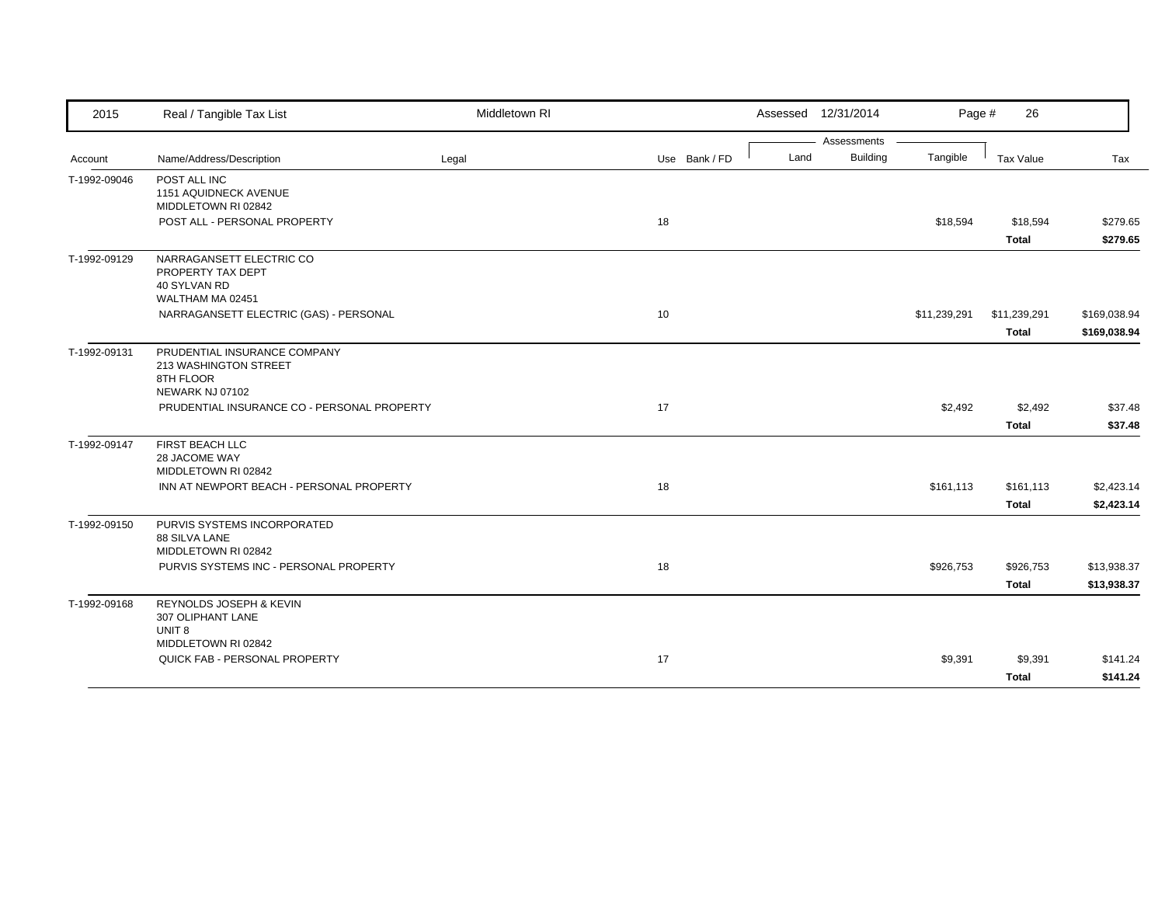| 2015         | Real / Tangible Tax List                                                              | Middletown RI |               |      | Assessed 12/31/2014 | Page #       | 26                           |                              |
|--------------|---------------------------------------------------------------------------------------|---------------|---------------|------|---------------------|--------------|------------------------------|------------------------------|
|              |                                                                                       |               |               |      | Assessments         |              |                              |                              |
| Account      | Name/Address/Description                                                              | Legal         | Use Bank / FD | Land | <b>Building</b>     | Tangible     | Tax Value                    | Tax                          |
| T-1992-09046 | POST ALL INC<br>1151 AQUIDNECK AVENUE<br>MIDDLETOWN RI 02842                          |               |               |      |                     |              |                              |                              |
|              | POST ALL - PERSONAL PROPERTY                                                          |               | 18            |      |                     | \$18,594     | \$18,594                     | \$279.65                     |
|              |                                                                                       |               |               |      |                     |              | <b>Total</b>                 | \$279.65                     |
| T-1992-09129 | NARRAGANSETT ELECTRIC CO<br>PROPERTY TAX DEPT<br>40 SYLVAN RD<br>WALTHAM MA 02451     |               |               |      |                     |              |                              |                              |
|              | NARRAGANSETT ELECTRIC (GAS) - PERSONAL                                                |               | 10            |      |                     | \$11,239,291 | \$11,239,291<br><b>Total</b> | \$169,038.94<br>\$169,038.94 |
| T-1992-09131 | PRUDENTIAL INSURANCE COMPANY<br>213 WASHINGTON STREET<br>8TH FLOOR<br>NEWARK NJ 07102 |               |               |      |                     |              |                              |                              |
|              | PRUDENTIAL INSURANCE CO - PERSONAL PROPERTY                                           |               | 17            |      |                     | \$2,492      | \$2,492<br><b>Total</b>      | \$37.48<br>\$37.48           |
| T-1992-09147 | FIRST BEACH LLC<br>28 JACOME WAY<br>MIDDLETOWN RI 02842                               |               |               |      |                     |              |                              |                              |
|              | INN AT NEWPORT BEACH - PERSONAL PROPERTY                                              |               | 18            |      |                     | \$161,113    | \$161,113<br><b>Total</b>    | \$2,423.14<br>\$2,423.14     |
| T-1992-09150 | PURVIS SYSTEMS INCORPORATED<br>88 SILVA LANE<br>MIDDLETOWN RI 02842                   |               |               |      |                     |              |                              |                              |
|              | PURVIS SYSTEMS INC - PERSONAL PROPERTY                                                |               | 18            |      |                     | \$926,753    | \$926,753<br><b>Total</b>    | \$13,938.37<br>\$13,938.37   |
| T-1992-09168 | REYNOLDS JOSEPH & KEVIN<br>307 OLIPHANT LANE<br>UNIT <sub>8</sub>                     |               |               |      |                     |              |                              |                              |
|              | MIDDLETOWN RI 02842<br>QUICK FAB - PERSONAL PROPERTY                                  |               | 17            |      |                     | \$9,391      | \$9,391<br><b>Total</b>      | \$141.24<br>\$141.24         |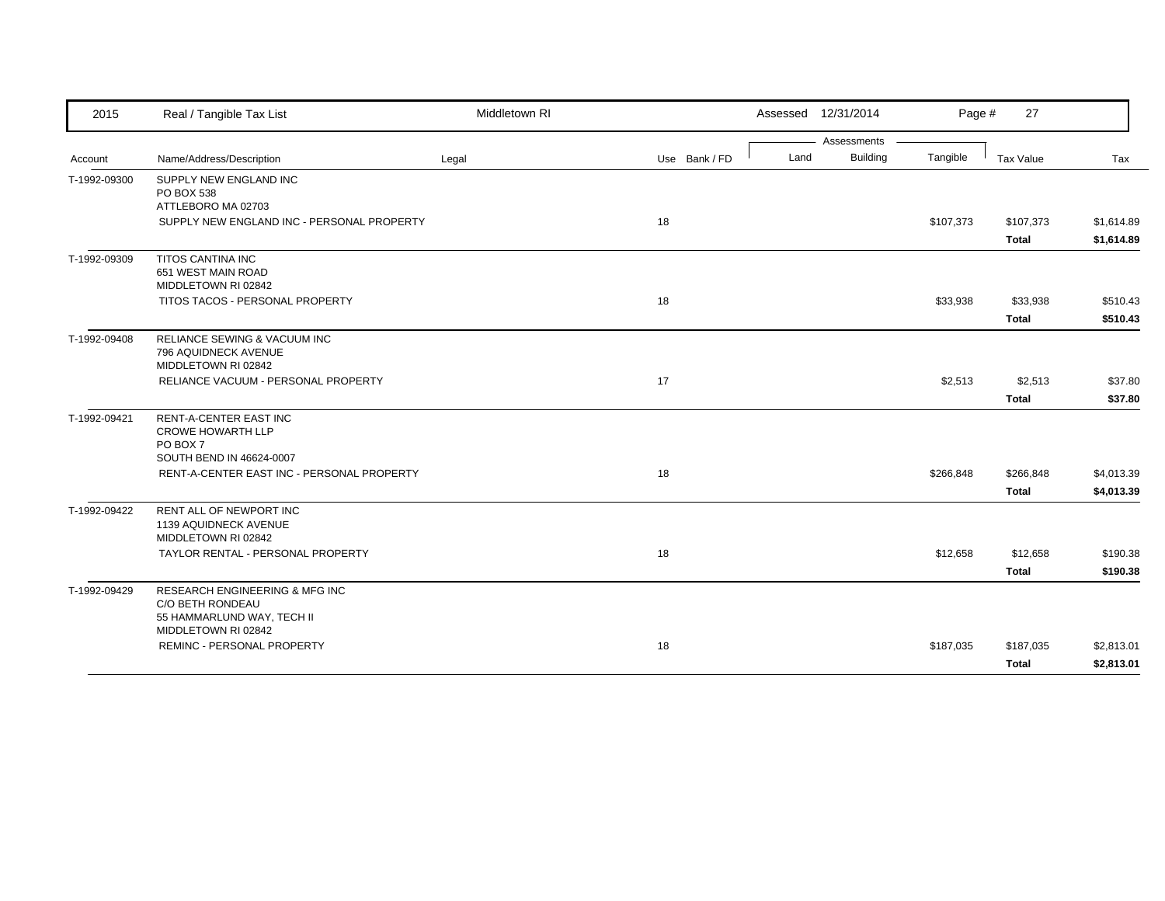| 2015         | Real / Tangible Tax List                                                                          | Middletown RI |               | Assessed 12/31/2014 |                 | Page #    | 27                        |                          |
|--------------|---------------------------------------------------------------------------------------------------|---------------|---------------|---------------------|-----------------|-----------|---------------------------|--------------------------|
|              |                                                                                                   |               |               |                     | Assessments     |           |                           |                          |
| Account      | Name/Address/Description                                                                          | Legal         | Use Bank / FD | Land                | <b>Building</b> | Tangible  | Tax Value                 | Tax                      |
| T-1992-09300 | SUPPLY NEW ENGLAND INC<br>PO BOX 538<br>ATTLEBORO MA 02703                                        |               |               |                     |                 |           |                           |                          |
|              | SUPPLY NEW ENGLAND INC - PERSONAL PROPERTY                                                        |               | 18            |                     |                 | \$107,373 | \$107,373<br><b>Total</b> | \$1,614.89<br>\$1,614.89 |
| T-1992-09309 | <b>TITOS CANTINA INC</b><br>651 WEST MAIN ROAD<br>MIDDLETOWN RI 02842                             |               |               |                     |                 |           |                           |                          |
|              | TITOS TACOS - PERSONAL PROPERTY                                                                   |               | 18            |                     |                 | \$33,938  | \$33,938                  | \$510.43                 |
|              |                                                                                                   |               |               |                     |                 |           | <b>Total</b>              | \$510.43                 |
| T-1992-09408 | RELIANCE SEWING & VACUUM INC<br>796 AQUIDNECK AVENUE<br>MIDDLETOWN RI 02842                       |               |               |                     |                 |           |                           |                          |
|              | RELIANCE VACUUM - PERSONAL PROPERTY                                                               |               | 17            |                     |                 | \$2,513   | \$2,513                   | \$37.80                  |
|              |                                                                                                   |               |               |                     |                 |           | <b>Total</b>              | \$37.80                  |
| T-1992-09421 | <b>RENT-A-CENTER EAST INC</b><br><b>CROWE HOWARTH LLP</b><br>PO BOX 7<br>SOUTH BEND IN 46624-0007 |               |               |                     |                 |           |                           |                          |
|              | RENT-A-CENTER EAST INC - PERSONAL PROPERTY                                                        |               | 18            |                     |                 | \$266,848 | \$266,848                 | \$4,013.39               |
|              |                                                                                                   |               |               |                     |                 |           | <b>Total</b>              | \$4,013.39               |
| T-1992-09422 | RENT ALL OF NEWPORT INC<br>1139 AQUIDNECK AVENUE<br>MIDDLETOWN RI 02842                           |               |               |                     |                 |           |                           |                          |
|              | TAYLOR RENTAL - PERSONAL PROPERTY                                                                 |               | 18            |                     |                 | \$12,658  | \$12,658                  | \$190.38                 |
|              |                                                                                                   |               |               |                     |                 |           | <b>Total</b>              | \$190.38                 |
| T-1992-09429 | <b>RESEARCH ENGINEERING &amp; MFG INC</b><br>C/O BETH RONDEAU<br>55 HAMMARLUND WAY, TECH II       |               |               |                     |                 |           |                           |                          |
|              | MIDDLETOWN RI 02842<br><b>REMINC - PERSONAL PROPERTY</b>                                          |               | 18            |                     |                 | \$187,035 | \$187,035                 | \$2,813.01               |
|              |                                                                                                   |               |               |                     |                 |           | <b>Total</b>              | \$2,813.01               |
|              |                                                                                                   |               |               |                     |                 |           |                           |                          |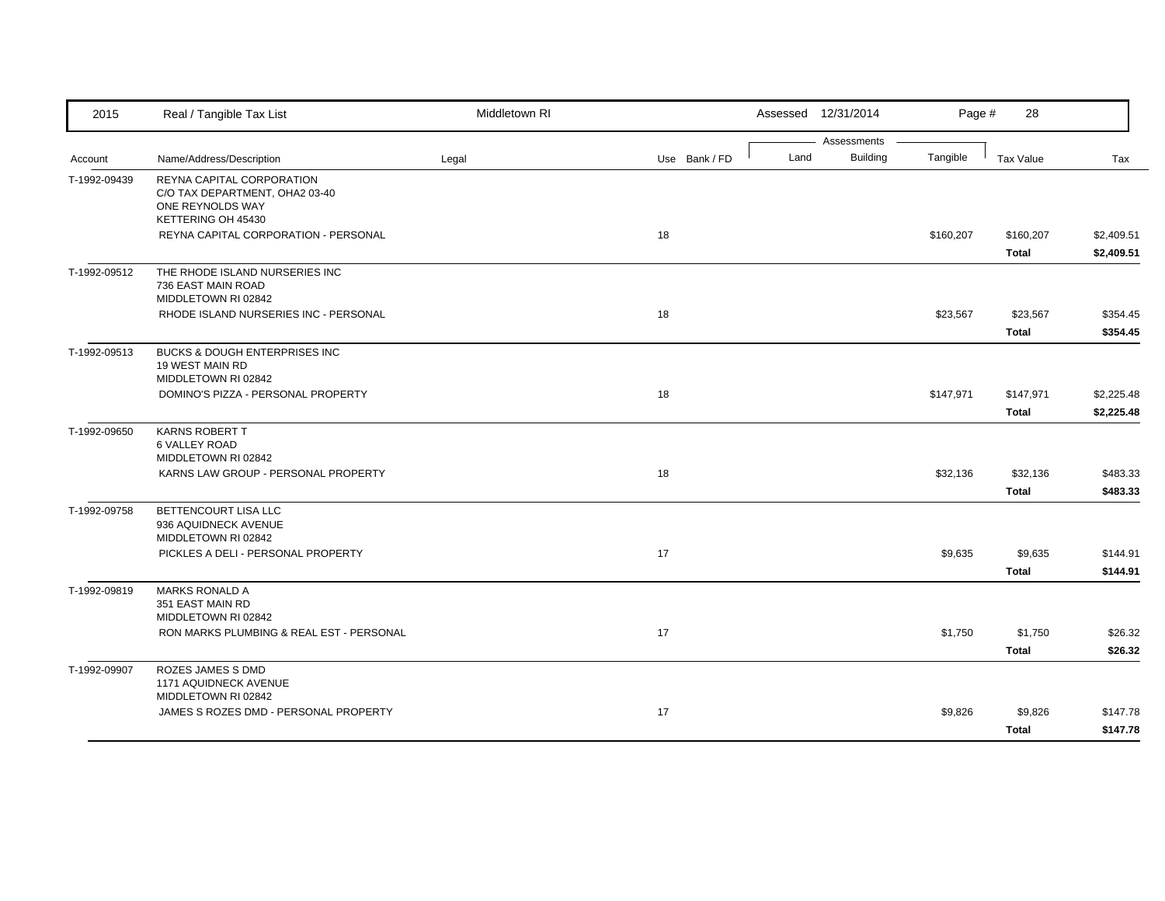| 2015                    | Real / Tangible Tax List                                                           | Middletown RI |               |      | Assessed 12/31/2014            | Page #    | 28                      |                    |
|-------------------------|------------------------------------------------------------------------------------|---------------|---------------|------|--------------------------------|-----------|-------------------------|--------------------|
|                         | Name/Address/Description                                                           |               | Use Bank / FD | Land | Assessments<br><b>Building</b> | Tangible  | <b>Tax Value</b>        | Tax                |
| Account<br>T-1992-09439 | REYNA CAPITAL CORPORATION                                                          | Legal         |               |      |                                |           |                         |                    |
|                         | C/O TAX DEPARTMENT, OHA2 03-40<br>ONE REYNOLDS WAY                                 |               |               |      |                                |           |                         |                    |
|                         | KETTERING OH 45430                                                                 |               |               |      |                                |           |                         |                    |
|                         | REYNA CAPITAL CORPORATION - PERSONAL                                               |               | 18            |      |                                | \$160,207 | \$160,207               | \$2,409.51         |
|                         |                                                                                    |               |               |      |                                |           | <b>Total</b>            | \$2,409.51         |
| T-1992-09512            | THE RHODE ISLAND NURSERIES INC<br>736 EAST MAIN ROAD<br>MIDDLETOWN RI 02842        |               |               |      |                                |           |                         |                    |
|                         | RHODE ISLAND NURSERIES INC - PERSONAL                                              |               | 18            |      |                                | \$23,567  | \$23,567                | \$354.45           |
|                         |                                                                                    |               |               |      |                                |           | <b>Total</b>            | \$354.45           |
| T-1992-09513            | <b>BUCKS &amp; DOUGH ENTERPRISES INC</b><br>19 WEST MAIN RD<br>MIDDLETOWN RI 02842 |               |               |      |                                |           |                         |                    |
|                         | DOMINO'S PIZZA - PERSONAL PROPERTY                                                 |               | 18            |      |                                | \$147,971 | \$147,971               | \$2,225.48         |
|                         |                                                                                    |               |               |      |                                |           | <b>Total</b>            | \$2,225.48         |
| T-1992-09650            | <b>KARNS ROBERT T</b><br>6 VALLEY ROAD                                             |               |               |      |                                |           |                         |                    |
|                         | MIDDLETOWN RI 02842<br>KARNS LAW GROUP - PERSONAL PROPERTY                         |               | 18            |      |                                | \$32,136  | \$32,136                | \$483.33           |
|                         |                                                                                    |               |               |      |                                |           | <b>Total</b>            | \$483.33           |
| T-1992-09758            | BETTENCOURT LISA LLC<br>936 AQUIDNECK AVENUE<br>MIDDLETOWN RI 02842                |               |               |      |                                |           |                         |                    |
|                         | PICKLES A DELI - PERSONAL PROPERTY                                                 |               | 17            |      |                                | \$9,635   | \$9,635                 | \$144.91           |
|                         |                                                                                    |               |               |      |                                |           | <b>Total</b>            | \$144.91           |
| T-1992-09819            | <b>MARKS RONALD A</b><br>351 EAST MAIN RD                                          |               |               |      |                                |           |                         |                    |
|                         | MIDDLETOWN RI 02842                                                                |               |               |      |                                |           |                         |                    |
|                         | <b>RON MARKS PLUMBING &amp; REAL EST - PERSONAL</b>                                |               | 17            |      |                                | \$1,750   | \$1,750<br><b>Total</b> | \$26.32<br>\$26.32 |
|                         |                                                                                    |               |               |      |                                |           |                         |                    |
| T-1992-09907            | ROZES JAMES S DMD<br>1171 AQUIDNECK AVENUE<br>MIDDLETOWN RI 02842                  |               |               |      |                                |           |                         |                    |
|                         | JAMES S ROZES DMD - PERSONAL PROPERTY                                              |               | 17            |      |                                | \$9,826   | \$9,826                 | \$147.78           |
|                         |                                                                                    |               |               |      |                                |           | <b>Total</b>            | \$147.78           |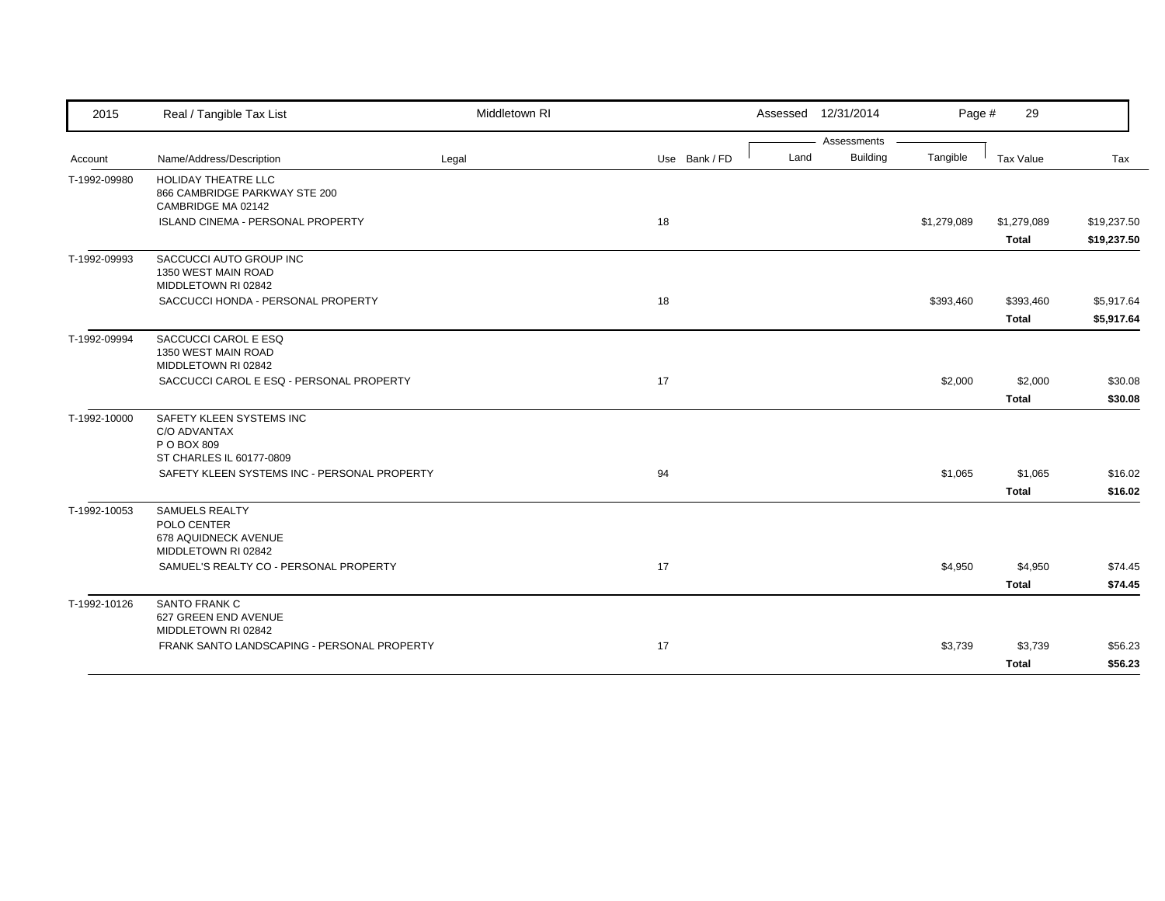| 2015         | Real / Tangible Tax List                                                            | Middletown RI |               | Assessed 12/31/2014 | Page #               | 29                   |                            |
|--------------|-------------------------------------------------------------------------------------|---------------|---------------|---------------------|----------------------|----------------------|----------------------------|
|              |                                                                                     |               |               |                     | Assessments          |                      |                            |
| Account      | Name/Address/Description                                                            | Legal         | Use Bank / FD | Land                | Building<br>Tangible | Tax Value            | Tax                        |
| T-1992-09980 | <b>HOLIDAY THEATRE LLC</b><br>866 CAMBRIDGE PARKWAY STE 200<br>CAMBRIDGE MA 02142   |               |               |                     |                      |                      |                            |
|              | ISLAND CINEMA - PERSONAL PROPERTY                                                   |               | 18            |                     | \$1,279,089          | \$1,279,089<br>Total | \$19,237.50<br>\$19,237.50 |
| T-1992-09993 | SACCUCCI AUTO GROUP INC<br>1350 WEST MAIN ROAD<br>MIDDLETOWN RI 02842               |               |               |                     |                      |                      |                            |
|              | SACCUCCI HONDA - PERSONAL PROPERTY                                                  |               | 18            |                     | \$393,460            | \$393,460            | \$5,917.64                 |
|              |                                                                                     |               |               |                     |                      | Total                | \$5,917.64                 |
| T-1992-09994 | SACCUCCI CAROL E ESQ<br>1350 WEST MAIN ROAD<br>MIDDLETOWN RI 02842                  |               |               |                     |                      |                      |                            |
|              | SACCUCCI CAROL E ESQ - PERSONAL PROPERTY                                            |               | 17            |                     | \$2,000              | \$2,000              | \$30.08                    |
|              |                                                                                     |               |               |                     |                      | <b>Total</b>         | \$30.08                    |
| T-1992-10000 | SAFETY KLEEN SYSTEMS INC<br>C/O ADVANTAX<br>P O BOX 809                             |               |               |                     |                      |                      |                            |
|              | ST CHARLES IL 60177-0809<br>SAFETY KLEEN SYSTEMS INC - PERSONAL PROPERTY            |               | 94            |                     | \$1,065              | \$1,065              | \$16.02                    |
|              |                                                                                     |               |               |                     |                      | <b>Total</b>         | \$16.02                    |
| T-1992-10053 | <b>SAMUELS REALTY</b><br>POLO CENTER<br>678 AQUIDNECK AVENUE<br>MIDDLETOWN RI 02842 |               |               |                     |                      |                      |                            |
|              | SAMUEL'S REALTY CO - PERSONAL PROPERTY                                              |               | 17            |                     | \$4,950              | \$4,950              | \$74.45                    |
|              |                                                                                     |               |               |                     |                      | <b>Total</b>         | \$74.45                    |
| T-1992-10126 | SANTO FRANK C<br>627 GREEN END AVENUE<br>MIDDLETOWN RI 02842                        |               |               |                     |                      |                      |                            |
|              | FRANK SANTO LANDSCAPING - PERSONAL PROPERTY                                         |               | 17            |                     | \$3,739              | \$3,739              | \$56.23                    |
|              |                                                                                     |               |               |                     |                      | <b>Total</b>         | \$56.23                    |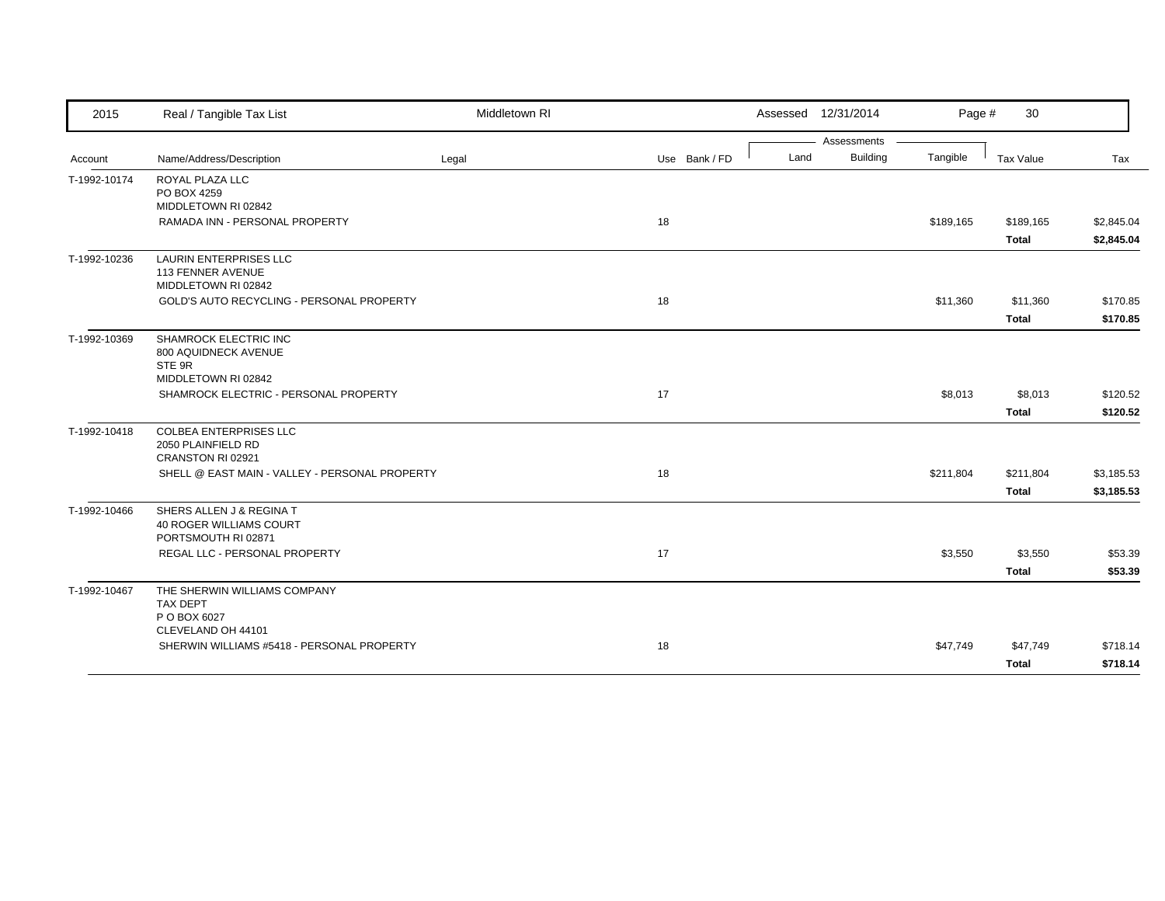| 2015         | Real / Tangible Tax List                                                   | Middletown RI |               | Assessed 12/31/2014 |             | Page #    | 30                        |                          |
|--------------|----------------------------------------------------------------------------|---------------|---------------|---------------------|-------------|-----------|---------------------------|--------------------------|
|              |                                                                            |               |               |                     | Assessments |           |                           |                          |
| Account      | Name/Address/Description                                                   | Legal         | Use Bank / FD | Land                | Building    | Tangible  | Tax Value                 | Tax                      |
| T-1992-10174 | ROYAL PLAZA LLC<br>PO BOX 4259<br>MIDDLETOWN RI 02842                      |               |               |                     |             |           |                           |                          |
|              | RAMADA INN - PERSONAL PROPERTY                                             |               | 18            |                     |             | \$189,165 | \$189,165<br><b>Total</b> | \$2,845.04<br>\$2,845.04 |
| T-1992-10236 | <b>LAURIN ENTERPRISES LLC</b><br>113 FENNER AVENUE<br>MIDDLETOWN RI 02842  |               |               |                     |             |           |                           |                          |
|              | GOLD'S AUTO RECYCLING - PERSONAL PROPERTY                                  |               | 18            |                     |             | \$11,360  | \$11,360                  | \$170.85                 |
|              |                                                                            |               |               |                     |             |           | <b>Total</b>              | \$170.85                 |
| T-1992-10369 | SHAMROCK ELECTRIC INC<br>800 AQUIDNECK AVENUE<br>STE 9R                    |               |               |                     |             |           |                           |                          |
|              | MIDDLETOWN RI 02842<br>SHAMROCK ELECTRIC - PERSONAL PROPERTY               |               | 17            |                     |             | \$8,013   | \$8,013                   | \$120.52                 |
|              |                                                                            |               |               |                     |             |           | <b>Total</b>              | \$120.52                 |
| T-1992-10418 | <b>COLBEA ENTERPRISES LLC</b><br>2050 PLAINFIELD RD<br>CRANSTON RI 02921   |               |               |                     |             |           |                           |                          |
|              | SHELL @ EAST MAIN - VALLEY - PERSONAL PROPERTY                             |               | 18            |                     |             | \$211,804 | \$211,804<br><b>Total</b> | \$3,185.53<br>\$3,185.53 |
| T-1992-10466 | SHERS ALLEN J & REGINA T<br>40 ROGER WILLIAMS COURT<br>PORTSMOUTH RI 02871 |               |               |                     |             |           |                           |                          |
|              | REGAL LLC - PERSONAL PROPERTY                                              |               | 17            |                     |             | \$3,550   | \$3,550<br><b>Total</b>   | \$53.39<br>\$53.39       |
| T-1992-10467 | THE SHERWIN WILLIAMS COMPANY<br><b>TAX DEPT</b><br>P O BOX 6027            |               |               |                     |             |           |                           |                          |
|              | CLEVELAND OH 44101<br>SHERWIN WILLIAMS #5418 - PERSONAL PROPERTY           |               | 18            |                     |             | \$47,749  | \$47,749                  | \$718.14                 |
|              |                                                                            |               |               |                     |             |           | <b>Total</b>              | \$718.14                 |
|              |                                                                            |               |               |                     |             |           |                           |                          |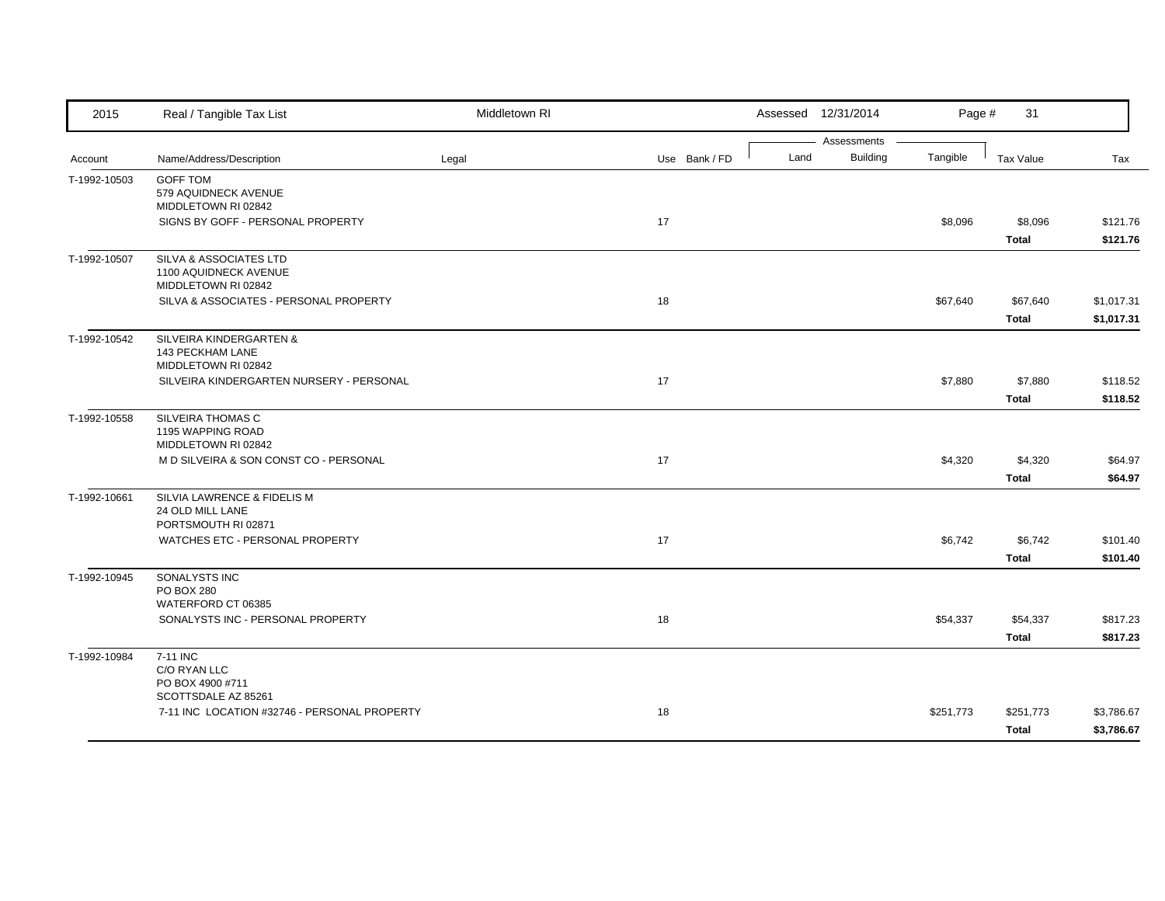| 2015         | Real / Tangible Tax List                                        | Middletown RI |               |      | Assessed 12/31/2014     | Page #    | 31           |            |
|--------------|-----------------------------------------------------------------|---------------|---------------|------|-------------------------|-----------|--------------|------------|
| Account      | Name/Address/Description                                        | Legal         | Use Bank / FD | Land | Assessments<br>Building | Tangible  | Tax Value    | Tax        |
|              |                                                                 |               |               |      |                         |           |              |            |
| T-1992-10503 | <b>GOFF TOM</b><br>579 AQUIDNECK AVENUE                         |               |               |      |                         |           |              |            |
|              | MIDDLETOWN RI 02842                                             |               |               |      |                         |           |              |            |
|              | SIGNS BY GOFF - PERSONAL PROPERTY                               |               | 17            |      |                         | \$8,096   | \$8,096      | \$121.76   |
|              |                                                                 |               |               |      |                         |           | <b>Total</b> | \$121.76   |
| T-1992-10507 | SILVA & ASSOCIATES LTD                                          |               |               |      |                         |           |              |            |
|              | 1100 AQUIDNECK AVENUE                                           |               |               |      |                         |           |              |            |
|              | MIDDLETOWN RI 02842                                             |               |               |      |                         |           |              |            |
|              | SILVA & ASSOCIATES - PERSONAL PROPERTY                          |               | 18            |      |                         | \$67,640  | \$67,640     | \$1,017.31 |
|              |                                                                 |               |               |      |                         |           | <b>Total</b> | \$1,017.31 |
| T-1992-10542 | SILVEIRA KINDERGARTEN &                                         |               |               |      |                         |           |              |            |
|              | 143 PECKHAM LANE                                                |               |               |      |                         |           |              |            |
|              | MIDDLETOWN RI 02842<br>SILVEIRA KINDERGARTEN NURSERY - PERSONAL |               | 17            |      |                         | \$7,880   | \$7,880      | \$118.52   |
|              |                                                                 |               |               |      |                         |           |              |            |
|              |                                                                 |               |               |      |                         |           | <b>Total</b> | \$118.52   |
| T-1992-10558 | SILVEIRA THOMAS C<br>1195 WAPPING ROAD                          |               |               |      |                         |           |              |            |
|              | MIDDLETOWN RI 02842                                             |               |               |      |                         |           |              |            |
|              | M D SILVEIRA & SON CONST CO - PERSONAL                          |               | 17            |      |                         | \$4,320   | \$4,320      | \$64.97    |
|              |                                                                 |               |               |      |                         |           | <b>Total</b> | \$64.97    |
| T-1992-10661 | SILVIA LAWRENCE & FIDELIS M                                     |               |               |      |                         |           |              |            |
|              | 24 OLD MILL LANE                                                |               |               |      |                         |           |              |            |
|              | PORTSMOUTH RI 02871                                             |               |               |      |                         |           |              |            |
|              | WATCHES ETC - PERSONAL PROPERTY                                 |               | 17            |      |                         | \$6,742   | \$6,742      | \$101.40   |
|              |                                                                 |               |               |      |                         |           | <b>Total</b> | \$101.40   |
| T-1992-10945 | SONALYSTS INC                                                   |               |               |      |                         |           |              |            |
|              | PO BOX 280                                                      |               |               |      |                         |           |              |            |
|              | WATERFORD CT 06385<br>SONALYSTS INC - PERSONAL PROPERTY         |               | 18            |      |                         |           |              |            |
|              |                                                                 |               |               |      |                         | \$54,337  | \$54,337     | \$817.23   |
|              |                                                                 |               |               |      |                         |           | <b>Total</b> | \$817.23   |
| T-1992-10984 | 7-11 INC<br>C/O RYAN LLC                                        |               |               |      |                         |           |              |            |
|              | PO BOX 4900 #711                                                |               |               |      |                         |           |              |            |
|              | SCOTTSDALE AZ 85261                                             |               |               |      |                         |           |              |            |
|              | 7-11 INC LOCATION #32746 - PERSONAL PROPERTY                    |               | 18            |      |                         | \$251,773 | \$251,773    | \$3,786.67 |
|              |                                                                 |               |               |      |                         |           | <b>Total</b> | \$3,786.67 |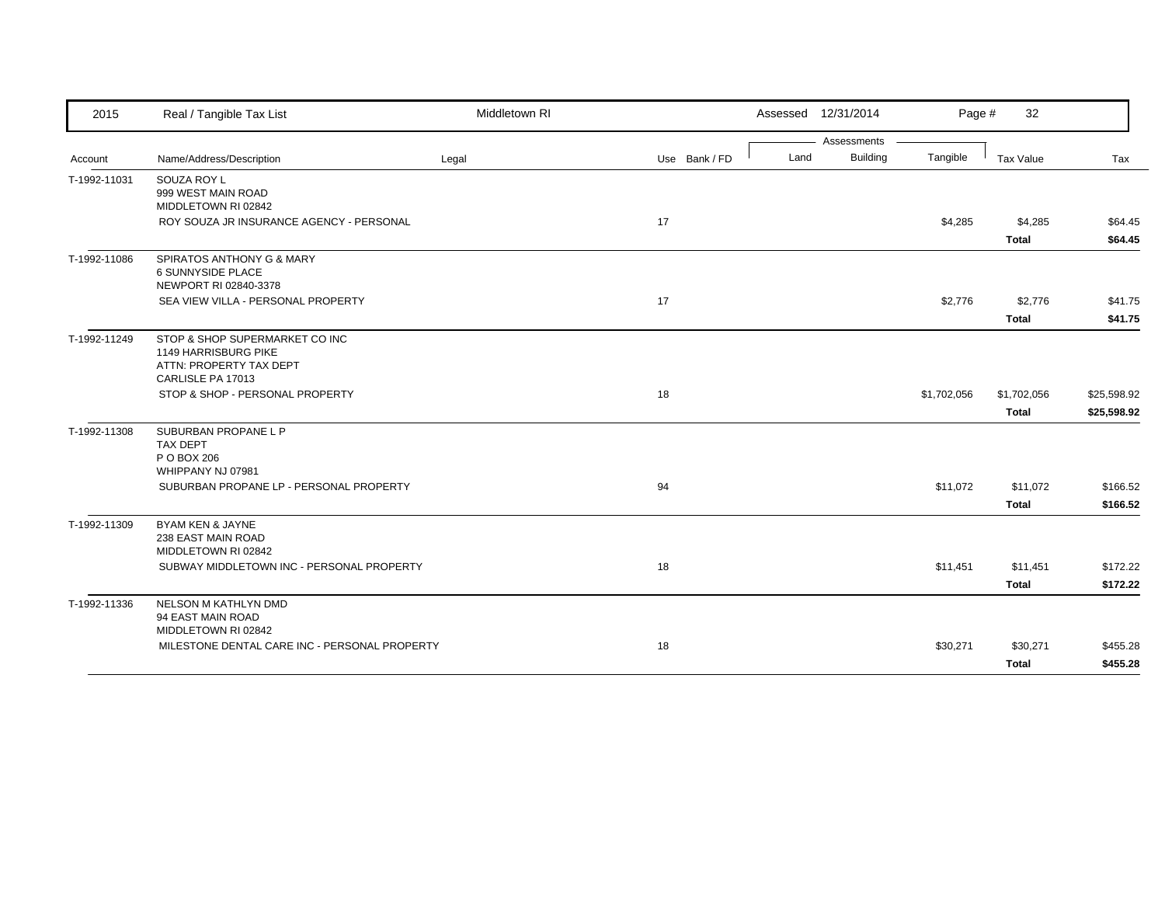| 2015         | Real / Tangible Tax List                                                                               | Middletown RI |               |      | Assessed 12/31/2014            | Page #      | 32                          |                            |
|--------------|--------------------------------------------------------------------------------------------------------|---------------|---------------|------|--------------------------------|-------------|-----------------------------|----------------------------|
| Account      | Name/Address/Description                                                                               | Legal         | Use Bank / FD | Land | Assessments<br><b>Building</b> | Tangible    | Tax Value                   | Tax                        |
| T-1992-11031 | SOUZA ROY L<br>999 WEST MAIN ROAD<br>MIDDLETOWN RI 02842                                               |               |               |      |                                |             |                             |                            |
|              | ROY SOUZA JR INSURANCE AGENCY - PERSONAL                                                               |               | 17            |      |                                | \$4,285     | \$4,285<br><b>Total</b>     | \$64.45<br>\$64.45         |
| T-1992-11086 | SPIRATOS ANTHONY G & MARY<br>6 SUNNYSIDE PLACE<br>NEWPORT RI 02840-3378                                |               |               |      |                                |             |                             |                            |
|              | SEA VIEW VILLA - PERSONAL PROPERTY                                                                     |               | 17            |      |                                | \$2,776     | \$2,776<br><b>Total</b>     | \$41.75<br>\$41.75         |
| T-1992-11249 | STOP & SHOP SUPERMARKET CO INC<br>1149 HARRISBURG PIKE<br>ATTN: PROPERTY TAX DEPT<br>CARLISLE PA 17013 |               |               |      |                                |             |                             |                            |
|              | STOP & SHOP - PERSONAL PROPERTY                                                                        |               | 18            |      |                                | \$1,702,056 | \$1,702,056<br><b>Total</b> | \$25,598.92<br>\$25,598.92 |
| T-1992-11308 | SUBURBAN PROPANE L P<br><b>TAX DEPT</b><br>P O BOX 206<br>WHIPPANY NJ 07981                            |               |               |      |                                |             |                             |                            |
|              | SUBURBAN PROPANE LP - PERSONAL PROPERTY                                                                |               | 94            |      |                                | \$11,072    | \$11,072<br><b>Total</b>    | \$166.52<br>\$166.52       |
| T-1992-11309 | BYAM KEN & JAYNE<br>238 EAST MAIN ROAD<br>MIDDLETOWN RI 02842                                          |               |               |      |                                |             |                             |                            |
|              | SUBWAY MIDDLETOWN INC - PERSONAL PROPERTY                                                              |               | 18            |      |                                | \$11,451    | \$11,451<br><b>Total</b>    | \$172.22<br>\$172.22       |
| T-1992-11336 | NELSON M KATHLYN DMD<br>94 EAST MAIN ROAD<br>MIDDLETOWN RI 02842                                       |               |               |      |                                |             |                             |                            |
|              | MILESTONE DENTAL CARE INC - PERSONAL PROPERTY                                                          |               | 18            |      |                                | \$30,271    | \$30,271<br><b>Total</b>    | \$455.28<br>\$455.28       |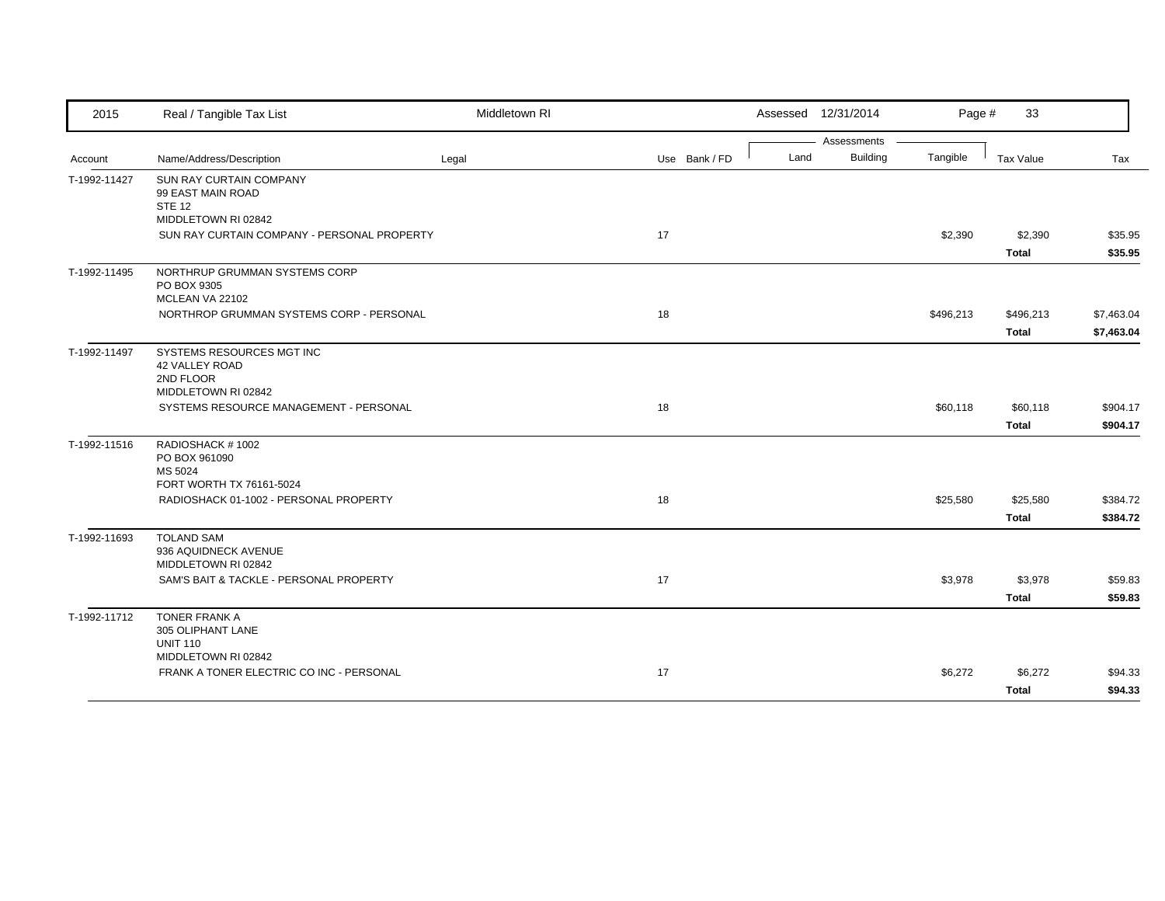| 2015         | Real / Tangible Tax List                                                 | Middletown RI |               | Assessed 12/31/2014                    | Page #    | 33                        |                          |
|--------------|--------------------------------------------------------------------------|---------------|---------------|----------------------------------------|-----------|---------------------------|--------------------------|
|              | Name/Address/Description                                                 |               | Use Bank / FD | Assessments<br><b>Building</b><br>Land | Tangible  | Tax Value                 | Tax                      |
| Account      |                                                                          | Legal         |               |                                        |           |                           |                          |
| T-1992-11427 | <b>SUN RAY CURTAIN COMPANY</b><br>99 EAST MAIN ROAD<br><b>STE 12</b>     |               |               |                                        |           |                           |                          |
|              | MIDDLETOWN RI 02842<br>SUN RAY CURTAIN COMPANY - PERSONAL PROPERTY       |               | 17            |                                        | \$2,390   | \$2,390                   | \$35.95                  |
|              |                                                                          |               |               |                                        |           | <b>Total</b>              | \$35.95                  |
| T-1992-11495 | NORTHRUP GRUMMAN SYSTEMS CORP<br>PO BOX 9305<br>MCLEAN VA 22102          |               |               |                                        |           |                           |                          |
|              | NORTHROP GRUMMAN SYSTEMS CORP - PERSONAL                                 |               | 18            |                                        | \$496,213 | \$496,213<br><b>Total</b> | \$7,463.04<br>\$7,463.04 |
| T-1992-11497 | SYSTEMS RESOURCES MGT INC<br>42 VALLEY ROAD<br>2ND FLOOR                 |               |               |                                        |           |                           |                          |
|              | MIDDLETOWN RI 02842<br>SYSTEMS RESOURCE MANAGEMENT - PERSONAL            |               | 18            |                                        | \$60,118  | \$60,118                  | \$904.17                 |
|              |                                                                          |               |               |                                        |           | <b>Total</b>              | \$904.17                 |
| T-1992-11516 | RADIOSHACK #1002<br>PO BOX 961090<br>MS 5024<br>FORT WORTH TX 76161-5024 |               |               |                                        |           |                           |                          |
|              | RADIOSHACK 01-1002 - PERSONAL PROPERTY                                   |               | 18            |                                        | \$25,580  | \$25,580                  | \$384.72                 |
|              |                                                                          |               |               |                                        |           | <b>Total</b>              | \$384.72                 |
| T-1992-11693 | <b>TOLAND SAM</b><br>936 AQUIDNECK AVENUE<br>MIDDLETOWN RI 02842         |               |               |                                        |           |                           |                          |
|              | SAM'S BAIT & TACKLE - PERSONAL PROPERTY                                  |               | 17            |                                        | \$3,978   | \$3,978                   | \$59.83                  |
|              |                                                                          |               |               |                                        |           | <b>Total</b>              | \$59.83                  |
| T-1992-11712 | TONER FRANK A<br>305 OLIPHANT LANE<br><b>UNIT 110</b>                    |               |               |                                        |           |                           |                          |
|              | MIDDLETOWN RI 02842<br>FRANK A TONER ELECTRIC CO INC - PERSONAL          |               | 17            |                                        |           | \$6,272                   |                          |
|              |                                                                          |               |               |                                        | \$6,272   | <b>Total</b>              | \$94.33<br>\$94.33       |
|              |                                                                          |               |               |                                        |           |                           |                          |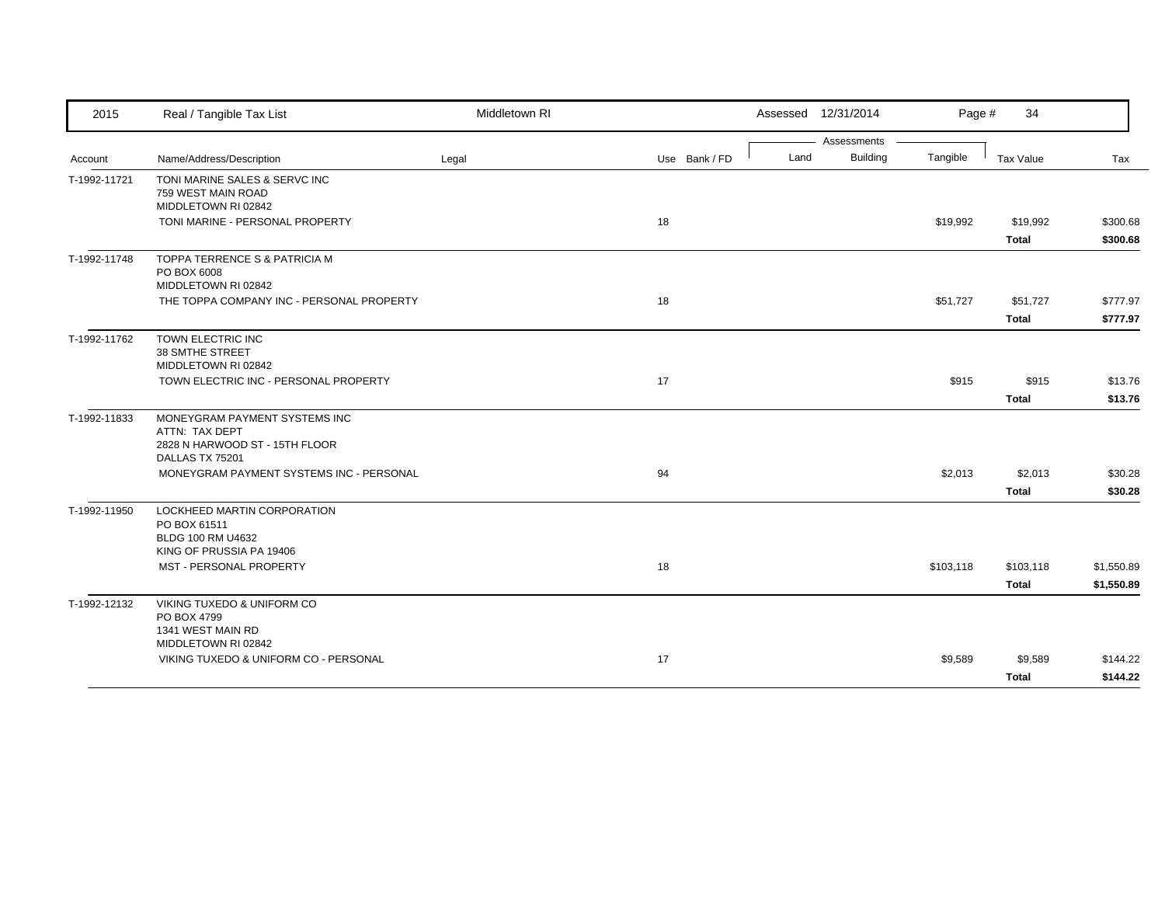| 2015         | Real / Tangible Tax List                                            | Middletown RI |               |      | Assessed 12/31/2014            | Page #    | 34           |            |
|--------------|---------------------------------------------------------------------|---------------|---------------|------|--------------------------------|-----------|--------------|------------|
| Account      | Name/Address/Description                                            | Legal         | Use Bank / FD | Land | Assessments<br><b>Building</b> | Tangible  | Tax Value    | Tax        |
| T-1992-11721 | TONI MARINE SALES & SERVC INC<br>759 WEST MAIN ROAD                 |               |               |      |                                |           |              |            |
|              | MIDDLETOWN RI 02842                                                 |               |               |      |                                |           |              |            |
|              | TONI MARINE - PERSONAL PROPERTY                                     |               | 18            |      |                                | \$19,992  | \$19,992     | \$300.68   |
|              |                                                                     |               |               |      |                                |           | Total        | \$300.68   |
| T-1992-11748 | TOPPA TERRENCE S & PATRICIA M<br>PO BOX 6008<br>MIDDLETOWN RI 02842 |               |               |      |                                |           |              |            |
|              | THE TOPPA COMPANY INC - PERSONAL PROPERTY                           |               | 18            |      |                                | \$51,727  | \$51,727     | \$777.97   |
|              |                                                                     |               |               |      |                                |           | Total        | \$777.97   |
| T-1992-11762 | TOWN ELECTRIC INC<br>38 SMTHE STREET                                |               |               |      |                                |           |              |            |
|              | MIDDLETOWN RI 02842<br>TOWN ELECTRIC INC - PERSONAL PROPERTY        |               | 17            |      |                                | \$915     | \$915        | \$13.76    |
|              |                                                                     |               |               |      |                                |           | <b>Total</b> | \$13.76    |
| T-1992-11833 | MONEYGRAM PAYMENT SYSTEMS INC                                       |               |               |      |                                |           |              |            |
|              | ATTN: TAX DEPT                                                      |               |               |      |                                |           |              |            |
|              | 2828 N HARWOOD ST - 15TH FLOOR<br>DALLAS TX 75201                   |               |               |      |                                |           |              |            |
|              | MONEYGRAM PAYMENT SYSTEMS INC - PERSONAL                            |               | 94            |      |                                | \$2,013   | \$2,013      | \$30.28    |
|              |                                                                     |               |               |      |                                |           | <b>Total</b> | \$30.28    |
| T-1992-11950 | LOCKHEED MARTIN CORPORATION                                         |               |               |      |                                |           |              |            |
|              | PO BOX 61511<br>BLDG 100 RM U4632                                   |               |               |      |                                |           |              |            |
|              | KING OF PRUSSIA PA 19406                                            |               |               |      |                                |           |              |            |
|              | MST - PERSONAL PROPERTY                                             |               | 18            |      |                                | \$103,118 | \$103,118    | \$1,550.89 |
|              |                                                                     |               |               |      |                                |           | Total        | \$1,550.89 |
| T-1992-12132 | VIKING TUXEDO & UNIFORM CO<br>PO BOX 4799                           |               |               |      |                                |           |              |            |
|              | 1341 WEST MAIN RD                                                   |               |               |      |                                |           |              |            |
|              | MIDDLETOWN RI 02842                                                 |               |               |      |                                |           |              |            |
|              | VIKING TUXEDO & UNIFORM CO - PERSONAL                               |               | 17            |      |                                | \$9,589   | \$9,589      | \$144.22   |
|              |                                                                     |               |               |      |                                |           | Total        | \$144.22   |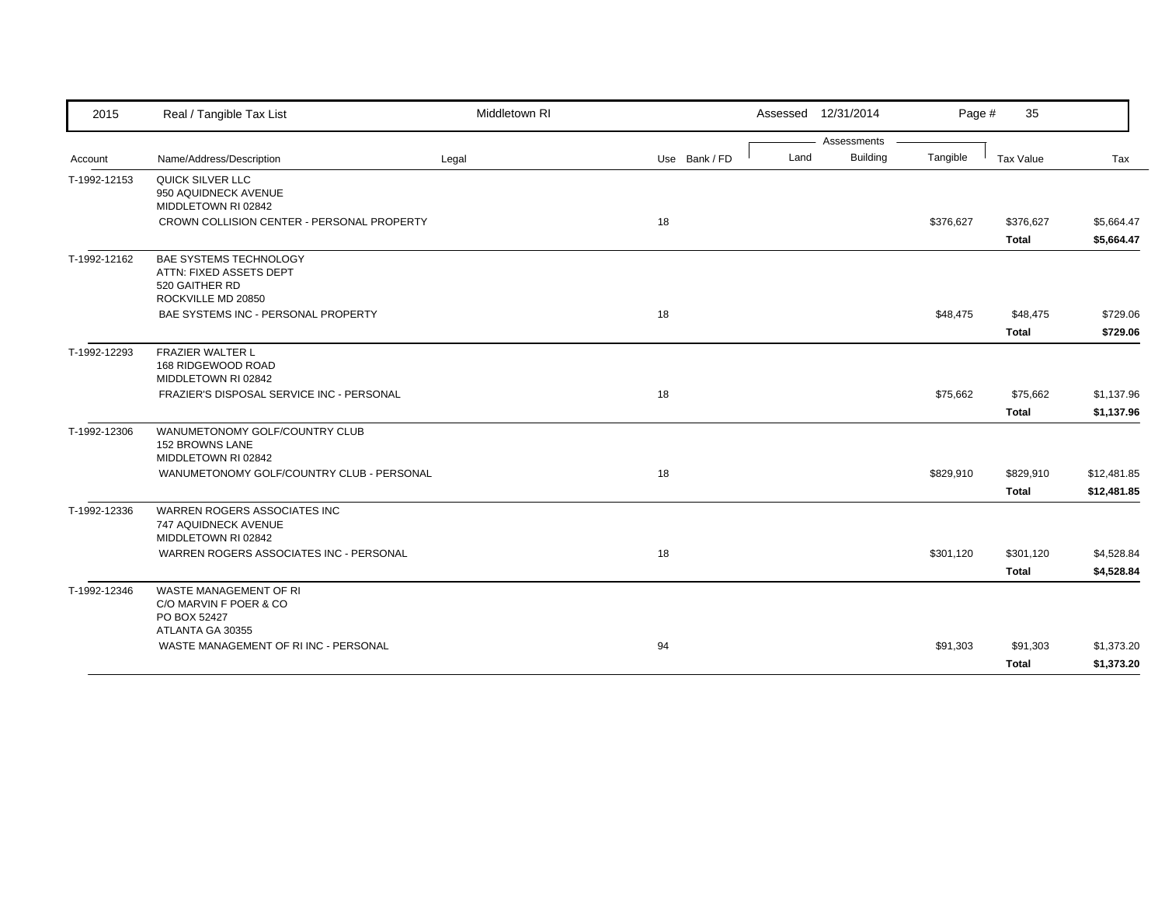| 2015         | Real / Tangible Tax List                                                                  | Middletown RI |               |      | Assessed 12/31/2014 | Page #    | 35           |             |
|--------------|-------------------------------------------------------------------------------------------|---------------|---------------|------|---------------------|-----------|--------------|-------------|
|              |                                                                                           |               |               |      | Assessments         |           |              |             |
| Account      | Name/Address/Description                                                                  | Legal         | Use Bank / FD | Land | <b>Building</b>     | Tangible  | Tax Value    | Tax         |
| T-1992-12153 | QUICK SILVER LLC<br>950 AQUIDNECK AVENUE<br>MIDDLETOWN RI 02842                           |               |               |      |                     |           |              |             |
|              | CROWN COLLISION CENTER - PERSONAL PROPERTY                                                |               | 18            |      |                     | \$376,627 | \$376,627    | \$5,664.47  |
|              |                                                                                           |               |               |      |                     |           | <b>Total</b> | \$5,664.47  |
| T-1992-12162 | BAE SYSTEMS TECHNOLOGY<br>ATTN: FIXED ASSETS DEPT<br>520 GAITHER RD<br>ROCKVILLE MD 20850 |               |               |      |                     |           |              |             |
|              | BAE SYSTEMS INC - PERSONAL PROPERTY                                                       |               | 18            |      |                     | \$48,475  | \$48,475     | \$729.06    |
|              |                                                                                           |               |               |      |                     |           | <b>Total</b> | \$729.06    |
| T-1992-12293 | <b>FRAZIER WALTER L</b><br>168 RIDGEWOOD ROAD<br>MIDDLETOWN RI 02842                      |               |               |      |                     |           |              |             |
|              | FRAZIER'S DISPOSAL SERVICE INC - PERSONAL                                                 |               | 18            |      |                     | \$75,662  | \$75,662     | \$1,137.96  |
|              |                                                                                           |               |               |      |                     |           | <b>Total</b> | \$1,137.96  |
| T-1992-12306 | WANUMETONOMY GOLF/COUNTRY CLUB<br>152 BROWNS LANE<br>MIDDLETOWN RI 02842                  |               |               |      |                     |           |              |             |
|              | WANUMETONOMY GOLF/COUNTRY CLUB - PERSONAL                                                 |               | 18            |      |                     | \$829,910 | \$829,910    | \$12,481.85 |
|              |                                                                                           |               |               |      |                     |           | <b>Total</b> | \$12,481.85 |
| T-1992-12336 | <b>WARREN ROGERS ASSOCIATES INC</b><br>747 AQUIDNECK AVENUE<br>MIDDLETOWN RI 02842        |               |               |      |                     |           |              |             |
|              | WARREN ROGERS ASSOCIATES INC - PERSONAL                                                   |               | 18            |      |                     | \$301,120 | \$301,120    | \$4,528.84  |
|              |                                                                                           |               |               |      |                     |           | <b>Total</b> | \$4,528.84  |
| T-1992-12346 | WASTE MANAGEMENT OF RI<br>C/O MARVIN F POER & CO<br>PO BOX 52427<br>ATLANTA GA 30355      |               |               |      |                     |           |              |             |
|              | WASTE MANAGEMENT OF RIINC - PERSONAL                                                      |               | 94            |      |                     | \$91,303  | \$91,303     | \$1,373.20  |
|              |                                                                                           |               |               |      |                     |           | Total        | \$1,373.20  |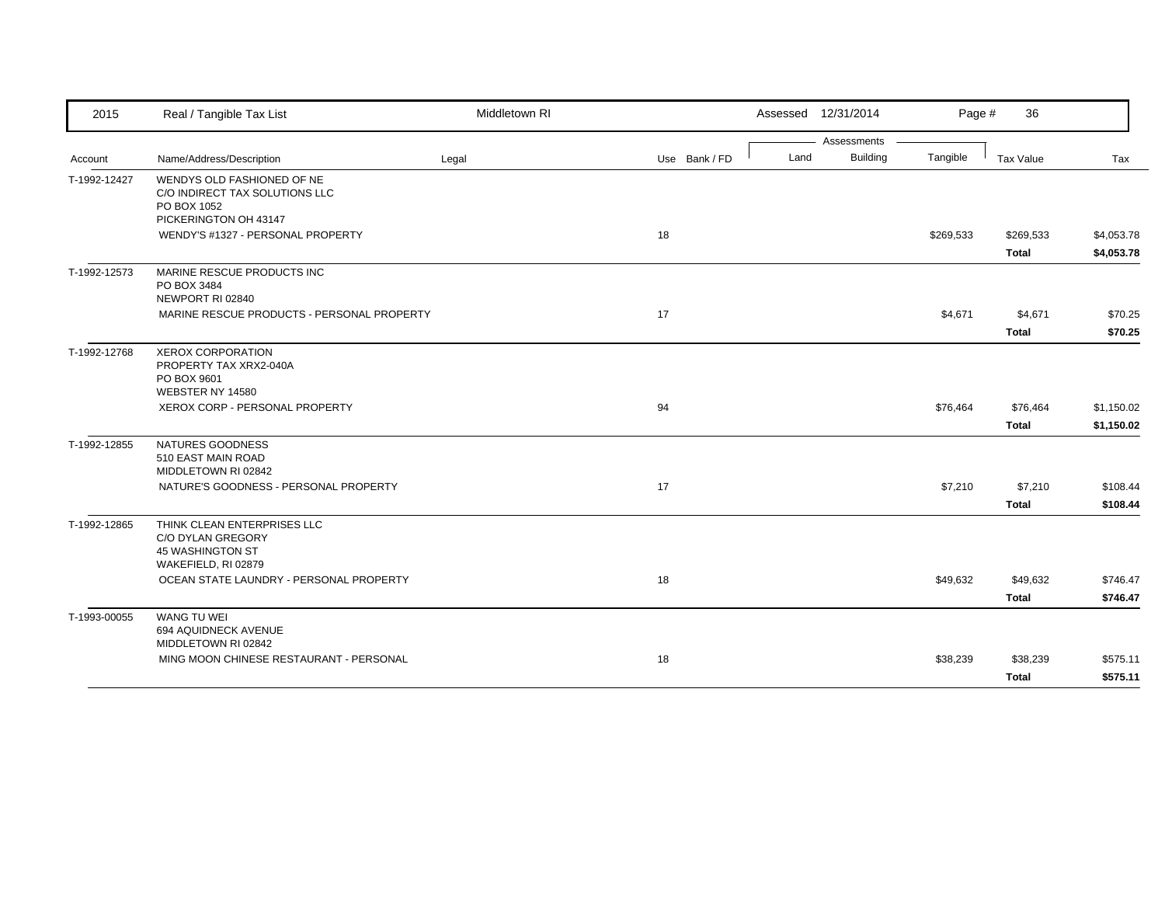| 2015         | Real / Tangible Tax List                                                                               | Middletown RI |               | Assessed 12/31/2014                    | Page #    | 36                        |                          |
|--------------|--------------------------------------------------------------------------------------------------------|---------------|---------------|----------------------------------------|-----------|---------------------------|--------------------------|
| Account      | Name/Address/Description                                                                               | Legal         | Use Bank / FD | Assessments<br><b>Building</b><br>Land | Tangible  | Tax Value                 | Tax                      |
| T-1992-12427 | WENDYS OLD FASHIONED OF NE<br>C/O INDIRECT TAX SOLUTIONS LLC<br>PO BOX 1052                            |               |               |                                        |           |                           |                          |
|              | PICKERINGTON OH 43147<br>WENDY'S #1327 - PERSONAL PROPERTY                                             |               | 18            |                                        | \$269,533 | \$269,533<br><b>Total</b> | \$4,053.78<br>\$4,053.78 |
| T-1992-12573 | MARINE RESCUE PRODUCTS INC<br>PO BOX 3484<br>NEWPORT RI 02840                                          |               |               |                                        |           |                           |                          |
|              | MARINE RESCUE PRODUCTS - PERSONAL PROPERTY                                                             |               | 17            |                                        | \$4,671   | \$4,671<br><b>Total</b>   | \$70.25<br>\$70.25       |
| T-1992-12768 | <b>XEROX CORPORATION</b><br>PROPERTY TAX XRX2-040A<br>PO BOX 9601<br>WEBSTER NY 14580                  |               |               |                                        |           |                           |                          |
|              | XEROX CORP - PERSONAL PROPERTY                                                                         |               | 94            |                                        | \$76,464  | \$76,464<br><b>Total</b>  | \$1,150.02<br>\$1,150.02 |
| T-1992-12855 | NATURES GOODNESS<br>510 EAST MAIN ROAD<br>MIDDLETOWN RI 02842<br>NATURE'S GOODNESS - PERSONAL PROPERTY |               | 17            |                                        | \$7,210   | \$7,210                   | \$108.44                 |
|              |                                                                                                        |               |               |                                        |           | <b>Total</b>              | \$108.44                 |
| T-1992-12865 | THINK CLEAN ENTERPRISES LLC<br>C/O DYLAN GREGORY<br>45 WASHINGTON ST<br>WAKEFIELD, RI 02879            |               |               |                                        |           |                           |                          |
|              | OCEAN STATE LAUNDRY - PERSONAL PROPERTY                                                                |               | 18            |                                        | \$49,632  | \$49,632<br><b>Total</b>  | \$746.47<br>\$746.47     |
| T-1993-00055 | <b>WANG TU WEI</b><br>694 AQUIDNECK AVENUE<br>MIDDLETOWN RI 02842                                      |               |               |                                        |           |                           |                          |
|              | MING MOON CHINESE RESTAURANT - PERSONAL                                                                |               | 18            |                                        | \$38,239  | \$38,239<br><b>Total</b>  | \$575.11<br>\$575.11     |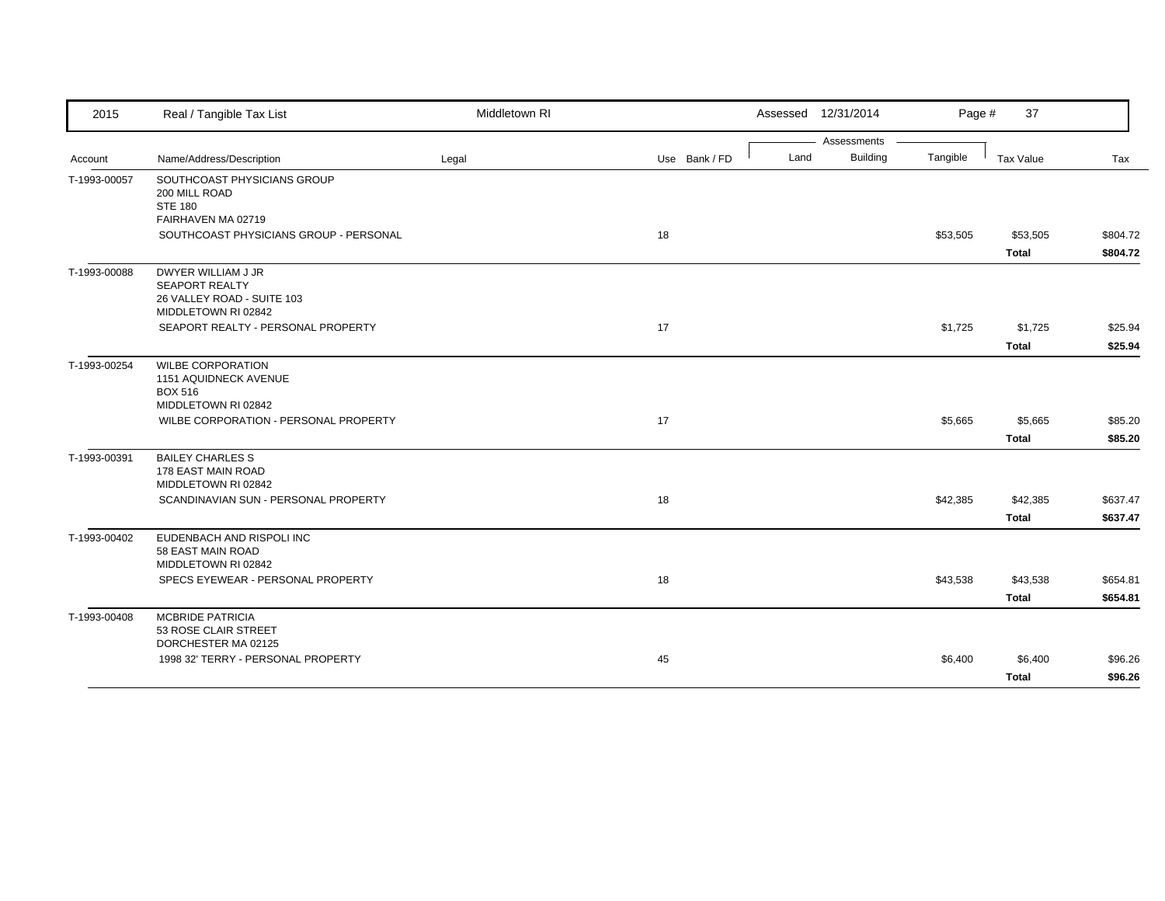| 2015         | Real / Tangible Tax List                                                                                     | Middletown RI |               | Assessed 12/31/2014 |                 | Page #   | 37           |          |
|--------------|--------------------------------------------------------------------------------------------------------------|---------------|---------------|---------------------|-----------------|----------|--------------|----------|
|              |                                                                                                              |               |               |                     | Assessments     |          |              |          |
| Account      | Name/Address/Description                                                                                     | Legal         | Use Bank / FD | Land                | <b>Building</b> | Tangible | Tax Value    | Tax      |
| T-1993-00057 | SOUTHCOAST PHYSICIANS GROUP<br>200 MILL ROAD<br><b>STE 180</b>                                               |               |               |                     |                 |          |              |          |
|              | FAIRHAVEN MA 02719                                                                                           |               |               |                     |                 |          |              |          |
|              | SOUTHCOAST PHYSICIANS GROUP - PERSONAL                                                                       |               | 18            |                     |                 | \$53,505 | \$53,505     | \$804.72 |
|              |                                                                                                              |               |               |                     |                 |          | <b>Total</b> | \$804.72 |
| T-1993-00088 | DWYER WILLIAM J JR<br><b>SEAPORT REALTY</b><br>26 VALLEY ROAD - SUITE 103<br>MIDDLETOWN RI 02842             |               |               |                     |                 |          |              |          |
|              | SEAPORT REALTY - PERSONAL PROPERTY                                                                           |               | 17            |                     |                 | \$1,725  | \$1,725      | \$25.94  |
|              |                                                                                                              |               |               |                     |                 |          | <b>Total</b> | \$25.94  |
| T-1993-00254 | <b>WILBE CORPORATION</b><br>1151 AQUIDNECK AVENUE<br><b>BOX 516</b><br>MIDDLETOWN RI 02842                   |               |               |                     |                 |          |              |          |
|              | WILBE CORPORATION - PERSONAL PROPERTY                                                                        |               | 17            |                     |                 | \$5,665  | \$5,665      | \$85.20  |
|              |                                                                                                              |               |               |                     |                 |          | <b>Total</b> | \$85.20  |
| T-1993-00391 | <b>BAILEY CHARLES S</b><br>178 EAST MAIN ROAD<br>MIDDLETOWN RI 02842<br>SCANDINAVIAN SUN - PERSONAL PROPERTY |               | 18            |                     |                 | \$42,385 | \$42,385     | \$637.47 |
|              |                                                                                                              |               |               |                     |                 |          | <b>Total</b> | \$637.47 |
| T-1993-00402 | EUDENBACH AND RISPOLI INC<br>58 EAST MAIN ROAD<br>MIDDLETOWN RI 02842                                        |               |               |                     |                 |          |              |          |
|              | SPECS EYEWEAR - PERSONAL PROPERTY                                                                            |               | 18            |                     |                 | \$43,538 | \$43,538     | \$654.81 |
|              |                                                                                                              |               |               |                     |                 |          | <b>Total</b> | \$654.81 |
| T-1993-00408 | <b>MCBRIDE PATRICIA</b><br>53 ROSE CLAIR STREET<br>DORCHESTER MA 02125                                       |               |               |                     |                 |          |              |          |
|              | 1998 32' TERRY - PERSONAL PROPERTY                                                                           |               | 45            |                     |                 | \$6,400  | \$6,400      | \$96.26  |
|              |                                                                                                              |               |               |                     |                 |          | <b>Total</b> | \$96.26  |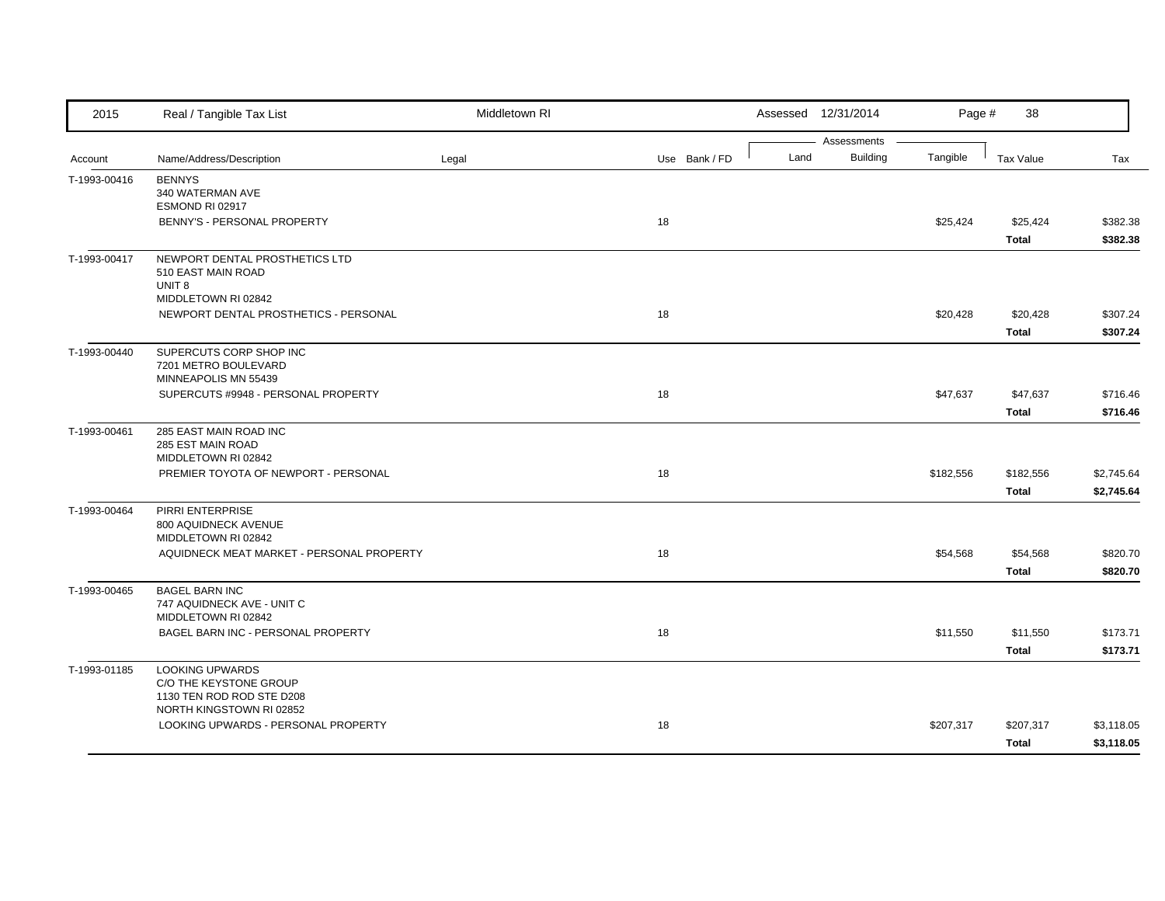| 2015         | Real / Tangible Tax List                              | Middletown RI |               |      | Assessed 12/31/2014            | Page #    | 38               |            |
|--------------|-------------------------------------------------------|---------------|---------------|------|--------------------------------|-----------|------------------|------------|
| Account      | Name/Address/Description                              | Legal         | Use Bank / FD | Land | Assessments<br><b>Building</b> | Tangible  | <b>Tax Value</b> | Tax        |
| T-1993-00416 | <b>BENNYS</b>                                         |               |               |      |                                |           |                  |            |
|              | 340 WATERMAN AVE                                      |               |               |      |                                |           |                  |            |
|              | ESMOND RI 02917                                       |               |               |      |                                |           |                  |            |
|              | BENNY'S - PERSONAL PROPERTY                           |               | 18            |      |                                | \$25,424  | \$25,424         | \$382.38   |
|              |                                                       |               |               |      |                                |           | <b>Total</b>     | \$382.38   |
| T-1993-00417 | NEWPORT DENTAL PROSTHETICS LTD                        |               |               |      |                                |           |                  |            |
|              | 510 EAST MAIN ROAD                                    |               |               |      |                                |           |                  |            |
|              | UNIT <sub>8</sub><br>MIDDLETOWN RI 02842              |               |               |      |                                |           |                  |            |
|              | NEWPORT DENTAL PROSTHETICS - PERSONAL                 |               | 18            |      |                                | \$20,428  | \$20,428         | \$307.24   |
|              |                                                       |               |               |      |                                |           | Total            | \$307.24   |
|              |                                                       |               |               |      |                                |           |                  |            |
| T-1993-00440 | SUPERCUTS CORP SHOP INC<br>7201 METRO BOULEVARD       |               |               |      |                                |           |                  |            |
|              | MINNEAPOLIS MN 55439                                  |               |               |      |                                |           |                  |            |
|              | SUPERCUTS #9948 - PERSONAL PROPERTY                   |               | 18            |      |                                | \$47,637  | \$47,637         | \$716.46   |
|              |                                                       |               |               |      |                                |           | <b>Total</b>     | \$716.46   |
| T-1993-00461 | 285 EAST MAIN ROAD INC                                |               |               |      |                                |           |                  |            |
|              | 285 EST MAIN ROAD                                     |               |               |      |                                |           |                  |            |
|              | MIDDLETOWN RI 02842                                   |               |               |      |                                |           |                  |            |
|              | PREMIER TOYOTA OF NEWPORT - PERSONAL                  |               | 18            |      |                                | \$182,556 | \$182,556        | \$2,745.64 |
|              |                                                       |               |               |      |                                |           | <b>Total</b>     | \$2,745.64 |
| T-1993-00464 | PIRRI ENTERPRISE                                      |               |               |      |                                |           |                  |            |
|              | 800 AQUIDNECK AVENUE<br>MIDDLETOWN RI 02842           |               |               |      |                                |           |                  |            |
|              | AQUIDNECK MEAT MARKET - PERSONAL PROPERTY             |               | 18            |      |                                | \$54,568  | \$54,568         | \$820.70   |
|              |                                                       |               |               |      |                                |           | Total            | \$820.70   |
| T-1993-00465 | <b>BAGEL BARN INC</b>                                 |               |               |      |                                |           |                  |            |
|              | 747 AQUIDNECK AVE - UNIT C                            |               |               |      |                                |           |                  |            |
|              | MIDDLETOWN RI 02842                                   |               |               |      |                                |           |                  |            |
|              | BAGEL BARN INC - PERSONAL PROPERTY                    |               | 18            |      |                                | \$11,550  | \$11,550         | \$173.71   |
|              |                                                       |               |               |      |                                |           | <b>Total</b>     | \$173.71   |
| T-1993-01185 | <b>LOOKING UPWARDS</b>                                |               |               |      |                                |           |                  |            |
|              | C/O THE KEYSTONE GROUP                                |               |               |      |                                |           |                  |            |
|              | 1130 TEN ROD ROD STE D208<br>NORTH KINGSTOWN RI 02852 |               |               |      |                                |           |                  |            |
|              | LOOKING UPWARDS - PERSONAL PROPERTY                   |               | 18            |      |                                | \$207,317 | \$207,317        | \$3,118.05 |
|              |                                                       |               |               |      |                                |           | <b>Total</b>     | \$3,118.05 |
|              |                                                       |               |               |      |                                |           |                  |            |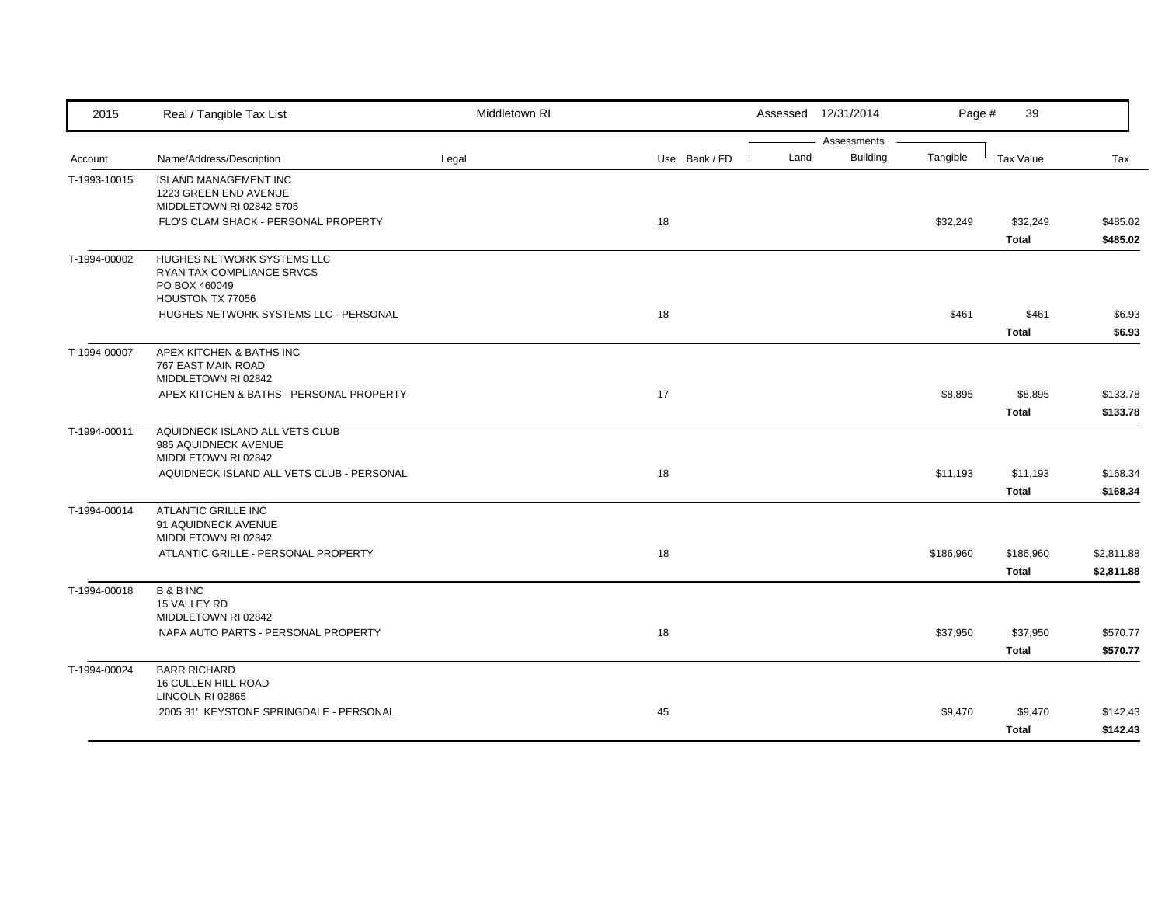| 2015         | Real / Tangible Tax List                               | Middletown RI |               |      | Assessed 12/31/2014 | Page #    | 39               |            |
|--------------|--------------------------------------------------------|---------------|---------------|------|---------------------|-----------|------------------|------------|
|              |                                                        |               |               |      | Assessments         |           |                  |            |
| Account      | Name/Address/Description                               | Legal         | Use Bank / FD | Land | <b>Building</b>     | Tangible  | <b>Tax Value</b> | Tax        |
| T-1993-10015 | <b>ISLAND MANAGEMENT INC</b>                           |               |               |      |                     |           |                  |            |
|              | 1223 GREEN END AVENUE<br>MIDDLETOWN RI 02842-5705      |               |               |      |                     |           |                  |            |
|              | FLO'S CLAM SHACK - PERSONAL PROPERTY                   |               | 18            |      |                     | \$32,249  | \$32,249         | \$485.02   |
|              |                                                        |               |               |      |                     |           | <b>Total</b>     | \$485.02   |
| T-1994-00002 | HUGHES NETWORK SYSTEMS LLC                             |               |               |      |                     |           |                  |            |
|              | RYAN TAX COMPLIANCE SRVCS                              |               |               |      |                     |           |                  |            |
|              | PO BOX 460049                                          |               |               |      |                     |           |                  |            |
|              | HOUSTON TX 77056                                       |               |               |      |                     |           |                  |            |
|              | HUGHES NETWORK SYSTEMS LLC - PERSONAL                  |               | 18            |      |                     | \$461     | \$461            | \$6.93     |
|              |                                                        |               |               |      |                     |           | <b>Total</b>     | \$6.93     |
| T-1994-00007 | APEX KITCHEN & BATHS INC                               |               |               |      |                     |           |                  |            |
|              | 767 EAST MAIN ROAD<br>MIDDLETOWN RI 02842              |               |               |      |                     |           |                  |            |
|              | APEX KITCHEN & BATHS - PERSONAL PROPERTY               |               | 17            |      |                     | \$8,895   | \$8,895          | \$133.78   |
|              |                                                        |               |               |      |                     |           |                  |            |
|              |                                                        |               |               |      |                     |           | <b>Total</b>     | \$133.78   |
| T-1994-00011 | AQUIDNECK ISLAND ALL VETS CLUB<br>985 AQUIDNECK AVENUE |               |               |      |                     |           |                  |            |
|              | MIDDLETOWN RI 02842                                    |               |               |      |                     |           |                  |            |
|              | AQUIDNECK ISLAND ALL VETS CLUB - PERSONAL              |               | 18            |      |                     | \$11,193  | \$11,193         | \$168.34   |
|              |                                                        |               |               |      |                     |           | <b>Total</b>     | \$168.34   |
| T-1994-00014 | ATLANTIC GRILLE INC                                    |               |               |      |                     |           |                  |            |
|              | 91 AQUIDNECK AVENUE                                    |               |               |      |                     |           |                  |            |
|              | MIDDLETOWN RI 02842                                    |               |               |      |                     |           |                  |            |
|              | ATLANTIC GRILLE - PERSONAL PROPERTY                    |               | 18            |      |                     | \$186,960 | \$186,960        | \$2,811.88 |
|              |                                                        |               |               |      |                     |           | <b>Total</b>     | \$2,811.88 |
| T-1994-00018 | <b>B&amp;BINC</b>                                      |               |               |      |                     |           |                  |            |
|              | 15 VALLEY RD                                           |               |               |      |                     |           |                  |            |
|              | MIDDLETOWN RI 02842                                    |               |               |      |                     |           |                  |            |
|              | NAPA AUTO PARTS - PERSONAL PROPERTY                    |               | 18            |      |                     | \$37,950  | \$37,950         | \$570.77   |
|              |                                                        |               |               |      |                     |           | <b>Total</b>     | \$570.77   |
| T-1994-00024 | <b>BARR RICHARD</b>                                    |               |               |      |                     |           |                  |            |
|              | 16 CULLEN HILL ROAD<br>LINCOLN RI 02865                |               |               |      |                     |           |                  |            |
|              | 2005 31' KEYSTONE SPRINGDALE - PERSONAL                |               | 45            |      |                     | \$9,470   | \$9,470          | \$142.43   |
|              |                                                        |               |               |      |                     |           | <b>Total</b>     | \$142.43   |
|              |                                                        |               |               |      |                     |           |                  |            |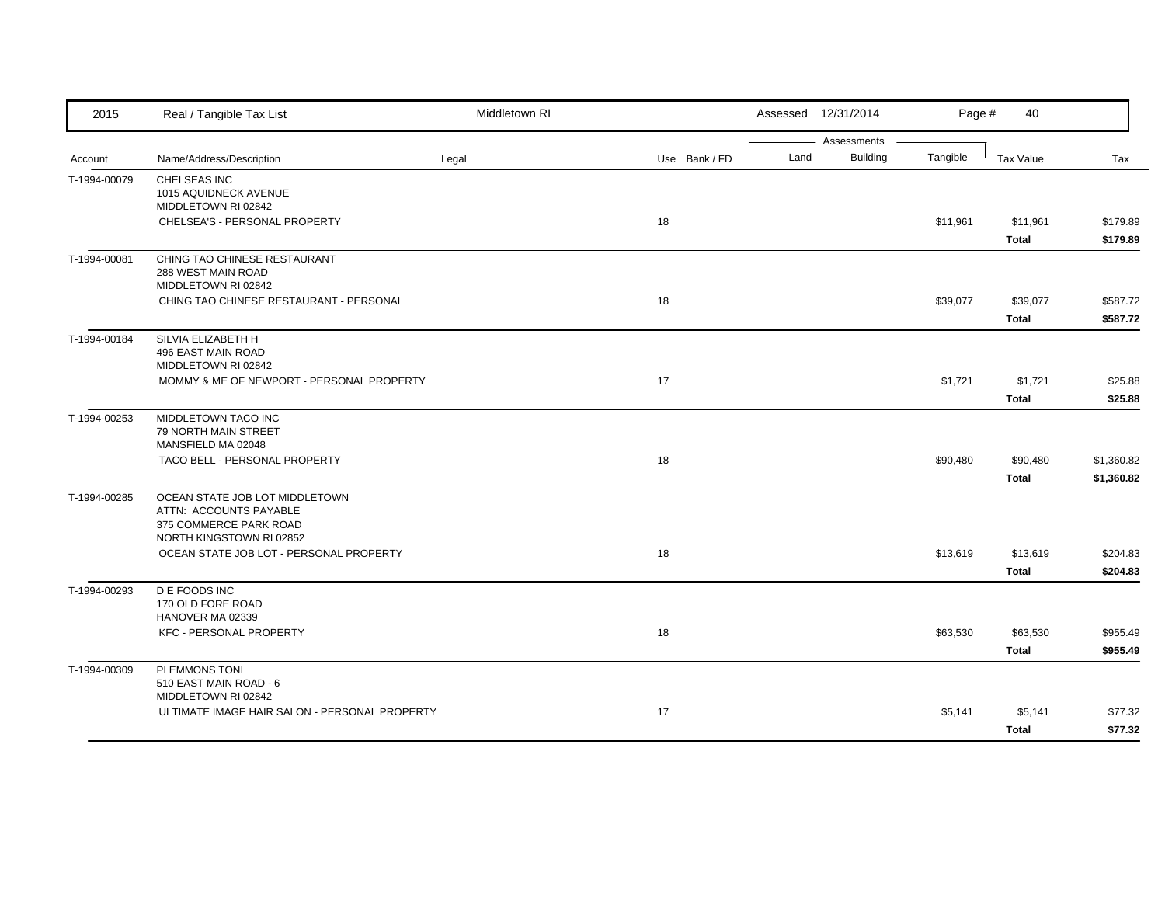| 2015         | Real / Tangible Tax List                                                                                       | Middletown RI |               |      | Assessed 12/31/2014            | Page #   | 40               |            |
|--------------|----------------------------------------------------------------------------------------------------------------|---------------|---------------|------|--------------------------------|----------|------------------|------------|
|              |                                                                                                                |               |               | Land | Assessments<br><b>Building</b> | Tangible |                  |            |
| Account      | Name/Address/Description                                                                                       | Legal         | Use Bank / FD |      |                                |          | <b>Tax Value</b> | Tax        |
| T-1994-00079 | CHELSEAS INC<br>1015 AQUIDNECK AVENUE<br>MIDDLETOWN RI 02842                                                   |               |               |      |                                |          |                  |            |
|              | CHELSEA'S - PERSONAL PROPERTY                                                                                  |               | 18            |      |                                | \$11,961 | \$11,961         | \$179.89   |
|              |                                                                                                                |               |               |      |                                |          | <b>Total</b>     | \$179.89   |
| T-1994-00081 | CHING TAO CHINESE RESTAURANT<br>288 WEST MAIN ROAD<br>MIDDLETOWN RI 02842                                      |               |               |      |                                |          |                  |            |
|              | CHING TAO CHINESE RESTAURANT - PERSONAL                                                                        |               | 18            |      |                                | \$39,077 | \$39,077         | \$587.72   |
|              |                                                                                                                |               |               |      |                                |          | <b>Total</b>     | \$587.72   |
| T-1994-00184 | SILVIA ELIZABETH H<br>496 EAST MAIN ROAD<br>MIDDLETOWN RI 02842                                                |               |               |      |                                |          |                  |            |
|              | MOMMY & ME OF NEWPORT - PERSONAL PROPERTY                                                                      |               | 17            |      |                                | \$1,721  | \$1,721          | \$25.88    |
|              |                                                                                                                |               |               |      |                                |          | <b>Total</b>     | \$25.88    |
| T-1994-00253 | MIDDLETOWN TACO INC<br>79 NORTH MAIN STREET<br>MANSFIELD MA 02048                                              |               |               |      |                                |          |                  |            |
|              | TACO BELL - PERSONAL PROPERTY                                                                                  |               | 18            |      |                                | \$90,480 | \$90,480         | \$1,360.82 |
|              |                                                                                                                |               |               |      |                                |          | <b>Total</b>     | \$1,360.82 |
| T-1994-00285 | OCEAN STATE JOB LOT MIDDLETOWN<br>ATTN: ACCOUNTS PAYABLE<br>375 COMMERCE PARK ROAD<br>NORTH KINGSTOWN RI 02852 |               |               |      |                                |          |                  |            |
|              | OCEAN STATE JOB LOT - PERSONAL PROPERTY                                                                        |               | 18            |      |                                | \$13,619 | \$13,619         | \$204.83   |
|              |                                                                                                                |               |               |      |                                |          | <b>Total</b>     | \$204.83   |
| T-1994-00293 | <b>DE FOODS INC</b><br>170 OLD FORE ROAD<br>HANOVER MA 02339                                                   |               |               |      |                                |          |                  |            |
|              | <b>KFC - PERSONAL PROPERTY</b>                                                                                 |               | 18            |      |                                | \$63,530 | \$63,530         | \$955.49   |
|              |                                                                                                                |               |               |      |                                |          | <b>Total</b>     | \$955.49   |
| T-1994-00309 | PLEMMONS TONI<br>510 EAST MAIN ROAD - 6<br>MIDDLETOWN RI 02842                                                 |               |               |      |                                |          |                  |            |
|              | ULTIMATE IMAGE HAIR SALON - PERSONAL PROPERTY                                                                  |               | 17            |      |                                | \$5,141  | \$5,141          | \$77.32    |
|              |                                                                                                                |               |               |      |                                |          | <b>Total</b>     | \$77.32    |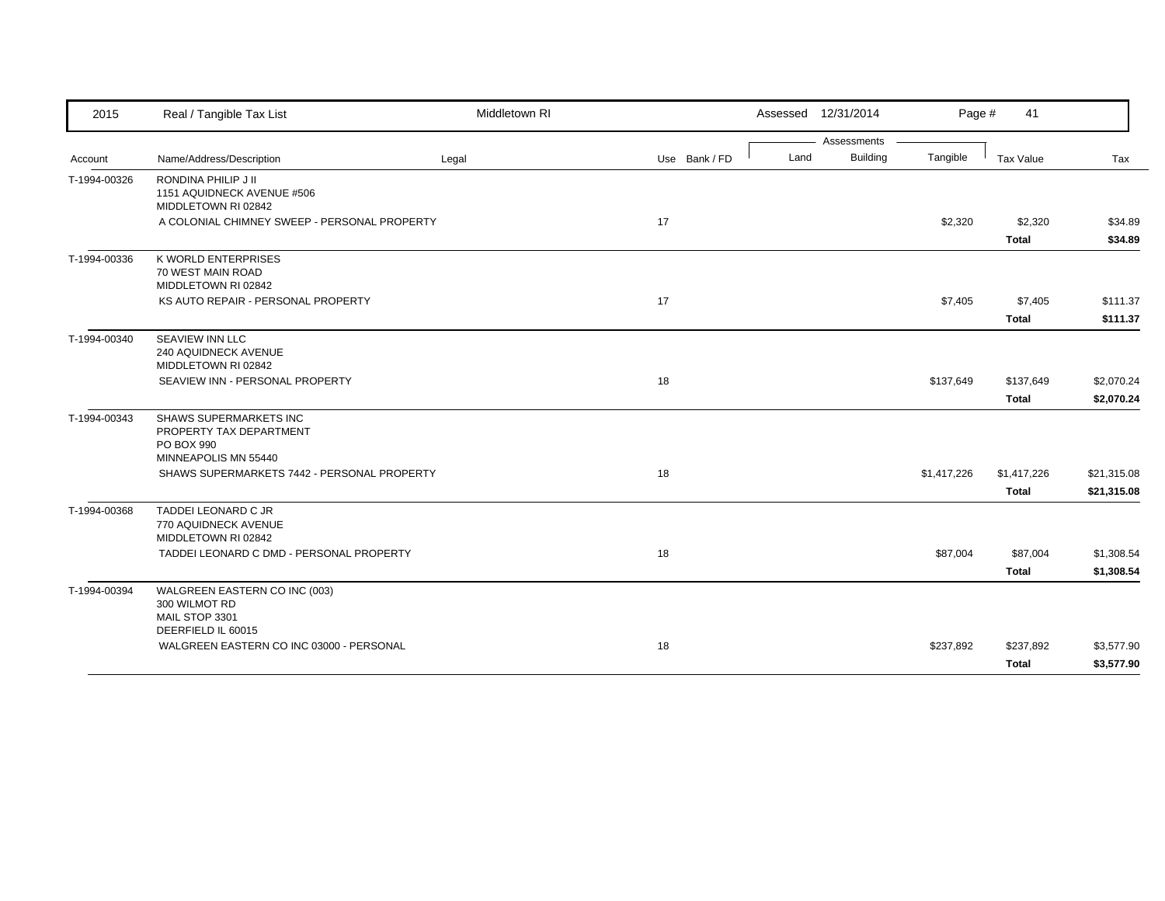| 2015         | Real / Tangible Tax List                                                                | Middletown RI |               | Assessed 12/31/2014 |             | Page #      | 41                          |                            |
|--------------|-----------------------------------------------------------------------------------------|---------------|---------------|---------------------|-------------|-------------|-----------------------------|----------------------------|
|              |                                                                                         |               |               |                     | Assessments |             |                             |                            |
| Account      | Name/Address/Description                                                                | Legal         | Use Bank / FD | Land                | Building    | Tangible    | Tax Value                   | Tax                        |
| T-1994-00326 | RONDINA PHILIP J II<br>1151 AQUIDNECK AVENUE #506<br>MIDDLETOWN RI 02842                |               |               |                     |             |             |                             |                            |
|              | A COLONIAL CHIMNEY SWEEP - PERSONAL PROPERTY                                            |               | 17            |                     |             | \$2,320     | \$2,320<br><b>Total</b>     | \$34.89<br>\$34.89         |
| T-1994-00336 | <b>K WORLD ENTERPRISES</b><br>70 WEST MAIN ROAD<br>MIDDLETOWN RI 02842                  |               |               |                     |             |             |                             |                            |
|              | KS AUTO REPAIR - PERSONAL PROPERTY                                                      |               | 17            |                     |             | \$7,405     | \$7,405                     | \$111.37                   |
|              |                                                                                         |               |               |                     |             |             | <b>Total</b>                | \$111.37                   |
| T-1994-00340 | SEAVIEW INN LLC<br>240 AQUIDNECK AVENUE<br>MIDDLETOWN RI 02842                          |               |               |                     |             |             |                             |                            |
|              | SEAVIEW INN - PERSONAL PROPERTY                                                         |               | 18            |                     |             | \$137,649   | \$137,649                   | \$2,070.24                 |
|              |                                                                                         |               |               |                     |             |             | <b>Total</b>                | \$2,070.24                 |
| T-1994-00343 | SHAWS SUPERMARKETS INC<br>PROPERTY TAX DEPARTMENT<br>PO BOX 990<br>MINNEAPOLIS MN 55440 |               |               |                     |             |             |                             |                            |
|              | SHAWS SUPERMARKETS 7442 - PERSONAL PROPERTY                                             |               | 18            |                     |             | \$1,417,226 | \$1,417,226<br><b>Total</b> | \$21,315.08<br>\$21,315.08 |
| T-1994-00368 | TADDEI LEONARD C JR<br>770 AQUIDNECK AVENUE<br>MIDDLETOWN RI 02842                      |               |               |                     |             |             |                             |                            |
|              | TADDEI LEONARD C DMD - PERSONAL PROPERTY                                                |               | 18            |                     |             | \$87,004    | \$87,004<br><b>Total</b>    | \$1,308.54<br>\$1,308.54   |
| T-1994-00394 | WALGREEN EASTERN CO INC (003)<br>300 WILMOT RD<br>MAIL STOP 3301<br>DEERFIELD IL 60015  |               |               |                     |             |             |                             |                            |
|              | WALGREEN EASTERN CO INC 03000 - PERSONAL                                                |               | 18            |                     |             | \$237,892   | \$237,892<br><b>Total</b>   | \$3,577.90<br>\$3,577.90   |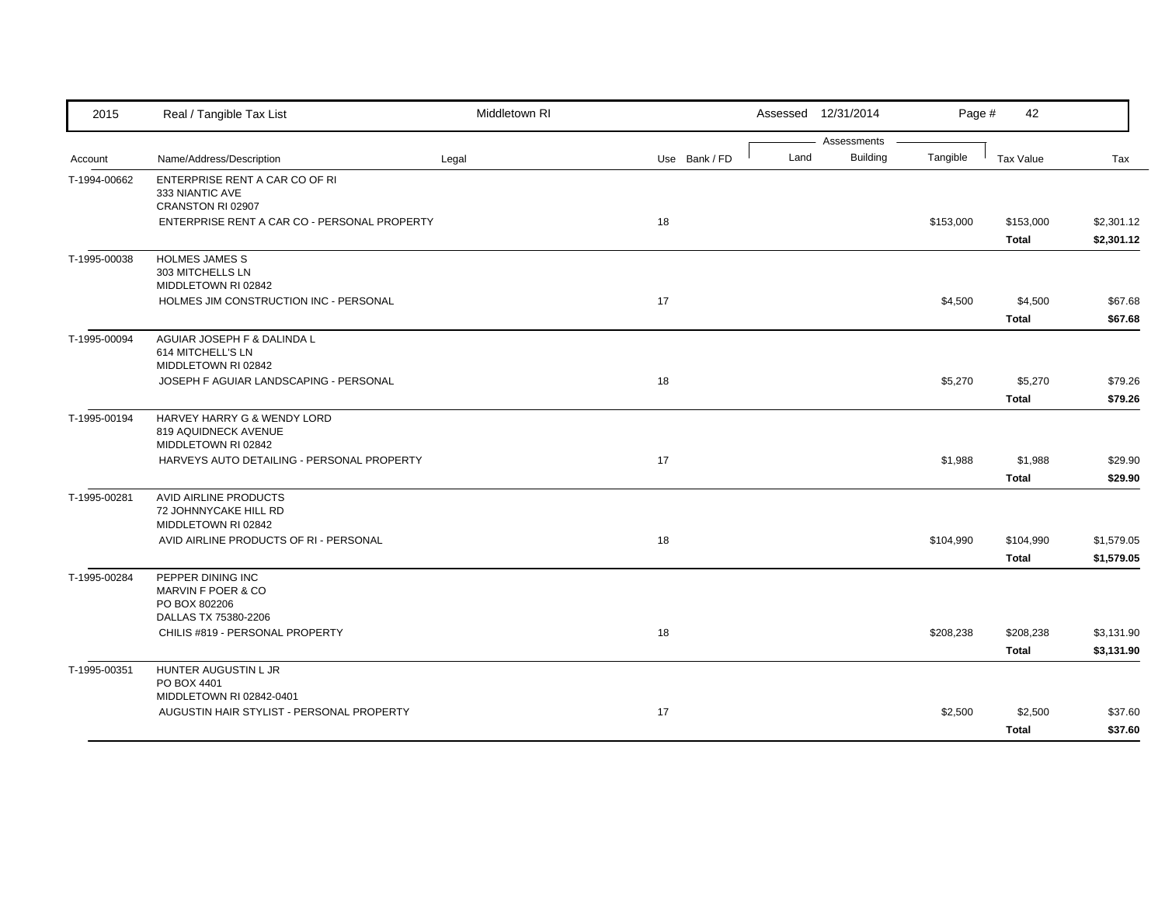| 2015         | Real / Tangible Tax List                          | Middletown RI |    |               |      | Assessed 12/31/2014 | Page #    | 42               |            |
|--------------|---------------------------------------------------|---------------|----|---------------|------|---------------------|-----------|------------------|------------|
|              |                                                   |               |    |               |      | Assessments         |           |                  |            |
| Account      | Name/Address/Description                          | Legal         |    | Use Bank / FD | Land | <b>Building</b>     | Tangible  | <b>Tax Value</b> | Tax        |
| T-1994-00662 | ENTERPRISE RENT A CAR CO OF RI<br>333 NIANTIC AVE |               |    |               |      |                     |           |                  |            |
|              | CRANSTON RI 02907                                 |               |    |               |      |                     |           |                  |            |
|              | ENTERPRISE RENT A CAR CO - PERSONAL PROPERTY      |               | 18 |               |      |                     | \$153,000 | \$153,000        | \$2,301.12 |
|              |                                                   |               |    |               |      |                     |           | <b>Total</b>     | \$2,301.12 |
| T-1995-00038 | HOLMES JAMES S                                    |               |    |               |      |                     |           |                  |            |
|              | 303 MITCHELLS LN                                  |               |    |               |      |                     |           |                  |            |
|              | MIDDLETOWN RI 02842                               |               |    |               |      |                     |           |                  |            |
|              | HOLMES JIM CONSTRUCTION INC - PERSONAL            |               | 17 |               |      |                     | \$4,500   | \$4,500          | \$67.68    |
|              |                                                   |               |    |               |      |                     |           | <b>Total</b>     | \$67.68    |
| T-1995-00094 | AGUIAR JOSEPH F & DALINDA L                       |               |    |               |      |                     |           |                  |            |
|              | 614 MITCHELL'S LN<br>MIDDLETOWN RI 02842          |               |    |               |      |                     |           |                  |            |
|              | JOSEPH F AGUIAR LANDSCAPING - PERSONAL            |               | 18 |               |      |                     | \$5,270   | \$5,270          | \$79.26    |
|              |                                                   |               |    |               |      |                     |           | <b>Total</b>     | \$79.26    |
| T-1995-00194 | HARVEY HARRY G & WENDY LORD                       |               |    |               |      |                     |           |                  |            |
|              | 819 AQUIDNECK AVENUE                              |               |    |               |      |                     |           |                  |            |
|              | MIDDLETOWN RI 02842                               |               |    |               |      |                     |           |                  |            |
|              | HARVEYS AUTO DETAILING - PERSONAL PROPERTY        |               | 17 |               |      |                     | \$1,988   | \$1,988          | \$29.90    |
|              |                                                   |               |    |               |      |                     |           | <b>Total</b>     | \$29.90    |
| T-1995-00281 | AVID AIRLINE PRODUCTS                             |               |    |               |      |                     |           |                  |            |
|              | 72 JOHNNYCAKE HILL RD                             |               |    |               |      |                     |           |                  |            |
|              | MIDDLETOWN RI 02842                               |               |    |               |      |                     |           |                  |            |
|              | AVID AIRLINE PRODUCTS OF RI - PERSONAL            |               | 18 |               |      |                     | \$104,990 | \$104,990        | \$1,579.05 |
|              |                                                   |               |    |               |      |                     |           | <b>Total</b>     | \$1,579.05 |
| T-1995-00284 | PEPPER DINING INC                                 |               |    |               |      |                     |           |                  |            |
|              | MARVIN F POER & CO<br>PO BOX 802206               |               |    |               |      |                     |           |                  |            |
|              | DALLAS TX 75380-2206                              |               |    |               |      |                     |           |                  |            |
|              | CHILIS #819 - PERSONAL PROPERTY                   |               | 18 |               |      |                     | \$208,238 | \$208,238        | \$3,131.90 |
|              |                                                   |               |    |               |      |                     |           | <b>Total</b>     | \$3,131.90 |
| T-1995-00351 | HUNTER AUGUSTIN L JR                              |               |    |               |      |                     |           |                  |            |
|              | PO BOX 4401                                       |               |    |               |      |                     |           |                  |            |
|              | MIDDLETOWN RI 02842-0401                          |               |    |               |      |                     |           |                  |            |
|              | AUGUSTIN HAIR STYLIST - PERSONAL PROPERTY         |               | 17 |               |      |                     | \$2,500   | \$2,500          | \$37.60    |
|              |                                                   |               |    |               |      |                     |           | <b>Total</b>     | \$37.60    |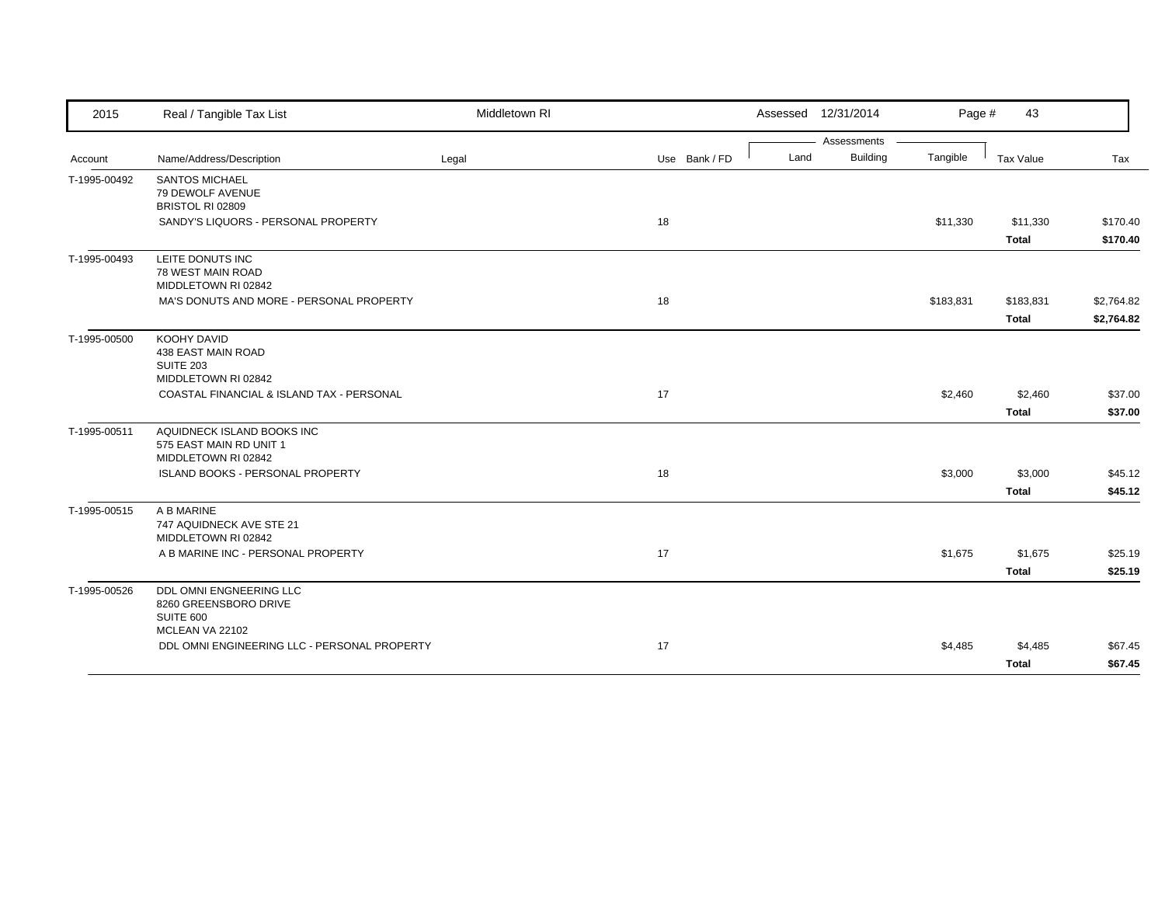| 2015         | Real / Tangible Tax List                                                         | Middletown RI |               |      | Assessed 12/31/2014 | Page #    | 43           |            |
|--------------|----------------------------------------------------------------------------------|---------------|---------------|------|---------------------|-----------|--------------|------------|
|              |                                                                                  |               |               |      | Assessments         |           |              |            |
| Account      | Name/Address/Description                                                         | Legal         | Use Bank / FD | Land | <b>Building</b>     | Tangible  | Tax Value    | Tax        |
| T-1995-00492 | <b>SANTOS MICHAEL</b><br>79 DEWOLF AVENUE<br>BRISTOL RI 02809                    |               |               |      |                     |           |              |            |
|              | SANDY'S LIQUORS - PERSONAL PROPERTY                                              |               | 18            |      |                     | \$11,330  | \$11,330     | \$170.40   |
|              |                                                                                  |               |               |      |                     |           | <b>Total</b> | \$170.40   |
| T-1995-00493 | LEITE DONUTS INC<br>78 WEST MAIN ROAD<br>MIDDLETOWN RI 02842                     |               |               |      |                     |           |              |            |
|              | MA'S DONUTS AND MORE - PERSONAL PROPERTY                                         |               | 18            |      |                     | \$183,831 | \$183,831    | \$2,764.82 |
|              |                                                                                  |               |               |      |                     |           | <b>Total</b> | \$2,764.82 |
| T-1995-00500 | KOOHY DAVID<br>438 EAST MAIN ROAD<br>SUITE 203                                   |               |               |      |                     |           |              |            |
|              | MIDDLETOWN RI 02842<br>COASTAL FINANCIAL & ISLAND TAX - PERSONAL                 |               | 17            |      |                     | \$2,460   | \$2,460      | \$37.00    |
|              |                                                                                  |               |               |      |                     |           | <b>Total</b> | \$37.00    |
| T-1995-00511 | AQUIDNECK ISLAND BOOKS INC                                                       |               |               |      |                     |           |              |            |
|              | 575 EAST MAIN RD UNIT 1<br>MIDDLETOWN RI 02842                                   |               |               |      |                     |           |              |            |
|              | ISLAND BOOKS - PERSONAL PROPERTY                                                 |               | 18            |      |                     | \$3,000   | \$3,000      | \$45.12    |
|              |                                                                                  |               |               |      |                     |           | <b>Total</b> | \$45.12    |
| T-1995-00515 | A B MARINE<br>747 AQUIDNECK AVE STE 21<br>MIDDLETOWN RI 02842                    |               |               |      |                     |           |              |            |
|              | A B MARINE INC - PERSONAL PROPERTY                                               |               | 17            |      |                     | \$1,675   | \$1,675      | \$25.19    |
|              |                                                                                  |               |               |      |                     |           | <b>Total</b> | \$25.19    |
| T-1995-00526 | DDL OMNI ENGNEERING LLC<br>8260 GREENSBORO DRIVE<br>SUITE 600<br>MCLEAN VA 22102 |               |               |      |                     |           |              |            |
|              | DDL OMNI ENGINEERING LLC - PERSONAL PROPERTY                                     |               | 17            |      |                     | \$4,485   | \$4,485      | \$67.45    |
|              |                                                                                  |               |               |      |                     |           | <b>Total</b> | \$67.45    |
|              |                                                                                  |               |               |      |                     |           |              |            |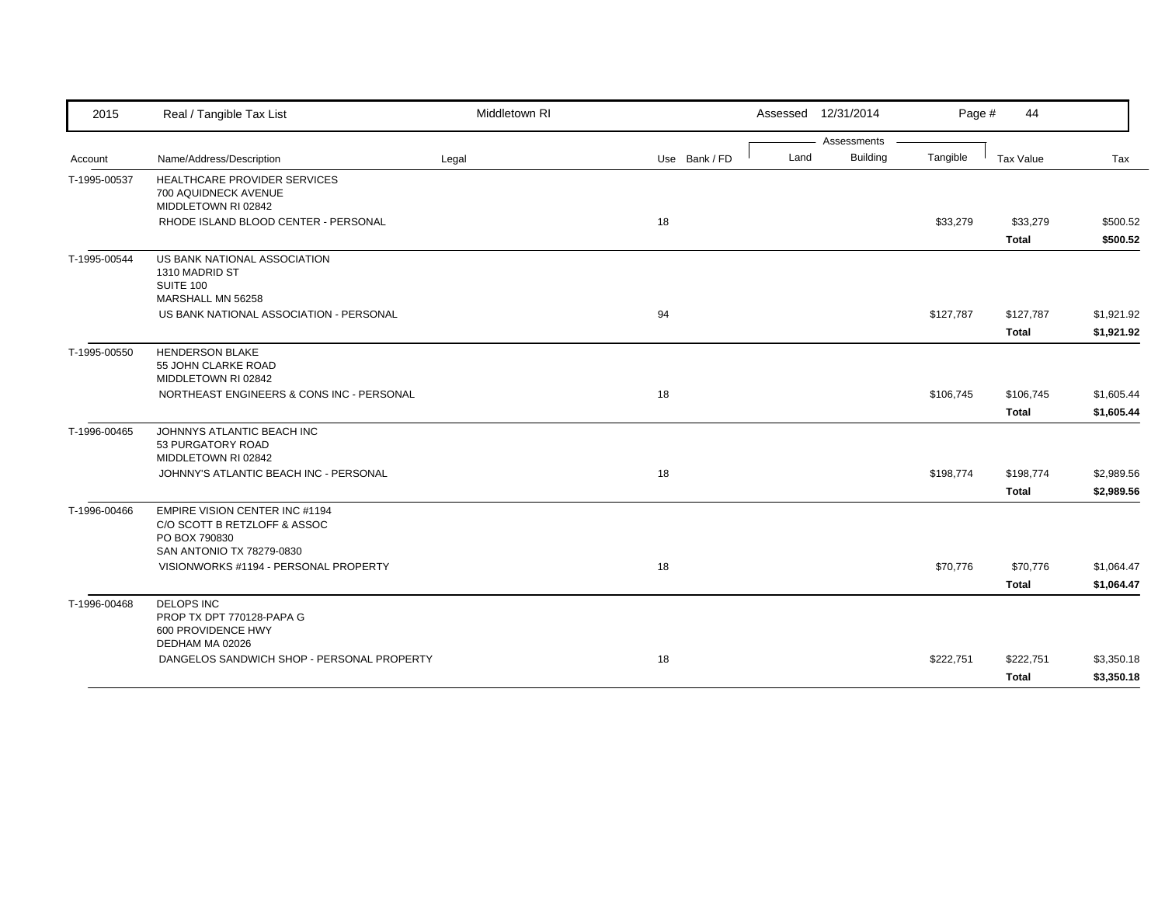| 2015         | Real / Tangible Tax List                                                                                     | Middletown RI |               |      | Assessed 12/31/2014 | Page #    | 44           |            |
|--------------|--------------------------------------------------------------------------------------------------------------|---------------|---------------|------|---------------------|-----------|--------------|------------|
|              |                                                                                                              |               |               |      | Assessments         |           |              |            |
| Account      | Name/Address/Description                                                                                     | Legal         | Use Bank / FD | Land | <b>Building</b>     | Tangible  | Tax Value    | Tax        |
| T-1995-00537 | HEALTHCARE PROVIDER SERVICES<br>700 AQUIDNECK AVENUE<br>MIDDLETOWN RI 02842                                  |               |               |      |                     |           |              |            |
|              | RHODE ISLAND BLOOD CENTER - PERSONAL                                                                         |               | 18            |      |                     | \$33,279  | \$33,279     | \$500.52   |
|              |                                                                                                              |               |               |      |                     |           | <b>Total</b> | \$500.52   |
| T-1995-00544 | US BANK NATIONAL ASSOCIATION<br>1310 MADRID ST<br>SUITE 100<br>MARSHALL MN 56258                             |               |               |      |                     |           |              |            |
|              | US BANK NATIONAL ASSOCIATION - PERSONAL                                                                      |               | 94            |      |                     | \$127,787 | \$127,787    | \$1,921.92 |
|              |                                                                                                              |               |               |      |                     |           | <b>Total</b> | \$1,921.92 |
| T-1995-00550 | <b>HENDERSON BLAKE</b><br>55 JOHN CLARKE ROAD<br>MIDDLETOWN RI 02842                                         |               |               |      |                     |           |              |            |
|              | NORTHEAST ENGINEERS & CONS INC - PERSONAL                                                                    |               | 18            |      |                     | \$106,745 | \$106,745    | \$1,605.44 |
|              |                                                                                                              |               |               |      |                     |           | <b>Total</b> | \$1,605.44 |
| T-1996-00465 | JOHNNYS ATLANTIC BEACH INC<br>53 PURGATORY ROAD<br>MIDDLETOWN RI 02842                                       |               |               |      |                     |           |              |            |
|              | JOHNNY'S ATLANTIC BEACH INC - PERSONAL                                                                       |               | 18            |      |                     | \$198,774 | \$198,774    | \$2,989.56 |
|              |                                                                                                              |               |               |      |                     |           | <b>Total</b> | \$2,989.56 |
| T-1996-00466 | EMPIRE VISION CENTER INC #1194<br>C/O SCOTT B RETZLOFF & ASSOC<br>PO BOX 790830<br>SAN ANTONIO TX 78279-0830 |               |               |      |                     |           |              |            |
|              | VISIONWORKS #1194 - PERSONAL PROPERTY                                                                        |               | 18            |      |                     | \$70,776  | \$70,776     | \$1,064.47 |
|              |                                                                                                              |               |               |      |                     |           | Total        | \$1,064.47 |
| T-1996-00468 | <b>DELOPS INC</b><br>PROP TX DPT 770128-PAPA G<br>600 PROVIDENCE HWY<br>DEDHAM MA 02026                      |               |               |      |                     |           |              |            |
|              | DANGELOS SANDWICH SHOP - PERSONAL PROPERTY                                                                   |               | 18            |      |                     | \$222,751 | \$222,751    | \$3,350.18 |
|              |                                                                                                              |               |               |      |                     |           | <b>Total</b> | \$3,350.18 |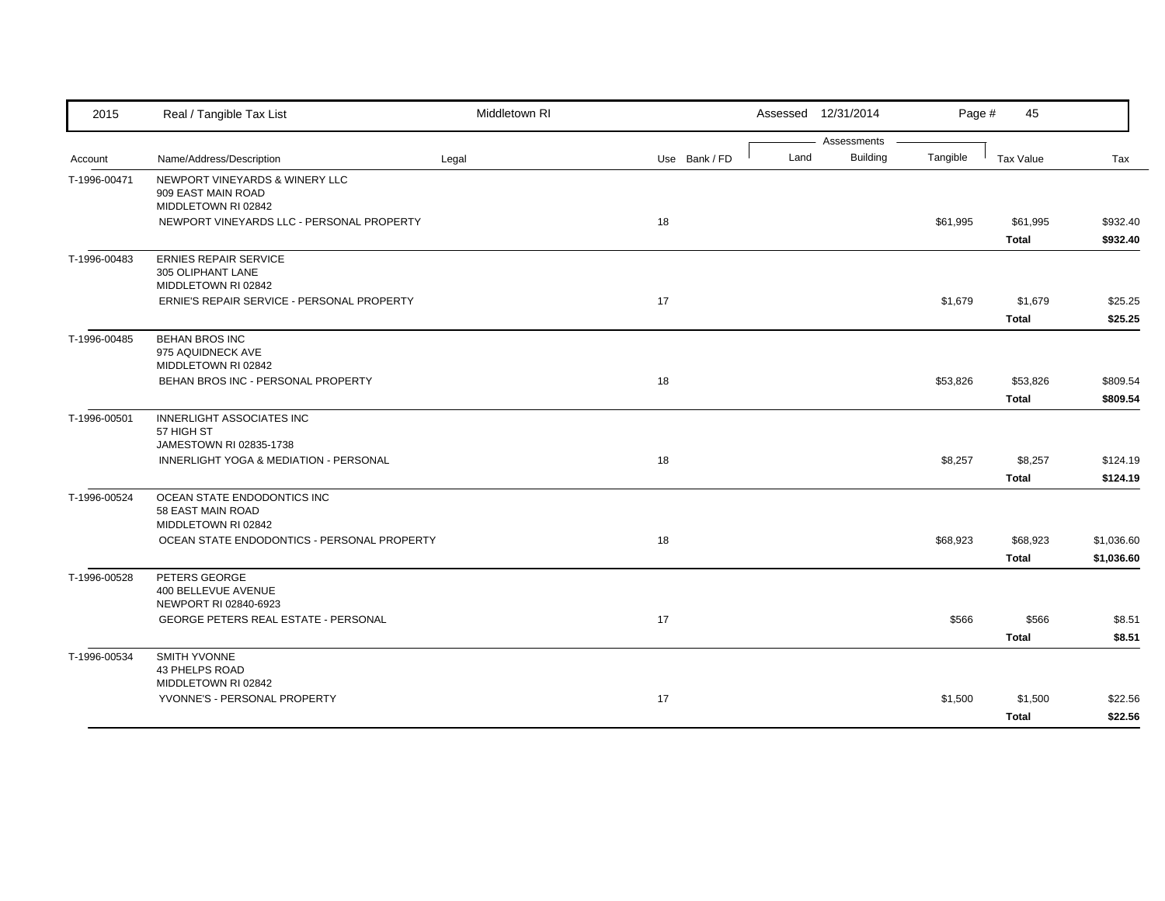| 2015         | Real / Tangible Tax List                                                    | Middletown RI |               |      | Assessed 12/31/2014     | Page #   | 45                       |                          |
|--------------|-----------------------------------------------------------------------------|---------------|---------------|------|-------------------------|----------|--------------------------|--------------------------|
| Account      | Name/Address/Description                                                    | Legal         | Use Bank / FD | Land | Assessments<br>Building | Tangible | Tax Value                | Tax                      |
| T-1996-00471 | NEWPORT VINEYARDS & WINERY LLC<br>909 EAST MAIN ROAD<br>MIDDLETOWN RI 02842 |               |               |      |                         |          |                          |                          |
|              | NEWPORT VINEYARDS LLC - PERSONAL PROPERTY                                   |               | 18            |      |                         | \$61,995 | \$61,995<br><b>Total</b> | \$932.40<br>\$932.40     |
| T-1996-00483 | <b>ERNIES REPAIR SERVICE</b><br>305 OLIPHANT LANE<br>MIDDLETOWN RI 02842    |               |               |      |                         |          |                          |                          |
|              | ERNIE'S REPAIR SERVICE - PERSONAL PROPERTY                                  |               | 17            |      |                         | \$1,679  | \$1,679<br><b>Total</b>  | \$25.25<br>\$25.25       |
| T-1996-00485 | <b>BEHAN BROS INC</b><br>975 AQUIDNECK AVE<br>MIDDLETOWN RI 02842           |               |               |      |                         |          |                          |                          |
|              | BEHAN BROS INC - PERSONAL PROPERTY                                          |               | 18            |      |                         | \$53,826 | \$53,826<br><b>Total</b> | \$809.54<br>\$809.54     |
| T-1996-00501 | INNERLIGHT ASSOCIATES INC<br>57 HIGH ST<br>JAMESTOWN RI 02835-1738          |               |               |      |                         |          |                          |                          |
|              | INNERLIGHT YOGA & MEDIATION - PERSONAL                                      |               | 18            |      |                         | \$8,257  | \$8,257<br><b>Total</b>  | \$124.19<br>\$124.19     |
| T-1996-00524 | OCEAN STATE ENDODONTICS INC<br>58 EAST MAIN ROAD<br>MIDDLETOWN RI 02842     |               |               |      |                         |          |                          |                          |
|              | OCEAN STATE ENDODONTICS - PERSONAL PROPERTY                                 |               | 18            |      |                         | \$68,923 | \$68,923<br><b>Total</b> | \$1,036.60<br>\$1,036.60 |
| T-1996-00528 | PETERS GEORGE<br>400 BELLEVUE AVENUE<br>NEWPORT RI 02840-6923               |               |               |      |                         |          |                          |                          |
|              | <b>GEORGE PETERS REAL ESTATE - PERSONAL</b>                                 |               | 17            |      |                         | \$566    | \$566<br><b>Total</b>    | \$8.51<br>\$8.51         |
| T-1996-00534 | SMITH YVONNE<br>43 PHELPS ROAD<br>MIDDLETOWN RI 02842                       |               |               |      |                         |          |                          |                          |
|              | YVONNE'S - PERSONAL PROPERTY                                                |               | 17            |      |                         | \$1,500  | \$1,500<br><b>Total</b>  | \$22.56<br>\$22.56       |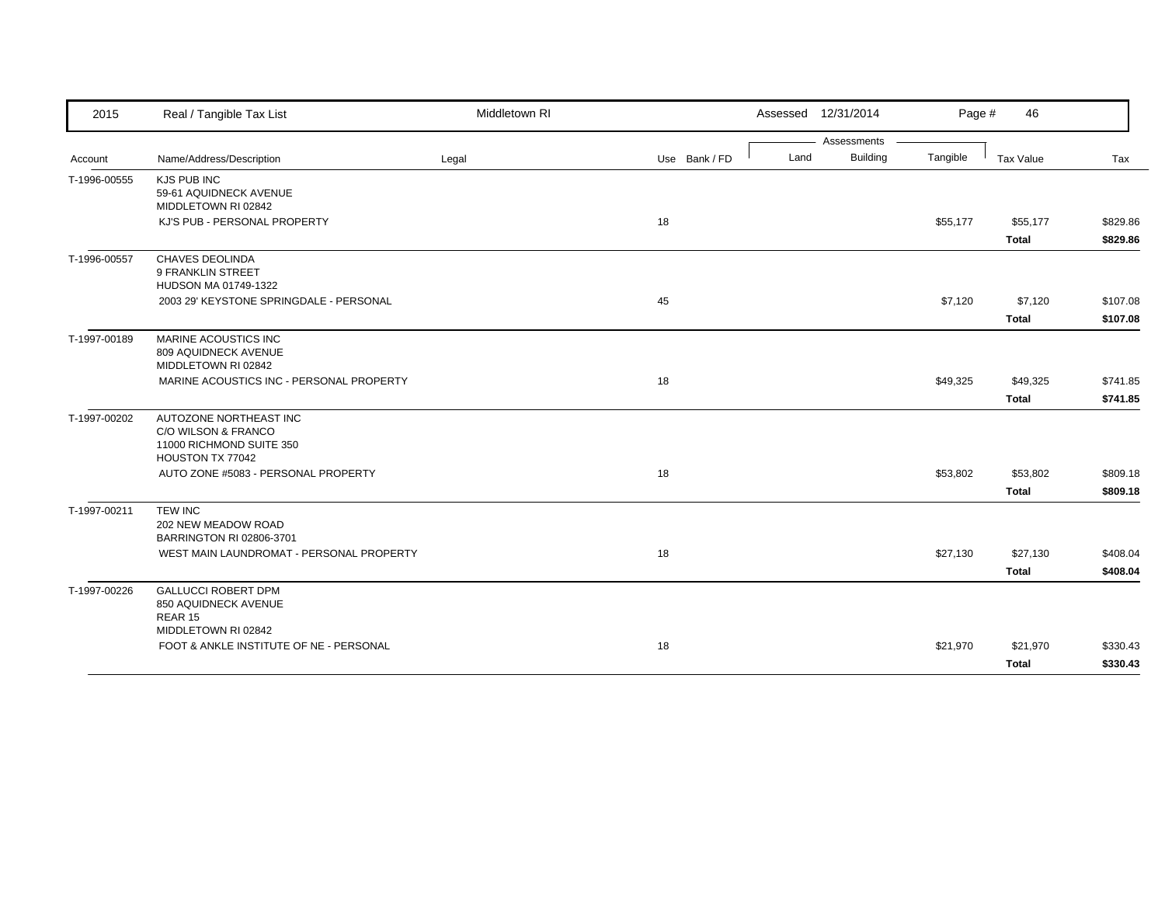| 2015         | Real / Tangible Tax List                                                                      | Middletown RI |               | Assessed 12/31/2014 |                 | Page #   | 46           |          |
|--------------|-----------------------------------------------------------------------------------------------|---------------|---------------|---------------------|-----------------|----------|--------------|----------|
|              |                                                                                               |               |               |                     | Assessments     |          |              |          |
| Account      | Name/Address/Description                                                                      | Legal         | Use Bank / FD | Land                | <b>Building</b> | Tangible | Tax Value    | Tax      |
| T-1996-00555 | KJS PUB INC<br>59-61 AQUIDNECK AVENUE<br>MIDDLETOWN RI 02842                                  |               |               |                     |                 |          |              |          |
|              | KJ'S PUB - PERSONAL PROPERTY                                                                  |               | 18            |                     |                 | \$55,177 | \$55,177     | \$829.86 |
|              |                                                                                               |               |               |                     |                 |          | <b>Total</b> | \$829.86 |
| T-1996-00557 | <b>CHAVES DEOLINDA</b><br>9 FRANKLIN STREET<br>HUDSON MA 01749-1322                           |               |               |                     |                 |          |              |          |
|              | 2003 29' KEYSTONE SPRINGDALE - PERSONAL                                                       |               | 45            |                     |                 | \$7,120  | \$7,120      | \$107.08 |
|              |                                                                                               |               |               |                     |                 |          | <b>Total</b> | \$107.08 |
| T-1997-00189 | MARINE ACOUSTICS INC<br>809 AQUIDNECK AVENUE<br>MIDDLETOWN RI 02842                           |               |               |                     |                 |          |              |          |
|              | MARINE ACOUSTICS INC - PERSONAL PROPERTY                                                      |               | 18            |                     |                 | \$49,325 | \$49,325     | \$741.85 |
|              |                                                                                               |               |               |                     |                 |          | <b>Total</b> | \$741.85 |
| T-1997-00202 | AUTOZONE NORTHEAST INC<br>C/O WILSON & FRANCO<br>11000 RICHMOND SUITE 350<br>HOUSTON TX 77042 |               |               |                     |                 |          |              |          |
|              | AUTO ZONE #5083 - PERSONAL PROPERTY                                                           |               | 18            |                     |                 | \$53,802 | \$53,802     | \$809.18 |
|              |                                                                                               |               |               |                     |                 |          | <b>Total</b> | \$809.18 |
| T-1997-00211 | <b>TEW INC</b><br>202 NEW MEADOW ROAD<br>BARRINGTON RI 02806-3701                             |               |               |                     |                 |          |              |          |
|              | WEST MAIN LAUNDROMAT - PERSONAL PROPERTY                                                      |               | 18            |                     |                 | \$27,130 | \$27,130     | \$408.04 |
|              |                                                                                               |               |               |                     |                 |          | <b>Total</b> | \$408.04 |
| T-1997-00226 | <b>GALLUCCI ROBERT DPM</b><br>850 AQUIDNECK AVENUE<br>REAR 15<br>MIDDLETOWN RI 02842          |               |               |                     |                 |          |              |          |
|              | FOOT & ANKLE INSTITUTE OF NE - PERSONAL                                                       |               | 18            |                     |                 | \$21,970 | \$21,970     | \$330.43 |
|              |                                                                                               |               |               |                     |                 |          |              |          |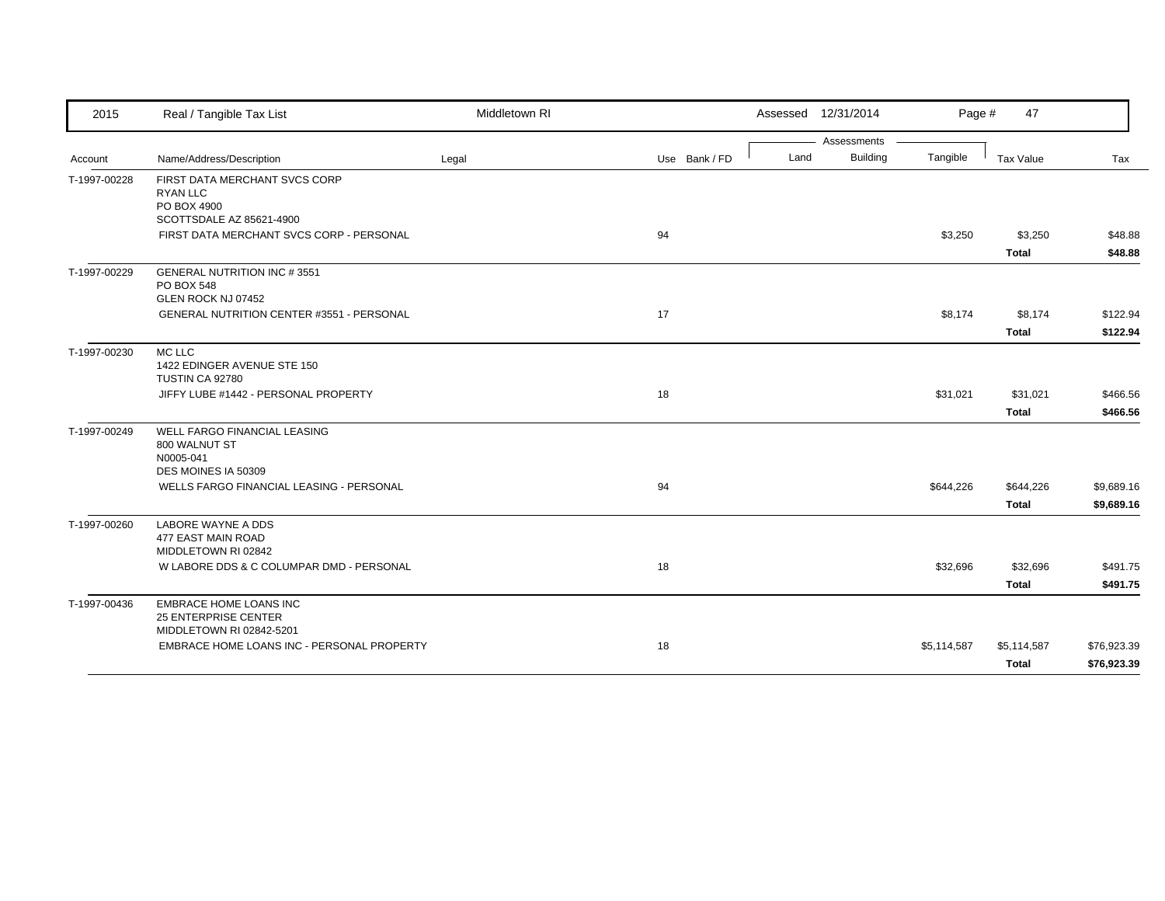| 2015         | Real / Tangible Tax List                                                                 | Middletown RI |               | Assessed 12/31/2014     | Page #      | 47           |             |
|--------------|------------------------------------------------------------------------------------------|---------------|---------------|-------------------------|-------------|--------------|-------------|
|              |                                                                                          |               |               | Assessments             |             |              |             |
| Account      | Name/Address/Description                                                                 | Legal         | Use Bank / FD | <b>Building</b><br>Land | Tangible    | Tax Value    | Tax         |
| T-1997-00228 | FIRST DATA MERCHANT SVCS CORP<br>RYAN LLC<br>PO BOX 4900                                 |               |               |                         |             |              |             |
|              | SCOTTSDALE AZ 85621-4900<br>FIRST DATA MERCHANT SVCS CORP - PERSONAL                     |               | 94            |                         | \$3,250     | \$3,250      | \$48.88     |
|              |                                                                                          |               |               |                         |             | <b>Total</b> | \$48.88     |
| T-1997-00229 | <b>GENERAL NUTRITION INC #3551</b><br>PO BOX 548<br>GLEN ROCK NJ 07452                   |               |               |                         |             |              |             |
|              | GENERAL NUTRITION CENTER #3551 - PERSONAL                                                |               | 17            |                         | \$8,174     | \$8,174      | \$122.94    |
|              |                                                                                          |               |               |                         |             | <b>Total</b> | \$122.94    |
| T-1997-00230 | MC LLC<br>1422 EDINGER AVENUE STE 150<br>TUSTIN CA 92780                                 |               |               |                         |             |              |             |
|              | JIFFY LUBE #1442 - PERSONAL PROPERTY                                                     |               | 18            |                         | \$31,021    | \$31,021     | \$466.56    |
|              |                                                                                          |               |               |                         |             | <b>Total</b> | \$466.56    |
| T-1997-00249 | WELL FARGO FINANCIAL LEASING<br>800 WALNUT ST<br>N0005-041<br>DES MOINES IA 50309        |               |               |                         |             |              |             |
|              | WELLS FARGO FINANCIAL LEASING - PERSONAL                                                 |               | 94            |                         | \$644,226   | \$644,226    | \$9,689.16  |
|              |                                                                                          |               |               |                         |             | Total        | \$9,689.16  |
| T-1997-00260 | LABORE WAYNE A DDS<br>477 EAST MAIN ROAD<br>MIDDLETOWN RI 02842                          |               |               |                         |             |              |             |
|              | W LABORE DDS & C COLUMPAR DMD - PERSONAL                                                 |               | 18            |                         | \$32,696    | \$32,696     | \$491.75    |
|              |                                                                                          |               |               |                         |             | <b>Total</b> | \$491.75    |
| T-1997-00436 | <b>EMBRACE HOME LOANS INC</b><br><b>25 ENTERPRISE CENTER</b><br>MIDDLETOWN RI 02842-5201 |               |               |                         |             |              |             |
|              | EMBRACE HOME LOANS INC - PERSONAL PROPERTY                                               |               | 18            |                         | \$5,114,587 | \$5,114,587  | \$76,923.39 |
|              |                                                                                          |               |               |                         |             | Total        | \$76,923.39 |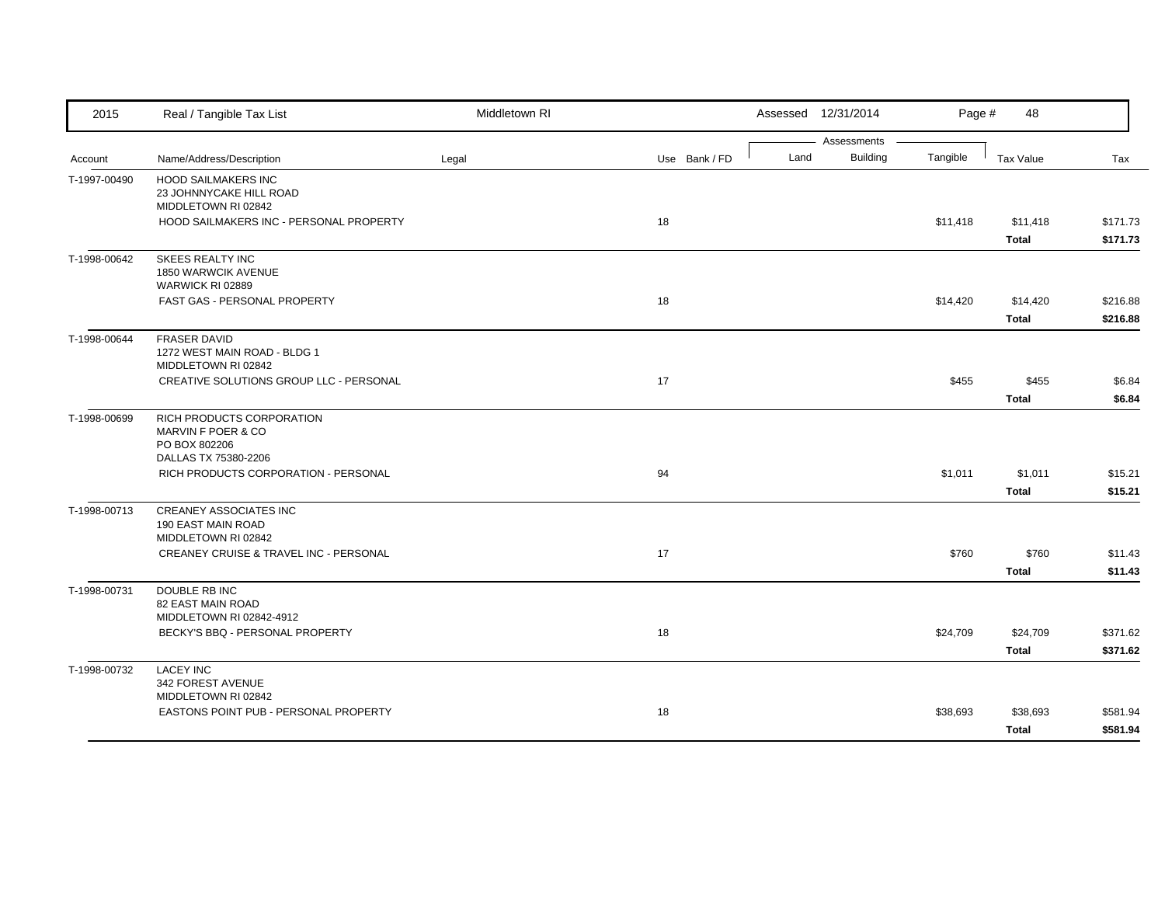| 2015         | Real / Tangible Tax List                                                                 | Middletown RI |               |      | Assessed 12/31/2014            | Page #   | 48           |          |
|--------------|------------------------------------------------------------------------------------------|---------------|---------------|------|--------------------------------|----------|--------------|----------|
| Account      | Name/Address/Description                                                                 | Legal         | Use Bank / FD | Land | Assessments<br><b>Building</b> | Tangible | Tax Value    | Tax      |
|              |                                                                                          |               |               |      |                                |          |              |          |
| T-1997-00490 | <b>HOOD SAILMAKERS INC</b><br>23 JOHNNYCAKE HILL ROAD                                    |               |               |      |                                |          |              |          |
|              | MIDDLETOWN RI 02842                                                                      |               |               |      |                                |          |              |          |
|              | HOOD SAILMAKERS INC - PERSONAL PROPERTY                                                  |               | 18            |      |                                | \$11,418 | \$11,418     | \$171.73 |
|              |                                                                                          |               |               |      |                                |          | Total        | \$171.73 |
| T-1998-00642 | <b>SKEES REALTY INC</b><br>1850 WARWCIK AVENUE<br>WARWICK RI 02889                       |               |               |      |                                |          |              |          |
|              | FAST GAS - PERSONAL PROPERTY                                                             |               | 18            |      |                                | \$14,420 | \$14,420     | \$216.88 |
|              |                                                                                          |               |               |      |                                |          | Total        | \$216.88 |
| T-1998-00644 | <b>FRASER DAVID</b><br>1272 WEST MAIN ROAD - BLDG 1<br>MIDDLETOWN RI 02842               |               |               |      |                                |          |              |          |
|              | CREATIVE SOLUTIONS GROUP LLC - PERSONAL                                                  |               | 17            |      |                                | \$455    | \$455        | \$6.84   |
|              |                                                                                          |               |               |      |                                |          | <b>Total</b> | \$6.84   |
| T-1998-00699 | RICH PRODUCTS CORPORATION<br>MARVIN F POER & CO<br>PO BOX 802206<br>DALLAS TX 75380-2206 |               |               |      |                                |          |              |          |
|              | RICH PRODUCTS CORPORATION - PERSONAL                                                     |               | 94            |      |                                | \$1,011  | \$1,011      | \$15.21  |
|              |                                                                                          |               |               |      |                                |          | <b>Total</b> | \$15.21  |
| T-1998-00713 | <b>CREANEY ASSOCIATES INC</b><br>190 EAST MAIN ROAD<br>MIDDLETOWN RI 02842               |               |               |      |                                |          |              |          |
|              | CREANEY CRUISE & TRAVEL INC - PERSONAL                                                   |               | 17            |      |                                | \$760    | \$760        | \$11.43  |
|              |                                                                                          |               |               |      |                                |          | <b>Total</b> | \$11.43  |
| T-1998-00731 | DOUBLE RB INC<br>82 EAST MAIN ROAD<br>MIDDLETOWN RI 02842-4912                           |               |               |      |                                |          |              |          |
|              | BECKY'S BBQ - PERSONAL PROPERTY                                                          |               | 18            |      |                                | \$24,709 | \$24,709     | \$371.62 |
|              |                                                                                          |               |               |      |                                |          | <b>Total</b> | \$371.62 |
| T-1998-00732 | <b>LACEY INC</b><br>342 FOREST AVENUE                                                    |               |               |      |                                |          |              |          |
|              | MIDDLETOWN RI 02842<br>EASTONS POINT PUB - PERSONAL PROPERTY                             |               | 18            |      |                                | \$38,693 | \$38,693     | \$581.94 |
|              |                                                                                          |               |               |      |                                |          |              | \$581.94 |
|              |                                                                                          |               |               |      |                                |          | <b>Total</b> |          |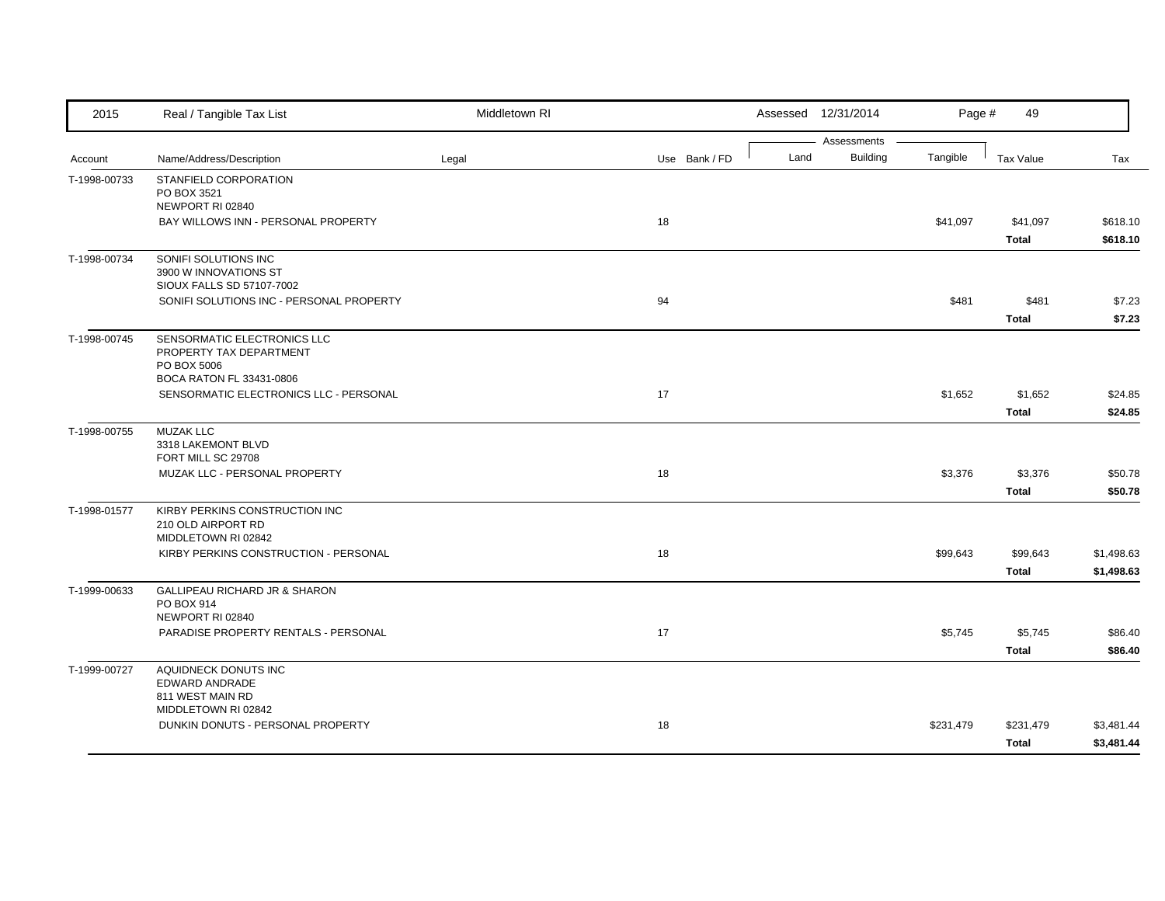| 2015         | Real / Tangible Tax List                                                                          | Middletown RI |               |      | Assessed 12/31/2014            | Page #    | 49                        |                          |
|--------------|---------------------------------------------------------------------------------------------------|---------------|---------------|------|--------------------------------|-----------|---------------------------|--------------------------|
| Account      | Name/Address/Description                                                                          | Legal         | Use Bank / FD | Land | Assessments<br><b>Building</b> | Tangible  | <b>Tax Value</b>          | Tax                      |
| T-1998-00733 | STANFIELD CORPORATION<br>PO BOX 3521                                                              |               |               |      |                                |           |                           |                          |
|              | NEWPORT RI 02840<br>BAY WILLOWS INN - PERSONAL PROPERTY                                           |               | 18            |      |                                | \$41,097  | \$41,097<br><b>Total</b>  | \$618.10<br>\$618.10     |
| T-1998-00734 | SONIFI SOLUTIONS INC<br>3900 W INNOVATIONS ST<br>SIOUX FALLS SD 57107-7002                        |               |               |      |                                |           |                           |                          |
|              | SONIFI SOLUTIONS INC - PERSONAL PROPERTY                                                          |               | 94            |      |                                | \$481     | \$481<br><b>Total</b>     | \$7.23<br>\$7.23         |
| T-1998-00745 | SENSORMATIC ELECTRONICS LLC<br>PROPERTY TAX DEPARTMENT<br>PO BOX 5006<br>BOCA RATON FL 33431-0806 |               |               |      |                                |           |                           |                          |
|              | SENSORMATIC ELECTRONICS LLC - PERSONAL                                                            |               | 17            |      |                                | \$1,652   | \$1,652<br><b>Total</b>   | \$24.85<br>\$24.85       |
| T-1998-00755 | <b>MUZAK LLC</b><br>3318 LAKEMONT BLVD<br>FORT MILL SC 29708                                      |               |               |      |                                |           |                           |                          |
|              | MUZAK LLC - PERSONAL PROPERTY                                                                     |               | 18            |      |                                | \$3,376   | \$3,376<br><b>Total</b>   | \$50.78<br>\$50.78       |
| T-1998-01577 | KIRBY PERKINS CONSTRUCTION INC<br>210 OLD AIRPORT RD<br>MIDDLETOWN RI 02842                       |               |               |      |                                |           |                           |                          |
|              | KIRBY PERKINS CONSTRUCTION - PERSONAL                                                             |               | 18            |      |                                | \$99,643  | \$99,643<br><b>Total</b>  | \$1,498.63<br>\$1,498.63 |
| T-1999-00633 | GALLIPEAU RICHARD JR & SHARON<br>PO BOX 914<br>NEWPORT RI 02840                                   |               |               |      |                                |           |                           |                          |
|              | PARADISE PROPERTY RENTALS - PERSONAL                                                              |               | 17            |      |                                | \$5,745   | \$5,745<br><b>Total</b>   | \$86.40<br>\$86.40       |
| T-1999-00727 | AQUIDNECK DONUTS INC<br>EDWARD ANDRADE<br>811 WEST MAIN RD                                        |               |               |      |                                |           |                           |                          |
|              | MIDDLETOWN RI 02842<br>DUNKIN DONUTS - PERSONAL PROPERTY                                          |               | 18            |      |                                | \$231,479 | \$231,479<br><b>Total</b> | \$3,481.44<br>\$3,481.44 |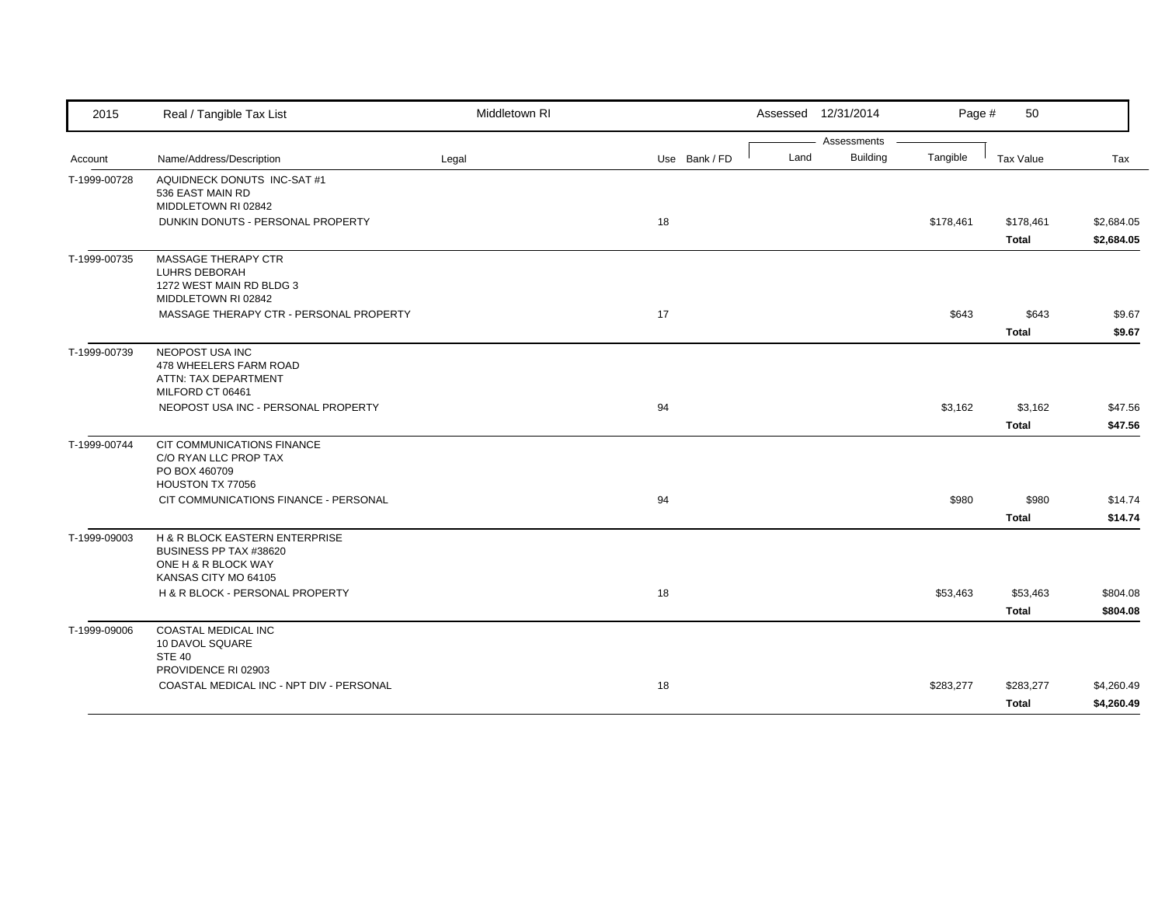| 2015         | Real / Tangible Tax List                        | Middletown RI |               |      | Assessed 12/31/2014            | Page #    | 50           |            |
|--------------|-------------------------------------------------|---------------|---------------|------|--------------------------------|-----------|--------------|------------|
|              |                                                 |               |               |      | Assessments<br><b>Building</b> | Tangible  |              |            |
| Account      | Name/Address/Description                        | Legal         | Use Bank / FD | Land |                                |           | Tax Value    | Tax        |
| T-1999-00728 | AQUIDNECK DONUTS INC-SAT #1<br>536 EAST MAIN RD |               |               |      |                                |           |              |            |
|              | MIDDLETOWN RI 02842                             |               |               |      |                                |           |              |            |
|              | DUNKIN DONUTS - PERSONAL PROPERTY               |               | 18            |      |                                | \$178,461 | \$178,461    | \$2,684.05 |
|              |                                                 |               |               |      |                                |           | <b>Total</b> | \$2,684.05 |
| T-1999-00735 | <b>MASSAGE THERAPY CTR</b>                      |               |               |      |                                |           |              |            |
|              | LUHRS DEBORAH                                   |               |               |      |                                |           |              |            |
|              | 1272 WEST MAIN RD BLDG 3<br>MIDDLETOWN RI 02842 |               |               |      |                                |           |              |            |
|              | MASSAGE THERAPY CTR - PERSONAL PROPERTY         |               | 17            |      |                                | \$643     | \$643        | \$9.67     |
|              |                                                 |               |               |      |                                |           | <b>Total</b> | \$9.67     |
| T-1999-00739 | NEOPOST USA INC                                 |               |               |      |                                |           |              |            |
|              | 478 WHEELERS FARM ROAD                          |               |               |      |                                |           |              |            |
|              | ATTN: TAX DEPARTMENT                            |               |               |      |                                |           |              |            |
|              | MILFORD CT 06461                                |               |               |      |                                |           |              |            |
|              | NEOPOST USA INC - PERSONAL PROPERTY             |               | 94            |      |                                | \$3,162   | \$3,162      | \$47.56    |
|              |                                                 |               |               |      |                                |           | <b>Total</b> | \$47.56    |
| T-1999-00744 | CIT COMMUNICATIONS FINANCE                      |               |               |      |                                |           |              |            |
|              | C/O RYAN LLC PROP TAX<br>PO BOX 460709          |               |               |      |                                |           |              |            |
|              | HOUSTON TX 77056                                |               |               |      |                                |           |              |            |
|              | CIT COMMUNICATIONS FINANCE - PERSONAL           |               | 94            |      |                                | \$980     | \$980        | \$14.74    |
|              |                                                 |               |               |      |                                |           | <b>Total</b> | \$14.74    |
| T-1999-09003 | H & R BLOCK EASTERN ENTERPRISE                  |               |               |      |                                |           |              |            |
|              | BUSINESS PP TAX #38620                          |               |               |      |                                |           |              |            |
|              | ONE H & R BLOCK WAY<br>KANSAS CITY MO 64105     |               |               |      |                                |           |              |            |
|              | H & R BLOCK - PERSONAL PROPERTY                 |               | 18            |      |                                | \$53,463  | \$53,463     | \$804.08   |
|              |                                                 |               |               |      |                                |           | <b>Total</b> | \$804.08   |
| T-1999-09006 | <b>COASTAL MEDICAL INC</b>                      |               |               |      |                                |           |              |            |
|              | 10 DAVOL SQUARE                                 |               |               |      |                                |           |              |            |
|              | <b>STE 40</b>                                   |               |               |      |                                |           |              |            |
|              | PROVIDENCE RI 02903                             |               |               |      |                                |           |              |            |
|              | COASTAL MEDICAL INC - NPT DIV - PERSONAL        |               | 18            |      |                                | \$283,277 | \$283,277    | \$4,260.49 |
|              |                                                 |               |               |      |                                |           | <b>Total</b> | \$4,260.49 |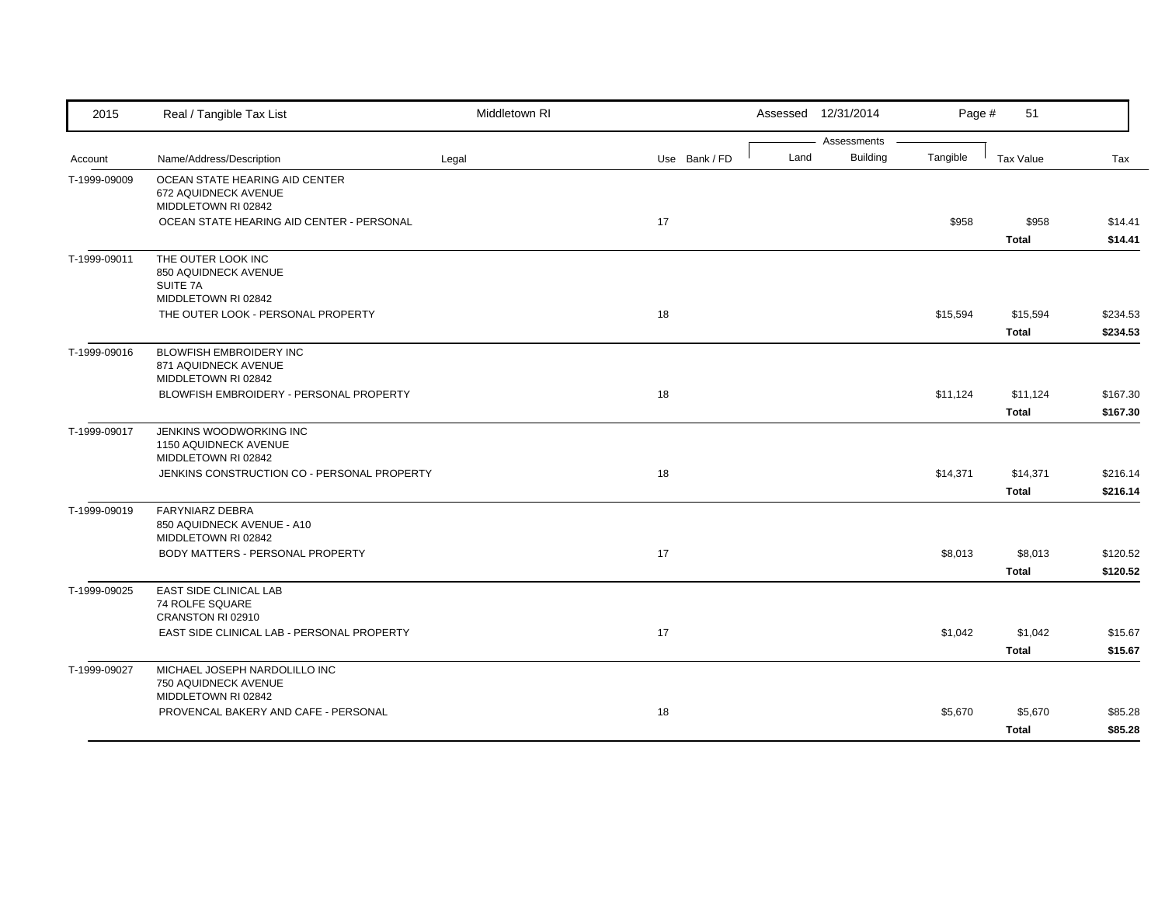| 2015         | Real / Tangible Tax List                                                      | Middletown RI |               |      | Assessed 12/31/2014            | Page #   | 51                       |                      |
|--------------|-------------------------------------------------------------------------------|---------------|---------------|------|--------------------------------|----------|--------------------------|----------------------|
| Account      | Name/Address/Description                                                      | Legal         | Use Bank / FD | Land | Assessments<br><b>Building</b> | Tangible | <b>Tax Value</b>         | Tax                  |
| T-1999-09009 | OCEAN STATE HEARING AID CENTER<br>672 AQUIDNECK AVENUE<br>MIDDLETOWN RI 02842 |               |               |      |                                |          |                          |                      |
|              | OCEAN STATE HEARING AID CENTER - PERSONAL                                     |               | 17            |      |                                | \$958    | \$958<br>Total           | \$14.41<br>\$14.41   |
| T-1999-09011 | THE OUTER LOOK INC<br>850 AQUIDNECK AVENUE<br>SUITE 7A<br>MIDDLETOWN RI 02842 |               |               |      |                                |          |                          |                      |
|              | THE OUTER LOOK - PERSONAL PROPERTY                                            |               | 18            |      |                                | \$15,594 | \$15,594<br><b>Total</b> | \$234.53<br>\$234.53 |
| T-1999-09016 | BLOWFISH EMBROIDERY INC<br>871 AQUIDNECK AVENUE<br>MIDDLETOWN RI 02842        |               |               |      |                                |          |                          |                      |
|              | BLOWFISH EMBROIDERY - PERSONAL PROPERTY                                       |               | 18            |      |                                | \$11,124 | \$11,124<br><b>Total</b> | \$167.30<br>\$167.30 |
| T-1999-09017 | JENKINS WOODWORKING INC<br>1150 AQUIDNECK AVENUE<br>MIDDLETOWN RI 02842       |               |               |      |                                |          |                          |                      |
|              | JENKINS CONSTRUCTION CO - PERSONAL PROPERTY                                   |               | 18            |      |                                | \$14,371 | \$14,371<br><b>Total</b> | \$216.14<br>\$216.14 |
| T-1999-09019 | <b>FARYNIARZ DEBRA</b><br>850 AQUIDNECK AVENUE - A10<br>MIDDLETOWN RI 02842   |               |               |      |                                |          |                          |                      |
|              | BODY MATTERS - PERSONAL PROPERTY                                              |               | 17            |      |                                | \$8,013  | \$8,013<br><b>Total</b>  | \$120.52<br>\$120.52 |
| T-1999-09025 | EAST SIDE CLINICAL LAB<br>74 ROLFE SQUARE<br>CRANSTON RI 02910                |               |               |      |                                |          |                          |                      |
|              | EAST SIDE CLINICAL LAB - PERSONAL PROPERTY                                    |               | 17            |      |                                | \$1,042  | \$1,042<br><b>Total</b>  | \$15.67<br>\$15.67   |
| T-1999-09027 | MICHAEL JOSEPH NARDOLILLO INC<br>750 AQUIDNECK AVENUE<br>MIDDLETOWN RI 02842  |               |               |      |                                |          |                          |                      |
|              | PROVENCAL BAKERY AND CAFE - PERSONAL                                          |               | 18            |      |                                | \$5,670  | \$5,670<br><b>Total</b>  | \$85.28<br>\$85.28   |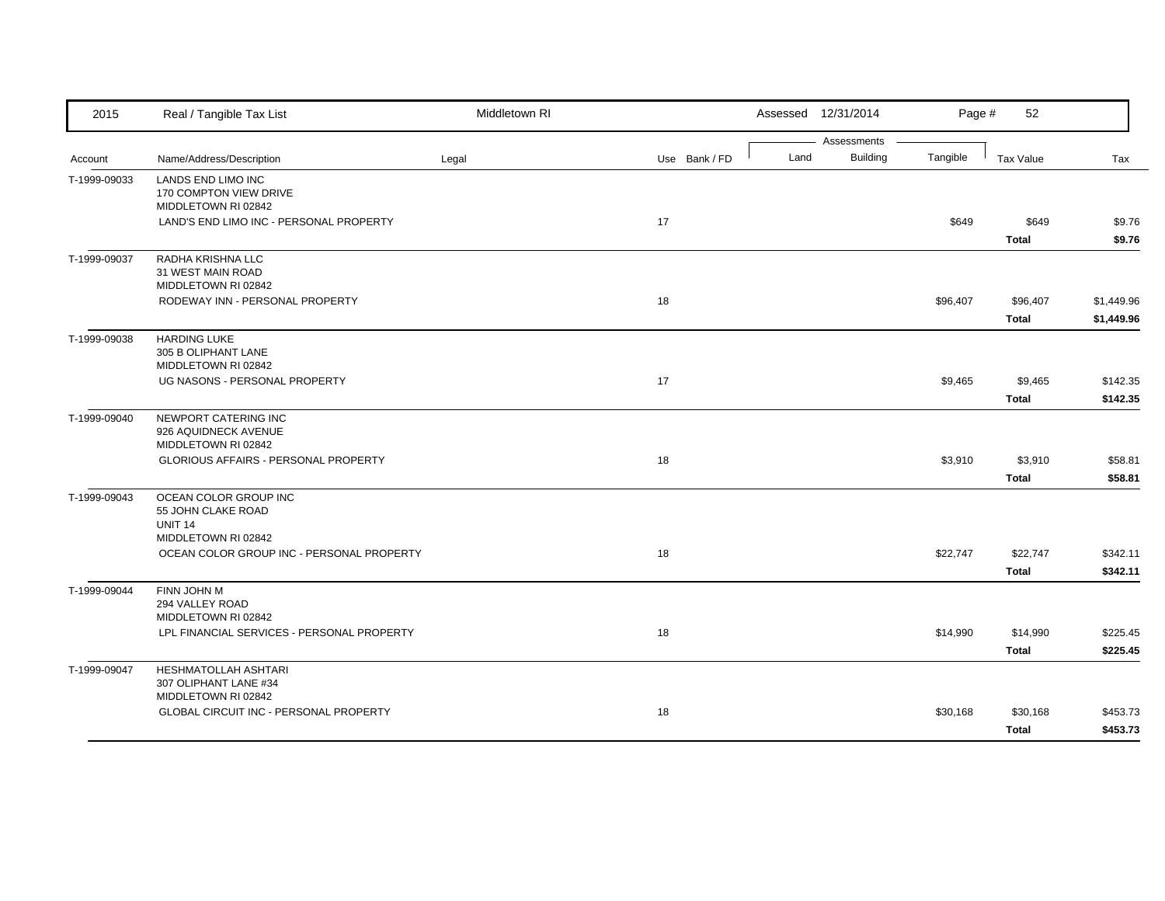| 2015         | Real / Tangible Tax List                                                             | Middletown RI |               |      | Assessed 12/31/2014            | Page #   | 52                       |                          |
|--------------|--------------------------------------------------------------------------------------|---------------|---------------|------|--------------------------------|----------|--------------------------|--------------------------|
| Account      | Name/Address/Description                                                             | Legal         | Use Bank / FD | Land | Assessments<br><b>Building</b> | Tangible | <b>Tax Value</b>         | Tax                      |
| T-1999-09033 | LANDS END LIMO INC<br>170 COMPTON VIEW DRIVE<br>MIDDLETOWN RI 02842                  |               |               |      |                                |          |                          |                          |
|              | LAND'S END LIMO INC - PERSONAL PROPERTY                                              |               | 17            |      |                                | \$649    | \$649<br><b>Total</b>    | \$9.76<br>\$9.76         |
| T-1999-09037 | RADHA KRISHNA LLC<br>31 WEST MAIN ROAD<br>MIDDLETOWN RI 02842                        |               |               |      |                                |          |                          |                          |
|              | RODEWAY INN - PERSONAL PROPERTY                                                      |               | 18            |      |                                | \$96,407 | \$96,407<br><b>Total</b> | \$1,449.96<br>\$1,449.96 |
| T-1999-09038 | <b>HARDING LUKE</b><br>305 B OLIPHANT LANE<br>MIDDLETOWN RI 02842                    |               |               |      |                                |          |                          |                          |
|              | UG NASONS - PERSONAL PROPERTY                                                        |               | 17            |      |                                | \$9,465  | \$9,465<br><b>Total</b>  | \$142.35<br>\$142.35     |
| T-1999-09040 | NEWPORT CATERING INC<br>926 AQUIDNECK AVENUE<br>MIDDLETOWN RI 02842                  |               |               |      |                                |          |                          |                          |
|              | GLORIOUS AFFAIRS - PERSONAL PROPERTY                                                 |               | 18            |      |                                | \$3,910  | \$3,910<br><b>Total</b>  | \$58.81<br>\$58.81       |
| T-1999-09043 | OCEAN COLOR GROUP INC<br>55 JOHN CLAKE ROAD<br><b>UNIT 14</b><br>MIDDLETOWN RI 02842 |               |               |      |                                |          |                          |                          |
|              | OCEAN COLOR GROUP INC - PERSONAL PROPERTY                                            |               | 18            |      |                                | \$22,747 | \$22,747<br><b>Total</b> | \$342.11<br>\$342.11     |
| T-1999-09044 | FINN JOHN M<br>294 VALLEY ROAD<br>MIDDLETOWN RI 02842                                |               |               |      |                                |          |                          |                          |
|              | LPL FINANCIAL SERVICES - PERSONAL PROPERTY                                           |               | 18            |      |                                | \$14,990 | \$14,990<br><b>Total</b> | \$225.45<br>\$225.45     |
| T-1999-09047 | HESHMATOLLAH ASHTARI<br>307 OLIPHANT LANE #34<br>MIDDLETOWN RI 02842                 |               |               |      |                                |          |                          |                          |
|              | <b>GLOBAL CIRCUIT INC - PERSONAL PROPERTY</b>                                        |               | 18            |      |                                | \$30,168 | \$30,168<br><b>Total</b> | \$453.73<br>\$453.73     |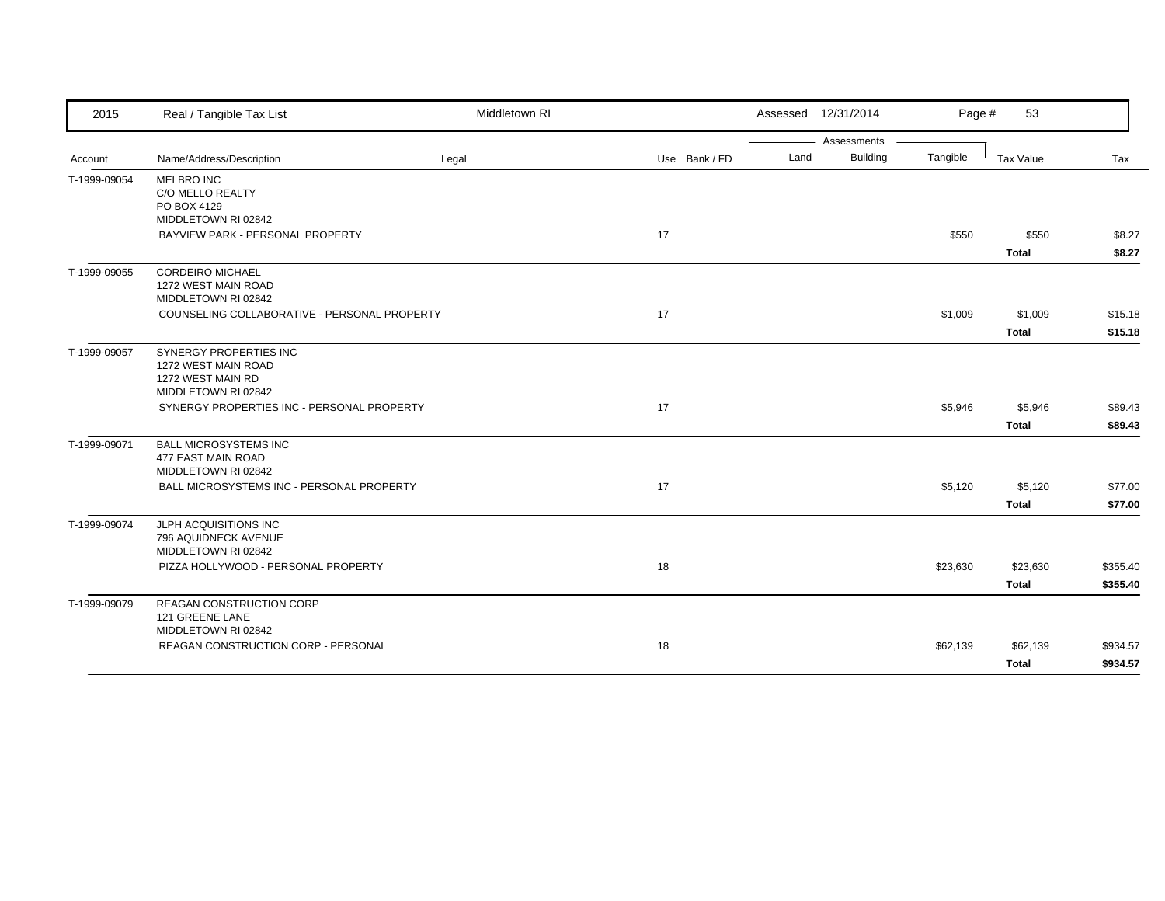| 2015         | Real / Tangible Tax List                                                                  | Middletown RI |               | Assessed 12/31/2014 |                 | Page #   | 53                       |                      |
|--------------|-------------------------------------------------------------------------------------------|---------------|---------------|---------------------|-----------------|----------|--------------------------|----------------------|
|              |                                                                                           |               |               |                     | Assessments     |          |                          |                      |
| Account      | Name/Address/Description                                                                  | Legal         | Use Bank / FD | Land                | <b>Building</b> | Tangible | Tax Value                | Tax                  |
| T-1999-09054 | <b>MELBRO INC</b><br>C/O MELLO REALTY<br>PO BOX 4129                                      |               |               |                     |                 |          |                          |                      |
|              | MIDDLETOWN RI 02842                                                                       |               |               |                     |                 |          |                          |                      |
|              | BAYVIEW PARK - PERSONAL PROPERTY                                                          |               | 17            |                     |                 | \$550    | \$550<br><b>Total</b>    | \$8.27<br>\$8.27     |
| T-1999-09055 | <b>CORDEIRO MICHAEL</b><br>1272 WEST MAIN ROAD<br>MIDDLETOWN RI 02842                     |               |               |                     |                 |          |                          |                      |
|              | COUNSELING COLLABORATIVE - PERSONAL PROPERTY                                              |               | 17            |                     |                 | \$1,009  | \$1,009<br><b>Total</b>  | \$15.18<br>\$15.18   |
| T-1999-09057 | SYNERGY PROPERTIES INC<br>1272 WEST MAIN ROAD<br>1272 WEST MAIN RD<br>MIDDLETOWN RI 02842 |               |               |                     |                 |          |                          |                      |
|              | SYNERGY PROPERTIES INC - PERSONAL PROPERTY                                                |               | 17            |                     |                 | \$5,946  | \$5,946<br><b>Total</b>  | \$89.43<br>\$89.43   |
| T-1999-09071 | <b>BALL MICROSYSTEMS INC</b><br>477 EAST MAIN ROAD<br>MIDDLETOWN RI 02842                 |               |               |                     |                 |          |                          |                      |
|              | BALL MICROSYSTEMS INC - PERSONAL PROPERTY                                                 |               | 17            |                     |                 | \$5,120  | \$5,120<br><b>Total</b>  | \$77.00<br>\$77.00   |
| T-1999-09074 | JLPH ACQUISITIONS INC<br>796 AQUIDNECK AVENUE<br>MIDDLETOWN RI 02842                      |               |               |                     |                 |          |                          |                      |
|              | PIZZA HOLLYWOOD - PERSONAL PROPERTY                                                       |               | 18            |                     |                 | \$23,630 | \$23,630<br><b>Total</b> | \$355.40<br>\$355.40 |
| T-1999-09079 | REAGAN CONSTRUCTION CORP<br>121 GREENE LANE<br>MIDDLETOWN RI 02842                        |               |               |                     |                 |          |                          |                      |
|              | REAGAN CONSTRUCTION CORP - PERSONAL                                                       |               | 18            |                     |                 | \$62,139 | \$62,139                 | \$934.57             |
|              |                                                                                           |               |               |                     |                 |          | <b>Total</b>             | \$934.57             |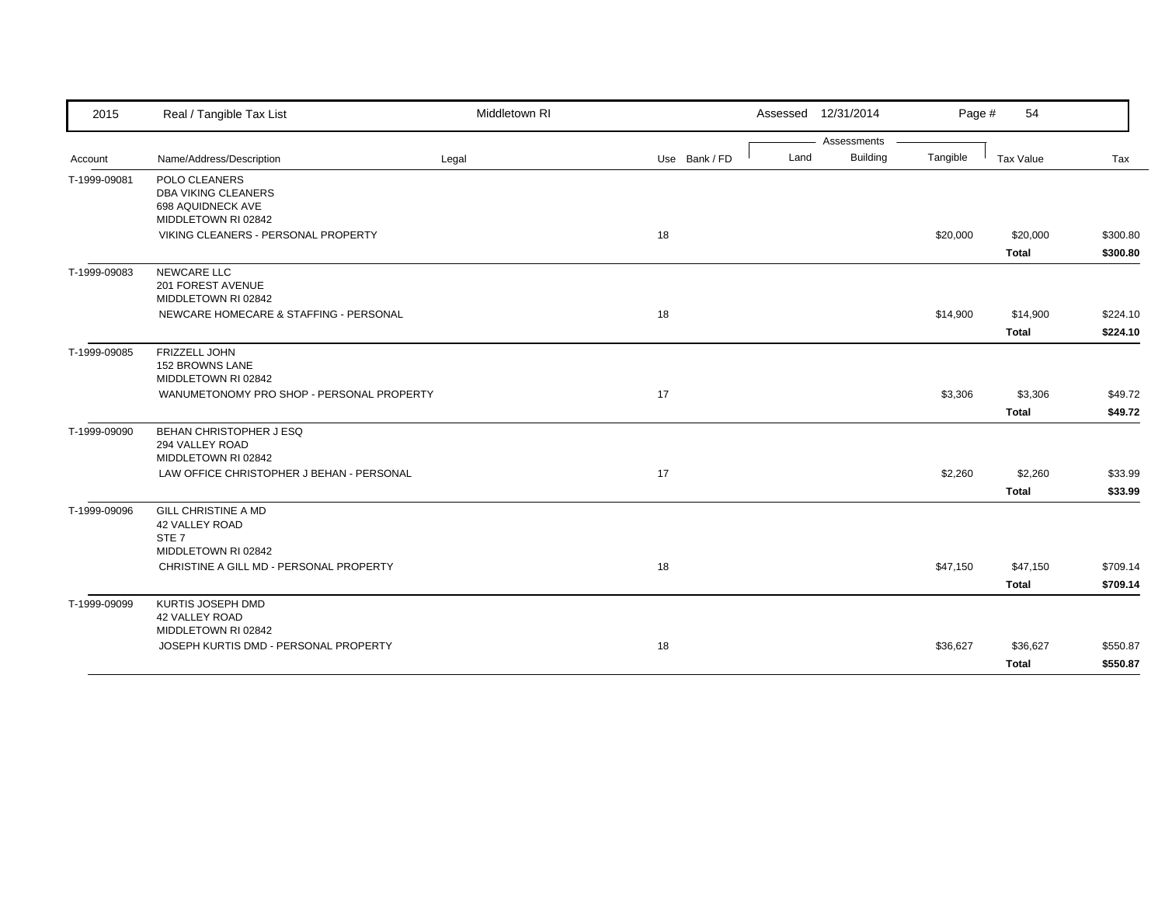| 2015         | Real / Tangible Tax List                  | Middletown RI |               | Assessed 12/31/2014 |                 | Page #   | 54           |          |
|--------------|-------------------------------------------|---------------|---------------|---------------------|-----------------|----------|--------------|----------|
|              |                                           |               |               |                     | Assessments     |          |              |          |
| Account      | Name/Address/Description                  | Legal         | Use Bank / FD | Land                | <b>Building</b> | Tangible | Tax Value    | Tax      |
| T-1999-09081 | POLO CLEANERS                             |               |               |                     |                 |          |              |          |
|              | <b>DBA VIKING CLEANERS</b>                |               |               |                     |                 |          |              |          |
|              | 698 AQUIDNECK AVE                         |               |               |                     |                 |          |              |          |
|              | MIDDLETOWN RI 02842                       |               |               |                     |                 |          |              |          |
|              | VIKING CLEANERS - PERSONAL PROPERTY       |               | 18            |                     |                 | \$20,000 | \$20,000     | \$300.80 |
|              |                                           |               |               |                     |                 |          | <b>Total</b> | \$300.80 |
| T-1999-09083 | <b>NEWCARE LLC</b>                        |               |               |                     |                 |          |              |          |
|              | 201 FOREST AVENUE<br>MIDDLETOWN RI 02842  |               |               |                     |                 |          |              |          |
|              | NEWCARE HOMECARE & STAFFING - PERSONAL    |               | 18            |                     |                 | \$14,900 | \$14,900     | \$224.10 |
|              |                                           |               |               |                     |                 |          |              |          |
|              |                                           |               |               |                     |                 |          | <b>Total</b> | \$224.10 |
| T-1999-09085 | FRIZZELL JOHN                             |               |               |                     |                 |          |              |          |
|              | 152 BROWNS LANE<br>MIDDLETOWN RI 02842    |               |               |                     |                 |          |              |          |
|              | WANUMETONOMY PRO SHOP - PERSONAL PROPERTY |               |               |                     |                 |          |              |          |
|              |                                           |               | 17            |                     |                 | \$3,306  | \$3,306      | \$49.72  |
|              |                                           |               |               |                     |                 |          | <b>Total</b> | \$49.72  |
| T-1999-09090 | BEHAN CHRISTOPHER J ESQ                   |               |               |                     |                 |          |              |          |
|              | 294 VALLEY ROAD                           |               |               |                     |                 |          |              |          |
|              | MIDDLETOWN RI 02842                       |               |               |                     |                 |          |              |          |
|              | LAW OFFICE CHRISTOPHER J BEHAN - PERSONAL |               | 17            |                     |                 | \$2,260  | \$2,260      | \$33.99  |
|              |                                           |               |               |                     |                 |          | <b>Total</b> | \$33.99  |
| T-1999-09096 | <b>GILL CHRISTINE A MD</b>                |               |               |                     |                 |          |              |          |
|              | 42 VALLEY ROAD                            |               |               |                     |                 |          |              |          |
|              | STE <sub>7</sub><br>MIDDLETOWN RI 02842   |               |               |                     |                 |          |              |          |
|              | CHRISTINE A GILL MD - PERSONAL PROPERTY   |               | 18            |                     |                 | \$47,150 | \$47,150     | \$709.14 |
|              |                                           |               |               |                     |                 |          |              |          |
|              |                                           |               |               |                     |                 |          | <b>Total</b> | \$709.14 |
| T-1999-09099 | KURTIS JOSEPH DMD                         |               |               |                     |                 |          |              |          |
|              | 42 VALLEY ROAD                            |               |               |                     |                 |          |              |          |
|              | MIDDLETOWN RI 02842                       |               |               |                     |                 |          |              |          |
|              | JOSEPH KURTIS DMD - PERSONAL PROPERTY     |               | 18            |                     |                 | \$36,627 | \$36,627     | \$550.87 |
|              |                                           |               |               |                     |                 |          | <b>Total</b> | \$550.87 |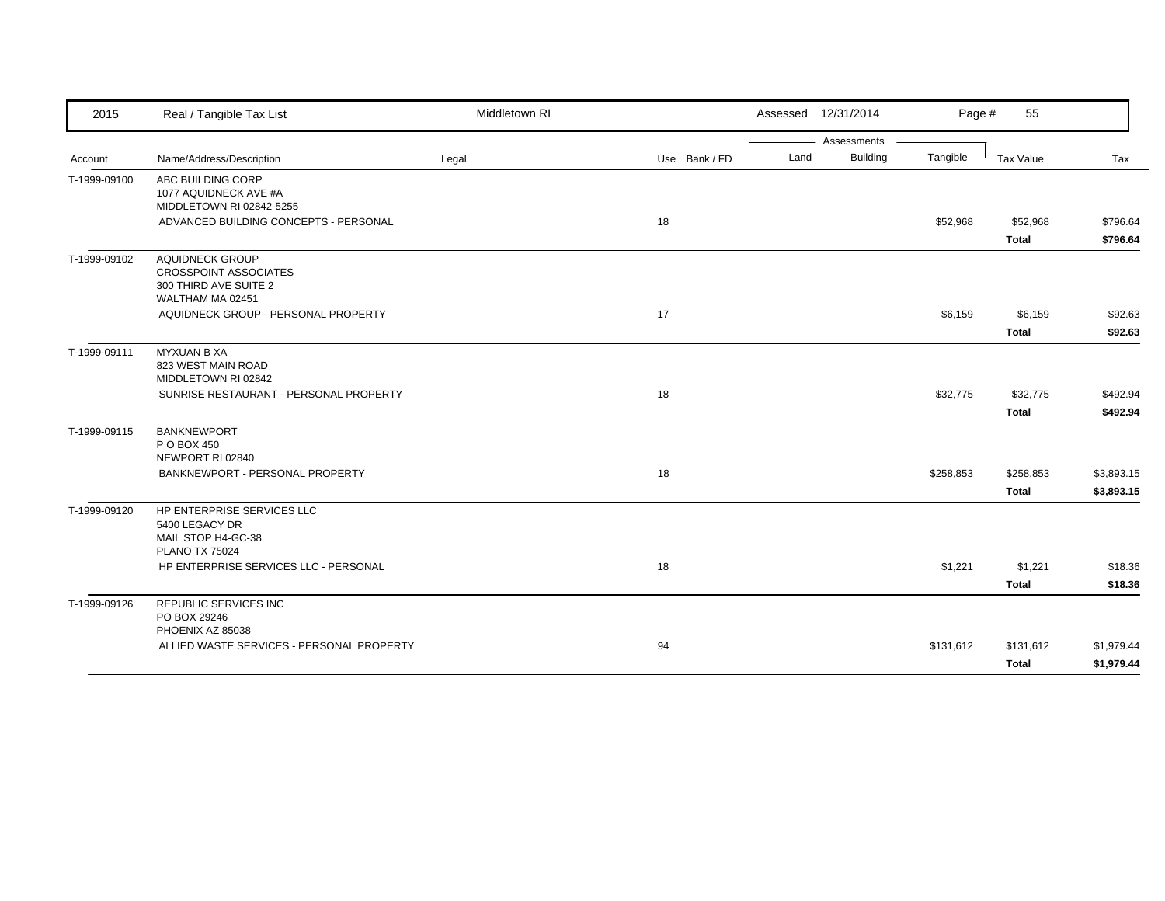| 2015         | Real / Tangible Tax List                                                                            | Middletown RI |               | Assessed 12/31/2014 |                 | Page #    | 55                        |                          |
|--------------|-----------------------------------------------------------------------------------------------------|---------------|---------------|---------------------|-----------------|-----------|---------------------------|--------------------------|
|              |                                                                                                     |               |               |                     | Assessments     |           |                           |                          |
| Account      | Name/Address/Description                                                                            | Legal         | Use Bank / FD | Land                | <b>Building</b> | Tangible  | Tax Value                 | Tax                      |
| T-1999-09100 | ABC BUILDING CORP<br>1077 AQUIDNECK AVE #A<br>MIDDLETOWN RI 02842-5255                              |               |               |                     |                 |           |                           |                          |
|              | ADVANCED BUILDING CONCEPTS - PERSONAL                                                               |               | 18            |                     |                 | \$52,968  | \$52,968<br><b>Total</b>  | \$796.64<br>\$796.64     |
| T-1999-09102 | <b>AQUIDNECK GROUP</b><br><b>CROSSPOINT ASSOCIATES</b><br>300 THIRD AVE SUITE 2<br>WALTHAM MA 02451 |               |               |                     |                 |           |                           |                          |
|              | AQUIDNECK GROUP - PERSONAL PROPERTY                                                                 |               | 17            |                     |                 | \$6,159   | \$6,159<br><b>Total</b>   | \$92.63<br>\$92.63       |
| T-1999-09111 | <b>MYXUAN B XA</b><br>823 WEST MAIN ROAD<br>MIDDLETOWN RI 02842                                     |               |               |                     |                 |           |                           |                          |
|              | SUNRISE RESTAURANT - PERSONAL PROPERTY                                                              |               | 18            |                     |                 | \$32,775  | \$32,775<br><b>Total</b>  | \$492.94<br>\$492.94     |
| T-1999-09115 | <b>BANKNEWPORT</b><br>P O BOX 450<br>NEWPORT RI 02840                                               |               |               |                     |                 |           |                           |                          |
|              | BANKNEWPORT - PERSONAL PROPERTY                                                                     |               | 18            |                     |                 | \$258,853 | \$258,853<br><b>Total</b> | \$3,893.15<br>\$3,893.15 |
| T-1999-09120 | HP ENTERPRISE SERVICES LLC<br>5400 LEGACY DR<br>MAIL STOP H4-GC-38<br><b>PLANO TX 75024</b>         |               |               |                     |                 |           |                           |                          |
|              | HP ENTERPRISE SERVICES LLC - PERSONAL                                                               |               | 18            |                     |                 | \$1,221   | \$1,221<br><b>Total</b>   | \$18.36<br>\$18.36       |
| T-1999-09126 | <b>REPUBLIC SERVICES INC</b><br>PO BOX 29246<br>PHOENIX AZ 85038                                    |               |               |                     |                 |           |                           |                          |
|              | ALLIED WASTE SERVICES - PERSONAL PROPERTY                                                           |               | 94            |                     |                 | \$131,612 | \$131,612<br><b>Total</b> | \$1,979.44<br>\$1,979.44 |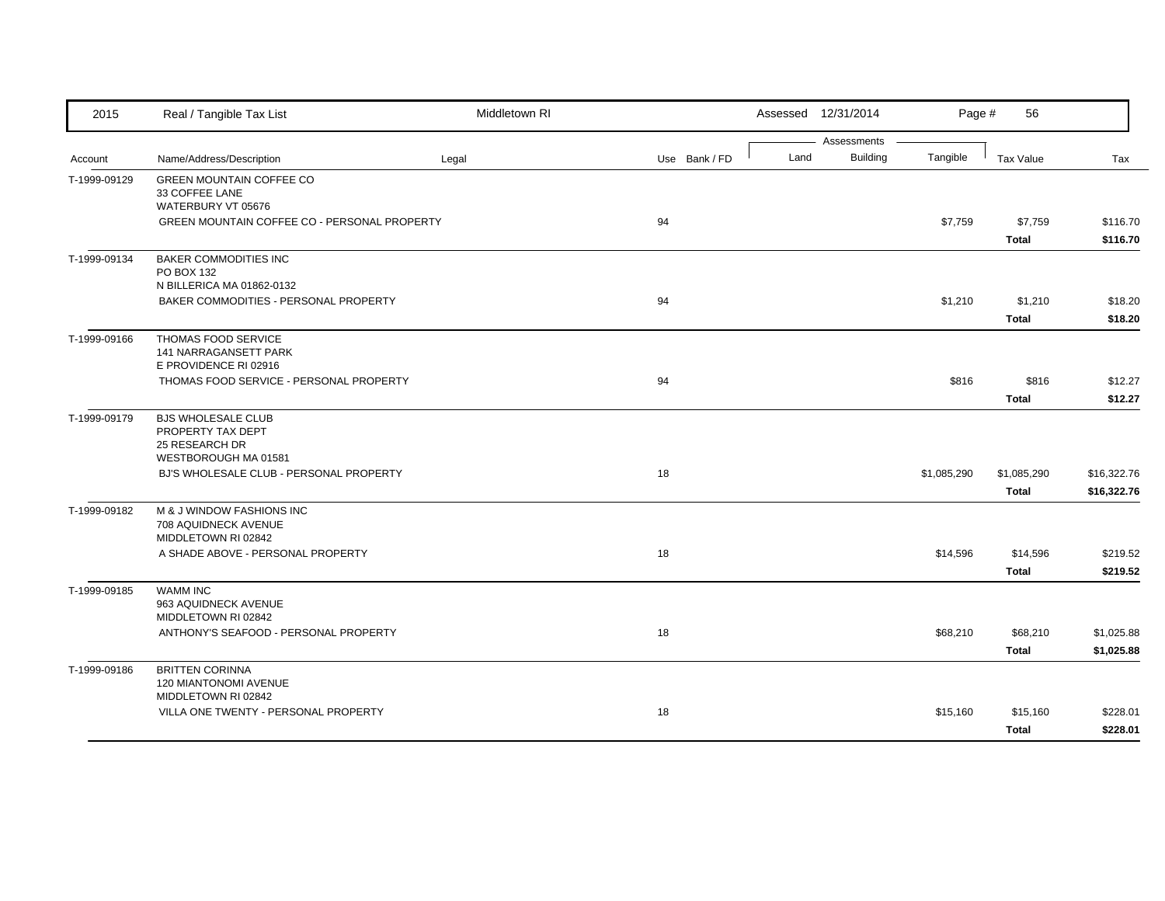| 2015         | Real / Tangible Tax List                     | Middletown RI |               |      | Assessed 12/31/2014 | Page #      | 56           |             |
|--------------|----------------------------------------------|---------------|---------------|------|---------------------|-------------|--------------|-------------|
|              |                                              |               |               |      | Assessments         |             |              |             |
| Account      | Name/Address/Description                     | Legal         | Use Bank / FD | Land | <b>Building</b>     | Tangible    | Tax Value    | Tax         |
| T-1999-09129 | <b>GREEN MOUNTAIN COFFEE CO</b>              |               |               |      |                     |             |              |             |
|              | 33 COFFEE LANE<br>WATERBURY VT 05676         |               |               |      |                     |             |              |             |
|              | GREEN MOUNTAIN COFFEE CO - PERSONAL PROPERTY |               | 94            |      |                     | \$7,759     | \$7,759      | \$116.70    |
|              |                                              |               |               |      |                     |             | <b>Total</b> | \$116.70    |
| T-1999-09134 | <b>BAKER COMMODITIES INC</b>                 |               |               |      |                     |             |              |             |
|              | PO BOX 132                                   |               |               |      |                     |             |              |             |
|              | N BILLERICA MA 01862-0132                    |               |               |      |                     |             |              |             |
|              | BAKER COMMODITIES - PERSONAL PROPERTY        |               | 94            |      |                     | \$1,210     | \$1,210      | \$18.20     |
|              |                                              |               |               |      |                     |             | Total        | \$18.20     |
| T-1999-09166 | THOMAS FOOD SERVICE                          |               |               |      |                     |             |              |             |
|              | <b>141 NARRAGANSETT PARK</b>                 |               |               |      |                     |             |              |             |
|              | E PROVIDENCE RI 02916                        |               |               |      |                     |             |              |             |
|              | THOMAS FOOD SERVICE - PERSONAL PROPERTY      |               | 94            |      |                     | \$816       | \$816        | \$12.27     |
|              |                                              |               |               |      |                     |             | <b>Total</b> | \$12.27     |
| T-1999-09179 | <b>BJS WHOLESALE CLUB</b>                    |               |               |      |                     |             |              |             |
|              | PROPERTY TAX DEPT<br>25 RESEARCH DR          |               |               |      |                     |             |              |             |
|              | WESTBOROUGH MA 01581                         |               |               |      |                     |             |              |             |
|              | BJ'S WHOLESALE CLUB - PERSONAL PROPERTY      |               | 18            |      |                     | \$1,085,290 | \$1,085,290  | \$16,322.76 |
|              |                                              |               |               |      |                     |             | <b>Total</b> | \$16,322.76 |
| T-1999-09182 | M & J WINDOW FASHIONS INC                    |               |               |      |                     |             |              |             |
|              | 708 AQUIDNECK AVENUE                         |               |               |      |                     |             |              |             |
|              | MIDDLETOWN RI 02842                          |               |               |      |                     |             |              |             |
|              | A SHADE ABOVE - PERSONAL PROPERTY            |               | 18            |      |                     | \$14,596    | \$14,596     | \$219.52    |
|              |                                              |               |               |      |                     |             | <b>Total</b> | \$219.52    |
| T-1999-09185 | <b>WAMM INC</b>                              |               |               |      |                     |             |              |             |
|              | 963 AQUIDNECK AVENUE<br>MIDDLETOWN RI 02842  |               |               |      |                     |             |              |             |
|              | ANTHONY'S SEAFOOD - PERSONAL PROPERTY        |               | 18            |      |                     | \$68,210    | \$68,210     | \$1,025.88  |
|              |                                              |               |               |      |                     |             |              |             |
|              |                                              |               |               |      |                     |             | <b>Total</b> | \$1,025.88  |
| T-1999-09186 | <b>BRITTEN CORINNA</b>                       |               |               |      |                     |             |              |             |
|              | 120 MIANTONOMI AVENUE<br>MIDDLETOWN RI 02842 |               |               |      |                     |             |              |             |
|              | VILLA ONE TWENTY - PERSONAL PROPERTY         |               | 18            |      |                     | \$15,160    | \$15,160     | \$228.01    |
|              |                                              |               |               |      |                     |             | <b>Total</b> | \$228.01    |
|              |                                              |               |               |      |                     |             |              |             |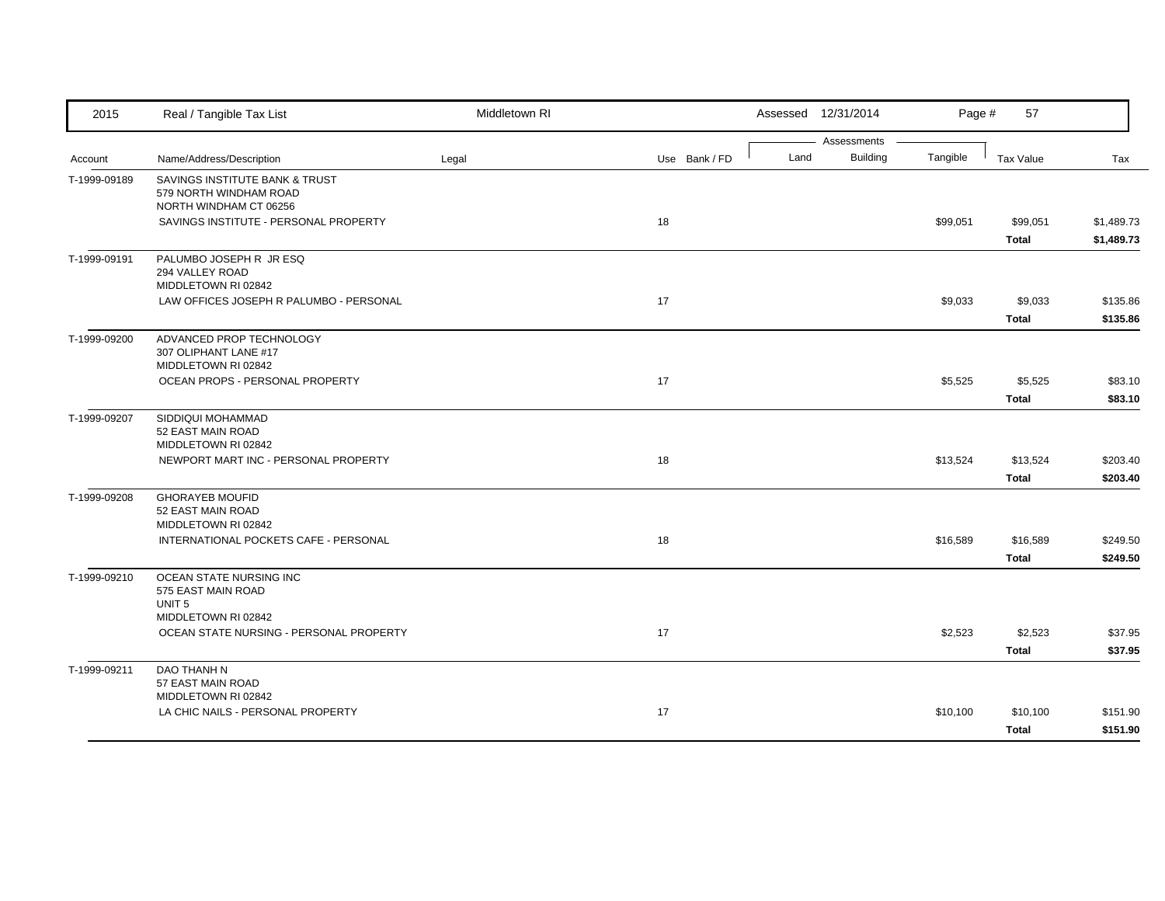| 2015         | Real / Tangible Tax List                                                           | Middletown RI |               | Assessed 12/31/2014 | Page #                              | 57                       |                          |
|--------------|------------------------------------------------------------------------------------|---------------|---------------|---------------------|-------------------------------------|--------------------------|--------------------------|
| Account      | Name/Address/Description                                                           | Legal         | Use Bank / FD | Land                | Assessments<br>Building<br>Tangible | Tax Value                | Tax                      |
| T-1999-09189 | SAVINGS INSTITUTE BANK & TRUST<br>579 NORTH WINDHAM ROAD<br>NORTH WINDHAM CT 06256 |               |               |                     |                                     |                          |                          |
|              | SAVINGS INSTITUTE - PERSONAL PROPERTY                                              |               | 18            |                     | \$99,051                            | \$99,051<br><b>Total</b> | \$1,489.73<br>\$1,489.73 |
| T-1999-09191 | PALUMBO JOSEPH R JR ESQ<br>294 VALLEY ROAD<br>MIDDLETOWN RI 02842                  |               |               |                     |                                     |                          |                          |
|              | LAW OFFICES JOSEPH R PALUMBO - PERSONAL                                            |               | 17            |                     | \$9,033                             | \$9,033<br><b>Total</b>  | \$135.86<br>\$135.86     |
| T-1999-09200 | ADVANCED PROP TECHNOLOGY<br>307 OLIPHANT LANE #17<br>MIDDLETOWN RI 02842           |               |               |                     |                                     |                          |                          |
|              | OCEAN PROPS - PERSONAL PROPERTY                                                    |               | 17            |                     | \$5,525                             | \$5,525<br><b>Total</b>  | \$83.10<br>\$83.10       |
| T-1999-09207 | SIDDIQUI MOHAMMAD<br>52 EAST MAIN ROAD<br>MIDDLETOWN RI 02842                      |               |               |                     |                                     |                          |                          |
|              | NEWPORT MART INC - PERSONAL PROPERTY                                               |               | 18            |                     | \$13,524                            | \$13,524<br><b>Total</b> | \$203.40<br>\$203.40     |
| T-1999-09208 | <b>GHORAYEB MOUFID</b><br>52 EAST MAIN ROAD<br>MIDDLETOWN RI 02842                 |               |               |                     |                                     |                          |                          |
|              | INTERNATIONAL POCKETS CAFE - PERSONAL                                              |               | 18            |                     | \$16,589                            | \$16,589<br><b>Total</b> | \$249.50<br>\$249.50     |
| T-1999-09210 | OCEAN STATE NURSING INC<br>575 EAST MAIN ROAD<br>UNIT <sub>5</sub>                 |               |               |                     |                                     |                          |                          |
|              | MIDDLETOWN RI 02842<br>OCEAN STATE NURSING - PERSONAL PROPERTY                     |               | 17            |                     | \$2,523                             | \$2,523<br>Total         | \$37.95<br>\$37.95       |
| T-1999-09211 | DAO THANH N<br>57 EAST MAIN ROAD<br>MIDDLETOWN RI 02842                            |               |               |                     |                                     |                          |                          |
|              | LA CHIC NAILS - PERSONAL PROPERTY                                                  |               | 17            |                     | \$10,100                            | \$10,100<br><b>Total</b> | \$151.90<br>\$151.90     |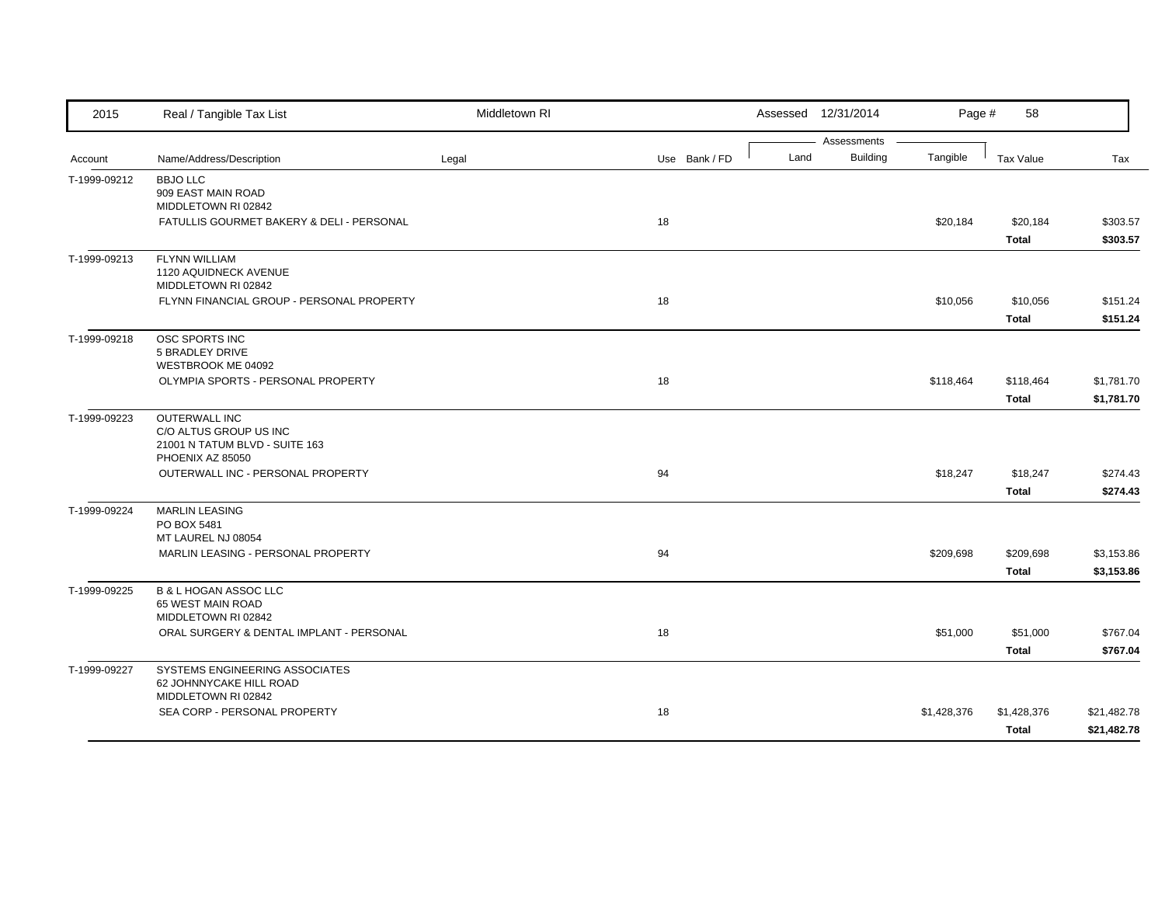| 2015         | Real / Tangible Tax List                           | Middletown RI |               |      | Assessed 12/31/2014 | Page #      | 58           |             |
|--------------|----------------------------------------------------|---------------|---------------|------|---------------------|-------------|--------------|-------------|
|              |                                                    |               |               |      | Assessments         |             |              |             |
| Account      | Name/Address/Description                           | Legal         | Use Bank / FD | Land | <b>Building</b>     | Tangible    | Tax Value    | Tax         |
| T-1999-09212 | <b>BBJO LLC</b><br>909 EAST MAIN ROAD              |               |               |      |                     |             |              |             |
|              | MIDDLETOWN RI 02842                                |               |               |      |                     |             |              |             |
|              | FATULLIS GOURMET BAKERY & DELI - PERSONAL          |               | 18            |      |                     | \$20,184    | \$20,184     | \$303.57    |
|              |                                                    |               |               |      |                     |             | <b>Total</b> | \$303.57    |
| T-1999-09213 | <b>FLYNN WILLIAM</b>                               |               |               |      |                     |             |              |             |
|              | 1120 AQUIDNECK AVENUE                              |               |               |      |                     |             |              |             |
|              | MIDDLETOWN RI 02842                                |               |               |      |                     |             |              |             |
|              | FLYNN FINANCIAL GROUP - PERSONAL PROPERTY          |               | 18            |      |                     | \$10,056    | \$10,056     | \$151.24    |
|              |                                                    |               |               |      |                     |             | <b>Total</b> | \$151.24    |
| T-1999-09218 | OSC SPORTS INC                                     |               |               |      |                     |             |              |             |
|              | 5 BRADLEY DRIVE                                    |               |               |      |                     |             |              |             |
|              | WESTBROOK ME 04092                                 |               |               |      |                     |             |              |             |
|              | OLYMPIA SPORTS - PERSONAL PROPERTY                 |               | 18            |      |                     | \$118,464   | \$118,464    | \$1,781.70  |
|              |                                                    |               |               |      |                     |             | <b>Total</b> | \$1,781.70  |
| T-1999-09223 | <b>OUTERWALL INC</b>                               |               |               |      |                     |             |              |             |
|              | C/O ALTUS GROUP US INC                             |               |               |      |                     |             |              |             |
|              | 21001 N TATUM BLVD - SUITE 163<br>PHOENIX AZ 85050 |               |               |      |                     |             |              |             |
|              | OUTERWALL INC - PERSONAL PROPERTY                  |               | 94            |      |                     | \$18,247    | \$18,247     | \$274.43    |
|              |                                                    |               |               |      |                     |             | <b>Total</b> | \$274.43    |
| T-1999-09224 | <b>MARLIN LEASING</b>                              |               |               |      |                     |             |              |             |
|              | PO BOX 5481                                        |               |               |      |                     |             |              |             |
|              | MT LAUREL NJ 08054                                 |               |               |      |                     |             |              |             |
|              | MARLIN LEASING - PERSONAL PROPERTY                 |               | 94            |      |                     | \$209,698   | \$209,698    | \$3,153.86  |
|              |                                                    |               |               |      |                     |             | <b>Total</b> | \$3,153.86  |
| T-1999-09225 | <b>B &amp; L HOGAN ASSOC LLC</b>                   |               |               |      |                     |             |              |             |
|              | 65 WEST MAIN ROAD                                  |               |               |      |                     |             |              |             |
|              | MIDDLETOWN RI 02842                                |               |               |      |                     |             |              |             |
|              | ORAL SURGERY & DENTAL IMPLANT - PERSONAL           |               | 18            |      |                     | \$51,000    | \$51,000     | \$767.04    |
|              |                                                    |               |               |      |                     |             | <b>Total</b> | \$767.04    |
| T-1999-09227 | SYSTEMS ENGINEERING ASSOCIATES                     |               |               |      |                     |             |              |             |
|              | 62 JOHNNYCAKE HILL ROAD<br>MIDDLETOWN RI 02842     |               |               |      |                     |             |              |             |
|              | SEA CORP - PERSONAL PROPERTY                       |               | 18            |      |                     | \$1,428,376 | \$1,428,376  | \$21,482.78 |
|              |                                                    |               |               |      |                     |             | <b>Total</b> | \$21,482.78 |
|              |                                                    |               |               |      |                     |             |              |             |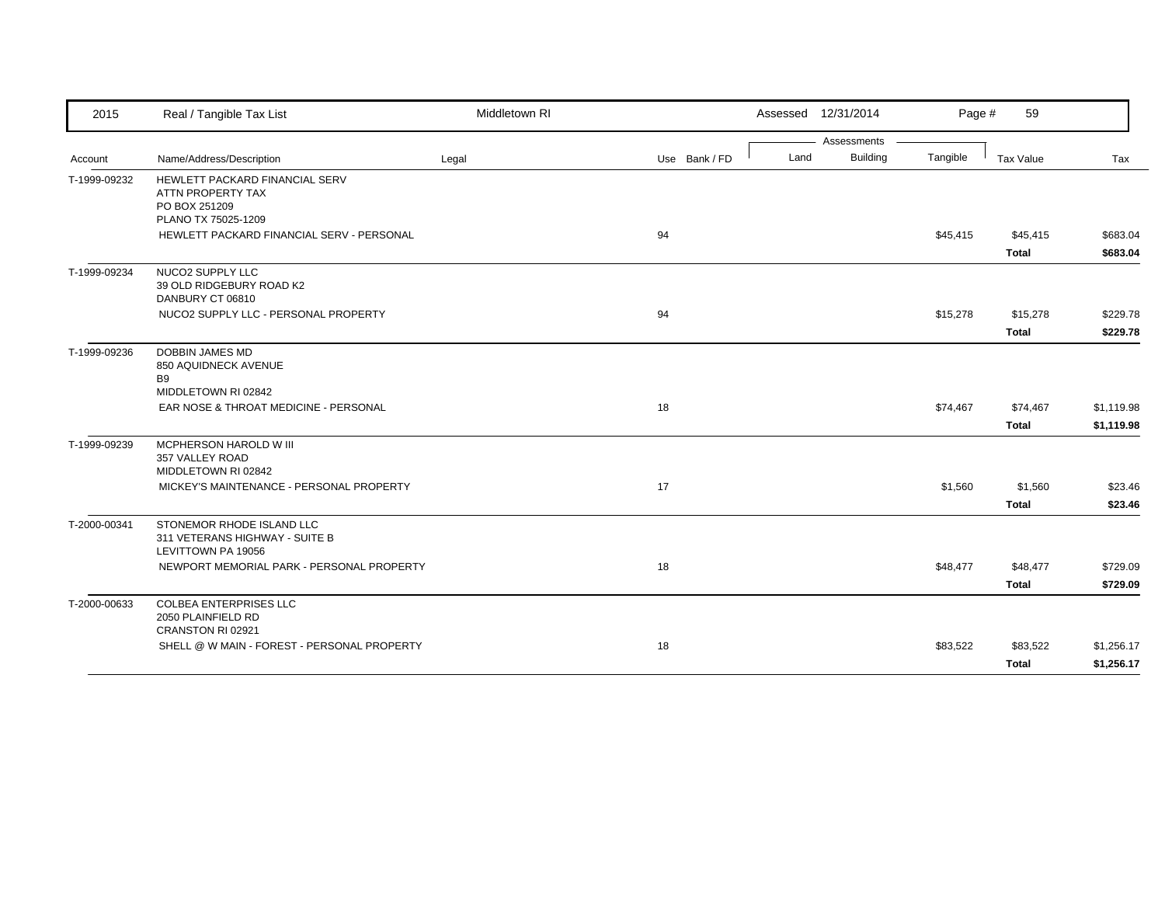| 2015         | Real / Tangible Tax List                                     | Middletown RI |               |      | Assessed 12/31/2014            | Page #   | 59           |            |
|--------------|--------------------------------------------------------------|---------------|---------------|------|--------------------------------|----------|--------------|------------|
|              |                                                              |               |               | Land | Assessments<br><b>Building</b> |          |              |            |
| Account      | Name/Address/Description                                     | Legal         | Use Bank / FD |      |                                | Tangible | Tax Value    | Tax        |
| T-1999-09232 | HEWLETT PACKARD FINANCIAL SERV                               |               |               |      |                                |          |              |            |
|              | ATTN PROPERTY TAX<br>PO BOX 251209                           |               |               |      |                                |          |              |            |
|              | PLANO TX 75025-1209                                          |               |               |      |                                |          |              |            |
|              | HEWLETT PACKARD FINANCIAL SERV - PERSONAL                    |               | 94            |      |                                | \$45,415 | \$45,415     | \$683.04   |
|              |                                                              |               |               |      |                                |          | <b>Total</b> | \$683.04   |
| T-1999-09234 | NUCO2 SUPPLY LLC                                             |               |               |      |                                |          |              |            |
|              | 39 OLD RIDGEBURY ROAD K2                                     |               |               |      |                                |          |              |            |
|              | DANBURY CT 06810                                             |               |               |      |                                |          |              |            |
|              | NUCO2 SUPPLY LLC - PERSONAL PROPERTY                         |               | 94            |      |                                | \$15,278 | \$15,278     | \$229.78   |
|              |                                                              |               |               |      |                                |          | <b>Total</b> | \$229.78   |
| T-1999-09236 | <b>DOBBIN JAMES MD</b>                                       |               |               |      |                                |          |              |            |
|              | 850 AQUIDNECK AVENUE                                         |               |               |      |                                |          |              |            |
|              | <b>B9</b>                                                    |               |               |      |                                |          |              |            |
|              | MIDDLETOWN RI 02842<br>EAR NOSE & THROAT MEDICINE - PERSONAL |               | 18            |      |                                | \$74,467 | \$74,467     | \$1,119.98 |
|              |                                                              |               |               |      |                                |          |              |            |
|              |                                                              |               |               |      |                                |          | <b>Total</b> | \$1,119.98 |
| T-1999-09239 | MCPHERSON HAROLD W III                                       |               |               |      |                                |          |              |            |
|              | 357 VALLEY ROAD<br>MIDDLETOWN RI 02842                       |               |               |      |                                |          |              |            |
|              | MICKEY'S MAINTENANCE - PERSONAL PROPERTY                     |               | 17            |      |                                | \$1,560  | \$1,560      | \$23.46    |
|              |                                                              |               |               |      |                                |          |              |            |
|              |                                                              |               |               |      |                                |          | <b>Total</b> | \$23.46    |
| T-2000-00341 | STONEMOR RHODE ISLAND LLC                                    |               |               |      |                                |          |              |            |
|              | 311 VETERANS HIGHWAY - SUITE B                               |               |               |      |                                |          |              |            |
|              | LEVITTOWN PA 19056                                           |               |               |      |                                |          |              |            |
|              | NEWPORT MEMORIAL PARK - PERSONAL PROPERTY                    |               | 18            |      |                                | \$48,477 | \$48,477     | \$729.09   |
|              |                                                              |               |               |      |                                |          | <b>Total</b> | \$729.09   |
| T-2000-00633 | <b>COLBEA ENTERPRISES LLC</b>                                |               |               |      |                                |          |              |            |
|              | 2050 PLAINFIELD RD                                           |               |               |      |                                |          |              |            |
|              | CRANSTON RI 02921                                            |               |               |      |                                |          |              |            |
|              | SHELL @ W MAIN - FOREST - PERSONAL PROPERTY                  |               | 18            |      |                                | \$83,522 | \$83,522     | \$1,256.17 |
|              |                                                              |               |               |      |                                |          | <b>Total</b> | \$1,256.17 |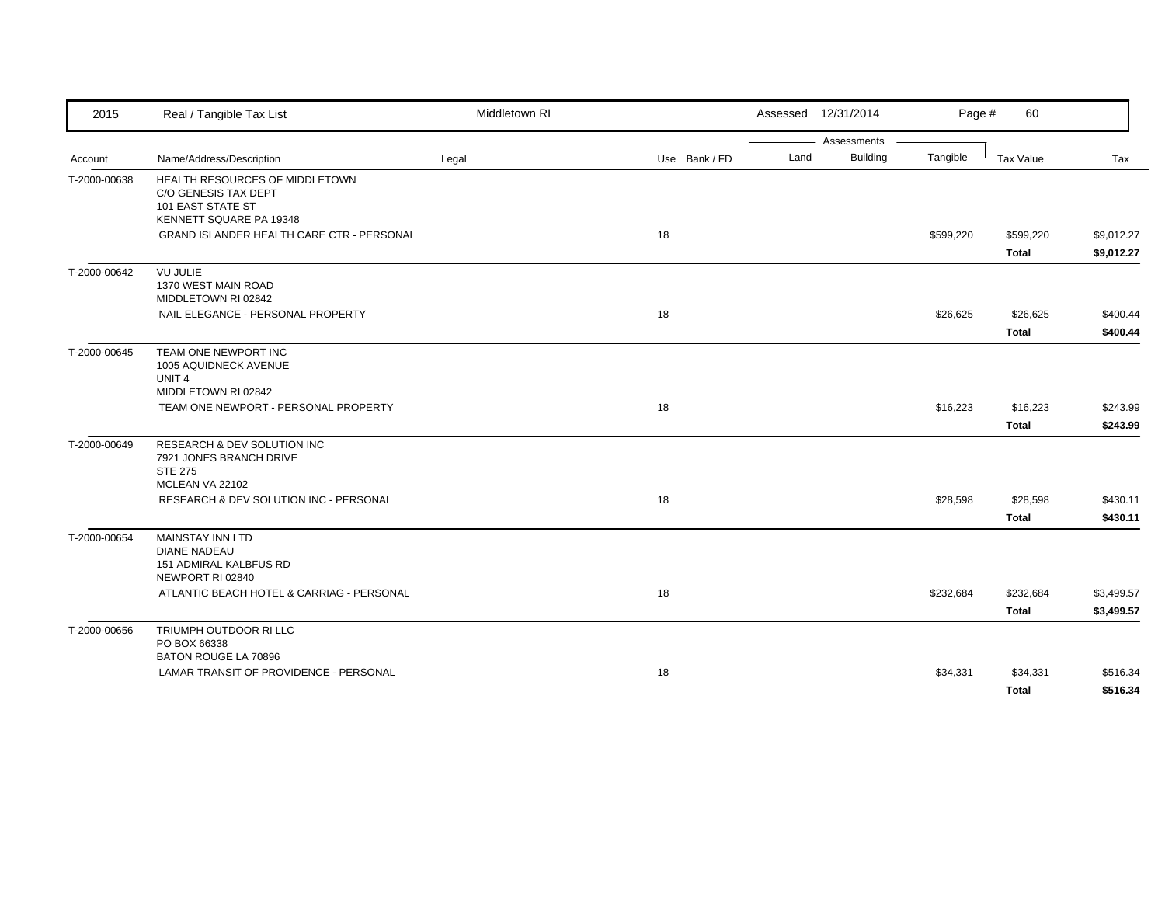| 2015         | Real / Tangible Tax List                                                                               | Middletown RI |               |      | Assessed 12/31/2014     | Page #    | 60                        |                          |
|--------------|--------------------------------------------------------------------------------------------------------|---------------|---------------|------|-------------------------|-----------|---------------------------|--------------------------|
| Account      | Name/Address/Description                                                                               | Legal         | Use Bank / FD | Land | Assessments<br>Building | Tangible  | Tax Value                 | Tax                      |
| T-2000-00638 | HEALTH RESOURCES OF MIDDLETOWN<br>C/O GENESIS TAX DEPT<br>101 EAST STATE ST<br>KENNETT SQUARE PA 19348 |               |               |      |                         |           |                           |                          |
|              | GRAND ISLANDER HEALTH CARE CTR - PERSONAL                                                              |               | 18            |      |                         | \$599,220 | \$599,220<br><b>Total</b> | \$9,012.27<br>\$9,012.27 |
| T-2000-00642 | <b>VU JULIE</b><br>1370 WEST MAIN ROAD<br>MIDDLETOWN RI 02842                                          |               |               |      |                         |           |                           |                          |
|              | NAIL ELEGANCE - PERSONAL PROPERTY                                                                      |               | 18            |      |                         | \$26,625  | \$26,625<br><b>Total</b>  | \$400.44<br>\$400.44     |
| T-2000-00645 | TEAM ONE NEWPORT INC<br>1005 AQUIDNECK AVENUE<br>UNIT <sub>4</sub><br>MIDDLETOWN RI 02842              |               |               |      |                         |           |                           |                          |
|              | TEAM ONE NEWPORT - PERSONAL PROPERTY                                                                   |               | 18            |      |                         | \$16,223  | \$16,223<br><b>Total</b>  | \$243.99<br>\$243.99     |
| T-2000-00649 | <b>RESEARCH &amp; DEV SOLUTION INC</b><br>7921 JONES BRANCH DRIVE<br><b>STE 275</b><br>MCLEAN VA 22102 |               |               |      |                         |           |                           |                          |
|              | RESEARCH & DEV SOLUTION INC - PERSONAL                                                                 |               | 18            |      |                         | \$28,598  | \$28,598<br><b>Total</b>  | \$430.11<br>\$430.11     |
| T-2000-00654 | <b>MAINSTAY INN LTD</b><br><b>DIANE NADEAU</b><br>151 ADMIRAL KALBFUS RD<br>NEWPORT RI 02840           |               |               |      |                         |           |                           |                          |
|              | ATLANTIC BEACH HOTEL & CARRIAG - PERSONAL                                                              |               | 18            |      |                         | \$232,684 | \$232,684<br><b>Total</b> | \$3,499.57<br>\$3,499.57 |
| T-2000-00656 | TRIUMPH OUTDOOR RI LLC<br>PO BOX 66338                                                                 |               |               |      |                         |           |                           |                          |
|              | BATON ROUGE LA 70896<br>LAMAR TRANSIT OF PROVIDENCE - PERSONAL                                         |               | 18            |      |                         | \$34,331  | \$34,331<br><b>Total</b>  | \$516.34<br>\$516.34     |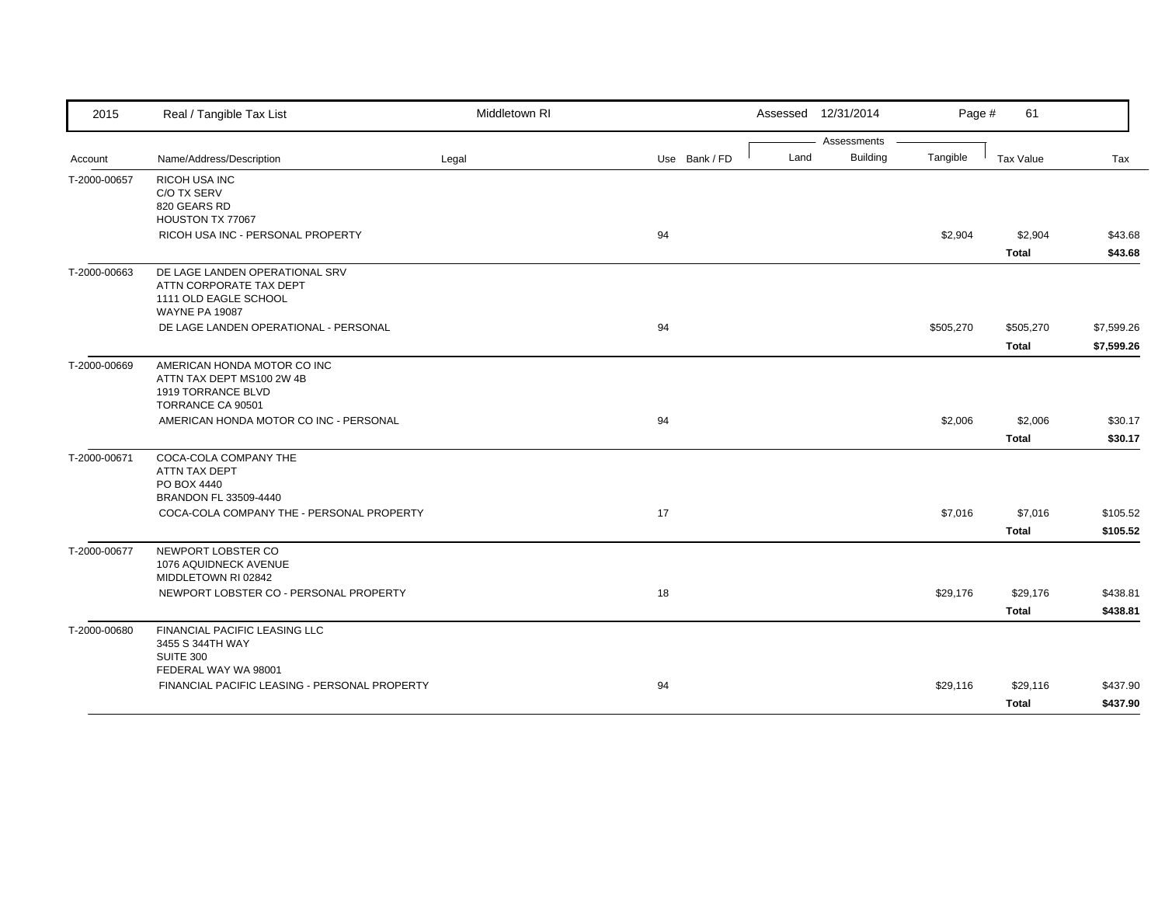| Assessments<br><b>Building</b><br>Land<br>Tangible<br>Name/Address/Description<br>Legal<br>Use Bank / FD<br>Tax Value<br>Tax<br>Account<br>T-2000-00657<br>RICOH USA INC<br>C/O TX SERV<br>820 GEARS RD<br>HOUSTON TX 77067<br>RICOH USA INC - PERSONAL PROPERTY<br>94<br>\$2,904<br>\$2,904<br><b>Total</b><br>DE LAGE LANDEN OPERATIONAL SRV<br>T-2000-00663<br>ATTN CORPORATE TAX DEPT<br>1111 OLD EAGLE SCHOOL<br><b>WAYNE PA 19087</b><br>DE LAGE LANDEN OPERATIONAL - PERSONAL<br>94<br>\$505,270<br>\$505,270<br><b>Total</b><br>T-2000-00669<br>AMERICAN HONDA MOTOR CO INC<br>ATTN TAX DEPT MS100 2W 4B<br>1919 TORRANCE BLVD<br>TORRANCE CA 90501<br>94<br>AMERICAN HONDA MOTOR CO INC - PERSONAL<br>\$2,006<br>\$2,006<br><b>Total</b><br>COCA-COLA COMPANY THE<br>T-2000-00671<br>ATTN TAX DEPT<br>PO BOX 4440<br>BRANDON FL 33509-4440<br>COCA-COLA COMPANY THE - PERSONAL PROPERTY<br>17<br>\$7,016<br>\$7,016<br>\$105.52<br>\$105.52<br><b>Total</b><br>NEWPORT LOBSTER CO<br>T-2000-00677<br>1076 AQUIDNECK AVENUE<br>MIDDLETOWN RI 02842<br>NEWPORT LOBSTER CO - PERSONAL PROPERTY<br>18<br>\$29,176<br>\$29,176 | 2015 | Real / Tangible Tax List | Middletown RI | Assessed 12/31/2014 | Page # | 61 |            |
|------------------------------------------------------------------------------------------------------------------------------------------------------------------------------------------------------------------------------------------------------------------------------------------------------------------------------------------------------------------------------------------------------------------------------------------------------------------------------------------------------------------------------------------------------------------------------------------------------------------------------------------------------------------------------------------------------------------------------------------------------------------------------------------------------------------------------------------------------------------------------------------------------------------------------------------------------------------------------------------------------------------------------------------------------------------------------------------------------------------------------------|------|--------------------------|---------------|---------------------|--------|----|------------|
|                                                                                                                                                                                                                                                                                                                                                                                                                                                                                                                                                                                                                                                                                                                                                                                                                                                                                                                                                                                                                                                                                                                                    |      |                          |               |                     |        |    |            |
|                                                                                                                                                                                                                                                                                                                                                                                                                                                                                                                                                                                                                                                                                                                                                                                                                                                                                                                                                                                                                                                                                                                                    |      |                          |               |                     |        |    |            |
|                                                                                                                                                                                                                                                                                                                                                                                                                                                                                                                                                                                                                                                                                                                                                                                                                                                                                                                                                                                                                                                                                                                                    |      |                          |               |                     |        |    |            |
|                                                                                                                                                                                                                                                                                                                                                                                                                                                                                                                                                                                                                                                                                                                                                                                                                                                                                                                                                                                                                                                                                                                                    |      |                          |               |                     |        |    |            |
|                                                                                                                                                                                                                                                                                                                                                                                                                                                                                                                                                                                                                                                                                                                                                                                                                                                                                                                                                                                                                                                                                                                                    |      |                          |               |                     |        |    |            |
|                                                                                                                                                                                                                                                                                                                                                                                                                                                                                                                                                                                                                                                                                                                                                                                                                                                                                                                                                                                                                                                                                                                                    |      |                          |               |                     |        |    | \$43.68    |
|                                                                                                                                                                                                                                                                                                                                                                                                                                                                                                                                                                                                                                                                                                                                                                                                                                                                                                                                                                                                                                                                                                                                    |      |                          |               |                     |        |    | \$43.68    |
|                                                                                                                                                                                                                                                                                                                                                                                                                                                                                                                                                                                                                                                                                                                                                                                                                                                                                                                                                                                                                                                                                                                                    |      |                          |               |                     |        |    |            |
|                                                                                                                                                                                                                                                                                                                                                                                                                                                                                                                                                                                                                                                                                                                                                                                                                                                                                                                                                                                                                                                                                                                                    |      |                          |               |                     |        |    |            |
|                                                                                                                                                                                                                                                                                                                                                                                                                                                                                                                                                                                                                                                                                                                                                                                                                                                                                                                                                                                                                                                                                                                                    |      |                          |               |                     |        |    |            |
|                                                                                                                                                                                                                                                                                                                                                                                                                                                                                                                                                                                                                                                                                                                                                                                                                                                                                                                                                                                                                                                                                                                                    |      |                          |               |                     |        |    | \$7,599.26 |
|                                                                                                                                                                                                                                                                                                                                                                                                                                                                                                                                                                                                                                                                                                                                                                                                                                                                                                                                                                                                                                                                                                                                    |      |                          |               |                     |        |    | \$7,599.26 |
|                                                                                                                                                                                                                                                                                                                                                                                                                                                                                                                                                                                                                                                                                                                                                                                                                                                                                                                                                                                                                                                                                                                                    |      |                          |               |                     |        |    |            |
|                                                                                                                                                                                                                                                                                                                                                                                                                                                                                                                                                                                                                                                                                                                                                                                                                                                                                                                                                                                                                                                                                                                                    |      |                          |               |                     |        |    |            |
|                                                                                                                                                                                                                                                                                                                                                                                                                                                                                                                                                                                                                                                                                                                                                                                                                                                                                                                                                                                                                                                                                                                                    |      |                          |               |                     |        |    |            |
|                                                                                                                                                                                                                                                                                                                                                                                                                                                                                                                                                                                                                                                                                                                                                                                                                                                                                                                                                                                                                                                                                                                                    |      |                          |               |                     |        |    | \$30.17    |
|                                                                                                                                                                                                                                                                                                                                                                                                                                                                                                                                                                                                                                                                                                                                                                                                                                                                                                                                                                                                                                                                                                                                    |      |                          |               |                     |        |    | \$30.17    |
|                                                                                                                                                                                                                                                                                                                                                                                                                                                                                                                                                                                                                                                                                                                                                                                                                                                                                                                                                                                                                                                                                                                                    |      |                          |               |                     |        |    |            |
|                                                                                                                                                                                                                                                                                                                                                                                                                                                                                                                                                                                                                                                                                                                                                                                                                                                                                                                                                                                                                                                                                                                                    |      |                          |               |                     |        |    |            |
|                                                                                                                                                                                                                                                                                                                                                                                                                                                                                                                                                                                                                                                                                                                                                                                                                                                                                                                                                                                                                                                                                                                                    |      |                          |               |                     |        |    |            |
|                                                                                                                                                                                                                                                                                                                                                                                                                                                                                                                                                                                                                                                                                                                                                                                                                                                                                                                                                                                                                                                                                                                                    |      |                          |               |                     |        |    |            |
|                                                                                                                                                                                                                                                                                                                                                                                                                                                                                                                                                                                                                                                                                                                                                                                                                                                                                                                                                                                                                                                                                                                                    |      |                          |               |                     |        |    |            |
|                                                                                                                                                                                                                                                                                                                                                                                                                                                                                                                                                                                                                                                                                                                                                                                                                                                                                                                                                                                                                                                                                                                                    |      |                          |               |                     |        |    |            |
|                                                                                                                                                                                                                                                                                                                                                                                                                                                                                                                                                                                                                                                                                                                                                                                                                                                                                                                                                                                                                                                                                                                                    |      |                          |               |                     |        |    |            |
|                                                                                                                                                                                                                                                                                                                                                                                                                                                                                                                                                                                                                                                                                                                                                                                                                                                                                                                                                                                                                                                                                                                                    |      |                          |               |                     |        |    |            |
|                                                                                                                                                                                                                                                                                                                                                                                                                                                                                                                                                                                                                                                                                                                                                                                                                                                                                                                                                                                                                                                                                                                                    |      |                          |               |                     |        |    | \$438.81   |
| <b>Total</b>                                                                                                                                                                                                                                                                                                                                                                                                                                                                                                                                                                                                                                                                                                                                                                                                                                                                                                                                                                                                                                                                                                                       |      |                          |               |                     |        |    | \$438.81   |
| T-2000-00680<br>FINANCIAL PACIFIC LEASING LLC                                                                                                                                                                                                                                                                                                                                                                                                                                                                                                                                                                                                                                                                                                                                                                                                                                                                                                                                                                                                                                                                                      |      |                          |               |                     |        |    |            |
| 3455 S 344TH WAY                                                                                                                                                                                                                                                                                                                                                                                                                                                                                                                                                                                                                                                                                                                                                                                                                                                                                                                                                                                                                                                                                                                   |      |                          |               |                     |        |    |            |
| <b>SUITE 300</b><br>FEDERAL WAY WA 98001                                                                                                                                                                                                                                                                                                                                                                                                                                                                                                                                                                                                                                                                                                                                                                                                                                                                                                                                                                                                                                                                                           |      |                          |               |                     |        |    |            |
| FINANCIAL PACIFIC LEASING - PERSONAL PROPERTY<br>94<br>\$29,116<br>\$29,116                                                                                                                                                                                                                                                                                                                                                                                                                                                                                                                                                                                                                                                                                                                                                                                                                                                                                                                                                                                                                                                        |      |                          |               |                     |        |    | \$437.90   |
| <b>Total</b>                                                                                                                                                                                                                                                                                                                                                                                                                                                                                                                                                                                                                                                                                                                                                                                                                                                                                                                                                                                                                                                                                                                       |      |                          |               |                     |        |    | \$437.90   |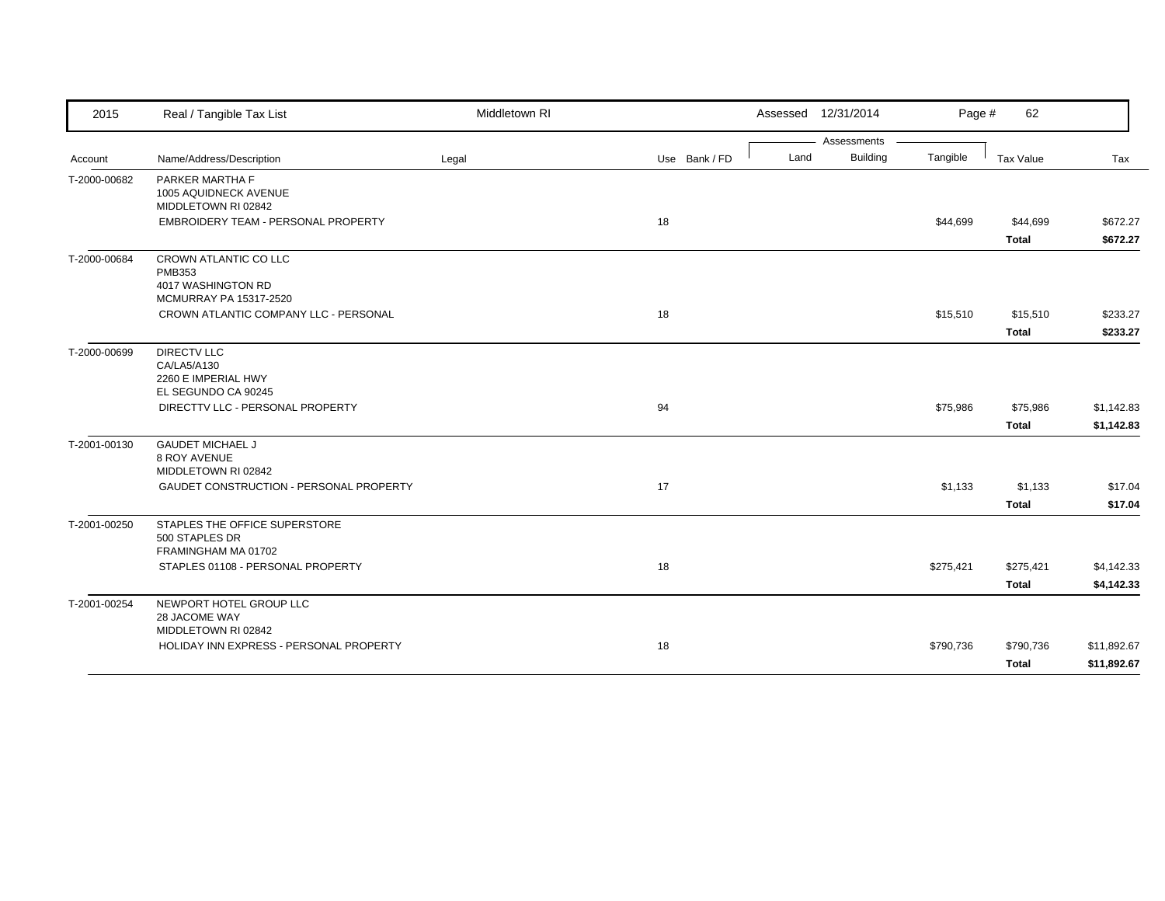| 2015         | Real / Tangible Tax List                                                                                            | Middletown RI |               |      | Assessed 12/31/2014 | Page #    | 62                       |                          |
|--------------|---------------------------------------------------------------------------------------------------------------------|---------------|---------------|------|---------------------|-----------|--------------------------|--------------------------|
|              |                                                                                                                     |               |               |      | Assessments         |           |                          |                          |
| Account      | Name/Address/Description                                                                                            | Legal         | Use Bank / FD | Land | <b>Building</b>     | Tangible  | Tax Value                | Tax                      |
| T-2000-00682 | PARKER MARTHA F<br>1005 AQUIDNECK AVENUE<br>MIDDLETOWN RI 02842                                                     |               |               |      |                     |           |                          |                          |
|              | EMBROIDERY TEAM - PERSONAL PROPERTY                                                                                 |               | 18            |      |                     | \$44,699  | \$44,699                 | \$672.27                 |
|              |                                                                                                                     |               |               |      |                     |           | <b>Total</b>             | \$672.27                 |
| T-2000-00684 | CROWN ATLANTIC CO LLC<br><b>PMB353</b><br>4017 WASHINGTON RD<br>MCMURRAY PA 15317-2520                              |               |               |      |                     |           |                          |                          |
|              | CROWN ATLANTIC COMPANY LLC - PERSONAL                                                                               |               | 18            |      |                     | \$15,510  | \$15,510                 | \$233.27                 |
|              |                                                                                                                     |               |               |      |                     |           | <b>Total</b>             | \$233.27                 |
| T-2000-00699 | <b>DIRECTV LLC</b><br>CA/LA5/A130<br>2260 E IMPERIAL HWY<br>EL SEGUNDO CA 90245<br>DIRECTTV LLC - PERSONAL PROPERTY |               | 94            |      |                     | \$75,986  | \$75,986<br><b>Total</b> | \$1,142.83<br>\$1,142.83 |
| T-2001-00130 | <b>GAUDET MICHAEL J</b><br>8 ROY AVENUE<br>MIDDLETOWN RI 02842<br>GAUDET CONSTRUCTION - PERSONAL PROPERTY           |               | 17            |      |                     | \$1,133   | \$1,133<br><b>Total</b>  | \$17.04<br>\$17.04       |
| T-2001-00250 | STAPLES THE OFFICE SUPERSTORE<br>500 STAPLES DR<br>FRAMINGHAM MA 01702<br>STAPLES 01108 - PERSONAL PROPERTY         |               | 18            |      |                     | \$275,421 | \$275,421                | \$4,142.33               |
|              |                                                                                                                     |               |               |      |                     |           | <b>Total</b>             | \$4,142.33               |
| T-2001-00254 | NEWPORT HOTEL GROUP LLC<br>28 JACOME WAY<br>MIDDLETOWN RI 02842                                                     |               |               |      |                     |           |                          |                          |
|              | HOLIDAY INN EXPRESS - PERSONAL PROPERTY                                                                             |               | 18            |      |                     | \$790,736 | \$790,736                | \$11,892.67              |
|              |                                                                                                                     |               |               |      |                     |           | <b>Total</b>             | \$11,892.67              |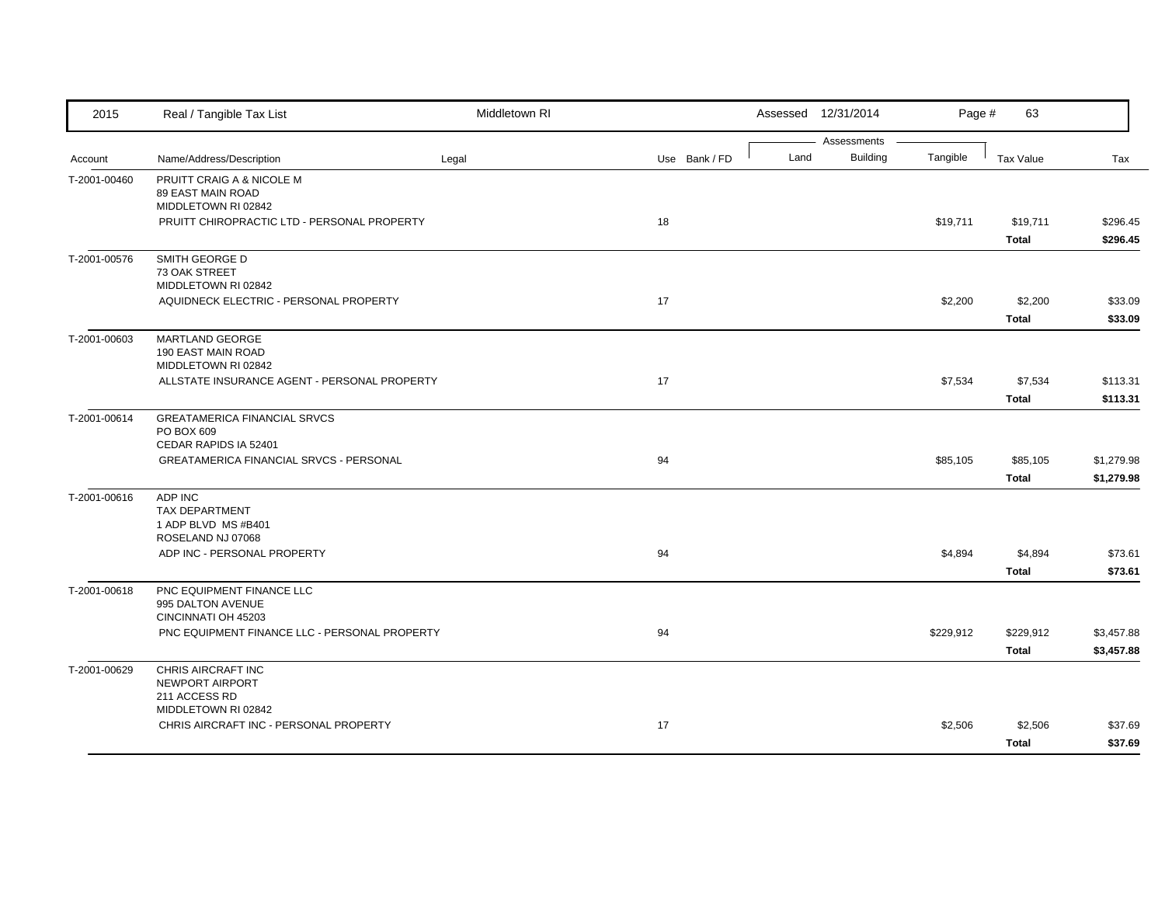| 2015         | Real / Tangible Tax List                                                     | Middletown RI |               |      | Assessed 12/31/2014            | Page #    | 63                        |                          |
|--------------|------------------------------------------------------------------------------|---------------|---------------|------|--------------------------------|-----------|---------------------------|--------------------------|
| Account      | Name/Address/Description                                                     | Legal         | Use Bank / FD | Land | Assessments<br><b>Building</b> | Tangible  | <b>Tax Value</b>          | Tax                      |
| T-2001-00460 | PRUITT CRAIG A & NICOLE M<br><b>89 EAST MAIN ROAD</b><br>MIDDLETOWN RI 02842 |               |               |      |                                |           |                           |                          |
|              | PRUITT CHIROPRACTIC LTD - PERSONAL PROPERTY                                  |               | 18            |      |                                | \$19,711  | \$19,711<br><b>Total</b>  | \$296.45<br>\$296.45     |
| T-2001-00576 | SMITH GEORGE D<br>73 OAK STREET<br>MIDDLETOWN RI 02842                       |               |               |      |                                |           |                           |                          |
|              | AQUIDNECK ELECTRIC - PERSONAL PROPERTY                                       |               | 17            |      |                                | \$2,200   | \$2,200<br><b>Total</b>   | \$33.09<br>\$33.09       |
| T-2001-00603 | MARTLAND GEORGE<br>190 EAST MAIN ROAD<br>MIDDLETOWN RI 02842                 |               |               |      |                                |           |                           |                          |
|              | ALLSTATE INSURANCE AGENT - PERSONAL PROPERTY                                 |               | 17            |      |                                | \$7,534   | \$7,534<br><b>Total</b>   | \$113.31<br>\$113.31     |
| T-2001-00614 | <b>GREATAMERICA FINANCIAL SRVCS</b><br>PO BOX 609<br>CEDAR RAPIDS IA 52401   |               |               |      |                                |           |                           |                          |
|              | <b>GREATAMERICA FINANCIAL SRVCS - PERSONAL</b>                               |               | 94            |      |                                | \$85,105  | \$85,105<br><b>Total</b>  | \$1,279.98<br>\$1,279.98 |
| T-2001-00616 | ADP INC<br><b>TAX DEPARTMENT</b><br>1 ADP BLVD MS #B401<br>ROSELAND NJ 07068 |               |               |      |                                |           |                           |                          |
|              | ADP INC - PERSONAL PROPERTY                                                  |               | 94            |      |                                | \$4,894   | \$4,894<br><b>Total</b>   | \$73.61<br>\$73.61       |
| T-2001-00618 | PNC EQUIPMENT FINANCE LLC<br>995 DALTON AVENUE<br>CINCINNATI OH 45203        |               |               |      |                                |           |                           |                          |
|              | PNC EQUIPMENT FINANCE LLC - PERSONAL PROPERTY                                |               | 94            |      |                                | \$229,912 | \$229,912<br><b>Total</b> | \$3,457.88<br>\$3,457.88 |
| T-2001-00629 | CHRIS AIRCRAFT INC<br>NEWPORT AIRPORT<br>211 ACCESS RD                       |               |               |      |                                |           |                           |                          |
|              | MIDDLETOWN RI 02842<br>CHRIS AIRCRAFT INC - PERSONAL PROPERTY                |               | 17            |      |                                | \$2,506   | \$2,506<br>Total          | \$37.69<br>\$37.69       |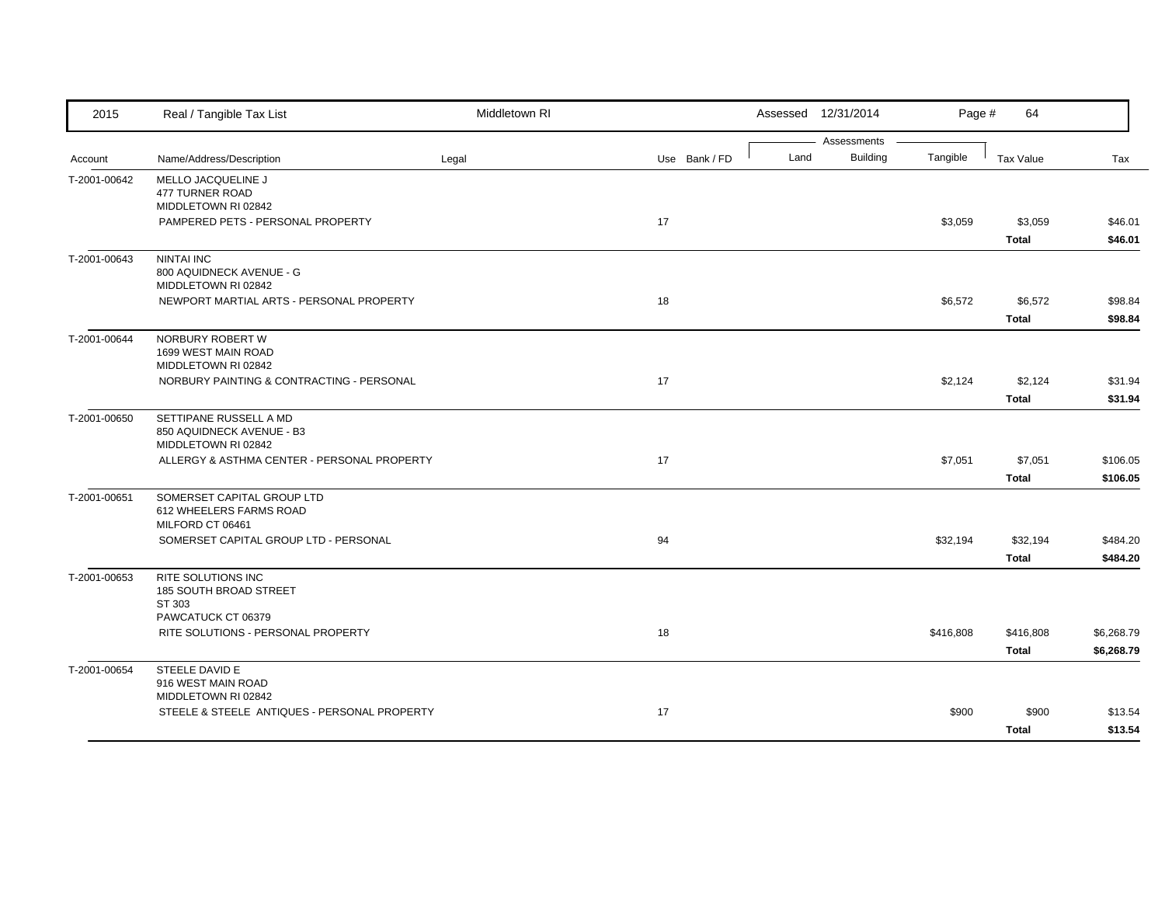| 2015         | Real / Tangible Tax List                                         | Middletown RI |               |      | Assessed 12/31/2014            | Page #    | 64           |            |
|--------------|------------------------------------------------------------------|---------------|---------------|------|--------------------------------|-----------|--------------|------------|
| Account      | Name/Address/Description                                         | Legal         | Use Bank / FD | Land | Assessments<br><b>Building</b> | Tangible  | Tax Value    | Tax        |
|              |                                                                  |               |               |      |                                |           |              |            |
| T-2001-00642 | MELLO JACQUELINE J<br>477 TURNER ROAD                            |               |               |      |                                |           |              |            |
|              | MIDDLETOWN RI 02842                                              |               |               |      |                                |           |              |            |
|              | PAMPERED PETS - PERSONAL PROPERTY                                |               | 17            |      |                                | \$3,059   | \$3,059      | \$46.01    |
|              |                                                                  |               |               |      |                                |           | <b>Total</b> | \$46.01    |
| T-2001-00643 | <b>NINTAI INC</b>                                                |               |               |      |                                |           |              |            |
|              | 800 AQUIDNECK AVENUE - G                                         |               |               |      |                                |           |              |            |
|              | MIDDLETOWN RI 02842                                              |               |               |      |                                |           |              |            |
|              | NEWPORT MARTIAL ARTS - PERSONAL PROPERTY                         |               | 18            |      |                                | \$6,572   | \$6,572      | \$98.84    |
|              |                                                                  |               |               |      |                                |           | <b>Total</b> | \$98.84    |
| T-2001-00644 | NORBURY ROBERT W                                                 |               |               |      |                                |           |              |            |
|              | 1699 WEST MAIN ROAD                                              |               |               |      |                                |           |              |            |
|              | MIDDLETOWN RI 02842<br>NORBURY PAINTING & CONTRACTING - PERSONAL |               | 17            |      |                                | \$2,124   | \$2,124      | \$31.94    |
|              |                                                                  |               |               |      |                                |           | <b>Total</b> | \$31.94    |
|              | SETTIPANE RUSSELL A MD                                           |               |               |      |                                |           |              |            |
| T-2001-00650 | 850 AQUIDNECK AVENUE - B3                                        |               |               |      |                                |           |              |            |
|              | MIDDLETOWN RI 02842                                              |               |               |      |                                |           |              |            |
|              | ALLERGY & ASTHMA CENTER - PERSONAL PROPERTY                      |               | 17            |      |                                | \$7,051   | \$7,051      | \$106.05   |
|              |                                                                  |               |               |      |                                |           | <b>Total</b> | \$106.05   |
| T-2001-00651 | SOMERSET CAPITAL GROUP LTD                                       |               |               |      |                                |           |              |            |
|              | 612 WHEELERS FARMS ROAD                                          |               |               |      |                                |           |              |            |
|              | MILFORD CT 06461                                                 |               |               |      |                                |           |              |            |
|              | SOMERSET CAPITAL GROUP LTD - PERSONAL                            |               | 94            |      |                                | \$32,194  | \$32,194     | \$484.20   |
|              |                                                                  |               |               |      |                                |           | <b>Total</b> | \$484.20   |
| T-2001-00653 | <b>RITE SOLUTIONS INC</b>                                        |               |               |      |                                |           |              |            |
|              | 185 SOUTH BROAD STREET                                           |               |               |      |                                |           |              |            |
|              | ST 303<br>PAWCATUCK CT 06379                                     |               |               |      |                                |           |              |            |
|              | RITE SOLUTIONS - PERSONAL PROPERTY                               |               | 18            |      |                                | \$416,808 | \$416,808    | \$6,268.79 |
|              |                                                                  |               |               |      |                                |           | <b>Total</b> | \$6,268.79 |
|              | STEELE DAVID E                                                   |               |               |      |                                |           |              |            |
| T-2001-00654 | 916 WEST MAIN ROAD                                               |               |               |      |                                |           |              |            |
|              | MIDDLETOWN RI 02842                                              |               |               |      |                                |           |              |            |
|              | STEELE & STEELE ANTIQUES - PERSONAL PROPERTY                     |               | 17            |      |                                | \$900     | \$900        | \$13.54    |
|              |                                                                  |               |               |      |                                |           | <b>Total</b> | \$13.54    |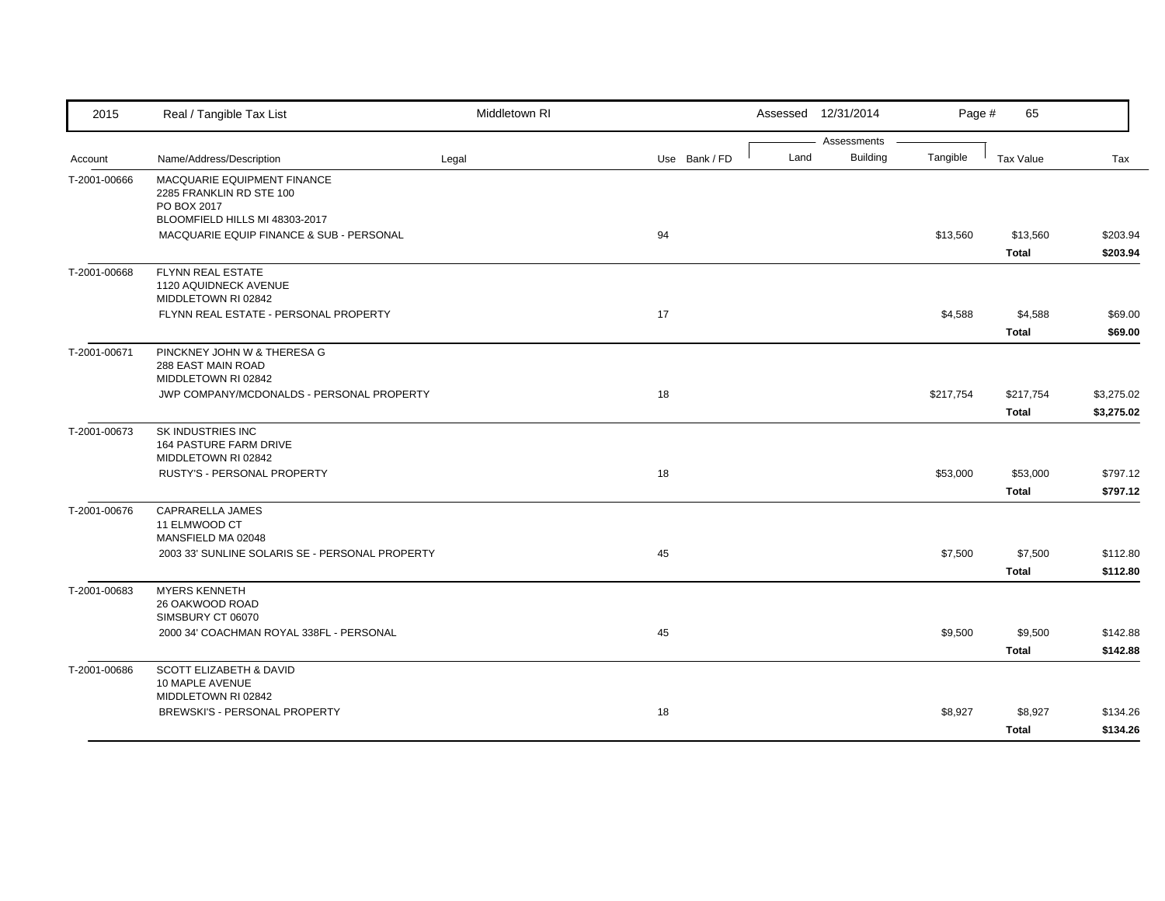| 2015                    | Real / Tangible Tax List                                                     | Middletown RI |               |      | Assessed 12/31/2014            | Page #    | 65                        |                          |
|-------------------------|------------------------------------------------------------------------------|---------------|---------------|------|--------------------------------|-----------|---------------------------|--------------------------|
|                         |                                                                              |               |               | Land | Assessments<br><b>Building</b> | Tangible  | Tax Value                 |                          |
| Account<br>T-2001-00666 | Name/Address/Description<br>MACQUARIE EQUIPMENT FINANCE                      | Legal         | Use Bank / FD |      |                                |           |                           | Tax                      |
|                         | 2285 FRANKLIN RD STE 100<br>PO BOX 2017<br>BLOOMFIELD HILLS MI 48303-2017    |               |               |      |                                |           |                           |                          |
|                         | MACQUARIE EQUIP FINANCE & SUB - PERSONAL                                     |               | 94            |      |                                | \$13,560  | \$13,560<br><b>Total</b>  | \$203.94<br>\$203.94     |
| T-2001-00668            | FLYNN REAL ESTATE<br>1120 AQUIDNECK AVENUE<br>MIDDLETOWN RI 02842            |               |               |      |                                |           |                           |                          |
|                         | FLYNN REAL ESTATE - PERSONAL PROPERTY                                        |               | 17            |      |                                | \$4,588   | \$4,588<br><b>Total</b>   | \$69.00<br>\$69.00       |
| T-2001-00671            | PINCKNEY JOHN W & THERESA G<br>288 EAST MAIN ROAD<br>MIDDLETOWN RI 02842     |               |               |      |                                |           |                           |                          |
|                         | JWP COMPANY/MCDONALDS - PERSONAL PROPERTY                                    |               | 18            |      |                                | \$217,754 | \$217,754<br><b>Total</b> | \$3,275.02<br>\$3,275.02 |
| T-2001-00673            | SK INDUSTRIES INC<br>164 PASTURE FARM DRIVE<br>MIDDLETOWN RI 02842           |               |               |      |                                |           |                           |                          |
|                         | RUSTY'S - PERSONAL PROPERTY                                                  |               | 18            |      |                                | \$53,000  | \$53,000<br><b>Total</b>  | \$797.12<br>\$797.12     |
| T-2001-00676            | CAPRARELLA JAMES<br>11 ELMWOOD CT<br>MANSFIELD MA 02048                      |               |               |      |                                |           |                           |                          |
|                         | 2003 33' SUNLINE SOLARIS SE - PERSONAL PROPERTY                              |               | 45            |      |                                | \$7,500   | \$7,500<br><b>Total</b>   | \$112.80<br>\$112.80     |
| T-2001-00683            | <b>MYERS KENNETH</b><br>26 OAKWOOD ROAD<br>SIMSBURY CT 06070                 |               |               |      |                                |           |                           |                          |
|                         | 2000 34' COACHMAN ROYAL 338FL - PERSONAL                                     |               | 45            |      |                                | \$9,500   | \$9,500<br><b>Total</b>   | \$142.88<br>\$142.88     |
| T-2001-00686            | <b>SCOTT ELIZABETH &amp; DAVID</b><br>10 MAPLE AVENUE<br>MIDDLETOWN RI 02842 |               |               |      |                                |           |                           |                          |
|                         | BREWSKI'S - PERSONAL PROPERTY                                                |               | 18            |      |                                | \$8,927   | \$8,927<br><b>Total</b>   | \$134.26<br>\$134.26     |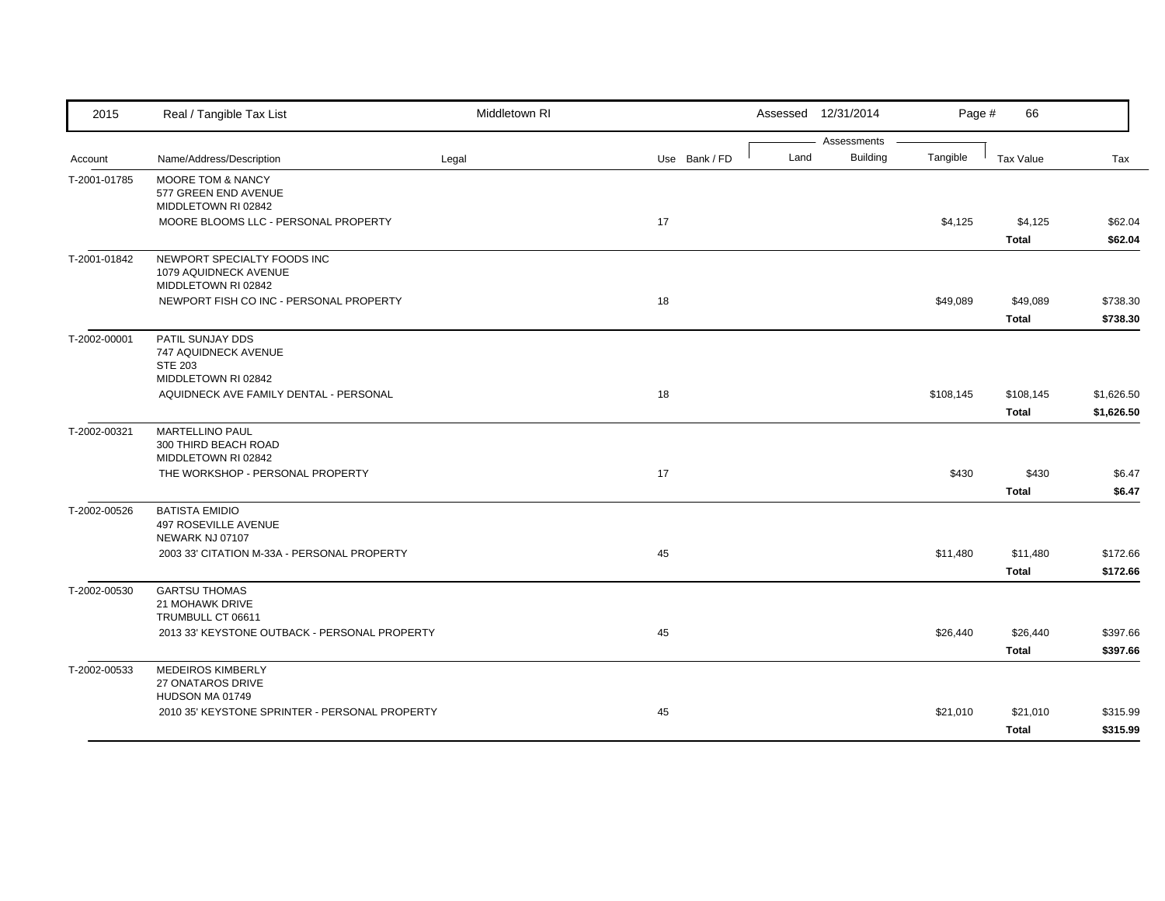| 2015         | Real / Tangible Tax List                                                          | Middletown RI |               |      | Assessed 12/31/2014            | Page #    | 66                       |                          |
|--------------|-----------------------------------------------------------------------------------|---------------|---------------|------|--------------------------------|-----------|--------------------------|--------------------------|
| Account      | Name/Address/Description                                                          | Legal         | Use Bank / FD | Land | Assessments<br><b>Building</b> | Tangible  | Tax Value                | Tax                      |
| T-2001-01785 | <b>MOORE TOM &amp; NANCY</b><br>577 GREEN END AVENUE<br>MIDDLETOWN RI 02842       |               |               |      |                                |           |                          |                          |
|              | MOORE BLOOMS LLC - PERSONAL PROPERTY                                              |               | 17            |      |                                | \$4,125   | \$4,125<br><b>Total</b>  | \$62.04<br>\$62.04       |
| T-2001-01842 | NEWPORT SPECIALTY FOODS INC<br>1079 AQUIDNECK AVENUE<br>MIDDLETOWN RI 02842       |               |               |      |                                |           |                          |                          |
|              | NEWPORT FISH CO INC - PERSONAL PROPERTY                                           |               | 18            |      |                                | \$49,089  | \$49,089<br><b>Total</b> | \$738.30<br>\$738.30     |
| T-2002-00001 | PATIL SUNJAY DDS<br>747 AQUIDNECK AVENUE<br><b>STE 203</b><br>MIDDLETOWN RI 02842 |               |               |      |                                |           |                          |                          |
|              | AQUIDNECK AVE FAMILY DENTAL - PERSONAL                                            |               | 18            |      |                                | \$108,145 | \$108,145<br>Total       | \$1,626.50<br>\$1,626.50 |
| T-2002-00321 | <b>MARTELLINO PAUL</b><br>300 THIRD BEACH ROAD<br>MIDDLETOWN RI 02842             |               |               |      |                                |           |                          |                          |
|              | THE WORKSHOP - PERSONAL PROPERTY                                                  |               | $17$          |      |                                | \$430     | \$430<br><b>Total</b>    | \$6.47<br>\$6.47         |
| T-2002-00526 | <b>BATISTA EMIDIO</b><br><b>497 ROSEVILLE AVENUE</b><br>NEWARK NJ 07107           |               |               |      |                                |           |                          |                          |
|              | 2003 33' CITATION M-33A - PERSONAL PROPERTY                                       |               | 45            |      |                                | \$11,480  | \$11,480<br><b>Total</b> | \$172.66<br>\$172.66     |
| T-2002-00530 | <b>GARTSU THOMAS</b><br>21 MOHAWK DRIVE<br>TRUMBULL CT 06611                      |               |               |      |                                |           |                          |                          |
|              | 2013 33' KEYSTONE OUTBACK - PERSONAL PROPERTY                                     |               | 45            |      |                                | \$26,440  | \$26,440<br><b>Total</b> | \$397.66<br>\$397.66     |
| T-2002-00533 | <b>MEDEIROS KIMBERLY</b><br>27 ONATAROS DRIVE<br>HUDSON MA 01749                  |               |               |      |                                |           |                          |                          |
|              | 2010 35' KEYSTONE SPRINTER - PERSONAL PROPERTY                                    |               | 45            |      |                                | \$21,010  | \$21,010<br><b>Total</b> | \$315.99<br>\$315.99     |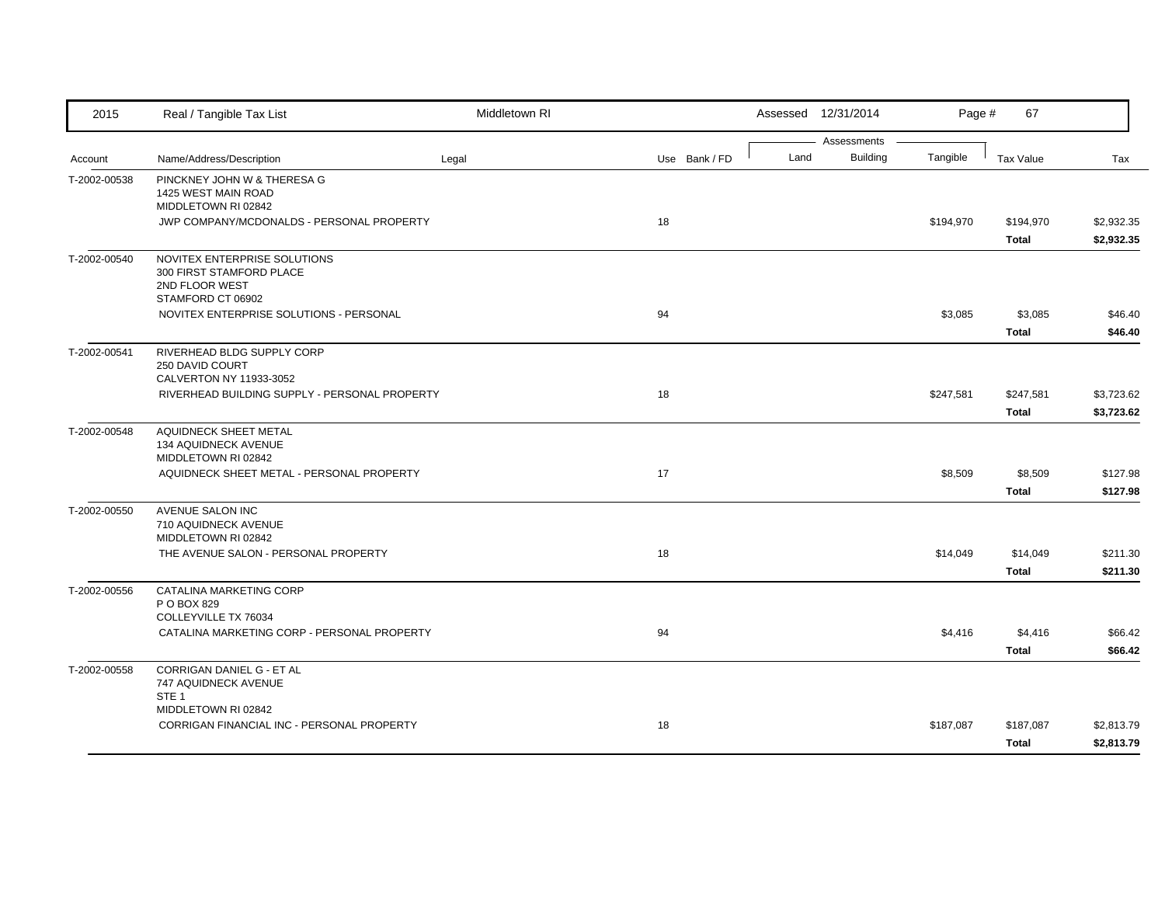| 2015         | Real / Tangible Tax List                                                                        | Middletown RI |               |      | Assessed 12/31/2014            | Page #    | 67                        |                          |
|--------------|-------------------------------------------------------------------------------------------------|---------------|---------------|------|--------------------------------|-----------|---------------------------|--------------------------|
| Account      | Name/Address/Description                                                                        | Legal         | Use Bank / FD | Land | Assessments<br><b>Building</b> | Tangible  | <b>Tax Value</b>          | Tax                      |
| T-2002-00538 | PINCKNEY JOHN W & THERESA G<br>1425 WEST MAIN ROAD<br>MIDDLETOWN RI 02842                       |               |               |      |                                |           |                           |                          |
|              | JWP COMPANY/MCDONALDS - PERSONAL PROPERTY                                                       |               | 18            |      |                                | \$194,970 | \$194,970<br><b>Total</b> | \$2,932.35<br>\$2,932.35 |
| T-2002-00540 | NOVITEX ENTERPRISE SOLUTIONS<br>300 FIRST STAMFORD PLACE<br>2ND FLOOR WEST<br>STAMFORD CT 06902 |               |               |      |                                |           |                           |                          |
|              | NOVITEX ENTERPRISE SOLUTIONS - PERSONAL                                                         |               | 94            |      |                                | \$3,085   | \$3,085<br><b>Total</b>   | \$46.40<br>\$46.40       |
| T-2002-00541 | RIVERHEAD BLDG SUPPLY CORP<br>250 DAVID COURT<br>CALVERTON NY 11933-3052                        |               |               |      |                                |           |                           |                          |
|              | RIVERHEAD BUILDING SUPPLY - PERSONAL PROPERTY                                                   |               | 18            |      |                                | \$247,581 | \$247,581<br><b>Total</b> | \$3,723.62<br>\$3,723.62 |
| T-2002-00548 | <b>AQUIDNECK SHEET METAL</b><br>134 AQUIDNECK AVENUE<br>MIDDLETOWN RI 02842                     |               |               |      |                                |           |                           |                          |
|              | AQUIDNECK SHEET METAL - PERSONAL PROPERTY                                                       |               | 17            |      |                                | \$8,509   | \$8,509<br><b>Total</b>   | \$127.98<br>\$127.98     |
| T-2002-00550 | AVENUE SALON INC<br>710 AQUIDNECK AVENUE<br>MIDDLETOWN RI 02842                                 |               |               |      |                                |           |                           |                          |
|              | THE AVENUE SALON - PERSONAL PROPERTY                                                            |               | 18            |      |                                | \$14,049  | \$14,049<br><b>Total</b>  | \$211.30<br>\$211.30     |
| T-2002-00556 | CATALINA MARKETING CORP<br>P O BOX 829<br>COLLEYVILLE TX 76034                                  |               |               |      |                                |           |                           |                          |
|              | CATALINA MARKETING CORP - PERSONAL PROPERTY                                                     |               | 94            |      |                                | \$4,416   | \$4,416<br><b>Total</b>   | \$66.42<br>\$66.42       |
| T-2002-00558 | CORRIGAN DANIEL G - ET AL<br>747 AQUIDNECK AVENUE<br>STE <sub>1</sub>                           |               |               |      |                                |           |                           |                          |
|              | MIDDLETOWN RI 02842<br>CORRIGAN FINANCIAL INC - PERSONAL PROPERTY                               |               | 18            |      |                                | \$187,087 | \$187,087<br>Total        | \$2,813.79<br>\$2,813.79 |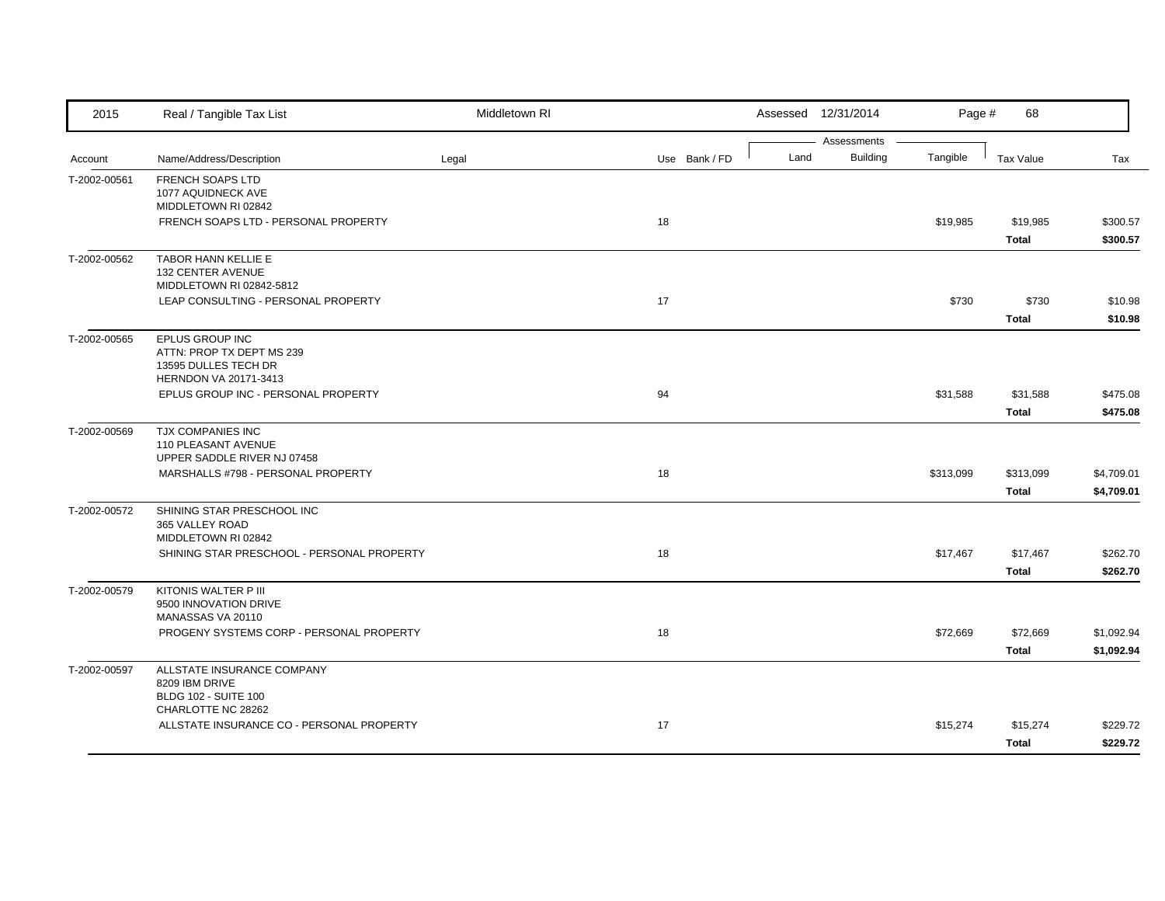| 2015         | Real / Tangible Tax List                                                                      | Middletown RI |               |      | Assessed 12/31/2014            | Page #    | 68                        |                          |
|--------------|-----------------------------------------------------------------------------------------------|---------------|---------------|------|--------------------------------|-----------|---------------------------|--------------------------|
| Account      | Name/Address/Description                                                                      | Legal         | Use Bank / FD | Land | Assessments<br><b>Building</b> | Tangible  | <b>Tax Value</b>          | Tax                      |
| T-2002-00561 | <b>FRENCH SOAPS LTD</b><br>1077 AQUIDNECK AVE<br>MIDDLETOWN RI 02842                          |               |               |      |                                |           |                           |                          |
|              | FRENCH SOAPS LTD - PERSONAL PROPERTY                                                          |               | 18            |      |                                | \$19,985  | \$19,985<br><b>Total</b>  | \$300.57<br>\$300.57     |
| T-2002-00562 | TABOR HANN KELLIE E<br>132 CENTER AVENUE<br>MIDDLETOWN RI 02842-5812                          |               |               |      |                                |           |                           |                          |
|              | LEAP CONSULTING - PERSONAL PROPERTY                                                           |               | 17            |      |                                | \$730     | \$730<br><b>Total</b>     | \$10.98<br>\$10.98       |
| T-2002-00565 | EPLUS GROUP INC<br>ATTN: PROP TX DEPT MS 239<br>13595 DULLES TECH DR<br>HERNDON VA 20171-3413 |               |               |      |                                |           |                           |                          |
|              | EPLUS GROUP INC - PERSONAL PROPERTY                                                           |               | 94            |      |                                | \$31,588  | \$31,588<br><b>Total</b>  | \$475.08<br>\$475.08     |
| T-2002-00569 | <b>TJX COMPANIES INC</b><br>110 PLEASANT AVENUE<br>UPPER SADDLE RIVER NJ 07458                |               |               |      |                                |           |                           |                          |
|              | MARSHALLS #798 - PERSONAL PROPERTY                                                            |               | 18            |      |                                | \$313,099 | \$313,099<br><b>Total</b> | \$4,709.01<br>\$4,709.01 |
| T-2002-00572 | SHINING STAR PRESCHOOL INC<br>365 VALLEY ROAD<br>MIDDLETOWN RI 02842                          |               |               |      |                                |           |                           |                          |
|              | SHINING STAR PRESCHOOL - PERSONAL PROPERTY                                                    |               | 18            |      |                                | \$17,467  | \$17,467<br><b>Total</b>  | \$262.70<br>\$262.70     |
| T-2002-00579 | KITONIS WALTER P III<br>9500 INNOVATION DRIVE<br>MANASSAS VA 20110                            |               |               |      |                                |           |                           |                          |
|              | PROGENY SYSTEMS CORP - PERSONAL PROPERTY                                                      |               | 18            |      |                                | \$72,669  | \$72,669<br><b>Total</b>  | \$1,092.94<br>\$1,092.94 |
| T-2002-00597 | ALLSTATE INSURANCE COMPANY<br>8209 IBM DRIVE<br><b>BLDG 102 - SUITE 100</b>                   |               |               |      |                                |           |                           |                          |
|              | CHARLOTTE NC 28262<br>ALLSTATE INSURANCE CO - PERSONAL PROPERTY                               |               | 17            |      |                                | \$15,274  | \$15,274<br>Total         | \$229.72<br>\$229.72     |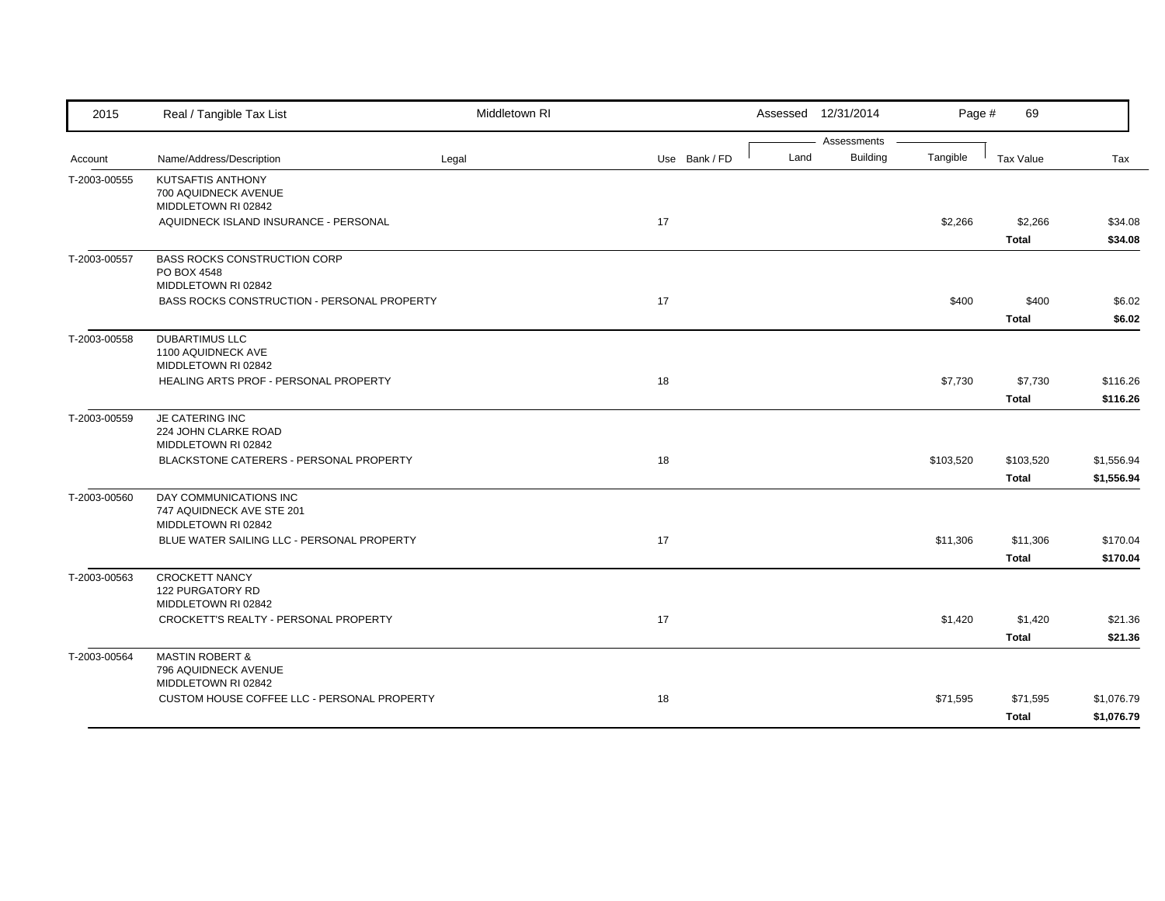| 2015         | Real / Tangible Tax List                                           | Middletown RI |               |      | Assessed 12/31/2014     | Page #    | 69               |            |
|--------------|--------------------------------------------------------------------|---------------|---------------|------|-------------------------|-----------|------------------|------------|
|              |                                                                    |               |               | Land | Assessments<br>Building | Tangible  |                  |            |
| Account      | Name/Address/Description                                           | Legal         | Use Bank / FD |      |                         |           | <b>Tax Value</b> | Tax        |
| T-2003-00555 | KUTSAFTIS ANTHONY<br>700 AQUIDNECK AVENUE                          |               |               |      |                         |           |                  |            |
|              | MIDDLETOWN RI 02842                                                |               |               |      |                         |           |                  |            |
|              | AQUIDNECK ISLAND INSURANCE - PERSONAL                              |               | 17            |      |                         | \$2,266   | \$2,266          | \$34.08    |
|              |                                                                    |               |               |      |                         |           | <b>Total</b>     | \$34.08    |
| T-2003-00557 | <b>BASS ROCKS CONSTRUCTION CORP</b><br>PO BOX 4548                 |               |               |      |                         |           |                  |            |
|              | MIDDLETOWN RI 02842                                                |               |               |      |                         |           |                  |            |
|              | <b>BASS ROCKS CONSTRUCTION - PERSONAL PROPERTY</b>                 |               | 17            |      |                         | \$400     | \$400            | \$6.02     |
|              |                                                                    |               |               |      |                         |           | <b>Total</b>     | \$6.02     |
| T-2003-00558 | <b>DUBARTIMUS LLC</b>                                              |               |               |      |                         |           |                  |            |
|              | 1100 AQUIDNECK AVE<br>MIDDLETOWN RI 02842                          |               |               |      |                         |           |                  |            |
|              | HEALING ARTS PROF - PERSONAL PROPERTY                              |               | 18            |      |                         | \$7,730   | \$7,730          | \$116.26   |
|              |                                                                    |               |               |      |                         |           | <b>Total</b>     | \$116.26   |
| T-2003-00559 | JE CATERING INC                                                    |               |               |      |                         |           |                  |            |
|              | 224 JOHN CLARKE ROAD<br>MIDDLETOWN RI 02842                        |               |               |      |                         |           |                  |            |
|              | BLACKSTONE CATERERS - PERSONAL PROPERTY                            |               | 18            |      |                         | \$103,520 | \$103,520        | \$1,556.94 |
|              |                                                                    |               |               |      |                         |           | <b>Total</b>     | \$1,556.94 |
| T-2003-00560 | DAY COMMUNICATIONS INC                                             |               |               |      |                         |           |                  |            |
|              | 747 AQUIDNECK AVE STE 201<br>MIDDLETOWN RI 02842                   |               |               |      |                         |           |                  |            |
|              | BLUE WATER SAILING LLC - PERSONAL PROPERTY                         |               | 17            |      |                         | \$11,306  | \$11,306         | \$170.04   |
|              |                                                                    |               |               |      |                         |           | <b>Total</b>     | \$170.04   |
| T-2003-00563 | <b>CROCKETT NANCY</b>                                              |               |               |      |                         |           |                  |            |
|              | 122 PURGATORY RD<br>MIDDLETOWN RI 02842                            |               |               |      |                         |           |                  |            |
|              | CROCKETT'S REALTY - PERSONAL PROPERTY                              |               | 17            |      |                         | \$1,420   | \$1,420          | \$21.36    |
|              |                                                                    |               |               |      |                         |           | <b>Total</b>     | \$21.36    |
| T-2003-00564 | <b>MASTIN ROBERT &amp;</b>                                         |               |               |      |                         |           |                  |            |
|              | 796 AQUIDNECK AVENUE                                               |               |               |      |                         |           |                  |            |
|              | MIDDLETOWN RI 02842<br>CUSTOM HOUSE COFFEE LLC - PERSONAL PROPERTY |               | 18            |      |                         | \$71,595  | \$71,595         | \$1,076.79 |
|              |                                                                    |               |               |      |                         |           | <b>Total</b>     | \$1,076.79 |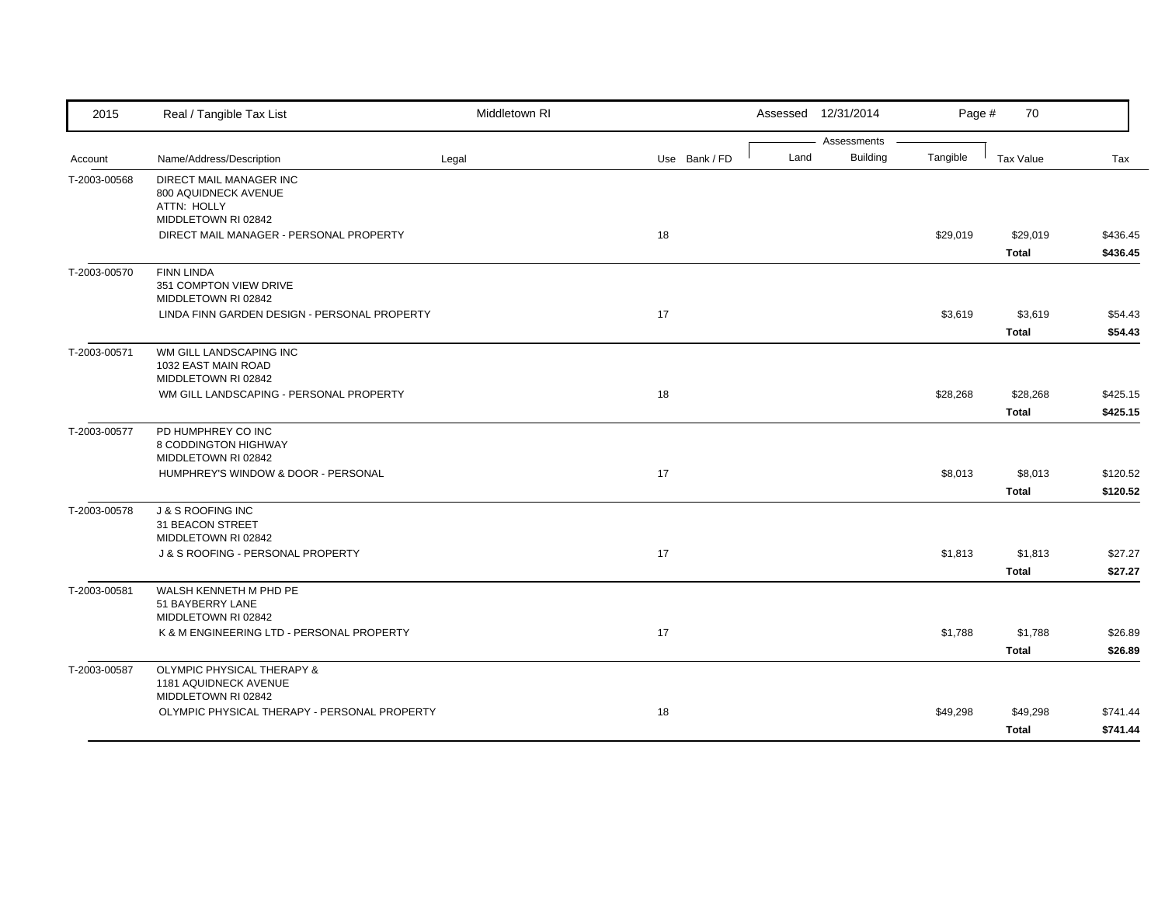| 2015         | Real / Tangible Tax List                                                              | Middletown RI |               |      | Assessed 12/31/2014            | Page #   | 70                       |                      |
|--------------|---------------------------------------------------------------------------------------|---------------|---------------|------|--------------------------------|----------|--------------------------|----------------------|
| Account      | Name/Address/Description                                                              | Legal         | Use Bank / FD | Land | Assessments<br><b>Building</b> | Tangible | Tax Value                | Tax                  |
| T-2003-00568 | DIRECT MAIL MANAGER INC<br>800 AQUIDNECK AVENUE<br>ATTN: HOLLY<br>MIDDLETOWN RI 02842 |               |               |      |                                |          |                          |                      |
|              | DIRECT MAIL MANAGER - PERSONAL PROPERTY                                               |               | 18            |      |                                | \$29,019 | \$29,019<br><b>Total</b> | \$436.45<br>\$436.45 |
| T-2003-00570 | <b>FINN LINDA</b><br>351 COMPTON VIEW DRIVE<br>MIDDLETOWN RI 02842                    |               |               |      |                                |          |                          |                      |
|              | LINDA FINN GARDEN DESIGN - PERSONAL PROPERTY                                          |               | 17            |      |                                | \$3,619  | \$3,619<br><b>Total</b>  | \$54.43<br>\$54.43   |
| T-2003-00571 | WM GILL LANDSCAPING INC<br>1032 EAST MAIN ROAD<br>MIDDLETOWN RI 02842                 |               |               |      |                                |          |                          |                      |
|              | WM GILL LANDSCAPING - PERSONAL PROPERTY                                               |               | 18            |      |                                | \$28,268 | \$28,268<br><b>Total</b> | \$425.15<br>\$425.15 |
| T-2003-00577 | PD HUMPHREY CO INC<br>8 CODDINGTON HIGHWAY<br>MIDDLETOWN RI 02842                     |               |               |      |                                |          |                          |                      |
|              | HUMPHREY'S WINDOW & DOOR - PERSONAL                                                   |               | 17            |      |                                | \$8,013  | \$8,013<br><b>Total</b>  | \$120.52<br>\$120.52 |
| T-2003-00578 | <b>J &amp; S ROOFING INC</b><br>31 BEACON STREET<br>MIDDLETOWN RI 02842               |               |               |      |                                |          |                          |                      |
|              | J & S ROOFING - PERSONAL PROPERTY                                                     |               | 17            |      |                                | \$1,813  | \$1,813<br><b>Total</b>  | \$27.27<br>\$27.27   |
| T-2003-00581 | WALSH KENNETH M PHD PE<br>51 BAYBERRY LANE<br>MIDDLETOWN RI 02842                     |               |               |      |                                |          |                          |                      |
|              | K & M ENGINEERING LTD - PERSONAL PROPERTY                                             |               | 17            |      |                                | \$1,788  | \$1,788<br><b>Total</b>  | \$26.89<br>\$26.89   |
| T-2003-00587 | OLYMPIC PHYSICAL THERAPY &<br>1181 AQUIDNECK AVENUE<br>MIDDLETOWN RI 02842            |               |               |      |                                |          |                          |                      |
|              | OLYMPIC PHYSICAL THERAPY - PERSONAL PROPERTY                                          |               | 18            |      |                                | \$49,298 | \$49,298<br><b>Total</b> | \$741.44<br>\$741.44 |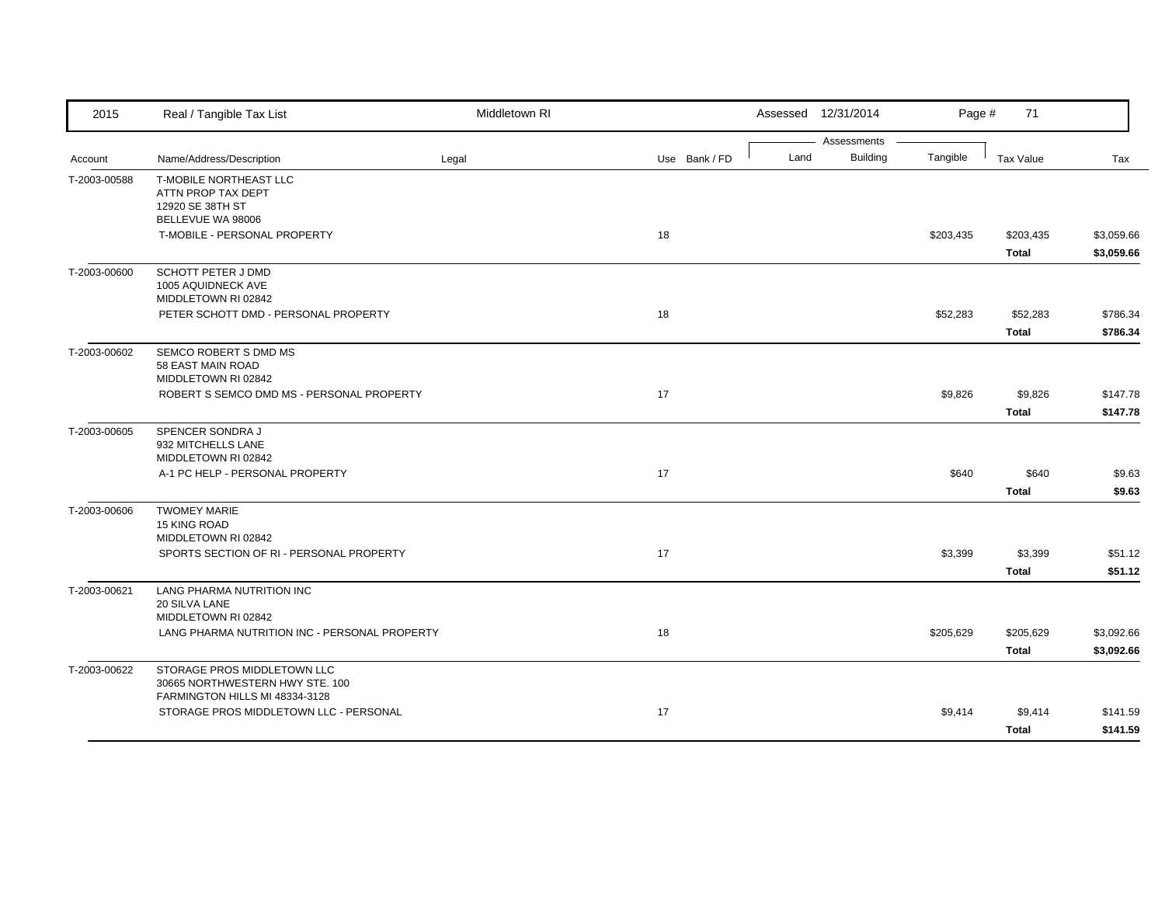| 2015         | Real / Tangible Tax List                                                                         | Middletown RI |               |      | Assessed 12/31/2014     | Page #    | 71                        |                          |
|--------------|--------------------------------------------------------------------------------------------------|---------------|---------------|------|-------------------------|-----------|---------------------------|--------------------------|
| Account      | Name/Address/Description                                                                         | Legal         | Use Bank / FD | Land | Assessments<br>Building | Tangible  | <b>Tax Value</b>          | Tax                      |
| T-2003-00588 | T-MOBILE NORTHEAST LLC<br>ATTN PROP TAX DEPT<br>12920 SE 38TH ST<br>BELLEVUE WA 98006            |               |               |      |                         |           |                           |                          |
|              | T-MOBILE - PERSONAL PROPERTY                                                                     |               | 18            |      |                         | \$203,435 | \$203,435<br><b>Total</b> | \$3,059.66<br>\$3,059.66 |
| T-2003-00600 | <b>SCHOTT PETER J DMD</b><br>1005 AQUIDNECK AVE<br>MIDDLETOWN RI 02842                           |               |               |      |                         |           |                           |                          |
|              | PETER SCHOTT DMD - PERSONAL PROPERTY                                                             |               | 18            |      |                         | \$52,283  | \$52,283<br><b>Total</b>  | \$786.34<br>\$786.34     |
| T-2003-00602 | SEMCO ROBERT S DMD MS<br>58 EAST MAIN ROAD<br>MIDDLETOWN RI 02842                                |               |               |      |                         |           |                           |                          |
|              | ROBERT S SEMCO DMD MS - PERSONAL PROPERTY                                                        |               | 17            |      |                         | \$9,826   | \$9,826<br><b>Total</b>   | \$147.78<br>\$147.78     |
| T-2003-00605 | SPENCER SONDRA J<br>932 MITCHELLS LANE<br>MIDDLETOWN RI 02842                                    |               |               |      |                         |           |                           |                          |
|              | A-1 PC HELP - PERSONAL PROPERTY                                                                  |               | 17            |      |                         | \$640     | \$640<br><b>Total</b>     | \$9.63<br>\$9.63         |
| T-2003-00606 | <b>TWOMEY MARIE</b><br>15 KING ROAD<br>MIDDLETOWN RI 02842                                       |               |               |      |                         |           |                           |                          |
|              | SPORTS SECTION OF RI - PERSONAL PROPERTY                                                         |               | 17            |      |                         | \$3,399   | \$3,399<br><b>Total</b>   | \$51.12<br>\$51.12       |
| T-2003-00621 | LANG PHARMA NUTRITION INC<br>20 SILVA LANE<br>MIDDLETOWN RI 02842                                |               |               |      |                         |           |                           |                          |
|              | LANG PHARMA NUTRITION INC - PERSONAL PROPERTY                                                    |               | 18            |      |                         | \$205,629 | \$205,629<br><b>Total</b> | \$3,092.66<br>\$3,092.66 |
| T-2003-00622 | STORAGE PROS MIDDLETOWN LLC<br>30665 NORTHWESTERN HWY STE. 100<br>FARMINGTON HILLS MI 48334-3128 |               |               |      |                         |           |                           |                          |
|              | STORAGE PROS MIDDLETOWN LLC - PERSONAL                                                           |               | 17            |      |                         | \$9,414   | \$9,414<br><b>Total</b>   | \$141.59<br>\$141.59     |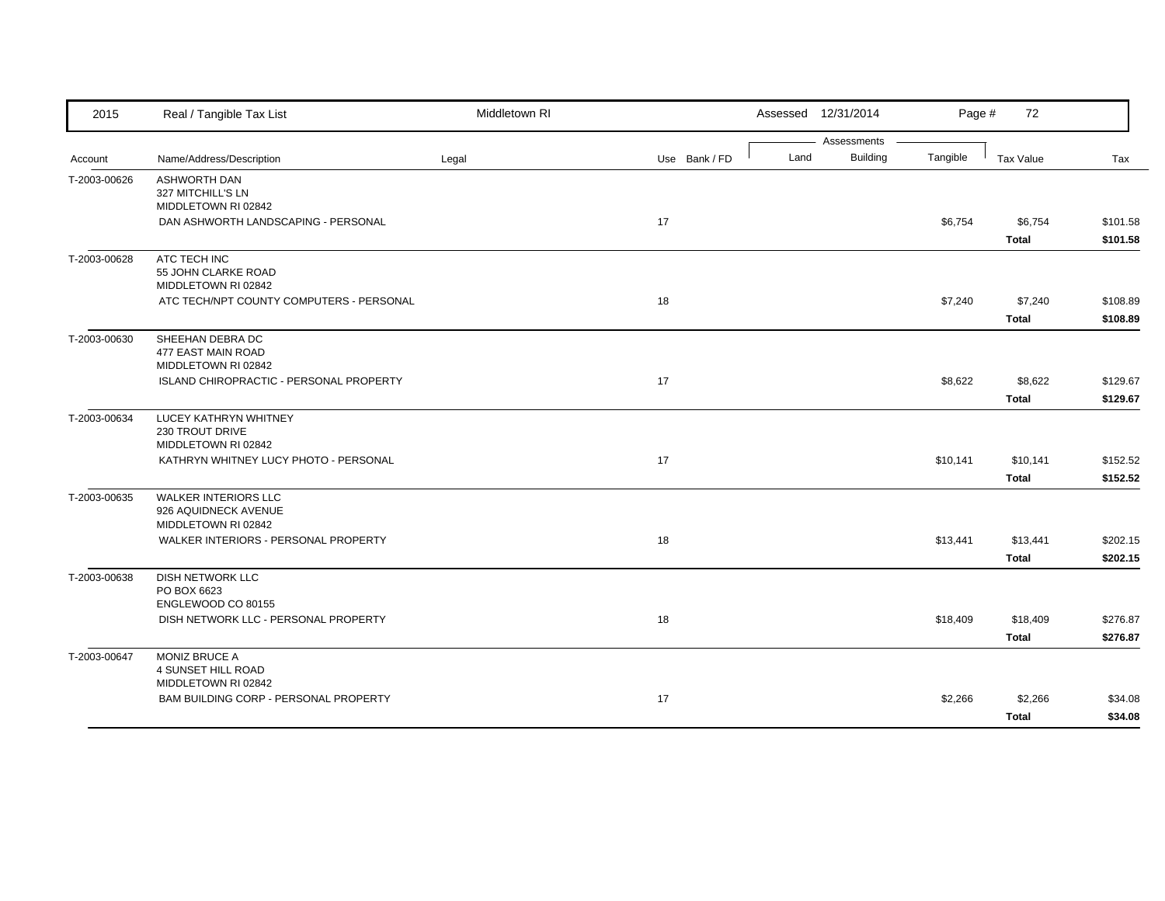| 2015         | Real / Tangible Tax List                                       | Middletown RI |               |      | Assessed 12/31/2014 | Page #   | 72                       |                      |
|--------------|----------------------------------------------------------------|---------------|---------------|------|---------------------|----------|--------------------------|----------------------|
|              |                                                                |               |               |      | Assessments         |          |                          |                      |
| Account      | Name/Address/Description                                       | Legal         | Use Bank / FD | Land | Building            | Tangible | <b>Tax Value</b>         | Tax                  |
| T-2003-00626 | <b>ASHWORTH DAN</b><br>327 MITCHILL'S LN                       |               |               |      |                     |          |                          |                      |
|              | MIDDLETOWN RI 02842                                            |               |               |      |                     |          |                          |                      |
|              | DAN ASHWORTH LANDSCAPING - PERSONAL                            |               | 17            |      |                     | \$6,754  | \$6,754                  | \$101.58             |
|              |                                                                |               |               |      |                     |          | <b>Total</b>             | \$101.58             |
| T-2003-00628 | ATC TECH INC                                                   |               |               |      |                     |          |                          |                      |
|              | 55 JOHN CLARKE ROAD<br>MIDDLETOWN RI 02842                     |               |               |      |                     |          |                          |                      |
|              | ATC TECH/NPT COUNTY COMPUTERS - PERSONAL                       |               | 18            |      |                     | \$7,240  | \$7,240                  | \$108.89             |
|              |                                                                |               |               |      |                     |          | <b>Total</b>             | \$108.89             |
| T-2003-00630 | SHEEHAN DEBRA DC                                               |               |               |      |                     |          |                          |                      |
|              | 477 EAST MAIN ROAD                                             |               |               |      |                     |          |                          |                      |
|              | MIDDLETOWN RI 02842<br>ISLAND CHIROPRACTIC - PERSONAL PROPERTY |               | 17            |      |                     | \$8,622  | \$8,622                  | \$129.67             |
|              |                                                                |               |               |      |                     |          | <b>Total</b>             | \$129.67             |
| T-2003-00634 | LUCEY KATHRYN WHITNEY                                          |               |               |      |                     |          |                          |                      |
|              | 230 TROUT DRIVE                                                |               |               |      |                     |          |                          |                      |
|              | MIDDLETOWN RI 02842                                            |               |               |      |                     |          |                          |                      |
|              | KATHRYN WHITNEY LUCY PHOTO - PERSONAL                          |               | 17            |      |                     | \$10,141 | \$10,141<br><b>Total</b> | \$152.52<br>\$152.52 |
| T-2003-00635 | <b>WALKER INTERIORS LLC</b>                                    |               |               |      |                     |          |                          |                      |
|              | 926 AQUIDNECK AVENUE                                           |               |               |      |                     |          |                          |                      |
|              | MIDDLETOWN RI 02842                                            |               |               |      |                     |          |                          |                      |
|              | WALKER INTERIORS - PERSONAL PROPERTY                           |               | 18            |      |                     | \$13,441 | \$13,441                 | \$202.15             |
|              |                                                                |               |               |      |                     |          | <b>Total</b>             | \$202.15             |
| T-2003-00638 | <b>DISH NETWORK LLC</b><br>PO BOX 6623                         |               |               |      |                     |          |                          |                      |
|              | ENGLEWOOD CO 80155                                             |               |               |      |                     |          |                          |                      |
|              | DISH NETWORK LLC - PERSONAL PROPERTY                           |               | 18            |      |                     | \$18,409 | \$18,409                 | \$276.87             |
|              |                                                                |               |               |      |                     |          | <b>Total</b>             | \$276.87             |
| T-2003-00647 | MONIZ BRUCE A                                                  |               |               |      |                     |          |                          |                      |
|              | 4 SUNSET HILL ROAD<br>MIDDLETOWN RI 02842                      |               |               |      |                     |          |                          |                      |
|              | BAM BUILDING CORP - PERSONAL PROPERTY                          |               | 17            |      |                     | \$2,266  | \$2,266                  | \$34.08              |
|              |                                                                |               |               |      |                     |          | <b>Total</b>             | \$34.08              |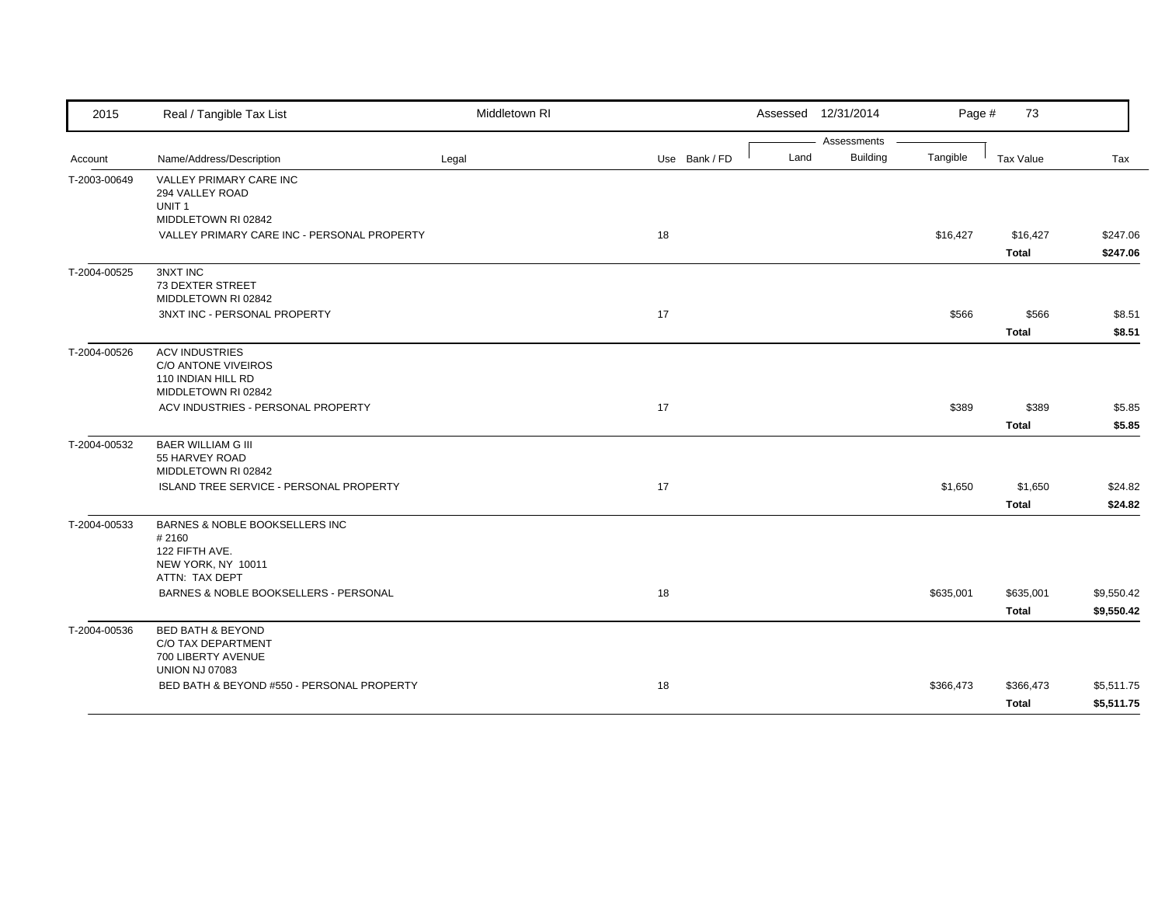| 2015         | Real / Tangible Tax List                            | Middletown RI |               |      | Assessed 12/31/2014     | Page #    | 73           |            |
|--------------|-----------------------------------------------------|---------------|---------------|------|-------------------------|-----------|--------------|------------|
|              |                                                     |               |               |      | Assessments<br>Building |           |              |            |
| Account      | Name/Address/Description                            | Legal         | Use Bank / FD | Land |                         | Tangible  | Tax Value    | Tax        |
| T-2003-00649 | VALLEY PRIMARY CARE INC<br>294 VALLEY ROAD          |               |               |      |                         |           |              |            |
|              | UNIT <sub>1</sub>                                   |               |               |      |                         |           |              |            |
|              | MIDDLETOWN RI 02842                                 |               |               |      |                         |           |              |            |
|              | VALLEY PRIMARY CARE INC - PERSONAL PROPERTY         |               | 18            |      |                         | \$16,427  | \$16,427     | \$247.06   |
|              |                                                     |               |               |      |                         |           | Total        | \$247.06   |
| T-2004-00525 | <b>3NXT INC</b>                                     |               |               |      |                         |           |              |            |
|              | 73 DEXTER STREET                                    |               |               |      |                         |           |              |            |
|              | MIDDLETOWN RI 02842<br>3NXT INC - PERSONAL PROPERTY |               | 17            |      |                         | \$566     | \$566        | \$8.51     |
|              |                                                     |               |               |      |                         |           |              |            |
|              |                                                     |               |               |      |                         |           | <b>Total</b> | \$8.51     |
| T-2004-00526 | <b>ACV INDUSTRIES</b><br>C/O ANTONE VIVEIROS        |               |               |      |                         |           |              |            |
|              | 110 INDIAN HILL RD                                  |               |               |      |                         |           |              |            |
|              | MIDDLETOWN RI 02842                                 |               |               |      |                         |           |              |            |
|              | ACV INDUSTRIES - PERSONAL PROPERTY                  |               | 17            |      |                         | \$389     | \$389        | \$5.85     |
|              |                                                     |               |               |      |                         |           | <b>Total</b> | \$5.85     |
| T-2004-00532 | <b>BAER WILLIAM G III</b>                           |               |               |      |                         |           |              |            |
|              | 55 HARVEY ROAD                                      |               |               |      |                         |           |              |            |
|              | MIDDLETOWN RI 02842                                 |               |               |      |                         |           |              |            |
|              | ISLAND TREE SERVICE - PERSONAL PROPERTY             |               | 17            |      |                         | \$1,650   | \$1,650      | \$24.82    |
|              |                                                     |               |               |      |                         |           | <b>Total</b> | \$24.82    |
| T-2004-00533 | BARNES & NOBLE BOOKSELLERS INC                      |               |               |      |                         |           |              |            |
|              | #2160<br>122 FIFTH AVE.                             |               |               |      |                         |           |              |            |
|              | NEW YORK, NY 10011                                  |               |               |      |                         |           |              |            |
|              | ATTN: TAX DEPT                                      |               |               |      |                         |           |              |            |
|              | BARNES & NOBLE BOOKSELLERS - PERSONAL               |               | 18            |      |                         | \$635,001 | \$635,001    | \$9,550.42 |
|              |                                                     |               |               |      |                         |           | <b>Total</b> | \$9,550.42 |
| T-2004-00536 | <b>BED BATH &amp; BEYOND</b>                        |               |               |      |                         |           |              |            |
|              | C/O TAX DEPARTMENT                                  |               |               |      |                         |           |              |            |
|              | 700 LIBERTY AVENUE                                  |               |               |      |                         |           |              |            |
|              | <b>UNION NJ 07083</b>                               |               |               |      |                         |           |              |            |
|              | BED BATH & BEYOND #550 - PERSONAL PROPERTY          |               | 18            |      |                         | \$366,473 | \$366,473    | \$5,511.75 |
|              |                                                     |               |               |      |                         |           | Total        | \$5,511.75 |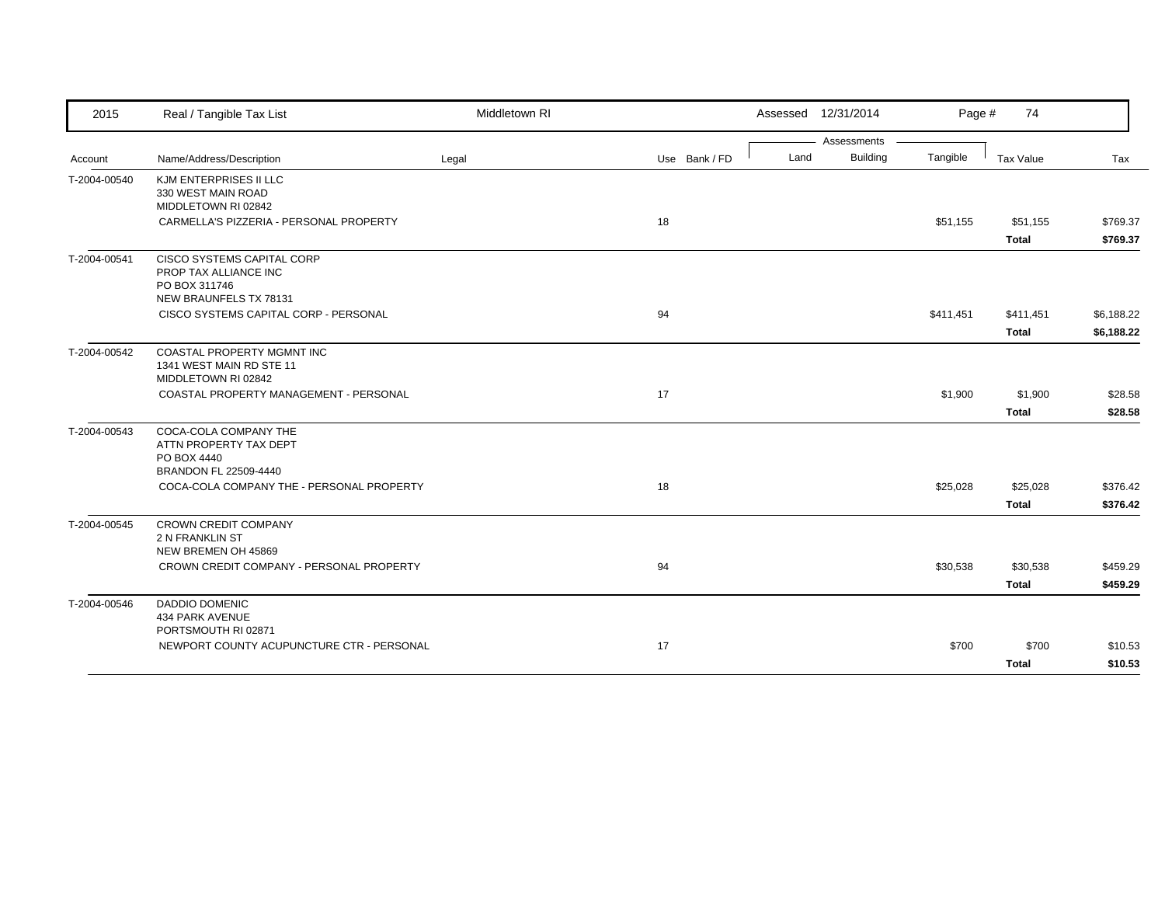| 2015         | Real / Tangible Tax List                                                                       | Middletown RI |               | Assessed 12/31/2014 |                 | Page #    | 74                       |                      |
|--------------|------------------------------------------------------------------------------------------------|---------------|---------------|---------------------|-----------------|-----------|--------------------------|----------------------|
|              |                                                                                                |               |               |                     | Assessments     |           |                          |                      |
| Account      | Name/Address/Description                                                                       | Legal         | Use Bank / FD | Land                | <b>Building</b> | Tangible  | Tax Value                | Tax                  |
| T-2004-00540 | KJM ENTERPRISES II LLC<br>330 WEST MAIN ROAD<br>MIDDLETOWN RI 02842                            |               |               |                     |                 |           |                          |                      |
|              | CARMELLA'S PIZZERIA - PERSONAL PROPERTY                                                        |               | 18            |                     |                 | \$51,155  | \$51,155<br><b>Total</b> | \$769.37<br>\$769.37 |
| T-2004-00541 | CISCO SYSTEMS CAPITAL CORP<br>PROP TAX ALLIANCE INC<br>PO BOX 311746<br>NEW BRAUNFELS TX 78131 |               |               |                     |                 |           |                          |                      |
|              | CISCO SYSTEMS CAPITAL CORP - PERSONAL                                                          |               | 94            |                     |                 | \$411,451 | \$411,451                | \$6,188.22           |
|              |                                                                                                |               |               |                     |                 |           | <b>Total</b>             | \$6,188.22           |
| T-2004-00542 | COASTAL PROPERTY MGMNT INC<br>1341 WEST MAIN RD STE 11<br>MIDDLETOWN RI 02842                  |               |               |                     |                 |           |                          |                      |
|              | COASTAL PROPERTY MANAGEMENT - PERSONAL                                                         |               | 17            |                     |                 | \$1,900   | \$1,900                  | \$28.58              |
|              |                                                                                                |               |               |                     |                 |           | <b>Total</b>             | \$28.58              |
| T-2004-00543 | COCA-COLA COMPANY THE<br>ATTN PROPERTY TAX DEPT<br>PO BOX 4440<br>BRANDON FL 22509-4440        |               |               |                     |                 |           |                          |                      |
|              | COCA-COLA COMPANY THE - PERSONAL PROPERTY                                                      |               | 18            |                     |                 | \$25,028  | \$25,028                 | \$376.42             |
|              |                                                                                                |               |               |                     |                 |           | <b>Total</b>             | \$376.42             |
| T-2004-00545 | CROWN CREDIT COMPANY<br><b>2 N FRANKLIN ST</b><br>NEW BREMEN OH 45869                          |               |               |                     |                 |           |                          |                      |
|              | CROWN CREDIT COMPANY - PERSONAL PROPERTY                                                       |               | 94            |                     |                 | \$30,538  | \$30,538                 | \$459.29             |
|              |                                                                                                |               |               |                     |                 |           | <b>Total</b>             | \$459.29             |
| T-2004-00546 | <b>DADDIO DOMENIC</b><br>434 PARK AVENUE<br>PORTSMOUTH RI 02871                                |               |               |                     |                 |           |                          |                      |
|              | NEWPORT COUNTY ACUPUNCTURE CTR - PERSONAL                                                      |               | 17            |                     |                 | \$700     | \$700                    | \$10.53              |
|              |                                                                                                |               |               |                     |                 |           | <b>Total</b>             | \$10.53              |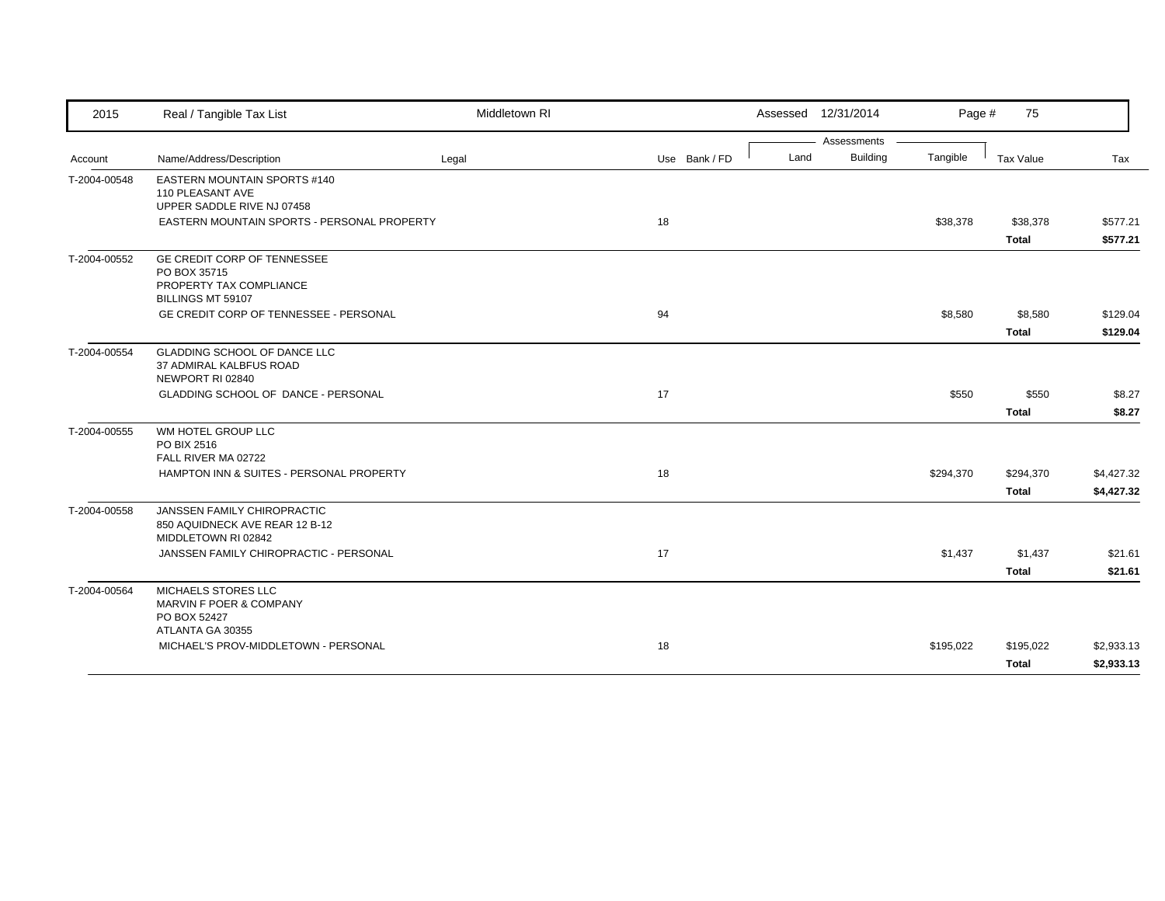| 2015         | Real / Tangible Tax List                                                                    | Middletown RI |               |      | Assessed 12/31/2014 | Page #    | 75           |            |
|--------------|---------------------------------------------------------------------------------------------|---------------|---------------|------|---------------------|-----------|--------------|------------|
|              |                                                                                             |               |               |      | Assessments         |           |              |            |
| Account      | Name/Address/Description                                                                    | Legal         | Use Bank / FD | Land | Building            | Tangible  | Tax Value    | Tax        |
| T-2004-00548 | EASTERN MOUNTAIN SPORTS #140<br>110 PLEASANT AVE<br>UPPER SADDLE RIVE NJ 07458              |               |               |      |                     |           |              |            |
|              | EASTERN MOUNTAIN SPORTS - PERSONAL PROPERTY                                                 |               | 18            |      |                     | \$38,378  | \$38,378     | \$577.21   |
|              |                                                                                             |               |               |      |                     |           | <b>Total</b> | \$577.21   |
| T-2004-00552 | GE CREDIT CORP OF TENNESSEE<br>PO BOX 35715<br>PROPERTY TAX COMPLIANCE<br>BILLINGS MT 59107 |               |               |      |                     |           |              |            |
|              | GE CREDIT CORP OF TENNESSEE - PERSONAL                                                      |               | 94            |      |                     | \$8,580   | \$8,580      | \$129.04   |
|              |                                                                                             |               |               |      |                     |           | <b>Total</b> | \$129.04   |
| T-2004-00554 | <b>GLADDING SCHOOL OF DANCE LLC</b><br>37 ADMIRAL KALBFUS ROAD<br>NEWPORT RI 02840          |               |               |      |                     |           |              |            |
|              | GLADDING SCHOOL OF DANCE - PERSONAL                                                         |               | 17            |      |                     | \$550     | \$550        | \$8.27     |
|              |                                                                                             |               |               |      |                     |           | <b>Total</b> | \$8.27     |
| T-2004-00555 | WM HOTEL GROUP LLC<br>PO BIX 2516<br>FALL RIVER MA 02722                                    |               |               |      |                     |           |              |            |
|              | HAMPTON INN & SUITES - PERSONAL PROPERTY                                                    |               | 18            |      |                     | \$294,370 | \$294,370    | \$4,427.32 |
|              |                                                                                             |               |               |      |                     |           | <b>Total</b> | \$4,427.32 |
| T-2004-00558 | JANSSEN FAMILY CHIROPRACTIC<br>850 AQUIDNECK AVE REAR 12 B-12<br>MIDDLETOWN RI 02842        |               |               |      |                     |           |              |            |
|              | JANSSEN FAMILY CHIROPRACTIC - PERSONAL                                                      |               | 17            |      |                     | \$1,437   | \$1,437      | \$21.61    |
|              |                                                                                             |               |               |      |                     |           | <b>Total</b> | \$21.61    |
| T-2004-00564 | MICHAELS STORES LLC<br>MARVIN F POER & COMPANY<br>PO BOX 52427<br>ATLANTA GA 30355          |               |               |      |                     |           |              |            |
|              | MICHAEL'S PROV-MIDDLETOWN - PERSONAL                                                        |               | 18            |      |                     | \$195,022 | \$195,022    | \$2,933.13 |
|              |                                                                                             |               |               |      |                     |           | <b>Total</b> | \$2,933.13 |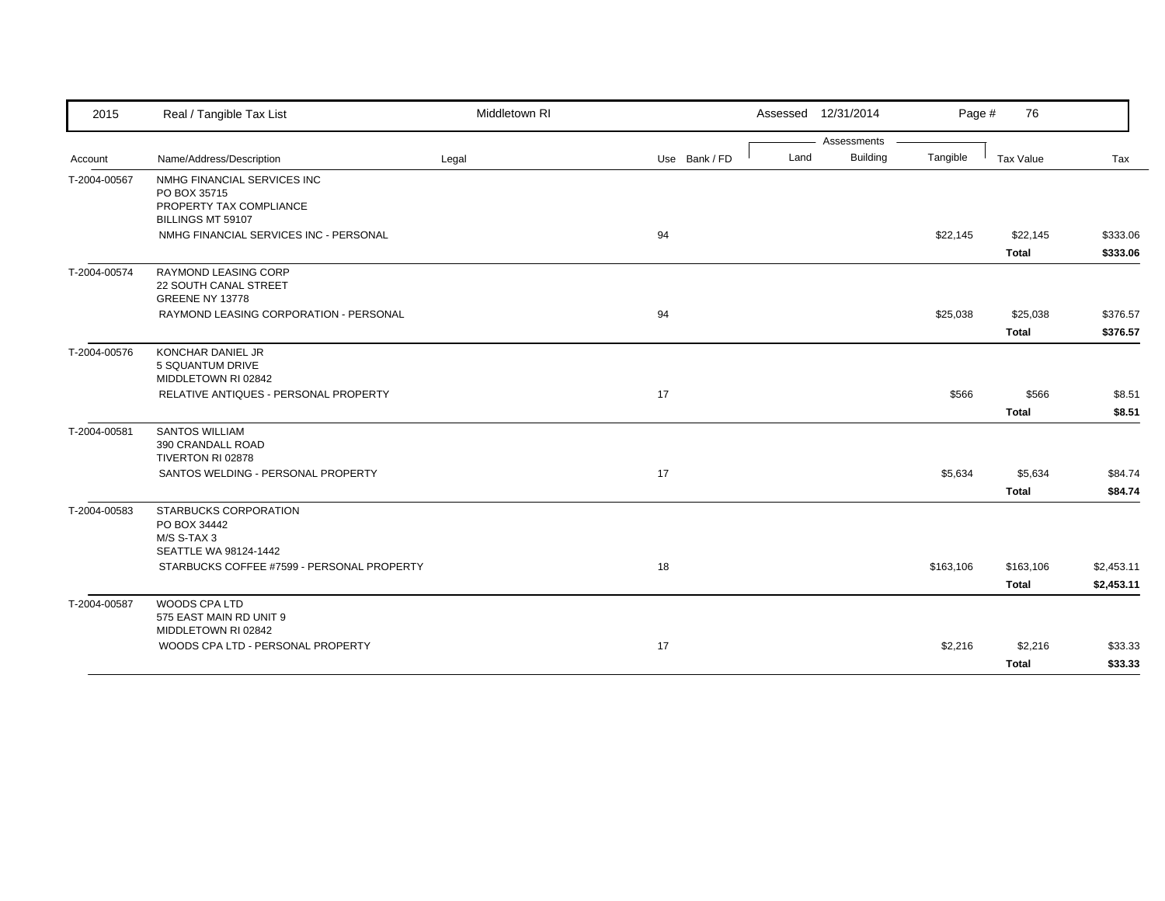| 2015         | Real / Tangible Tax List                                                | Middletown RI |               |      | Assessed 12/31/2014 | Page #    | 76           |            |
|--------------|-------------------------------------------------------------------------|---------------|---------------|------|---------------------|-----------|--------------|------------|
|              |                                                                         |               |               |      | Assessments         |           |              |            |
| Account      | Name/Address/Description                                                | Legal         | Use Bank / FD | Land | <b>Building</b>     | Tangible  | Tax Value    | Tax        |
| T-2004-00567 | NMHG FINANCIAL SERVICES INC<br>PO BOX 35715                             |               |               |      |                     |           |              |            |
|              | PROPERTY TAX COMPLIANCE<br>BILLINGS MT 59107                            |               |               |      |                     |           |              |            |
|              | NMHG FINANCIAL SERVICES INC - PERSONAL                                  |               | 94            |      |                     | \$22,145  | \$22,145     | \$333.06   |
|              |                                                                         |               |               |      |                     |           | <b>Total</b> | \$333.06   |
| T-2004-00574 | <b>RAYMOND LEASING CORP</b><br>22 SOUTH CANAL STREET<br>GREENE NY 13778 |               |               |      |                     |           |              |            |
|              | RAYMOND LEASING CORPORATION - PERSONAL                                  |               | 94            |      |                     | \$25,038  | \$25,038     | \$376.57   |
|              |                                                                         |               |               |      |                     |           | <b>Total</b> | \$376.57   |
| T-2004-00576 | KONCHAR DANIEL JR<br>5 SQUANTUM DRIVE                                   |               |               |      |                     |           |              |            |
|              | MIDDLETOWN RI 02842                                                     |               |               |      |                     |           |              |            |
|              | RELATIVE ANTIQUES - PERSONAL PROPERTY                                   |               | 17            |      |                     | \$566     | \$566        | \$8.51     |
|              |                                                                         |               |               |      |                     |           | <b>Total</b> | \$8.51     |
| T-2004-00581 | <b>SANTOS WILLIAM</b>                                                   |               |               |      |                     |           |              |            |
|              | 390 CRANDALL ROAD<br>TIVERTON RI 02878                                  |               |               |      |                     |           |              |            |
|              | SANTOS WELDING - PERSONAL PROPERTY                                      |               | 17            |      |                     | \$5,634   | \$5,634      | \$84.74    |
|              |                                                                         |               |               |      |                     |           | <b>Total</b> | \$84.74    |
| T-2004-00583 | STARBUCKS CORPORATION                                                   |               |               |      |                     |           |              |            |
|              | PO BOX 34442<br>M/S S-TAX 3                                             |               |               |      |                     |           |              |            |
|              | SEATTLE WA 98124-1442                                                   |               |               |      |                     |           |              |            |
|              | STARBUCKS COFFEE #7599 - PERSONAL PROPERTY                              |               | 18            |      |                     | \$163,106 | \$163,106    | \$2,453.11 |
|              |                                                                         |               |               |      |                     |           | <b>Total</b> | \$2,453.11 |
| T-2004-00587 | WOODS CPA LTD<br>575 EAST MAIN RD UNIT 9                                |               |               |      |                     |           |              |            |
|              | MIDDLETOWN RI 02842                                                     |               |               |      |                     |           |              |            |
|              | WOODS CPA LTD - PERSONAL PROPERTY                                       |               | 17            |      |                     | \$2,216   | \$2,216      | \$33.33    |
|              |                                                                         |               |               |      |                     |           | <b>Total</b> | \$33.33    |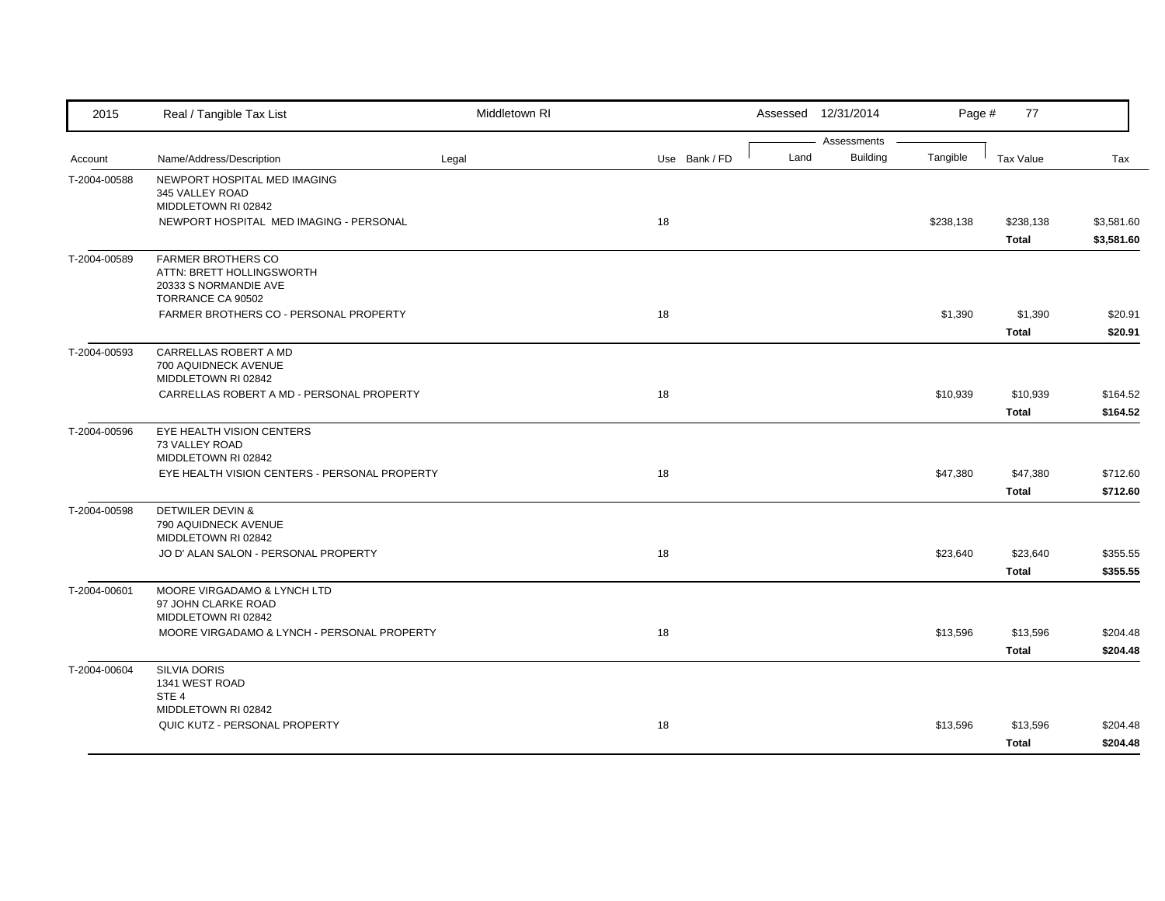| 2015         | Real / Tangible Tax List                                                                             | Middletown RI |               |      | Assessed 12/31/2014            | Page #    | 77                        |                          |
|--------------|------------------------------------------------------------------------------------------------------|---------------|---------------|------|--------------------------------|-----------|---------------------------|--------------------------|
| Account      | Name/Address/Description                                                                             | Legal         | Use Bank / FD | Land | Assessments<br><b>Building</b> | Tangible  | <b>Tax Value</b>          | Tax                      |
| T-2004-00588 | NEWPORT HOSPITAL MED IMAGING<br>345 VALLEY ROAD                                                      |               |               |      |                                |           |                           |                          |
|              | MIDDLETOWN RI 02842<br>NEWPORT HOSPITAL MED IMAGING - PERSONAL                                       |               | 18            |      |                                | \$238,138 | \$238,138<br><b>Total</b> | \$3,581.60<br>\$3,581.60 |
| T-2004-00589 | <b>FARMER BROTHERS CO</b><br>ATTN: BRETT HOLLINGSWORTH<br>20333 S NORMANDIE AVE<br>TORRANCE CA 90502 |               |               |      |                                |           |                           |                          |
|              | FARMER BROTHERS CO - PERSONAL PROPERTY                                                               |               | 18            |      |                                | \$1,390   | \$1,390<br><b>Total</b>   | \$20.91<br>\$20.91       |
| T-2004-00593 | CARRELLAS ROBERT A MD<br>700 AQUIDNECK AVENUE<br>MIDDLETOWN RI 02842                                 |               |               |      |                                |           |                           |                          |
|              | CARRELLAS ROBERT A MD - PERSONAL PROPERTY                                                            |               | 18            |      |                                | \$10,939  | \$10,939<br><b>Total</b>  | \$164.52<br>\$164.52     |
| T-2004-00596 | EYE HEALTH VISION CENTERS<br>73 VALLEY ROAD<br>MIDDLETOWN RI 02842                                   |               |               |      |                                |           |                           |                          |
|              | EYE HEALTH VISION CENTERS - PERSONAL PROPERTY                                                        |               | 18            |      |                                | \$47,380  | \$47,380<br><b>Total</b>  | \$712.60<br>\$712.60     |
| T-2004-00598 | <b>DETWILER DEVIN &amp;</b><br>790 AQUIDNECK AVENUE<br>MIDDLETOWN RI 02842                           |               |               |      |                                |           |                           |                          |
|              | JO D' ALAN SALON - PERSONAL PROPERTY                                                                 |               | 18            |      |                                | \$23,640  | \$23,640<br><b>Total</b>  | \$355.55<br>\$355.55     |
| T-2004-00601 | MOORE VIRGADAMO & LYNCH LTD<br>97 JOHN CLARKE ROAD<br>MIDDLETOWN RI 02842                            |               |               |      |                                |           |                           |                          |
|              | MOORE VIRGADAMO & LYNCH - PERSONAL PROPERTY                                                          |               | 18            |      |                                | \$13,596  | \$13,596<br><b>Total</b>  | \$204.48<br>\$204.48     |
| T-2004-00604 | <b>SILVIA DORIS</b><br>1341 WEST ROAD<br>STE <sub>4</sub>                                            |               |               |      |                                |           |                           |                          |
|              | MIDDLETOWN RI 02842<br>QUIC KUTZ - PERSONAL PROPERTY                                                 |               | 18            |      |                                | \$13,596  | \$13,596<br><b>Total</b>  | \$204.48<br>\$204.48     |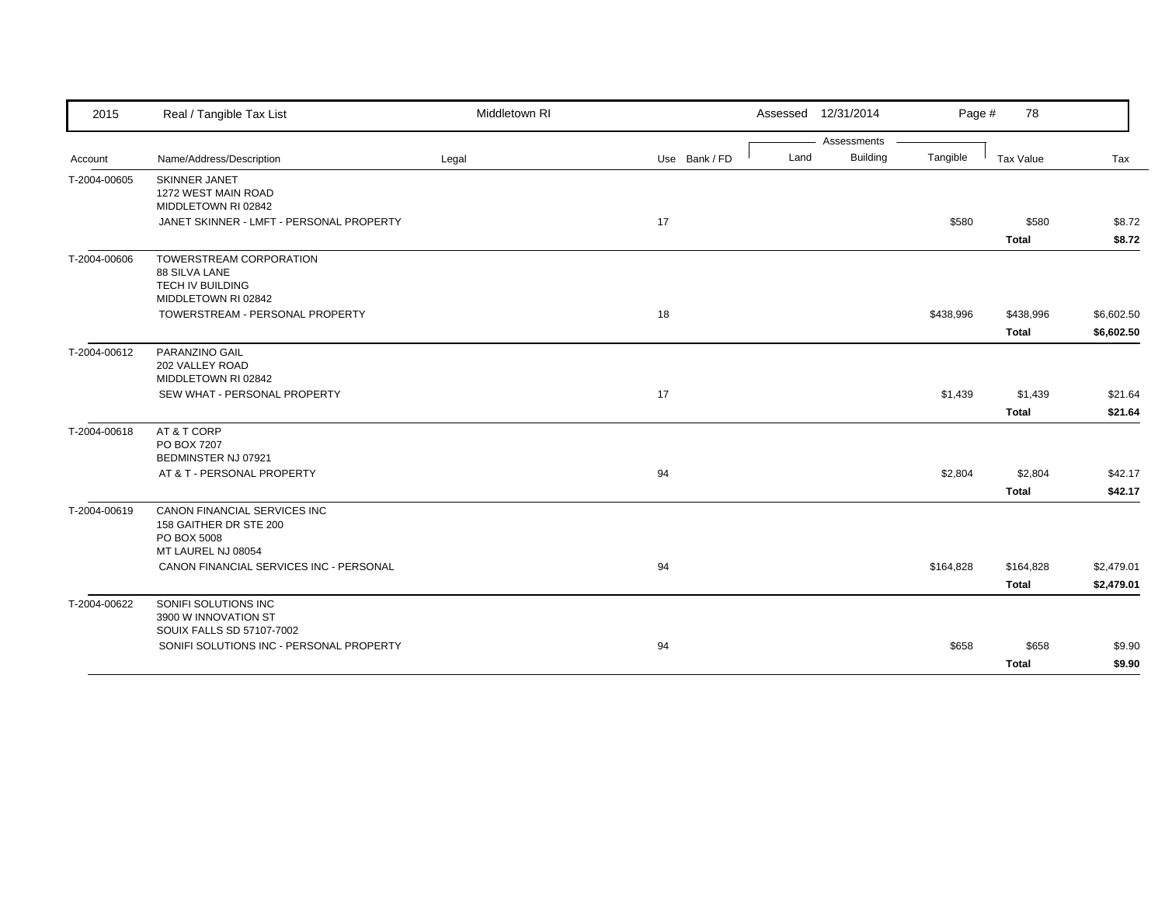| 2015         | Real / Tangible Tax List                 | Middletown RI |               |      | Assessed 12/31/2014            | Page #    | 78           |            |
|--------------|------------------------------------------|---------------|---------------|------|--------------------------------|-----------|--------------|------------|
| Account      | Name/Address/Description                 | Legal         | Use Bank / FD | Land | Assessments<br><b>Building</b> | Tangible  | Tax Value    | Tax        |
|              | <b>SKINNER JANET</b>                     |               |               |      |                                |           |              |            |
| T-2004-00605 | 1272 WEST MAIN ROAD                      |               |               |      |                                |           |              |            |
|              | MIDDLETOWN RI 02842                      |               |               |      |                                |           |              |            |
|              | JANET SKINNER - LMFT - PERSONAL PROPERTY |               | 17            |      |                                | \$580     | \$580        | \$8.72     |
|              |                                          |               |               |      |                                |           | <b>Total</b> | \$8.72     |
| T-2004-00606 | TOWERSTREAM CORPORATION                  |               |               |      |                                |           |              |            |
|              | 88 SILVA LANE                            |               |               |      |                                |           |              |            |
|              | TECH IV BUILDING<br>MIDDLETOWN RI 02842  |               |               |      |                                |           |              |            |
|              | TOWERSTREAM - PERSONAL PROPERTY          |               | 18            |      |                                | \$438,996 | \$438,996    | \$6,602.50 |
|              |                                          |               |               |      |                                |           | <b>Total</b> | \$6,602.50 |
| T-2004-00612 | PARANZINO GAIL                           |               |               |      |                                |           |              |            |
|              | 202 VALLEY ROAD                          |               |               |      |                                |           |              |            |
|              | MIDDLETOWN RI 02842                      |               |               |      |                                |           |              |            |
|              | SEW WHAT - PERSONAL PROPERTY             |               | 17            |      |                                | \$1,439   | \$1,439      | \$21.64    |
|              |                                          |               |               |      |                                |           | <b>Total</b> | \$21.64    |
| T-2004-00618 | AT & T CORP                              |               |               |      |                                |           |              |            |
|              | PO BOX 7207<br>BEDMINSTER NJ 07921       |               |               |      |                                |           |              |            |
|              | AT & T - PERSONAL PROPERTY               |               | 94            |      |                                | \$2,804   | \$2,804      | \$42.17    |
|              |                                          |               |               |      |                                |           | <b>Total</b> | \$42.17    |
| T-2004-00619 | CANON FINANCIAL SERVICES INC             |               |               |      |                                |           |              |            |
|              | 158 GAITHER DR STE 200                   |               |               |      |                                |           |              |            |
|              | PO BOX 5008<br>MT LAUREL NJ 08054        |               |               |      |                                |           |              |            |
|              | CANON FINANCIAL SERVICES INC - PERSONAL  |               | 94            |      |                                | \$164,828 | \$164,828    | \$2,479.01 |
|              |                                          |               |               |      |                                |           | <b>Total</b> | \$2,479.01 |
|              | SONIFI SOLUTIONS INC                     |               |               |      |                                |           |              |            |
| T-2004-00622 | 3900 W INNOVATION ST                     |               |               |      |                                |           |              |            |
|              | SOUIX FALLS SD 57107-7002                |               |               |      |                                |           |              |            |
|              | SONIFI SOLUTIONS INC - PERSONAL PROPERTY |               | 94            |      |                                | \$658     | \$658        | \$9.90     |
|              |                                          |               |               |      |                                |           | <b>Total</b> | \$9.90     |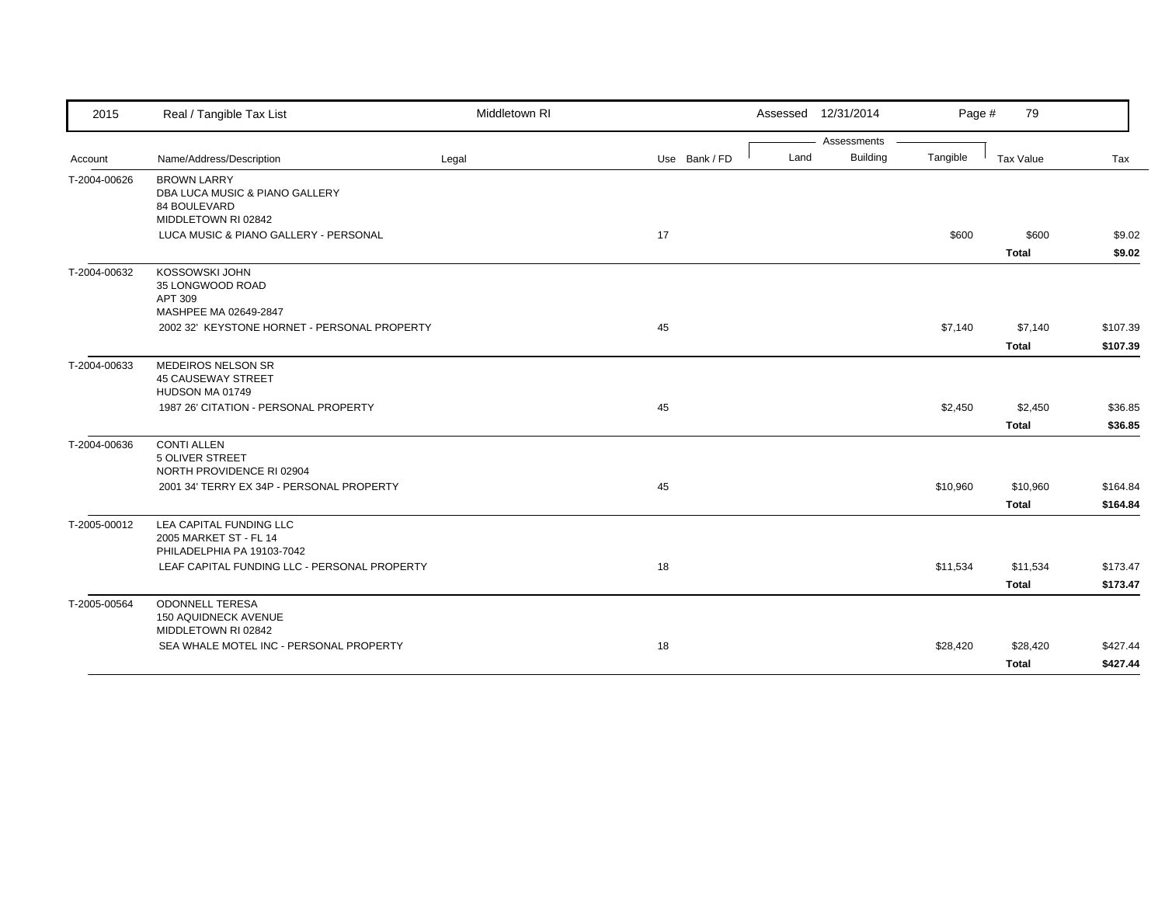| 2015         | Real / Tangible Tax List                                                                                               | Middletown RI |               | Assessed 12/31/2014     | Page #   | 79                       |                      |
|--------------|------------------------------------------------------------------------------------------------------------------------|---------------|---------------|-------------------------|----------|--------------------------|----------------------|
|              |                                                                                                                        |               |               | Assessments             |          |                          |                      |
| Account      | Name/Address/Description                                                                                               | Legal         | Use Bank / FD | <b>Building</b><br>Land | Tangible | Tax Value                | Tax                  |
| T-2004-00626 | <b>BROWN LARRY</b><br>DBA LUCA MUSIC & PIANO GALLERY<br>84 BOULEVARD<br>MIDDLETOWN RI 02842                            |               |               |                         |          |                          |                      |
|              | LUCA MUSIC & PIANO GALLERY - PERSONAL                                                                                  |               | 17            |                         | \$600    | \$600<br><b>Total</b>    | \$9.02<br>\$9.02     |
| T-2004-00632 | <b>KOSSOWSKI JOHN</b><br>35 LONGWOOD ROAD<br>APT 309<br>MASHPEE MA 02649-2847                                          |               |               |                         |          |                          |                      |
|              | 2002 32' KEYSTONE HORNET - PERSONAL PROPERTY                                                                           |               | 45            |                         | \$7,140  | \$7,140<br><b>Total</b>  | \$107.39<br>\$107.39 |
| T-2004-00633 | MEDEIROS NELSON SR<br><b>45 CAUSEWAY STREET</b><br>HUDSON MA 01749                                                     |               |               |                         |          |                          |                      |
|              | 1987 26' CITATION - PERSONAL PROPERTY                                                                                  |               | 45            |                         | \$2,450  | \$2,450<br><b>Total</b>  | \$36.85<br>\$36.85   |
| T-2004-00636 | <b>CONTI ALLEN</b><br><b>5 OLIVER STREET</b><br>NORTH PROVIDENCE RI 02904<br>2001 34' TERRY EX 34P - PERSONAL PROPERTY |               | 45            |                         | \$10,960 | \$10,960                 | \$164.84             |
|              |                                                                                                                        |               |               |                         |          | <b>Total</b>             | \$164.84             |
| T-2005-00012 | LEA CAPITAL FUNDING LLC<br>2005 MARKET ST - FL 14<br>PHILADELPHIA PA 19103-7042                                        |               |               |                         |          |                          |                      |
|              | LEAF CAPITAL FUNDING LLC - PERSONAL PROPERTY                                                                           |               | 18            |                         | \$11,534 | \$11,534<br><b>Total</b> | \$173.47<br>\$173.47 |
| T-2005-00564 | <b>ODONNELL TERESA</b><br>150 AQUIDNECK AVENUE<br>MIDDLETOWN RI 02842                                                  |               |               |                         |          |                          |                      |
|              | SEA WHALE MOTEL INC - PERSONAL PROPERTY                                                                                |               | 18            |                         | \$28,420 | \$28,420                 | \$427.44             |
|              |                                                                                                                        |               |               |                         |          | Total                    | \$427.44             |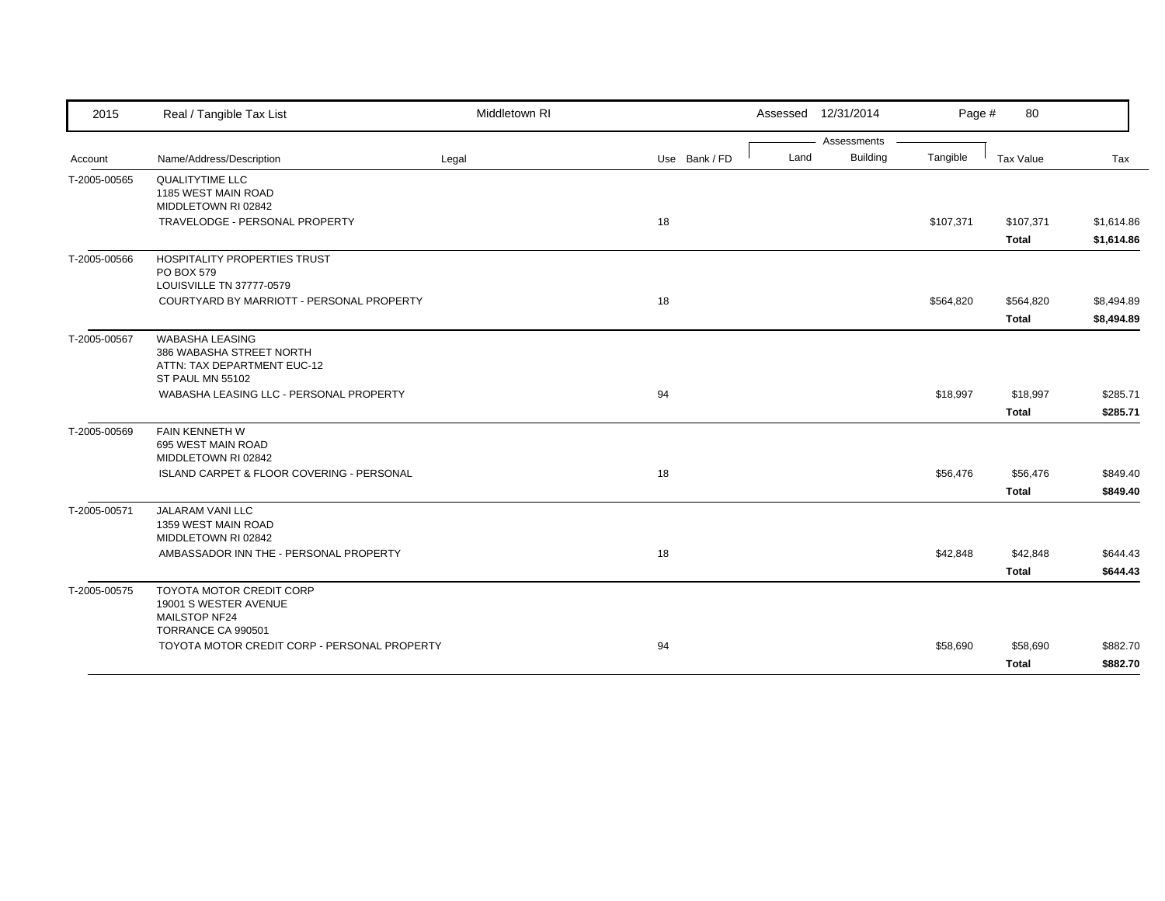| 2015         | Real / Tangible Tax List                                                                              | Middletown RI |               | Assessed 12/31/2014 |             | Page #    | 80                        |                          |
|--------------|-------------------------------------------------------------------------------------------------------|---------------|---------------|---------------------|-------------|-----------|---------------------------|--------------------------|
|              |                                                                                                       |               |               |                     | Assessments |           |                           |                          |
| Account      | Name/Address/Description                                                                              | Legal         | Use Bank / FD | Land                | Building    | Tangible  | Tax Value                 | Tax                      |
| T-2005-00565 | QUALITYTIME LLC<br>1185 WEST MAIN ROAD<br>MIDDLETOWN RI 02842                                         |               |               |                     |             |           |                           |                          |
|              | TRAVELODGE - PERSONAL PROPERTY                                                                        |               | 18            |                     |             | \$107,371 | \$107,371<br><b>Total</b> | \$1,614.86<br>\$1,614.86 |
| T-2005-00566 | HOSPITALITY PROPERTIES TRUST<br>PO BOX 579<br>LOUISVILLE TN 37777-0579                                |               |               |                     |             |           |                           |                          |
|              | COURTYARD BY MARRIOTT - PERSONAL PROPERTY                                                             |               | 18            |                     |             | \$564,820 | \$564,820                 | \$8,494.89               |
|              |                                                                                                       |               |               |                     |             |           | Total                     | \$8,494.89               |
| T-2005-00567 | <b>WABASHA LEASING</b><br>386 WABASHA STREET NORTH<br>ATTN: TAX DEPARTMENT EUC-12<br>ST PAUL MN 55102 |               |               |                     |             |           |                           |                          |
|              | WABASHA LEASING LLC - PERSONAL PROPERTY                                                               |               | 94            |                     |             | \$18,997  | \$18,997                  | \$285.71                 |
|              |                                                                                                       |               |               |                     |             |           | Total                     | \$285.71                 |
| T-2005-00569 | FAIN KENNETH W<br>695 WEST MAIN ROAD<br>MIDDLETOWN RI 02842                                           |               |               |                     |             |           |                           |                          |
|              | ISLAND CARPET & FLOOR COVERING - PERSONAL                                                             |               | 18            |                     |             | \$56,476  | \$56,476                  | \$849.40                 |
|              |                                                                                                       |               |               |                     |             |           | <b>Total</b>              | \$849.40                 |
| T-2005-00571 | <b>JALARAM VANI LLC</b><br>1359 WEST MAIN ROAD<br>MIDDLETOWN RI 02842                                 |               |               |                     |             |           |                           |                          |
|              | AMBASSADOR INN THE - PERSONAL PROPERTY                                                                |               | 18            |                     |             | \$42,848  | \$42,848                  | \$644.43                 |
|              |                                                                                                       |               |               |                     |             |           | Total                     | \$644.43                 |
| T-2005-00575 | TOYOTA MOTOR CREDIT CORP<br>19001 S WESTER AVENUE<br>MAILSTOP NF24<br>TORRANCE CA 990501              |               |               |                     |             |           |                           |                          |
|              | TOYOTA MOTOR CREDIT CORP - PERSONAL PROPERTY                                                          |               | 94            |                     |             | \$58,690  | \$58,690                  | \$882.70                 |
|              |                                                                                                       |               |               |                     |             |           | Total                     | \$882.70                 |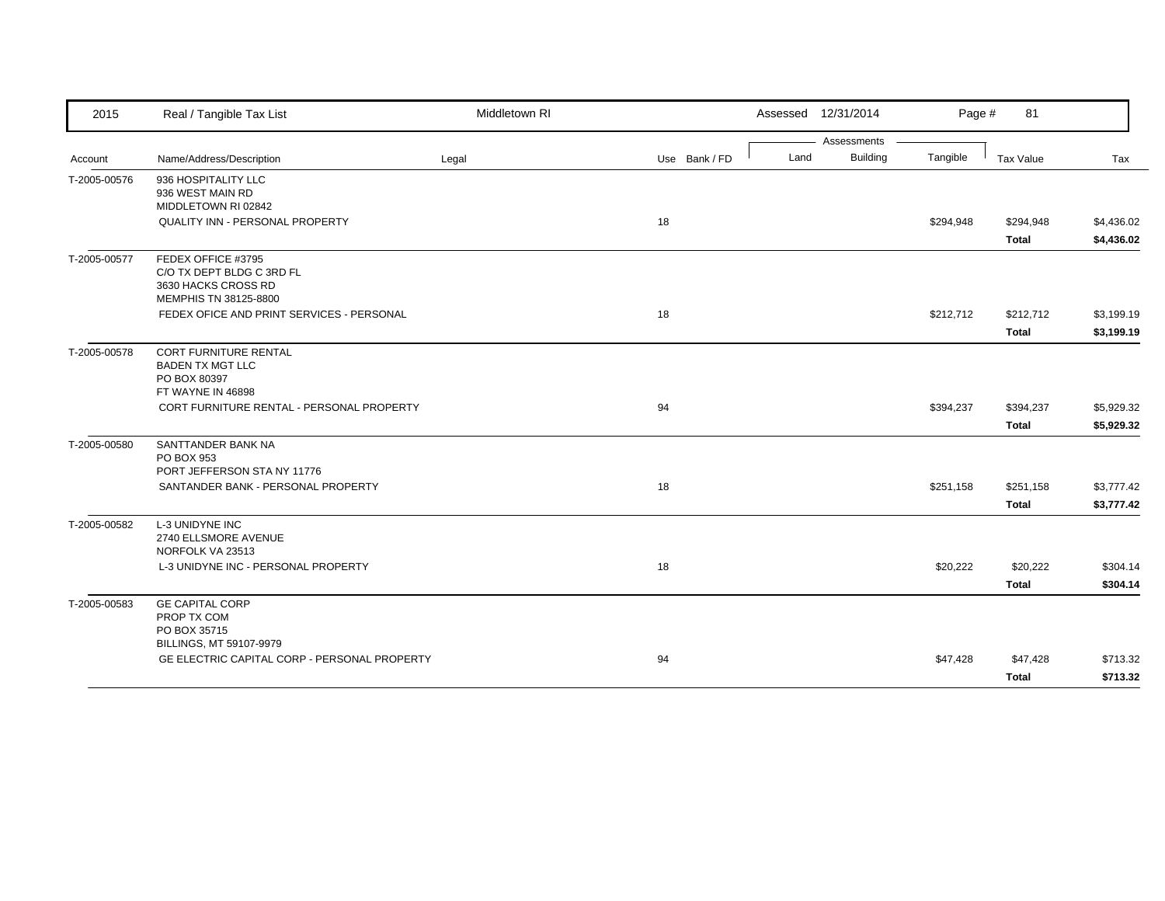| 2015         | Real / Tangible Tax List                                                                        | Middletown RI |               | Assessed 12/31/2014     | Page #    | 81           |            |
|--------------|-------------------------------------------------------------------------------------------------|---------------|---------------|-------------------------|-----------|--------------|------------|
|              |                                                                                                 |               |               | Assessments             |           |              |            |
| Account      | Name/Address/Description                                                                        | Legal         | Use Bank / FD | <b>Building</b><br>Land | Tangible  | Tax Value    | Tax        |
| T-2005-00576 | 936 HOSPITALITY LLC<br>936 WEST MAIN RD<br>MIDDLETOWN RI 02842                                  |               |               |                         |           |              |            |
|              | QUALITY INN - PERSONAL PROPERTY                                                                 |               | 18            |                         | \$294,948 | \$294,948    | \$4,436.02 |
|              |                                                                                                 |               |               |                         |           | <b>Total</b> | \$4,436.02 |
| T-2005-00577 | FEDEX OFFICE #3795<br>C/O TX DEPT BLDG C 3RD FL<br>3630 HACKS CROSS RD<br>MEMPHIS TN 38125-8800 |               |               |                         |           |              |            |
|              | FEDEX OFICE AND PRINT SERVICES - PERSONAL                                                       |               | 18            |                         | \$212,712 | \$212,712    | \$3,199.19 |
|              |                                                                                                 |               |               |                         |           | <b>Total</b> | \$3,199.19 |
| T-2005-00578 | <b>CORT FURNITURE RENTAL</b><br><b>BADEN TX MGT LLC</b><br>PO BOX 80397<br>FT WAYNE IN 46898    |               |               |                         |           |              |            |
|              | CORT FURNITURE RENTAL - PERSONAL PROPERTY                                                       |               | 94            |                         | \$394,237 | \$394,237    | \$5,929.32 |
|              |                                                                                                 |               |               |                         |           | <b>Total</b> | \$5,929.32 |
| T-2005-00580 | SANTTANDER BANK NA<br><b>PO BOX 953</b><br>PORT JEFFERSON STA NY 11776                          |               |               |                         |           |              |            |
|              | SANTANDER BANK - PERSONAL PROPERTY                                                              |               | 18            |                         | \$251,158 | \$251,158    | \$3,777.42 |
|              |                                                                                                 |               |               |                         |           | <b>Total</b> | \$3,777.42 |
| T-2005-00582 | <b>L-3 UNIDYNE INC</b><br>2740 ELLSMORE AVENUE<br>NORFOLK VA 23513                              |               |               |                         |           |              |            |
|              | L-3 UNIDYNE INC - PERSONAL PROPERTY                                                             |               | 18            |                         | \$20,222  | \$20,222     | \$304.14   |
|              |                                                                                                 |               |               |                         |           | <b>Total</b> | \$304.14   |
| T-2005-00583 | <b>GE CAPITAL CORP</b><br>PROP TX COM<br>PO BOX 35715<br>BILLINGS, MT 59107-9979                |               |               |                         |           |              |            |
|              | GE ELECTRIC CAPITAL CORP - PERSONAL PROPERTY                                                    |               | 94            |                         | \$47,428  | \$47,428     | \$713.32   |
|              |                                                                                                 |               |               |                         |           | <b>Total</b> | \$713.32   |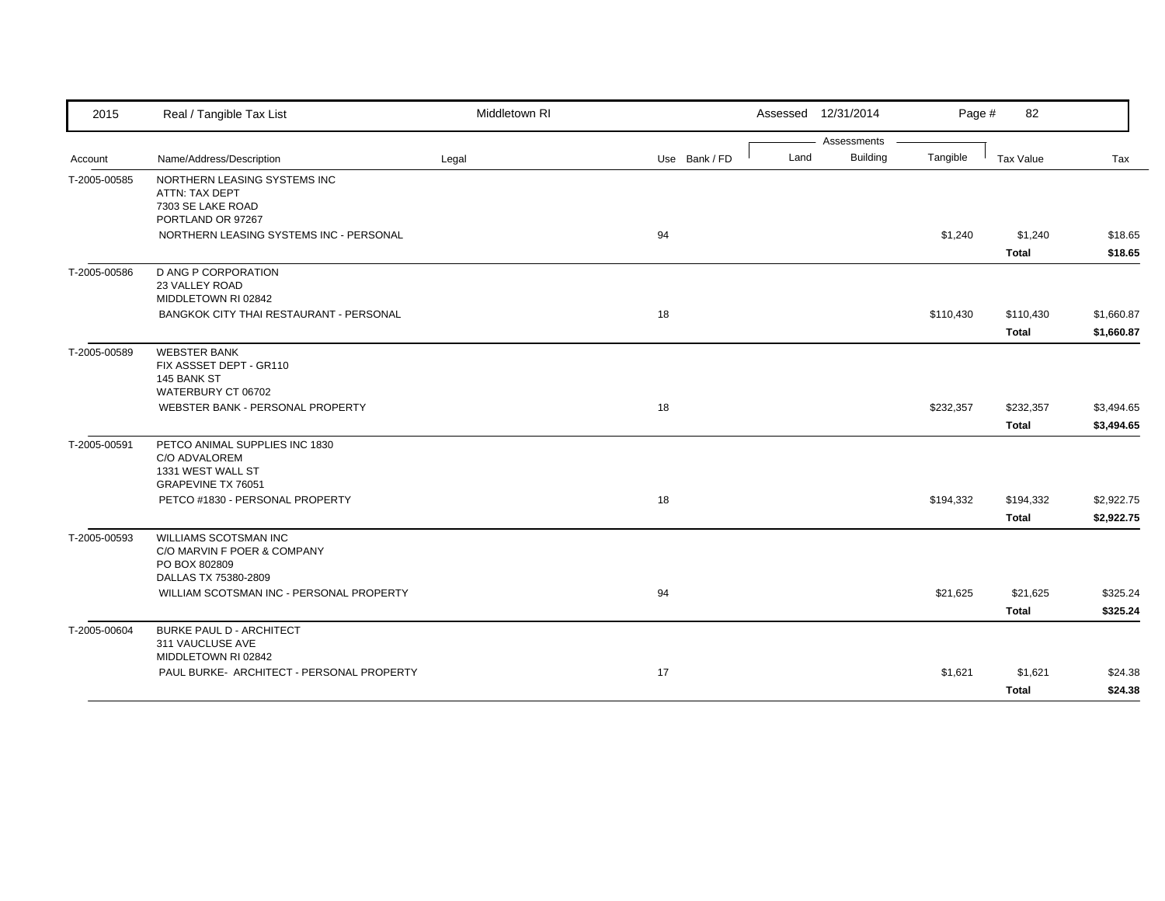| 2015         | Real / Tangible Tax List                                                                      | Middletown RI |               | Assessed 12/31/2014 | Page #                                     | 82                        |                          |
|--------------|-----------------------------------------------------------------------------------------------|---------------|---------------|---------------------|--------------------------------------------|---------------------------|--------------------------|
| Account      | Name/Address/Description                                                                      | Legal         | Use Bank / FD | Land                | Assessments<br><b>Building</b><br>Tangible | Tax Value                 | Tax                      |
| T-2005-00585 | NORTHERN LEASING SYSTEMS INC<br>ATTN: TAX DEPT<br>7303 SE LAKE ROAD<br>PORTLAND OR 97267      |               |               |                     |                                            |                           |                          |
|              | NORTHERN LEASING SYSTEMS INC - PERSONAL                                                       |               | 94            |                     | \$1,240                                    | \$1,240<br><b>Total</b>   | \$18.65<br>\$18.65       |
| T-2005-00586 | D ANG P CORPORATION<br>23 VALLEY ROAD<br>MIDDLETOWN RI 02842                                  |               |               |                     |                                            |                           |                          |
|              | BANGKOK CITY THAI RESTAURANT - PERSONAL                                                       |               | 18            |                     | \$110,430                                  | \$110,430<br>Total        | \$1,660.87<br>\$1,660.87 |
| T-2005-00589 | <b>WEBSTER BANK</b><br>FIX ASSSET DEPT - GR110<br>145 BANK ST<br>WATERBURY CT 06702           |               |               |                     |                                            |                           |                          |
|              | WEBSTER BANK - PERSONAL PROPERTY                                                              |               | 18            |                     | \$232,357                                  | \$232,357<br><b>Total</b> | \$3,494.65<br>\$3,494.65 |
| T-2005-00591 | PETCO ANIMAL SUPPLIES INC 1830<br>C/O ADVALOREM<br>1331 WEST WALL ST<br>GRAPEVINE TX 76051    |               |               |                     |                                            |                           |                          |
|              | PETCO #1830 - PERSONAL PROPERTY                                                               |               | 18            |                     | \$194,332                                  | \$194,332<br><b>Total</b> | \$2,922.75<br>\$2,922.75 |
| T-2005-00593 | WILLIAMS SCOTSMAN INC<br>C/O MARVIN F POER & COMPANY<br>PO BOX 802809<br>DALLAS TX 75380-2809 |               |               |                     |                                            |                           |                          |
|              | WILLIAM SCOTSMAN INC - PERSONAL PROPERTY                                                      |               | 94            |                     | \$21,625                                   | \$21,625<br><b>Total</b>  | \$325.24<br>\$325.24     |
| T-2005-00604 | <b>BURKE PAUL D - ARCHITECT</b><br>311 VAUCLUSE AVE<br>MIDDLETOWN RI 02842                    |               |               |                     |                                            |                           |                          |
|              | PAUL BURKE- ARCHITECT - PERSONAL PROPERTY                                                     |               | 17            |                     | \$1,621                                    | \$1,621<br><b>Total</b>   | \$24.38<br>\$24.38       |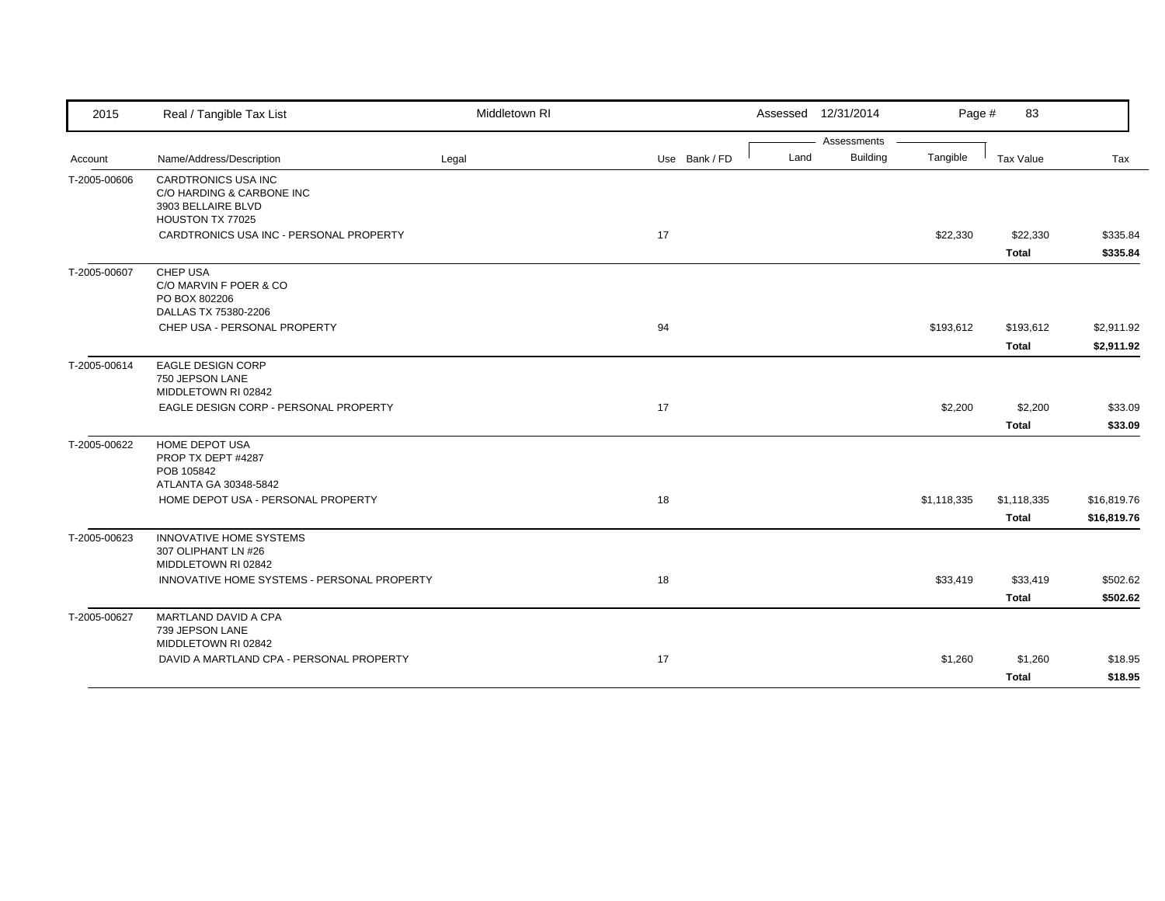| 2015         | Real / Tangible Tax List                                           | Middletown RI |               |      | Assessed 12/31/2014            | Page #      | 83           |             |
|--------------|--------------------------------------------------------------------|---------------|---------------|------|--------------------------------|-------------|--------------|-------------|
|              | Name/Address/Description                                           | Legal         | Use Bank / FD | Land | Assessments<br><b>Building</b> | Tangible    | Tax Value    | Tax         |
| Account      |                                                                    |               |               |      |                                |             |              |             |
| T-2005-00606 | CARDTRONICS USA INC<br>C/O HARDING & CARBONE INC                   |               |               |      |                                |             |              |             |
|              | 3903 BELLAIRE BLVD                                                 |               |               |      |                                |             |              |             |
|              | HOUSTON TX 77025                                                   |               |               |      |                                |             |              |             |
|              | CARDTRONICS USA INC - PERSONAL PROPERTY                            |               | 17            |      |                                | \$22,330    | \$22,330     | \$335.84    |
|              |                                                                    |               |               |      |                                |             | <b>Total</b> | \$335.84    |
| T-2005-00607 | CHEP USA                                                           |               |               |      |                                |             |              |             |
|              | C/O MARVIN F POER & CO                                             |               |               |      |                                |             |              |             |
|              | PO BOX 802206<br>DALLAS TX 75380-2206                              |               |               |      |                                |             |              |             |
|              | CHEP USA - PERSONAL PROPERTY                                       |               | 94            |      |                                | \$193,612   | \$193,612    | \$2,911.92  |
|              |                                                                    |               |               |      |                                |             | <b>Total</b> | \$2,911.92  |
| T-2005-00614 | <b>EAGLE DESIGN CORP</b>                                           |               |               |      |                                |             |              |             |
|              | 750 JEPSON LANE                                                    |               |               |      |                                |             |              |             |
|              | MIDDLETOWN RI 02842                                                |               |               |      |                                |             |              |             |
|              | EAGLE DESIGN CORP - PERSONAL PROPERTY                              |               | 17            |      |                                | \$2,200     | \$2,200      | \$33.09     |
|              |                                                                    |               |               |      |                                |             | <b>Total</b> | \$33.09     |
| T-2005-00622 | <b>HOME DEPOT USA</b>                                              |               |               |      |                                |             |              |             |
|              | PROP TX DEPT #4287<br>POB 105842                                   |               |               |      |                                |             |              |             |
|              | ATLANTA GA 30348-5842                                              |               |               |      |                                |             |              |             |
|              | HOME DEPOT USA - PERSONAL PROPERTY                                 |               | 18            |      |                                | \$1,118,335 | \$1,118,335  | \$16,819.76 |
|              |                                                                    |               |               |      |                                |             | <b>Total</b> | \$16,819.76 |
| T-2005-00623 | <b>INNOVATIVE HOME SYSTEMS</b>                                     |               |               |      |                                |             |              |             |
|              | 307 OLIPHANT LN #26                                                |               |               |      |                                |             |              |             |
|              | MIDDLETOWN RI 02842<br>INNOVATIVE HOME SYSTEMS - PERSONAL PROPERTY |               | 18            |      |                                | \$33,419    | \$33,419     | \$502.62    |
|              |                                                                    |               |               |      |                                |             |              |             |
|              |                                                                    |               |               |      |                                |             | <b>Total</b> | \$502.62    |
| T-2005-00627 | MARTLAND DAVID A CPA<br>739 JEPSON LANE                            |               |               |      |                                |             |              |             |
|              | MIDDLETOWN RI 02842                                                |               |               |      |                                |             |              |             |
|              | DAVID A MARTLAND CPA - PERSONAL PROPERTY                           |               | 17            |      |                                | \$1,260     | \$1,260      | \$18.95     |
|              |                                                                    |               |               |      |                                |             | <b>Total</b> | \$18.95     |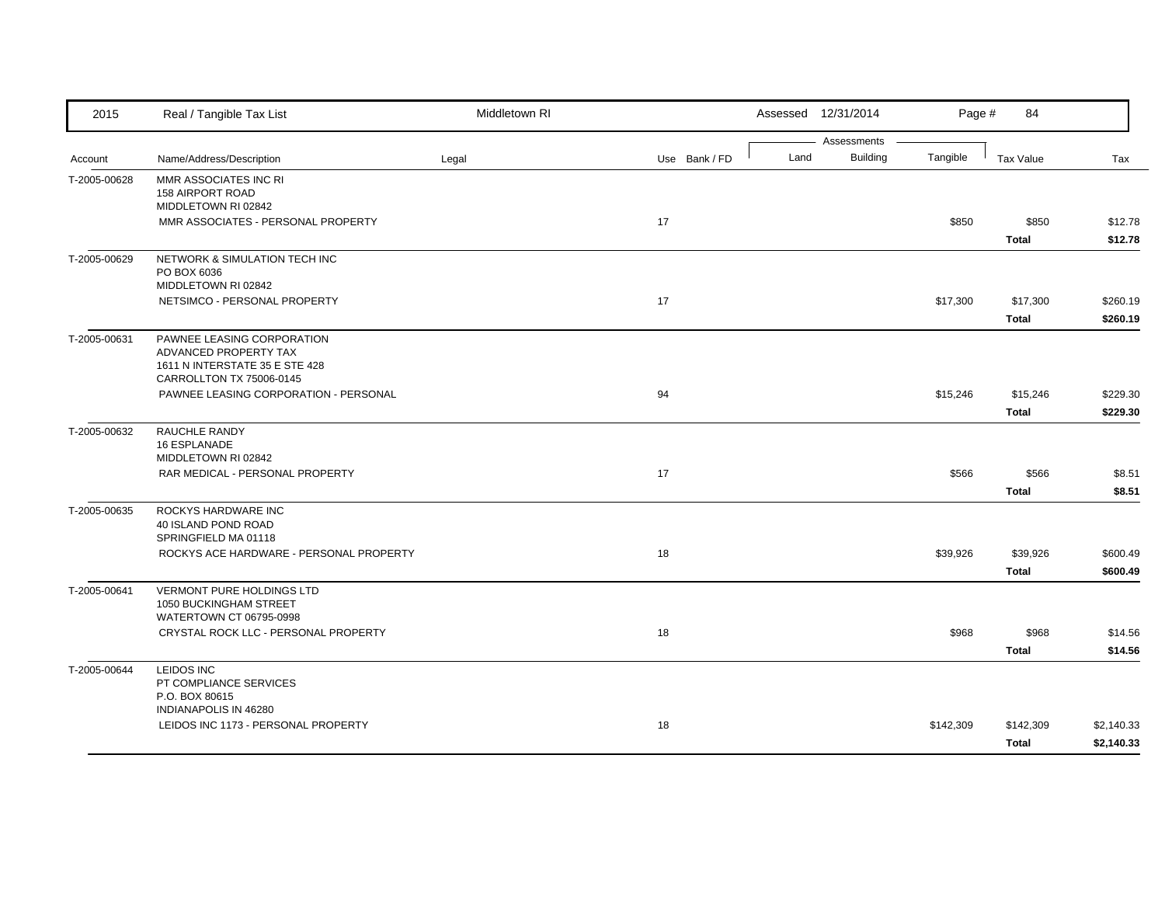| 2015         | Real / Tangible Tax List                                                                                          | Middletown RI |               | Assessed 12/31/2014 | Page #                      | 84                        |                          |
|--------------|-------------------------------------------------------------------------------------------------------------------|---------------|---------------|---------------------|-----------------------------|---------------------------|--------------------------|
| Account      | Name/Address/Description                                                                                          | Legal         | Use Bank / FD | Assessments<br>Land | <b>Building</b><br>Tangible | Tax Value                 | Tax                      |
| T-2005-00628 | MMR ASSOCIATES INC RI<br><b>158 AIRPORT ROAD</b><br>MIDDLETOWN RI 02842                                           |               |               |                     |                             |                           |                          |
|              | MMR ASSOCIATES - PERSONAL PROPERTY                                                                                |               | 17            |                     | \$850                       | \$850<br><b>Total</b>     | \$12.78<br>\$12.78       |
| T-2005-00629 | NETWORK & SIMULATION TECH INC<br>PO BOX 6036<br>MIDDLETOWN RI 02842                                               |               |               |                     |                             |                           |                          |
|              | NETSIMCO - PERSONAL PROPERTY                                                                                      |               | 17            |                     | \$17,300                    | \$17,300<br><b>Total</b>  | \$260.19<br>\$260.19     |
| T-2005-00631 | PAWNEE LEASING CORPORATION<br>ADVANCED PROPERTY TAX<br>1611 N INTERSTATE 35 E STE 428<br>CARROLLTON TX 75006-0145 |               |               |                     |                             |                           |                          |
|              | PAWNEE LEASING CORPORATION - PERSONAL                                                                             |               | 94            |                     | \$15,246                    | \$15,246<br><b>Total</b>  | \$229.30<br>\$229.30     |
| T-2005-00632 | RAUCHLE RANDY<br><b>16 ESPLANADE</b><br>MIDDLETOWN RI 02842                                                       |               |               |                     |                             |                           |                          |
|              | RAR MEDICAL - PERSONAL PROPERTY                                                                                   |               | 17            |                     | \$566                       | \$566<br><b>Total</b>     | \$8.51<br>\$8.51         |
| T-2005-00635 | ROCKYS HARDWARE INC<br>40 ISLAND POND ROAD<br>SPRINGFIELD MA 01118                                                |               |               |                     |                             |                           |                          |
|              | ROCKYS ACE HARDWARE - PERSONAL PROPERTY                                                                           |               | 18            |                     | \$39,926                    | \$39,926<br><b>Total</b>  | \$600.49<br>\$600.49     |
| T-2005-00641 | <b>VERMONT PURE HOLDINGS LTD</b><br>1050 BUCKINGHAM STREET<br>WATERTOWN CT 06795-0998                             |               |               |                     |                             |                           |                          |
|              | CRYSTAL ROCK LLC - PERSONAL PROPERTY                                                                              |               | 18            |                     | \$968                       | \$968<br><b>Total</b>     | \$14.56<br>\$14.56       |
| T-2005-00644 | <b>LEIDOS INC</b><br>PT COMPLIANCE SERVICES<br>P.O. BOX 80615                                                     |               |               |                     |                             |                           |                          |
|              | INDIANAPOLIS IN 46280<br>LEIDOS INC 1173 - PERSONAL PROPERTY                                                      |               | 18            |                     | \$142,309                   | \$142,309<br><b>Total</b> | \$2,140.33<br>\$2,140.33 |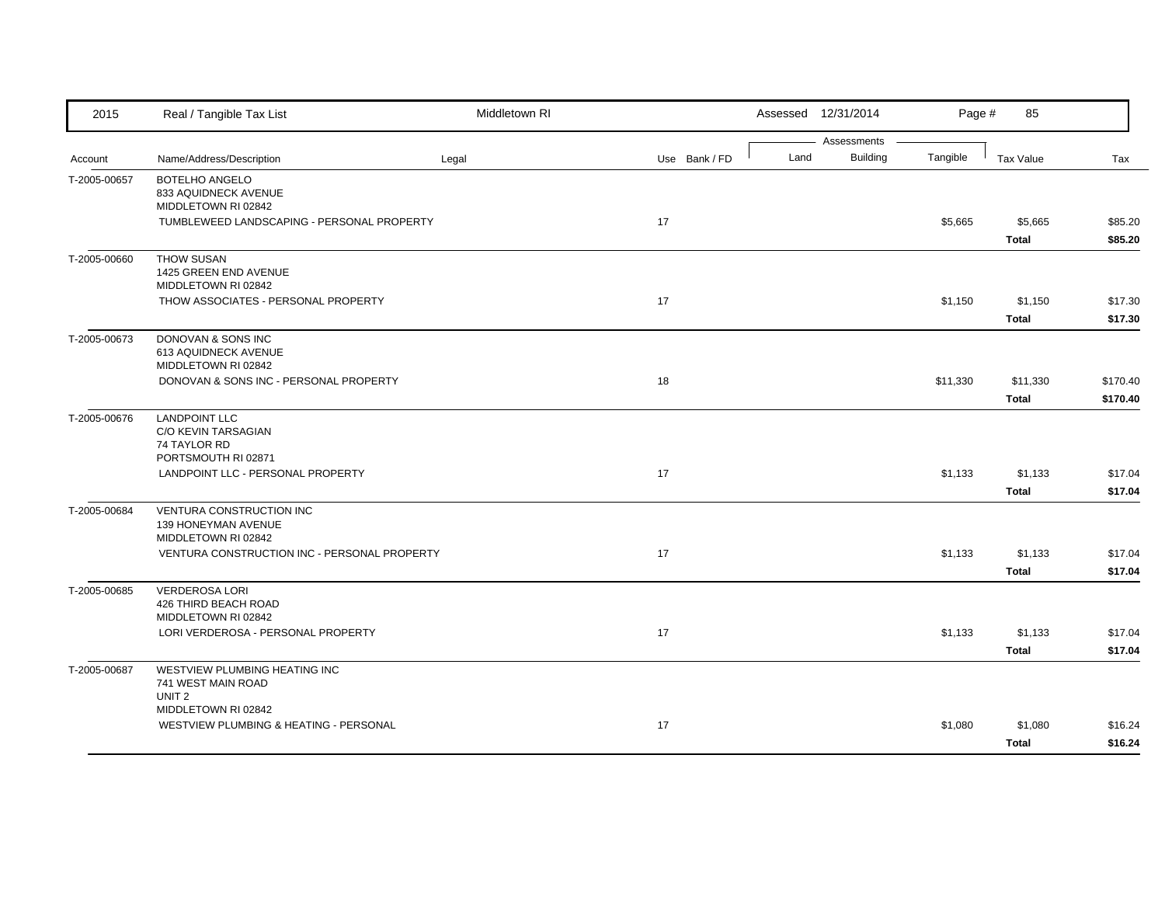| 2015         | Real / Tangible Tax List                                                 | Middletown RI |               |      | Assessed 12/31/2014            | Page #   | 85                       |                      |
|--------------|--------------------------------------------------------------------------|---------------|---------------|------|--------------------------------|----------|--------------------------|----------------------|
| Account      | Name/Address/Description                                                 | Legal         | Use Bank / FD | Land | Assessments<br><b>Building</b> | Tangible | <b>Tax Value</b>         | Tax                  |
| T-2005-00657 | BOTELHO ANGELO<br>833 AQUIDNECK AVENUE<br>MIDDLETOWN RI 02842            |               |               |      |                                |          |                          |                      |
|              | TUMBLEWEED LANDSCAPING - PERSONAL PROPERTY                               |               | 17            |      |                                | \$5,665  | \$5,665<br><b>Total</b>  | \$85.20<br>\$85.20   |
| T-2005-00660 | THOW SUSAN<br>1425 GREEN END AVENUE<br>MIDDLETOWN RI 02842               |               |               |      |                                |          |                          |                      |
|              | THOW ASSOCIATES - PERSONAL PROPERTY                                      |               | 17            |      |                                | \$1,150  | \$1,150<br><b>Total</b>  | \$17.30<br>\$17.30   |
| T-2005-00673 | DONOVAN & SONS INC<br>613 AQUIDNECK AVENUE<br>MIDDLETOWN RI 02842        |               |               |      |                                |          |                          |                      |
|              | DONOVAN & SONS INC - PERSONAL PROPERTY                                   |               | 18            |      |                                | \$11,330 | \$11,330<br><b>Total</b> | \$170.40<br>\$170.40 |
| T-2005-00676 | <b>LANDPOINT LLC</b><br>C/O KEVIN TARSAGIAN<br>74 TAYLOR RD              |               |               |      |                                |          |                          |                      |
|              | PORTSMOUTH RI 02871<br>LANDPOINT LLC - PERSONAL PROPERTY                 |               | 17            |      |                                | \$1,133  | \$1,133<br><b>Total</b>  | \$17.04<br>\$17.04   |
| T-2005-00684 | VENTURA CONSTRUCTION INC<br>139 HONEYMAN AVENUE<br>MIDDLETOWN RI 02842   |               |               |      |                                |          |                          |                      |
|              | VENTURA CONSTRUCTION INC - PERSONAL PROPERTY                             |               | 17            |      |                                | \$1,133  | \$1,133<br><b>Total</b>  | \$17.04<br>\$17.04   |
| T-2005-00685 | <b>VERDEROSA LORI</b><br>426 THIRD BEACH ROAD<br>MIDDLETOWN RI 02842     |               |               |      |                                |          |                          |                      |
|              | LORI VERDEROSA - PERSONAL PROPERTY                                       |               | 17            |      |                                | \$1,133  | \$1,133<br><b>Total</b>  | \$17.04<br>\$17.04   |
| T-2005-00687 | WESTVIEW PLUMBING HEATING INC<br>741 WEST MAIN ROAD<br>UNIT <sub>2</sub> |               |               |      |                                |          |                          |                      |
|              | MIDDLETOWN RI 02842<br>WESTVIEW PLUMBING & HEATING - PERSONAL            |               | 17            |      |                                | \$1,080  | \$1,080<br><b>Total</b>  | \$16.24<br>\$16.24   |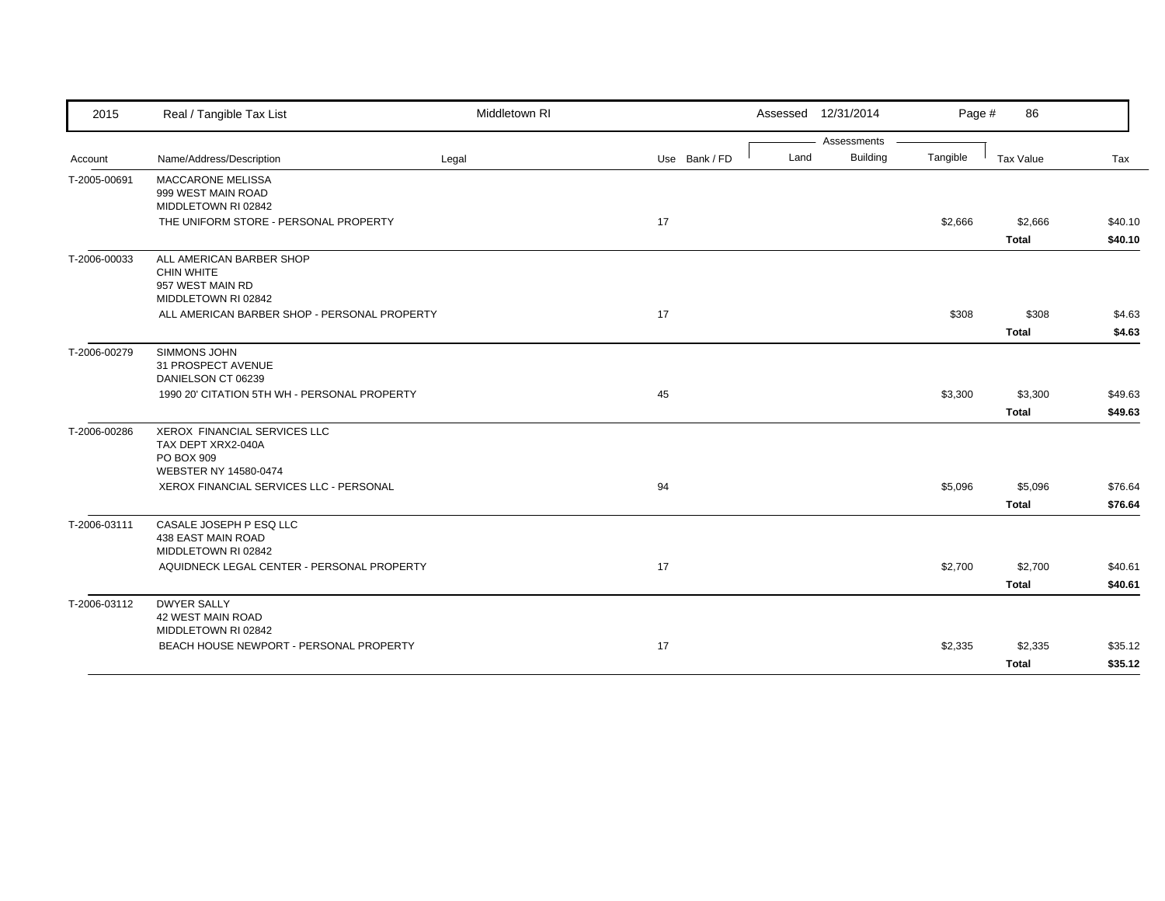| 2015         | Real / Tangible Tax List                                                                 | Middletown RI |               |      | Assessed 12/31/2014            | Page #   | 86           |         |
|--------------|------------------------------------------------------------------------------------------|---------------|---------------|------|--------------------------------|----------|--------------|---------|
|              |                                                                                          |               |               |      | Assessments<br><b>Building</b> | Tangible |              |         |
| Account      | Name/Address/Description                                                                 | Legal         | Use Bank / FD | Land |                                |          | Tax Value    | Tax     |
| T-2005-00691 | MACCARONE MELISSA<br>999 WEST MAIN ROAD<br>MIDDLETOWN RI 02842                           |               |               |      |                                |          |              |         |
|              | THE UNIFORM STORE - PERSONAL PROPERTY                                                    |               | 17            |      |                                | \$2,666  | \$2,666      | \$40.10 |
|              |                                                                                          |               |               |      |                                |          | <b>Total</b> | \$40.10 |
| T-2006-00033 | ALL AMERICAN BARBER SHOP<br><b>CHIN WHITE</b><br>957 WEST MAIN RD<br>MIDDLETOWN RI 02842 |               |               |      |                                |          |              |         |
|              | ALL AMERICAN BARBER SHOP - PERSONAL PROPERTY                                             |               | 17            |      |                                | \$308    | \$308        | \$4.63  |
|              |                                                                                          |               |               |      |                                |          | <b>Total</b> | \$4.63  |
| T-2006-00279 | SIMMONS JOHN<br>31 PROSPECT AVENUE<br>DANIELSON CT 06239                                 |               |               |      |                                |          |              |         |
|              | 1990 20' CITATION 5TH WH - PERSONAL PROPERTY                                             |               | 45            |      |                                | \$3,300  | \$3,300      | \$49.63 |
|              |                                                                                          |               |               |      |                                |          | <b>Total</b> | \$49.63 |
| T-2006-00286 | XEROX FINANCIAL SERVICES LLC<br>TAX DEPT XRX2-040A<br>PO BOX 909                         |               |               |      |                                |          |              |         |
|              | WEBSTER NY 14580-0474<br>XEROX FINANCIAL SERVICES LLC - PERSONAL                         |               | 94            |      |                                | \$5,096  | \$5,096      | \$76.64 |
|              |                                                                                          |               |               |      |                                |          | <b>Total</b> | \$76.64 |
| T-2006-03111 | CASALE JOSEPH P ESQ LLC<br>438 EAST MAIN ROAD<br>MIDDLETOWN RI 02842                     |               |               |      |                                |          |              |         |
|              | AQUIDNECK LEGAL CENTER - PERSONAL PROPERTY                                               |               | 17            |      |                                | \$2,700  | \$2,700      | \$40.61 |
|              |                                                                                          |               |               |      |                                |          | <b>Total</b> | \$40.61 |
| T-2006-03112 | <b>DWYER SALLY</b><br><b>42 WEST MAIN ROAD</b><br>MIDDLETOWN RI 02842                    |               |               |      |                                |          |              |         |
|              | BEACH HOUSE NEWPORT - PERSONAL PROPERTY                                                  |               | 17            |      |                                | \$2,335  | \$2,335      | \$35.12 |
|              |                                                                                          |               |               |      |                                |          | <b>Total</b> | \$35.12 |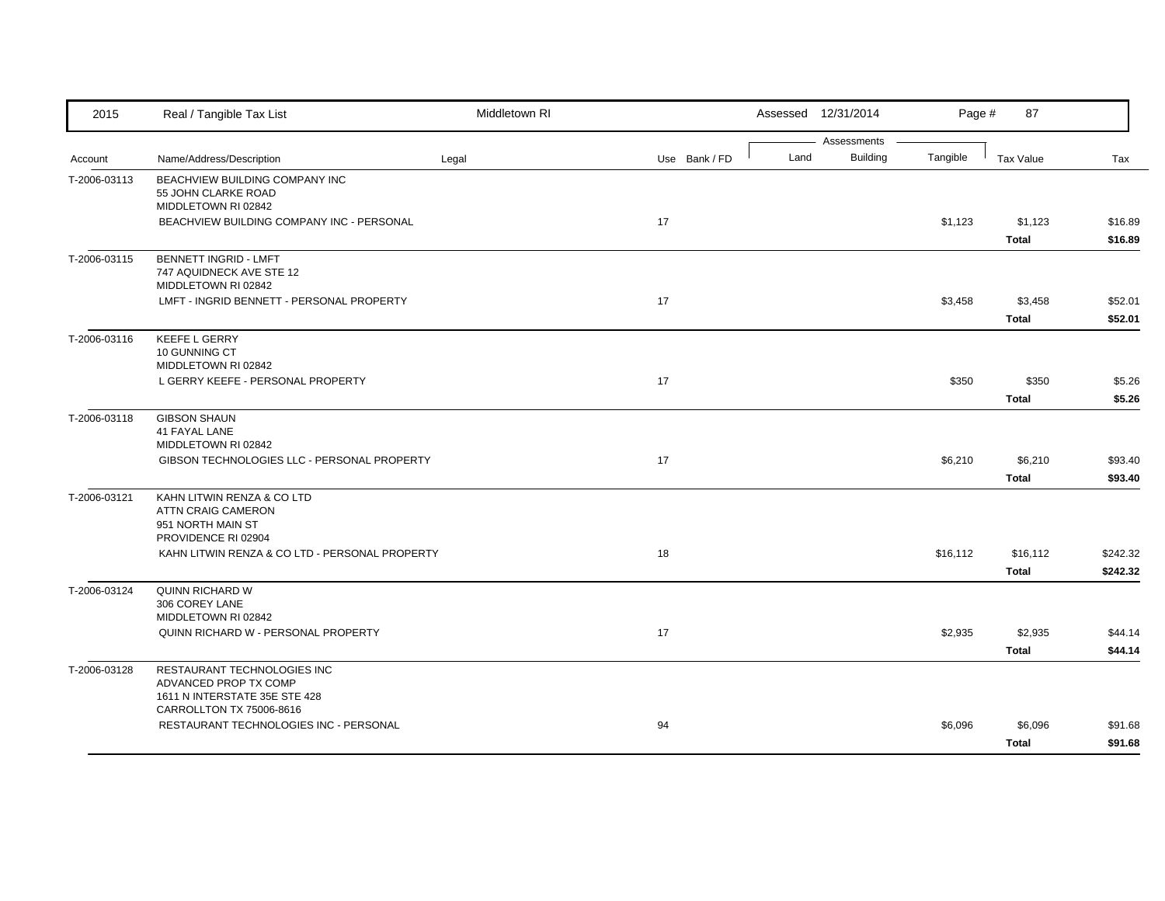| 2015         | Real / Tangible Tax List                                                                                          | Middletown RI |               |      | Assessed 12/31/2014            | Page #   | 87                       |                      |
|--------------|-------------------------------------------------------------------------------------------------------------------|---------------|---------------|------|--------------------------------|----------|--------------------------|----------------------|
| Account      | Name/Address/Description                                                                                          | Legal         | Use Bank / FD | Land | Assessments<br><b>Building</b> | Tangible | <b>Tax Value</b>         | Tax                  |
| T-2006-03113 | BEACHVIEW BUILDING COMPANY INC<br>55 JOHN CLARKE ROAD<br>MIDDLETOWN RI 02842                                      |               |               |      |                                |          |                          |                      |
|              | BEACHVIEW BUILDING COMPANY INC - PERSONAL                                                                         |               | 17            |      |                                | \$1,123  | \$1,123<br><b>Total</b>  | \$16.89<br>\$16.89   |
| T-2006-03115 | <b>BENNETT INGRID - LMFT</b><br>747 AQUIDNECK AVE STE 12<br>MIDDLETOWN RI 02842                                   |               |               |      |                                |          |                          |                      |
|              | LMFT - INGRID BENNETT - PERSONAL PROPERTY                                                                         |               | 17            |      |                                | \$3,458  | \$3,458<br><b>Total</b>  | \$52.01<br>\$52.01   |
| T-2006-03116 | <b>KEEFE L GERRY</b><br>10 GUNNING CT<br>MIDDLETOWN RI 02842                                                      |               |               |      |                                |          |                          |                      |
|              | L GERRY KEEFE - PERSONAL PROPERTY                                                                                 |               | 17            |      |                                | \$350    | \$350<br><b>Total</b>    | \$5.26<br>\$5.26     |
| T-2006-03118 | <b>GIBSON SHAUN</b><br><b>41 FAYAL LANE</b><br>MIDDLETOWN RI 02842                                                |               |               |      |                                |          |                          |                      |
|              | GIBSON TECHNOLOGIES LLC - PERSONAL PROPERTY                                                                       |               | 17            |      |                                | \$6,210  | \$6,210<br><b>Total</b>  | \$93.40<br>\$93.40   |
| T-2006-03121 | KAHN LITWIN RENZA & CO LTD<br>ATTN CRAIG CAMERON<br>951 NORTH MAIN ST<br>PROVIDENCE RI 02904                      |               |               |      |                                |          |                          |                      |
|              | KAHN LITWIN RENZA & CO LTD - PERSONAL PROPERTY                                                                    |               | 18            |      |                                | \$16,112 | \$16,112<br><b>Total</b> | \$242.32<br>\$242.32 |
| T-2006-03124 | QUINN RICHARD W<br>306 COREY LANE<br>MIDDLETOWN RI 02842                                                          |               |               |      |                                |          |                          |                      |
|              | QUINN RICHARD W - PERSONAL PROPERTY                                                                               |               | 17            |      |                                | \$2,935  | \$2,935<br><b>Total</b>  | \$44.14<br>\$44.14   |
| T-2006-03128 | RESTAURANT TECHNOLOGIES INC<br>ADVANCED PROP TX COMP<br>1611 N INTERSTATE 35E STE 428<br>CARROLLTON TX 75006-8616 |               |               |      |                                |          |                          |                      |
|              | RESTAURANT TECHNOLOGIES INC - PERSONAL                                                                            |               | 94            |      |                                | \$6,096  | \$6,096<br><b>Total</b>  | \$91.68<br>\$91.68   |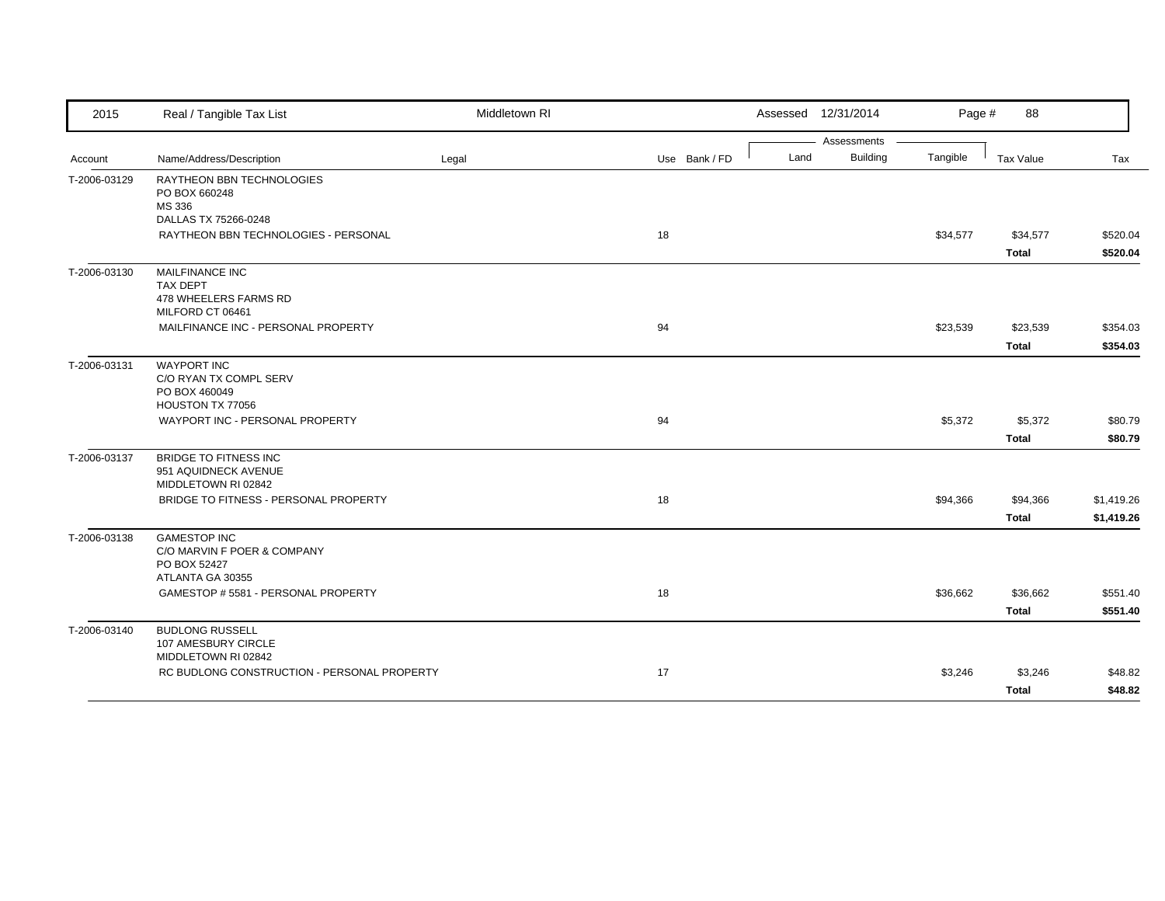| 2015         | Real / Tangible Tax List                    | Middletown RI |               |      | Assessed 12/31/2014            | Page #   | 88                       |                      |
|--------------|---------------------------------------------|---------------|---------------|------|--------------------------------|----------|--------------------------|----------------------|
|              |                                             |               |               | Land | Assessments<br><b>Building</b> | Tangible | Tax Value                |                      |
| Account      | Name/Address/Description                    | Legal         | Use Bank / FD |      |                                |          |                          | Tax                  |
| T-2006-03129 | RAYTHEON BBN TECHNOLOGIES<br>PO BOX 660248  |               |               |      |                                |          |                          |                      |
|              | MS 336                                      |               |               |      |                                |          |                          |                      |
|              | DALLAS TX 75266-0248                        |               | 18            |      |                                |          |                          |                      |
|              | RAYTHEON BBN TECHNOLOGIES - PERSONAL        |               |               |      |                                | \$34,577 | \$34,577<br><b>Total</b> | \$520.04<br>\$520.04 |
| T-2006-03130 | <b>MAILFINANCE INC</b>                      |               |               |      |                                |          |                          |                      |
|              | <b>TAX DEPT</b><br>478 WHEELERS FARMS RD    |               |               |      |                                |          |                          |                      |
|              | MILFORD CT 06461                            |               |               |      |                                |          |                          |                      |
|              | MAILFINANCE INC - PERSONAL PROPERTY         |               | 94            |      |                                | \$23,539 | \$23,539                 | \$354.03             |
|              |                                             |               |               |      |                                |          | <b>Total</b>             | \$354.03             |
| T-2006-03131 | <b>WAYPORT INC</b>                          |               |               |      |                                |          |                          |                      |
|              | C/O RYAN TX COMPL SERV<br>PO BOX 460049     |               |               |      |                                |          |                          |                      |
|              | HOUSTON TX 77056                            |               |               |      |                                |          |                          |                      |
|              | WAYPORT INC - PERSONAL PROPERTY             |               | 94            |      |                                | \$5,372  | \$5,372                  | \$80.79              |
|              |                                             |               |               |      |                                |          | <b>Total</b>             | \$80.79              |
| T-2006-03137 | <b>BRIDGE TO FITNESS INC</b>                |               |               |      |                                |          |                          |                      |
|              | 951 AQUIDNECK AVENUE<br>MIDDLETOWN RI 02842 |               |               |      |                                |          |                          |                      |
|              | BRIDGE TO FITNESS - PERSONAL PROPERTY       |               | 18            |      |                                | \$94,366 | \$94,366                 | \$1,419.26           |
|              |                                             |               |               |      |                                |          | <b>Total</b>             | \$1,419.26           |
| T-2006-03138 | <b>GAMESTOP INC</b>                         |               |               |      |                                |          |                          |                      |
|              | C/O MARVIN F POER & COMPANY<br>PO BOX 52427 |               |               |      |                                |          |                          |                      |
|              | ATLANTA GA 30355                            |               |               |      |                                |          |                          |                      |
|              | GAMESTOP #5581 - PERSONAL PROPERTY          |               | 18            |      |                                | \$36,662 | \$36,662                 | \$551.40             |
|              |                                             |               |               |      |                                |          | <b>Total</b>             | \$551.40             |
| T-2006-03140 | <b>BUDLONG RUSSELL</b>                      |               |               |      |                                |          |                          |                      |
|              | 107 AMESBURY CIRCLE<br>MIDDLETOWN RI 02842  |               |               |      |                                |          |                          |                      |
|              | RC BUDLONG CONSTRUCTION - PERSONAL PROPERTY |               | 17            |      |                                | \$3,246  | \$3,246                  | \$48.82              |
|              |                                             |               |               |      |                                |          | <b>Total</b>             | \$48.82              |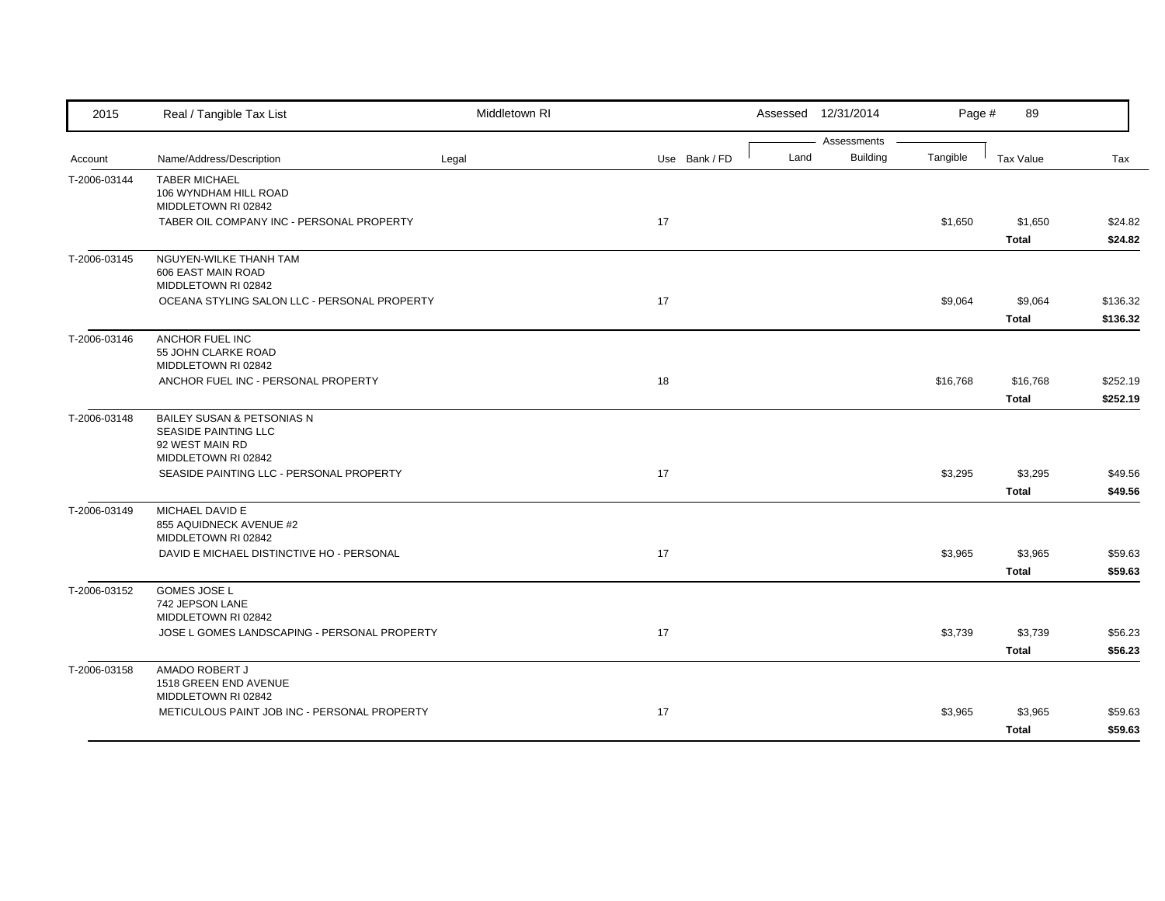| 2015         | Real / Tangible Tax List                                                                     | Middletown RI |               |      | Assessed 12/31/2014            | Page #   | 89               |          |
|--------------|----------------------------------------------------------------------------------------------|---------------|---------------|------|--------------------------------|----------|------------------|----------|
|              |                                                                                              |               |               | Land | Assessments<br><b>Building</b> | Tangible |                  | Tax      |
| Account      | Name/Address/Description                                                                     | Legal         | Use Bank / FD |      |                                |          | <b>Tax Value</b> |          |
| T-2006-03144 | <b>TABER MICHAEL</b><br>106 WYNDHAM HILL ROAD                                                |               |               |      |                                |          |                  |          |
|              | MIDDLETOWN RI 02842                                                                          |               |               |      |                                |          |                  |          |
|              | TABER OIL COMPANY INC - PERSONAL PROPERTY                                                    |               | 17            |      |                                | \$1,650  | \$1,650          | \$24.82  |
|              |                                                                                              |               |               |      |                                |          | <b>Total</b>     | \$24.82  |
| T-2006-03145 | NGUYEN-WILKE THANH TAM<br>606 EAST MAIN ROAD<br>MIDDLETOWN RI 02842                          |               |               |      |                                |          |                  |          |
|              | OCEANA STYLING SALON LLC - PERSONAL PROPERTY                                                 |               | 17            |      |                                | \$9,064  | \$9,064          | \$136.32 |
|              |                                                                                              |               |               |      |                                |          | <b>Total</b>     | \$136.32 |
| T-2006-03146 | ANCHOR FUEL INC<br>55 JOHN CLARKE ROAD<br>MIDDLETOWN RI 02842                                |               |               |      |                                |          |                  |          |
|              | ANCHOR FUEL INC - PERSONAL PROPERTY                                                          |               | 18            |      |                                | \$16,768 | \$16,768         | \$252.19 |
|              |                                                                                              |               |               |      |                                |          | <b>Total</b>     | \$252.19 |
| T-2006-03148 | BAILEY SUSAN & PETSONIAS N<br>SEASIDE PAINTING LLC<br>92 WEST MAIN RD<br>MIDDLETOWN RI 02842 |               |               |      |                                |          |                  |          |
|              | SEASIDE PAINTING LLC - PERSONAL PROPERTY                                                     |               | 17            |      |                                | \$3,295  | \$3,295          | \$49.56  |
|              |                                                                                              |               |               |      |                                |          | <b>Total</b>     | \$49.56  |
| T-2006-03149 | MICHAEL DAVID E<br>855 AQUIDNECK AVENUE #2<br>MIDDLETOWN RI 02842                            |               |               |      |                                |          |                  |          |
|              | DAVID E MICHAEL DISTINCTIVE HO - PERSONAL                                                    |               | 17            |      |                                | \$3,965  | \$3,965          | \$59.63  |
|              |                                                                                              |               |               |      |                                |          | <b>Total</b>     | \$59.63  |
| T-2006-03152 | GOMES JOSE L<br>742 JEPSON LANE<br>MIDDLETOWN RI 02842                                       |               |               |      |                                |          |                  |          |
|              | JOSE L GOMES LANDSCAPING - PERSONAL PROPERTY                                                 |               | 17            |      |                                | \$3,739  | \$3,739          | \$56.23  |
|              |                                                                                              |               |               |      |                                |          | <b>Total</b>     | \$56.23  |
| T-2006-03158 | AMADO ROBERT J<br>1518 GREEN END AVENUE<br>MIDDLETOWN RI 02842                               |               |               |      |                                |          |                  |          |
|              | METICULOUS PAINT JOB INC - PERSONAL PROPERTY                                                 |               | 17            |      |                                | \$3,965  | \$3,965          | \$59.63  |
|              |                                                                                              |               |               |      |                                |          | <b>Total</b>     | \$59.63  |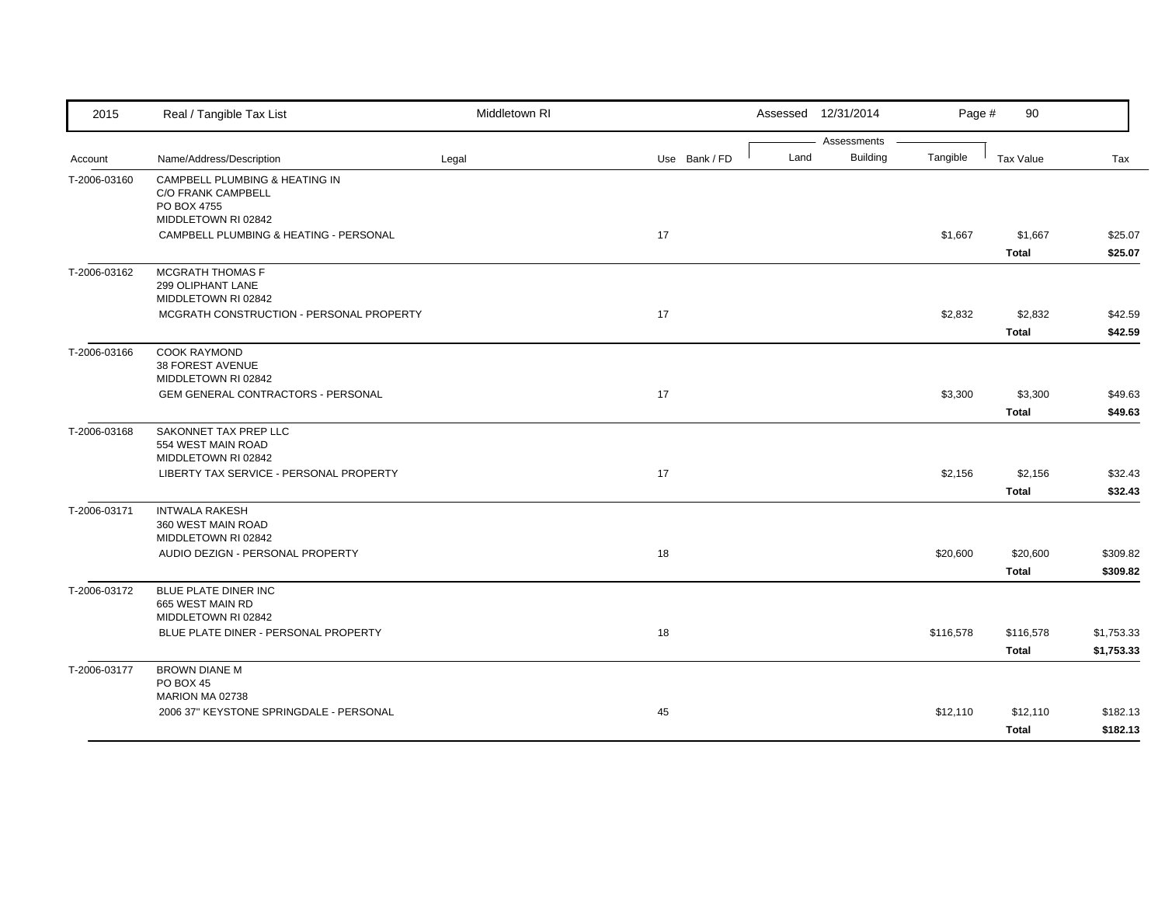| 2015         | Real / Tangible Tax List                                                                   | Middletown RI |               |      | Assessed 12/31/2014            | Page #    | 90                        |                          |
|--------------|--------------------------------------------------------------------------------------------|---------------|---------------|------|--------------------------------|-----------|---------------------------|--------------------------|
| Account      | Name/Address/Description                                                                   | Legal         | Use Bank / FD | Land | Assessments<br><b>Building</b> | Tangible  | Tax Value                 | Tax                      |
| T-2006-03160 | CAMPBELL PLUMBING & HEATING IN<br>C/O FRANK CAMPBELL<br>PO BOX 4755<br>MIDDLETOWN RI 02842 |               |               |      |                                |           |                           |                          |
|              | CAMPBELL PLUMBING & HEATING - PERSONAL                                                     |               | 17            |      |                                | \$1,667   | \$1,667<br><b>Total</b>   | \$25.07<br>\$25.07       |
| T-2006-03162 | <b>MCGRATH THOMAS F</b><br>299 OLIPHANT LANE<br>MIDDLETOWN RI 02842                        |               |               |      |                                |           |                           |                          |
|              | MCGRATH CONSTRUCTION - PERSONAL PROPERTY                                                   |               | 17            |      |                                | \$2,832   | \$2,832<br>Total          | \$42.59<br>\$42.59       |
| T-2006-03166 | <b>COOK RAYMOND</b><br>38 FOREST AVENUE<br>MIDDLETOWN RI 02842                             |               |               |      |                                |           |                           |                          |
|              | GEM GENERAL CONTRACTORS - PERSONAL                                                         |               | 17            |      |                                | \$3,300   | \$3,300<br><b>Total</b>   | \$49.63<br>\$49.63       |
| T-2006-03168 | SAKONNET TAX PREP LLC<br>554 WEST MAIN ROAD<br>MIDDLETOWN RI 02842                         |               |               |      |                                |           |                           |                          |
|              | LIBERTY TAX SERVICE - PERSONAL PROPERTY                                                    |               | 17            |      |                                | \$2,156   | \$2,156<br><b>Total</b>   | \$32.43<br>\$32.43       |
| T-2006-03171 | <b>INTWALA RAKESH</b><br>360 WEST MAIN ROAD<br>MIDDLETOWN RI 02842                         |               |               |      |                                |           |                           |                          |
|              | AUDIO DEZIGN - PERSONAL PROPERTY                                                           |               | 18            |      |                                | \$20,600  | \$20,600<br><b>Total</b>  | \$309.82<br>\$309.82     |
| T-2006-03172 | BLUE PLATE DINER INC<br>665 WEST MAIN RD<br>MIDDLETOWN RI 02842                            |               |               |      |                                |           |                           |                          |
|              | BLUE PLATE DINER - PERSONAL PROPERTY                                                       |               | 18            |      |                                | \$116,578 | \$116,578<br><b>Total</b> | \$1,753.33<br>\$1,753.33 |
| T-2006-03177 | <b>BROWN DIANE M</b><br>PO BOX 45                                                          |               |               |      |                                |           |                           |                          |
|              | MARION MA 02738<br>2006 37" KEYSTONE SPRINGDALE - PERSONAL                                 |               | 45            |      |                                | \$12,110  | \$12,110<br><b>Total</b>  | \$182.13<br>\$182.13     |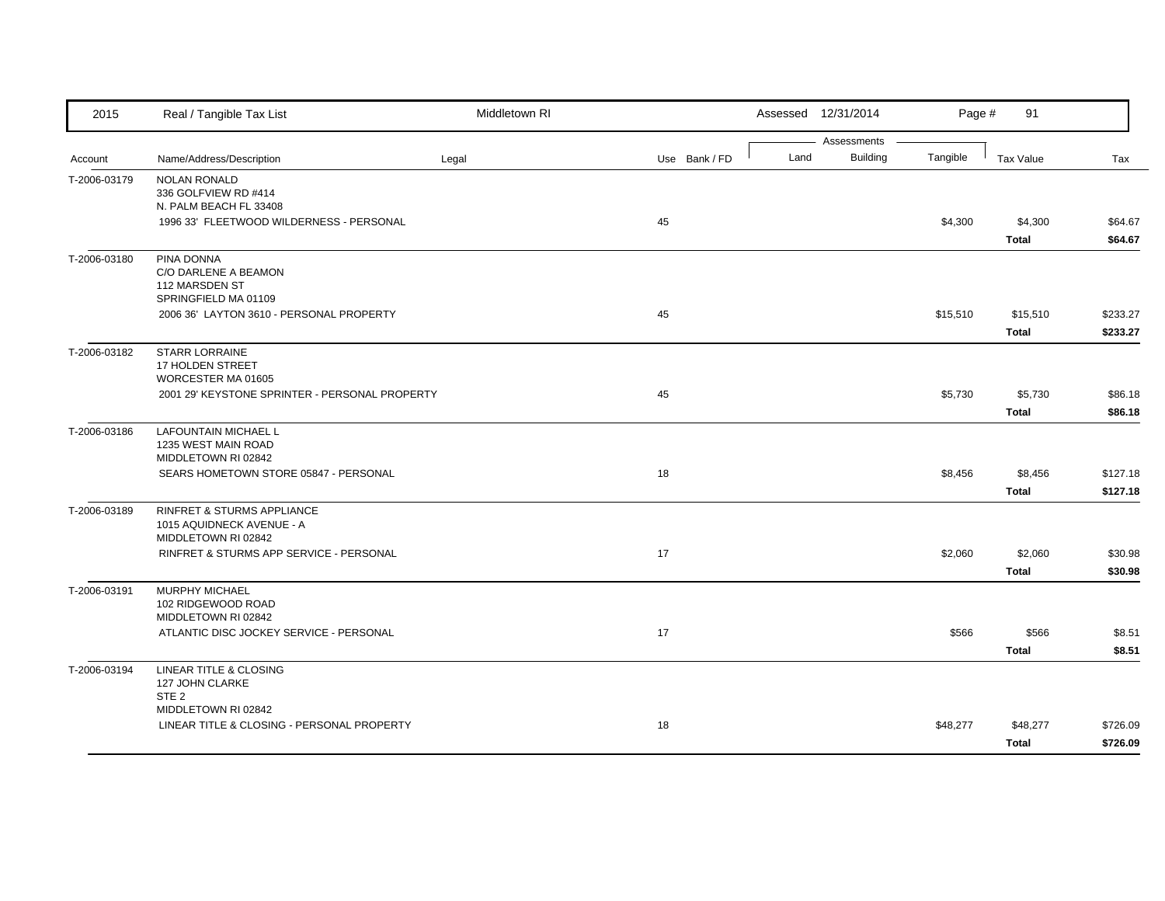| 2015         | Real / Tangible Tax List                                                       | Middletown RI |               |      | Assessed 12/31/2014            | Page #   | 91                       |                      |
|--------------|--------------------------------------------------------------------------------|---------------|---------------|------|--------------------------------|----------|--------------------------|----------------------|
| Account      | Name/Address/Description                                                       | Legal         | Use Bank / FD | Land | Assessments<br><b>Building</b> | Tangible | <b>Tax Value</b>         | Tax                  |
| T-2006-03179 | <b>NOLAN RONALD</b><br>336 GOLFVIEW RD #414<br>N. PALM BEACH FL 33408          |               |               |      |                                |          |                          |                      |
|              | 1996 33' FLEETWOOD WILDERNESS - PERSONAL                                       |               | 45            |      |                                | \$4,300  | \$4,300<br><b>Total</b>  | \$64.67<br>\$64.67   |
| T-2006-03180 | PINA DONNA<br>C/O DARLENE A BEAMON<br>112 MARSDEN ST<br>SPRINGFIELD MA 01109   |               |               |      |                                |          |                          |                      |
|              | 2006 36' LAYTON 3610 - PERSONAL PROPERTY                                       |               | 45            |      |                                | \$15,510 | \$15,510<br><b>Total</b> | \$233.27<br>\$233.27 |
| T-2006-03182 | <b>STARR LORRAINE</b><br>17 HOLDEN STREET<br>WORCESTER MA 01605                |               |               |      |                                |          |                          |                      |
|              | 2001 29' KEYSTONE SPRINTER - PERSONAL PROPERTY                                 |               | 45            |      |                                | \$5,730  | \$5,730<br><b>Total</b>  | \$86.18<br>\$86.18   |
| T-2006-03186 | <b>LAFOUNTAIN MICHAEL L</b><br>1235 WEST MAIN ROAD<br>MIDDLETOWN RI 02842      |               |               |      |                                |          |                          |                      |
|              | SEARS HOMETOWN STORE 05847 - PERSONAL                                          |               | 18            |      |                                | \$8,456  | \$8,456<br><b>Total</b>  | \$127.18<br>\$127.18 |
| T-2006-03189 | RINFRET & STURMS APPLIANCE<br>1015 AQUIDNECK AVENUE - A<br>MIDDLETOWN RI 02842 |               |               |      |                                |          |                          |                      |
|              | RINFRET & STURMS APP SERVICE - PERSONAL                                        |               | 17            |      |                                | \$2,060  | \$2,060<br><b>Total</b>  | \$30.98<br>\$30.98   |
| T-2006-03191 | <b>MURPHY MICHAEL</b><br>102 RIDGEWOOD ROAD<br>MIDDLETOWN RI 02842             |               |               |      |                                |          |                          |                      |
|              | ATLANTIC DISC JOCKEY SERVICE - PERSONAL                                        |               | 17            |      |                                | \$566    | \$566<br><b>Total</b>    | \$8.51<br>\$8.51     |
| T-2006-03194 | LINEAR TITLE & CLOSING<br>127 JOHN CLARKE<br>STE <sub>2</sub>                  |               |               |      |                                |          |                          |                      |
|              | MIDDLETOWN RI 02842<br>LINEAR TITLE & CLOSING - PERSONAL PROPERTY              |               | 18            |      |                                | \$48,277 | \$48,277<br>Total        | \$726.09<br>\$726.09 |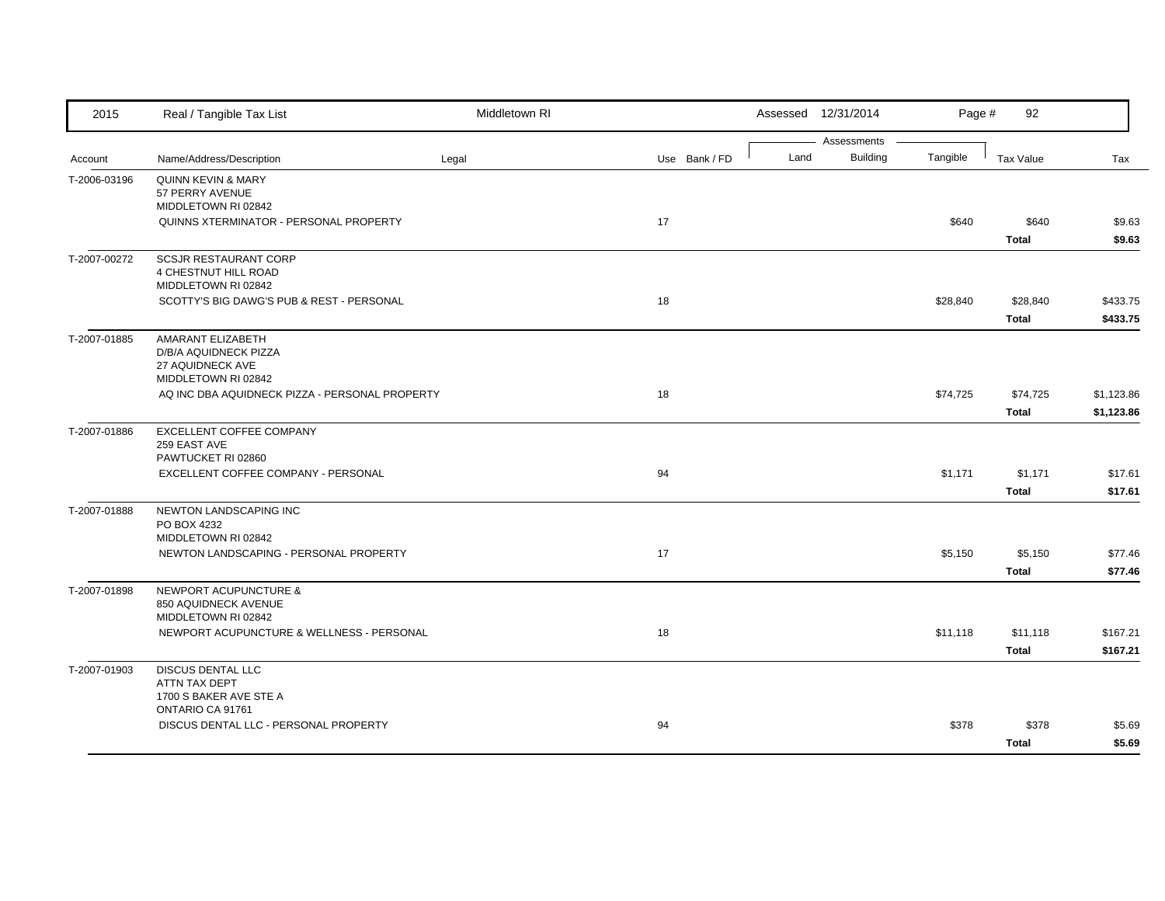| 2015         | Real / Tangible Tax List                                                              | Middletown RI |               |      | Assessed 12/31/2014            | Page #   | 92                       |                          |
|--------------|---------------------------------------------------------------------------------------|---------------|---------------|------|--------------------------------|----------|--------------------------|--------------------------|
| Account      | Name/Address/Description                                                              | Legal         | Use Bank / FD | Land | Assessments<br><b>Building</b> | Tangible | <b>Tax Value</b>         | Tax                      |
| T-2006-03196 | <b>QUINN KEVIN &amp; MARY</b><br>57 PERRY AVENUE<br>MIDDLETOWN RI 02842               |               |               |      |                                |          |                          |                          |
|              | QUINNS XTERMINATOR - PERSONAL PROPERTY                                                |               | 17            |      |                                | \$640    | \$640<br><b>Total</b>    | \$9.63<br>\$9.63         |
| T-2007-00272 | <b>SCSJR RESTAURANT CORP</b><br>4 CHESTNUT HILL ROAD<br>MIDDLETOWN RI 02842           |               |               |      |                                |          |                          |                          |
|              | SCOTTY'S BIG DAWG'S PUB & REST - PERSONAL                                             |               | 18            |      |                                | \$28,840 | \$28,840<br><b>Total</b> | \$433.75<br>\$433.75     |
| T-2007-01885 | AMARANT ELIZABETH<br>D/B/A AQUIDNECK PIZZA<br>27 AQUIDNECK AVE<br>MIDDLETOWN RI 02842 |               |               |      |                                |          |                          |                          |
|              | AQ INC DBA AQUIDNECK PIZZA - PERSONAL PROPERTY                                        |               | 18            |      |                                | \$74,725 | \$74,725<br><b>Total</b> | \$1,123.86<br>\$1,123.86 |
| T-2007-01886 | EXCELLENT COFFEE COMPANY<br>259 EAST AVE<br>PAWTUCKET RI 02860                        |               |               |      |                                |          |                          |                          |
|              | EXCELLENT COFFEE COMPANY - PERSONAL                                                   |               | 94            |      |                                | \$1,171  | \$1,171<br><b>Total</b>  | \$17.61<br>\$17.61       |
| T-2007-01888 | NEWTON LANDSCAPING INC<br>PO BOX 4232<br>MIDDLETOWN RI 02842                          |               |               |      |                                |          |                          |                          |
|              | NEWTON LANDSCAPING - PERSONAL PROPERTY                                                |               | 17            |      |                                | \$5,150  | \$5,150<br><b>Total</b>  | \$77.46<br>\$77.46       |
| T-2007-01898 | <b>NEWPORT ACUPUNCTURE &amp;</b><br>850 AQUIDNECK AVENUE<br>MIDDLETOWN RI 02842       |               |               |      |                                |          |                          |                          |
|              | NEWPORT ACUPUNCTURE & WELLNESS - PERSONAL                                             |               | 18            |      |                                | \$11,118 | \$11,118<br><b>Total</b> | \$167.21<br>\$167.21     |
| T-2007-01903 | <b>DISCUS DENTAL LLC</b><br>ATTN TAX DEPT<br>1700 S BAKER AVE STE A                   |               |               |      |                                |          |                          |                          |
|              | ONTARIO CA 91761<br>DISCUS DENTAL LLC - PERSONAL PROPERTY                             |               | 94            |      |                                | \$378    | \$378<br><b>Total</b>    | \$5.69<br>\$5.69         |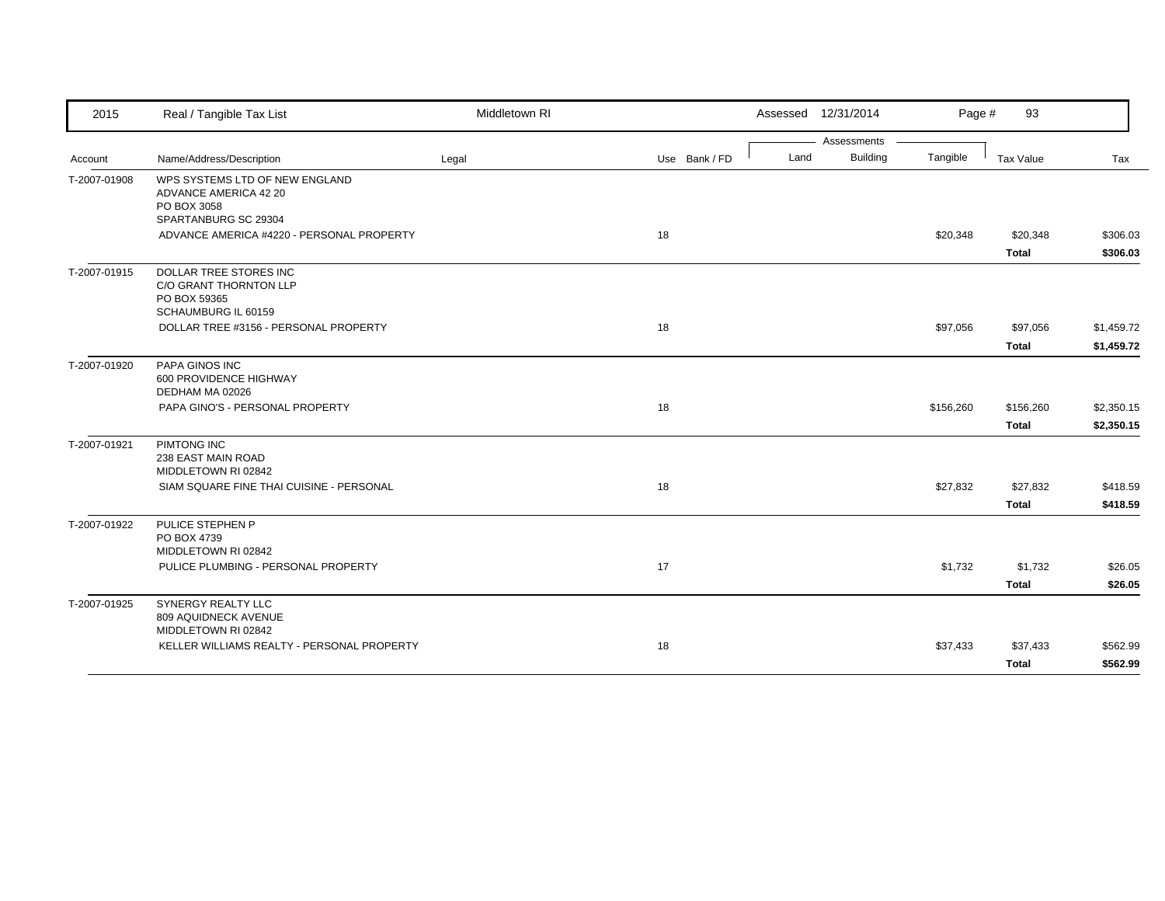| 2015         | Real / Tangible Tax List                                                                       | Middletown RI |               | Assessed 12/31/2014 |             | Page #    | 93           |            |
|--------------|------------------------------------------------------------------------------------------------|---------------|---------------|---------------------|-------------|-----------|--------------|------------|
|              |                                                                                                |               |               |                     | Assessments |           |              |            |
| Account      | Name/Address/Description                                                                       | Legal         | Use Bank / FD | Land                | Building    | Tangible  | Tax Value    | Tax        |
| T-2007-01908 | WPS SYSTEMS LTD OF NEW ENGLAND<br>ADVANCE AMERICA 42 20<br>PO BOX 3058<br>SPARTANBURG SC 29304 |               |               |                     |             |           |              |            |
|              | ADVANCE AMERICA #4220 - PERSONAL PROPERTY                                                      |               | 18            |                     |             | \$20,348  | \$20,348     | \$306.03   |
|              |                                                                                                |               |               |                     |             |           | <b>Total</b> | \$306.03   |
| T-2007-01915 | DOLLAR TREE STORES INC<br>C/O GRANT THORNTON LLP<br>PO BOX 59365<br>SCHAUMBURG IL 60159        |               |               |                     |             |           |              |            |
|              | DOLLAR TREE #3156 - PERSONAL PROPERTY                                                          |               | 18            |                     |             | \$97,056  | \$97,056     | \$1,459.72 |
|              |                                                                                                |               |               |                     |             |           | <b>Total</b> | \$1,459.72 |
| T-2007-01920 | PAPA GINOS INC<br>600 PROVIDENCE HIGHWAY<br>DEDHAM MA 02026                                    |               |               |                     |             |           |              |            |
|              | PAPA GINO'S - PERSONAL PROPERTY                                                                |               | 18            |                     |             | \$156,260 | \$156,260    | \$2,350.15 |
|              |                                                                                                |               |               |                     |             |           | Total        | \$2,350.15 |
| T-2007-01921 | PIMTONG INC<br>238 EAST MAIN ROAD<br>MIDDLETOWN RI 02842                                       |               |               |                     |             |           |              |            |
|              | SIAM SQUARE FINE THAI CUISINE - PERSONAL                                                       |               | 18            |                     |             | \$27,832  | \$27,832     | \$418.59   |
| T-2007-01922 | PULICE STEPHEN P<br>PO BOX 4739                                                                |               |               |                     |             |           | <b>Total</b> | \$418.59   |
|              | MIDDLETOWN RI 02842<br>PULICE PLUMBING - PERSONAL PROPERTY                                     |               | 17            |                     |             | \$1,732   | \$1,732      | \$26.05    |
|              |                                                                                                |               |               |                     |             |           | <b>Total</b> | \$26.05    |
| T-2007-01925 | <b>SYNERGY REALTY LLC</b><br>809 AQUIDNECK AVENUE<br>MIDDLETOWN RI 02842                       |               |               |                     |             |           |              |            |
|              | KELLER WILLIAMS REALTY - PERSONAL PROPERTY                                                     |               | 18            |                     |             | \$37,433  | \$37,433     | \$562.99   |
|              |                                                                                                |               |               |                     |             |           | <b>Total</b> | \$562.99   |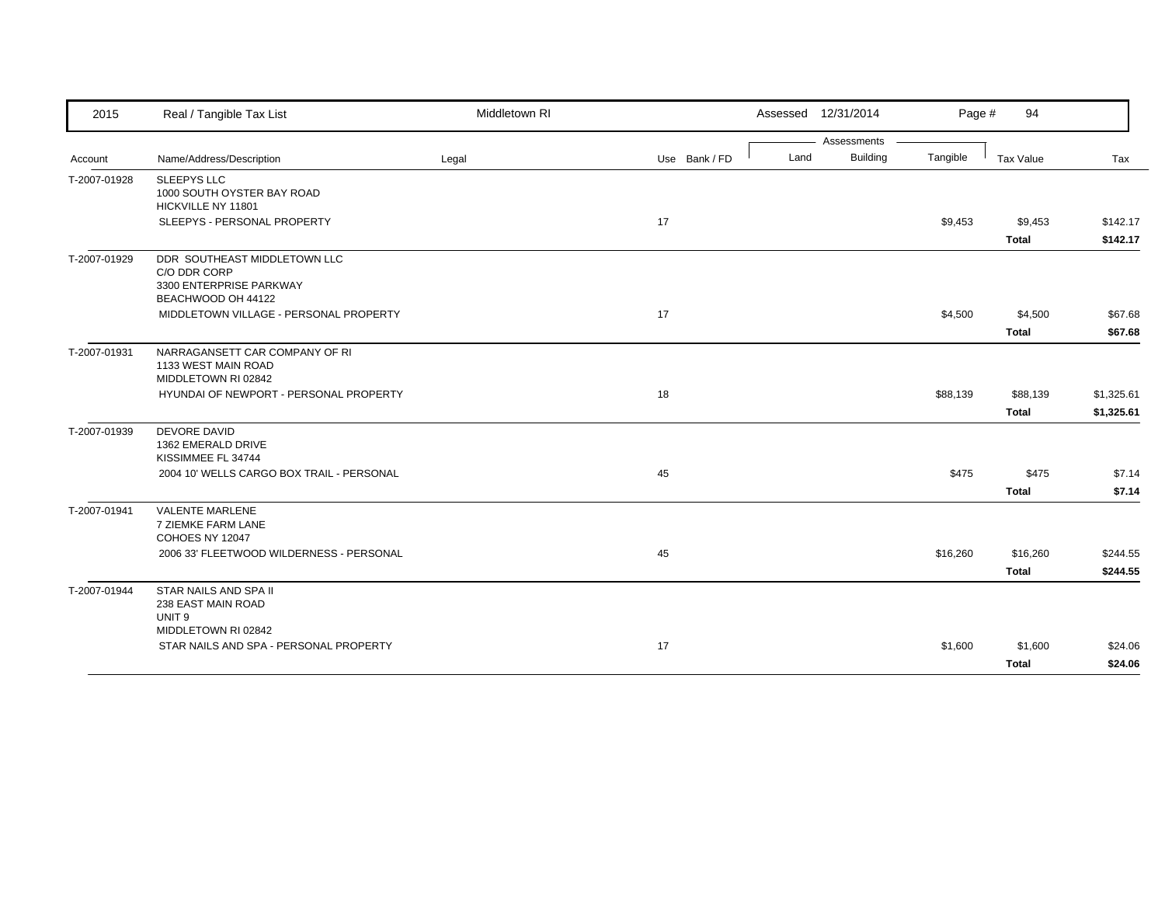| 2015         | Real / Tangible Tax List                                                                      | Middletown RI |               |      | Assessed 12/31/2014 | Page #   | 94           |            |
|--------------|-----------------------------------------------------------------------------------------------|---------------|---------------|------|---------------------|----------|--------------|------------|
|              |                                                                                               |               |               |      | Assessments         |          |              |            |
| Account      | Name/Address/Description                                                                      | Legal         | Use Bank / FD | Land | <b>Building</b>     | Tangible | Tax Value    | Tax        |
| T-2007-01928 | <b>SLEEPYS LLC</b><br>1000 SOUTH OYSTER BAY ROAD<br>HICKVILLE NY 11801                        |               |               |      |                     |          |              |            |
|              | SLEEPYS - PERSONAL PROPERTY                                                                   |               | 17            |      |                     | \$9,453  | \$9,453      | \$142.17   |
|              |                                                                                               |               |               |      |                     |          | <b>Total</b> | \$142.17   |
| T-2007-01929 | DDR SOUTHEAST MIDDLETOWN LLC<br>C/O DDR CORP<br>3300 ENTERPRISE PARKWAY<br>BEACHWOOD OH 44122 |               |               |      |                     |          |              |            |
|              | MIDDLETOWN VILLAGE - PERSONAL PROPERTY                                                        |               | 17            |      |                     | \$4,500  | \$4,500      | \$67.68    |
|              |                                                                                               |               |               |      |                     |          | <b>Total</b> | \$67.68    |
| T-2007-01931 | NARRAGANSETT CAR COMPANY OF RI<br>1133 WEST MAIN ROAD<br>MIDDLETOWN RI 02842                  |               |               |      |                     |          |              |            |
|              | HYUNDAI OF NEWPORT - PERSONAL PROPERTY                                                        |               | 18            |      |                     | \$88,139 | \$88,139     | \$1,325.61 |
|              |                                                                                               |               |               |      |                     |          | <b>Total</b> | \$1,325.61 |
| T-2007-01939 | <b>DEVORE DAVID</b><br>1362 EMERALD DRIVE<br>KISSIMMEE FL 34744                               |               |               |      |                     |          |              |            |
|              | 2004 10' WELLS CARGO BOX TRAIL - PERSONAL                                                     |               | 45            |      |                     | \$475    | \$475        | \$7.14     |
|              |                                                                                               |               |               |      |                     |          | <b>Total</b> | \$7.14     |
| T-2007-01941 | <b>VALENTE MARLENE</b><br>7 ZIEMKE FARM LANE<br>COHOES NY 12047                               |               |               |      |                     |          |              |            |
|              | 2006 33' FLEETWOOD WILDERNESS - PERSONAL                                                      |               | 45            |      |                     | \$16,260 | \$16,260     | \$244.55   |
|              |                                                                                               |               |               |      |                     |          | <b>Total</b> | \$244.55   |
| T-2007-01944 | STAR NAILS AND SPA II<br>238 EAST MAIN ROAD<br>UNIT <sub>9</sub><br>MIDDLETOWN RI 02842       |               |               |      |                     |          |              |            |
|              | STAR NAILS AND SPA - PERSONAL PROPERTY                                                        |               | 17            |      |                     | \$1,600  | \$1,600      | \$24.06    |
|              |                                                                                               |               |               |      |                     |          | Total        | \$24.06    |
|              |                                                                                               |               |               |      |                     |          |              |            |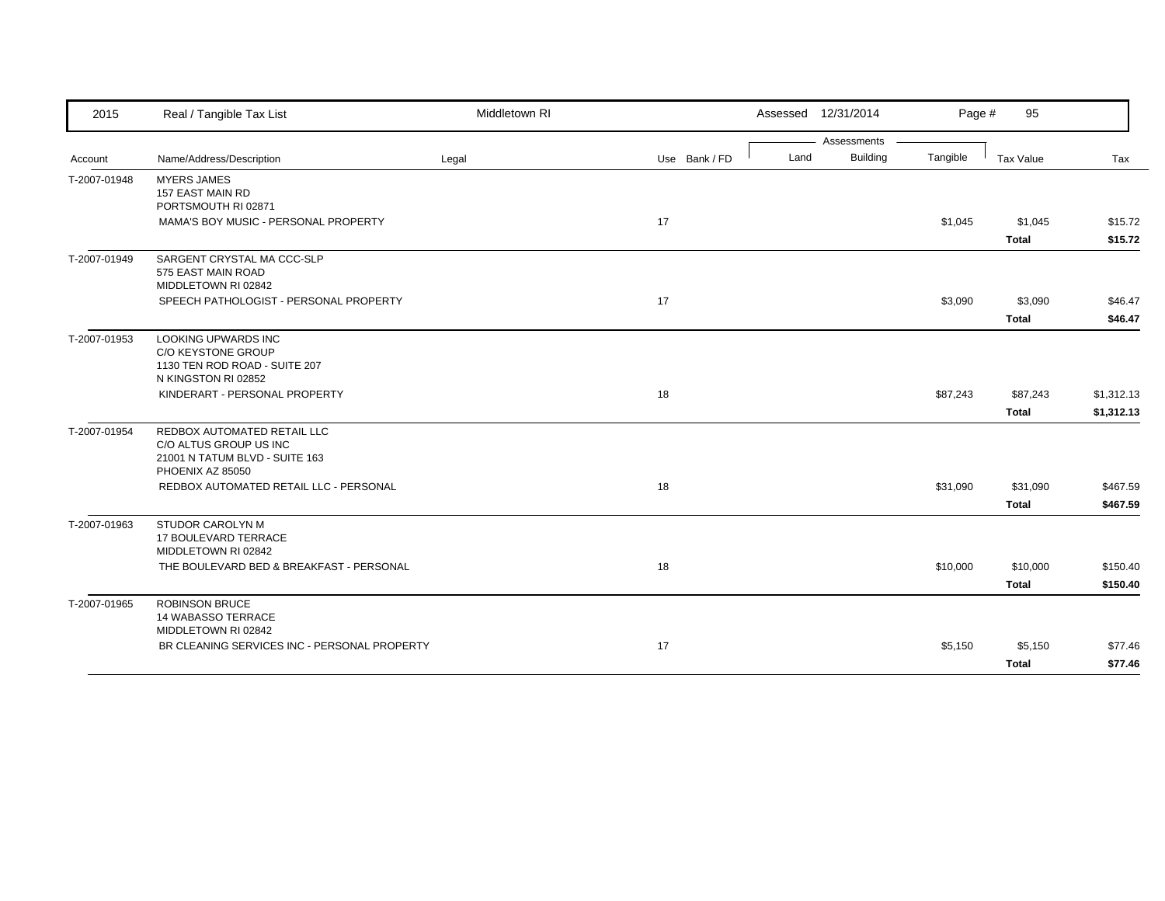| 2015         | Real / Tangible Tax List                                      | Middletown RI |               |      | Assessed 12/31/2014            | Page #   | 95           |            |
|--------------|---------------------------------------------------------------|---------------|---------------|------|--------------------------------|----------|--------------|------------|
| Account      | Name/Address/Description                                      | Legal         | Use Bank / FD | Land | Assessments<br><b>Building</b> | Tangible | Tax Value    | Tax        |
|              |                                                               |               |               |      |                                |          |              |            |
| T-2007-01948 | <b>MYERS JAMES</b><br>157 EAST MAIN RD                        |               |               |      |                                |          |              |            |
|              | PORTSMOUTH RI 02871                                           |               |               |      |                                |          |              |            |
|              | MAMA'S BOY MUSIC - PERSONAL PROPERTY                          |               | 17            |      |                                | \$1,045  | \$1,045      | \$15.72    |
|              |                                                               |               |               |      |                                |          | <b>Total</b> | \$15.72    |
| T-2007-01949 | SARGENT CRYSTAL MA CCC-SLP                                    |               |               |      |                                |          |              |            |
|              | 575 EAST MAIN ROAD                                            |               |               |      |                                |          |              |            |
|              | MIDDLETOWN RI 02842<br>SPEECH PATHOLOGIST - PERSONAL PROPERTY |               | 17            |      |                                | \$3,090  |              | \$46.47    |
|              |                                                               |               |               |      |                                |          | \$3,090      |            |
|              |                                                               |               |               |      |                                |          | <b>Total</b> | \$46.47    |
| T-2007-01953 | <b>LOOKING UPWARDS INC</b><br>C/O KEYSTONE GROUP              |               |               |      |                                |          |              |            |
|              | 1130 TEN ROD ROAD - SUITE 207                                 |               |               |      |                                |          |              |            |
|              | N KINGSTON RI 02852                                           |               |               |      |                                |          |              |            |
|              | KINDERART - PERSONAL PROPERTY                                 |               | 18            |      |                                | \$87,243 | \$87,243     | \$1,312.13 |
|              |                                                               |               |               |      |                                |          | <b>Total</b> | \$1,312.13 |
| T-2007-01954 | REDBOX AUTOMATED RETAIL LLC                                   |               |               |      |                                |          |              |            |
|              | C/O ALTUS GROUP US INC                                        |               |               |      |                                |          |              |            |
|              | 21001 N TATUM BLVD - SUITE 163<br>PHOENIX AZ 85050            |               |               |      |                                |          |              |            |
|              | REDBOX AUTOMATED RETAIL LLC - PERSONAL                        |               | 18            |      |                                | \$31,090 | \$31,090     | \$467.59   |
|              |                                                               |               |               |      |                                |          | <b>Total</b> | \$467.59   |
| T-2007-01963 | STUDOR CAROLYN M                                              |               |               |      |                                |          |              |            |
|              | 17 BOULEVARD TERRACE                                          |               |               |      |                                |          |              |            |
|              | MIDDLETOWN RI 02842                                           |               |               |      |                                |          |              |            |
|              | THE BOULEVARD BED & BREAKFAST - PERSONAL                      |               | 18            |      |                                | \$10,000 | \$10,000     | \$150.40   |
|              |                                                               |               |               |      |                                |          | <b>Total</b> | \$150.40   |
| T-2007-01965 | <b>ROBINSON BRUCE</b>                                         |               |               |      |                                |          |              |            |
|              | 14 WABASSO TERRACE                                            |               |               |      |                                |          |              |            |
|              | MIDDLETOWN RI 02842                                           |               |               |      |                                |          |              |            |
|              | BR CLEANING SERVICES INC - PERSONAL PROPERTY                  |               | 17            |      |                                | \$5,150  | \$5,150      | \$77.46    |
|              |                                                               |               |               |      |                                |          | <b>Total</b> | \$77.46    |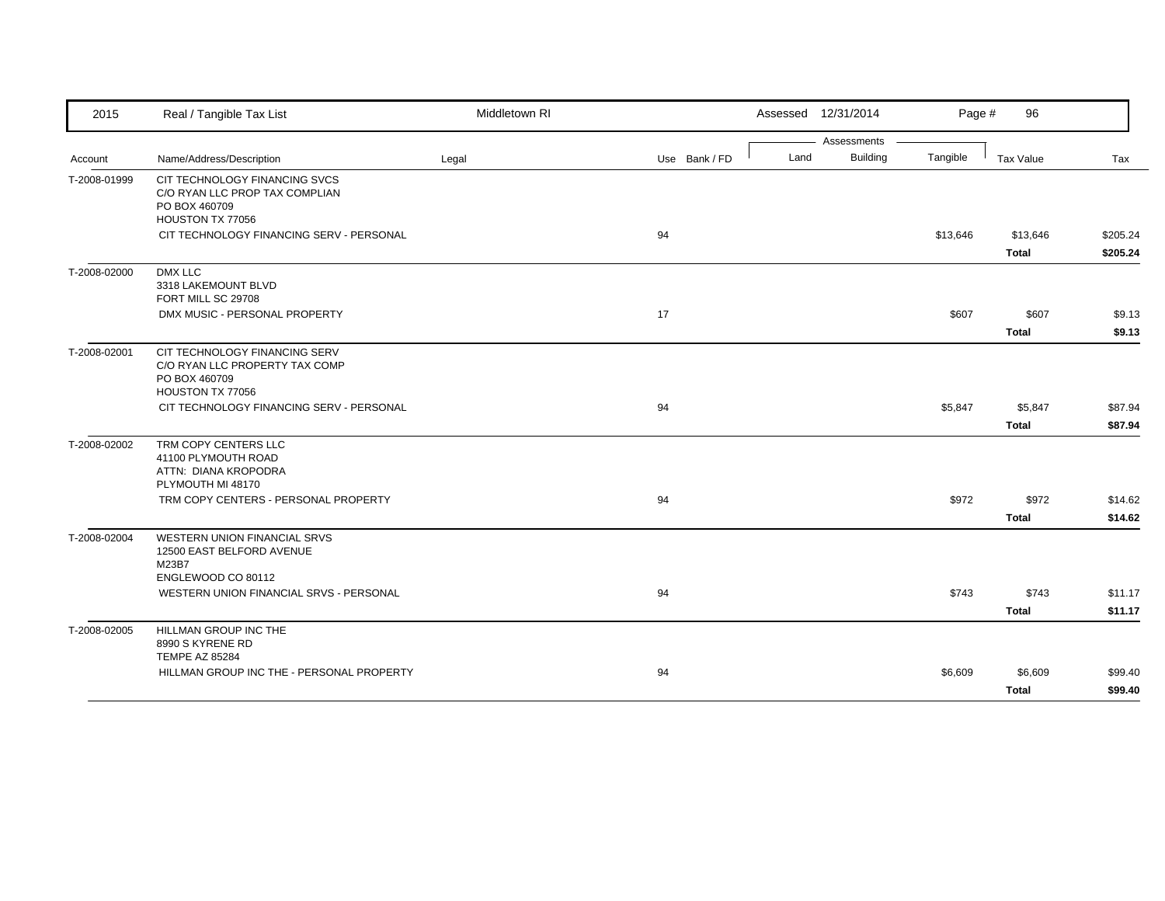| 2015         | Real / Tangible Tax List                                                                                                         | Middletown RI |               |      | Assessed 12/31/2014 | Page #   | 96           |          |
|--------------|----------------------------------------------------------------------------------------------------------------------------------|---------------|---------------|------|---------------------|----------|--------------|----------|
|              |                                                                                                                                  |               |               |      | Assessments         |          |              |          |
| Account      | Name/Address/Description                                                                                                         | Legal         | Use Bank / FD | Land | <b>Building</b>     | Tangible | Tax Value    | Tax      |
| T-2008-01999 | CIT TECHNOLOGY FINANCING SVCS<br>C/O RYAN LLC PROP TAX COMPLIAN<br>PO BOX 460709<br>HOUSTON TX 77056                             |               |               |      |                     |          |              |          |
|              | CIT TECHNOLOGY FINANCING SERV - PERSONAL                                                                                         |               | 94            |      |                     | \$13,646 | \$13,646     | \$205.24 |
|              |                                                                                                                                  |               |               |      |                     |          | <b>Total</b> | \$205.24 |
| T-2008-02000 | DMX LLC<br>3318 LAKEMOUNT BLVD<br>FORT MILL SC 29708                                                                             |               |               |      |                     |          |              |          |
|              | DMX MUSIC - PERSONAL PROPERTY                                                                                                    |               | 17            |      |                     | \$607    | \$607        | \$9.13   |
|              |                                                                                                                                  |               |               |      |                     |          | <b>Total</b> | \$9.13   |
| T-2008-02001 | CIT TECHNOLOGY FINANCING SERV<br>C/O RYAN LLC PROPERTY TAX COMP<br>PO BOX 460709                                                 |               |               |      |                     |          |              |          |
|              | HOUSTON TX 77056<br>CIT TECHNOLOGY FINANCING SERV - PERSONAL                                                                     |               | 94            |      |                     | \$5,847  | \$5,847      | \$87.94  |
|              |                                                                                                                                  |               |               |      |                     |          | <b>Total</b> | \$87.94  |
| T-2008-02002 | TRM COPY CENTERS LLC<br>41100 PLYMOUTH ROAD<br>ATTN: DIANA KROPODRA<br>PLYMOUTH MI 48170<br>TRM COPY CENTERS - PERSONAL PROPERTY |               | 94            |      |                     | \$972    | \$972        | \$14.62  |
|              |                                                                                                                                  |               |               |      |                     |          | <b>Total</b> | \$14.62  |
| T-2008-02004 | WESTERN UNION FINANCIAL SRVS<br>12500 EAST BELFORD AVENUE<br>M23B7<br>ENGLEWOOD CO 80112                                         |               |               |      |                     |          |              |          |
|              | WESTERN UNION FINANCIAL SRVS - PERSONAL                                                                                          |               | 94            |      |                     | \$743    | \$743        | \$11.17  |
|              |                                                                                                                                  |               |               |      |                     |          | <b>Total</b> | \$11.17  |
| T-2008-02005 | <b>HILLMAN GROUP INC THE</b><br>8990 S KYRENE RD<br><b>TEMPE AZ 85284</b>                                                        |               |               |      |                     |          |              |          |
|              | HILLMAN GROUP INC THE - PERSONAL PROPERTY                                                                                        |               | 94            |      |                     | \$6,609  | \$6,609      | \$99.40  |
|              |                                                                                                                                  |               |               |      |                     |          | <b>Total</b> | \$99.40  |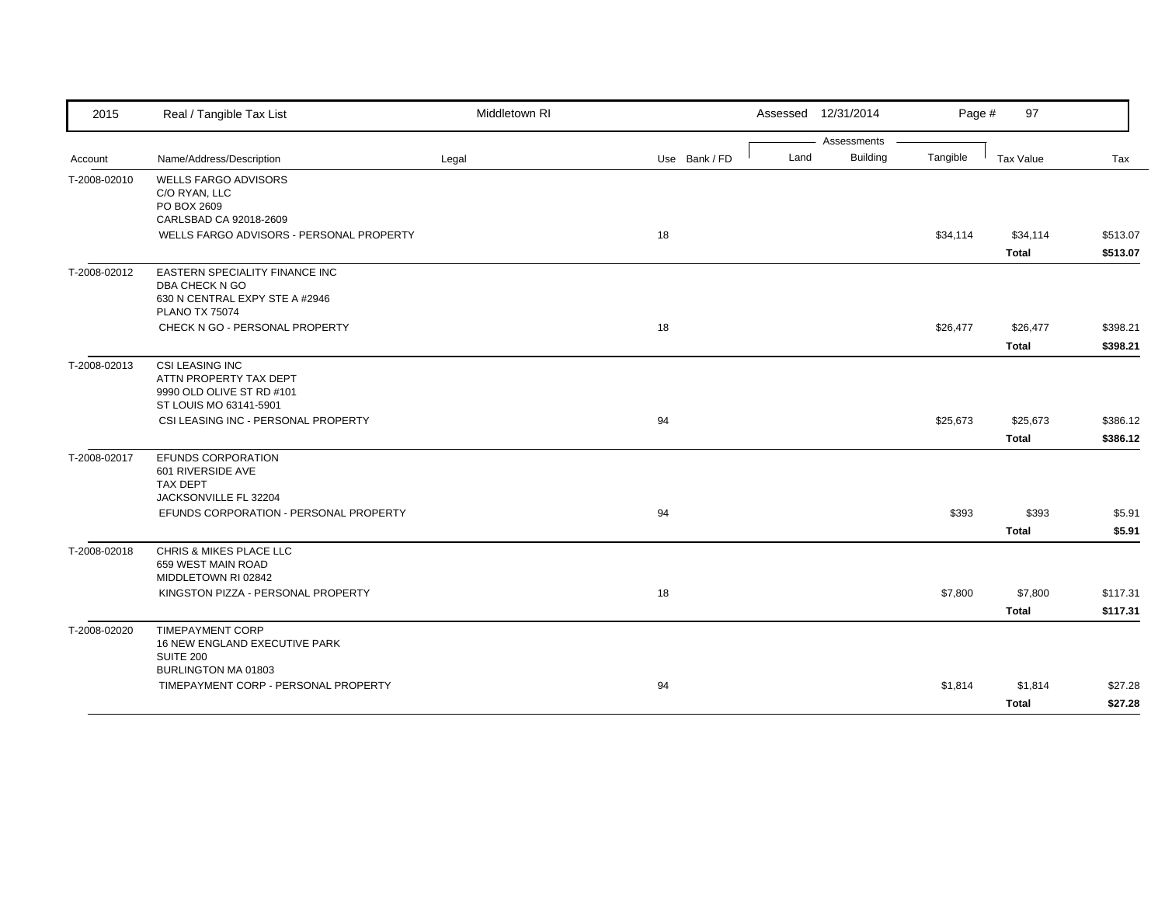| 2015         | Real / Tangible Tax List                                                                                                                             | Middletown RI |               | Assessed 12/31/2014                    | Page #   | 97                       |                      |
|--------------|------------------------------------------------------------------------------------------------------------------------------------------------------|---------------|---------------|----------------------------------------|----------|--------------------------|----------------------|
| Account      | Name/Address/Description                                                                                                                             | Legal         | Use Bank / FD | Assessments<br><b>Building</b><br>Land | Tangible | Tax Value                | Tax                  |
| T-2008-02010 | <b>WELLS FARGO ADVISORS</b><br>C/O RYAN, LLC<br>PO BOX 2609<br>CARLSBAD CA 92018-2609<br>WELLS FARGO ADVISORS - PERSONAL PROPERTY                    |               | 18            |                                        | \$34,114 | \$34,114                 | \$513.07             |
| T-2008-02012 | <b>EASTERN SPECIALITY FINANCE INC</b><br>DBA CHECK N GO<br>630 N CENTRAL EXPY STE A #2946<br><b>PLANO TX 75074</b><br>CHECK N GO - PERSONAL PROPERTY |               | 18            |                                        | \$26,477 | <b>Total</b><br>\$26,477 | \$513.07<br>\$398.21 |
| T-2008-02013 | <b>CSI LEASING INC</b>                                                                                                                               |               |               |                                        |          | <b>Total</b>             | \$398.21             |
|              | ATTN PROPERTY TAX DEPT<br>9990 OLD OLIVE ST RD #101<br>ST LOUIS MO 63141-5901<br>CSI LEASING INC - PERSONAL PROPERTY                                 |               | 94            |                                        | \$25,673 | \$25,673                 | \$386.12             |
| T-2008-02017 | EFUNDS CORPORATION                                                                                                                                   |               |               |                                        |          | <b>Total</b>             | \$386.12             |
|              | 601 RIVERSIDE AVE<br><b>TAX DEPT</b><br>JACKSONVILLE FL 32204<br>EFUNDS CORPORATION - PERSONAL PROPERTY                                              |               | 94            |                                        | \$393    | \$393<br><b>Total</b>    | \$5.91<br>\$5.91     |
| T-2008-02018 | CHRIS & MIKES PLACE LLC<br>659 WEST MAIN ROAD<br>MIDDLETOWN RI 02842<br>KINGSTON PIZZA - PERSONAL PROPERTY                                           |               | 18            |                                        | \$7,800  | \$7,800<br><b>Total</b>  | \$117.31<br>\$117.31 |
| T-2008-02020 | <b>TIMEPAYMENT CORP</b><br>16 NEW ENGLAND EXECUTIVE PARK<br>SUITE 200<br>BURLINGTON MA 01803                                                         |               |               |                                        |          |                          |                      |
|              | TIMEPAYMENT CORP - PERSONAL PROPERTY                                                                                                                 |               | 94            |                                        | \$1,814  | \$1,814<br><b>Total</b>  | \$27.28<br>\$27.28   |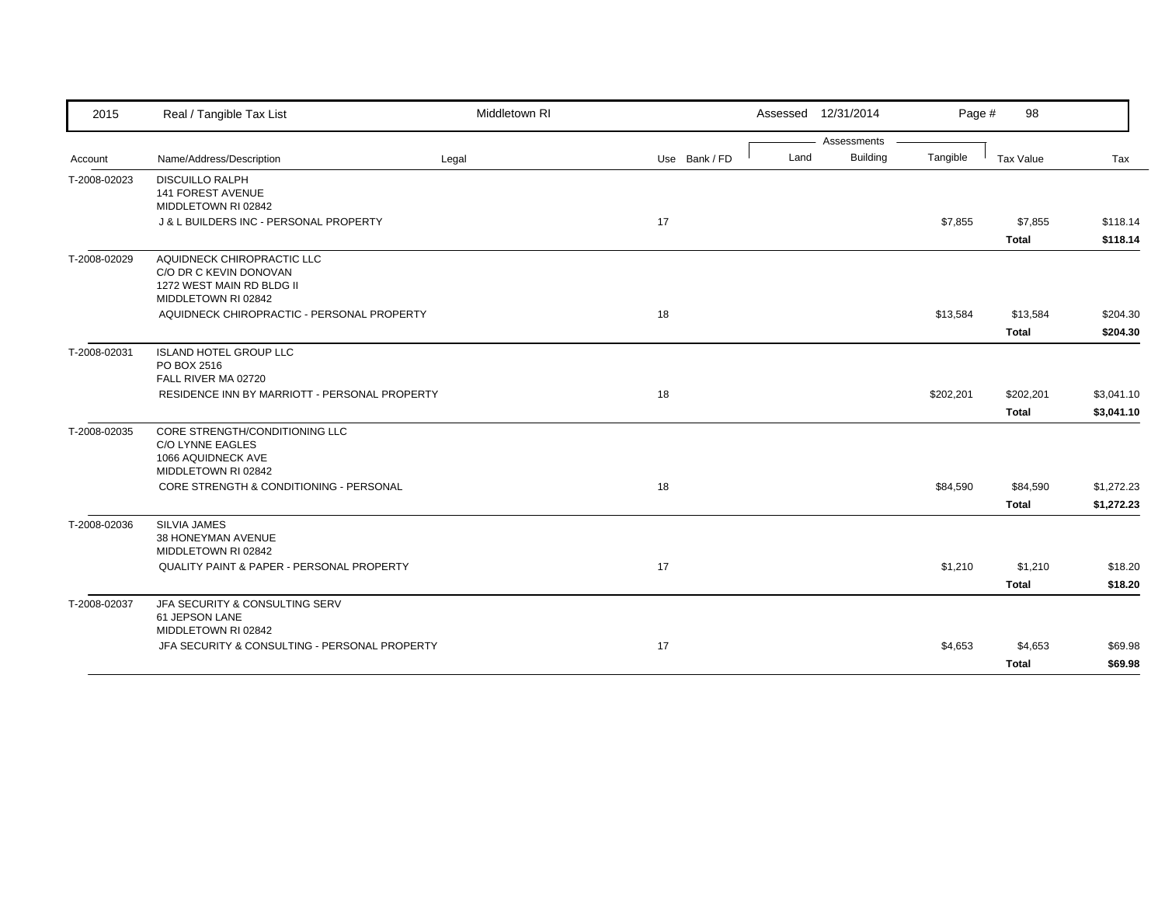| 2015         | Real / Tangible Tax List                                                                                 | Middletown RI |               |      | Assessed 12/31/2014            | Page #    | 98                        |                          |
|--------------|----------------------------------------------------------------------------------------------------------|---------------|---------------|------|--------------------------------|-----------|---------------------------|--------------------------|
| Account      | Name/Address/Description                                                                                 | Legal         | Use Bank / FD | Land | Assessments<br><b>Building</b> | Tangible  | <b>Tax Value</b>          | Tax                      |
| T-2008-02023 | <b>DISCUILLO RALPH</b><br><b>141 FOREST AVENUE</b><br>MIDDLETOWN RI 02842                                |               |               |      |                                |           |                           |                          |
|              | J & L BUILDERS INC - PERSONAL PROPERTY                                                                   |               | 17            |      |                                | \$7,855   | \$7,855<br><b>Total</b>   | \$118.14<br>\$118.14     |
| T-2008-02029 | AQUIDNECK CHIROPRACTIC LLC<br>C/O DR C KEVIN DONOVAN<br>1272 WEST MAIN RD BLDG II<br>MIDDLETOWN RI 02842 |               |               |      |                                |           |                           |                          |
|              | AQUIDNECK CHIROPRACTIC - PERSONAL PROPERTY                                                               |               | 18            |      |                                | \$13,584  | \$13,584<br><b>Total</b>  | \$204.30<br>\$204.30     |
| T-2008-02031 | <b>ISLAND HOTEL GROUP LLC</b><br>PO BOX 2516<br>FALL RIVER MA 02720                                      |               |               |      |                                |           |                           |                          |
|              | RESIDENCE INN BY MARRIOTT - PERSONAL PROPERTY                                                            |               | 18            |      |                                | \$202,201 | \$202,201<br><b>Total</b> | \$3,041.10<br>\$3,041.10 |
| T-2008-02035 | CORE STRENGTH/CONDITIONING LLC<br>C/O LYNNE EAGLES<br>1066 AQUIDNECK AVE<br>MIDDLETOWN RI 02842          |               |               |      |                                |           |                           |                          |
|              | CORE STRENGTH & CONDITIONING - PERSONAL                                                                  |               | 18            |      |                                | \$84,590  | \$84,590<br><b>Total</b>  | \$1,272.23<br>\$1,272.23 |
| T-2008-02036 | SILVIA JAMES<br>38 HONEYMAN AVENUE<br>MIDDLETOWN RI 02842                                                |               |               |      |                                |           |                           |                          |
|              | QUALITY PAINT & PAPER - PERSONAL PROPERTY                                                                |               | 17            |      |                                | \$1,210   | \$1,210<br><b>Total</b>   | \$18.20<br>\$18.20       |
| T-2008-02037 | JFA SECURITY & CONSULTING SERV<br>61 JEPSON LANE<br>MIDDLETOWN RI 02842                                  |               |               |      |                                |           |                           |                          |
|              | JFA SECURITY & CONSULTING - PERSONAL PROPERTY                                                            |               | 17            |      |                                | \$4,653   | \$4,653<br><b>Total</b>   | \$69.98<br>\$69.98       |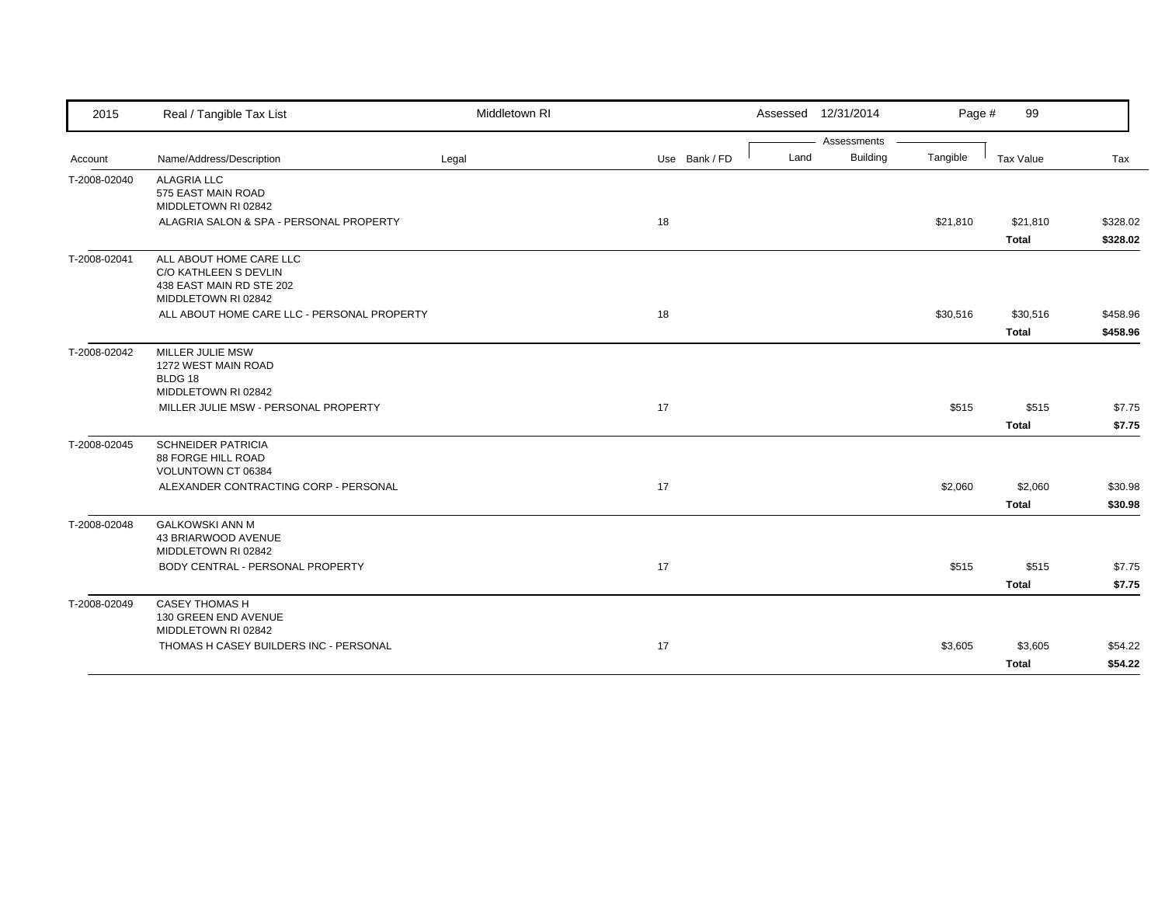| 2015         | Real / Tangible Tax List                                                                            | Middletown RI |               |      | Assessed 12/31/2014 | Page #   | 99                       |                      |
|--------------|-----------------------------------------------------------------------------------------------------|---------------|---------------|------|---------------------|----------|--------------------------|----------------------|
|              |                                                                                                     |               |               |      | Assessments         |          |                          |                      |
| Account      | Name/Address/Description                                                                            | Legal         | Use Bank / FD | Land | <b>Building</b>     | Tangible | Tax Value                | Tax                  |
| T-2008-02040 | <b>ALAGRIA LLC</b><br>575 EAST MAIN ROAD<br>MIDDLETOWN RI 02842                                     |               |               |      |                     |          |                          |                      |
|              | ALAGRIA SALON & SPA - PERSONAL PROPERTY                                                             |               | 18            |      |                     | \$21,810 | \$21,810<br><b>Total</b> | \$328.02<br>\$328.02 |
| T-2008-02041 | ALL ABOUT HOME CARE LLC<br>C/O KATHLEEN S DEVLIN<br>438 EAST MAIN RD STE 202<br>MIDDLETOWN RI 02842 |               |               |      |                     |          |                          |                      |
|              | ALL ABOUT HOME CARE LLC - PERSONAL PROPERTY                                                         |               | 18            |      |                     | \$30,516 | \$30,516<br><b>Total</b> | \$458.96<br>\$458.96 |
| T-2008-02042 | MILLER JULIE MSW<br>1272 WEST MAIN ROAD<br>BLDG 18<br>MIDDLETOWN RI 02842                           |               |               |      |                     |          |                          |                      |
|              | MILLER JULIE MSW - PERSONAL PROPERTY                                                                |               | 17            |      |                     | \$515    | \$515<br><b>Total</b>    | \$7.75<br>\$7.75     |
| T-2008-02045 | <b>SCHNEIDER PATRICIA</b><br>88 FORGE HILL ROAD<br>VOLUNTOWN CT 06384                               |               |               |      |                     |          |                          |                      |
|              | ALEXANDER CONTRACTING CORP - PERSONAL                                                               |               | 17            |      |                     | \$2,060  | \$2,060<br><b>Total</b>  | \$30.98<br>\$30.98   |
| T-2008-02048 | <b>GALKOWSKI ANN M</b><br>43 BRIARWOOD AVENUE<br>MIDDLETOWN RI 02842                                |               |               |      |                     |          |                          |                      |
|              | BODY CENTRAL - PERSONAL PROPERTY                                                                    |               | 17            |      |                     | \$515    | \$515<br><b>Total</b>    | \$7.75<br>\$7.75     |
| T-2008-02049 | <b>CASEY THOMAS H</b><br>130 GREEN END AVENUE<br>MIDDLETOWN RI 02842                                |               |               |      |                     |          |                          |                      |
|              | THOMAS H CASEY BUILDERS INC - PERSONAL                                                              |               | 17            |      |                     | \$3,605  | \$3,605<br><b>Total</b>  | \$54.22<br>\$54.22   |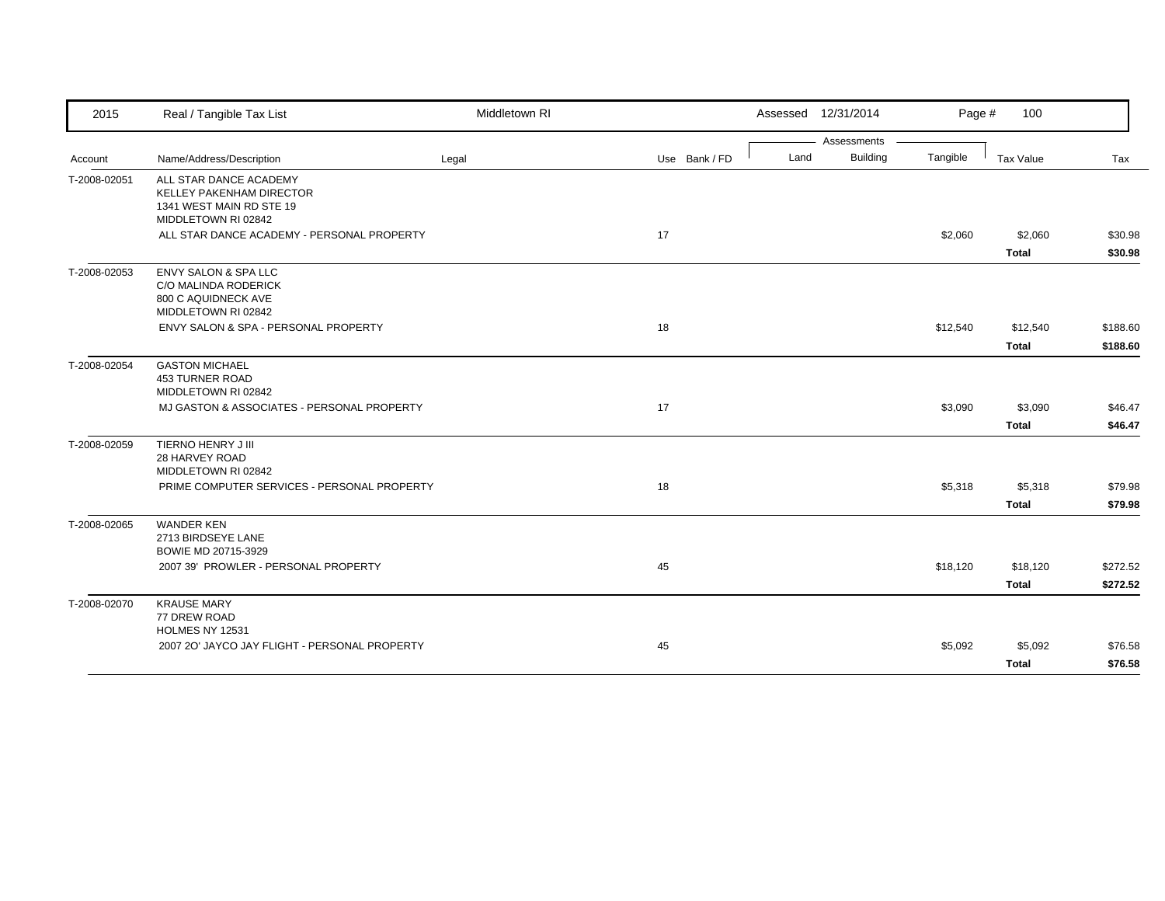| 2015         | Real / Tangible Tax List                                                                              | Middletown RI |               | Assessed 12/31/2014 |                 | Page #   | 100          |          |
|--------------|-------------------------------------------------------------------------------------------------------|---------------|---------------|---------------------|-----------------|----------|--------------|----------|
|              |                                                                                                       |               |               |                     | Assessments     |          |              |          |
| Account      | Name/Address/Description                                                                              | Legal         | Use Bank / FD | Land                | <b>Building</b> | Tangible | Tax Value    | Tax      |
| T-2008-02051 | ALL STAR DANCE ACADEMY<br>KELLEY PAKENHAM DIRECTOR<br>1341 WEST MAIN RD STE 19<br>MIDDLETOWN RI 02842 |               |               |                     |                 |          |              |          |
|              | ALL STAR DANCE ACADEMY - PERSONAL PROPERTY                                                            |               | 17            |                     |                 | \$2,060  | \$2,060      | \$30.98  |
|              |                                                                                                       |               |               |                     |                 |          | <b>Total</b> | \$30.98  |
| T-2008-02053 | <b>ENVY SALON &amp; SPA LLC</b><br>C/O MALINDA RODERICK<br>800 C AQUIDNECK AVE<br>MIDDLETOWN RI 02842 |               |               |                     |                 |          |              |          |
|              | ENVY SALON & SPA - PERSONAL PROPERTY                                                                  |               | 18            |                     |                 | \$12,540 | \$12,540     | \$188.60 |
|              |                                                                                                       |               |               |                     |                 |          | <b>Total</b> | \$188.60 |
| T-2008-02054 | <b>GASTON MICHAEL</b><br><b>453 TURNER ROAD</b><br>MIDDLETOWN RI 02842                                |               |               |                     |                 |          |              |          |
|              | MJ GASTON & ASSOCIATES - PERSONAL PROPERTY                                                            |               | 17            |                     |                 | \$3,090  | \$3,090      | \$46.47  |
|              |                                                                                                       |               |               |                     |                 |          | <b>Total</b> | \$46.47  |
| T-2008-02059 | TIERNO HENRY J III<br>28 HARVEY ROAD<br>MIDDLETOWN RI 02842                                           |               |               |                     |                 |          |              |          |
|              | PRIME COMPUTER SERVICES - PERSONAL PROPERTY                                                           |               | 18            |                     |                 | \$5,318  | \$5,318      | \$79.98  |
|              |                                                                                                       |               |               |                     |                 |          | <b>Total</b> | \$79.98  |
| T-2008-02065 | <b>WANDER KEN</b><br>2713 BIRDSEYE LANE<br>BOWIE MD 20715-3929                                        |               |               |                     |                 |          |              |          |
|              | 2007 39' PROWLER - PERSONAL PROPERTY                                                                  |               | 45            |                     |                 | \$18,120 | \$18,120     | \$272.52 |
|              |                                                                                                       |               |               |                     |                 |          | <b>Total</b> | \$272.52 |
| T-2008-02070 | <b>KRAUSE MARY</b><br>77 DREW ROAD<br>HOLMES NY 12531                                                 |               |               |                     |                 |          |              |          |
|              | 2007 20' JAYCO JAY FLIGHT - PERSONAL PROPERTY                                                         |               | 45            |                     |                 | \$5,092  | \$5,092      | \$76.58  |
|              |                                                                                                       |               |               |                     |                 |          | Total        | \$76.58  |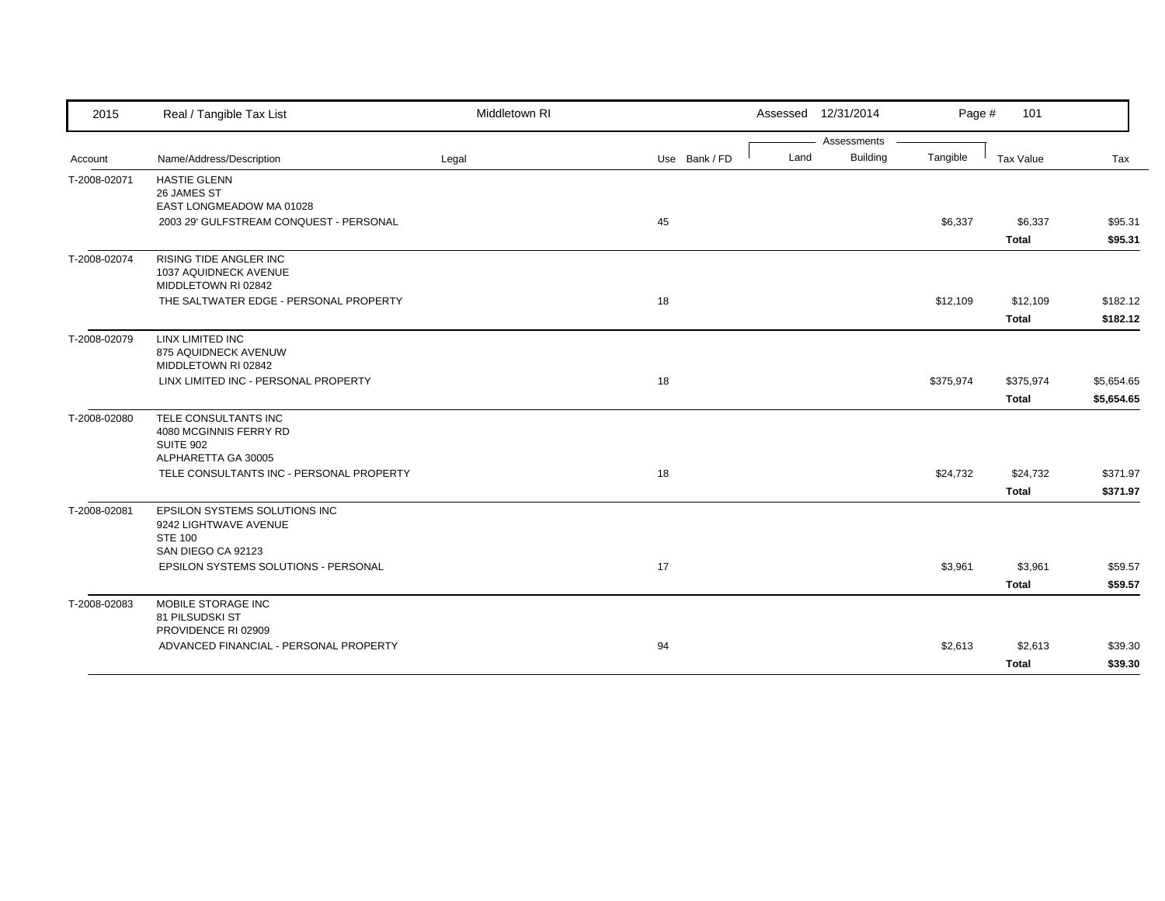| 2015         | Real / Tangible Tax List                     | Middletown RI |               |      | Assessed 12/31/2014            | Page #    | 101          |            |
|--------------|----------------------------------------------|---------------|---------------|------|--------------------------------|-----------|--------------|------------|
| Account      | Name/Address/Description                     | Legal         | Use Bank / FD | Land | Assessments<br><b>Building</b> | Tangible  | Tax Value    | Tax        |
|              |                                              |               |               |      |                                |           |              |            |
| T-2008-02071 | <b>HASTIE GLENN</b><br>26 JAMES ST           |               |               |      |                                |           |              |            |
|              | EAST LONGMEADOW MA 01028                     |               |               |      |                                |           |              |            |
|              | 2003 29' GULFSTREAM CONQUEST - PERSONAL      |               | 45            |      |                                | \$6,337   | \$6,337      | \$95.31    |
|              |                                              |               |               |      |                                |           | <b>Total</b> | \$95.31    |
| T-2008-02074 | <b>RISING TIDE ANGLER INC</b>                |               |               |      |                                |           |              |            |
|              | 1037 AQUIDNECK AVENUE<br>MIDDLETOWN RI 02842 |               |               |      |                                |           |              |            |
|              | THE SALTWATER EDGE - PERSONAL PROPERTY       |               | 18            |      |                                | \$12,109  | \$12,109     | \$182.12   |
|              |                                              |               |               |      |                                |           | <b>Total</b> | \$182.12   |
|              |                                              |               |               |      |                                |           |              |            |
| T-2008-02079 | LINX LIMITED INC<br>875 AQUIDNECK AVENUW     |               |               |      |                                |           |              |            |
|              | MIDDLETOWN RI 02842                          |               |               |      |                                |           |              |            |
|              | LINX LIMITED INC - PERSONAL PROPERTY         |               | 18            |      |                                | \$375,974 | \$375,974    | \$5,654.65 |
|              |                                              |               |               |      |                                |           | <b>Total</b> | \$5,654.65 |
| T-2008-02080 | TELE CONSULTANTS INC                         |               |               |      |                                |           |              |            |
|              | 4080 MCGINNIS FERRY RD                       |               |               |      |                                |           |              |            |
|              | <b>SUITE 902</b><br>ALPHARETTA GA 30005      |               |               |      |                                |           |              |            |
|              | TELE CONSULTANTS INC - PERSONAL PROPERTY     |               | 18            |      |                                | \$24,732  | \$24,732     | \$371.97   |
|              |                                              |               |               |      |                                |           | <b>Total</b> | \$371.97   |
| T-2008-02081 | <b>EPSILON SYSTEMS SOLUTIONS INC</b>         |               |               |      |                                |           |              |            |
|              | 9242 LIGHTWAVE AVENUE                        |               |               |      |                                |           |              |            |
|              | <b>STE 100</b><br>SAN DIEGO CA 92123         |               |               |      |                                |           |              |            |
|              | EPSILON SYSTEMS SOLUTIONS - PERSONAL         |               | 17            |      |                                | \$3,961   | \$3,961      | \$59.57    |
|              |                                              |               |               |      |                                |           | <b>Total</b> | \$59.57    |
| T-2008-02083 | MOBILE STORAGE INC                           |               |               |      |                                |           |              |            |
|              | 81 PILSUDSKI ST                              |               |               |      |                                |           |              |            |
|              | PROVIDENCE RI 02909                          |               |               |      |                                |           |              |            |
|              | ADVANCED FINANCIAL - PERSONAL PROPERTY       |               | 94            |      |                                | \$2,613   | \$2,613      | \$39.30    |
|              |                                              |               |               |      |                                |           | <b>Total</b> | \$39.30    |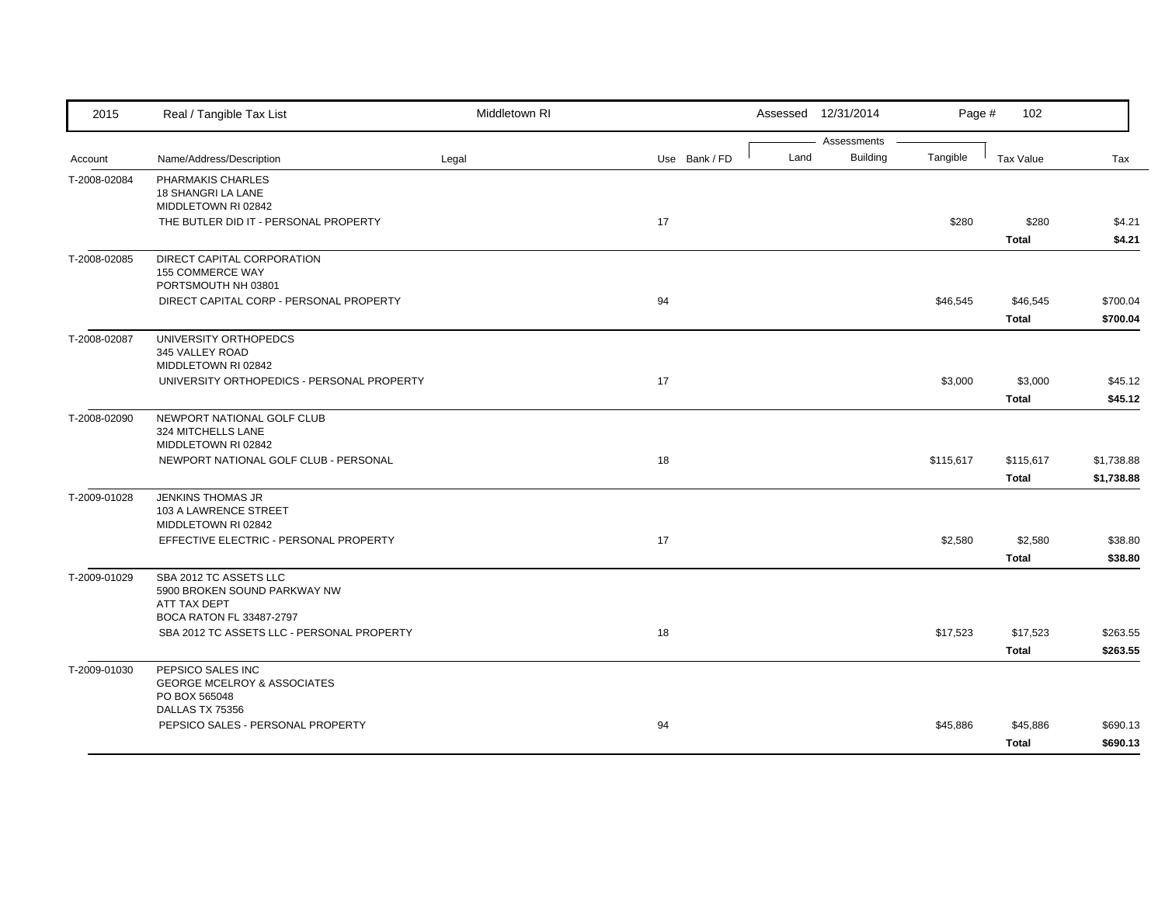| 2015         | Real / Tangible Tax List                                               | Middletown RI |               |      | Assessed 12/31/2014 | Page #    | 102                     |                    |
|--------------|------------------------------------------------------------------------|---------------|---------------|------|---------------------|-----------|-------------------------|--------------------|
|              |                                                                        |               |               |      | Assessments         |           |                         |                    |
| Account      | Name/Address/Description                                               | Legal         | Use Bank / FD | Land | <b>Building</b>     | Tangible  | <b>Tax Value</b>        | Tax                |
| T-2008-02084 | PHARMAKIS CHARLES<br>18 SHANGRI LA LANE                                |               |               |      |                     |           |                         |                    |
|              | MIDDLETOWN RI 02842                                                    |               |               |      |                     |           |                         |                    |
|              | THE BUTLER DID IT - PERSONAL PROPERTY                                  |               | 17            |      |                     | \$280     | \$280                   | \$4.21             |
|              |                                                                        |               |               |      |                     |           | <b>Total</b>            | \$4.21             |
| T-2008-02085 | DIRECT CAPITAL CORPORATION                                             |               |               |      |                     |           |                         |                    |
|              | 155 COMMERCE WAY<br>PORTSMOUTH NH 03801                                |               |               |      |                     |           |                         |                    |
|              | DIRECT CAPITAL CORP - PERSONAL PROPERTY                                |               | 94            |      |                     | \$46,545  | \$46,545                | \$700.04           |
|              |                                                                        |               |               |      |                     |           | <b>Total</b>            | \$700.04           |
| T-2008-02087 | UNIVERSITY ORTHOPEDCS                                                  |               |               |      |                     |           |                         |                    |
|              | 345 VALLEY ROAD                                                        |               |               |      |                     |           |                         |                    |
|              | MIDDLETOWN RI 02842                                                    |               |               |      |                     |           |                         |                    |
|              | UNIVERSITY ORTHOPEDICS - PERSONAL PROPERTY                             |               | 17            |      |                     | \$3,000   | \$3,000<br><b>Total</b> | \$45.12<br>\$45.12 |
| T-2008-02090 | NEWPORT NATIONAL GOLF CLUB                                             |               |               |      |                     |           |                         |                    |
|              | 324 MITCHELLS LANE                                                     |               |               |      |                     |           |                         |                    |
|              | MIDDLETOWN RI 02842                                                    |               |               |      |                     |           |                         |                    |
|              | NEWPORT NATIONAL GOLF CLUB - PERSONAL                                  |               | 18            |      |                     | \$115,617 | \$115,617               | \$1,738.88         |
|              |                                                                        |               |               |      |                     |           | <b>Total</b>            | \$1,738.88         |
| T-2009-01028 | <b>JENKINS THOMAS JR</b>                                               |               |               |      |                     |           |                         |                    |
|              | 103 A LAWRENCE STREET<br>MIDDLETOWN RI 02842                           |               |               |      |                     |           |                         |                    |
|              | EFFECTIVE ELECTRIC - PERSONAL PROPERTY                                 |               | 17            |      |                     | \$2,580   | \$2,580                 | \$38.80            |
|              |                                                                        |               |               |      |                     |           | <b>Total</b>            | \$38.80            |
| T-2009-01029 | SBA 2012 TC ASSETS LLC                                                 |               |               |      |                     |           |                         |                    |
|              | 5900 BROKEN SOUND PARKWAY NW                                           |               |               |      |                     |           |                         |                    |
|              | ATT TAX DEPT                                                           |               |               |      |                     |           |                         |                    |
|              | BOCA RATON FL 33487-2797<br>SBA 2012 TC ASSETS LLC - PERSONAL PROPERTY |               | 18            |      |                     | \$17,523  | \$17,523                | \$263.55           |
|              |                                                                        |               |               |      |                     |           | <b>Total</b>            | \$263.55           |
| T-2009-01030 | PEPSICO SALES INC                                                      |               |               |      |                     |           |                         |                    |
|              | <b>GEORGE MCELROY &amp; ASSOCIATES</b>                                 |               |               |      |                     |           |                         |                    |
|              | PO BOX 565048                                                          |               |               |      |                     |           |                         |                    |
|              | DALLAS TX 75356                                                        |               |               |      |                     |           |                         |                    |
|              | PEPSICO SALES - PERSONAL PROPERTY                                      |               | 94            |      |                     | \$45,886  | \$45,886                | \$690.13           |
|              |                                                                        |               |               |      |                     |           | <b>Total</b>            | \$690.13           |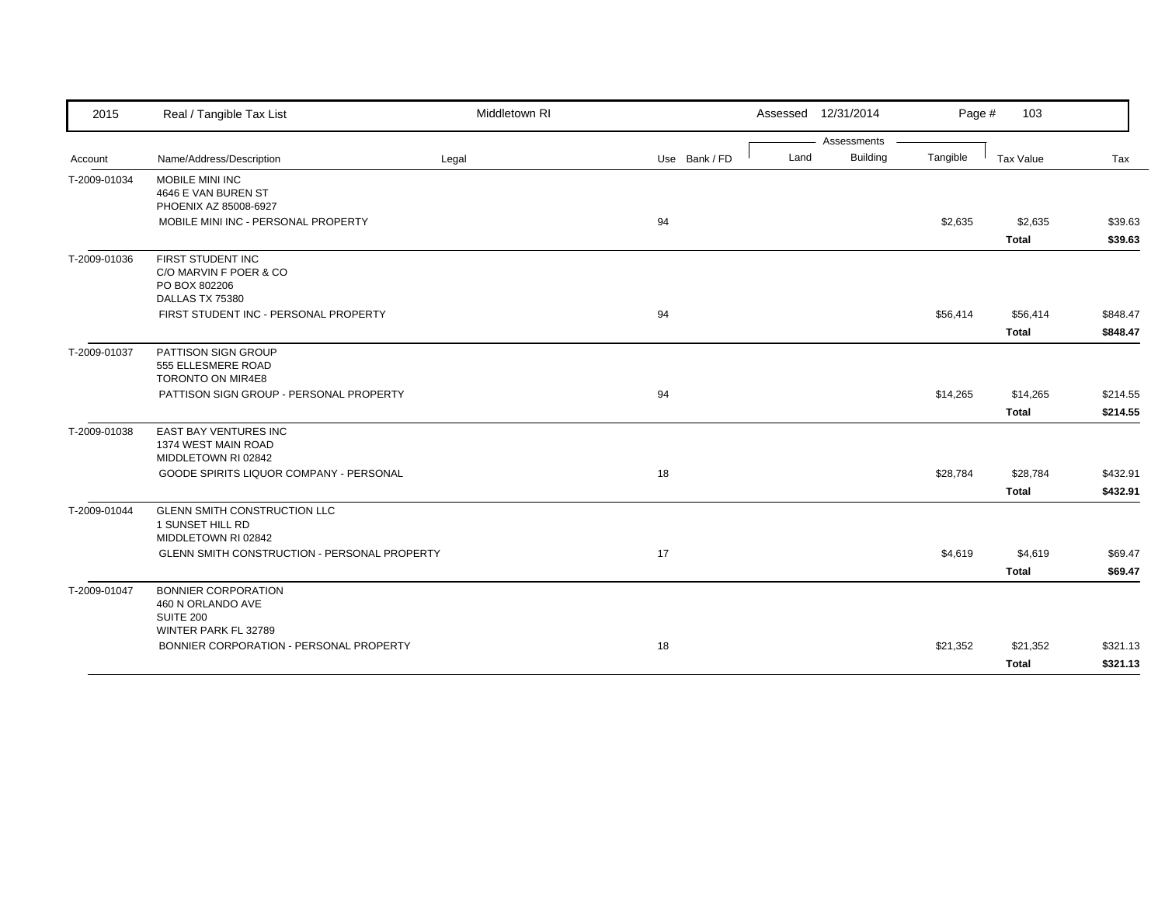| 2015         | Real / Tangible Tax List                                                                    | Middletown RI |               |      | Assessed 12/31/2014 | Page #   | 103                      |                      |
|--------------|---------------------------------------------------------------------------------------------|---------------|---------------|------|---------------------|----------|--------------------------|----------------------|
|              |                                                                                             |               |               |      | Assessments         |          |                          |                      |
| Account      | Name/Address/Description                                                                    | Legal         | Use Bank / FD | Land | <b>Building</b>     | Tangible | Tax Value                | Tax                  |
| T-2009-01034 | MOBILE MINI INC<br>4646 E VAN BUREN ST<br>PHOENIX AZ 85008-6927                             |               |               |      |                     |          |                          |                      |
|              | MOBILE MINI INC - PERSONAL PROPERTY                                                         |               | 94            |      |                     | \$2,635  | \$2,635<br><b>Total</b>  | \$39.63<br>\$39.63   |
| T-2009-01036 | FIRST STUDENT INC<br>C/O MARVIN F POER & CO<br>PO BOX 802206<br>DALLAS TX 75380             |               |               |      |                     |          |                          |                      |
|              | FIRST STUDENT INC - PERSONAL PROPERTY                                                       |               | 94            |      |                     | \$56,414 | \$56,414<br><b>Total</b> | \$848.47<br>\$848.47 |
| T-2009-01037 | PATTISON SIGN GROUP<br>555 ELLESMERE ROAD<br>TORONTO ON MIR4E8                              |               |               |      |                     |          |                          |                      |
|              | PATTISON SIGN GROUP - PERSONAL PROPERTY                                                     |               | 94            |      |                     | \$14,265 | \$14,265<br><b>Total</b> | \$214.55<br>\$214.55 |
| T-2009-01038 | EAST BAY VENTURES INC<br>1374 WEST MAIN ROAD<br>MIDDLETOWN RI 02842                         |               |               |      |                     |          |                          |                      |
|              | GOODE SPIRITS LIQUOR COMPANY - PERSONAL                                                     |               | 18            |      |                     | \$28,784 | \$28,784<br><b>Total</b> | \$432.91<br>\$432.91 |
| T-2009-01044 | GLENN SMITH CONSTRUCTION LLC<br>1 SUNSET HILL RD<br>MIDDLETOWN RI 02842                     |               |               |      |                     |          |                          |                      |
|              | <b>GLENN SMITH CONSTRUCTION - PERSONAL PROPERTY</b>                                         |               | 17            |      |                     | \$4,619  | \$4,619<br><b>Total</b>  | \$69.47<br>\$69.47   |
| T-2009-01047 | <b>BONNIER CORPORATION</b><br>460 N ORLANDO AVE<br><b>SUITE 200</b><br>WINTER PARK FL 32789 |               |               |      |                     |          |                          |                      |
|              | BONNIER CORPORATION - PERSONAL PROPERTY                                                     |               | 18            |      |                     | \$21,352 | \$21,352<br><b>Total</b> | \$321.13<br>\$321.13 |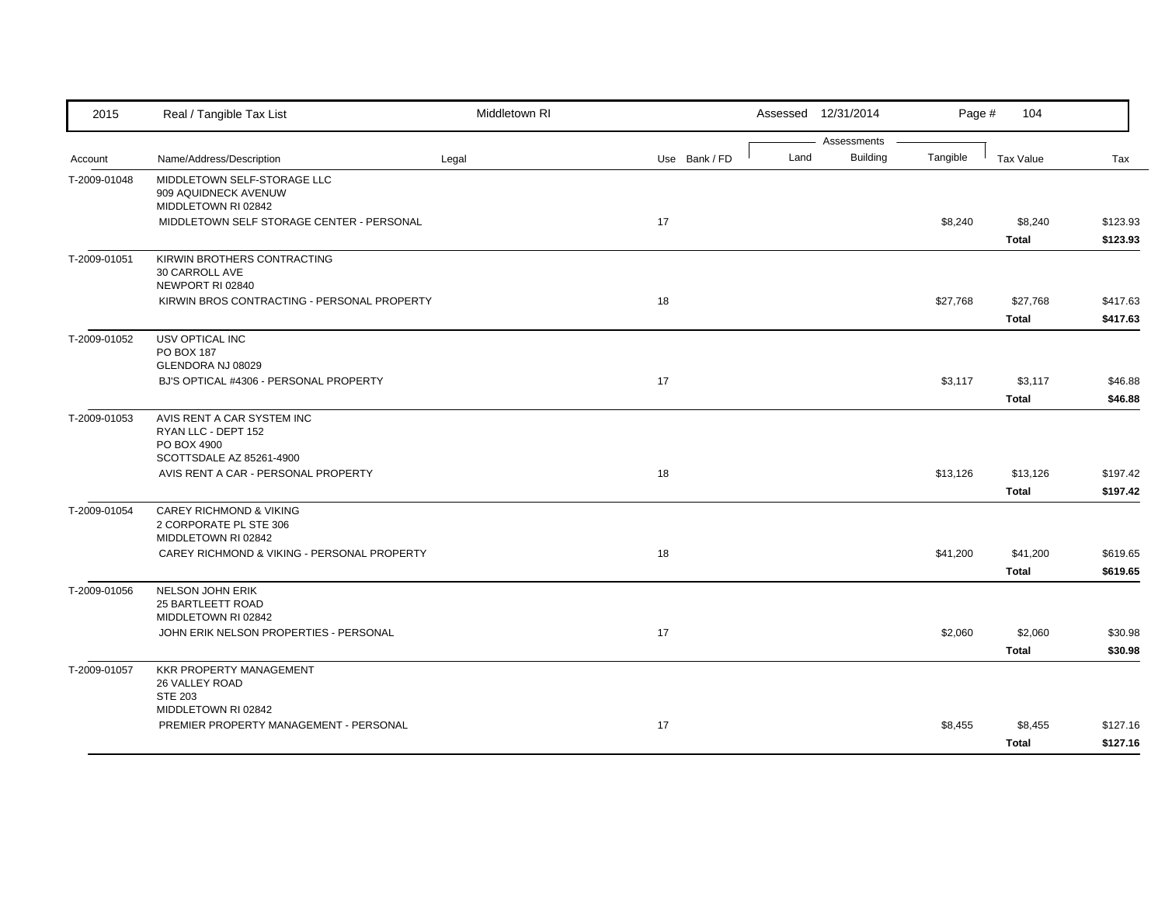| 2015         | Real / Tangible Tax List                                                            | Middletown RI |               |      | Assessed 12/31/2014            | Page #   | 104                      |                      |
|--------------|-------------------------------------------------------------------------------------|---------------|---------------|------|--------------------------------|----------|--------------------------|----------------------|
| Account      | Name/Address/Description                                                            | Legal         | Use Bank / FD | Land | Assessments<br><b>Building</b> | Tangible | <b>Tax Value</b>         | Tax                  |
| T-2009-01048 | MIDDLETOWN SELF-STORAGE LLC<br>909 AQUIDNECK AVENUW<br>MIDDLETOWN RI 02842          |               |               |      |                                |          |                          |                      |
|              | MIDDLETOWN SELF STORAGE CENTER - PERSONAL                                           |               | 17            |      |                                | \$8,240  | \$8,240<br><b>Total</b>  | \$123.93<br>\$123.93 |
| T-2009-01051 | KIRWIN BROTHERS CONTRACTING<br><b>30 CARROLL AVE</b><br>NEWPORT RI 02840            |               |               |      |                                |          |                          |                      |
|              | KIRWIN BROS CONTRACTING - PERSONAL PROPERTY                                         |               | 18            |      |                                | \$27,768 | \$27,768<br><b>Total</b> | \$417.63<br>\$417.63 |
| T-2009-01052 | USV OPTICAL INC<br>PO BOX 187<br>GLENDORA NJ 08029                                  |               |               |      |                                |          |                          |                      |
|              | BJ'S OPTICAL #4306 - PERSONAL PROPERTY                                              |               | 17            |      |                                | \$3,117  | \$3,117<br><b>Total</b>  | \$46.88<br>\$46.88   |
| T-2009-01053 | AVIS RENT A CAR SYSTEM INC<br>RYAN LLC - DEPT 152<br>PO BOX 4900                    |               |               |      |                                |          |                          |                      |
|              | SCOTTSDALE AZ 85261-4900<br>AVIS RENT A CAR - PERSONAL PROPERTY                     |               | 18            |      |                                | \$13,126 | \$13,126<br><b>Total</b> | \$197.42<br>\$197.42 |
| T-2009-01054 | <b>CAREY RICHMOND &amp; VIKING</b><br>2 CORPORATE PL STE 306<br>MIDDLETOWN RI 02842 |               |               |      |                                |          |                          |                      |
|              | CAREY RICHMOND & VIKING - PERSONAL PROPERTY                                         |               | 18            |      |                                | \$41,200 | \$41,200<br><b>Total</b> | \$619.65<br>\$619.65 |
| T-2009-01056 | NELSON JOHN ERIK<br>25 BARTLEETT ROAD<br>MIDDLETOWN RI 02842                        |               |               |      |                                |          |                          |                      |
|              | JOHN ERIK NELSON PROPERTIES - PERSONAL                                              |               | 17            |      |                                | \$2,060  | \$2,060<br><b>Total</b>  | \$30.98<br>\$30.98   |
| T-2009-01057 | <b>KKR PROPERTY MANAGEMENT</b><br>26 VALLEY ROAD<br><b>STE 203</b>                  |               |               |      |                                |          |                          |                      |
|              | MIDDLETOWN RI 02842<br>PREMIER PROPERTY MANAGEMENT - PERSONAL                       |               | 17            |      |                                | \$8,455  | \$8,455<br><b>Total</b>  | \$127.16<br>\$127.16 |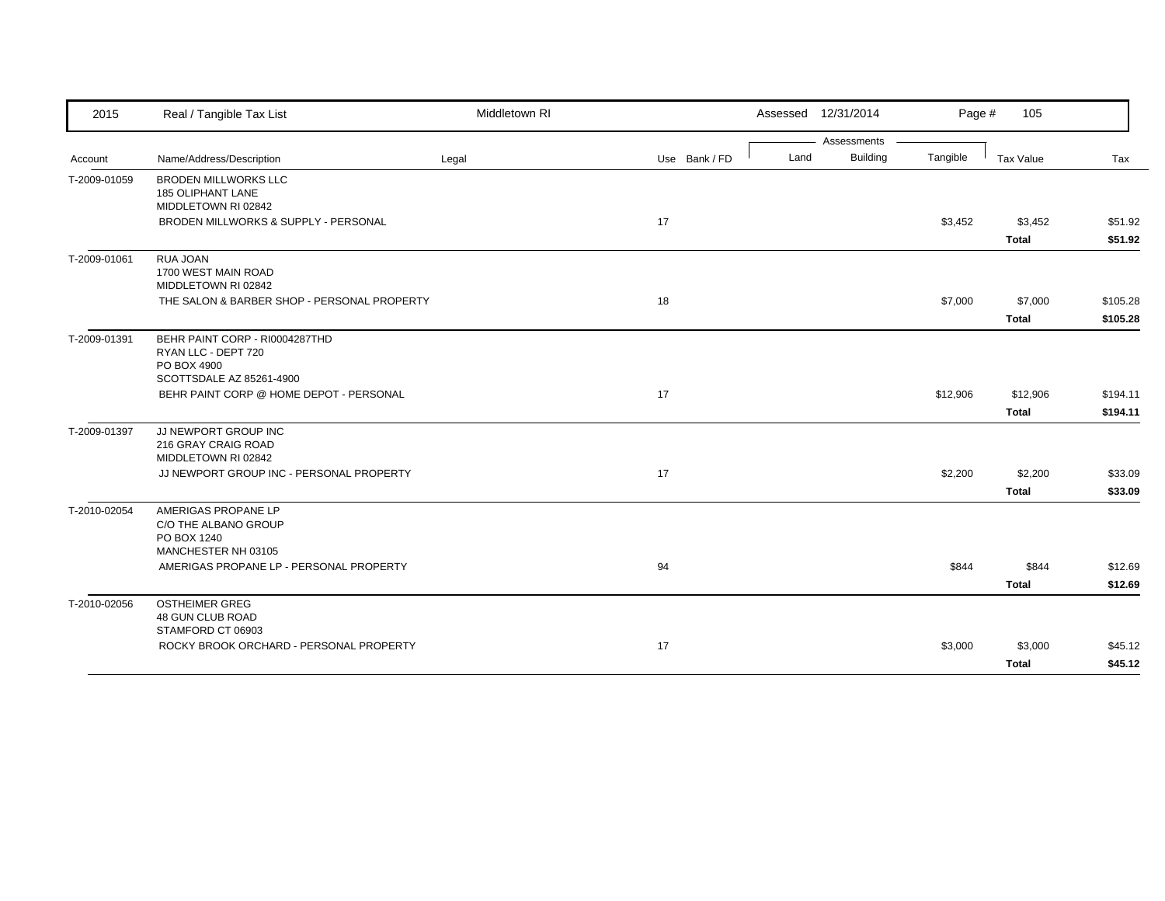| 2015         | Real / Tangible Tax List                                                                                       | Middletown RI |               |      | Assessed 12/31/2014 | Page #   | 105          |          |
|--------------|----------------------------------------------------------------------------------------------------------------|---------------|---------------|------|---------------------|----------|--------------|----------|
|              |                                                                                                                |               |               |      | Assessments         |          |              |          |
| Account      | Name/Address/Description                                                                                       | Legal         | Use Bank / FD | Land | <b>Building</b>     | Tangible | Tax Value    | Tax      |
| T-2009-01059 | <b>BRODEN MILLWORKS LLC</b><br>185 OLIPHANT LANE<br>MIDDLETOWN RI 02842                                        |               |               |      |                     |          |              |          |
|              | BRODEN MILLWORKS & SUPPLY - PERSONAL                                                                           |               | 17            |      |                     | \$3,452  | \$3,452      | \$51.92  |
|              |                                                                                                                |               |               |      |                     |          | <b>Total</b> | \$51.92  |
| T-2009-01061 | RUA JOAN<br>1700 WEST MAIN ROAD<br>MIDDLETOWN RI 02842                                                         |               |               |      |                     |          |              |          |
|              | THE SALON & BARBER SHOP - PERSONAL PROPERTY                                                                    |               | 18            |      |                     | \$7,000  | \$7,000      | \$105.28 |
|              |                                                                                                                |               |               |      |                     |          | <b>Total</b> | \$105.28 |
| T-2009-01391 | BEHR PAINT CORP - RI0004287THD<br>RYAN LLC - DEPT 720<br>PO BOX 4900<br>SCOTTSDALE AZ 85261-4900               |               |               |      |                     |          |              |          |
|              | BEHR PAINT CORP @ HOME DEPOT - PERSONAL                                                                        |               | 17            |      |                     | \$12,906 | \$12,906     | \$194.11 |
|              |                                                                                                                |               |               |      |                     |          | <b>Total</b> | \$194.11 |
| T-2009-01397 | JJ NEWPORT GROUP INC<br>216 GRAY CRAIG ROAD<br>MIDDLETOWN RI 02842<br>JJ NEWPORT GROUP INC - PERSONAL PROPERTY |               | 17            |      |                     | \$2,200  | \$2,200      | \$33.09  |
|              |                                                                                                                |               |               |      |                     |          | <b>Total</b> | \$33.09  |
| T-2010-02054 | AMERIGAS PROPANE LP<br>C/O THE ALBANO GROUP<br>PO BOX 1240<br>MANCHESTER NH 03105                              |               |               |      |                     |          |              |          |
|              | AMERIGAS PROPANE LP - PERSONAL PROPERTY                                                                        |               | 94            |      |                     | \$844    | \$844        | \$12.69  |
|              |                                                                                                                |               |               |      |                     |          | <b>Total</b> | \$12.69  |
| T-2010-02056 | <b>OSTHEIMER GREG</b><br>48 GUN CLUB ROAD<br>STAMFORD CT 06903                                                 |               |               |      |                     |          |              |          |
|              | ROCKY BROOK ORCHARD - PERSONAL PROPERTY                                                                        |               | 17            |      |                     | \$3,000  | \$3,000      | \$45.12  |
|              |                                                                                                                |               |               |      |                     |          | <b>Total</b> | \$45.12  |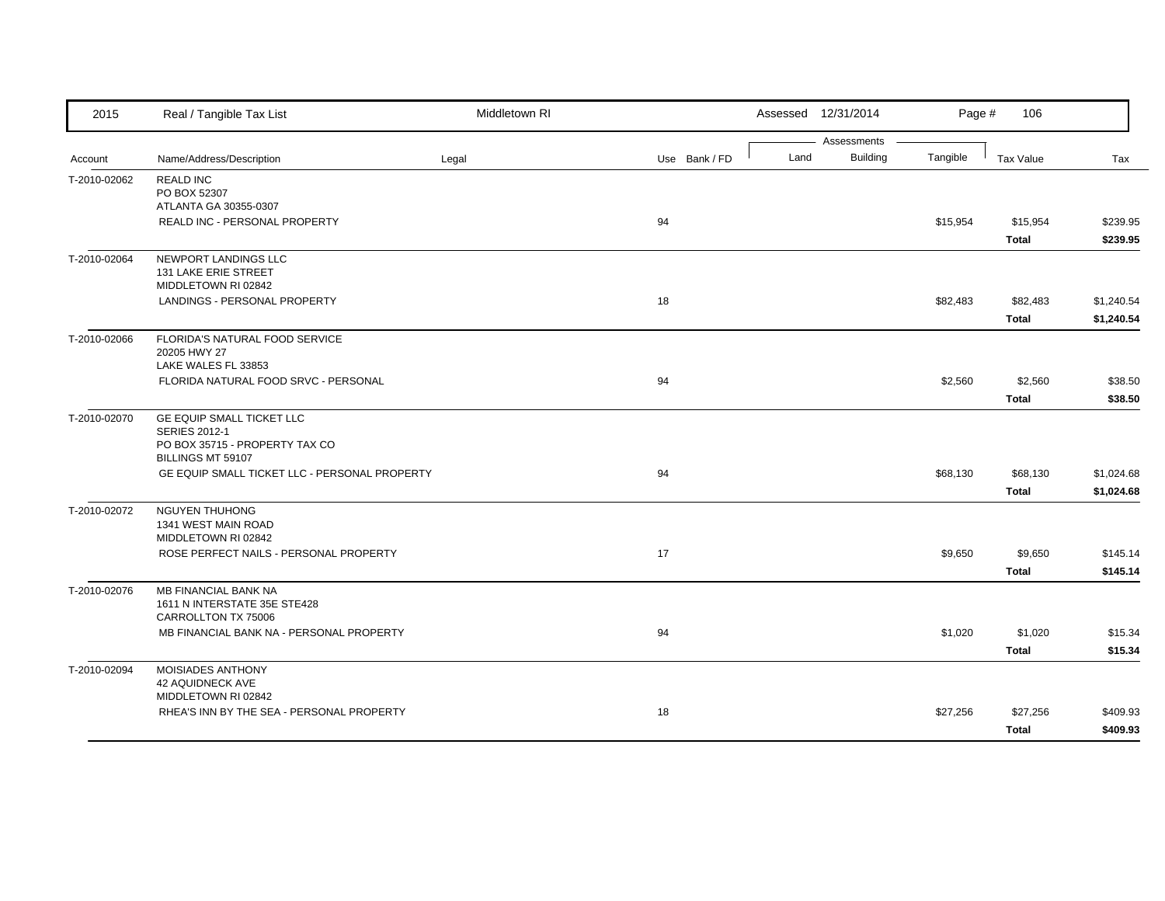| 2015         | Real / Tangible Tax List                                                                                 | Middletown RI |               |      | Assessed 12/31/2014            | Page #   | 106                      |                          |
|--------------|----------------------------------------------------------------------------------------------------------|---------------|---------------|------|--------------------------------|----------|--------------------------|--------------------------|
| Account      | Name/Address/Description                                                                                 | Legal         | Use Bank / FD | Land | Assessments<br><b>Building</b> | Tangible | Tax Value                | Tax                      |
| T-2010-02062 | <b>REALD INC</b><br>PO BOX 52307<br>ATLANTA GA 30355-0307                                                |               |               |      |                                |          |                          |                          |
|              | REALD INC - PERSONAL PROPERTY                                                                            |               | 94            |      |                                | \$15,954 | \$15,954<br>Total        | \$239.95<br>\$239.95     |
| T-2010-02064 | NEWPORT LANDINGS LLC<br>131 LAKE ERIE STREET<br>MIDDLETOWN RI 02842                                      |               |               |      |                                |          |                          |                          |
|              | LANDINGS - PERSONAL PROPERTY                                                                             |               | 18            |      |                                | \$82,483 | \$82,483<br>Total        | \$1,240.54<br>\$1,240.54 |
| T-2010-02066 | FLORIDA'S NATURAL FOOD SERVICE<br>20205 HWY 27<br>LAKE WALES FL 33853                                    |               |               |      |                                |          |                          |                          |
|              | FLORIDA NATURAL FOOD SRVC - PERSONAL                                                                     |               | 94            |      |                                | \$2,560  | \$2,560<br><b>Total</b>  | \$38.50<br>\$38.50       |
| T-2010-02070 | GE EQUIP SMALL TICKET LLC<br><b>SERIES 2012-1</b><br>PO BOX 35715 - PROPERTY TAX CO<br>BILLINGS MT 59107 |               |               |      |                                |          |                          |                          |
|              | GE EQUIP SMALL TICKET LLC - PERSONAL PROPERTY                                                            |               | 94            |      |                                | \$68,130 | \$68,130<br><b>Total</b> | \$1,024.68<br>\$1,024.68 |
| T-2010-02072 | <b>NGUYEN THUHONG</b><br>1341 WEST MAIN ROAD<br>MIDDLETOWN RI 02842                                      |               |               |      |                                |          |                          |                          |
|              | ROSE PERFECT NAILS - PERSONAL PROPERTY                                                                   |               | 17            |      |                                | \$9,650  | \$9,650<br><b>Total</b>  | \$145.14<br>\$145.14     |
| T-2010-02076 | MB FINANCIAL BANK NA<br>1611 N INTERSTATE 35E STE428<br>CARROLLTON TX 75006                              |               |               |      |                                |          |                          |                          |
|              | MB FINANCIAL BANK NA - PERSONAL PROPERTY                                                                 |               | 94            |      |                                | \$1,020  | \$1,020<br><b>Total</b>  | \$15.34<br>\$15.34       |
| T-2010-02094 | MOISIADES ANTHONY<br><b>42 AQUIDNECK AVE</b><br>MIDDLETOWN RI 02842                                      |               |               |      |                                |          |                          |                          |
|              | RHEA'S INN BY THE SEA - PERSONAL PROPERTY                                                                |               | 18            |      |                                | \$27,256 | \$27,256<br><b>Total</b> | \$409.93<br>\$409.93     |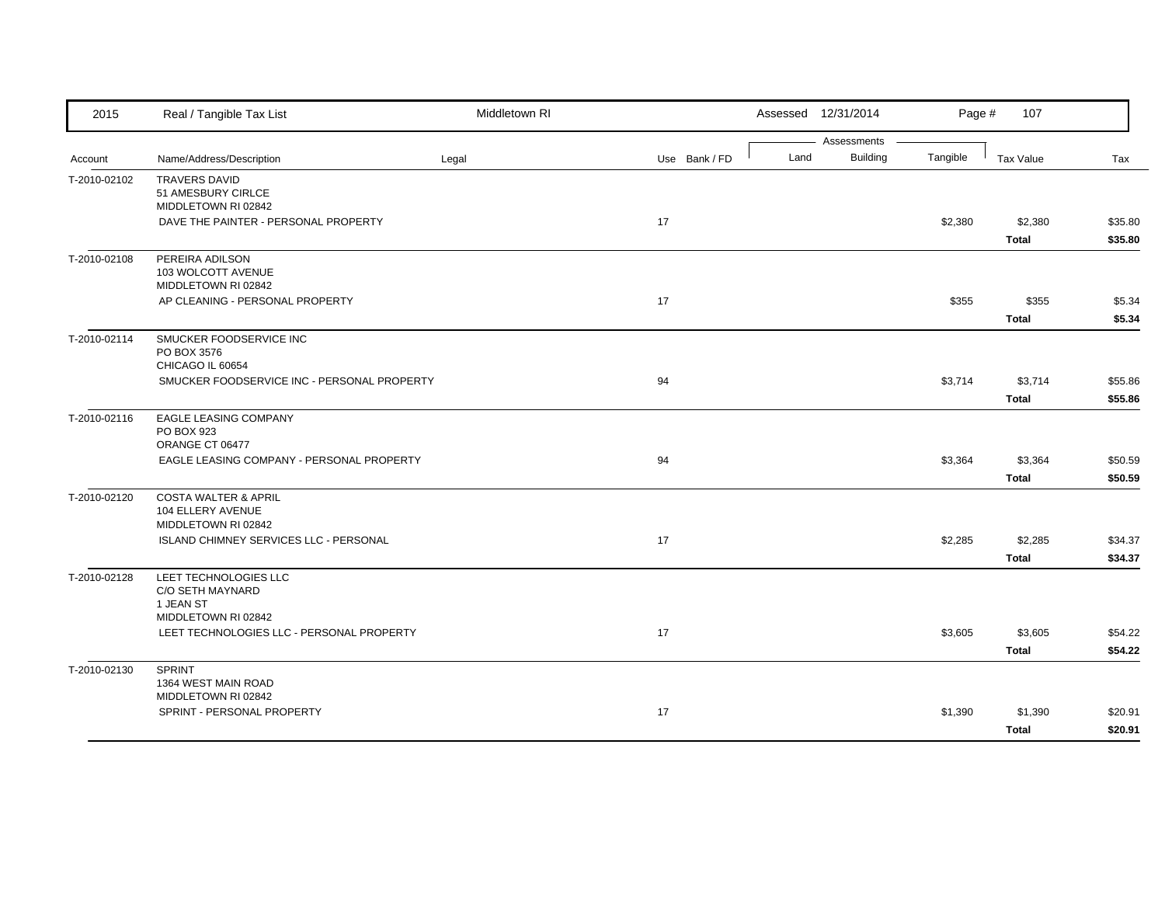| 2015         | Real / Tangible Tax List                                                    | Middletown RI |               |      | Assessed 12/31/2014            | Page #   | 107                     |                    |
|--------------|-----------------------------------------------------------------------------|---------------|---------------|------|--------------------------------|----------|-------------------------|--------------------|
| Account      | Name/Address/Description                                                    | Legal         | Use Bank / FD | Land | Assessments<br><b>Building</b> | Tangible | Tax Value               | Tax                |
| T-2010-02102 | <b>TRAVERS DAVID</b><br>51 AMESBURY CIRLCE                                  |               |               |      |                                |          |                         |                    |
|              | MIDDLETOWN RI 02842<br>DAVE THE PAINTER - PERSONAL PROPERTY                 |               | 17            |      |                                | \$2,380  | \$2,380<br><b>Total</b> | \$35.80<br>\$35.80 |
| T-2010-02108 | PEREIRA ADILSON<br>103 WOLCOTT AVENUE<br>MIDDLETOWN RI 02842                |               |               |      |                                |          |                         |                    |
|              | AP CLEANING - PERSONAL PROPERTY                                             |               | 17            |      |                                | \$355    | \$355<br><b>Total</b>   | \$5.34<br>\$5.34   |
| T-2010-02114 | SMUCKER FOODSERVICE INC<br>PO BOX 3576<br>CHICAGO IL 60654                  |               |               |      |                                |          |                         |                    |
|              | SMUCKER FOODSERVICE INC - PERSONAL PROPERTY                                 |               | 94            |      |                                | \$3,714  | \$3,714<br><b>Total</b> | \$55.86<br>\$55.86 |
| T-2010-02116 | <b>EAGLE LEASING COMPANY</b><br>PO BOX 923<br>ORANGE CT 06477               |               |               |      |                                |          |                         |                    |
|              | EAGLE LEASING COMPANY - PERSONAL PROPERTY                                   |               | 94            |      |                                | \$3,364  | \$3,364<br><b>Total</b> | \$50.59<br>\$50.59 |
| T-2010-02120 | <b>COSTA WALTER &amp; APRIL</b><br>104 ELLERY AVENUE<br>MIDDLETOWN RI 02842 |               |               |      |                                |          |                         |                    |
|              | ISLAND CHIMNEY SERVICES LLC - PERSONAL                                      |               | 17            |      |                                | \$2,285  | \$2,285<br><b>Total</b> | \$34.37<br>\$34.37 |
| T-2010-02128 | LEET TECHNOLOGIES LLC<br>C/O SETH MAYNARD<br>1 JEAN ST                      |               |               |      |                                |          |                         |                    |
|              | MIDDLETOWN RI 02842<br>LEET TECHNOLOGIES LLC - PERSONAL PROPERTY            |               | 17            |      |                                | \$3,605  | \$3,605<br><b>Total</b> | \$54.22<br>\$54.22 |
| T-2010-02130 | <b>SPRINT</b><br>1364 WEST MAIN ROAD<br>MIDDLETOWN RI 02842                 |               |               |      |                                |          |                         |                    |
|              | SPRINT - PERSONAL PROPERTY                                                  |               | 17            |      |                                | \$1,390  | \$1,390<br><b>Total</b> | \$20.91<br>\$20.91 |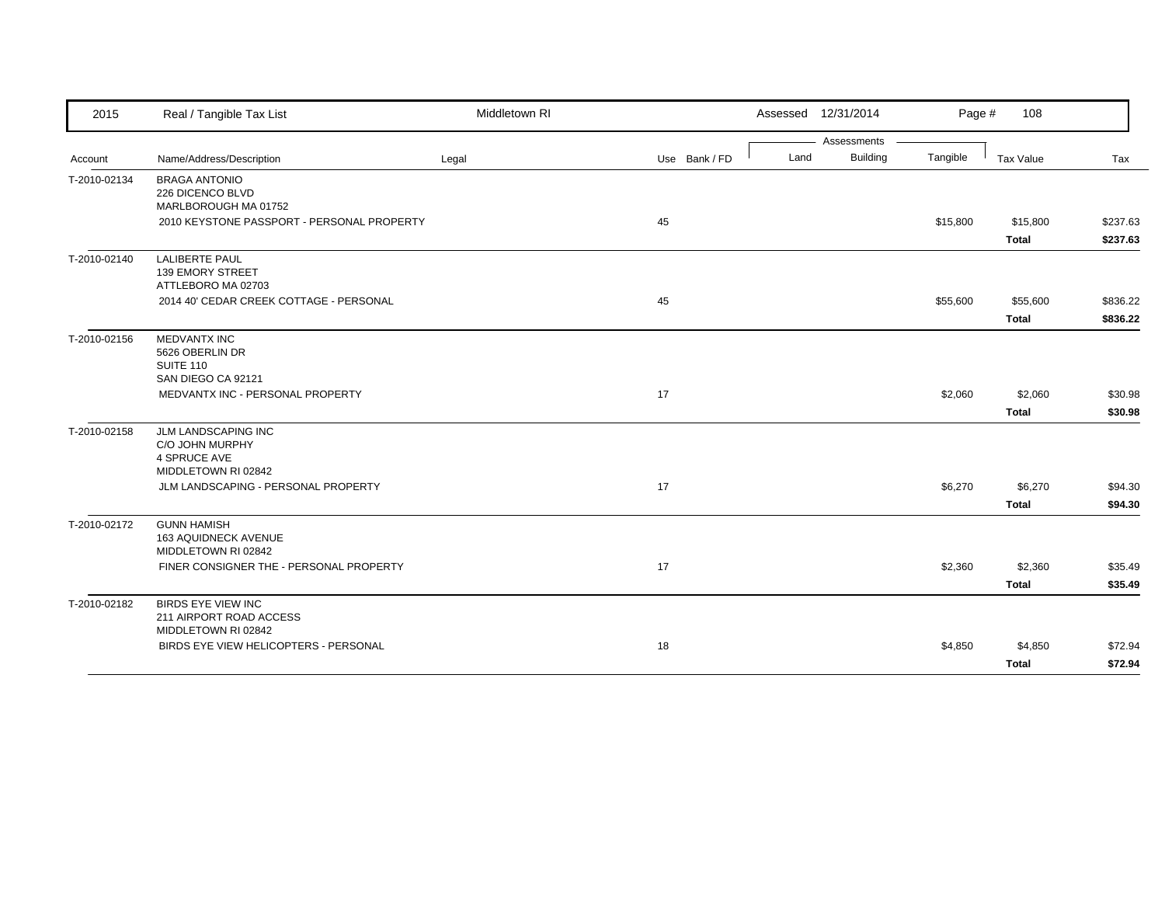| 2015         | Real / Tangible Tax List                                                      | Middletown RI |               |      | Assessed 12/31/2014 | Page #   | 108          |          |
|--------------|-------------------------------------------------------------------------------|---------------|---------------|------|---------------------|----------|--------------|----------|
|              |                                                                               |               |               |      | Assessments         |          |              |          |
| Account      | Name/Address/Description                                                      | Legal         | Use Bank / FD | Land | <b>Building</b>     | Tangible | Tax Value    | Tax      |
| T-2010-02134 | <b>BRAGA ANTONIO</b><br>226 DICENCO BLVD<br>MARLBOROUGH MA 01752              |               |               |      |                     |          |              |          |
|              | 2010 KEYSTONE PASSPORT - PERSONAL PROPERTY                                    |               | 45            |      |                     | \$15,800 | \$15,800     | \$237.63 |
|              |                                                                               |               |               |      |                     |          | <b>Total</b> | \$237.63 |
| T-2010-02140 | <b>LALIBERTE PAUL</b><br>139 EMORY STREET<br>ATTLEBORO MA 02703               |               |               |      |                     |          |              |          |
|              | 2014 40' CEDAR CREEK COTTAGE - PERSONAL                                       |               | 45            |      |                     | \$55,600 | \$55,600     | \$836.22 |
|              |                                                                               |               |               |      |                     |          | <b>Total</b> | \$836.22 |
| T-2010-02156 | <b>MEDVANTX INC</b><br>5626 OBERLIN DR<br>SUITE 110<br>SAN DIEGO CA 92121     |               |               |      |                     |          |              |          |
|              | MEDVANTX INC - PERSONAL PROPERTY                                              |               | 17            |      |                     | \$2,060  | \$2,060      | \$30.98  |
|              |                                                                               |               |               |      |                     |          | <b>Total</b> | \$30.98  |
| T-2010-02158 | JLM LANDSCAPING INC<br>C/O JOHN MURPHY<br>4 SPRUCE AVE<br>MIDDLETOWN RI 02842 |               |               |      |                     |          |              |          |
|              | JLM LANDSCAPING - PERSONAL PROPERTY                                           |               | 17            |      |                     | \$6,270  | \$6,270      | \$94.30  |
|              |                                                                               |               |               |      |                     |          | <b>Total</b> | \$94.30  |
| T-2010-02172 | <b>GUNN HAMISH</b><br>163 AQUIDNECK AVENUE<br>MIDDLETOWN RI 02842             |               |               |      |                     |          |              |          |
|              | FINER CONSIGNER THE - PERSONAL PROPERTY                                       |               | 17            |      |                     | \$2,360  | \$2,360      | \$35.49  |
|              |                                                                               |               |               |      |                     |          | <b>Total</b> | \$35.49  |
| T-2010-02182 | <b>BIRDS EYE VIEW INC</b><br>211 AIRPORT ROAD ACCESS<br>MIDDLETOWN RI 02842   |               |               |      |                     |          |              |          |
|              | BIRDS EYE VIEW HELICOPTERS - PERSONAL                                         |               | 18            |      |                     | \$4,850  | \$4,850      | \$72.94  |
|              |                                                                               |               |               |      |                     |          | Total        | \$72.94  |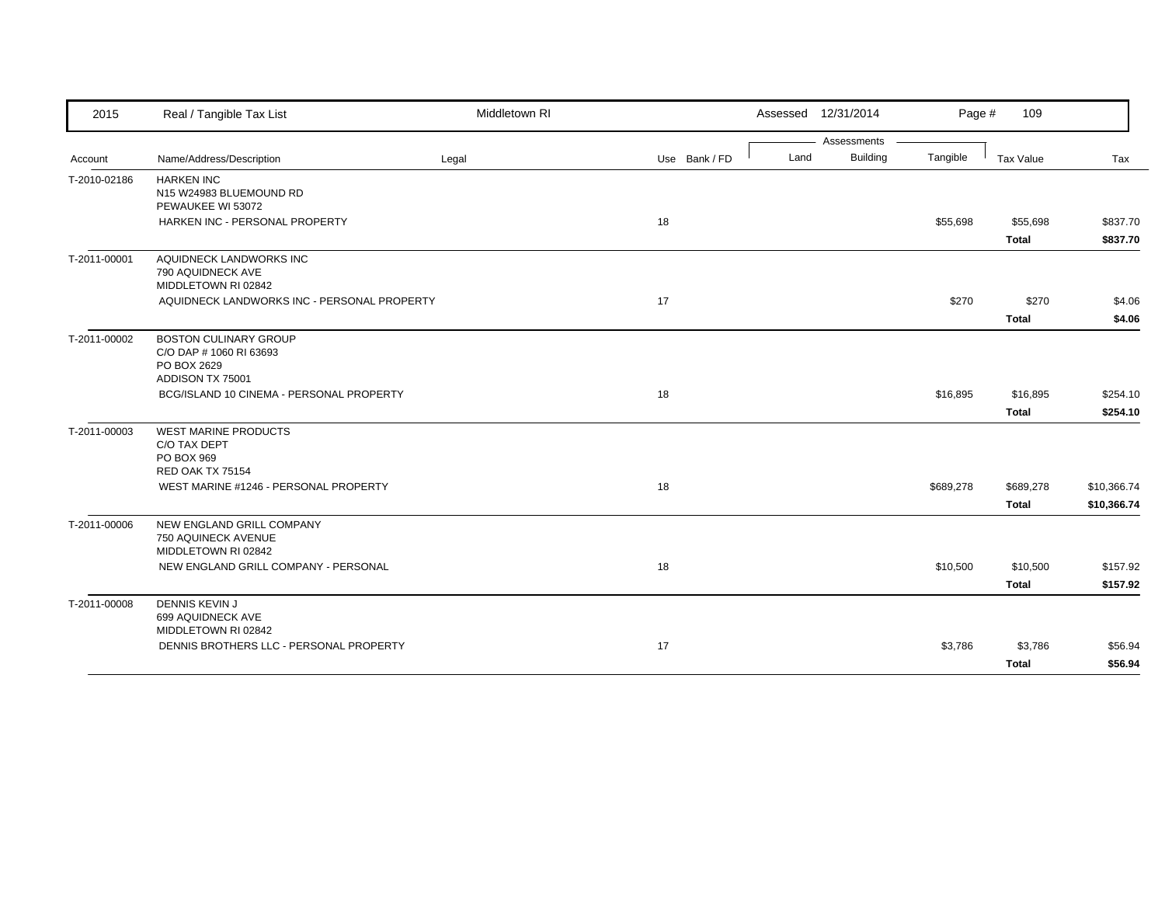| 2015         | Real / Tangible Tax List                                                | Middletown RI |               |      | Assessed 12/31/2014 | Page #    | 109          |             |
|--------------|-------------------------------------------------------------------------|---------------|---------------|------|---------------------|-----------|--------------|-------------|
|              |                                                                         |               |               |      | Assessments         |           |              |             |
| Account      | Name/Address/Description                                                | Legal         | Use Bank / FD | Land | <b>Building</b>     | Tangible  | Tax Value    | Tax         |
| T-2010-02186 | <b>HARKEN INC</b><br>N15 W24983 BLUEMOUND RD<br>PEWAUKEE WI 53072       |               |               |      |                     |           |              |             |
|              | HARKEN INC - PERSONAL PROPERTY                                          |               | 18            |      |                     | \$55,698  | \$55,698     | \$837.70    |
|              |                                                                         |               |               |      |                     |           | <b>Total</b> | \$837.70    |
| T-2011-00001 | AQUIDNECK LANDWORKS INC<br>790 AQUIDNECK AVE<br>MIDDLETOWN RI 02842     |               |               |      |                     |           |              |             |
|              | AQUIDNECK LANDWORKS INC - PERSONAL PROPERTY                             |               | 17            |      |                     | \$270     | \$270        | \$4.06      |
|              |                                                                         |               |               |      |                     |           | <b>Total</b> | \$4.06      |
| T-2011-00002 | <b>BOSTON CULINARY GROUP</b><br>C/O DAP # 1060 RI 63693<br>PO BOX 2629  |               |               |      |                     |           |              |             |
|              | ADDISON TX 75001<br>BCG/ISLAND 10 CINEMA - PERSONAL PROPERTY            |               | 18            |      |                     | \$16,895  | \$16,895     | \$254.10    |
|              |                                                                         |               |               |      |                     |           |              |             |
| T-2011-00003 | <b>WEST MARINE PRODUCTS</b>                                             |               |               |      |                     |           | <b>Total</b> | \$254.10    |
|              | C/O TAX DEPT<br>PO BOX 969                                              |               |               |      |                     |           |              |             |
|              | <b>RED OAK TX 75154</b>                                                 |               |               |      |                     |           |              |             |
|              | WEST MARINE #1246 - PERSONAL PROPERTY                                   |               | 18            |      |                     | \$689,278 | \$689,278    | \$10,366.74 |
|              |                                                                         |               |               |      |                     |           | <b>Total</b> | \$10,366.74 |
| T-2011-00006 | NEW ENGLAND GRILL COMPANY<br>750 AQUINECK AVENUE<br>MIDDLETOWN RI 02842 |               |               |      |                     |           |              |             |
|              | NEW ENGLAND GRILL COMPANY - PERSONAL                                    |               | 18            |      |                     | \$10,500  | \$10,500     | \$157.92    |
|              |                                                                         |               |               |      |                     |           | <b>Total</b> | \$157.92    |
| T-2011-00008 | <b>DENNIS KEVIN J</b><br>699 AQUIDNECK AVE<br>MIDDLETOWN RI 02842       |               |               |      |                     |           |              |             |
|              | DENNIS BROTHERS LLC - PERSONAL PROPERTY                                 |               | 17            |      |                     | \$3,786   | \$3,786      | \$56.94     |
|              |                                                                         |               |               |      |                     |           | <b>Total</b> | \$56.94     |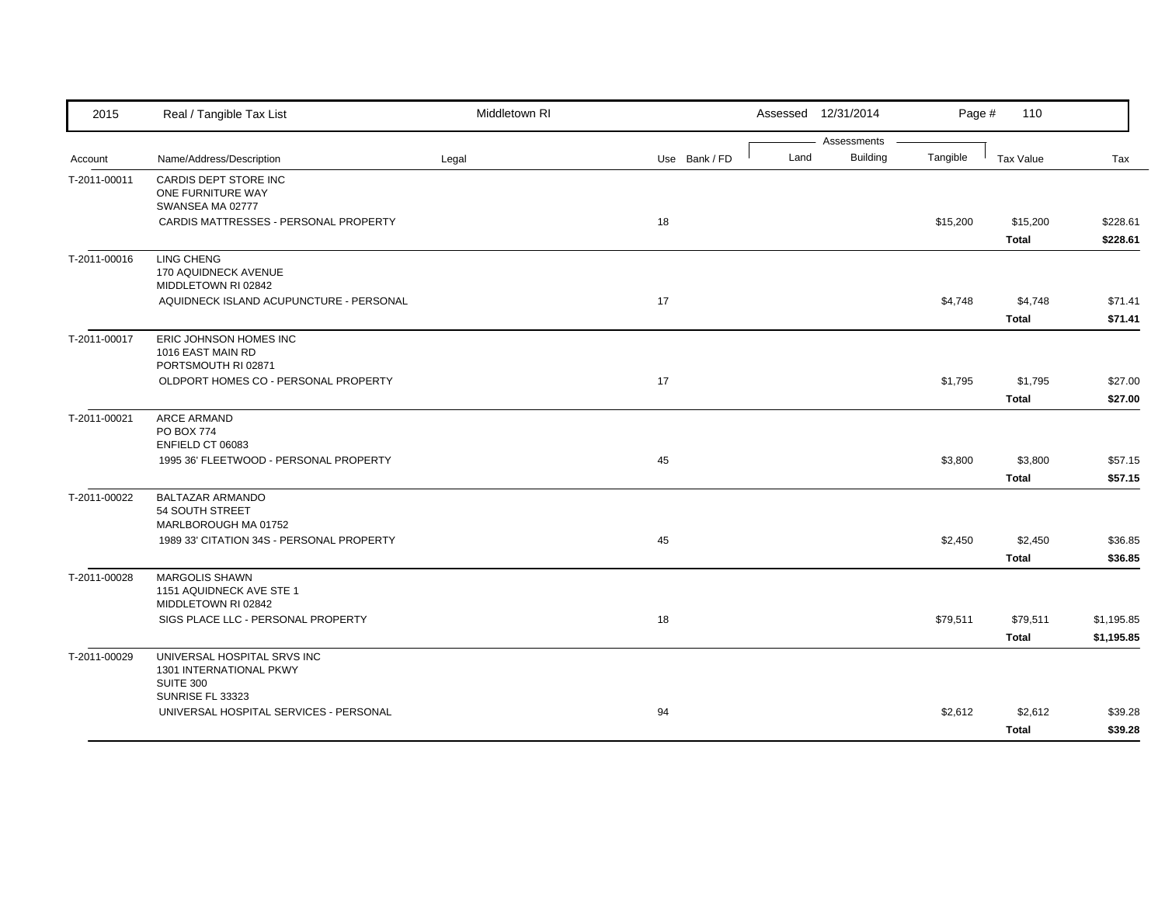| 2015         | Real / Tangible Tax List                                          | Middletown RI |               |      | Assessed 12/31/2014            | Page #   | 110              |            |
|--------------|-------------------------------------------------------------------|---------------|---------------|------|--------------------------------|----------|------------------|------------|
|              |                                                                   |               |               | Land | Assessments<br><b>Building</b> | Tangible |                  |            |
| Account      | Name/Address/Description                                          | Legal         | Use Bank / FD |      |                                |          | <b>Tax Value</b> | Tax        |
| T-2011-00011 | CARDIS DEPT STORE INC<br>ONE FURNITURE WAY                        |               |               |      |                                |          |                  |            |
|              | SWANSEA MA 02777                                                  |               |               |      |                                |          |                  |            |
|              | CARDIS MATTRESSES - PERSONAL PROPERTY                             |               | 18            |      |                                | \$15,200 | \$15,200         | \$228.61   |
|              |                                                                   |               |               |      |                                |          | <b>Total</b>     | \$228.61   |
| T-2011-00016 | <b>LING CHENG</b>                                                 |               |               |      |                                |          |                  |            |
|              | 170 AQUIDNECK AVENUE                                              |               |               |      |                                |          |                  |            |
|              | MIDDLETOWN RI 02842                                               |               |               |      |                                |          |                  |            |
|              | AQUIDNECK ISLAND ACUPUNCTURE - PERSONAL                           |               | 17            |      |                                | \$4,748  | \$4,748          | \$71.41    |
|              |                                                                   |               |               |      |                                |          | <b>Total</b>     | \$71.41    |
| T-2011-00017 | ERIC JOHNSON HOMES INC                                            |               |               |      |                                |          |                  |            |
|              | 1016 EAST MAIN RD<br>PORTSMOUTH RI 02871                          |               |               |      |                                |          |                  |            |
|              | OLDPORT HOMES CO - PERSONAL PROPERTY                              |               | 17            |      |                                | \$1,795  | \$1,795          | \$27.00    |
|              |                                                                   |               |               |      |                                |          | <b>Total</b>     | \$27.00    |
| T-2011-00021 | <b>ARCE ARMAND</b>                                                |               |               |      |                                |          |                  |            |
|              | <b>PO BOX 774</b>                                                 |               |               |      |                                |          |                  |            |
|              | ENFIELD CT 06083                                                  |               |               |      |                                |          |                  |            |
|              | 1995 36' FLEETWOOD - PERSONAL PROPERTY                            |               | 45            |      |                                | \$3,800  | \$3,800          | \$57.15    |
|              |                                                                   |               |               |      |                                |          | Total            | \$57.15    |
| T-2011-00022 | <b>BALTAZAR ARMANDO</b>                                           |               |               |      |                                |          |                  |            |
|              | 54 SOUTH STREET                                                   |               |               |      |                                |          |                  |            |
|              | MARLBOROUGH MA 01752<br>1989 33' CITATION 34S - PERSONAL PROPERTY |               | 45            |      |                                | \$2,450  | \$2,450          | \$36.85    |
|              |                                                                   |               |               |      |                                |          |                  | \$36.85    |
|              |                                                                   |               |               |      |                                |          | <b>Total</b>     |            |
| T-2011-00028 | <b>MARGOLIS SHAWN</b><br>1151 AQUIDNECK AVE STE 1                 |               |               |      |                                |          |                  |            |
|              | MIDDLETOWN RI 02842                                               |               |               |      |                                |          |                  |            |
|              | SIGS PLACE LLC - PERSONAL PROPERTY                                |               | 18            |      |                                | \$79,511 | \$79,511         | \$1,195.85 |
|              |                                                                   |               |               |      |                                |          | <b>Total</b>     | \$1,195.85 |
| T-2011-00029 | UNIVERSAL HOSPITAL SRVS INC                                       |               |               |      |                                |          |                  |            |
|              | 1301 INTERNATIONAL PKWY                                           |               |               |      |                                |          |                  |            |
|              | <b>SUITE 300</b>                                                  |               |               |      |                                |          |                  |            |
|              | SUNRISE FL 33323<br>UNIVERSAL HOSPITAL SERVICES - PERSONAL        |               | 94            |      |                                | \$2,612  | \$2,612          | \$39.28    |
|              |                                                                   |               |               |      |                                |          |                  |            |
|              |                                                                   |               |               |      |                                |          | <b>Total</b>     | \$39.28    |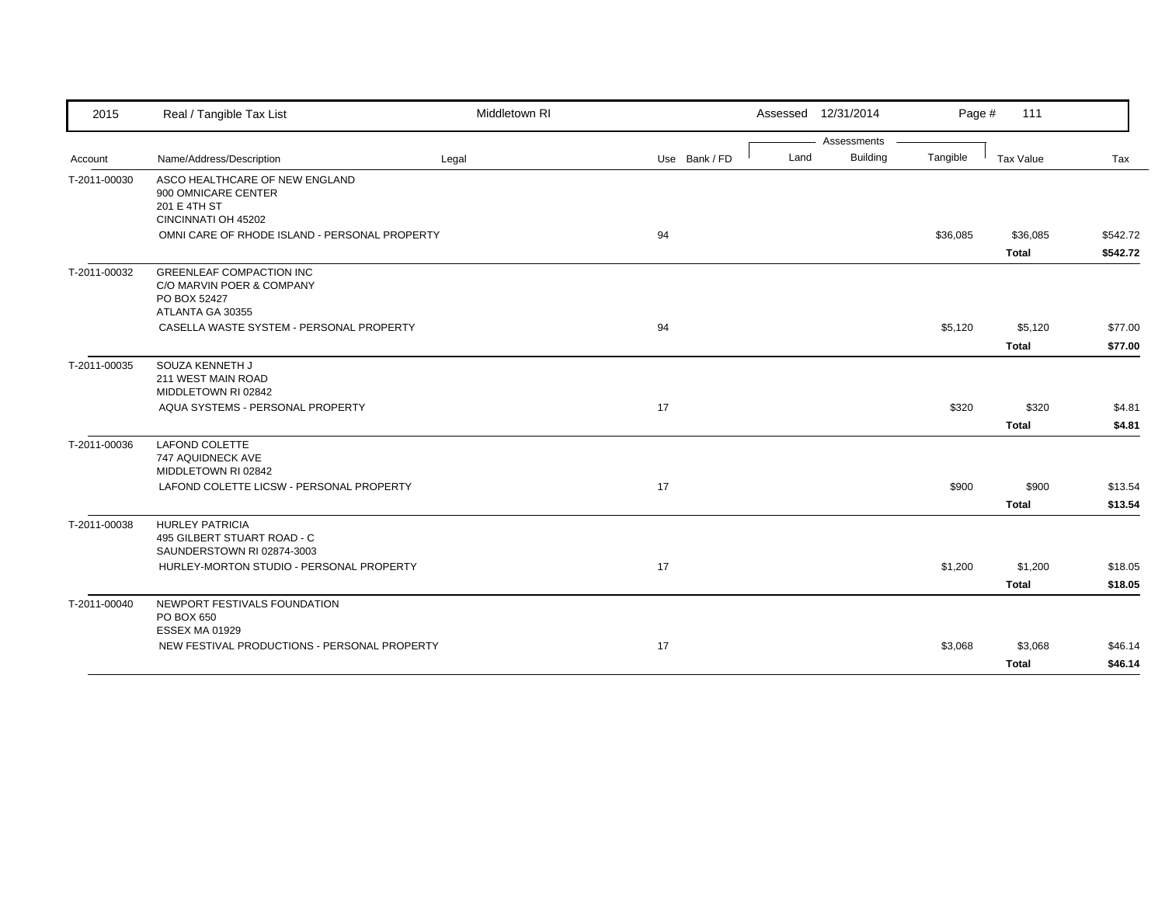| 2015         | Real / Tangible Tax List                                                                         | Middletown RI |               | Assessed 12/31/2014 |                 | Page #   | 111                     |                      |
|--------------|--------------------------------------------------------------------------------------------------|---------------|---------------|---------------------|-----------------|----------|-------------------------|----------------------|
|              |                                                                                                  |               |               |                     | Assessments     |          |                         |                      |
| Account      | Name/Address/Description                                                                         | Legal         | Use Bank / FD | Land                | <b>Building</b> | Tangible | Tax Value               | Tax                  |
| T-2011-00030 | ASCO HEALTHCARE OF NEW ENGLAND<br>900 OMNICARE CENTER<br>201 E 4TH ST<br>CINCINNATI OH 45202     |               |               |                     |                 |          |                         |                      |
|              | OMNI CARE OF RHODE ISLAND - PERSONAL PROPERTY                                                    |               | 94            |                     |                 | \$36,085 | \$36,085<br>Total       | \$542.72<br>\$542.72 |
| T-2011-00032 | <b>GREENLEAF COMPACTION INC</b><br>C/O MARVIN POER & COMPANY<br>PO BOX 52427<br>ATLANTA GA 30355 |               |               |                     |                 |          |                         |                      |
|              | CASELLA WASTE SYSTEM - PERSONAL PROPERTY                                                         |               | 94            |                     |                 | \$5,120  | \$5,120<br><b>Total</b> | \$77.00<br>\$77.00   |
| T-2011-00035 | SOUZA KENNETH J<br>211 WEST MAIN ROAD<br>MIDDLETOWN RI 02842                                     |               |               |                     |                 |          |                         |                      |
|              | AQUA SYSTEMS - PERSONAL PROPERTY                                                                 |               | 17            |                     |                 | \$320    | \$320<br><b>Total</b>   | \$4.81<br>\$4.81     |
| T-2011-00036 | <b>LAFOND COLETTE</b><br>747 AQUIDNECK AVE<br>MIDDLETOWN RI 02842                                |               |               |                     |                 |          |                         |                      |
|              | LAFOND COLETTE LICSW - PERSONAL PROPERTY                                                         |               | 17            |                     |                 | \$900    | \$900<br><b>Total</b>   | \$13.54<br>\$13.54   |
| T-2011-00038 | <b>HURLEY PATRICIA</b><br>495 GILBERT STUART ROAD - C<br>SAUNDERSTOWN RI 02874-3003              |               |               |                     |                 |          |                         |                      |
|              | HURLEY-MORTON STUDIO - PERSONAL PROPERTY                                                         |               | 17            |                     |                 | \$1,200  | \$1,200<br><b>Total</b> | \$18.05<br>\$18.05   |
| T-2011-00040 | NEWPORT FESTIVALS FOUNDATION<br>PO BOX 650<br><b>ESSEX MA 01929</b>                              |               |               |                     |                 |          |                         |                      |
|              | NEW FESTIVAL PRODUCTIONS - PERSONAL PROPERTY                                                     |               | 17            |                     |                 | \$3,068  | \$3,068<br><b>Total</b> | \$46.14<br>\$46.14   |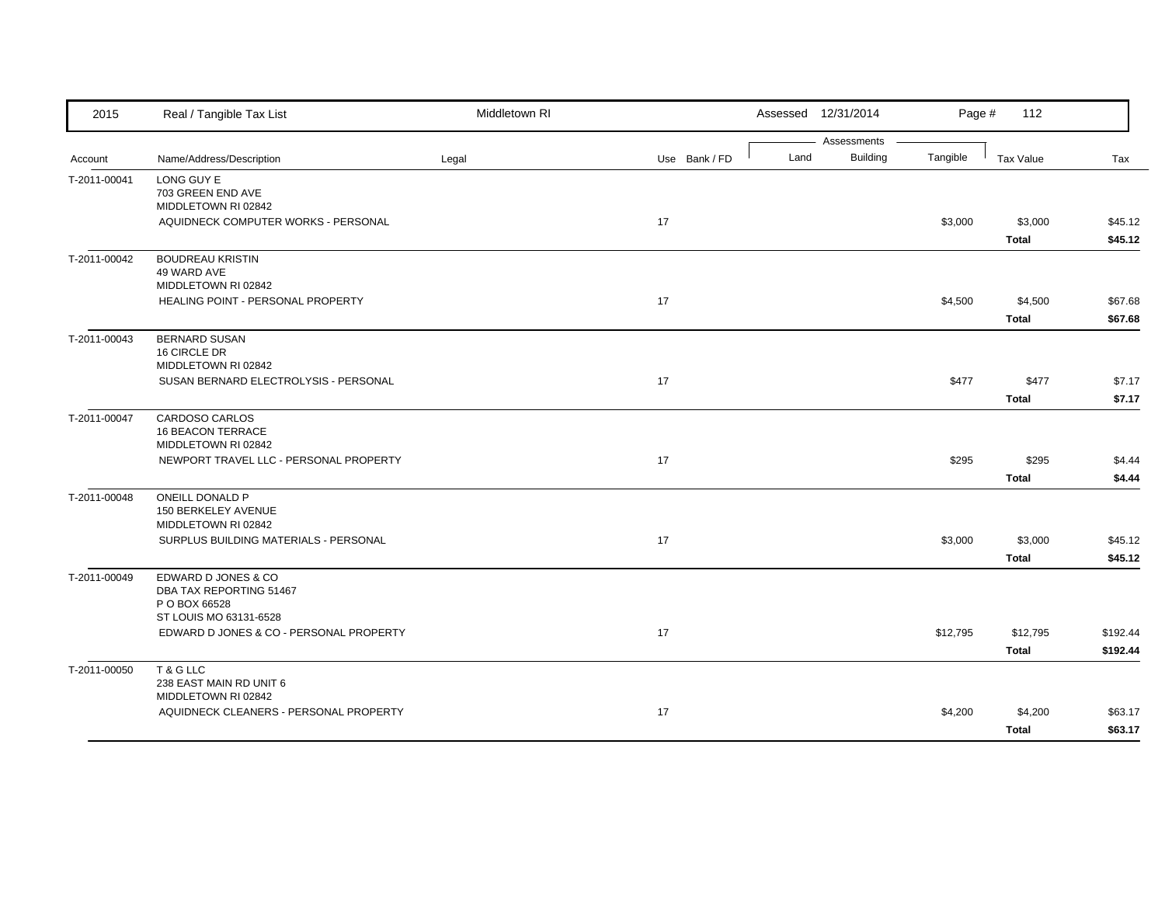| 2015         | Real / Tangible Tax List                 | Middletown RI |               |      | Assessed 12/31/2014            | Page #   | 112              |          |
|--------------|------------------------------------------|---------------|---------------|------|--------------------------------|----------|------------------|----------|
| Account      | Name/Address/Description                 | Legal         | Use Bank / FD | Land | Assessments<br><b>Building</b> | Tangible | <b>Tax Value</b> | Tax      |
|              | LONG GUY E                               |               |               |      |                                |          |                  |          |
| T-2011-00041 | 703 GREEN END AVE                        |               |               |      |                                |          |                  |          |
|              | MIDDLETOWN RI 02842                      |               |               |      |                                |          |                  |          |
|              | AQUIDNECK COMPUTER WORKS - PERSONAL      |               | 17            |      |                                | \$3,000  | \$3,000          | \$45.12  |
|              |                                          |               |               |      |                                |          | <b>Total</b>     | \$45.12  |
| T-2011-00042 | <b>BOUDREAU KRISTIN</b>                  |               |               |      |                                |          |                  |          |
|              | 49 WARD AVE                              |               |               |      |                                |          |                  |          |
|              | MIDDLETOWN RI 02842                      |               |               |      |                                |          |                  |          |
|              | HEALING POINT - PERSONAL PROPERTY        |               | 17            |      |                                | \$4,500  | \$4,500          | \$67.68  |
|              |                                          |               |               |      |                                |          | <b>Total</b>     | \$67.68  |
| T-2011-00043 | <b>BERNARD SUSAN</b>                     |               |               |      |                                |          |                  |          |
|              | 16 CIRCLE DR<br>MIDDLETOWN RI 02842      |               |               |      |                                |          |                  |          |
|              | SUSAN BERNARD ELECTROLYSIS - PERSONAL    |               | 17            |      |                                | \$477    | \$477            | \$7.17   |
|              |                                          |               |               |      |                                |          | <b>Total</b>     | \$7.17   |
| T-2011-00047 | CARDOSO CARLOS                           |               |               |      |                                |          |                  |          |
|              | 16 BEACON TERRACE                        |               |               |      |                                |          |                  |          |
|              | MIDDLETOWN RI 02842                      |               |               |      |                                |          |                  |          |
|              | NEWPORT TRAVEL LLC - PERSONAL PROPERTY   |               | 17            |      |                                | \$295    | \$295            | \$4.44   |
|              |                                          |               |               |      |                                |          | <b>Total</b>     | \$4.44   |
| T-2011-00048 | ONEILL DONALD P                          |               |               |      |                                |          |                  |          |
|              | 150 BERKELEY AVENUE                      |               |               |      |                                |          |                  |          |
|              | MIDDLETOWN RI 02842                      |               |               |      |                                |          |                  |          |
|              | SURPLUS BUILDING MATERIALS - PERSONAL    |               | 17            |      |                                | \$3,000  | \$3,000          | \$45.12  |
|              |                                          |               |               |      |                                |          | <b>Total</b>     | \$45.12  |
| T-2011-00049 | EDWARD D JONES & CO                      |               |               |      |                                |          |                  |          |
|              | DBA TAX REPORTING 51467<br>P O BOX 66528 |               |               |      |                                |          |                  |          |
|              | ST LOUIS MO 63131-6528                   |               |               |      |                                |          |                  |          |
|              | EDWARD D JONES & CO - PERSONAL PROPERTY  |               | 17            |      |                                | \$12,795 | \$12,795         | \$192.44 |
|              |                                          |               |               |      |                                |          | <b>Total</b>     | \$192.44 |
| T-2011-00050 | T & G LLC                                |               |               |      |                                |          |                  |          |
|              | 238 EAST MAIN RD UNIT 6                  |               |               |      |                                |          |                  |          |
|              | MIDDLETOWN RI 02842                      |               |               |      |                                |          |                  |          |
|              | AQUIDNECK CLEANERS - PERSONAL PROPERTY   |               | 17            |      |                                | \$4,200  | \$4,200          | \$63.17  |
|              |                                          |               |               |      |                                |          | <b>Total</b>     | \$63.17  |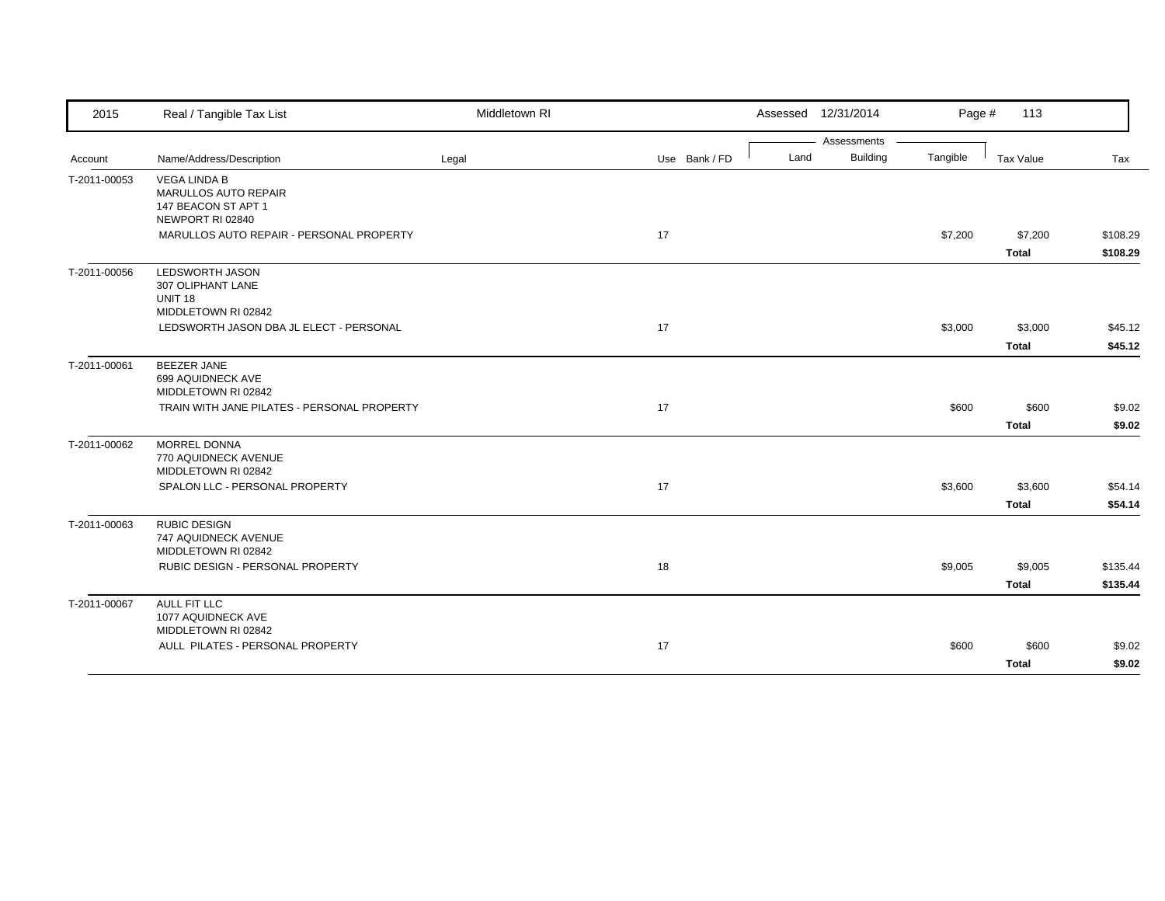| 2015         | Real / Tangible Tax List                                                               | Middletown RI |               |      | Assessed 12/31/2014 | Page #   | 113                     |                      |
|--------------|----------------------------------------------------------------------------------------|---------------|---------------|------|---------------------|----------|-------------------------|----------------------|
|              |                                                                                        |               |               |      | Assessments         |          |                         |                      |
| Account      | Name/Address/Description                                                               | Legal         | Use Bank / FD | Land | <b>Building</b>     | Tangible | Tax Value               | Tax                  |
| T-2011-00053 | <b>VEGA LINDA B</b><br>MARULLOS AUTO REPAIR<br>147 BEACON ST APT 1<br>NEWPORT RI 02840 |               |               |      |                     |          |                         |                      |
|              | MARULLOS AUTO REPAIR - PERSONAL PROPERTY                                               |               | 17            |      |                     | \$7,200  | \$7,200<br><b>Total</b> | \$108.29<br>\$108.29 |
| T-2011-00056 | <b>LEDSWORTH JASON</b><br>307 OLIPHANT LANE<br><b>UNIT 18</b><br>MIDDLETOWN RI 02842   |               |               |      |                     |          |                         |                      |
|              | LEDSWORTH JASON DBA JL ELECT - PERSONAL                                                |               | 17            |      |                     | \$3,000  | \$3,000<br><b>Total</b> | \$45.12<br>\$45.12   |
| T-2011-00061 | <b>BEEZER JANE</b><br>699 AQUIDNECK AVE<br>MIDDLETOWN RI 02842                         |               |               |      |                     |          |                         |                      |
|              | TRAIN WITH JANE PILATES - PERSONAL PROPERTY                                            |               | 17            |      |                     | \$600    | \$600<br><b>Total</b>   | \$9.02<br>\$9.02     |
| T-2011-00062 | MORREL DONNA<br>770 AQUIDNECK AVENUE<br>MIDDLETOWN RI 02842                            |               |               |      |                     |          |                         |                      |
|              | SPALON LLC - PERSONAL PROPERTY                                                         |               | 17            |      |                     | \$3,600  | \$3,600<br><b>Total</b> | \$54.14<br>\$54.14   |
| T-2011-00063 | <b>RUBIC DESIGN</b><br>747 AQUIDNECK AVENUE<br>MIDDLETOWN RI 02842                     |               |               |      |                     |          |                         |                      |
|              | RUBIC DESIGN - PERSONAL PROPERTY                                                       |               | 18            |      |                     | \$9,005  | \$9,005<br><b>Total</b> | \$135.44<br>\$135.44 |
| T-2011-00067 | AULL FIT LLC<br>1077 AQUIDNECK AVE<br>MIDDLETOWN RI 02842                              |               |               |      |                     |          |                         |                      |
|              | AULL PILATES - PERSONAL PROPERTY                                                       |               | 17            |      |                     | \$600    | \$600<br><b>Total</b>   | \$9.02<br>\$9.02     |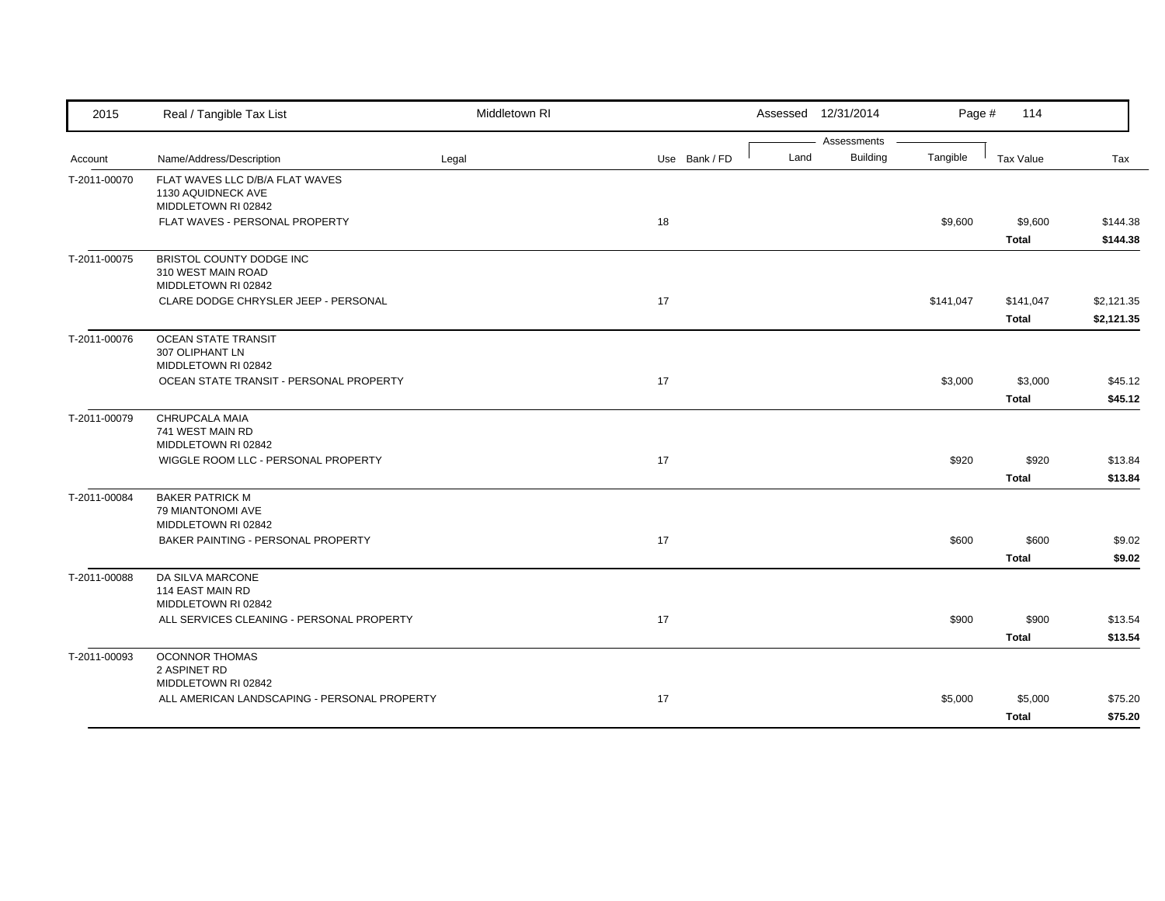| Assessments<br><b>Building</b><br>Land<br>Tangible<br>Name/Address/Description<br>Legal<br>Use Bank / FD<br><b>Tax Value</b><br>Tax<br>Account<br>FLAT WAVES LLC D/B/A FLAT WAVES<br>T-2011-00070<br>1130 AQUIDNECK AVE<br>MIDDLETOWN RI 02842<br>FLAT WAVES - PERSONAL PROPERTY<br>18<br>\$9,600<br>\$9,600<br>\$144.38<br><b>Total</b><br>\$144.38<br>BRISTOL COUNTY DODGE INC<br>T-2011-00075<br>310 WEST MAIN ROAD<br>MIDDLETOWN RI 02842<br>17<br>CLARE DODGE CHRYSLER JEEP - PERSONAL<br>\$141,047<br>\$141,047<br>\$2,121.35<br><b>Total</b><br>\$2,121.35<br><b>OCEAN STATE TRANSIT</b><br>307 OLIPHANT LN<br>MIDDLETOWN RI 02842<br>OCEAN STATE TRANSIT - PERSONAL PROPERTY<br>17<br>\$3,000<br>\$3,000<br>\$45.12<br>\$45.12<br><b>Total</b><br>CHRUPCALA MAIA<br>741 WEST MAIN RD<br>MIDDLETOWN RI 02842<br>17<br>WIGGLE ROOM LLC - PERSONAL PROPERTY<br>\$920<br>\$920<br>\$13.84<br><b>Total</b><br>\$13.84<br><b>BAKER PATRICK M</b><br>79 MIANTONOMI AVE<br>MIDDLETOWN RI 02842<br>BAKER PAINTING - PERSONAL PROPERTY<br>17<br>\$600<br>\$600<br>\$9.02<br><b>Total</b><br>\$9.02<br>DA SILVA MARCONE<br>114 EAST MAIN RD<br>MIDDLETOWN RI 02842<br>ALL SERVICES CLEANING - PERSONAL PROPERTY<br>17<br>\$900<br>\$900<br>\$13.54<br><b>Total</b><br>\$13.54<br><b>OCONNOR THOMAS</b><br>2 ASPINET RD<br>MIDDLETOWN RI 02842<br>ALL AMERICAN LANDSCAPING - PERSONAL PROPERTY<br>17<br>\$5,000<br>\$5,000<br>\$75.20 | 2015         | Real / Tangible Tax List | Middletown RI |  | Assessed 12/31/2014 | Page # | 114          |         |
|-----------------------------------------------------------------------------------------------------------------------------------------------------------------------------------------------------------------------------------------------------------------------------------------------------------------------------------------------------------------------------------------------------------------------------------------------------------------------------------------------------------------------------------------------------------------------------------------------------------------------------------------------------------------------------------------------------------------------------------------------------------------------------------------------------------------------------------------------------------------------------------------------------------------------------------------------------------------------------------------------------------------------------------------------------------------------------------------------------------------------------------------------------------------------------------------------------------------------------------------------------------------------------------------------------------------------------------------------------------------------------------------------------------------------------------|--------------|--------------------------|---------------|--|---------------------|--------|--------------|---------|
|                                                                                                                                                                                                                                                                                                                                                                                                                                                                                                                                                                                                                                                                                                                                                                                                                                                                                                                                                                                                                                                                                                                                                                                                                                                                                                                                                                                                                                   |              |                          |               |  |                     |        |              |         |
|                                                                                                                                                                                                                                                                                                                                                                                                                                                                                                                                                                                                                                                                                                                                                                                                                                                                                                                                                                                                                                                                                                                                                                                                                                                                                                                                                                                                                                   |              |                          |               |  |                     |        |              |         |
|                                                                                                                                                                                                                                                                                                                                                                                                                                                                                                                                                                                                                                                                                                                                                                                                                                                                                                                                                                                                                                                                                                                                                                                                                                                                                                                                                                                                                                   |              |                          |               |  |                     |        |              |         |
|                                                                                                                                                                                                                                                                                                                                                                                                                                                                                                                                                                                                                                                                                                                                                                                                                                                                                                                                                                                                                                                                                                                                                                                                                                                                                                                                                                                                                                   |              |                          |               |  |                     |        |              |         |
|                                                                                                                                                                                                                                                                                                                                                                                                                                                                                                                                                                                                                                                                                                                                                                                                                                                                                                                                                                                                                                                                                                                                                                                                                                                                                                                                                                                                                                   |              |                          |               |  |                     |        |              |         |
|                                                                                                                                                                                                                                                                                                                                                                                                                                                                                                                                                                                                                                                                                                                                                                                                                                                                                                                                                                                                                                                                                                                                                                                                                                                                                                                                                                                                                                   |              |                          |               |  |                     |        |              |         |
|                                                                                                                                                                                                                                                                                                                                                                                                                                                                                                                                                                                                                                                                                                                                                                                                                                                                                                                                                                                                                                                                                                                                                                                                                                                                                                                                                                                                                                   |              |                          |               |  |                     |        |              |         |
|                                                                                                                                                                                                                                                                                                                                                                                                                                                                                                                                                                                                                                                                                                                                                                                                                                                                                                                                                                                                                                                                                                                                                                                                                                                                                                                                                                                                                                   |              |                          |               |  |                     |        |              |         |
|                                                                                                                                                                                                                                                                                                                                                                                                                                                                                                                                                                                                                                                                                                                                                                                                                                                                                                                                                                                                                                                                                                                                                                                                                                                                                                                                                                                                                                   |              |                          |               |  |                     |        |              |         |
|                                                                                                                                                                                                                                                                                                                                                                                                                                                                                                                                                                                                                                                                                                                                                                                                                                                                                                                                                                                                                                                                                                                                                                                                                                                                                                                                                                                                                                   |              |                          |               |  |                     |        |              |         |
|                                                                                                                                                                                                                                                                                                                                                                                                                                                                                                                                                                                                                                                                                                                                                                                                                                                                                                                                                                                                                                                                                                                                                                                                                                                                                                                                                                                                                                   | T-2011-00076 |                          |               |  |                     |        |              |         |
|                                                                                                                                                                                                                                                                                                                                                                                                                                                                                                                                                                                                                                                                                                                                                                                                                                                                                                                                                                                                                                                                                                                                                                                                                                                                                                                                                                                                                                   |              |                          |               |  |                     |        |              |         |
|                                                                                                                                                                                                                                                                                                                                                                                                                                                                                                                                                                                                                                                                                                                                                                                                                                                                                                                                                                                                                                                                                                                                                                                                                                                                                                                                                                                                                                   |              |                          |               |  |                     |        |              |         |
|                                                                                                                                                                                                                                                                                                                                                                                                                                                                                                                                                                                                                                                                                                                                                                                                                                                                                                                                                                                                                                                                                                                                                                                                                                                                                                                                                                                                                                   |              |                          |               |  |                     |        |              |         |
|                                                                                                                                                                                                                                                                                                                                                                                                                                                                                                                                                                                                                                                                                                                                                                                                                                                                                                                                                                                                                                                                                                                                                                                                                                                                                                                                                                                                                                   | T-2011-00079 |                          |               |  |                     |        |              |         |
|                                                                                                                                                                                                                                                                                                                                                                                                                                                                                                                                                                                                                                                                                                                                                                                                                                                                                                                                                                                                                                                                                                                                                                                                                                                                                                                                                                                                                                   |              |                          |               |  |                     |        |              |         |
|                                                                                                                                                                                                                                                                                                                                                                                                                                                                                                                                                                                                                                                                                                                                                                                                                                                                                                                                                                                                                                                                                                                                                                                                                                                                                                                                                                                                                                   |              |                          |               |  |                     |        |              |         |
|                                                                                                                                                                                                                                                                                                                                                                                                                                                                                                                                                                                                                                                                                                                                                                                                                                                                                                                                                                                                                                                                                                                                                                                                                                                                                                                                                                                                                                   |              |                          |               |  |                     |        |              |         |
|                                                                                                                                                                                                                                                                                                                                                                                                                                                                                                                                                                                                                                                                                                                                                                                                                                                                                                                                                                                                                                                                                                                                                                                                                                                                                                                                                                                                                                   | T-2011-00084 |                          |               |  |                     |        |              |         |
|                                                                                                                                                                                                                                                                                                                                                                                                                                                                                                                                                                                                                                                                                                                                                                                                                                                                                                                                                                                                                                                                                                                                                                                                                                                                                                                                                                                                                                   |              |                          |               |  |                     |        |              |         |
|                                                                                                                                                                                                                                                                                                                                                                                                                                                                                                                                                                                                                                                                                                                                                                                                                                                                                                                                                                                                                                                                                                                                                                                                                                                                                                                                                                                                                                   |              |                          |               |  |                     |        |              |         |
|                                                                                                                                                                                                                                                                                                                                                                                                                                                                                                                                                                                                                                                                                                                                                                                                                                                                                                                                                                                                                                                                                                                                                                                                                                                                                                                                                                                                                                   |              |                          |               |  |                     |        |              |         |
|                                                                                                                                                                                                                                                                                                                                                                                                                                                                                                                                                                                                                                                                                                                                                                                                                                                                                                                                                                                                                                                                                                                                                                                                                                                                                                                                                                                                                                   | T-2011-00088 |                          |               |  |                     |        |              |         |
|                                                                                                                                                                                                                                                                                                                                                                                                                                                                                                                                                                                                                                                                                                                                                                                                                                                                                                                                                                                                                                                                                                                                                                                                                                                                                                                                                                                                                                   |              |                          |               |  |                     |        |              |         |
|                                                                                                                                                                                                                                                                                                                                                                                                                                                                                                                                                                                                                                                                                                                                                                                                                                                                                                                                                                                                                                                                                                                                                                                                                                                                                                                                                                                                                                   |              |                          |               |  |                     |        |              |         |
|                                                                                                                                                                                                                                                                                                                                                                                                                                                                                                                                                                                                                                                                                                                                                                                                                                                                                                                                                                                                                                                                                                                                                                                                                                                                                                                                                                                                                                   |              |                          |               |  |                     |        |              |         |
|                                                                                                                                                                                                                                                                                                                                                                                                                                                                                                                                                                                                                                                                                                                                                                                                                                                                                                                                                                                                                                                                                                                                                                                                                                                                                                                                                                                                                                   | T-2011-00093 |                          |               |  |                     |        |              |         |
|                                                                                                                                                                                                                                                                                                                                                                                                                                                                                                                                                                                                                                                                                                                                                                                                                                                                                                                                                                                                                                                                                                                                                                                                                                                                                                                                                                                                                                   |              |                          |               |  |                     |        |              |         |
|                                                                                                                                                                                                                                                                                                                                                                                                                                                                                                                                                                                                                                                                                                                                                                                                                                                                                                                                                                                                                                                                                                                                                                                                                                                                                                                                                                                                                                   |              |                          |               |  |                     |        |              |         |
|                                                                                                                                                                                                                                                                                                                                                                                                                                                                                                                                                                                                                                                                                                                                                                                                                                                                                                                                                                                                                                                                                                                                                                                                                                                                                                                                                                                                                                   |              |                          |               |  |                     |        | <b>Total</b> | \$75.20 |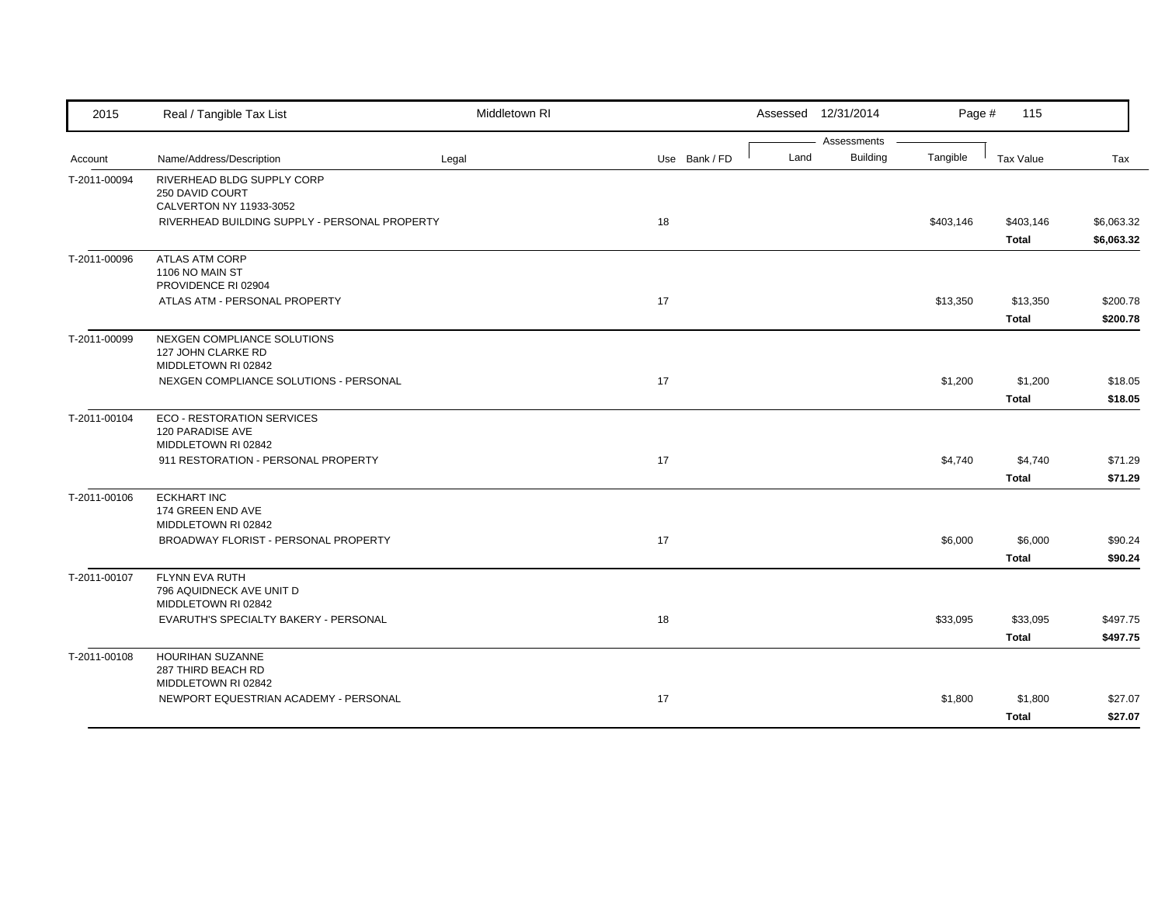| 2015         | Real / Tangible Tax List                                                                                                  | Middletown RI |               |      | Assessed 12/31/2014            | Page #    | 115                      |                      |
|--------------|---------------------------------------------------------------------------------------------------------------------------|---------------|---------------|------|--------------------------------|-----------|--------------------------|----------------------|
| Account      | Name/Address/Description                                                                                                  | Legal         | Use Bank / FD | Land | Assessments<br><b>Building</b> | Tangible  | Tax Value                | Tax                  |
| T-2011-00094 | RIVERHEAD BLDG SUPPLY CORP<br>250 DAVID COURT<br>CALVERTON NY 11933-3052<br>RIVERHEAD BUILDING SUPPLY - PERSONAL PROPERTY |               | 18            |      |                                | \$403,146 | \$403,146                | \$6,063.32           |
|              |                                                                                                                           |               |               |      |                                |           | <b>Total</b>             | \$6,063.32           |
| T-2011-00096 | <b>ATLAS ATM CORP</b><br>1106 NO MAIN ST<br>PROVIDENCE RI 02904                                                           |               |               |      |                                |           |                          |                      |
|              | ATLAS ATM - PERSONAL PROPERTY                                                                                             |               | 17            |      |                                | \$13,350  | \$13,350<br><b>Total</b> | \$200.78<br>\$200.78 |
| T-2011-00099 | NEXGEN COMPLIANCE SOLUTIONS<br>127 JOHN CLARKE RD<br>MIDDLETOWN RI 02842                                                  |               |               |      |                                |           |                          |                      |
|              | NEXGEN COMPLIANCE SOLUTIONS - PERSONAL                                                                                    |               | 17            |      |                                | \$1,200   | \$1,200<br><b>Total</b>  | \$18.05<br>\$18.05   |
| T-2011-00104 | <b>ECO - RESTORATION SERVICES</b><br>120 PARADISE AVE<br>MIDDLETOWN RI 02842                                              |               |               |      |                                |           |                          |                      |
|              | 911 RESTORATION - PERSONAL PROPERTY                                                                                       |               | 17            |      |                                | \$4,740   | \$4,740<br><b>Total</b>  | \$71.29<br>\$71.29   |
| T-2011-00106 | <b>ECKHART INC</b><br>174 GREEN END AVE<br>MIDDLETOWN RI 02842                                                            |               |               |      |                                |           |                          |                      |
|              | BROADWAY FLORIST - PERSONAL PROPERTY                                                                                      |               | 17            |      |                                | \$6,000   | \$6,000<br><b>Total</b>  | \$90.24<br>\$90.24   |
| T-2011-00107 | <b>FLYNN EVA RUTH</b><br>796 AQUIDNECK AVE UNIT D<br>MIDDLETOWN RI 02842                                                  |               |               |      |                                |           |                          |                      |
|              | EVARUTH'S SPECIALTY BAKERY - PERSONAL                                                                                     |               | 18            |      |                                | \$33,095  | \$33,095<br><b>Total</b> | \$497.75<br>\$497.75 |
| T-2011-00108 | HOURIHAN SUZANNE<br>287 THIRD BEACH RD<br>MIDDLETOWN RI 02842                                                             |               |               |      |                                |           |                          |                      |
|              | NEWPORT EQUESTRIAN ACADEMY - PERSONAL                                                                                     |               | 17            |      |                                | \$1,800   | \$1,800<br><b>Total</b>  | \$27.07<br>\$27.07   |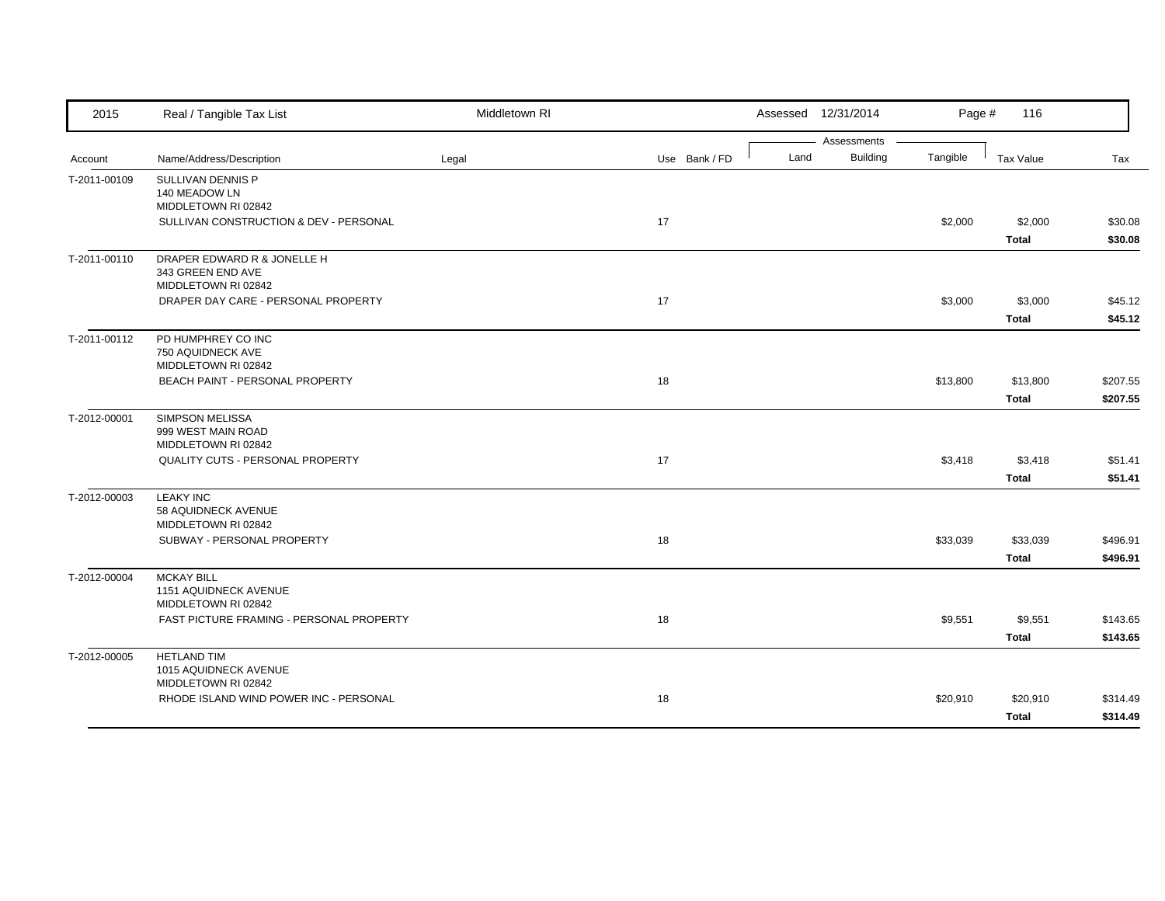| 2015         | Real / Tangible Tax List                                                | Middletown RI |               |      | Assessed 12/31/2014     | Page #   | 116                      |                      |
|--------------|-------------------------------------------------------------------------|---------------|---------------|------|-------------------------|----------|--------------------------|----------------------|
| Account      | Name/Address/Description                                                | Legal         | Use Bank / FD | Land | Assessments<br>Building | Tangible | Tax Value                | Tax                  |
| T-2011-00109 | SULLIVAN DENNIS P<br>140 MEADOW LN<br>MIDDLETOWN RI 02842               |               |               |      |                         |          |                          |                      |
|              | SULLIVAN CONSTRUCTION & DEV - PERSONAL                                  |               | 17            |      |                         | \$2,000  | \$2,000<br><b>Total</b>  | \$30.08<br>\$30.08   |
| T-2011-00110 | DRAPER EDWARD R & JONELLE H<br>343 GREEN END AVE<br>MIDDLETOWN RI 02842 |               |               |      |                         |          |                          |                      |
|              | DRAPER DAY CARE - PERSONAL PROPERTY                                     |               | 17            |      |                         | \$3,000  | \$3,000<br><b>Total</b>  | \$45.12<br>\$45.12   |
| T-2011-00112 | PD HUMPHREY CO INC<br>750 AQUIDNECK AVE<br>MIDDLETOWN RI 02842          |               |               |      |                         |          |                          |                      |
|              | BEACH PAINT - PERSONAL PROPERTY                                         |               | 18            |      |                         | \$13,800 | \$13,800<br><b>Total</b> | \$207.55<br>\$207.55 |
| T-2012-00001 | <b>SIMPSON MELISSA</b><br>999 WEST MAIN ROAD<br>MIDDLETOWN RI 02842     |               |               |      |                         |          |                          |                      |
|              | QUALITY CUTS - PERSONAL PROPERTY                                        |               | 17            |      |                         | \$3,418  | \$3,418<br><b>Total</b>  | \$51.41<br>\$51.41   |
| T-2012-00003 | <b>LEAKY INC</b><br>58 AQUIDNECK AVENUE<br>MIDDLETOWN RI 02842          |               |               |      |                         |          |                          |                      |
|              | SUBWAY - PERSONAL PROPERTY                                              |               | 18            |      |                         | \$33,039 | \$33,039<br><b>Total</b> | \$496.91<br>\$496.91 |
| T-2012-00004 | <b>MCKAY BILL</b><br>1151 AQUIDNECK AVENUE<br>MIDDLETOWN RI 02842       |               |               |      |                         |          |                          |                      |
|              | FAST PICTURE FRAMING - PERSONAL PROPERTY                                |               | 18            |      |                         | \$9,551  | \$9,551<br><b>Total</b>  | \$143.65<br>\$143.65 |
| T-2012-00005 | <b>HETLAND TIM</b><br>1015 AQUIDNECK AVENUE<br>MIDDLETOWN RI 02842      |               |               |      |                         |          |                          |                      |
|              | RHODE ISLAND WIND POWER INC - PERSONAL                                  |               | 18            |      |                         | \$20,910 | \$20,910<br><b>Total</b> | \$314.49<br>\$314.49 |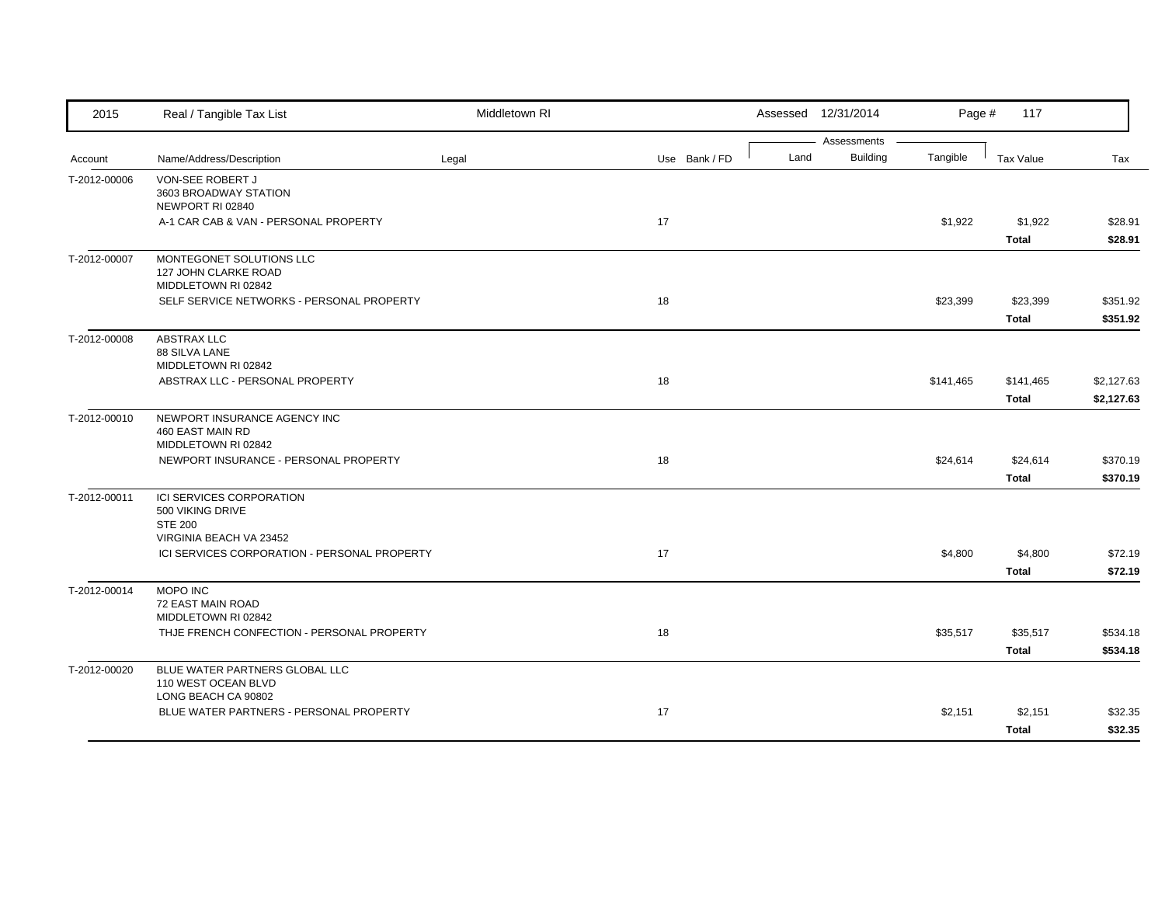| 2015         | Real / Tangible Tax List                                                                         | Middletown RI |               |      | Assessed 12/31/2014            | Page #    | 117                       |                          |
|--------------|--------------------------------------------------------------------------------------------------|---------------|---------------|------|--------------------------------|-----------|---------------------------|--------------------------|
| Account      | Name/Address/Description                                                                         | Legal         | Use Bank / FD | Land | Assessments<br><b>Building</b> | Tangible  | <b>Tax Value</b>          | Tax                      |
| T-2012-00006 | VON-SEE ROBERT J<br>3603 BROADWAY STATION<br>NEWPORT RI 02840                                    |               |               |      |                                |           |                           |                          |
|              | A-1 CAR CAB & VAN - PERSONAL PROPERTY                                                            |               | 17            |      |                                | \$1,922   | \$1,922<br><b>Total</b>   | \$28.91<br>\$28.91       |
| T-2012-00007 | MONTEGONET SOLUTIONS LLC<br>127 JOHN CLARKE ROAD<br>MIDDLETOWN RI 02842                          |               |               |      |                                |           |                           |                          |
|              | SELF SERVICE NETWORKS - PERSONAL PROPERTY                                                        |               | 18            |      |                                | \$23,399  | \$23,399<br><b>Total</b>  | \$351.92<br>\$351.92     |
| T-2012-00008 | <b>ABSTRAX LLC</b><br>88 SILVA LANE<br>MIDDLETOWN RI 02842                                       |               |               |      |                                |           |                           |                          |
|              | ABSTRAX LLC - PERSONAL PROPERTY                                                                  |               | 18            |      |                                | \$141,465 | \$141,465<br><b>Total</b> | \$2,127.63<br>\$2,127.63 |
| T-2012-00010 | NEWPORT INSURANCE AGENCY INC<br>460 EAST MAIN RD<br>MIDDLETOWN RI 02842                          |               |               |      |                                |           |                           |                          |
|              | NEWPORT INSURANCE - PERSONAL PROPERTY                                                            |               | 18            |      |                                | \$24,614  | \$24,614<br><b>Total</b>  | \$370.19<br>\$370.19     |
| T-2012-00011 | <b>ICI SERVICES CORPORATION</b><br>500 VIKING DRIVE<br><b>STE 200</b><br>VIRGINIA BEACH VA 23452 |               |               |      |                                |           |                           |                          |
|              | ICI SERVICES CORPORATION - PERSONAL PROPERTY                                                     |               | 17            |      |                                | \$4,800   | \$4,800<br><b>Total</b>   | \$72.19<br>\$72.19       |
| T-2012-00014 | MOPO INC<br>72 EAST MAIN ROAD<br>MIDDLETOWN RI 02842                                             |               |               |      |                                |           |                           |                          |
|              | THJE FRENCH CONFECTION - PERSONAL PROPERTY                                                       |               | 18            |      |                                | \$35,517  | \$35,517<br><b>Total</b>  | \$534.18<br>\$534.18     |
| T-2012-00020 | BLUE WATER PARTNERS GLOBAL LLC<br>110 WEST OCEAN BLVD<br>LONG BEACH CA 90802                     |               |               |      |                                |           |                           |                          |
|              | BLUE WATER PARTNERS - PERSONAL PROPERTY                                                          |               | 17            |      |                                | \$2,151   | \$2,151<br><b>Total</b>   | \$32.35<br>\$32.35       |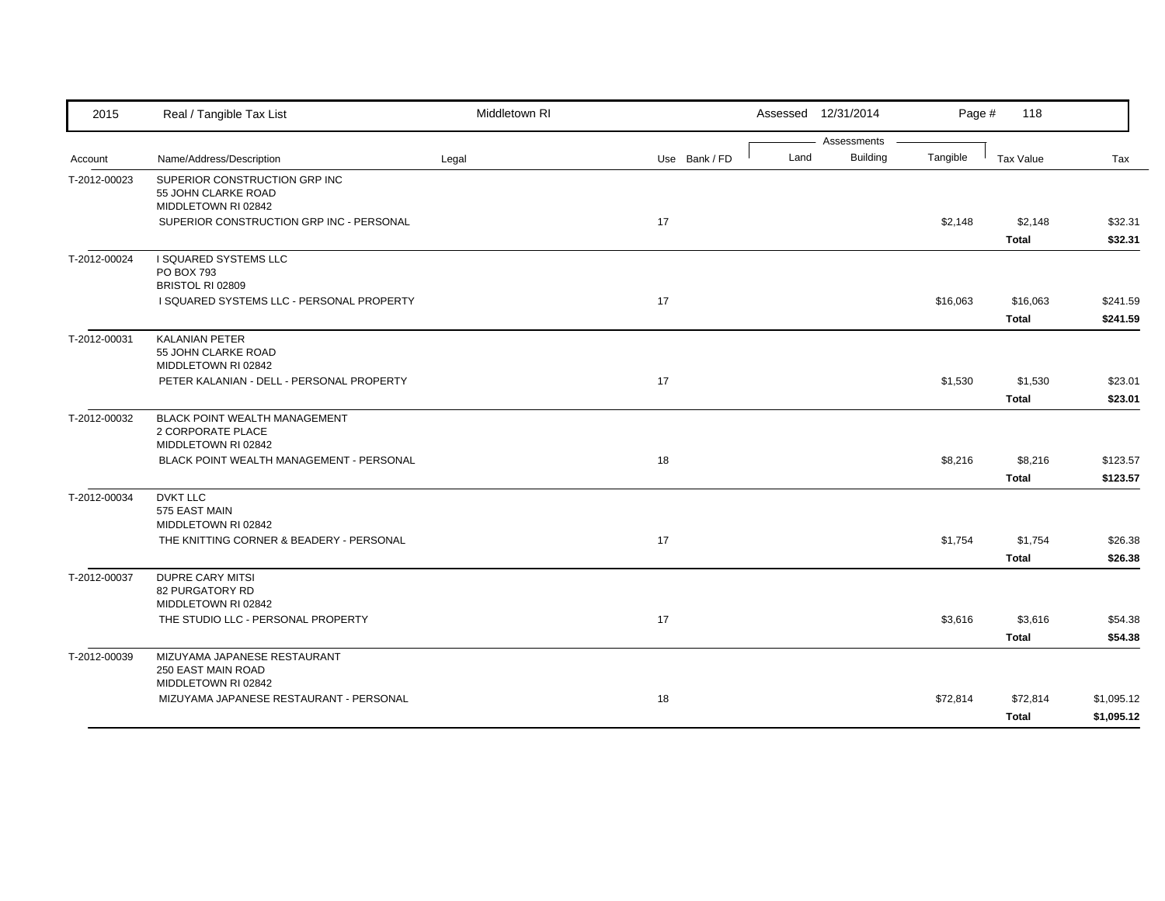| 2015         | Real / Tangible Tax List                                                                                                            | Middletown RI |               |      | Assessed 12/31/2014            | Page #   | 118                      |                          |
|--------------|-------------------------------------------------------------------------------------------------------------------------------------|---------------|---------------|------|--------------------------------|----------|--------------------------|--------------------------|
| Account      | Name/Address/Description                                                                                                            | Legal         | Use Bank / FD | Land | Assessments<br><b>Building</b> | Tangible | <b>Tax Value</b>         | Tax                      |
| T-2012-00023 | SUPERIOR CONSTRUCTION GRP INC<br>55 JOHN CLARKE ROAD<br>MIDDLETOWN RI 02842<br>SUPERIOR CONSTRUCTION GRP INC - PERSONAL             |               | 17            |      |                                | \$2,148  | \$2,148<br><b>Total</b>  | \$32.31<br>\$32.31       |
| T-2012-00024 | I SQUARED SYSTEMS LLC<br>PO BOX 793<br>BRISTOL RI 02809<br>I SQUARED SYSTEMS LLC - PERSONAL PROPERTY                                |               | 17            |      |                                | \$16,063 | \$16,063<br><b>Total</b> | \$241.59<br>\$241.59     |
| T-2012-00031 | <b>KALANIAN PETER</b><br>55 JOHN CLARKE ROAD<br>MIDDLETOWN RI 02842<br>PETER KALANIAN - DELL - PERSONAL PROPERTY                    |               | 17            |      |                                | \$1,530  | \$1,530<br><b>Total</b>  | \$23.01<br>\$23.01       |
| T-2012-00032 | <b>BLACK POINT WEALTH MANAGEMENT</b><br>2 CORPORATE PLACE<br>MIDDLETOWN RI 02842<br><b>BLACK POINT WEALTH MANAGEMENT - PERSONAL</b> |               | 18            |      |                                | \$8,216  | \$8,216<br><b>Total</b>  | \$123.57<br>\$123.57     |
| T-2012-00034 | <b>DVKT LLC</b><br>575 EAST MAIN<br>MIDDLETOWN RI 02842<br>THE KNITTING CORNER & BEADERY - PERSONAL                                 |               | 17            |      |                                | \$1,754  | \$1,754<br><b>Total</b>  | \$26.38<br>\$26.38       |
| T-2012-00037 | <b>DUPRE CARY MITSI</b><br>82 PURGATORY RD<br>MIDDLETOWN RI 02842<br>THE STUDIO LLC - PERSONAL PROPERTY                             |               | 17            |      |                                | \$3,616  | \$3,616<br><b>Total</b>  | \$54.38<br>\$54.38       |
| T-2012-00039 | MIZUYAMA JAPANESE RESTAURANT<br>250 EAST MAIN ROAD<br>MIDDLETOWN RI 02842<br>MIZUYAMA JAPANESE RESTAURANT - PERSONAL                |               | 18            |      |                                | \$72,814 | \$72,814<br><b>Total</b> | \$1,095.12<br>\$1,095.12 |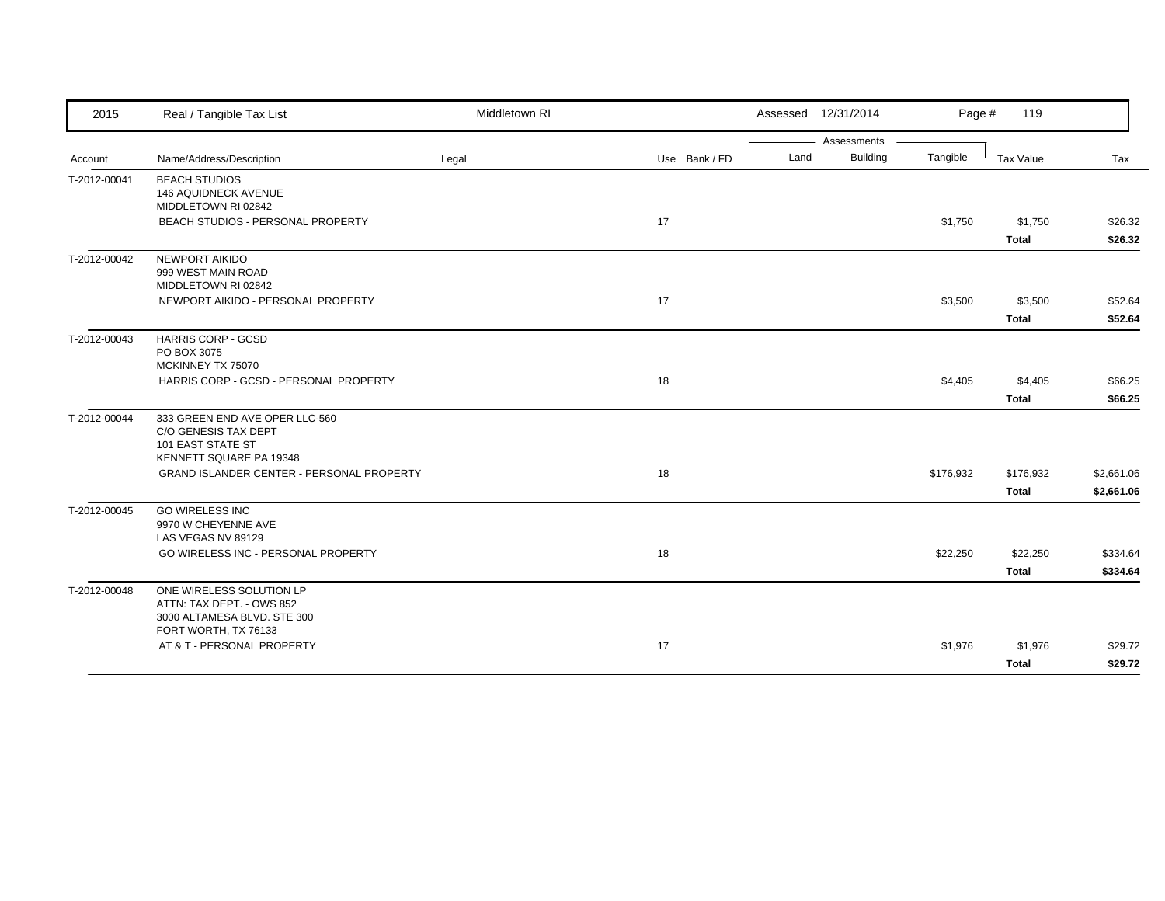| 2015         | Real / Tangible Tax List                                                                               | Middletown RI |               |      | Assessed 12/31/2014            | Page #    | 119                       |                          |
|--------------|--------------------------------------------------------------------------------------------------------|---------------|---------------|------|--------------------------------|-----------|---------------------------|--------------------------|
| Account      | Name/Address/Description                                                                               | Legal         | Use Bank / FD | Land | Assessments<br><b>Building</b> | Tangible  | Tax Value                 | Tax                      |
| T-2012-00041 | <b>BEACH STUDIOS</b><br>146 AQUIDNECK AVENUE<br>MIDDLETOWN RI 02842                                    |               |               |      |                                |           |                           |                          |
|              | BEACH STUDIOS - PERSONAL PROPERTY                                                                      |               | 17            |      |                                | \$1,750   | \$1,750<br><b>Total</b>   | \$26.32<br>\$26.32       |
| T-2012-00042 | NEWPORT AIKIDO<br>999 WEST MAIN ROAD<br>MIDDLETOWN RI 02842                                            |               |               |      |                                |           |                           |                          |
|              | NEWPORT AIKIDO - PERSONAL PROPERTY                                                                     |               | 17            |      |                                | \$3,500   | \$3,500<br><b>Total</b>   | \$52.64<br>\$52.64       |
| T-2012-00043 | <b>HARRIS CORP - GCSD</b><br>PO BOX 3075<br>MCKINNEY TX 75070                                          |               |               |      |                                |           |                           |                          |
|              | HARRIS CORP - GCSD - PERSONAL PROPERTY                                                                 |               | 18            |      |                                | \$4,405   | \$4,405<br><b>Total</b>   | \$66.25<br>\$66.25       |
| T-2012-00044 | 333 GREEN END AVE OPER LLC-560<br>C/O GENESIS TAX DEPT<br>101 EAST STATE ST<br>KENNETT SQUARE PA 19348 |               |               |      |                                |           |                           |                          |
|              | <b>GRAND ISLANDER CENTER - PERSONAL PROPERTY</b>                                                       |               | 18            |      |                                | \$176,932 | \$176,932<br><b>Total</b> | \$2,661.06<br>\$2,661.06 |
| T-2012-00045 | <b>GO WIRELESS INC</b><br>9970 W CHEYENNE AVE<br>LAS VEGAS NV 89129                                    |               |               |      |                                |           |                           |                          |
|              | GO WIRELESS INC - PERSONAL PROPERTY                                                                    |               | 18            |      |                                | \$22,250  | \$22,250<br><b>Total</b>  | \$334.64<br>\$334.64     |
| T-2012-00048 | ONE WIRELESS SOLUTION LP<br>ATTN: TAX DEPT. - OWS 852<br>3000 ALTAMESA BLVD. STE 300                   |               |               |      |                                |           |                           |                          |
|              | FORT WORTH, TX 76133<br>AT & T - PERSONAL PROPERTY                                                     |               | 17            |      |                                | \$1,976   | \$1,976<br><b>Total</b>   | \$29.72<br>\$29.72       |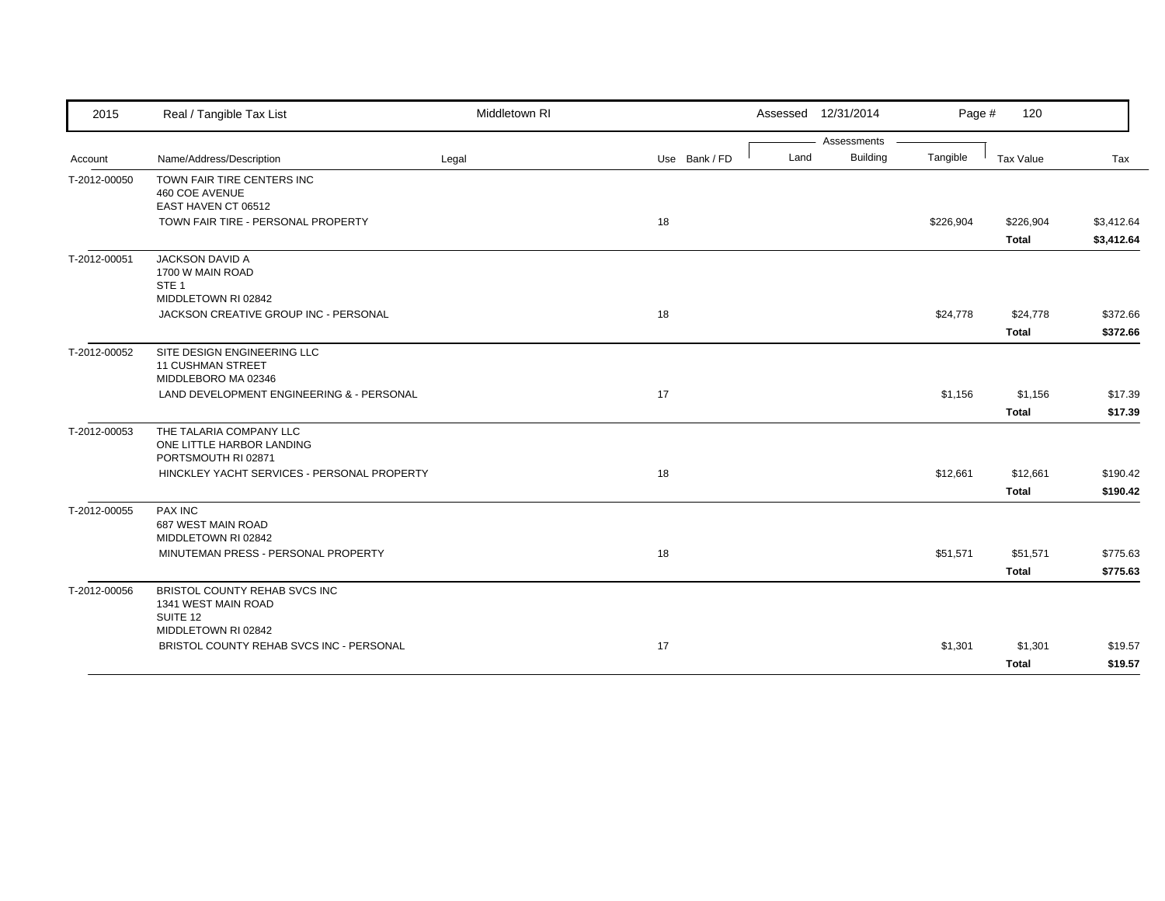| 2015         | Real / Tangible Tax List                                                              | Middletown RI |               |      | Assessed 12/31/2014 | Page #    | 120                       |                          |
|--------------|---------------------------------------------------------------------------------------|---------------|---------------|------|---------------------|-----------|---------------------------|--------------------------|
|              |                                                                                       |               |               |      | Assessments         |           |                           |                          |
| Account      | Name/Address/Description                                                              | Legal         | Use Bank / FD | Land | <b>Building</b>     | Tangible  | Tax Value                 | Tax                      |
| T-2012-00050 | TOWN FAIR TIRE CENTERS INC<br>460 COE AVENUE<br>EAST HAVEN CT 06512                   |               |               |      |                     |           |                           |                          |
|              | TOWN FAIR TIRE - PERSONAL PROPERTY                                                    |               | 18            |      |                     | \$226,904 | \$226,904<br><b>Total</b> | \$3,412.64<br>\$3,412.64 |
| T-2012-00051 | <b>JACKSON DAVID A</b><br>1700 W MAIN ROAD<br>STE <sub>1</sub><br>MIDDLETOWN RI 02842 |               |               |      |                     |           |                           |                          |
|              | JACKSON CREATIVE GROUP INC - PERSONAL                                                 |               | 18            |      |                     | \$24,778  | \$24,778                  | \$372.66                 |
|              |                                                                                       |               |               |      |                     |           | <b>Total</b>              | \$372.66                 |
| T-2012-00052 | SITE DESIGN ENGINEERING LLC<br><b>11 CUSHMAN STREET</b><br>MIDDLEBORO MA 02346        |               |               |      |                     |           |                           |                          |
|              | LAND DEVELOPMENT ENGINEERING & - PERSONAL                                             |               | 17            |      |                     | \$1,156   | \$1,156                   | \$17.39                  |
|              |                                                                                       |               |               |      |                     |           | <b>Total</b>              | \$17.39                  |
| T-2012-00053 | THE TALARIA COMPANY LLC<br>ONE LITTLE HARBOR LANDING<br>PORTSMOUTH RI 02871           |               |               |      |                     |           |                           |                          |
|              | HINCKLEY YACHT SERVICES - PERSONAL PROPERTY                                           |               | 18            |      |                     | \$12,661  | \$12,661                  | \$190.42                 |
|              |                                                                                       |               |               |      |                     |           | <b>Total</b>              | \$190.42                 |
| T-2012-00055 | <b>PAX INC</b><br>687 WEST MAIN ROAD<br>MIDDLETOWN RI 02842                           |               |               |      |                     |           |                           |                          |
|              | MINUTEMAN PRESS - PERSONAL PROPERTY                                                   |               | 18            |      |                     | \$51,571  | \$51,571                  | \$775.63                 |
|              |                                                                                       |               |               |      |                     |           | <b>Total</b>              | \$775.63                 |
| T-2012-00056 | BRISTOL COUNTY REHAB SVCS INC<br>1341 WEST MAIN ROAD<br>SUITE 12                      |               |               |      |                     |           |                           |                          |
|              | MIDDLETOWN RI 02842                                                                   |               |               |      |                     |           |                           |                          |
|              | BRISTOL COUNTY REHAB SVCS INC - PERSONAL                                              |               | 17            |      |                     | \$1,301   | \$1,301                   | \$19.57                  |
|              |                                                                                       |               |               |      |                     |           | <b>Total</b>              | \$19.57                  |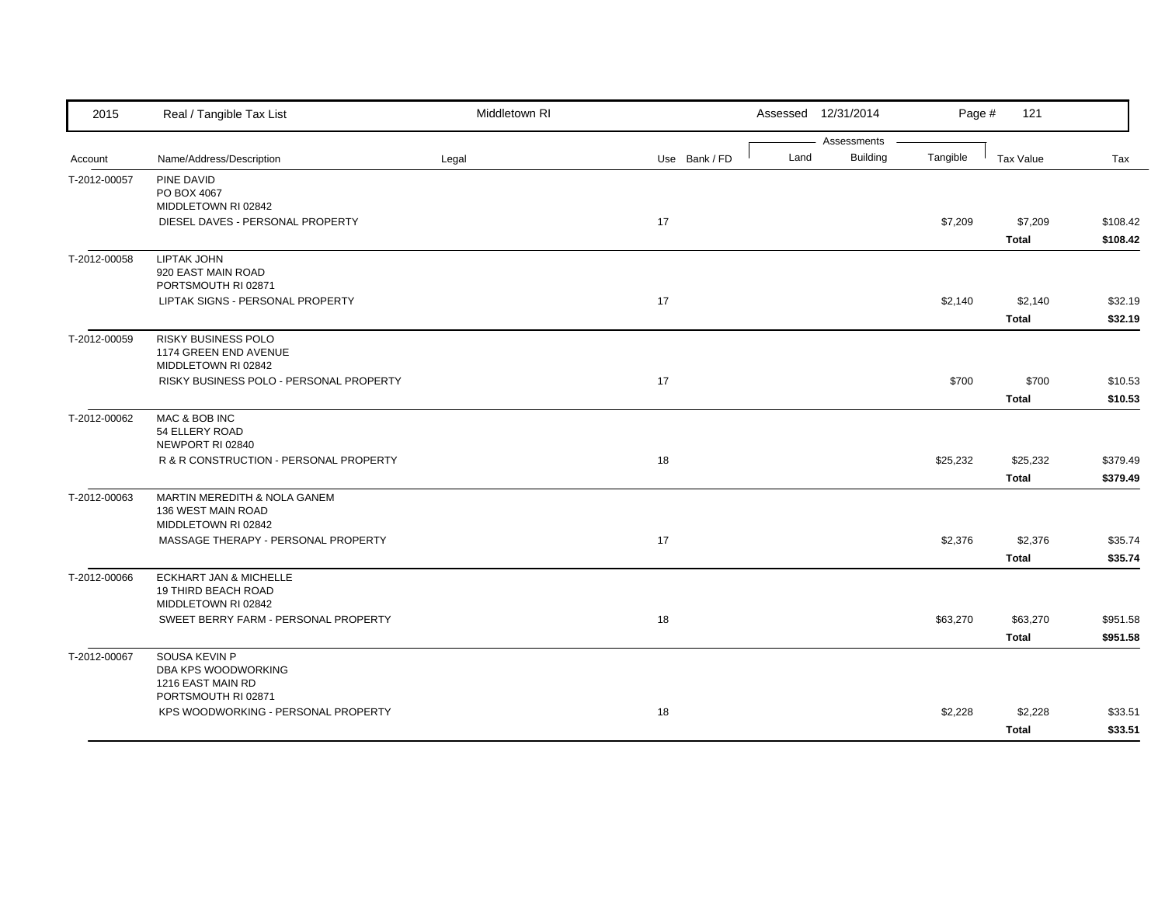| 2015         | Real / Tangible Tax List                                                         | Middletown RI |               | Assessed 12/31/2014                    | Page #   | 121                      |                      |
|--------------|----------------------------------------------------------------------------------|---------------|---------------|----------------------------------------|----------|--------------------------|----------------------|
| Account      | Name/Address/Description                                                         | Legal         | Use Bank / FD | Assessments<br><b>Building</b><br>Land | Tangible | Tax Value                | Tax                  |
| T-2012-00057 | PINE DAVID<br>PO BOX 4067                                                        |               |               |                                        |          |                          |                      |
|              | MIDDLETOWN RI 02842<br>DIESEL DAVES - PERSONAL PROPERTY                          |               | 17            |                                        | \$7,209  | \$7,209<br><b>Total</b>  | \$108.42<br>\$108.42 |
| T-2012-00058 | <b>LIPTAK JOHN</b><br>920 EAST MAIN ROAD<br>PORTSMOUTH RI 02871                  |               |               |                                        |          |                          |                      |
|              | LIPTAK SIGNS - PERSONAL PROPERTY                                                 |               | 17            |                                        | \$2,140  | \$2,140<br><b>Total</b>  | \$32.19<br>\$32.19   |
| T-2012-00059 | RISKY BUSINESS POLO<br>1174 GREEN END AVENUE<br>MIDDLETOWN RI 02842              |               |               |                                        |          |                          |                      |
|              | RISKY BUSINESS POLO - PERSONAL PROPERTY                                          |               | 17            |                                        | \$700    | \$700<br><b>Total</b>    | \$10.53<br>\$10.53   |
| T-2012-00062 | MAC & BOB INC<br>54 ELLERY ROAD<br>NEWPORT RI 02840                              |               |               |                                        |          |                          |                      |
|              | R & R CONSTRUCTION - PERSONAL PROPERTY                                           |               | 18            |                                        | \$25,232 | \$25,232<br><b>Total</b> | \$379.49<br>\$379.49 |
| T-2012-00063 | MARTIN MEREDITH & NOLA GANEM<br>136 WEST MAIN ROAD<br>MIDDLETOWN RI 02842        |               |               |                                        |          |                          |                      |
|              | MASSAGE THERAPY - PERSONAL PROPERTY                                              |               | 17            |                                        | \$2,376  | \$2,376<br>Total         | \$35.74<br>\$35.74   |
| T-2012-00066 | <b>ECKHART JAN &amp; MICHELLE</b><br>19 THIRD BEACH ROAD<br>MIDDLETOWN RI 02842  |               |               |                                        |          |                          |                      |
|              | SWEET BERRY FARM - PERSONAL PROPERTY                                             |               | 18            |                                        | \$63,270 | \$63,270<br><b>Total</b> | \$951.58<br>\$951.58 |
| T-2012-00067 | SOUSA KEVIN P<br>DBA KPS WOODWORKING<br>1216 EAST MAIN RD<br>PORTSMOUTH RI 02871 |               |               |                                        |          |                          |                      |
|              | KPS WOODWORKING - PERSONAL PROPERTY                                              |               | 18            |                                        | \$2,228  | \$2,228<br><b>Total</b>  | \$33.51<br>\$33.51   |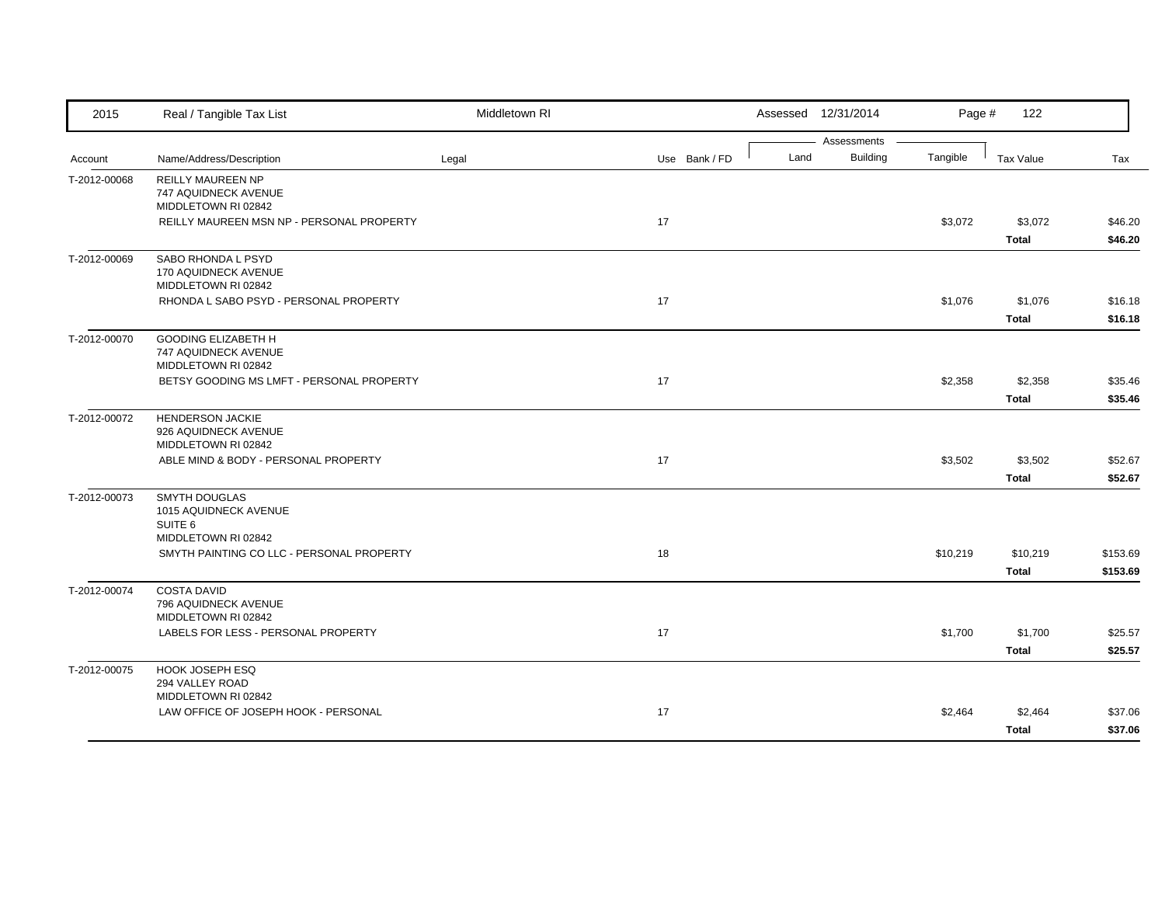| 2015         | Real / Tangible Tax List                                                        | Middletown RI |               |      | Assessed 12/31/2014            | Page #   | 122                      |                      |
|--------------|---------------------------------------------------------------------------------|---------------|---------------|------|--------------------------------|----------|--------------------------|----------------------|
| Account      | Name/Address/Description                                                        | Legal         | Use Bank / FD | Land | Assessments<br><b>Building</b> | Tangible | <b>Tax Value</b>         | Tax                  |
| T-2012-00068 | <b>REILLY MAUREEN NP</b><br>747 AQUIDNECK AVENUE<br>MIDDLETOWN RI 02842         |               |               |      |                                |          |                          |                      |
|              | REILLY MAUREEN MSN NP - PERSONAL PROPERTY                                       |               | 17            |      |                                | \$3,072  | \$3,072<br><b>Total</b>  | \$46.20<br>\$46.20   |
| T-2012-00069 | SABO RHONDA L PSYD<br>170 AQUIDNECK AVENUE<br>MIDDLETOWN RI 02842               |               |               |      |                                |          |                          |                      |
|              | RHONDA L SABO PSYD - PERSONAL PROPERTY                                          |               | 17            |      |                                | \$1,076  | \$1,076<br><b>Total</b>  | \$16.18<br>\$16.18   |
| T-2012-00070 | <b>GOODING ELIZABETH H</b><br>747 AQUIDNECK AVENUE<br>MIDDLETOWN RI 02842       |               |               |      |                                |          |                          |                      |
|              | BETSY GOODING MS LMFT - PERSONAL PROPERTY                                       |               | 17            |      |                                | \$2,358  | \$2,358<br><b>Total</b>  | \$35.46<br>\$35.46   |
| T-2012-00072 | <b>HENDERSON JACKIE</b><br>926 AQUIDNECK AVENUE<br>MIDDLETOWN RI 02842          |               |               |      |                                |          |                          |                      |
|              | ABLE MIND & BODY - PERSONAL PROPERTY                                            |               | 17            |      |                                | \$3,502  | \$3,502<br><b>Total</b>  | \$52.67<br>\$52.67   |
| T-2012-00073 | <b>SMYTH DOUGLAS</b><br>1015 AQUIDNECK AVENUE<br>SUITE 6<br>MIDDLETOWN RI 02842 |               |               |      |                                |          |                          |                      |
|              | SMYTH PAINTING CO LLC - PERSONAL PROPERTY                                       |               | 18            |      |                                | \$10,219 | \$10,219<br><b>Total</b> | \$153.69<br>\$153.69 |
| T-2012-00074 | <b>COSTA DAVID</b><br>796 AQUIDNECK AVENUE<br>MIDDLETOWN RI 02842               |               |               |      |                                |          |                          |                      |
|              | LABELS FOR LESS - PERSONAL PROPERTY                                             |               | 17            |      |                                | \$1,700  | \$1,700<br><b>Total</b>  | \$25.57<br>\$25.57   |
| T-2012-00075 | HOOK JOSEPH ESQ<br>294 VALLEY ROAD<br>MIDDLETOWN RI 02842                       |               |               |      |                                |          |                          |                      |
|              | LAW OFFICE OF JOSEPH HOOK - PERSONAL                                            |               | 17            |      |                                | \$2,464  | \$2,464<br><b>Total</b>  | \$37.06<br>\$37.06   |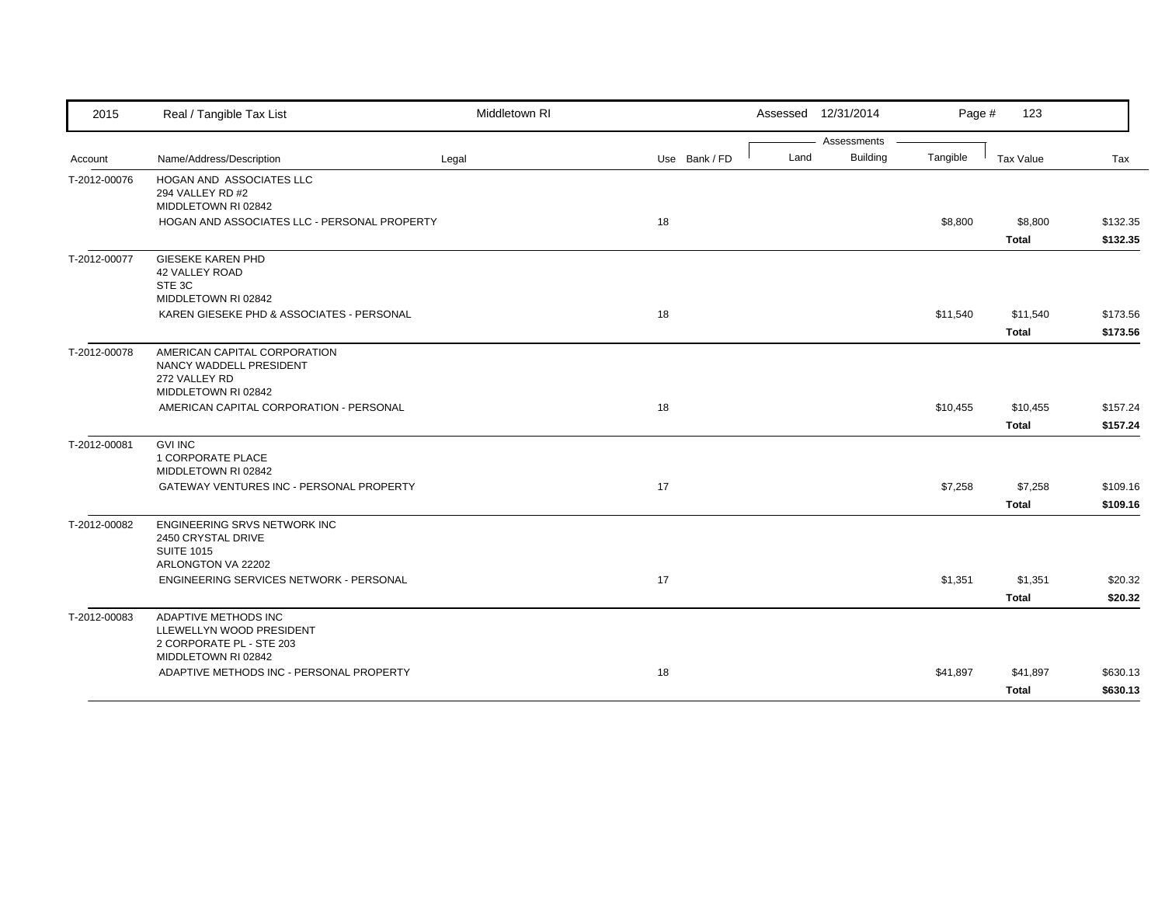| 2015         | Real / Tangible Tax List                                                                               | Middletown RI |               | Assessed 12/31/2014     | Page #   | 123                     |                      |
|--------------|--------------------------------------------------------------------------------------------------------|---------------|---------------|-------------------------|----------|-------------------------|----------------------|
|              |                                                                                                        |               |               | Assessments             |          |                         |                      |
| Account      | Name/Address/Description                                                                               | Legal         | Use Bank / FD | <b>Building</b><br>Land | Tangible | <b>Tax Value</b>        | Tax                  |
| T-2012-00076 | HOGAN AND ASSOCIATES LLC<br>294 VALLEY RD #2<br>MIDDLETOWN RI 02842                                    |               |               |                         |          |                         |                      |
|              | HOGAN AND ASSOCIATES LLC - PERSONAL PROPERTY                                                           |               | 18            |                         | \$8,800  | \$8,800                 | \$132.35             |
|              |                                                                                                        |               |               |                         |          | <b>Total</b>            | \$132.35             |
| T-2012-00077 | <b>GIESEKE KAREN PHD</b><br><b>42 VALLEY ROAD</b><br>STE 3C<br>MIDDLETOWN RI 02842                     |               |               |                         |          |                         |                      |
|              | KAREN GIESEKE PHD & ASSOCIATES - PERSONAL                                                              |               | 18            |                         | \$11,540 | \$11,540                | \$173.56             |
|              |                                                                                                        |               |               |                         |          | <b>Total</b>            | \$173.56             |
| T-2012-00078 | AMERICAN CAPITAL CORPORATION<br>NANCY WADDELL PRESIDENT<br>272 VALLEY RD<br>MIDDLETOWN RI 02842        |               |               |                         |          |                         |                      |
|              | AMERICAN CAPITAL CORPORATION - PERSONAL                                                                |               | 18            |                         | \$10,455 | \$10,455                | \$157.24             |
|              |                                                                                                        |               |               |                         |          | <b>Total</b>            | \$157.24             |
| T-2012-00081 | <b>GVI INC</b><br>1 CORPORATE PLACE<br>MIDDLETOWN RI 02842<br>GATEWAY VENTURES INC - PERSONAL PROPERTY |               | 17            |                         | \$7,258  | \$7,258<br><b>Total</b> | \$109.16<br>\$109.16 |
| T-2012-00082 | ENGINEERING SRVS NETWORK INC<br>2450 CRYSTAL DRIVE<br><b>SUITE 1015</b><br>ARLONGTON VA 22202          |               |               |                         |          |                         |                      |
|              | ENGINEERING SERVICES NETWORK - PERSONAL                                                                |               | 17            |                         | \$1,351  | \$1,351                 | \$20.32              |
|              |                                                                                                        |               |               |                         |          | <b>Total</b>            | \$20.32              |
| T-2012-00083 | ADAPTIVE METHODS INC<br>LLEWELLYN WOOD PRESIDENT<br>2 CORPORATE PL - STE 203<br>MIDDLETOWN RI 02842    |               |               |                         |          |                         |                      |
|              | ADAPTIVE METHODS INC - PERSONAL PROPERTY                                                               |               | 18            |                         | \$41,897 | \$41,897                | \$630.13             |
|              |                                                                                                        |               |               |                         |          | <b>Total</b>            | \$630.13             |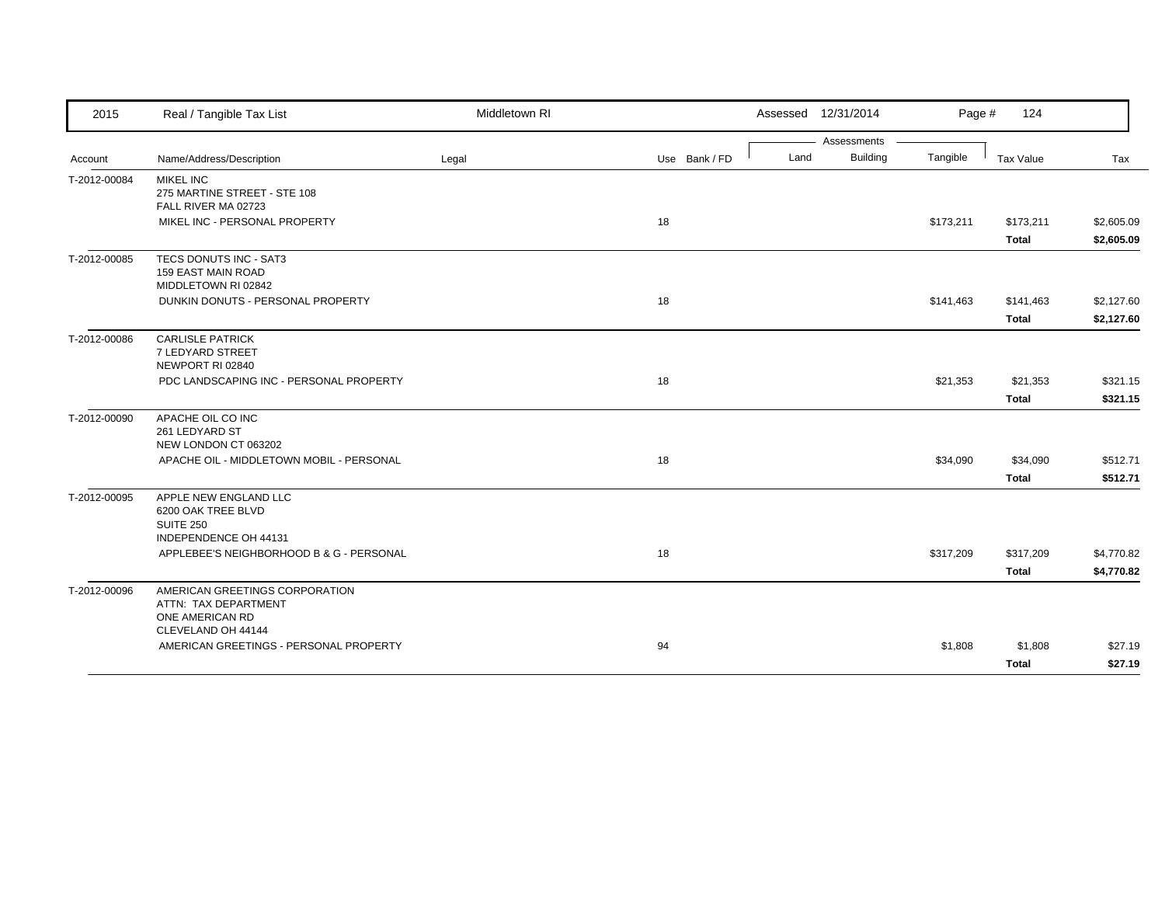|                                  |                                                                                                 |       |               |      | Assessments     |           |              |            |
|----------------------------------|-------------------------------------------------------------------------------------------------|-------|---------------|------|-----------------|-----------|--------------|------------|
| Account                          | Name/Address/Description                                                                        | Legal | Use Bank / FD | Land | <b>Building</b> | Tangible  | Tax Value    | Tax        |
| <b>MIKEL INC</b><br>T-2012-00084 | 275 MARTINE STREET - STE 108<br>FALL RIVER MA 02723                                             |       |               |      |                 |           |              |            |
|                                  | MIKEL INC - PERSONAL PROPERTY                                                                   |       | 18            |      |                 | \$173,211 | \$173,211    | \$2,605.09 |
|                                  |                                                                                                 |       |               |      |                 |           | <b>Total</b> | \$2,605.09 |
| T-2012-00085                     | TECS DONUTS INC - SAT3<br>159 EAST MAIN ROAD<br>MIDDLETOWN RI 02842                             |       |               |      |                 |           |              |            |
|                                  | DUNKIN DONUTS - PERSONAL PROPERTY                                                               |       | 18            |      |                 | \$141,463 | \$141,463    | \$2,127.60 |
|                                  |                                                                                                 |       |               |      |                 |           | <b>Total</b> | \$2,127.60 |
| T-2012-00086                     | <b>CARLISLE PATRICK</b><br>7 LEDYARD STREET<br>NEWPORT RI 02840                                 |       |               |      |                 |           |              |            |
|                                  | PDC LANDSCAPING INC - PERSONAL PROPERTY                                                         |       | 18            |      |                 | \$21,353  | \$21,353     | \$321.15   |
|                                  |                                                                                                 |       |               |      |                 |           | Total        | \$321.15   |
| T-2012-00090                     | APACHE OIL CO INC<br>261 LEDYARD ST<br>NEW LONDON CT 063202                                     |       |               |      |                 |           |              |            |
|                                  | APACHE OIL - MIDDLETOWN MOBIL - PERSONAL                                                        |       | 18            |      |                 | \$34,090  | \$34,090     | \$512.71   |
|                                  |                                                                                                 |       |               |      |                 |           | <b>Total</b> | \$512.71   |
| T-2012-00095<br><b>SUITE 250</b> | APPLE NEW ENGLAND LLC<br>6200 OAK TREE BLVD<br>INDEPENDENCE OH 44131                            |       |               |      |                 |           |              |            |
|                                  | APPLEBEE'S NEIGHBORHOOD B & G - PERSONAL                                                        |       | 18            |      |                 | \$317,209 | \$317,209    | \$4,770.82 |
|                                  |                                                                                                 |       |               |      |                 |           | <b>Total</b> | \$4,770.82 |
| T-2012-00096                     | AMERICAN GREETINGS CORPORATION<br>ATTN: TAX DEPARTMENT<br>ONE AMERICAN RD<br>CLEVELAND OH 44144 |       |               |      |                 |           |              |            |
|                                  | AMERICAN GREETINGS - PERSONAL PROPERTY                                                          |       | 94            |      |                 | \$1,808   | \$1,808      | \$27.19    |
|                                  |                                                                                                 |       |               |      |                 |           | <b>Total</b> | \$27.19    |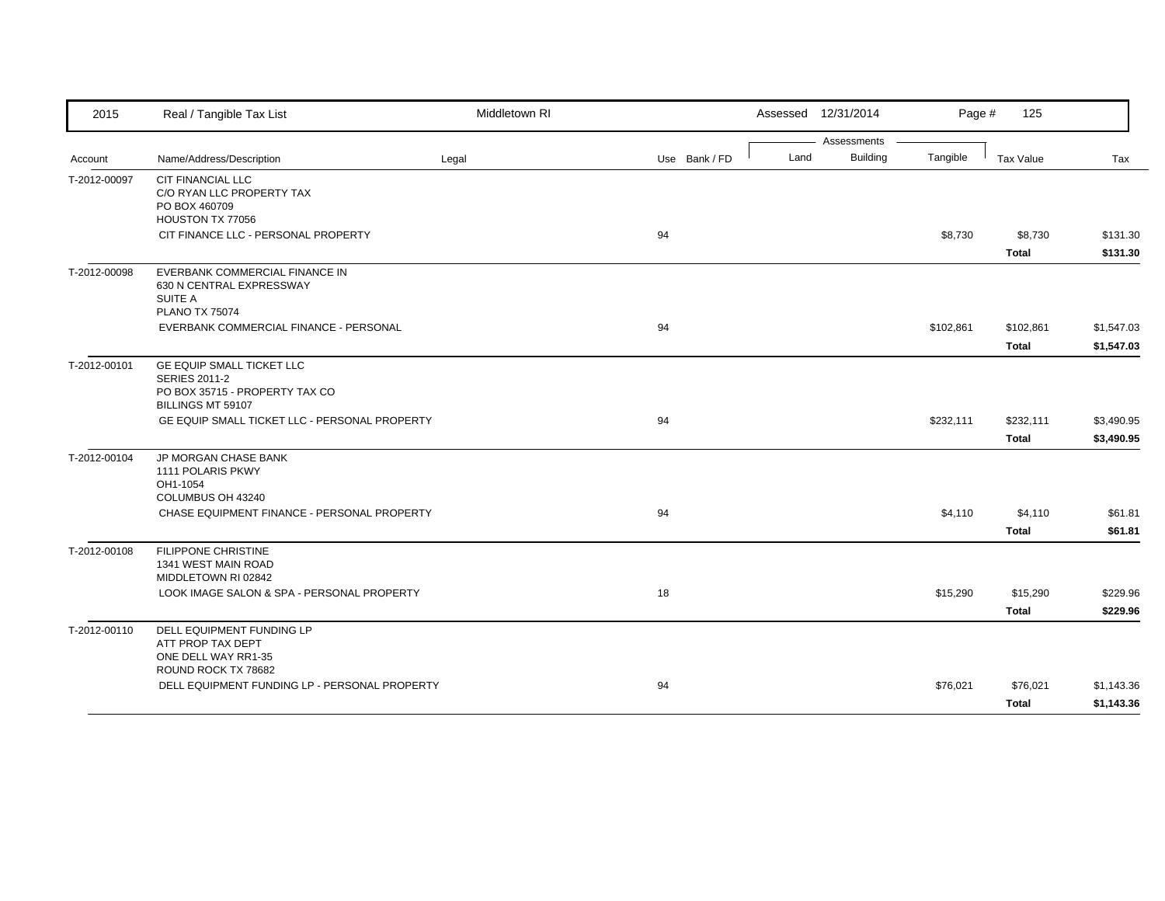| 2015         | Real / Tangible Tax List                                                                       | Middletown RI |               |      | Assessed 12/31/2014 | Page #    | 125          |            |
|--------------|------------------------------------------------------------------------------------------------|---------------|---------------|------|---------------------|-----------|--------------|------------|
|              |                                                                                                |               |               |      | Assessments         |           |              |            |
| Account      | Name/Address/Description                                                                       | Legal         | Use Bank / FD | Land | <b>Building</b>     | Tangible  | Tax Value    | Tax        |
| T-2012-00097 | <b>CIT FINANCIAL LLC</b><br>C/O RYAN LLC PROPERTY TAX<br>PO BOX 460709<br>HOUSTON TX 77056     |               |               |      |                     |           |              |            |
|              | CIT FINANCE LLC - PERSONAL PROPERTY                                                            |               | 94            |      |                     | \$8,730   | \$8,730      | \$131.30   |
|              |                                                                                                |               |               |      |                     |           | <b>Total</b> | \$131.30   |
| T-2012-00098 | EVERBANK COMMERCIAL FINANCE IN<br>630 N CENTRAL EXPRESSWAY<br>SUITE A<br><b>PLANO TX 75074</b> |               |               |      |                     |           |              |            |
|              | EVERBANK COMMERCIAL FINANCE - PERSONAL                                                         |               | 94            |      |                     | \$102,861 | \$102,861    | \$1,547.03 |
|              |                                                                                                |               |               |      |                     |           | <b>Total</b> | \$1,547.03 |
| T-2012-00101 | <b>GE EQUIP SMALL TICKET LLC</b><br><b>SERIES 2011-2</b><br>PO BOX 35715 - PROPERTY TAX CO     |               |               |      |                     |           |              |            |
|              | BILLINGS MT 59107<br>GE EQUIP SMALL TICKET LLC - PERSONAL PROPERTY                             |               | 94            |      |                     | \$232,111 | \$232,111    | \$3,490.95 |
|              |                                                                                                |               |               |      |                     |           | <b>Total</b> | \$3,490.95 |
| T-2012-00104 | JP MORGAN CHASE BANK<br>1111 POLARIS PKWY<br>OH1-1054                                          |               |               |      |                     |           |              |            |
|              | COLUMBUS OH 43240<br>CHASE EQUIPMENT FINANCE - PERSONAL PROPERTY                               |               | 94            |      |                     | \$4,110   | \$4,110      | \$61.81    |
|              |                                                                                                |               |               |      |                     |           | Total        | \$61.81    |
| T-2012-00108 | <b>FILIPPONE CHRISTINE</b><br>1341 WEST MAIN ROAD<br>MIDDLETOWN RI 02842                       |               |               |      |                     |           |              |            |
|              | LOOK IMAGE SALON & SPA - PERSONAL PROPERTY                                                     |               | 18            |      |                     | \$15,290  | \$15,290     | \$229.96   |
|              |                                                                                                |               |               |      |                     |           | <b>Total</b> | \$229.96   |
| T-2012-00110 | DELL EQUIPMENT FUNDING LP<br>ATT PROP TAX DEPT<br>ONE DELL WAY RR1-35                          |               |               |      |                     |           |              |            |
|              | ROUND ROCK TX 78682<br>DELL EQUIPMENT FUNDING LP - PERSONAL PROPERTY                           |               | 94            |      |                     | \$76,021  | \$76,021     | \$1,143.36 |
|              |                                                                                                |               |               |      |                     |           | Total        | \$1,143.36 |
|              |                                                                                                |               |               |      |                     |           |              |            |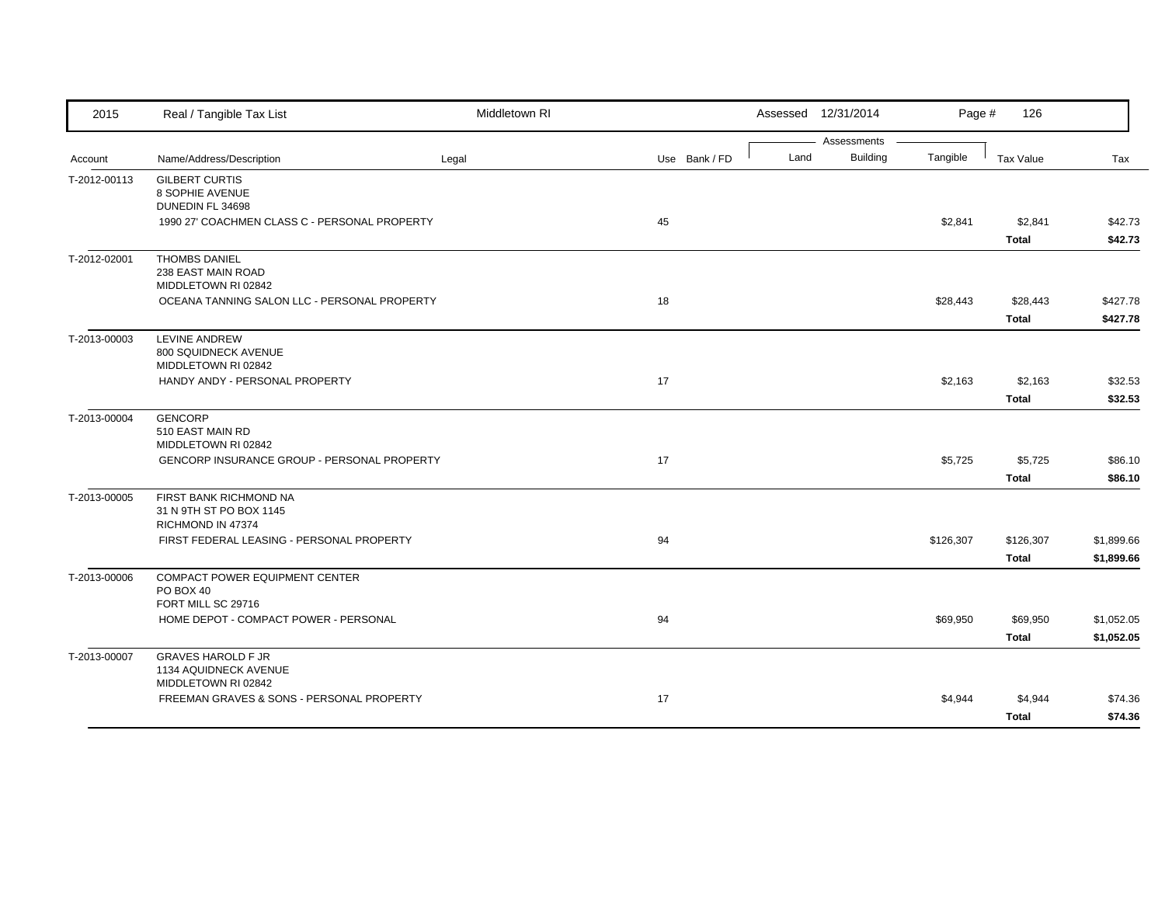| 2015         | Real / Tangible Tax List                                                  | Middletown RI |               |      | Assessed 12/31/2014            | Page #    | 126                       |                          |
|--------------|---------------------------------------------------------------------------|---------------|---------------|------|--------------------------------|-----------|---------------------------|--------------------------|
| Account      | Name/Address/Description                                                  | Legal         | Use Bank / FD | Land | Assessments<br><b>Building</b> | Tangible  | Tax Value                 | Tax                      |
| T-2012-00113 | <b>GILBERT CURTIS</b><br>8 SOPHIE AVENUE<br>DUNEDIN FL 34698              |               |               |      |                                |           |                           |                          |
|              | 1990 27' COACHMEN CLASS C - PERSONAL PROPERTY                             |               | 45            |      |                                | \$2,841   | \$2,841<br><b>Total</b>   | \$42.73<br>\$42.73       |
| T-2012-02001 | <b>THOMBS DANIEL</b><br>238 EAST MAIN ROAD<br>MIDDLETOWN RI 02842         |               |               |      |                                |           |                           |                          |
|              | OCEANA TANNING SALON LLC - PERSONAL PROPERTY                              |               | 18            |      |                                | \$28,443  | \$28,443<br><b>Total</b>  | \$427.78<br>\$427.78     |
| T-2013-00003 | LEVINE ANDREW<br>800 SQUIDNECK AVENUE<br>MIDDLETOWN RI 02842              |               |               |      |                                |           |                           |                          |
|              | HANDY ANDY - PERSONAL PROPERTY                                            |               | 17            |      |                                | \$2,163   | \$2,163<br><b>Total</b>   | \$32.53<br>\$32.53       |
| T-2013-00004 | <b>GENCORP</b><br>510 EAST MAIN RD<br>MIDDLETOWN RI 02842                 |               |               |      |                                |           |                           |                          |
|              | <b>GENCORP INSURANCE GROUP - PERSONAL PROPERTY</b>                        |               | 17            |      |                                | \$5,725   | \$5,725<br><b>Total</b>   | \$86.10<br>\$86.10       |
| T-2013-00005 | FIRST BANK RICHMOND NA<br>31 N 9TH ST PO BOX 1145<br>RICHMOND IN 47374    |               |               |      |                                |           |                           |                          |
|              | FIRST FEDERAL LEASING - PERSONAL PROPERTY                                 |               | 94            |      |                                | \$126,307 | \$126,307<br><b>Total</b> | \$1,899.66<br>\$1,899.66 |
| T-2013-00006 | COMPACT POWER EQUIPMENT CENTER<br>PO BOX 40<br>FORT MILL SC 29716         |               |               |      |                                |           |                           |                          |
|              | HOME DEPOT - COMPACT POWER - PERSONAL                                     |               | 94            |      |                                | \$69,950  | \$69,950<br><b>Total</b>  | \$1,052.05<br>\$1,052.05 |
| T-2013-00007 | <b>GRAVES HAROLD F JR</b><br>1134 AQUIDNECK AVENUE<br>MIDDLETOWN RI 02842 |               |               |      |                                |           |                           |                          |
|              | FREEMAN GRAVES & SONS - PERSONAL PROPERTY                                 |               | 17            |      |                                | \$4,944   | \$4,944<br><b>Total</b>   | \$74.36<br>\$74.36       |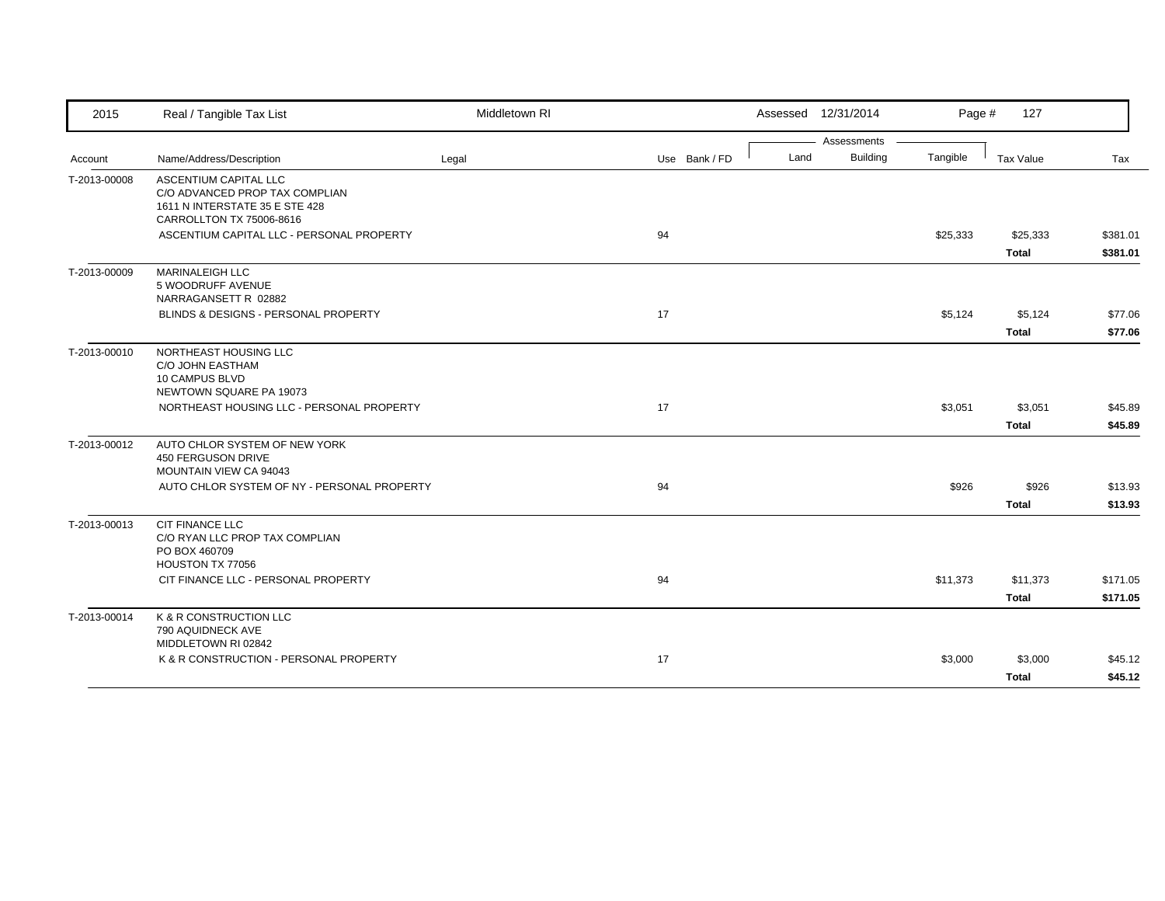| 2015         | Real / Tangible Tax List                                   | Middletown RI |               |      | Assessed 12/31/2014 | Page #   | 127          |          |
|--------------|------------------------------------------------------------|---------------|---------------|------|---------------------|----------|--------------|----------|
|              |                                                            |               |               |      | Assessments         |          |              |          |
| Account      | Name/Address/Description                                   | Legal         | Use Bank / FD | Land | <b>Building</b>     | Tangible | Tax Value    | Tax      |
| T-2013-00008 | ASCENTIUM CAPITAL LLC<br>C/O ADVANCED PROP TAX COMPLIAN    |               |               |      |                     |          |              |          |
|              | 1611 N INTERSTATE 35 E STE 428<br>CARROLLTON TX 75006-8616 |               |               |      |                     |          |              |          |
|              | ASCENTIUM CAPITAL LLC - PERSONAL PROPERTY                  |               | 94            |      |                     | \$25,333 | \$25,333     | \$381.01 |
|              |                                                            |               |               |      |                     |          | <b>Total</b> | \$381.01 |
| T-2013-00009 | MARINALEIGH LLC<br>5 WOODRUFF AVENUE                       |               |               |      |                     |          |              |          |
|              | NARRAGANSETT R 02882                                       |               |               |      |                     |          |              |          |
|              | BLINDS & DESIGNS - PERSONAL PROPERTY                       |               | 17            |      |                     | \$5,124  | \$5,124      | \$77.06  |
|              |                                                            |               |               |      |                     |          | <b>Total</b> | \$77.06  |
| T-2013-00010 | NORTHEAST HOUSING LLC                                      |               |               |      |                     |          |              |          |
|              | C/O JOHN EASTHAM<br>10 CAMPUS BLVD                         |               |               |      |                     |          |              |          |
|              | NEWTOWN SQUARE PA 19073                                    |               |               |      |                     |          |              |          |
|              | NORTHEAST HOUSING LLC - PERSONAL PROPERTY                  |               | 17            |      |                     | \$3,051  | \$3,051      | \$45.89  |
|              |                                                            |               |               |      |                     |          | <b>Total</b> | \$45.89  |
| T-2013-00012 | AUTO CHLOR SYSTEM OF NEW YORK                              |               |               |      |                     |          |              |          |
|              | <b>450 FERGUSON DRIVE</b><br>MOUNTAIN VIEW CA 94043        |               |               |      |                     |          |              |          |
|              | AUTO CHLOR SYSTEM OF NY - PERSONAL PROPERTY                |               | 94            |      |                     | \$926    | \$926        | \$13.93  |
|              |                                                            |               |               |      |                     |          | <b>Total</b> | \$13.93  |
| T-2013-00013 | <b>CIT FINANCE LLC</b>                                     |               |               |      |                     |          |              |          |
|              | C/O RYAN LLC PROP TAX COMPLIAN<br>PO BOX 460709            |               |               |      |                     |          |              |          |
|              | HOUSTON TX 77056                                           |               |               |      |                     |          |              |          |
|              | CIT FINANCE LLC - PERSONAL PROPERTY                        |               | 94            |      |                     | \$11,373 | \$11,373     | \$171.05 |
|              |                                                            |               |               |      |                     |          | <b>Total</b> | \$171.05 |
| T-2013-00014 | K & R CONSTRUCTION LLC                                     |               |               |      |                     |          |              |          |
|              | 790 AQUIDNECK AVE<br>MIDDLETOWN RI 02842                   |               |               |      |                     |          |              |          |
|              | K & R CONSTRUCTION - PERSONAL PROPERTY                     |               | 17            |      |                     | \$3,000  | \$3,000      | \$45.12  |
|              |                                                            |               |               |      |                     |          | <b>Total</b> | \$45.12  |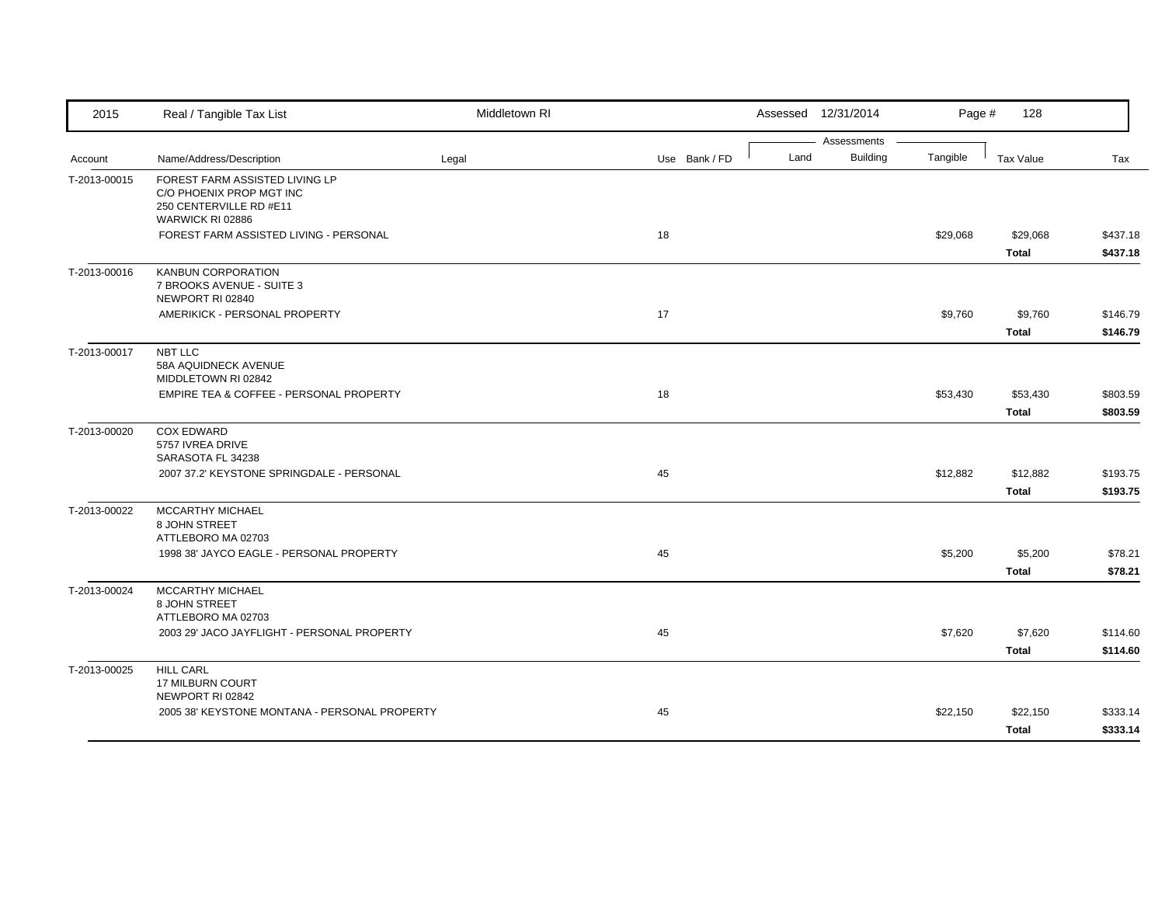| 2015         | Real / Tangible Tax List                                                                                  | Middletown RI |               |      | Assessed 12/31/2014            | Page #   | 128                      |                      |
|--------------|-----------------------------------------------------------------------------------------------------------|---------------|---------------|------|--------------------------------|----------|--------------------------|----------------------|
| Account      | Name/Address/Description                                                                                  | Legal         | Use Bank / FD | Land | Assessments<br><b>Building</b> | Tangible | Tax Value                | Tax                  |
| T-2013-00015 | FOREST FARM ASSISTED LIVING LP<br>C/O PHOENIX PROP MGT INC<br>250 CENTERVILLE RD #E11<br>WARWICK RI 02886 |               |               |      |                                |          |                          |                      |
|              | FOREST FARM ASSISTED LIVING - PERSONAL                                                                    |               | 18            |      |                                | \$29,068 | \$29,068<br>Total        | \$437.18<br>\$437.18 |
| T-2013-00016 | <b>KANBUN CORPORATION</b><br>7 BROOKS AVENUE - SUITE 3<br>NEWPORT RI 02840                                |               |               |      |                                |          |                          |                      |
|              | AMERIKICK - PERSONAL PROPERTY                                                                             |               | 17            |      |                                | \$9,760  | \$9,760<br><b>Total</b>  | \$146.79<br>\$146.79 |
| T-2013-00017 | NBT LLC<br>58A AQUIDNECK AVENUE<br>MIDDLETOWN RI 02842                                                    |               |               |      |                                |          |                          |                      |
|              | EMPIRE TEA & COFFEE - PERSONAL PROPERTY                                                                   |               | 18            |      |                                | \$53,430 | \$53,430<br><b>Total</b> | \$803.59<br>\$803.59 |
| T-2013-00020 | <b>COX EDWARD</b><br>5757 IVREA DRIVE<br>SARASOTA FL 34238                                                |               |               |      |                                |          |                          |                      |
|              | 2007 37.2' KEYSTONE SPRINGDALE - PERSONAL                                                                 |               | 45            |      |                                | \$12,882 | \$12,882<br><b>Total</b> | \$193.75<br>\$193.75 |
| T-2013-00022 | <b>MCCARTHY MICHAEL</b><br>8 JOHN STREET<br>ATTLEBORO MA 02703                                            |               |               |      |                                |          |                          |                      |
|              | 1998 38' JAYCO EAGLE - PERSONAL PROPERTY                                                                  |               | 45            |      |                                | \$5,200  | \$5,200<br><b>Total</b>  | \$78.21<br>\$78.21   |
| T-2013-00024 | MCCARTHY MICHAEL<br>8 JOHN STREET<br>ATTLEBORO MA 02703                                                   |               |               |      |                                |          |                          |                      |
|              | 2003 29' JACO JAYFLIGHT - PERSONAL PROPERTY                                                               |               | 45            |      |                                | \$7,620  | \$7,620<br><b>Total</b>  | \$114.60<br>\$114.60 |
| T-2013-00025 | <b>HILL CARL</b><br>17 MILBURN COURT<br>NEWPORT RI 02842                                                  |               |               |      |                                |          |                          |                      |
|              | 2005 38' KEYSTONE MONTANA - PERSONAL PROPERTY                                                             |               | 45            |      |                                | \$22,150 | \$22,150<br><b>Total</b> | \$333.14<br>\$333.14 |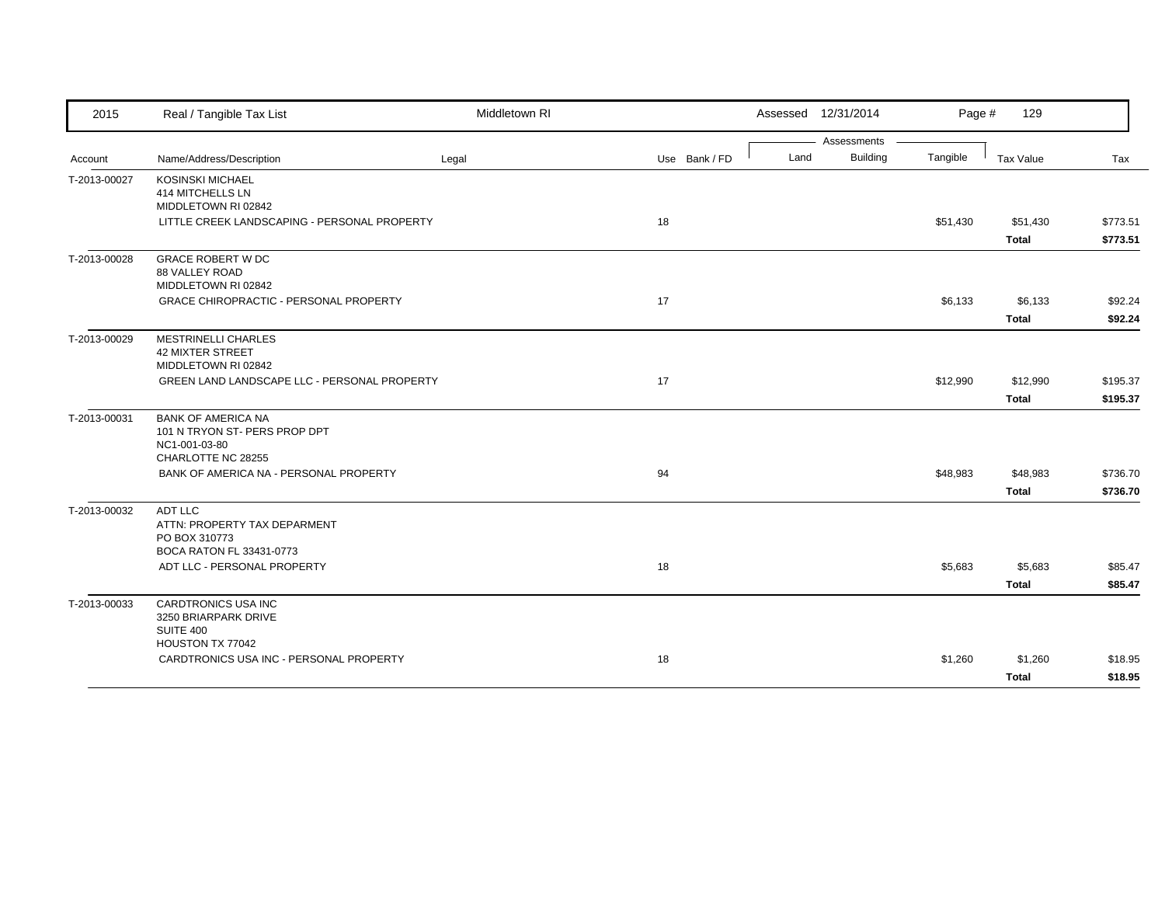| 2015         | Real / Tangible Tax List                                   | Middletown RI |               |      | Assessed 12/31/2014 | Page #   | 129          |          |
|--------------|------------------------------------------------------------|---------------|---------------|------|---------------------|----------|--------------|----------|
|              |                                                            |               |               |      | Assessments         |          |              |          |
| Account      | Name/Address/Description                                   | Legal         | Use Bank / FD | Land | <b>Building</b>     | Tangible | Tax Value    | Tax      |
| T-2013-00027 | <b>KOSINSKI MICHAEL</b>                                    |               |               |      |                     |          |              |          |
|              | 414 MITCHELLS LN<br>MIDDLETOWN RI 02842                    |               |               |      |                     |          |              |          |
|              | LITTLE CREEK LANDSCAPING - PERSONAL PROPERTY               |               | 18            |      |                     | \$51,430 | \$51,430     | \$773.51 |
|              |                                                            |               |               |      |                     |          | <b>Total</b> | \$773.51 |
|              |                                                            |               |               |      |                     |          |              |          |
| T-2013-00028 | <b>GRACE ROBERT W DC</b><br>88 VALLEY ROAD                 |               |               |      |                     |          |              |          |
|              | MIDDLETOWN RI 02842                                        |               |               |      |                     |          |              |          |
|              | GRACE CHIROPRACTIC - PERSONAL PROPERTY                     |               | 17            |      |                     | \$6,133  | \$6,133      | \$92.24  |
|              |                                                            |               |               |      |                     |          | <b>Total</b> | \$92.24  |
|              |                                                            |               |               |      |                     |          |              |          |
| T-2013-00029 | <b>MESTRINELLI CHARLES</b><br><b>42 MIXTER STREET</b>      |               |               |      |                     |          |              |          |
|              | MIDDLETOWN RI 02842                                        |               |               |      |                     |          |              |          |
|              | GREEN LAND LANDSCAPE LLC - PERSONAL PROPERTY               |               | 17            |      |                     | \$12,990 | \$12,990     | \$195.37 |
|              |                                                            |               |               |      |                     |          | <b>Total</b> | \$195.37 |
|              |                                                            |               |               |      |                     |          |              |          |
| T-2013-00031 | <b>BANK OF AMERICA NA</b><br>101 N TRYON ST- PERS PROP DPT |               |               |      |                     |          |              |          |
|              | NC1-001-03-80                                              |               |               |      |                     |          |              |          |
|              | CHARLOTTE NC 28255                                         |               |               |      |                     |          |              |          |
|              | BANK OF AMERICA NA - PERSONAL PROPERTY                     |               | 94            |      |                     | \$48,983 | \$48,983     | \$736.70 |
|              |                                                            |               |               |      |                     |          | <b>Total</b> | \$736.70 |
| T-2013-00032 | <b>ADT LLC</b>                                             |               |               |      |                     |          |              |          |
|              | ATTN: PROPERTY TAX DEPARMENT                               |               |               |      |                     |          |              |          |
|              | PO BOX 310773                                              |               |               |      |                     |          |              |          |
|              | BOCA RATON FL 33431-0773                                   |               |               |      |                     |          |              |          |
|              | ADT LLC - PERSONAL PROPERTY                                |               | 18            |      |                     | \$5,683  | \$5,683      | \$85.47  |
|              |                                                            |               |               |      |                     |          | <b>Total</b> | \$85.47  |
| T-2013-00033 | <b>CARDTRONICS USA INC</b>                                 |               |               |      |                     |          |              |          |
|              | 3250 BRIARPARK DRIVE                                       |               |               |      |                     |          |              |          |
|              | SUITE 400                                                  |               |               |      |                     |          |              |          |
|              | HOUSTON TX 77042                                           |               |               |      |                     |          |              |          |
|              | CARDTRONICS USA INC - PERSONAL PROPERTY                    |               | 18            |      |                     | \$1,260  | \$1,260      | \$18.95  |
|              |                                                            |               |               |      |                     |          | <b>Total</b> | \$18.95  |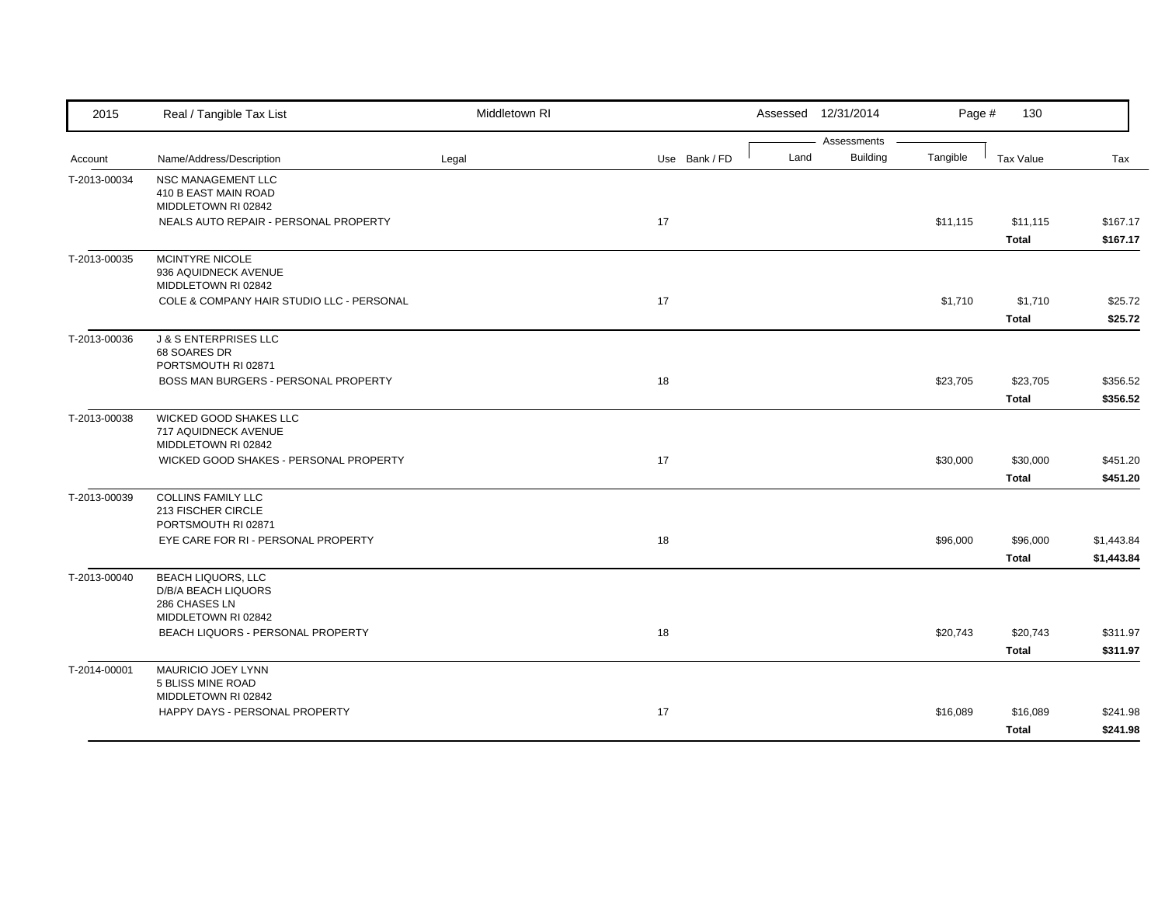| Assessments<br><b>Building</b><br>Tangible<br>Land<br>Name/Address/Description<br><b>Tax Value</b><br>Legal<br>Use Bank / FD<br>Account<br>NSC MANAGEMENT LLC<br>T-2013-00034<br>410 B EAST MAIN ROAD<br>MIDDLETOWN RI 02842<br>17<br>NEALS AUTO REPAIR - PERSONAL PROPERTY<br>\$11,115<br>\$11,115<br><b>Total</b><br>MCINTYRE NICOLE<br>T-2013-00035<br>936 AQUIDNECK AVENUE<br>MIDDLETOWN RI 02842<br>COLE & COMPANY HAIR STUDIO LLC - PERSONAL<br>17<br>\$1,710<br>\$1,710<br><b>Total</b><br><b>J &amp; S ENTERPRISES LLC</b><br>T-2013-00036<br>68 SOARES DR<br>PORTSMOUTH RI 02871<br>BOSS MAN BURGERS - PERSONAL PROPERTY<br>18<br>\$23,705<br>\$23,705<br><b>Total</b><br>WICKED GOOD SHAKES LLC<br>T-2013-00038<br><b>717 AQUIDNECK AVENUE</b><br>MIDDLETOWN RI 02842<br>WICKED GOOD SHAKES - PERSONAL PROPERTY<br>17<br>\$30,000<br>\$30,000<br><b>Total</b><br><b>COLLINS FAMILY LLC</b><br>T-2013-00039 | Tax<br>\$167.17<br>\$167.17 |
|----------------------------------------------------------------------------------------------------------------------------------------------------------------------------------------------------------------------------------------------------------------------------------------------------------------------------------------------------------------------------------------------------------------------------------------------------------------------------------------------------------------------------------------------------------------------------------------------------------------------------------------------------------------------------------------------------------------------------------------------------------------------------------------------------------------------------------------------------------------------------------------------------------------------|-----------------------------|
|                                                                                                                                                                                                                                                                                                                                                                                                                                                                                                                                                                                                                                                                                                                                                                                                                                                                                                                      |                             |
|                                                                                                                                                                                                                                                                                                                                                                                                                                                                                                                                                                                                                                                                                                                                                                                                                                                                                                                      |                             |
|                                                                                                                                                                                                                                                                                                                                                                                                                                                                                                                                                                                                                                                                                                                                                                                                                                                                                                                      |                             |
|                                                                                                                                                                                                                                                                                                                                                                                                                                                                                                                                                                                                                                                                                                                                                                                                                                                                                                                      |                             |
|                                                                                                                                                                                                                                                                                                                                                                                                                                                                                                                                                                                                                                                                                                                                                                                                                                                                                                                      |                             |
|                                                                                                                                                                                                                                                                                                                                                                                                                                                                                                                                                                                                                                                                                                                                                                                                                                                                                                                      |                             |
|                                                                                                                                                                                                                                                                                                                                                                                                                                                                                                                                                                                                                                                                                                                                                                                                                                                                                                                      |                             |
|                                                                                                                                                                                                                                                                                                                                                                                                                                                                                                                                                                                                                                                                                                                                                                                                                                                                                                                      |                             |
|                                                                                                                                                                                                                                                                                                                                                                                                                                                                                                                                                                                                                                                                                                                                                                                                                                                                                                                      |                             |
|                                                                                                                                                                                                                                                                                                                                                                                                                                                                                                                                                                                                                                                                                                                                                                                                                                                                                                                      | \$25.72                     |
|                                                                                                                                                                                                                                                                                                                                                                                                                                                                                                                                                                                                                                                                                                                                                                                                                                                                                                                      | \$25.72                     |
|                                                                                                                                                                                                                                                                                                                                                                                                                                                                                                                                                                                                                                                                                                                                                                                                                                                                                                                      |                             |
|                                                                                                                                                                                                                                                                                                                                                                                                                                                                                                                                                                                                                                                                                                                                                                                                                                                                                                                      |                             |
|                                                                                                                                                                                                                                                                                                                                                                                                                                                                                                                                                                                                                                                                                                                                                                                                                                                                                                                      |                             |
|                                                                                                                                                                                                                                                                                                                                                                                                                                                                                                                                                                                                                                                                                                                                                                                                                                                                                                                      | \$356.52                    |
|                                                                                                                                                                                                                                                                                                                                                                                                                                                                                                                                                                                                                                                                                                                                                                                                                                                                                                                      | \$356.52                    |
|                                                                                                                                                                                                                                                                                                                                                                                                                                                                                                                                                                                                                                                                                                                                                                                                                                                                                                                      |                             |
|                                                                                                                                                                                                                                                                                                                                                                                                                                                                                                                                                                                                                                                                                                                                                                                                                                                                                                                      |                             |
|                                                                                                                                                                                                                                                                                                                                                                                                                                                                                                                                                                                                                                                                                                                                                                                                                                                                                                                      |                             |
|                                                                                                                                                                                                                                                                                                                                                                                                                                                                                                                                                                                                                                                                                                                                                                                                                                                                                                                      | \$451.20                    |
|                                                                                                                                                                                                                                                                                                                                                                                                                                                                                                                                                                                                                                                                                                                                                                                                                                                                                                                      | \$451.20                    |
|                                                                                                                                                                                                                                                                                                                                                                                                                                                                                                                                                                                                                                                                                                                                                                                                                                                                                                                      |                             |
| 213 FISCHER CIRCLE                                                                                                                                                                                                                                                                                                                                                                                                                                                                                                                                                                                                                                                                                                                                                                                                                                                                                                   |                             |
| PORTSMOUTH RI 02871                                                                                                                                                                                                                                                                                                                                                                                                                                                                                                                                                                                                                                                                                                                                                                                                                                                                                                  |                             |
| EYE CARE FOR RI - PERSONAL PROPERTY<br>18<br>\$96,000<br>\$96,000                                                                                                                                                                                                                                                                                                                                                                                                                                                                                                                                                                                                                                                                                                                                                                                                                                                    | \$1,443.84                  |
| <b>Total</b>                                                                                                                                                                                                                                                                                                                                                                                                                                                                                                                                                                                                                                                                                                                                                                                                                                                                                                         | \$1,443.84                  |
| <b>BEACH LIQUORS, LLC</b><br>T-2013-00040                                                                                                                                                                                                                                                                                                                                                                                                                                                                                                                                                                                                                                                                                                                                                                                                                                                                            |                             |
| D/B/A BEACH LIQUORS<br>286 CHASES LN                                                                                                                                                                                                                                                                                                                                                                                                                                                                                                                                                                                                                                                                                                                                                                                                                                                                                 |                             |
| MIDDLETOWN RI 02842                                                                                                                                                                                                                                                                                                                                                                                                                                                                                                                                                                                                                                                                                                                                                                                                                                                                                                  |                             |
| BEACH LIQUORS - PERSONAL PROPERTY<br>18<br>\$20,743<br>\$20,743                                                                                                                                                                                                                                                                                                                                                                                                                                                                                                                                                                                                                                                                                                                                                                                                                                                      | \$311.97                    |
| <b>Total</b>                                                                                                                                                                                                                                                                                                                                                                                                                                                                                                                                                                                                                                                                                                                                                                                                                                                                                                         | \$311.97                    |
|                                                                                                                                                                                                                                                                                                                                                                                                                                                                                                                                                                                                                                                                                                                                                                                                                                                                                                                      |                             |
| T-2014-00001<br><b>MAURICIO JOEY LYNN</b><br>5 BLISS MINE ROAD                                                                                                                                                                                                                                                                                                                                                                                                                                                                                                                                                                                                                                                                                                                                                                                                                                                       |                             |
| MIDDLETOWN RI 02842                                                                                                                                                                                                                                                                                                                                                                                                                                                                                                                                                                                                                                                                                                                                                                                                                                                                                                  |                             |
| HAPPY DAYS - PERSONAL PROPERTY<br>17<br>\$16,089<br>\$16,089                                                                                                                                                                                                                                                                                                                                                                                                                                                                                                                                                                                                                                                                                                                                                                                                                                                         | \$241.98                    |
| <b>Total</b>                                                                                                                                                                                                                                                                                                                                                                                                                                                                                                                                                                                                                                                                                                                                                                                                                                                                                                         | \$241.98                    |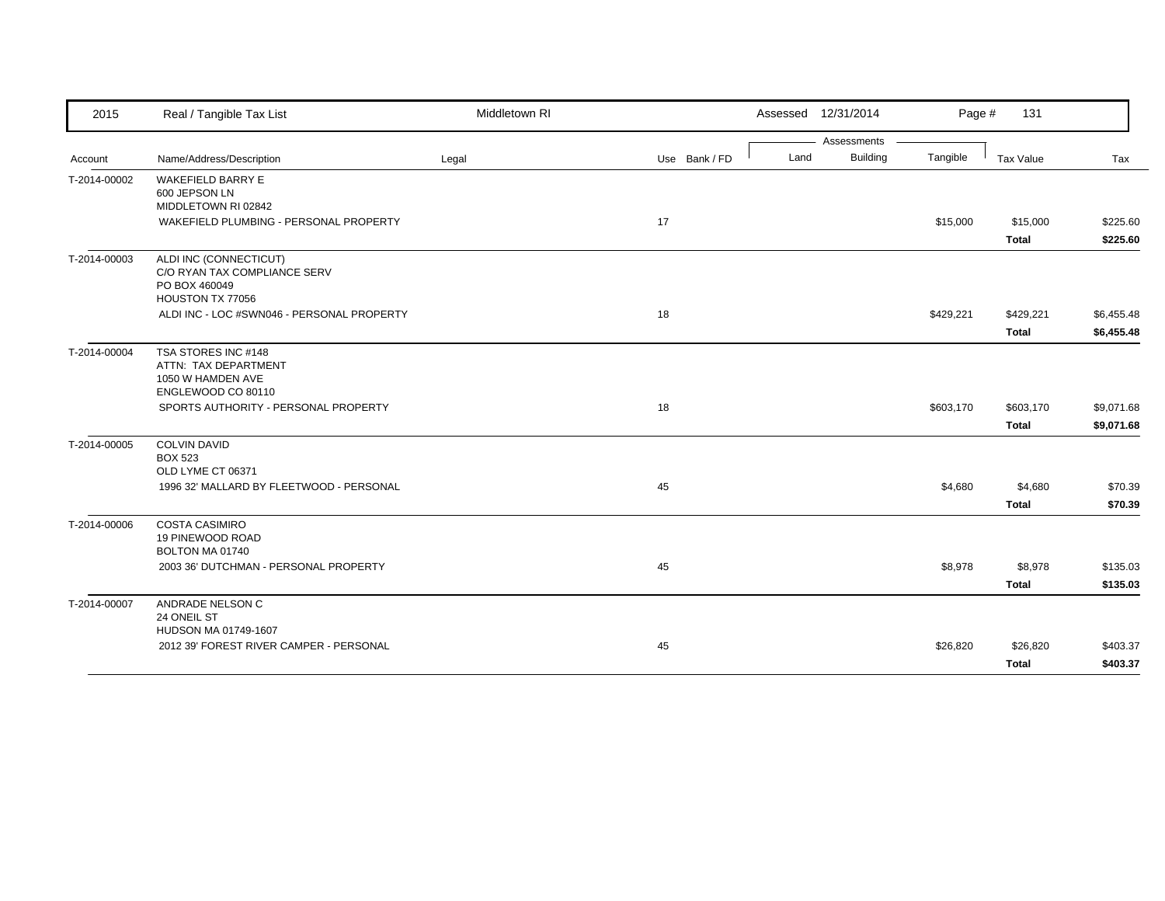| 2015         | Real / Tangible Tax List                                                                    | Middletown RI |               | Assessed 12/31/2014 |                 | Page #    | 131                       |                          |
|--------------|---------------------------------------------------------------------------------------------|---------------|---------------|---------------------|-----------------|-----------|---------------------------|--------------------------|
|              |                                                                                             |               |               |                     | Assessments     |           |                           |                          |
| Account      | Name/Address/Description                                                                    | Legal         | Use Bank / FD | Land                | <b>Building</b> | Tangible  | Tax Value                 | Tax                      |
| T-2014-00002 | <b>WAKEFIELD BARRY E</b><br>600 JEPSON LN<br>MIDDLETOWN RI 02842                            |               |               |                     |                 |           |                           |                          |
|              | WAKEFIELD PLUMBING - PERSONAL PROPERTY                                                      |               | 17            |                     |                 | \$15,000  | \$15,000<br><b>Total</b>  | \$225.60<br>\$225.60     |
| T-2014-00003 | ALDI INC (CONNECTICUT)<br>C/O RYAN TAX COMPLIANCE SERV<br>PO BOX 460049<br>HOUSTON TX 77056 |               |               |                     |                 |           |                           |                          |
|              | ALDI INC - LOC #SWN046 - PERSONAL PROPERTY                                                  |               | 18            |                     |                 | \$429,221 | \$429,221<br><b>Total</b> | \$6,455.48<br>\$6,455.48 |
| T-2014-00004 | TSA STORES INC #148<br>ATTN: TAX DEPARTMENT<br>1050 W HAMDEN AVE<br>ENGLEWOOD CO 80110      |               |               |                     |                 |           |                           |                          |
|              | SPORTS AUTHORITY - PERSONAL PROPERTY                                                        |               | 18            |                     |                 | \$603,170 | \$603,170<br><b>Total</b> | \$9,071.68<br>\$9,071.68 |
| T-2014-00005 | <b>COLVIN DAVID</b><br><b>BOX 523</b><br>OLD LYME CT 06371                                  |               |               |                     |                 |           |                           |                          |
|              | 1996 32' MALLARD BY FLEETWOOD - PERSONAL                                                    |               | 45            |                     |                 | \$4,680   | \$4,680<br><b>Total</b>   | \$70.39<br>\$70.39       |
| T-2014-00006 | <b>COSTA CASIMIRO</b><br>19 PINEWOOD ROAD<br>BOLTON MA 01740                                |               |               |                     |                 |           |                           |                          |
|              | 2003 36' DUTCHMAN - PERSONAL PROPERTY                                                       |               | 45            |                     |                 | \$8,978   | \$8,978<br><b>Total</b>   | \$135.03<br>\$135.03     |
| T-2014-00007 | ANDRADE NELSON C<br>24 ONEIL ST<br>HUDSON MA 01749-1607                                     |               |               |                     |                 |           |                           |                          |
|              | 2012 39' FOREST RIVER CAMPER - PERSONAL                                                     |               | 45            |                     |                 | \$26,820  | \$26,820<br><b>Total</b>  | \$403.37<br>\$403.37     |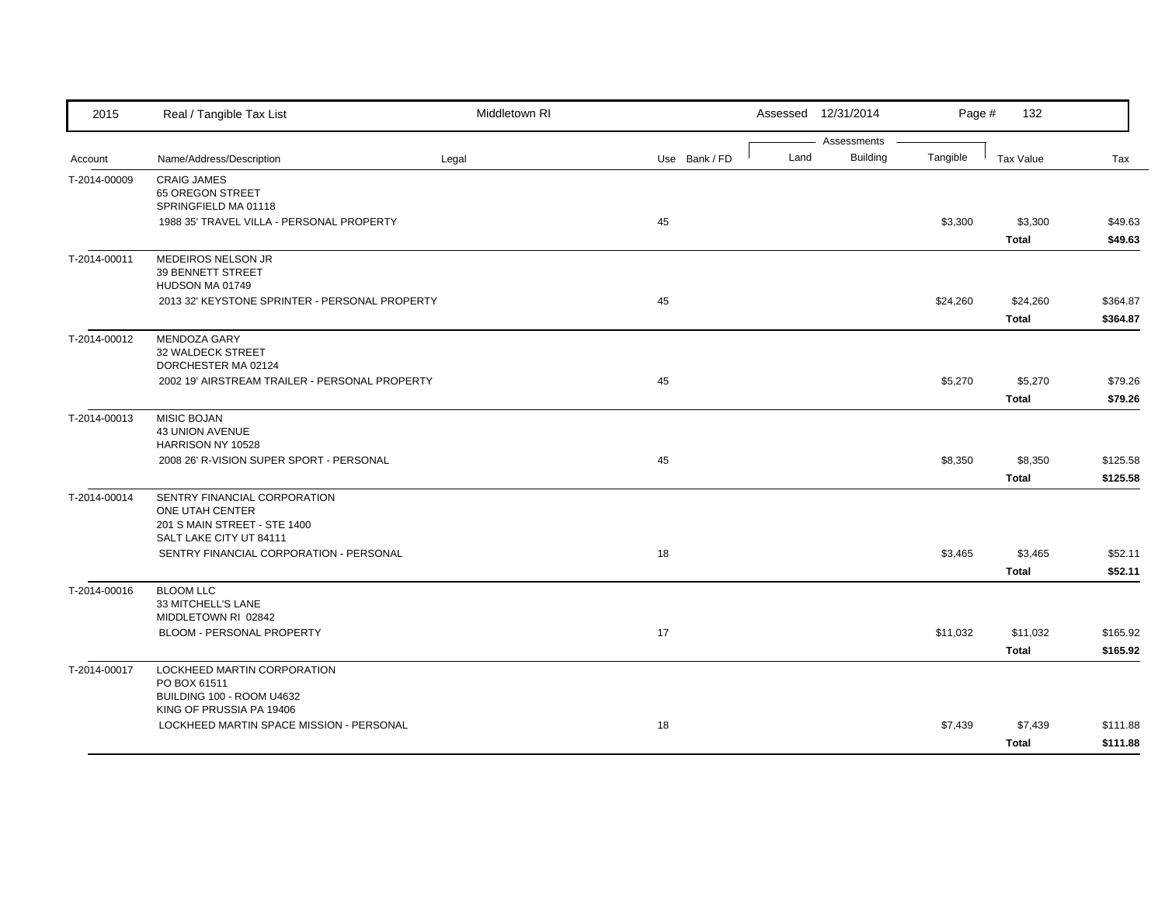| 2015         | Real / Tangible Tax List                                                                                      | Middletown RI |               |      | Assessed 12/31/2014            | Page #   | 132                      |                      |
|--------------|---------------------------------------------------------------------------------------------------------------|---------------|---------------|------|--------------------------------|----------|--------------------------|----------------------|
| Account      | Name/Address/Description                                                                                      | Legal         | Use Bank / FD | Land | Assessments<br><b>Building</b> | Tangible | <b>Tax Value</b>         | Tax                  |
| T-2014-00009 | <b>CRAIG JAMES</b><br>65 OREGON STREET<br>SPRINGFIELD MA 01118                                                |               |               |      |                                |          |                          |                      |
|              | 1988 35' TRAVEL VILLA - PERSONAL PROPERTY                                                                     |               | 45            |      |                                | \$3,300  | \$3,300<br><b>Total</b>  | \$49.63<br>\$49.63   |
| T-2014-00011 | MEDEIROS NELSON JR<br>39 BENNETT STREET<br>HUDSON MA 01749                                                    |               |               |      |                                |          |                          |                      |
|              | 2013 32' KEYSTONE SPRINTER - PERSONAL PROPERTY                                                                |               | 45            |      |                                | \$24,260 | \$24,260<br><b>Total</b> | \$364.87<br>\$364.87 |
| T-2014-00012 | MENDOZA GARY<br>32 WALDECK STREET<br>DORCHESTER MA 02124<br>2002 19' AIRSTREAM TRAILER - PERSONAL PROPERTY    |               | 45            |      |                                | \$5,270  | \$5,270                  | \$79.26              |
|              |                                                                                                               |               |               |      |                                |          | <b>Total</b>             | \$79.26              |
| T-2014-00013 | <b>MISIC BOJAN</b><br><b>43 UNION AVENUE</b><br>HARRISON NY 10528<br>2008 26' R-VISION SUPER SPORT - PERSONAL |               | 45            |      |                                | \$8,350  | \$8,350                  | \$125.58             |
|              |                                                                                                               |               |               |      |                                |          | <b>Total</b>             | \$125.58             |
| T-2014-00014 | SENTRY FINANCIAL CORPORATION<br>ONE UTAH CENTER<br>201 S MAIN STREET - STE 1400<br>SALT LAKE CITY UT 84111    |               |               |      |                                |          |                          |                      |
|              | SENTRY FINANCIAL CORPORATION - PERSONAL                                                                       |               | 18            |      |                                | \$3,465  | \$3,465<br><b>Total</b>  | \$52.11<br>\$52.11   |
| T-2014-00016 | <b>BLOOM LLC</b><br>33 MITCHELL'S LANE<br>MIDDLETOWN RI 02842                                                 |               |               |      |                                |          |                          |                      |
|              | BLOOM - PERSONAL PROPERTY                                                                                     |               | 17            |      |                                | \$11,032 | \$11,032<br><b>Total</b> | \$165.92<br>\$165.92 |
| T-2014-00017 | LOCKHEED MARTIN CORPORATION<br>PO BOX 61511<br>BUILDING 100 - ROOM U4632<br>KING OF PRUSSIA PA 19406          |               |               |      |                                |          |                          |                      |
|              | LOCKHEED MARTIN SPACE MISSION - PERSONAL                                                                      |               | 18            |      |                                | \$7,439  | \$7,439<br>Total         | \$111.88<br>\$111.88 |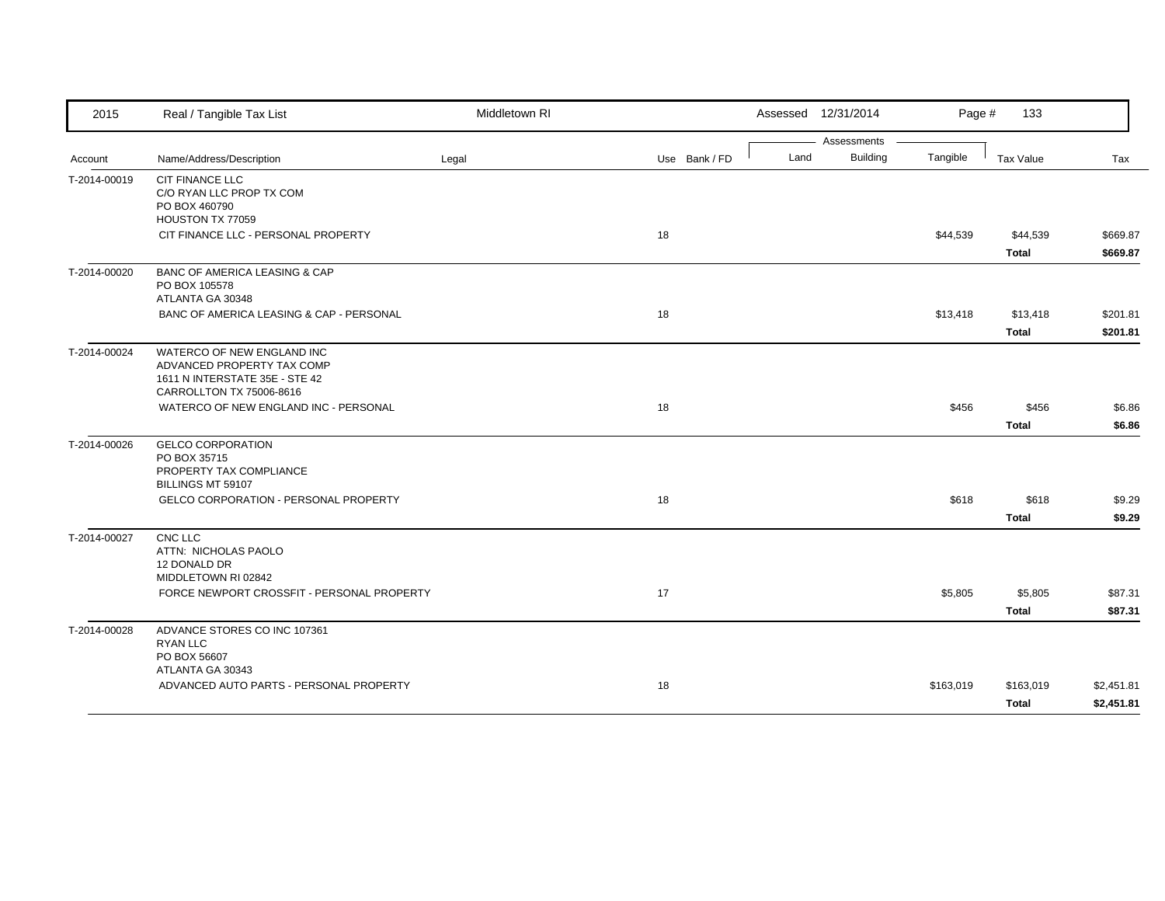| 2015         | Real / Tangible Tax List                                     | Middletown RI |               |      | Assessed 12/31/2014 | Page #    | 133          |            |
|--------------|--------------------------------------------------------------|---------------|---------------|------|---------------------|-----------|--------------|------------|
|              |                                                              |               |               |      | Assessments         |           |              |            |
| Account      | Name/Address/Description                                     | Legal         | Use Bank / FD | Land | <b>Building</b>     | Tangible  | Tax Value    | Tax        |
| T-2014-00019 | <b>CIT FINANCE LLC</b>                                       |               |               |      |                     |           |              |            |
|              | C/O RYAN LLC PROP TX COM<br>PO BOX 460790                    |               |               |      |                     |           |              |            |
|              | HOUSTON TX 77059                                             |               |               |      |                     |           |              |            |
|              | CIT FINANCE LLC - PERSONAL PROPERTY                          |               | 18            |      |                     | \$44,539  | \$44,539     | \$669.87   |
|              |                                                              |               |               |      |                     |           | <b>Total</b> | \$669.87   |
| T-2014-00020 | <b>BANC OF AMERICA LEASING &amp; CAP</b>                     |               |               |      |                     |           |              |            |
|              | PO BOX 105578                                                |               |               |      |                     |           |              |            |
|              | ATLANTA GA 30348                                             |               |               |      |                     |           |              |            |
|              | BANC OF AMERICA LEASING & CAP - PERSONAL                     |               | 18            |      |                     | \$13,418  | \$13,418     | \$201.81   |
|              |                                                              |               |               |      |                     |           | <b>Total</b> | \$201.81   |
| T-2014-00024 | WATERCO OF NEW ENGLAND INC                                   |               |               |      |                     |           |              |            |
|              | ADVANCED PROPERTY TAX COMP<br>1611 N INTERSTATE 35E - STE 42 |               |               |      |                     |           |              |            |
|              | CARROLLTON TX 75006-8616                                     |               |               |      |                     |           |              |            |
|              | WATERCO OF NEW ENGLAND INC - PERSONAL                        |               | 18            |      |                     | \$456     | \$456        | \$6.86     |
|              |                                                              |               |               |      |                     |           | <b>Total</b> | \$6.86     |
| T-2014-00026 | <b>GELCO CORPORATION</b>                                     |               |               |      |                     |           |              |            |
|              | PO BOX 35715                                                 |               |               |      |                     |           |              |            |
|              | PROPERTY TAX COMPLIANCE<br>BILLINGS MT 59107                 |               |               |      |                     |           |              |            |
|              | <b>GELCO CORPORATION - PERSONAL PROPERTY</b>                 |               | 18            |      |                     | \$618     | \$618        | \$9.29     |
|              |                                                              |               |               |      |                     |           | <b>Total</b> | \$9.29     |
| T-2014-00027 | CNC LLC                                                      |               |               |      |                     |           |              |            |
|              | ATTN: NICHOLAS PAOLO                                         |               |               |      |                     |           |              |            |
|              | 12 DONALD DR<br>MIDDLETOWN RI 02842                          |               |               |      |                     |           |              |            |
|              | FORCE NEWPORT CROSSFIT - PERSONAL PROPERTY                   |               | 17            |      |                     | \$5,805   | \$5,805      | \$87.31    |
|              |                                                              |               |               |      |                     |           | <b>Total</b> | \$87.31    |
| T-2014-00028 | ADVANCE STORES CO INC 107361                                 |               |               |      |                     |           |              |            |
|              | <b>RYAN LLC</b>                                              |               |               |      |                     |           |              |            |
|              | PO BOX 56607                                                 |               |               |      |                     |           |              |            |
|              | ATLANTA GA 30343<br>ADVANCED AUTO PARTS - PERSONAL PROPERTY  |               | 18            |      |                     | \$163,019 | \$163,019    | \$2,451.81 |
|              |                                                              |               |               |      |                     |           |              |            |
|              |                                                              |               |               |      |                     |           | <b>Total</b> | \$2,451.81 |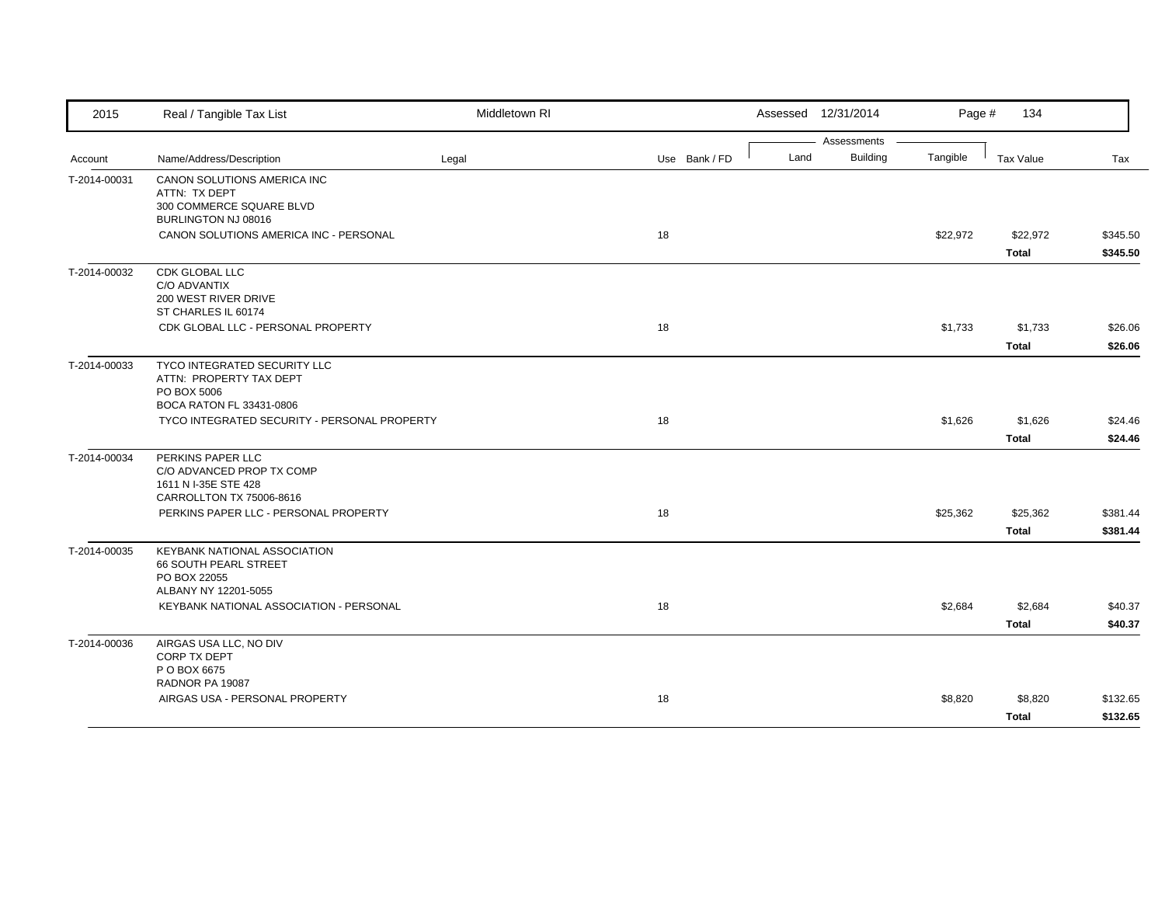| 2015         | Real / Tangible Tax List                                                                             | Middletown RI |               |      | Assessed 12/31/2014            | Page #   | 134                      |                      |
|--------------|------------------------------------------------------------------------------------------------------|---------------|---------------|------|--------------------------------|----------|--------------------------|----------------------|
| Account      | Name/Address/Description                                                                             | Legal         | Use Bank / FD | Land | Assessments<br><b>Building</b> | Tangible | Tax Value                | Tax                  |
| T-2014-00031 | CANON SOLUTIONS AMERICA INC<br>ATTN: TX DEPT<br>300 COMMERCE SQUARE BLVD<br>BURLINGTON NJ 08016      |               |               |      |                                |          |                          |                      |
|              | CANON SOLUTIONS AMERICA INC - PERSONAL                                                               |               | 18            |      |                                | \$22,972 | \$22,972<br><b>Total</b> | \$345.50<br>\$345.50 |
| T-2014-00032 | <b>CDK GLOBAL LLC</b><br>C/O ADVANTIX<br>200 WEST RIVER DRIVE<br>ST CHARLES IL 60174                 |               |               |      |                                |          |                          |                      |
|              | CDK GLOBAL LLC - PERSONAL PROPERTY                                                                   |               | 18            |      |                                | \$1,733  | \$1,733<br><b>Total</b>  | \$26.06<br>\$26.06   |
| T-2014-00033 | TYCO INTEGRATED SECURITY LLC<br>ATTN: PROPERTY TAX DEPT<br>PO BOX 5006<br>BOCA RATON FL 33431-0806   |               |               |      |                                |          |                          |                      |
|              | TYCO INTEGRATED SECURITY - PERSONAL PROPERTY                                                         |               | 18            |      |                                | \$1,626  | \$1,626<br><b>Total</b>  | \$24.46<br>\$24.46   |
| T-2014-00034 | PERKINS PAPER LLC<br>C/O ADVANCED PROP TX COMP<br>1611 N I-35E STE 428<br>CARROLLTON TX 75006-8616   |               |               |      |                                |          |                          |                      |
|              | PERKINS PAPER LLC - PERSONAL PROPERTY                                                                |               | 18            |      |                                | \$25,362 | \$25,362<br><b>Total</b> | \$381.44<br>\$381.44 |
| T-2014-00035 | <b>KEYBANK NATIONAL ASSOCIATION</b><br>66 SOUTH PEARL STREET<br>PO BOX 22055<br>ALBANY NY 12201-5055 |               |               |      |                                |          |                          |                      |
|              | KEYBANK NATIONAL ASSOCIATION - PERSONAL                                                              |               | 18            |      |                                | \$2,684  | \$2,684<br><b>Total</b>  | \$40.37<br>\$40.37   |
| T-2014-00036 | AIRGAS USA LLC, NO DIV<br><b>CORP TX DEPT</b><br>P O BOX 6675                                        |               |               |      |                                |          |                          |                      |
|              | RADNOR PA 19087<br>AIRGAS USA - PERSONAL PROPERTY                                                    |               | 18            |      |                                | \$8,820  | \$8,820<br><b>Total</b>  | \$132.65<br>\$132.65 |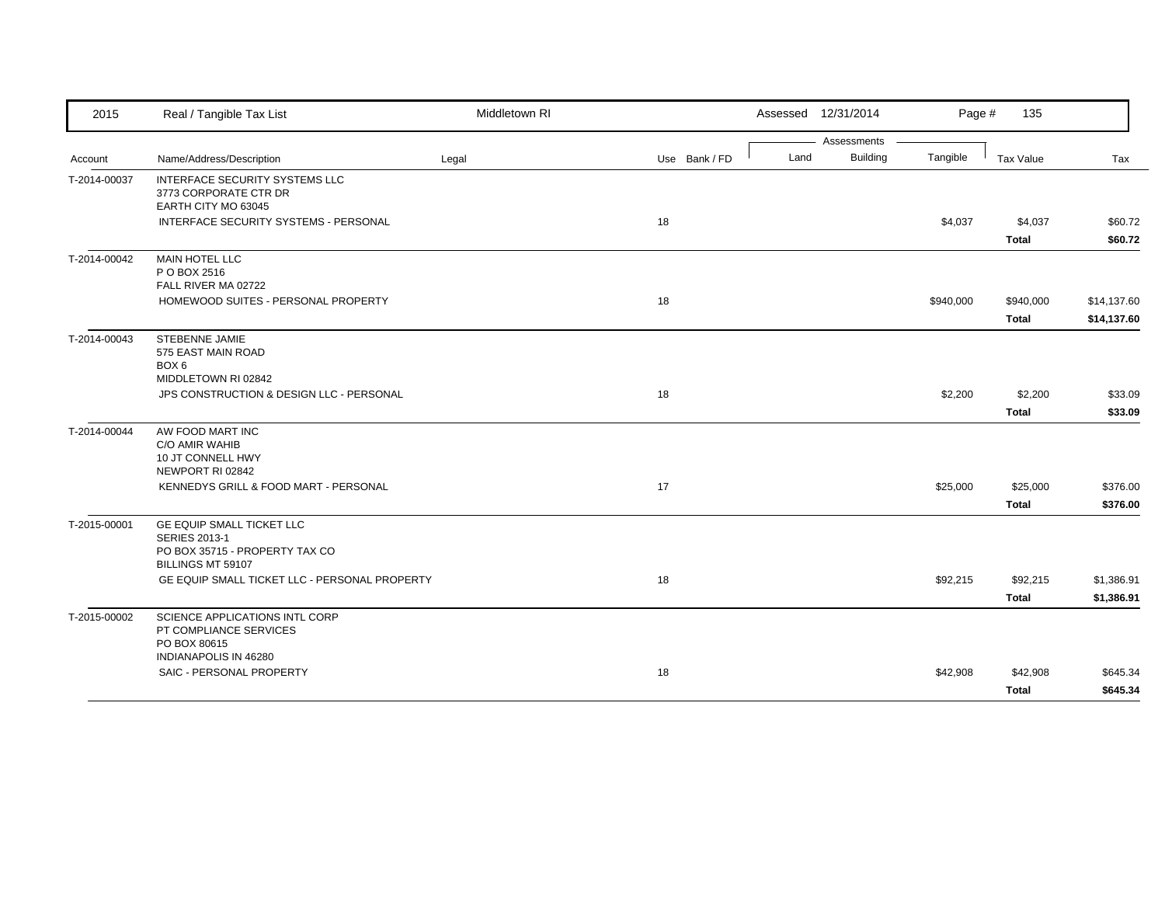| 2015         | Real / Tangible Tax List                                                                                 | Middletown RI |               |      | Assessed 12/31/2014 | Page #    | 135                       |                            |
|--------------|----------------------------------------------------------------------------------------------------------|---------------|---------------|------|---------------------|-----------|---------------------------|----------------------------|
|              |                                                                                                          |               |               |      | Assessments         |           |                           |                            |
| Account      | Name/Address/Description                                                                                 | Legal         | Use Bank / FD | Land | <b>Building</b>     | Tangible  | Tax Value                 | Tax                        |
| T-2014-00037 | INTERFACE SECURITY SYSTEMS LLC<br>3773 CORPORATE CTR DR<br>EARTH CITY MO 63045                           |               |               |      |                     |           |                           |                            |
|              | INTERFACE SECURITY SYSTEMS - PERSONAL                                                                    |               | 18            |      |                     | \$4,037   | \$4,037<br>Total          | \$60.72<br>\$60.72         |
| T-2014-00042 | <b>MAIN HOTEL LLC</b><br>P O BOX 2516<br>FALL RIVER MA 02722                                             |               |               |      |                     |           |                           |                            |
|              | HOMEWOOD SUITES - PERSONAL PROPERTY                                                                      |               | 18            |      |                     | \$940,000 | \$940,000<br><b>Total</b> | \$14,137.60<br>\$14,137.60 |
| T-2014-00043 | STEBENNE JAMIE<br>575 EAST MAIN ROAD<br>BOX 6<br>MIDDLETOWN RI 02842                                     |               |               |      |                     |           |                           |                            |
|              | JPS CONSTRUCTION & DESIGN LLC - PERSONAL                                                                 |               | 18            |      |                     | \$2,200   | \$2,200<br><b>Total</b>   | \$33.09<br>\$33.09         |
| T-2014-00044 | AW FOOD MART INC<br>C/O AMIR WAHIB<br>10 JT CONNELL HWY<br>NEWPORT RI 02842                              |               |               |      |                     |           |                           |                            |
|              | KENNEDYS GRILL & FOOD MART - PERSONAL                                                                    |               | 17            |      |                     | \$25,000  | \$25,000<br><b>Total</b>  | \$376.00<br>\$376.00       |
| T-2015-00001 | GE EQUIP SMALL TICKET LLC<br><b>SERIES 2013-1</b><br>PO BOX 35715 - PROPERTY TAX CO<br>BILLINGS MT 59107 |               |               |      |                     |           |                           |                            |
|              | GE EQUIP SMALL TICKET LLC - PERSONAL PROPERTY                                                            |               | 18            |      |                     | \$92,215  | \$92,215<br><b>Total</b>  | \$1,386.91<br>\$1,386.91   |
| T-2015-00002 | SCIENCE APPLICATIONS INTL CORP<br>PT COMPLIANCE SERVICES<br>PO BOX 80615<br>INDIANAPOLIS IN 46280        |               |               |      |                     |           |                           |                            |
|              | SAIC - PERSONAL PROPERTY                                                                                 |               | 18            |      |                     | \$42,908  | \$42,908<br><b>Total</b>  | \$645.34<br>\$645.34       |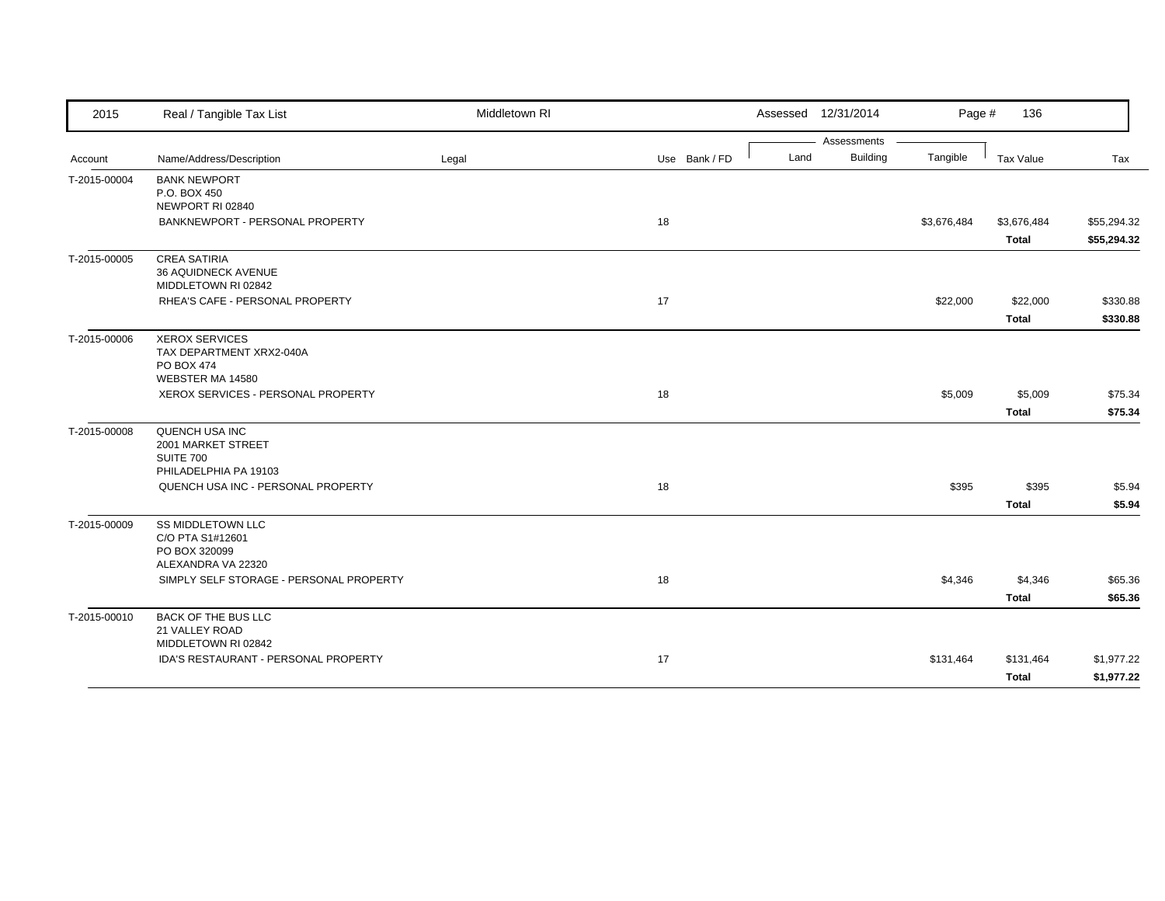| 2015         | Real / Tangible Tax List                   | Middletown RI |               |      | Assessed 12/31/2014 | Page #      | 136          |             |
|--------------|--------------------------------------------|---------------|---------------|------|---------------------|-------------|--------------|-------------|
|              |                                            |               |               |      | Assessments         |             |              |             |
| Account      | Name/Address/Description                   | Legal         | Use Bank / FD | Land | <b>Building</b>     | Tangible    | Tax Value    | Tax         |
| T-2015-00004 | <b>BANK NEWPORT</b><br>P.O. BOX 450        |               |               |      |                     |             |              |             |
|              | NEWPORT RI 02840                           |               |               |      |                     |             |              |             |
|              | BANKNEWPORT - PERSONAL PROPERTY            |               | 18            |      |                     | \$3,676,484 | \$3,676,484  | \$55,294.32 |
|              |                                            |               |               |      |                     |             | <b>Total</b> | \$55,294.32 |
|              |                                            |               |               |      |                     |             |              |             |
| T-2015-00005 | <b>CREA SATIRIA</b><br>36 AQUIDNECK AVENUE |               |               |      |                     |             |              |             |
|              | MIDDLETOWN RI 02842                        |               |               |      |                     |             |              |             |
|              | RHEA'S CAFE - PERSONAL PROPERTY            |               | 17            |      |                     | \$22,000    | \$22,000     | \$330.88    |
|              |                                            |               |               |      |                     |             |              |             |
|              |                                            |               |               |      |                     |             | <b>Total</b> | \$330.88    |
| T-2015-00006 | <b>XEROX SERVICES</b>                      |               |               |      |                     |             |              |             |
|              | TAX DEPARTMENT XRX2-040A<br>PO BOX 474     |               |               |      |                     |             |              |             |
|              | WEBSTER MA 14580                           |               |               |      |                     |             |              |             |
|              | XEROX SERVICES - PERSONAL PROPERTY         |               | 18            |      |                     | \$5,009     | \$5,009      | \$75.34     |
|              |                                            |               |               |      |                     |             | <b>Total</b> | \$75.34     |
|              |                                            |               |               |      |                     |             |              |             |
| T-2015-00008 | QUENCH USA INC<br>2001 MARKET STREET       |               |               |      |                     |             |              |             |
|              | SUITE 700                                  |               |               |      |                     |             |              |             |
|              | PHILADELPHIA PA 19103                      |               |               |      |                     |             |              |             |
|              | QUENCH USA INC - PERSONAL PROPERTY         |               | 18            |      |                     | \$395       | \$395        | \$5.94      |
|              |                                            |               |               |      |                     |             | <b>Total</b> | \$5.94      |
| T-2015-00009 | <b>SS MIDDLETOWN LLC</b>                   |               |               |      |                     |             |              |             |
|              | C/O PTA S1#12601                           |               |               |      |                     |             |              |             |
|              | PO BOX 320099                              |               |               |      |                     |             |              |             |
|              | ALEXANDRA VA 22320                         |               |               |      |                     |             |              |             |
|              | SIMPLY SELF STORAGE - PERSONAL PROPERTY    |               | 18            |      |                     | \$4,346     | \$4,346      | \$65.36     |
|              |                                            |               |               |      |                     |             | <b>Total</b> | \$65.36     |
| T-2015-00010 | <b>BACK OF THE BUS LLC</b>                 |               |               |      |                     |             |              |             |
|              | 21 VALLEY ROAD                             |               |               |      |                     |             |              |             |
|              | MIDDLETOWN RI 02842                        |               |               |      |                     |             |              |             |
|              | IDA'S RESTAURANT - PERSONAL PROPERTY       |               | 17            |      |                     | \$131,464   | \$131,464    | \$1,977.22  |
|              |                                            |               |               |      |                     |             | <b>Total</b> | \$1,977.22  |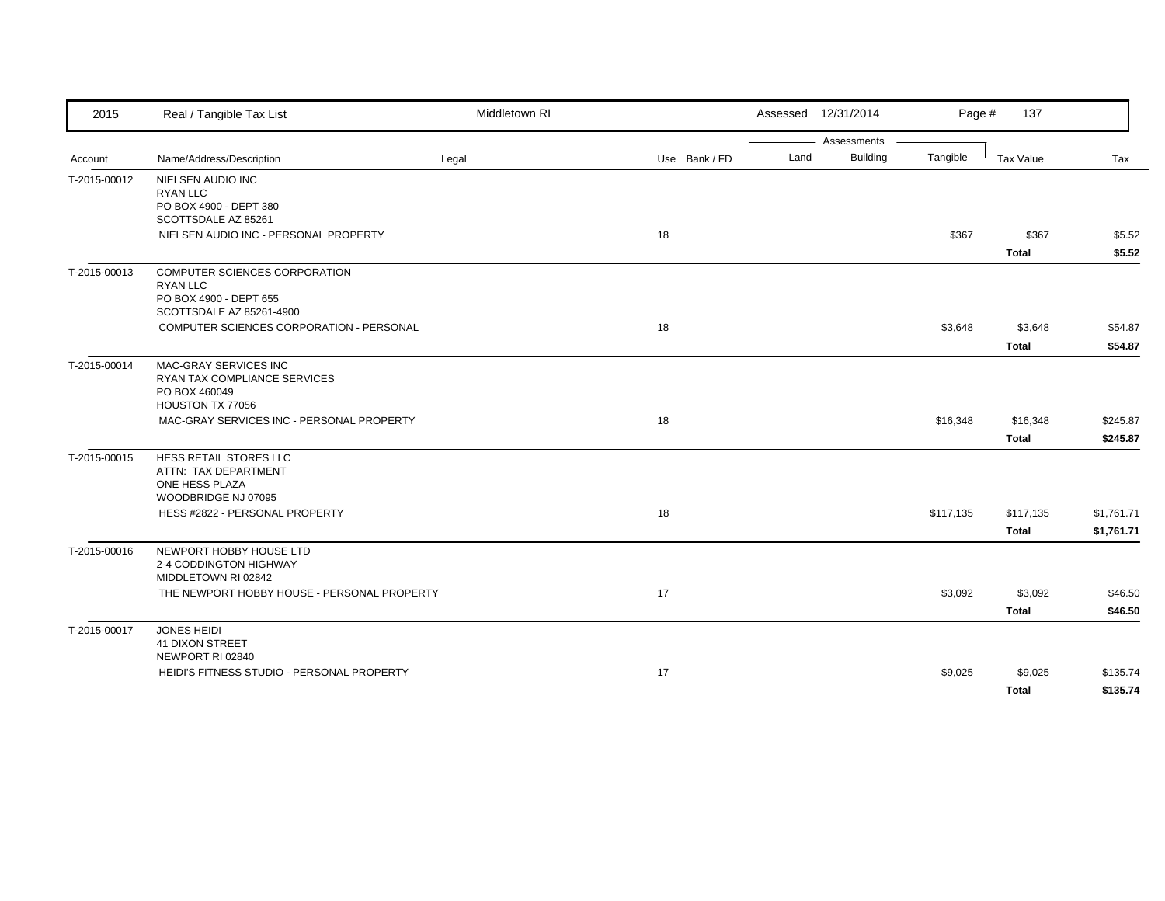| 2015         | Real / Tangible Tax List                          | Middletown RI |               |      | Assessed 12/31/2014            | Page #    | 137                   |                  |
|--------------|---------------------------------------------------|---------------|---------------|------|--------------------------------|-----------|-----------------------|------------------|
| Account      | Name/Address/Description                          | Legal         | Use Bank / FD | Land | Assessments<br><b>Building</b> | Tangible  | Tax Value             | Tax              |
|              | <b>NIELSEN AUDIO INC</b>                          |               |               |      |                                |           |                       |                  |
| T-2015-00012 | <b>RYAN LLC</b>                                   |               |               |      |                                |           |                       |                  |
|              | PO BOX 4900 - DEPT 380                            |               |               |      |                                |           |                       |                  |
|              | SCOTTSDALE AZ 85261                               |               | 18            |      |                                |           |                       |                  |
|              | NIELSEN AUDIO INC - PERSONAL PROPERTY             |               |               |      |                                | \$367     | \$367<br><b>Total</b> | \$5.52<br>\$5.52 |
| T-2015-00013 | COMPUTER SCIENCES CORPORATION                     |               |               |      |                                |           |                       |                  |
|              | <b>RYAN LLC</b><br>PO BOX 4900 - DEPT 655         |               |               |      |                                |           |                       |                  |
|              | SCOTTSDALE AZ 85261-4900                          |               |               |      |                                |           |                       |                  |
|              | COMPUTER SCIENCES CORPORATION - PERSONAL          |               | 18            |      |                                | \$3,648   | \$3,648               | \$54.87          |
|              |                                                   |               |               |      |                                |           | <b>Total</b>          | \$54.87          |
| T-2015-00014 | MAC-GRAY SERVICES INC                             |               |               |      |                                |           |                       |                  |
|              | RYAN TAX COMPLIANCE SERVICES<br>PO BOX 460049     |               |               |      |                                |           |                       |                  |
|              | HOUSTON TX 77056                                  |               |               |      |                                |           |                       |                  |
|              | MAC-GRAY SERVICES INC - PERSONAL PROPERTY         |               | 18            |      |                                | \$16,348  | \$16,348              | \$245.87         |
|              |                                                   |               |               |      |                                |           | <b>Total</b>          | \$245.87         |
| T-2015-00015 | HESS RETAIL STORES LLC                            |               |               |      |                                |           |                       |                  |
|              | ATTN: TAX DEPARTMENT<br>ONE HESS PLAZA            |               |               |      |                                |           |                       |                  |
|              | WOODBRIDGE NJ 07095                               |               |               |      |                                |           |                       |                  |
|              | HESS #2822 - PERSONAL PROPERTY                    |               | 18            |      |                                | \$117,135 | \$117,135             | \$1,761.71       |
|              |                                                   |               |               |      |                                |           | <b>Total</b>          | \$1,761.71       |
| T-2015-00016 | NEWPORT HOBBY HOUSE LTD<br>2-4 CODDINGTON HIGHWAY |               |               |      |                                |           |                       |                  |
|              | MIDDLETOWN RI 02842                               |               |               |      |                                |           |                       |                  |
|              | THE NEWPORT HOBBY HOUSE - PERSONAL PROPERTY       |               | 17            |      |                                | \$3,092   | \$3,092               | \$46.50          |
|              |                                                   |               |               |      |                                |           | <b>Total</b>          | \$46.50          |
| T-2015-00017 | <b>JONES HEIDI</b>                                |               |               |      |                                |           |                       |                  |
|              | 41 DIXON STREET<br>NEWPORT RI 02840               |               |               |      |                                |           |                       |                  |
|              | HEIDI'S FITNESS STUDIO - PERSONAL PROPERTY        |               | 17            |      |                                | \$9,025   | \$9,025               | \$135.74         |
|              |                                                   |               |               |      |                                |           | <b>Total</b>          | \$135.74         |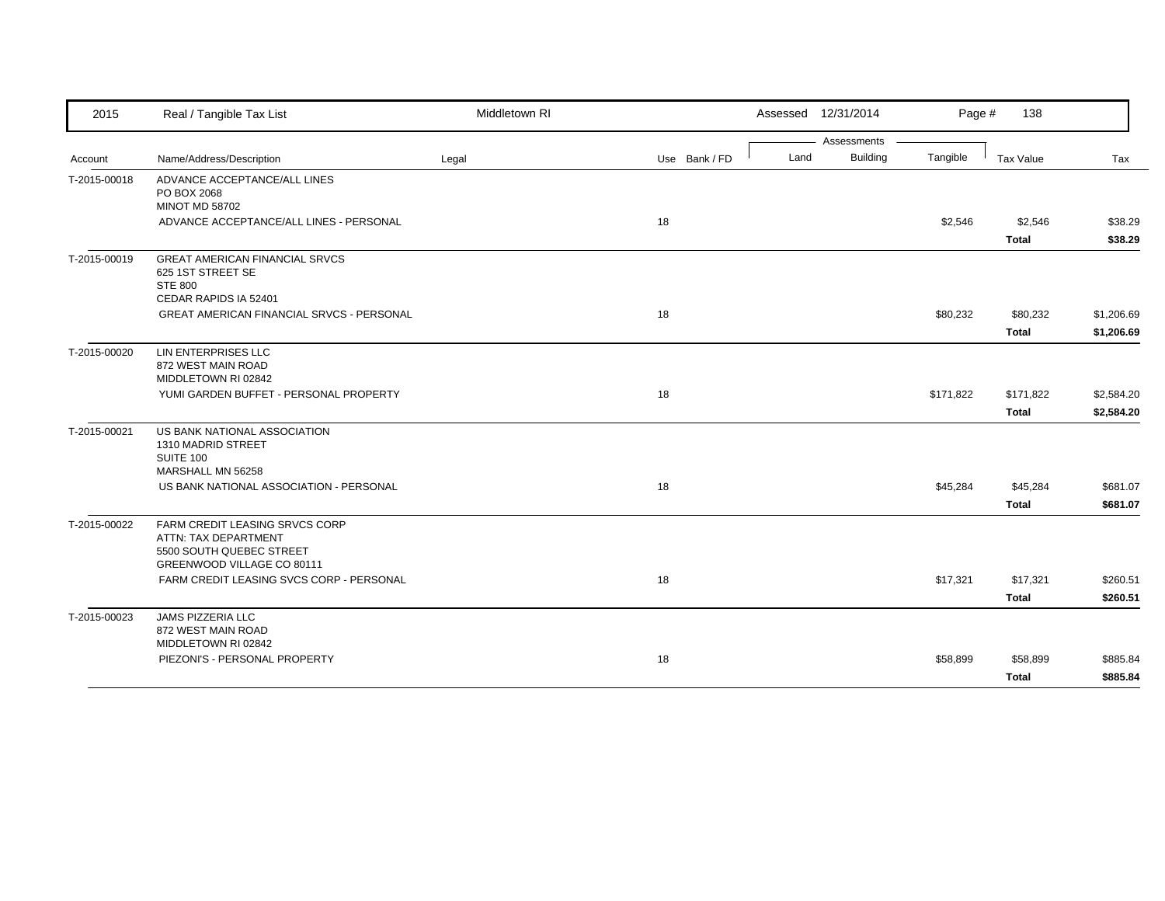| 2015         | Real / Tangible Tax List                               | Middletown RI |               |      | Assessed 12/31/2014            | Page #    | 138          |            |
|--------------|--------------------------------------------------------|---------------|---------------|------|--------------------------------|-----------|--------------|------------|
| Account      | Name/Address/Description                               | Legal         | Use Bank / FD | Land | Assessments<br><b>Building</b> | Tangible  | Tax Value    | Tax        |
|              |                                                        |               |               |      |                                |           |              |            |
| T-2015-00018 | ADVANCE ACCEPTANCE/ALL LINES<br>PO BOX 2068            |               |               |      |                                |           |              |            |
|              | <b>MINOT MD 58702</b>                                  |               |               |      |                                |           |              |            |
|              | ADVANCE ACCEPTANCE/ALL LINES - PERSONAL                |               | 18            |      |                                | \$2,546   | \$2,546      | \$38.29    |
|              |                                                        |               |               |      |                                |           | <b>Total</b> | \$38.29    |
| T-2015-00019 | <b>GREAT AMERICAN FINANCIAL SRVCS</b>                  |               |               |      |                                |           |              |            |
|              | 625 1ST STREET SE<br><b>STE 800</b>                    |               |               |      |                                |           |              |            |
|              | CEDAR RAPIDS IA 52401                                  |               |               |      |                                |           |              |            |
|              | <b>GREAT AMERICAN FINANCIAL SRVCS - PERSONAL</b>       |               | 18            |      |                                | \$80,232  | \$80,232     | \$1,206.69 |
|              |                                                        |               |               |      |                                |           | <b>Total</b> | \$1,206.69 |
| T-2015-00020 | LIN ENTERPRISES LLC                                    |               |               |      |                                |           |              |            |
|              | 872 WEST MAIN ROAD                                     |               |               |      |                                |           |              |            |
|              | MIDDLETOWN RI 02842                                    |               |               |      |                                |           |              |            |
|              | YUMI GARDEN BUFFET - PERSONAL PROPERTY                 |               | 18            |      |                                | \$171,822 | \$171,822    | \$2,584.20 |
|              |                                                        |               |               |      |                                |           | <b>Total</b> | \$2,584.20 |
| T-2015-00021 | US BANK NATIONAL ASSOCIATION                           |               |               |      |                                |           |              |            |
|              | 1310 MADRID STREET<br>SUITE 100                        |               |               |      |                                |           |              |            |
|              | MARSHALL MN 56258                                      |               |               |      |                                |           |              |            |
|              | US BANK NATIONAL ASSOCIATION - PERSONAL                |               | 18            |      |                                | \$45,284  | \$45,284     | \$681.07   |
|              |                                                        |               |               |      |                                |           | <b>Total</b> | \$681.07   |
| T-2015-00022 | FARM CREDIT LEASING SRVCS CORP                         |               |               |      |                                |           |              |            |
|              | ATTN: TAX DEPARTMENT                                   |               |               |      |                                |           |              |            |
|              | 5500 SOUTH QUEBEC STREET<br>GREENWOOD VILLAGE CO 80111 |               |               |      |                                |           |              |            |
|              | FARM CREDIT LEASING SVCS CORP - PERSONAL               |               | 18            |      |                                | \$17,321  | \$17,321     | \$260.51   |
|              |                                                        |               |               |      |                                |           |              |            |
|              |                                                        |               |               |      |                                |           | Total        | \$260.51   |
| T-2015-00023 | <b>JAMS PIZZERIA LLC</b><br>872 WEST MAIN ROAD         |               |               |      |                                |           |              |            |
|              | MIDDLETOWN RI 02842                                    |               |               |      |                                |           |              |            |
|              | PIEZONI'S - PERSONAL PROPERTY                          |               | 18            |      |                                | \$58,899  | \$58,899     | \$885.84   |
|              |                                                        |               |               |      |                                |           | <b>Total</b> | \$885.84   |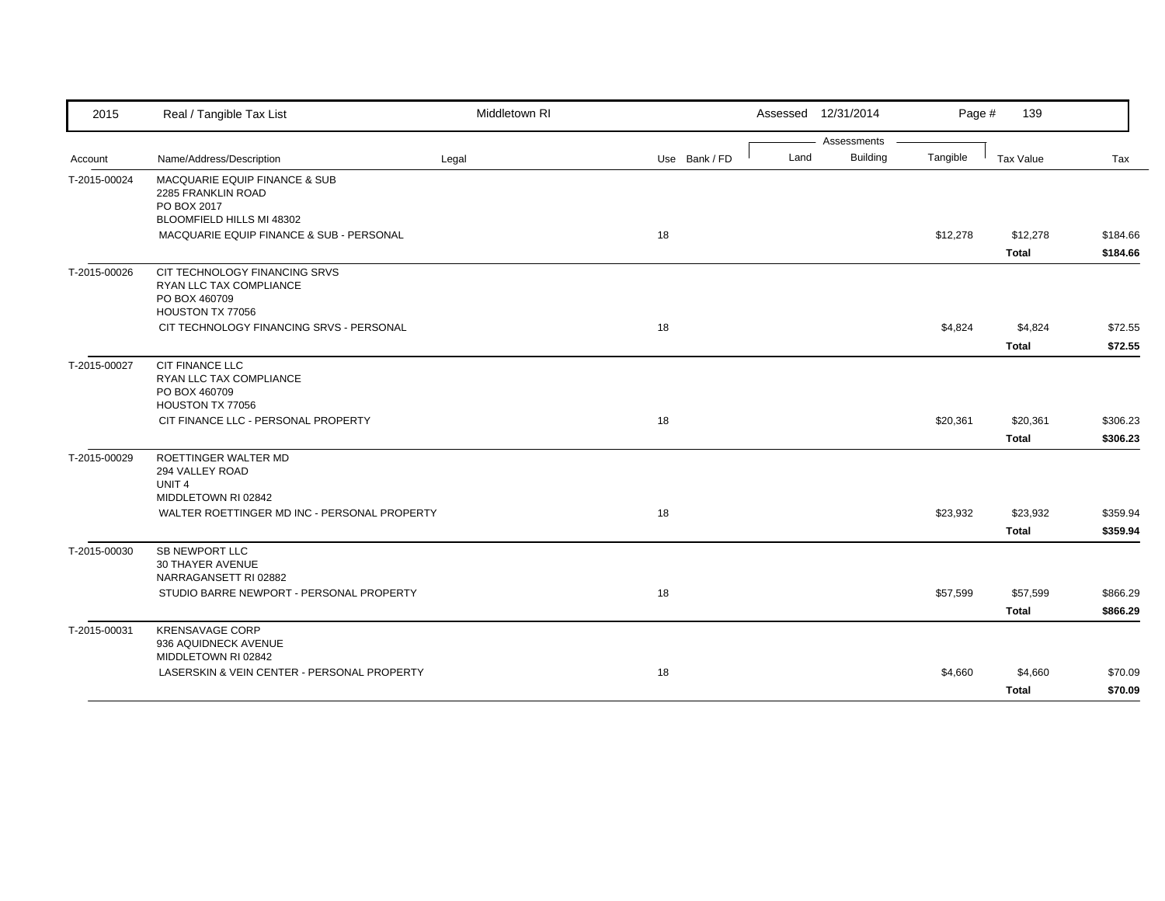| 2015         | Real / Tangible Tax List                                                                                                                    | Middletown RI |               |      | Assessed 12/31/2014            | Page #   | 139                      |                      |
|--------------|---------------------------------------------------------------------------------------------------------------------------------------------|---------------|---------------|------|--------------------------------|----------|--------------------------|----------------------|
| Account      | Name/Address/Description                                                                                                                    | Legal         | Use Bank / FD | Land | Assessments<br><b>Building</b> | Tangible | Tax Value                | Tax                  |
| T-2015-00024 | MACQUARIE EQUIP FINANCE & SUB<br>2285 FRANKLIN ROAD<br>PO BOX 2017<br>BLOOMFIELD HILLS MI 48302<br>MACQUARIE EQUIP FINANCE & SUB - PERSONAL |               | 18            |      |                                | \$12,278 | \$12,278                 | \$184.66             |
|              |                                                                                                                                             |               |               |      |                                |          | Total                    | \$184.66             |
| T-2015-00026 | CIT TECHNOLOGY FINANCING SRVS<br>RYAN LLC TAX COMPLIANCE<br>PO BOX 460709<br>HOUSTON TX 77056                                               |               |               |      |                                |          |                          |                      |
|              | CIT TECHNOLOGY FINANCING SRVS - PERSONAL                                                                                                    |               | 18            |      |                                | \$4,824  | \$4,824<br><b>Total</b>  | \$72.55<br>\$72.55   |
| T-2015-00027 | CIT FINANCE LLC<br>RYAN LLC TAX COMPLIANCE<br>PO BOX 460709<br>HOUSTON TX 77056                                                             |               |               |      |                                |          |                          |                      |
|              | CIT FINANCE LLC - PERSONAL PROPERTY                                                                                                         |               | 18            |      |                                | \$20,361 | \$20,361<br><b>Total</b> | \$306.23<br>\$306.23 |
| T-2015-00029 | ROETTINGER WALTER MD<br>294 VALLEY ROAD<br>UNIT <sub>4</sub><br>MIDDLETOWN RI 02842                                                         |               |               |      |                                |          |                          |                      |
|              | WALTER ROETTINGER MD INC - PERSONAL PROPERTY                                                                                                |               | 18            |      |                                | \$23,932 | \$23,932<br><b>Total</b> | \$359.94<br>\$359.94 |
| T-2015-00030 | <b>SB NEWPORT LLC</b><br>30 THAYER AVENUE<br>NARRAGANSETT RI 02882                                                                          |               |               |      |                                |          |                          |                      |
|              | STUDIO BARRE NEWPORT - PERSONAL PROPERTY                                                                                                    |               | 18            |      |                                | \$57,599 | \$57,599<br>Total        | \$866.29<br>\$866.29 |
| T-2015-00031 | <b>KRENSAVAGE CORP</b><br>936 AQUIDNECK AVENUE<br>MIDDLETOWN RI 02842                                                                       |               |               |      |                                |          |                          |                      |
|              | LASERSKIN & VEIN CENTER - PERSONAL PROPERTY                                                                                                 |               | 18            |      |                                | \$4,660  | \$4,660<br><b>Total</b>  | \$70.09<br>\$70.09   |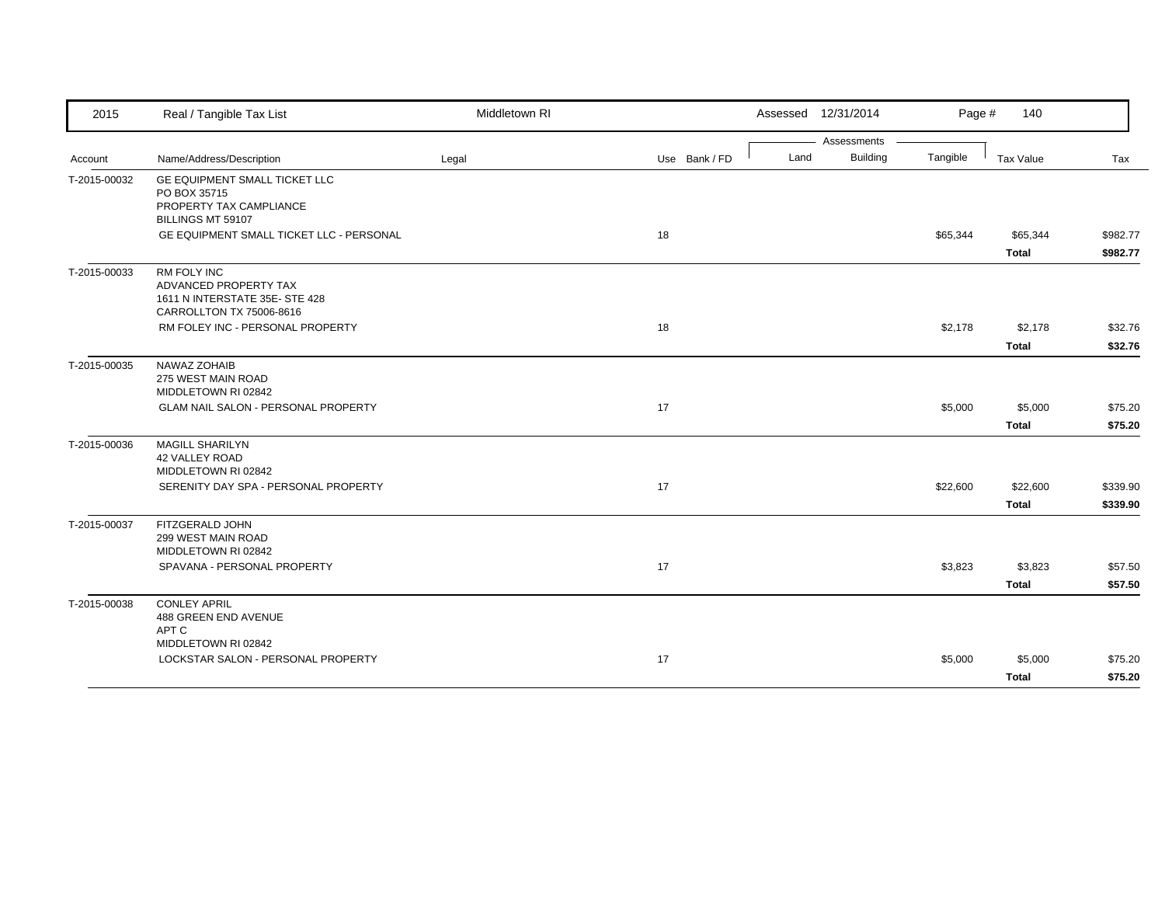| 2015         | Real / Tangible Tax List                                    | Middletown RI |               |      | Assessed 12/31/2014            | Page #   | 140          |          |
|--------------|-------------------------------------------------------------|---------------|---------------|------|--------------------------------|----------|--------------|----------|
|              | Name/Address/Description                                    |               | Use Bank / FD | Land | Assessments<br><b>Building</b> | Tangible | Tax Value    | Tax      |
| Account      |                                                             | Legal         |               |      |                                |          |              |          |
| T-2015-00032 | GE EQUIPMENT SMALL TICKET LLC<br>PO BOX 35715               |               |               |      |                                |          |              |          |
|              | PROPERTY TAX CAMPLIANCE                                     |               |               |      |                                |          |              |          |
|              | BILLINGS MT 59107                                           |               |               |      |                                |          |              |          |
|              | GE EQUIPMENT SMALL TICKET LLC - PERSONAL                    |               | 18            |      |                                | \$65,344 | \$65,344     | \$982.77 |
|              |                                                             |               |               |      |                                |          | <b>Total</b> | \$982.77 |
| T-2015-00033 | <b>RM FOLY INC</b><br>ADVANCED PROPERTY TAX                 |               |               |      |                                |          |              |          |
|              | 1611 N INTERSTATE 35E-STE 428                               |               |               |      |                                |          |              |          |
|              | CARROLLTON TX 75006-8616                                    |               |               |      |                                |          |              |          |
|              | RM FOLEY INC - PERSONAL PROPERTY                            |               | 18            |      |                                | \$2,178  | \$2,178      | \$32.76  |
|              |                                                             |               |               |      |                                |          | <b>Total</b> | \$32.76  |
| T-2015-00035 | NAWAZ ZOHAIB                                                |               |               |      |                                |          |              |          |
|              | 275 WEST MAIN ROAD<br>MIDDLETOWN RI 02842                   |               |               |      |                                |          |              |          |
|              | GLAM NAIL SALON - PERSONAL PROPERTY                         |               | 17            |      |                                | \$5,000  | \$5,000      | \$75.20  |
|              |                                                             |               |               |      |                                |          | <b>Total</b> | \$75.20  |
| T-2015-00036 | <b>MAGILL SHARILYN</b>                                      |               |               |      |                                |          |              |          |
|              | 42 VALLEY ROAD                                              |               |               |      |                                |          |              |          |
|              | MIDDLETOWN RI 02842<br>SERENITY DAY SPA - PERSONAL PROPERTY |               | 17            |      |                                | \$22,600 | \$22,600     | \$339.90 |
|              |                                                             |               |               |      |                                |          | <b>Total</b> | \$339.90 |
| T-2015-00037 | FITZGERALD JOHN                                             |               |               |      |                                |          |              |          |
|              | 299 WEST MAIN ROAD                                          |               |               |      |                                |          |              |          |
|              | MIDDLETOWN RI 02842                                         |               |               |      |                                |          |              |          |
|              | SPAVANA - PERSONAL PROPERTY                                 |               | 17            |      |                                | \$3,823  | \$3,823      | \$57.50  |
|              |                                                             |               |               |      |                                |          | <b>Total</b> | \$57.50  |
| T-2015-00038 | <b>CONLEY APRIL</b><br>488 GREEN END AVENUE                 |               |               |      |                                |          |              |          |
|              | APT C                                                       |               |               |      |                                |          |              |          |
|              | MIDDLETOWN RI 02842                                         |               |               |      |                                |          |              |          |
|              | LOCKSTAR SALON - PERSONAL PROPERTY                          |               | 17            |      |                                | \$5,000  | \$5,000      | \$75.20  |
|              |                                                             |               |               |      |                                |          | Total        | \$75.20  |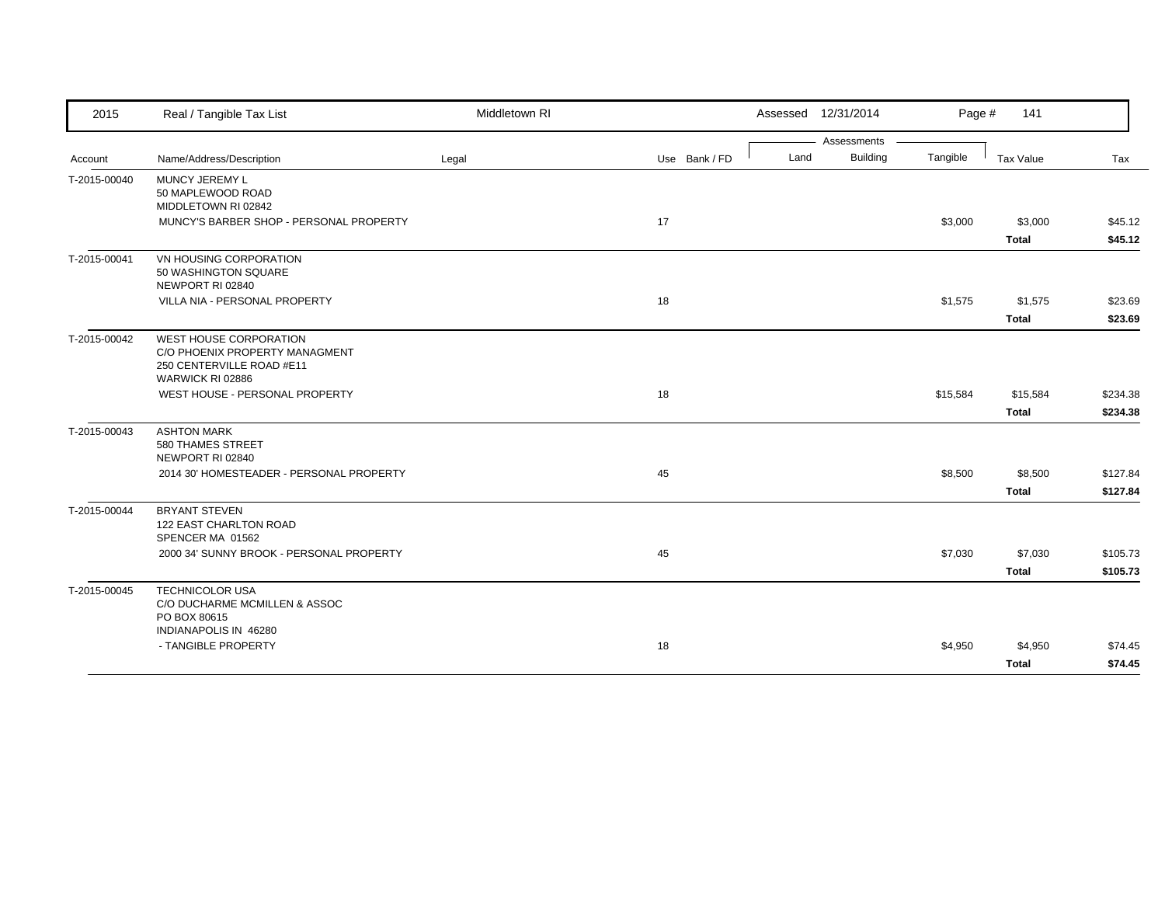| 2015         | Real / Tangible Tax List                                                                                  | Middletown RI |               |      | Assessed 12/31/2014 | Page #   | 141          |          |
|--------------|-----------------------------------------------------------------------------------------------------------|---------------|---------------|------|---------------------|----------|--------------|----------|
|              |                                                                                                           |               |               |      | Assessments         |          |              |          |
| Account      | Name/Address/Description                                                                                  | Legal         | Use Bank / FD | Land | <b>Building</b>     | Tangible | Tax Value    | Tax      |
| T-2015-00040 | MUNCY JEREMY L<br>50 MAPLEWOOD ROAD<br>MIDDLETOWN RI 02842                                                |               |               |      |                     |          |              |          |
|              | MUNCY'S BARBER SHOP - PERSONAL PROPERTY                                                                   |               | 17            |      |                     | \$3,000  | \$3,000      | \$45.12  |
|              |                                                                                                           |               |               |      |                     |          | <b>Total</b> | \$45.12  |
| T-2015-00041 | VN HOUSING CORPORATION<br>50 WASHINGTON SQUARE<br>NEWPORT RI 02840                                        |               |               |      |                     |          |              |          |
|              | VILLA NIA - PERSONAL PROPERTY                                                                             |               | 18            |      |                     | \$1,575  | \$1,575      | \$23.69  |
|              |                                                                                                           |               |               |      |                     |          | <b>Total</b> | \$23.69  |
| T-2015-00042 | WEST HOUSE CORPORATION<br>C/O PHOENIX PROPERTY MANAGMENT<br>250 CENTERVILLE ROAD #E11<br>WARWICK RI 02886 |               |               |      |                     |          |              |          |
|              | WEST HOUSE - PERSONAL PROPERTY                                                                            |               | 18            |      |                     | \$15,584 | \$15,584     | \$234.38 |
|              |                                                                                                           |               |               |      |                     |          | <b>Total</b> | \$234.38 |
| T-2015-00043 | <b>ASHTON MARK</b><br>580 THAMES STREET<br>NEWPORT RI 02840                                               |               |               |      |                     |          |              |          |
|              | 2014 30' HOMESTEADER - PERSONAL PROPERTY                                                                  |               | 45            |      |                     | \$8,500  | \$8,500      | \$127.84 |
|              |                                                                                                           |               |               |      |                     |          | <b>Total</b> | \$127.84 |
| T-2015-00044 | <b>BRYANT STEVEN</b><br>122 EAST CHARLTON ROAD<br>SPENCER MA 01562                                        |               |               |      |                     |          |              |          |
|              | 2000 34' SUNNY BROOK - PERSONAL PROPERTY                                                                  |               | 45            |      |                     | \$7,030  | \$7,030      | \$105.73 |
|              |                                                                                                           |               |               |      |                     |          | <b>Total</b> | \$105.73 |
| T-2015-00045 | <b>TECHNICOLOR USA</b><br>C/O DUCHARME MCMILLEN & ASSOC<br>PO BOX 80615                                   |               |               |      |                     |          |              |          |
|              | INDIANAPOLIS IN 46280                                                                                     |               |               |      |                     |          |              |          |
|              | - TANGIBLE PROPERTY                                                                                       |               | 18            |      |                     | \$4,950  | \$4,950      | \$74.45  |
|              |                                                                                                           |               |               |      |                     |          | <b>Total</b> | \$74.45  |